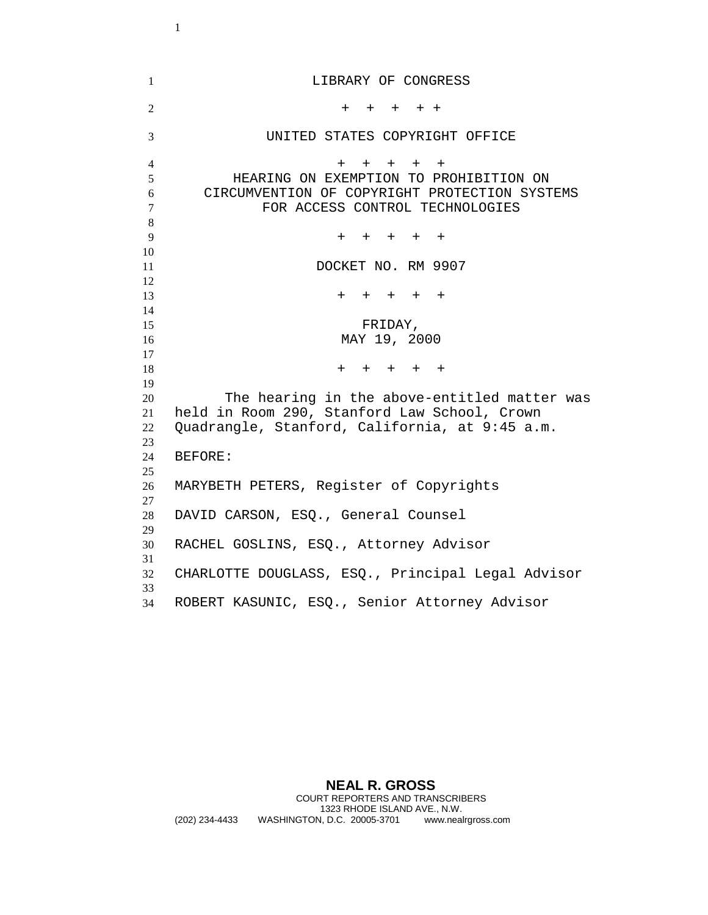LIBRARY OF CONGRESS  $+ + + + + +$  UNITED STATES COPYRIGHT OFFICE  $4 + + + + + +$  HEARING ON EXEMPTION TO PROHIBITION ON CIRCUMVENTION OF COPYRIGHT PROTECTION SYSTEMS FOR ACCESS CONTROL TECHNOLOGIES + + + + + 11 DOCKET NO. RM 9907 + + + + + FRIDAY, MAY 19, 2000  $18 + + + + + + +$  The hearing in the above-entitled matter was held in Room 290, Stanford Law School, Crown Quadrangle, Stanford, California, at 9:45 a.m. BEFORE: MARYBETH PETERS, Register of Copyrights DAVID CARSON, ESQ., General Counsel RACHEL GOSLINS, ESQ., Attorney Advisor CHARLOTTE DOUGLASS, ESQ., Principal Legal Advisor ROBERT KASUNIC, ESQ., Senior Attorney Advisor

**NEAL R. GROSS**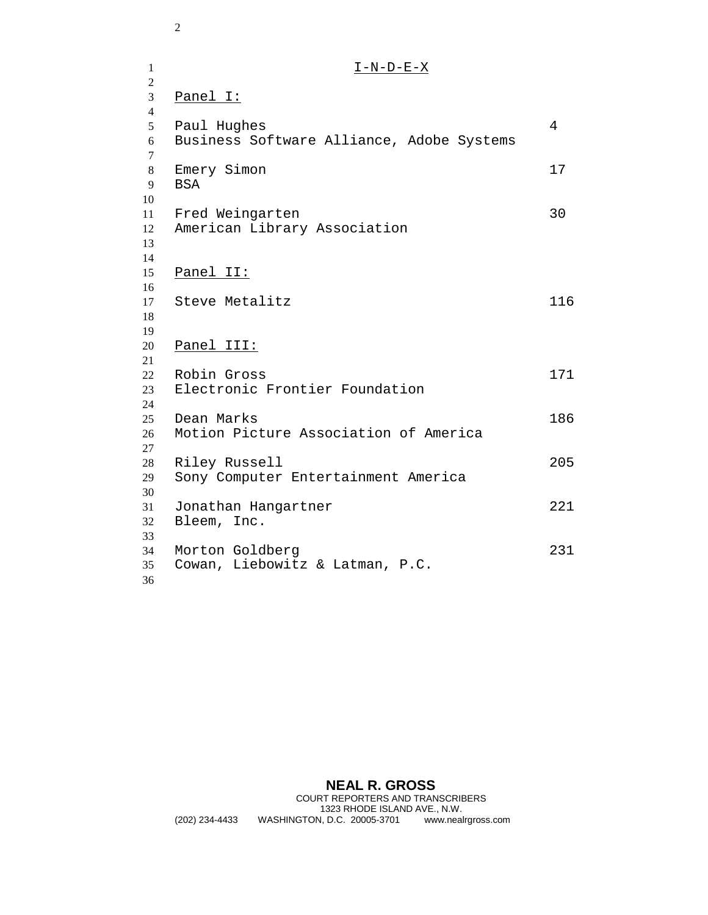1  $I-N-D-E-X$  Panel I: Paul Hughes 4 Business Software Alliance, Adobe Systems 8 Emery Simon 17 BSA Fred Weingarten 30 American Library Association Panel II: 17 Steve Metalitz 116 Panel III: Robin Gross 171 Electronic Frontier Foundation Dean Marks 186 Motion Picture Association of America Riley Russell 205 Sony Computer Entertainment America Jonathan Hangartner 221 Bleem, Inc. Morton Goldberg 231 Cowan, Liebowitz & Latman, P.C. 

**NEAL R. GROSS**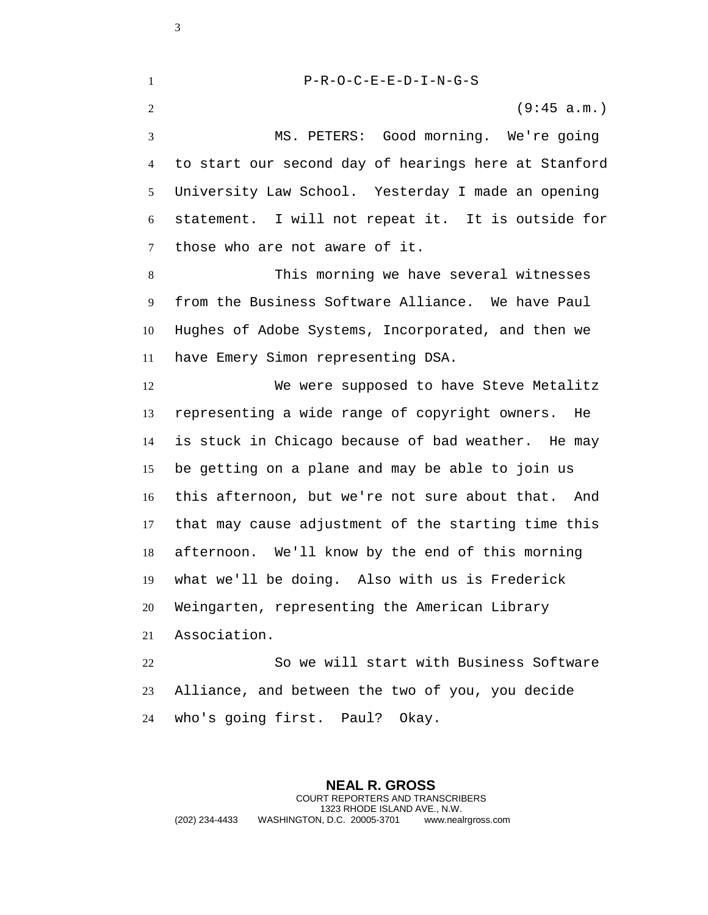P-R-O-C-E-E-D-I-N-G-S

(9:45 a.m.)

 MS. PETERS: Good morning. We're going to start our second day of hearings here at Stanford University Law School. Yesterday I made an opening statement. I will not repeat it. It is outside for those who are not aware of it.

 This morning we have several witnesses from the Business Software Alliance. We have Paul Hughes of Adobe Systems, Incorporated, and then we have Emery Simon representing DSA.

 We were supposed to have Steve Metalitz representing a wide range of copyright owners. He is stuck in Chicago because of bad weather. He may be getting on a plane and may be able to join us this afternoon, but we're not sure about that. And that may cause adjustment of the starting time this afternoon. We'll know by the end of this morning what we'll be doing. Also with us is Frederick Weingarten, representing the American Library Association.

 So we will start with Business Software Alliance, and between the two of you, you decide who's going first. Paul? Okay.

**NEAL R. GROSS** COURT REPORTERS AND TRANSCRIBERS 1323 RHODE ISLAND AVE., N.W. (202) 234-4433 WASHINGTON, D.C. 20005-3701 www.nealrgross.com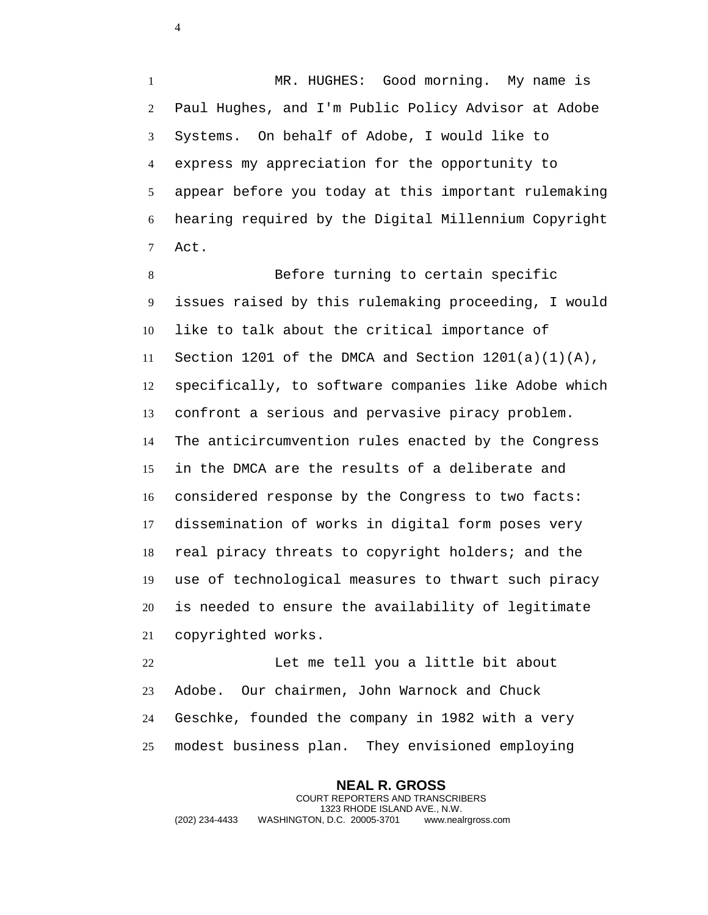MR. HUGHES: Good morning. My name is Paul Hughes, and I'm Public Policy Advisor at Adobe Systems. On behalf of Adobe, I would like to express my appreciation for the opportunity to appear before you today at this important rulemaking hearing required by the Digital Millennium Copyright Act.

 Before turning to certain specific issues raised by this rulemaking proceeding, I would like to talk about the critical importance of 11 Section 1201 of the DMCA and Section  $1201(a)(1)(A)$ , specifically, to software companies like Adobe which confront a serious and pervasive piracy problem. The anticircumvention rules enacted by the Congress in the DMCA are the results of a deliberate and considered response by the Congress to two facts: dissemination of works in digital form poses very real piracy threats to copyright holders; and the use of technological measures to thwart such piracy is needed to ensure the availability of legitimate copyrighted works.

 Let me tell you a little bit about Adobe. Our chairmen, John Warnock and Chuck Geschke, founded the company in 1982 with a very modest business plan. They envisioned employing

**NEAL R. GROSS** COURT REPORTERS AND TRANSCRIBERS 1323 RHODE ISLAND AVE., N.W. (202) 234-4433 WASHINGTON, D.C. 20005-3701 www.nealrgross.com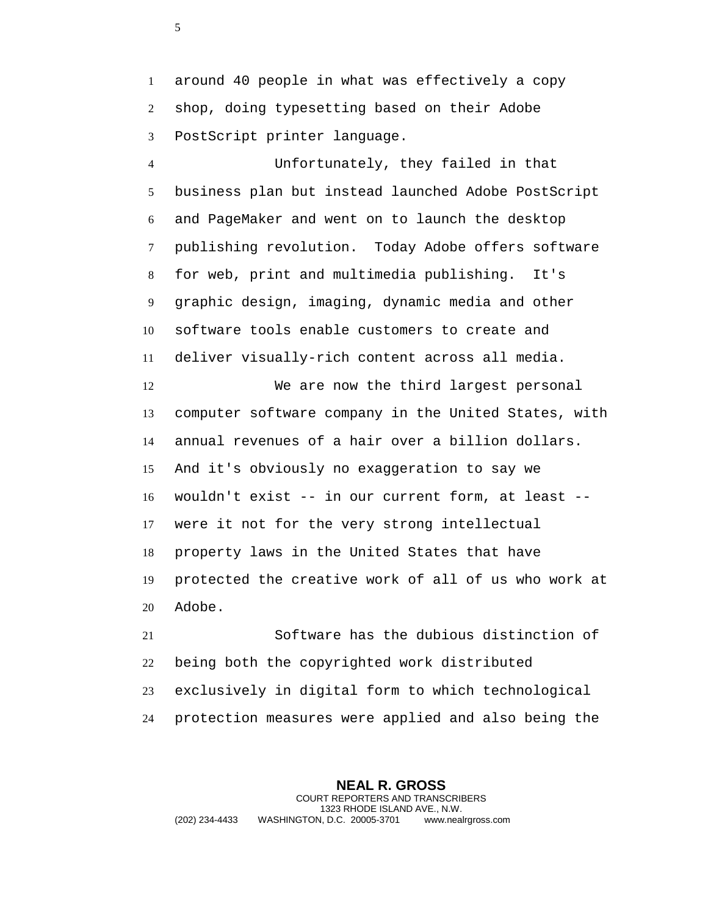around 40 people in what was effectively a copy shop, doing typesetting based on their Adobe PostScript printer language.

 Unfortunately, they failed in that business plan but instead launched Adobe PostScript and PageMaker and went on to launch the desktop publishing revolution. Today Adobe offers software for web, print and multimedia publishing. It's graphic design, imaging, dynamic media and other software tools enable customers to create and deliver visually-rich content across all media. We are now the third largest personal computer software company in the United States, with annual revenues of a hair over a billion dollars. And it's obviously no exaggeration to say we wouldn't exist -- in our current form, at least -- were it not for the very strong intellectual property laws in the United States that have

 protected the creative work of all of us who work at Adobe.

 Software has the dubious distinction of being both the copyrighted work distributed exclusively in digital form to which technological protection measures were applied and also being the

**NEAL R. GROSS** COURT REPORTERS AND TRANSCRIBERS 1323 RHODE ISLAND AVE., N.W. (202) 234-4433 WASHINGTON, D.C. 20005-3701 www.nealrgross.com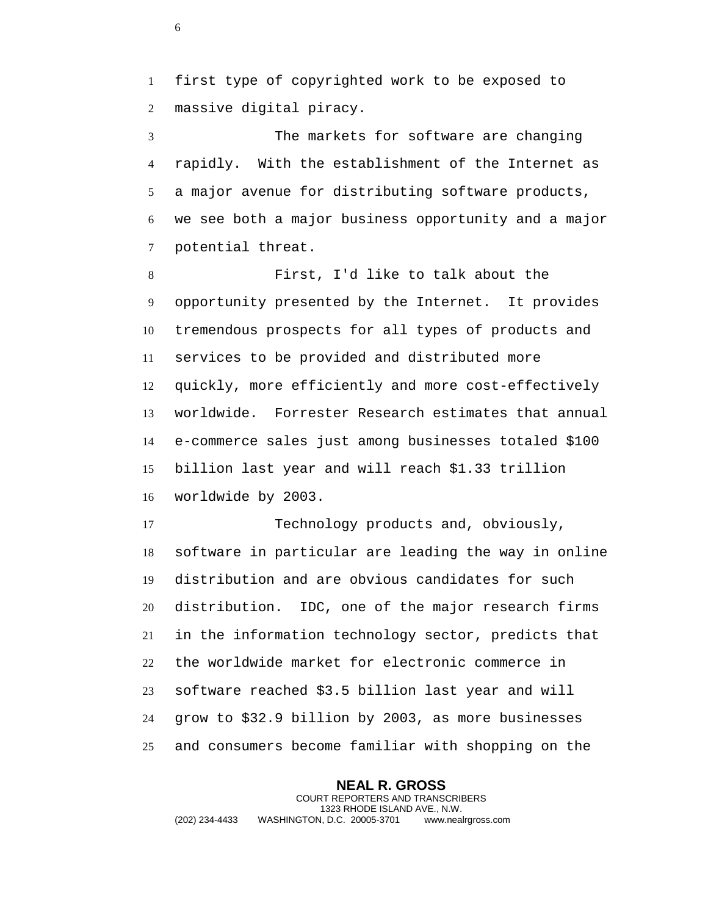first type of copyrighted work to be exposed to massive digital piracy.

 The markets for software are changing rapidly. With the establishment of the Internet as a major avenue for distributing software products, we see both a major business opportunity and a major potential threat.

 First, I'd like to talk about the opportunity presented by the Internet. It provides tremendous prospects for all types of products and services to be provided and distributed more quickly, more efficiently and more cost-effectively worldwide. Forrester Research estimates that annual e-commerce sales just among businesses totaled \$100 billion last year and will reach \$1.33 trillion worldwide by 2003.

 Technology products and, obviously, software in particular are leading the way in online distribution and are obvious candidates for such distribution. IDC, one of the major research firms in the information technology sector, predicts that the worldwide market for electronic commerce in software reached \$3.5 billion last year and will grow to \$32.9 billion by 2003, as more businesses and consumers become familiar with shopping on the

**NEAL R. GROSS** COURT REPORTERS AND TRANSCRIBERS 1323 RHODE ISLAND AVE., N.W. (202) 234-4433 WASHINGTON, D.C. 20005-3701 www.nealrgross.com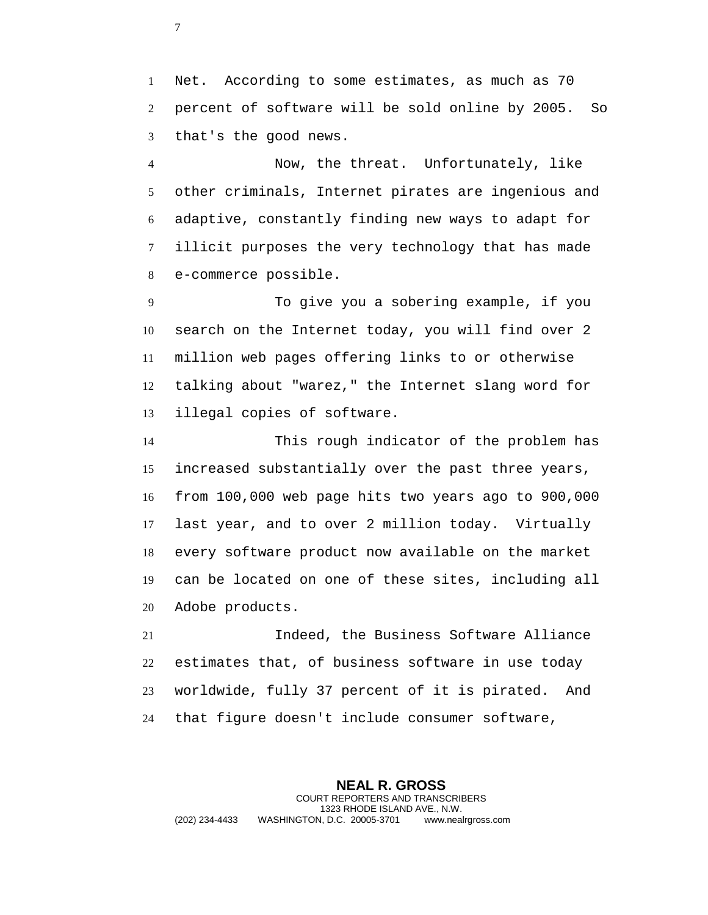Net. According to some estimates, as much as 70 percent of software will be sold online by 2005. So that's the good news.

 Now, the threat. Unfortunately, like other criminals, Internet pirates are ingenious and adaptive, constantly finding new ways to adapt for illicit purposes the very technology that has made e-commerce possible.

 To give you a sobering example, if you search on the Internet today, you will find over 2 million web pages offering links to or otherwise talking about "warez," the Internet slang word for illegal copies of software.

 This rough indicator of the problem has increased substantially over the past three years, from 100,000 web page hits two years ago to 900,000 last year, and to over 2 million today. Virtually every software product now available on the market can be located on one of these sites, including all Adobe products.

 Indeed, the Business Software Alliance estimates that, of business software in use today worldwide, fully 37 percent of it is pirated. And that figure doesn't include consumer software,

**NEAL R. GROSS** COURT REPORTERS AND TRANSCRIBERS 1323 RHODE ISLAND AVE., N.W. (202) 234-4433 WASHINGTON, D.C. 20005-3701 www.nealrgross.com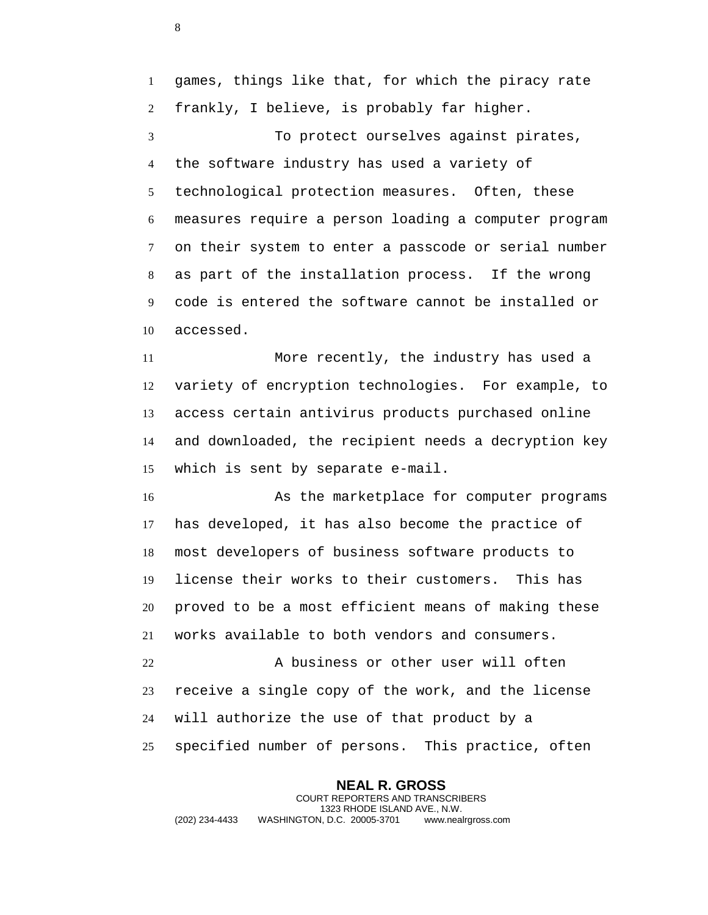games, things like that, for which the piracy rate frankly, I believe, is probably far higher.

 To protect ourselves against pirates, the software industry has used a variety of technological protection measures. Often, these measures require a person loading a computer program on their system to enter a passcode or serial number as part of the installation process. If the wrong code is entered the software cannot be installed or accessed.

 More recently, the industry has used a variety of encryption technologies. For example, to access certain antivirus products purchased online and downloaded, the recipient needs a decryption key which is sent by separate e-mail.

 As the marketplace for computer programs has developed, it has also become the practice of most developers of business software products to license their works to their customers. This has proved to be a most efficient means of making these works available to both vendors and consumers.

 A business or other user will often receive a single copy of the work, and the license will authorize the use of that product by a specified number of persons. This practice, often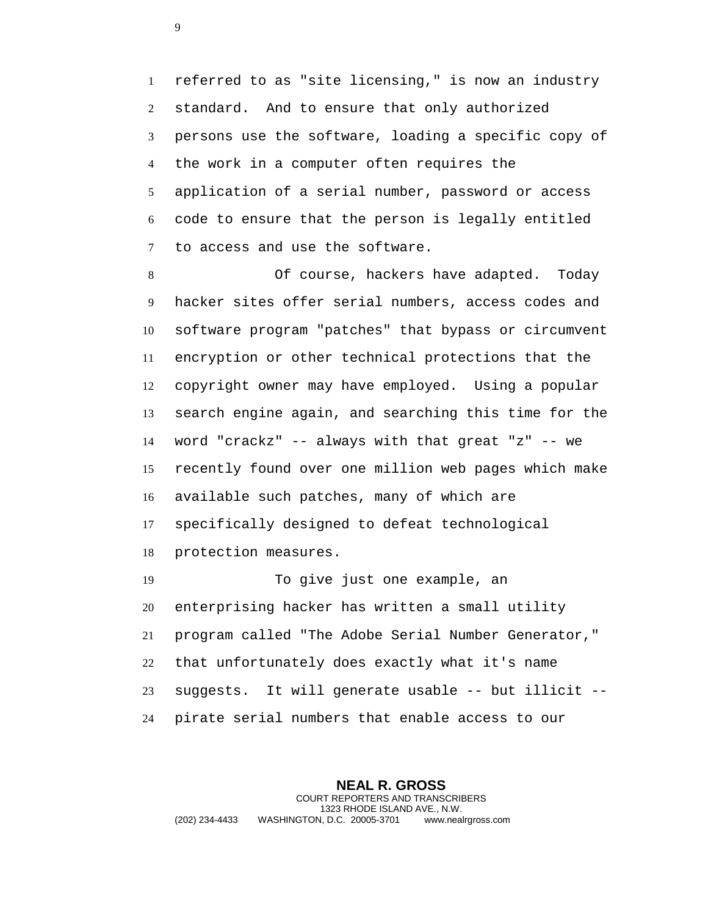referred to as "site licensing," is now an industry standard. And to ensure that only authorized persons use the software, loading a specific copy of the work in a computer often requires the application of a serial number, password or access code to ensure that the person is legally entitled to access and use the software.

 Of course, hackers have adapted. Today hacker sites offer serial numbers, access codes and software program "patches" that bypass or circumvent encryption or other technical protections that the copyright owner may have employed. Using a popular search engine again, and searching this time for the word "crackz" -- always with that great "z" -- we recently found over one million web pages which make available such patches, many of which are specifically designed to defeat technological protection measures.

 To give just one example, an enterprising hacker has written a small utility program called "The Adobe Serial Number Generator," that unfortunately does exactly what it's name suggests. It will generate usable -- but illicit -- pirate serial numbers that enable access to our

**NEAL R. GROSS** COURT REPORTERS AND TRANSCRIBERS 1323 RHODE ISLAND AVE., N.W. (202) 234-4433 WASHINGTON, D.C. 20005-3701 www.nealrgross.com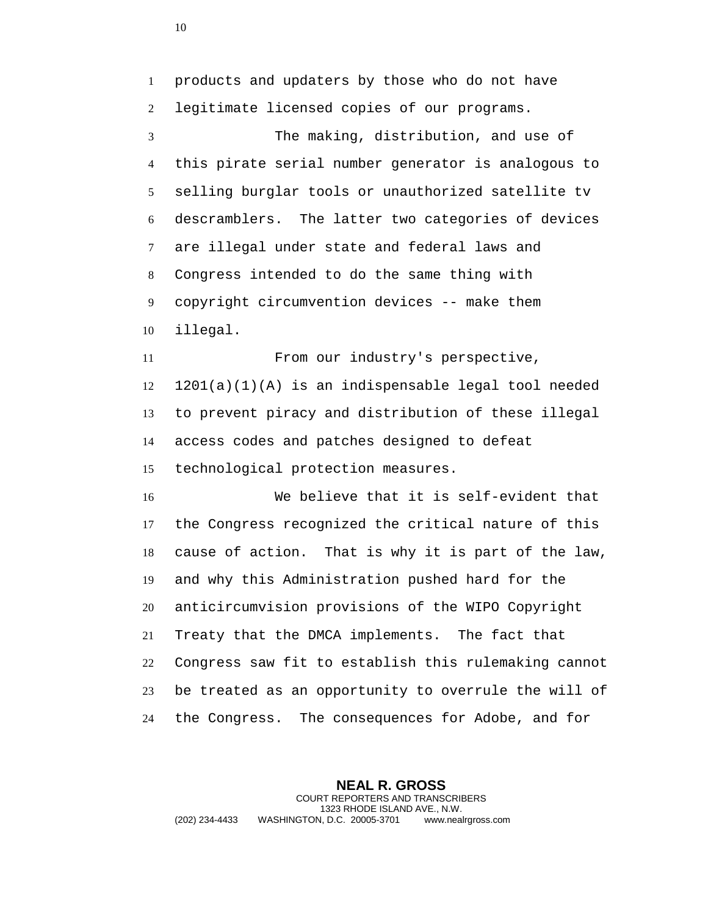products and updaters by those who do not have legitimate licensed copies of our programs. The making, distribution, and use of this pirate serial number generator is analogous to selling burglar tools or unauthorized satellite tv descramblers. The latter two categories of devices are illegal under state and federal laws and Congress intended to do the same thing with copyright circumvention devices -- make them illegal. From our industry's perspective, 1201(a)(1)(A) is an indispensable legal tool needed to prevent piracy and distribution of these illegal access codes and patches designed to defeat technological protection measures. We believe that it is self-evident that the Congress recognized the critical nature of this cause of action. That is why it is part of the law, and why this Administration pushed hard for the anticircumvision provisions of the WIPO Copyright Treaty that the DMCA implements. The fact that Congress saw fit to establish this rulemaking cannot be treated as an opportunity to overrule the will of the Congress. The consequences for Adobe, and for

**NEAL R. GROSS** COURT REPORTERS AND TRANSCRIBERS 1323 RHODE ISLAND AVE., N.W. (202) 234-4433 WASHINGTON, D.C. 20005-3701 www.nealrgross.com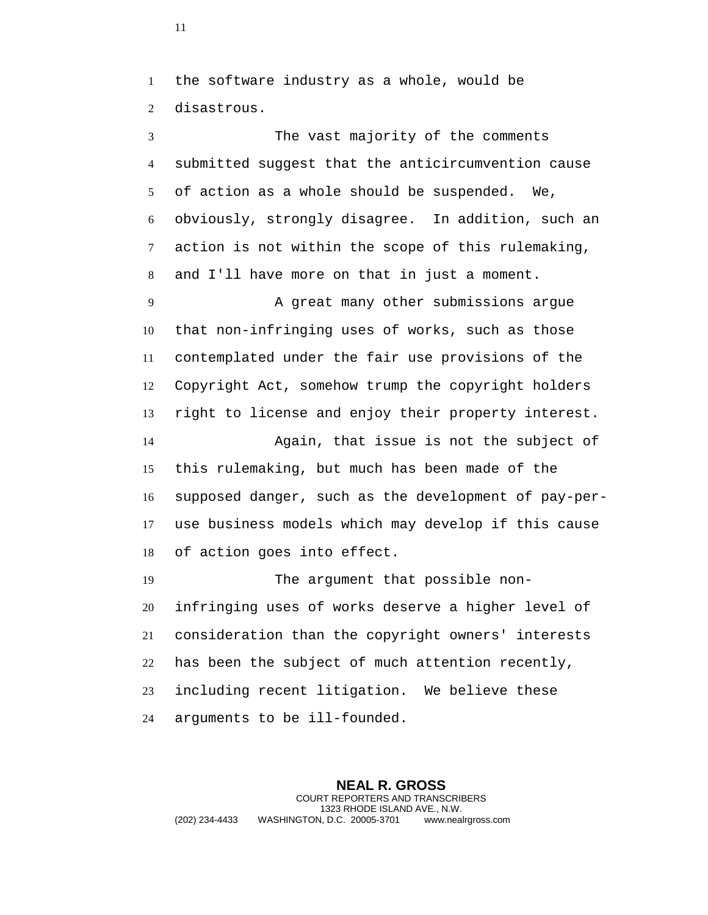the software industry as a whole, would be disastrous.

 The vast majority of the comments submitted suggest that the anticircumvention cause of action as a whole should be suspended. We, obviously, strongly disagree. In addition, such an action is not within the scope of this rulemaking, and I'll have more on that in just a moment. 9 A great many other submissions argue that non-infringing uses of works, such as those contemplated under the fair use provisions of the Copyright Act, somehow trump the copyright holders right to license and enjoy their property interest. Again, that issue is not the subject of this rulemaking, but much has been made of the supposed danger, such as the development of pay-per- use business models which may develop if this cause of action goes into effect. The argument that possible non- infringing uses of works deserve a higher level of consideration than the copyright owners' interests

has been the subject of much attention recently,

 including recent litigation. We believe these arguments to be ill-founded.

**NEAL R. GROSS** COURT REPORTERS AND TRANSCRIBERS 1323 RHODE ISLAND AVE., N.W. (202) 234-4433 WASHINGTON, D.C. 20005-3701 www.nealrgross.com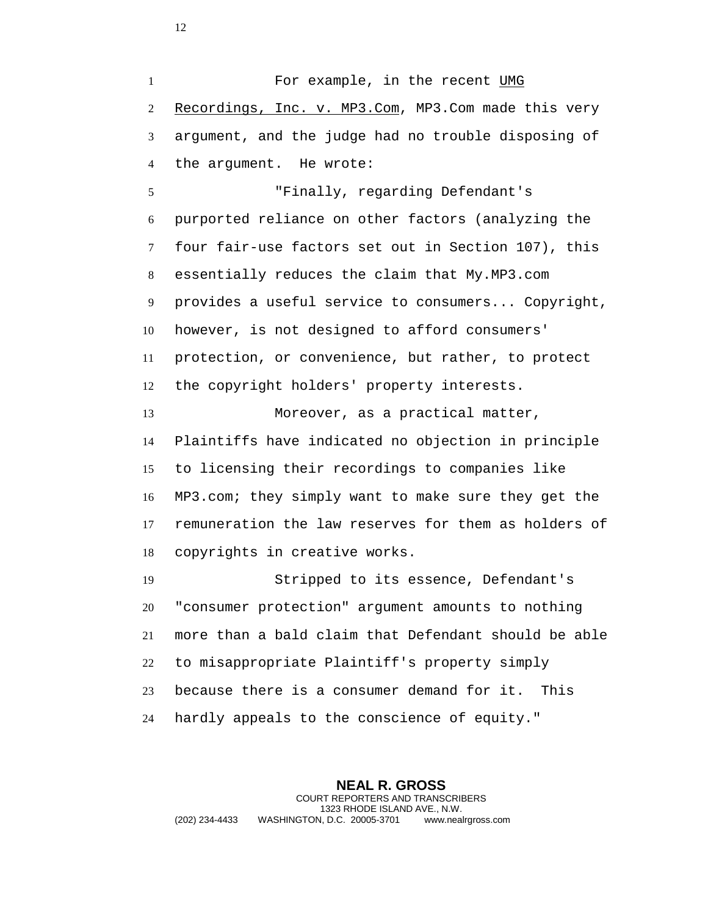1 For example, in the recent UMG 2 Recordings, Inc. v. MP3.Com, MP3.Com made this very argument, and the judge had no trouble disposing of the argument. He wrote:

 "Finally, regarding Defendant's purported reliance on other factors (analyzing the four fair-use factors set out in Section 107), this essentially reduces the claim that My.MP3.com provides a useful service to consumers... Copyright, however, is not designed to afford consumers' protection, or convenience, but rather, to protect the copyright holders' property interests.

 Moreover, as a practical matter, Plaintiffs have indicated no objection in principle to licensing their recordings to companies like MP3.com; they simply want to make sure they get the remuneration the law reserves for them as holders of copyrights in creative works.

 Stripped to its essence, Defendant's "consumer protection" argument amounts to nothing more than a bald claim that Defendant should be able to misappropriate Plaintiff's property simply because there is a consumer demand for it. This hardly appeals to the conscience of equity."

**NEAL R. GROSS** COURT REPORTERS AND TRANSCRIBERS 1323 RHODE ISLAND AVE., N.W. (202) 234-4433 WASHINGTON, D.C. 20005-3701 www.nealrgross.com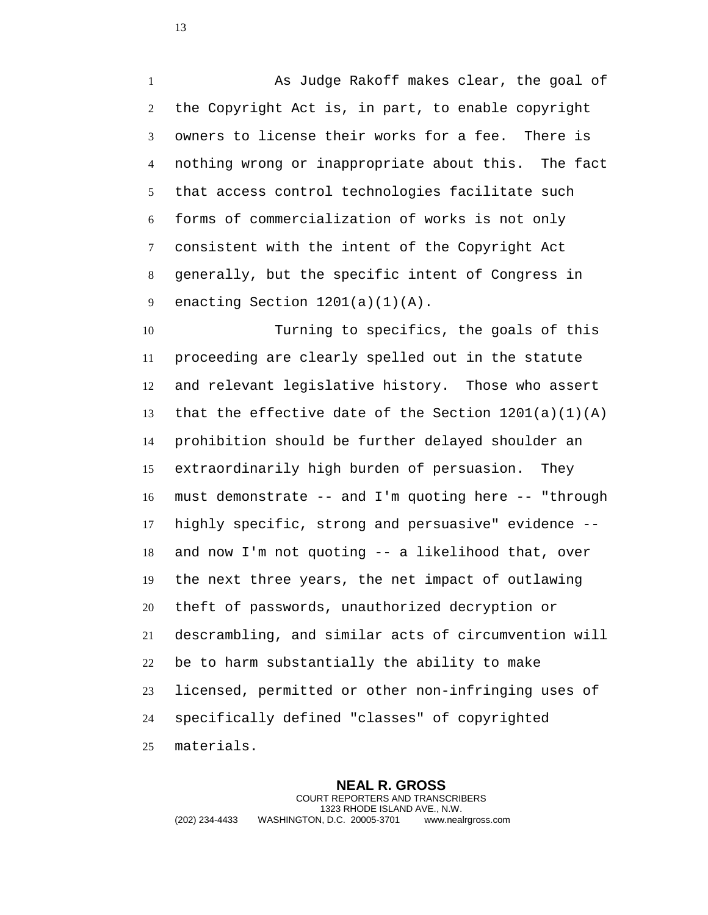As Judge Rakoff makes clear, the goal of the Copyright Act is, in part, to enable copyright owners to license their works for a fee. There is nothing wrong or inappropriate about this. The fact that access control technologies facilitate such forms of commercialization of works is not only consistent with the intent of the Copyright Act generally, but the specific intent of Congress in 9 enacting Section  $1201(a)(1)(A)$ .

 Turning to specifics, the goals of this proceeding are clearly spelled out in the statute and relevant legislative history. Those who assert that the effective date of the Section 1201(a)(1)(A) prohibition should be further delayed shoulder an extraordinarily high burden of persuasion. They must demonstrate -- and I'm quoting here -- "through highly specific, strong and persuasive" evidence -- and now I'm not quoting -- a likelihood that, over the next three years, the net impact of outlawing theft of passwords, unauthorized decryption or descrambling, and similar acts of circumvention will be to harm substantially the ability to make licensed, permitted or other non-infringing uses of specifically defined "classes" of copyrighted materials.

**NEAL R. GROSS** COURT REPORTERS AND TRANSCRIBERS 1323 RHODE ISLAND AVE., N.W. (202) 234-4433 WASHINGTON, D.C. 20005-3701 www.nealrgross.com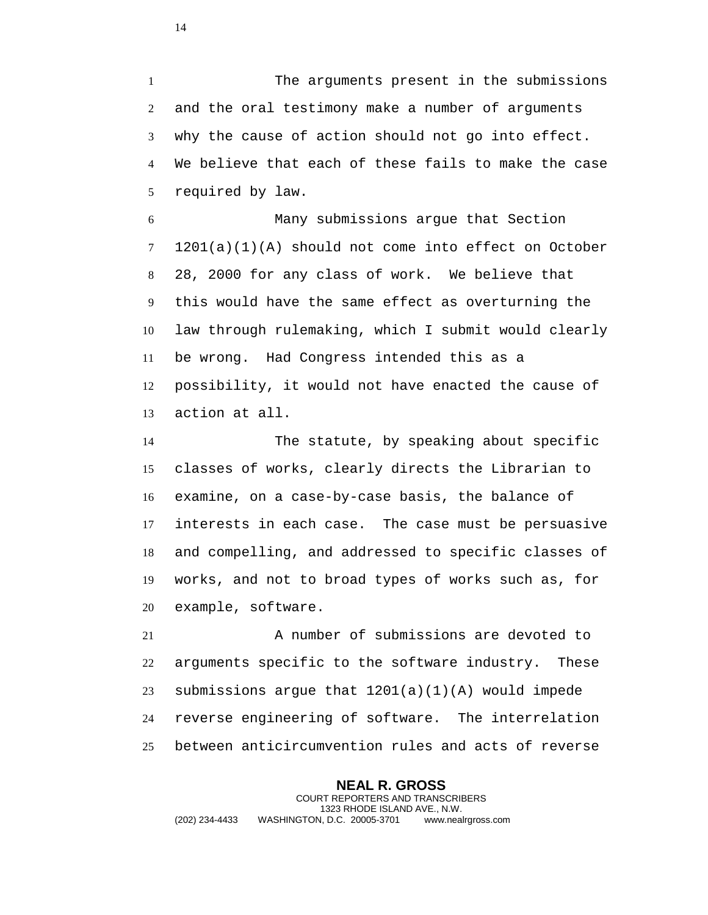The arguments present in the submissions and the oral testimony make a number of arguments why the cause of action should not go into effect. We believe that each of these fails to make the case required by law.

 Many submissions argue that Section 1201(a)(1)(A) should not come into effect on October 28, 2000 for any class of work. We believe that this would have the same effect as overturning the law through rulemaking, which I submit would clearly be wrong. Had Congress intended this as a possibility, it would not have enacted the cause of action at all.

 The statute, by speaking about specific classes of works, clearly directs the Librarian to examine, on a case-by-case basis, the balance of interests in each case. The case must be persuasive and compelling, and addressed to specific classes of works, and not to broad types of works such as, for example, software.

 A number of submissions are devoted to arguments specific to the software industry. These submissions argue that 1201(a)(1)(A) would impede reverse engineering of software. The interrelation between anticircumvention rules and acts of reverse

**NEAL R. GROSS** COURT REPORTERS AND TRANSCRIBERS 1323 RHODE ISLAND AVE., N.W. (202) 234-4433 WASHINGTON, D.C. 20005-3701 www.nealrgross.com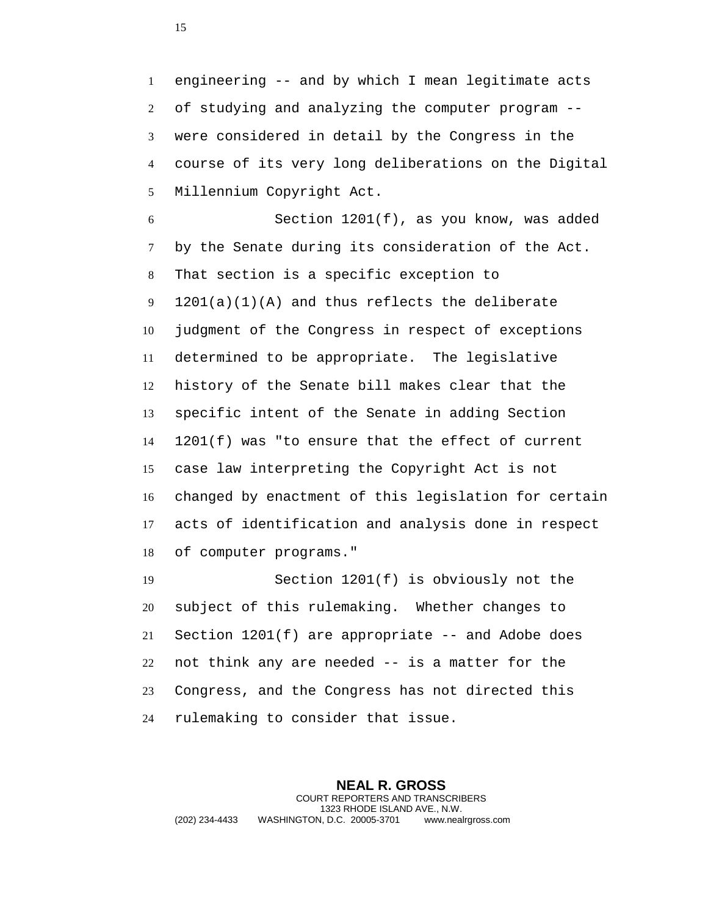engineering -- and by which I mean legitimate acts of studying and analyzing the computer program -- were considered in detail by the Congress in the course of its very long deliberations on the Digital Millennium Copyright Act.

 Section 1201(f), as you know, was added by the Senate during its consideration of the Act. That section is a specific exception to 1201(a)(1)(A) and thus reflects the deliberate judgment of the Congress in respect of exceptions determined to be appropriate. The legislative history of the Senate bill makes clear that the specific intent of the Senate in adding Section 1201(f) was "to ensure that the effect of current case law interpreting the Copyright Act is not changed by enactment of this legislation for certain acts of identification and analysis done in respect of computer programs."

 Section 1201(f) is obviously not the subject of this rulemaking. Whether changes to Section 1201(f) are appropriate -- and Adobe does not think any are needed -- is a matter for the Congress, and the Congress has not directed this rulemaking to consider that issue.

**NEAL R. GROSS** COURT REPORTERS AND TRANSCRIBERS 1323 RHODE ISLAND AVE., N.W. (202) 234-4433 WASHINGTON, D.C. 20005-3701 www.nealrgross.com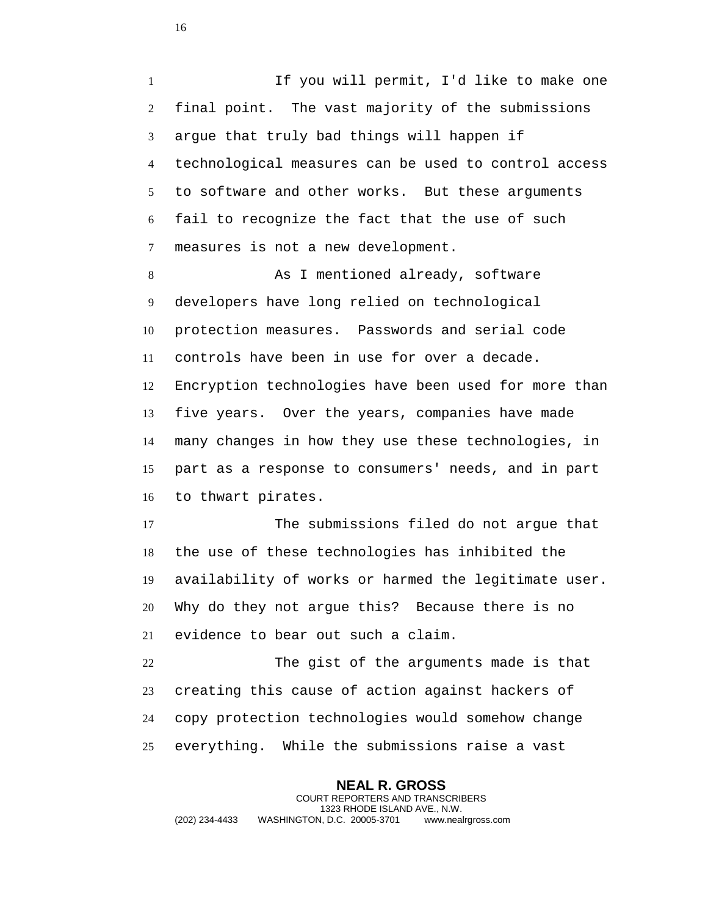If you will permit, I'd like to make one final point. The vast majority of the submissions argue that truly bad things will happen if technological measures can be used to control access to software and other works. But these arguments fail to recognize the fact that the use of such measures is not a new development.

8 As I mentioned already, software developers have long relied on technological protection measures. Passwords and serial code controls have been in use for over a decade. Encryption technologies have been used for more than five years. Over the years, companies have made many changes in how they use these technologies, in part as a response to consumers' needs, and in part to thwart pirates.

 The submissions filed do not argue that the use of these technologies has inhibited the availability of works or harmed the legitimate user. Why do they not argue this? Because there is no evidence to bear out such a claim.

 The gist of the arguments made is that creating this cause of action against hackers of copy protection technologies would somehow change everything. While the submissions raise a vast

**NEAL R. GROSS** COURT REPORTERS AND TRANSCRIBERS 1323 RHODE ISLAND AVE., N.W. (202) 234-4433 WASHINGTON, D.C. 20005-3701 www.nealrgross.com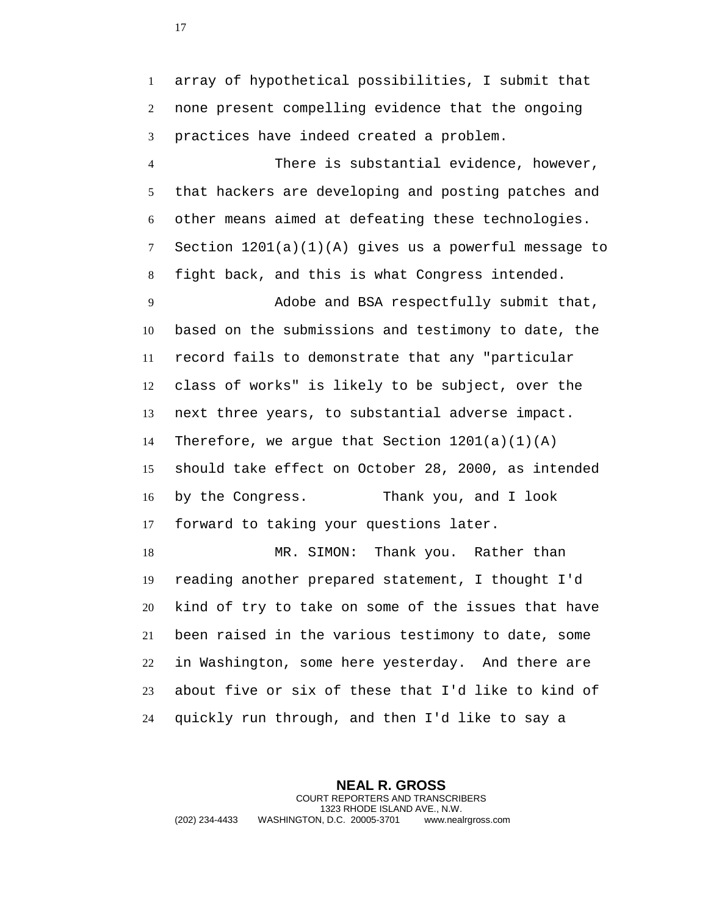array of hypothetical possibilities, I submit that none present compelling evidence that the ongoing practices have indeed created a problem.

 There is substantial evidence, however, that hackers are developing and posting patches and other means aimed at defeating these technologies. Section 1201(a)(1)(A) gives us a powerful message to fight back, and this is what Congress intended.

 Adobe and BSA respectfully submit that, based on the submissions and testimony to date, the record fails to demonstrate that any "particular class of works" is likely to be subject, over the next three years, to substantial adverse impact. 14 Therefore, we argue that Section  $1201(a)(1)(A)$  should take effect on October 28, 2000, as intended by the Congress. Thank you, and I look forward to taking your questions later. 18 MR. SIMON: Thank you. Rather than reading another prepared statement, I thought I'd kind of try to take on some of the issues that have

 been raised in the various testimony to date, some in Washington, some here yesterday. And there are about five or six of these that I'd like to kind of quickly run through, and then I'd like to say a

**NEAL R. GROSS** COURT REPORTERS AND TRANSCRIBERS 1323 RHODE ISLAND AVE., N.W. (202) 234-4433 WASHINGTON, D.C. 20005-3701 www.nealrgross.com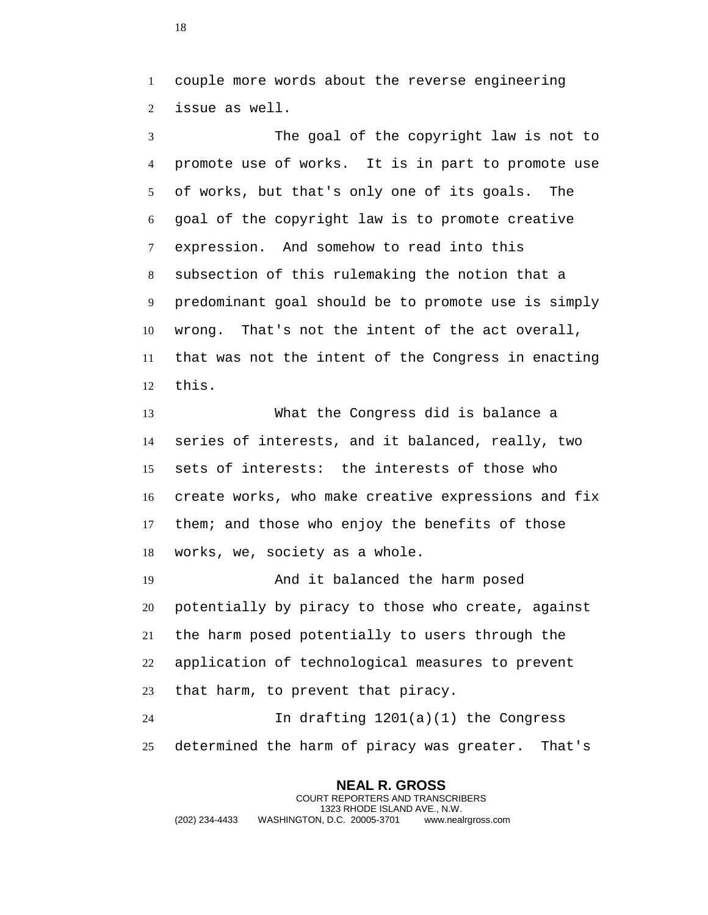couple more words about the reverse engineering issue as well.

 The goal of the copyright law is not to promote use of works. It is in part to promote use of works, but that's only one of its goals. The goal of the copyright law is to promote creative expression. And somehow to read into this subsection of this rulemaking the notion that a predominant goal should be to promote use is simply wrong. That's not the intent of the act overall, that was not the intent of the Congress in enacting this.

 What the Congress did is balance a series of interests, and it balanced, really, two sets of interests: the interests of those who create works, who make creative expressions and fix them; and those who enjoy the benefits of those works, we, society as a whole.

 And it balanced the harm posed potentially by piracy to those who create, against the harm posed potentially to users through the application of technological measures to prevent that harm, to prevent that piracy.

 In drafting 1201(a)(1) the Congress determined the harm of piracy was greater. That's

**NEAL R. GROSS** COURT REPORTERS AND TRANSCRIBERS 1323 RHODE ISLAND AVE., N.W. (202) 234-4433 WASHINGTON, D.C. 20005-3701 www.nealrgross.com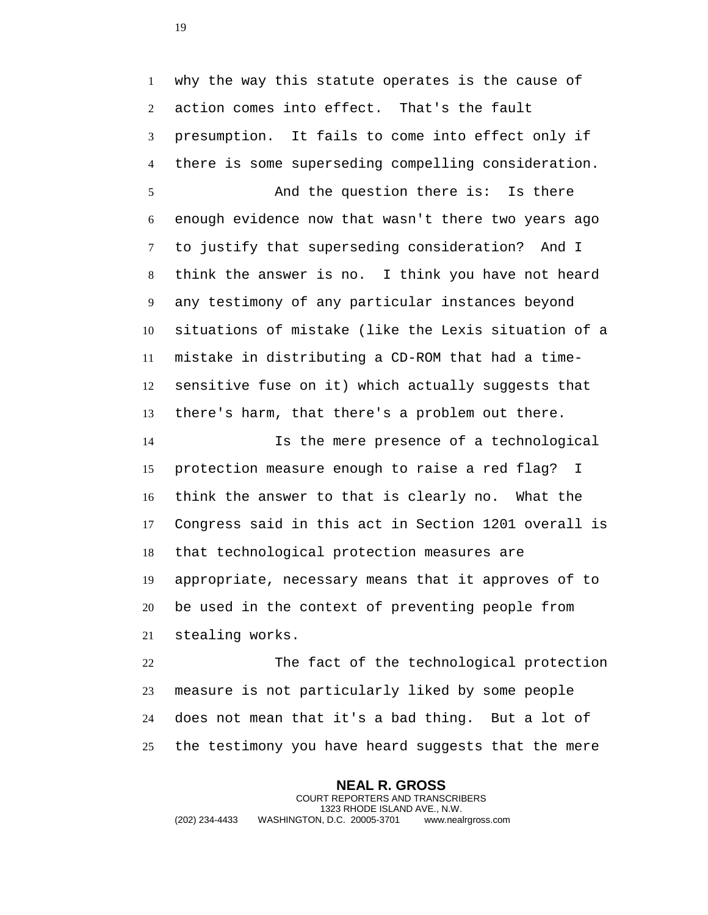why the way this statute operates is the cause of action comes into effect. That's the fault presumption. It fails to come into effect only if there is some superseding compelling consideration.

 And the question there is: Is there enough evidence now that wasn't there two years ago to justify that superseding consideration? And I think the answer is no. I think you have not heard any testimony of any particular instances beyond situations of mistake (like the Lexis situation of a mistake in distributing a CD-ROM that had a time- sensitive fuse on it) which actually suggests that there's harm, that there's a problem out there.

 Is the mere presence of a technological protection measure enough to raise a red flag? I think the answer to that is clearly no. What the Congress said in this act in Section 1201 overall is that technological protection measures are appropriate, necessary means that it approves of to be used in the context of preventing people from stealing works.

 The fact of the technological protection measure is not particularly liked by some people does not mean that it's a bad thing. But a lot of the testimony you have heard suggests that the mere

**NEAL R. GROSS** COURT REPORTERS AND TRANSCRIBERS 1323 RHODE ISLAND AVE., N.W. (202) 234-4433 WASHINGTON, D.C. 20005-3701 www.nealrgross.com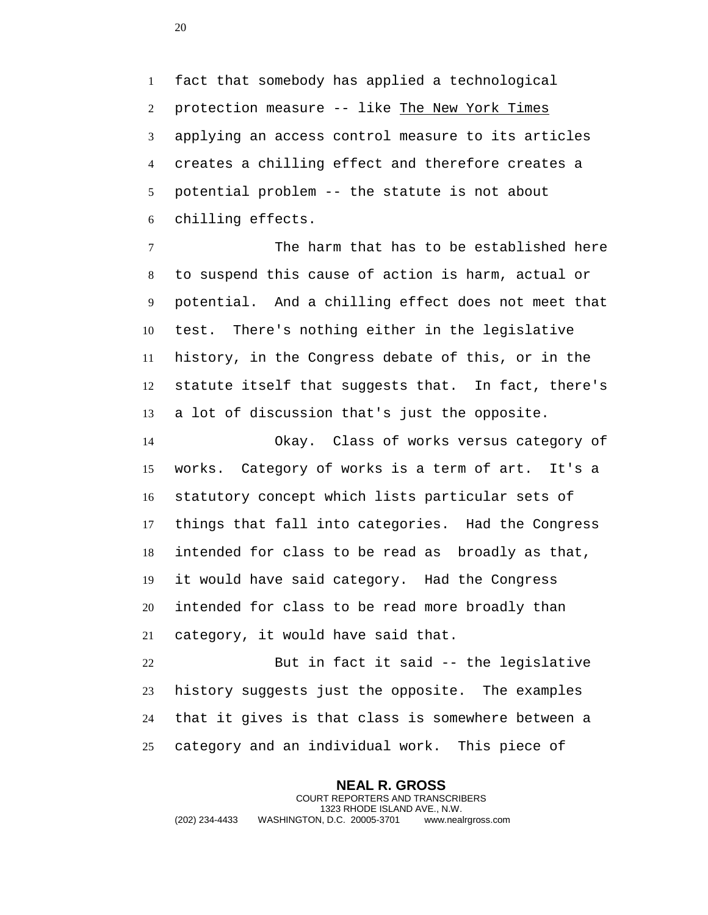fact that somebody has applied a technological protection measure -- like The New York Times applying an access control measure to its articles creates a chilling effect and therefore creates a potential problem -- the statute is not about chilling effects.

 The harm that has to be established here to suspend this cause of action is harm, actual or potential. And a chilling effect does not meet that test. There's nothing either in the legislative history, in the Congress debate of this, or in the statute itself that suggests that. In fact, there's a lot of discussion that's just the opposite.

 Okay. Class of works versus category of works. Category of works is a term of art. It's a statutory concept which lists particular sets of things that fall into categories. Had the Congress intended for class to be read as broadly as that, it would have said category. Had the Congress intended for class to be read more broadly than category, it would have said that.

 But in fact it said -- the legislative history suggests just the opposite. The examples that it gives is that class is somewhere between a category and an individual work. This piece of

**NEAL R. GROSS** COURT REPORTERS AND TRANSCRIBERS 1323 RHODE ISLAND AVE., N.W. (202) 234-4433 WASHINGTON, D.C. 20005-3701 www.nealrgross.com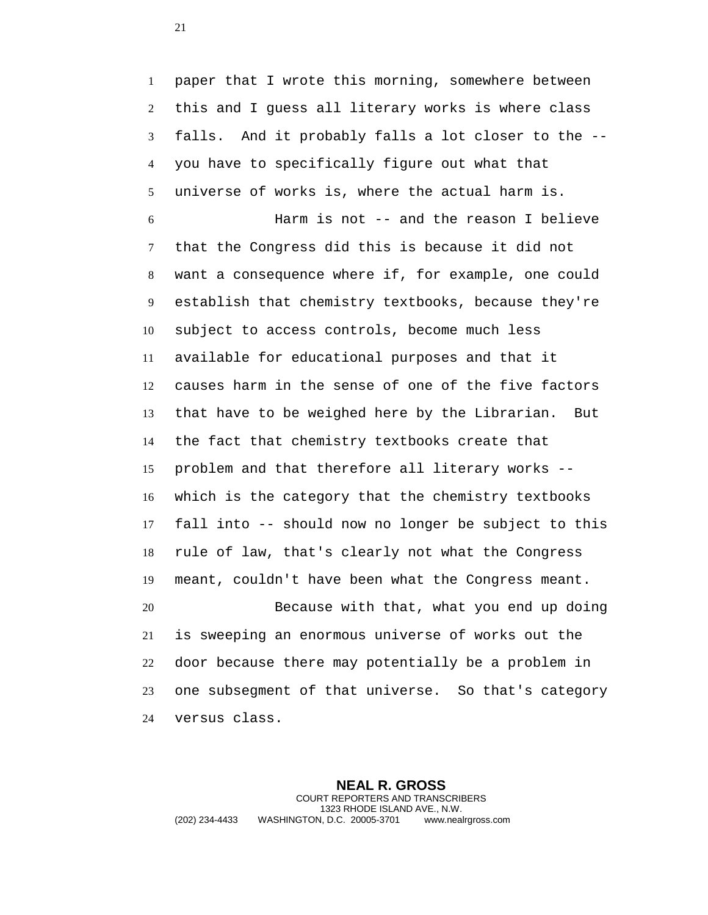paper that I wrote this morning, somewhere between this and I guess all literary works is where class falls. And it probably falls a lot closer to the -- you have to specifically figure out what that universe of works is, where the actual harm is.

 Harm is not -- and the reason I believe that the Congress did this is because it did not want a consequence where if, for example, one could establish that chemistry textbooks, because they're subject to access controls, become much less available for educational purposes and that it causes harm in the sense of one of the five factors that have to be weighed here by the Librarian. But the fact that chemistry textbooks create that problem and that therefore all literary works -- which is the category that the chemistry textbooks fall into -- should now no longer be subject to this rule of law, that's clearly not what the Congress meant, couldn't have been what the Congress meant.

 Because with that, what you end up doing is sweeping an enormous universe of works out the door because there may potentially be a problem in one subsegment of that universe. So that's category versus class.

**NEAL R. GROSS** COURT REPORTERS AND TRANSCRIBERS 1323 RHODE ISLAND AVE., N.W. (202) 234-4433 WASHINGTON, D.C. 20005-3701 www.nealrgross.com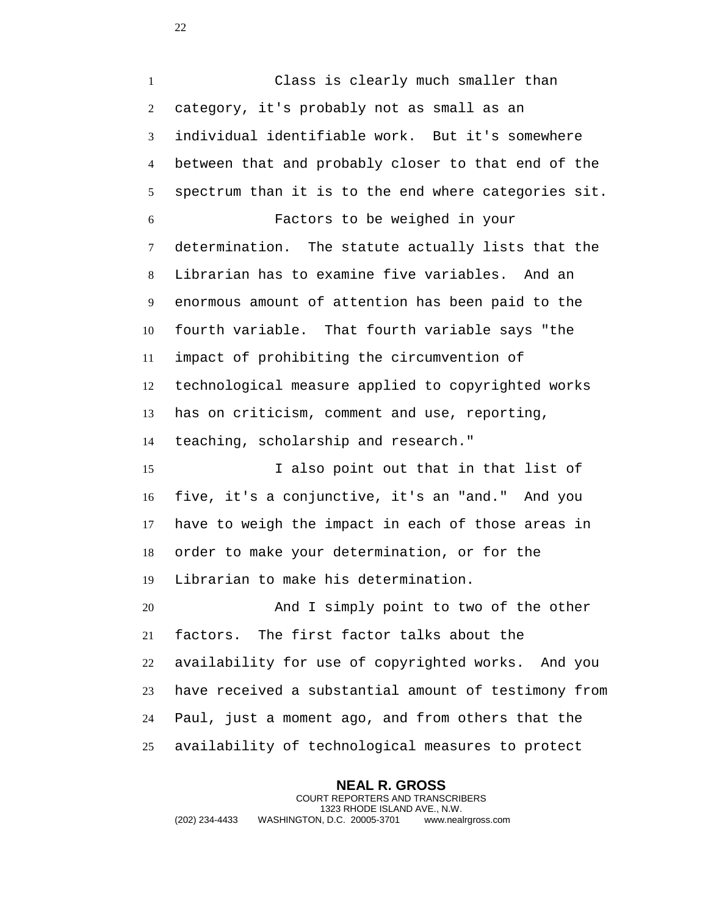Class is clearly much smaller than category, it's probably not as small as an individual identifiable work. But it's somewhere between that and probably closer to that end of the spectrum than it is to the end where categories sit. Factors to be weighed in your determination. The statute actually lists that the Librarian has to examine five variables. And an enormous amount of attention has been paid to the fourth variable. That fourth variable says "the impact of prohibiting the circumvention of technological measure applied to copyrighted works has on criticism, comment and use, reporting, teaching, scholarship and research." I also point out that in that list of five, it's a conjunctive, it's an "and." And you have to weigh the impact in each of those areas in order to make your determination, or for the Librarian to make his determination.

 And I simply point to two of the other factors. The first factor talks about the availability for use of copyrighted works. And you have received a substantial amount of testimony from Paul, just a moment ago, and from others that the availability of technological measures to protect

**NEAL R. GROSS** COURT REPORTERS AND TRANSCRIBERS 1323 RHODE ISLAND AVE., N.W. (202) 234-4433 WASHINGTON, D.C. 20005-3701 www.nealrgross.com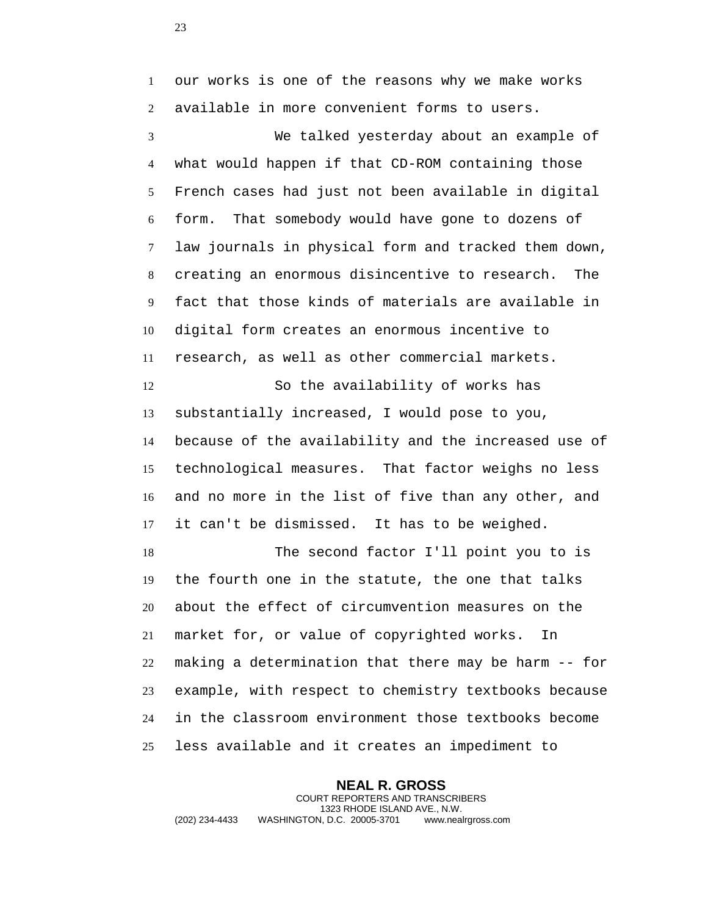our works is one of the reasons why we make works available in more convenient forms to users.

 We talked yesterday about an example of what would happen if that CD-ROM containing those French cases had just not been available in digital form. That somebody would have gone to dozens of law journals in physical form and tracked them down, creating an enormous disincentive to research. The fact that those kinds of materials are available in digital form creates an enormous incentive to research, as well as other commercial markets.

 So the availability of works has substantially increased, I would pose to you, because of the availability and the increased use of technological measures. That factor weighs no less and no more in the list of five than any other, and it can't be dismissed. It has to be weighed.

 The second factor I'll point you to is the fourth one in the statute, the one that talks about the effect of circumvention measures on the market for, or value of copyrighted works. In making a determination that there may be harm -- for example, with respect to chemistry textbooks because in the classroom environment those textbooks become less available and it creates an impediment to

**NEAL R. GROSS** COURT REPORTERS AND TRANSCRIBERS 1323 RHODE ISLAND AVE., N.W. (202) 234-4433 WASHINGTON, D.C. 20005-3701 www.nealrgross.com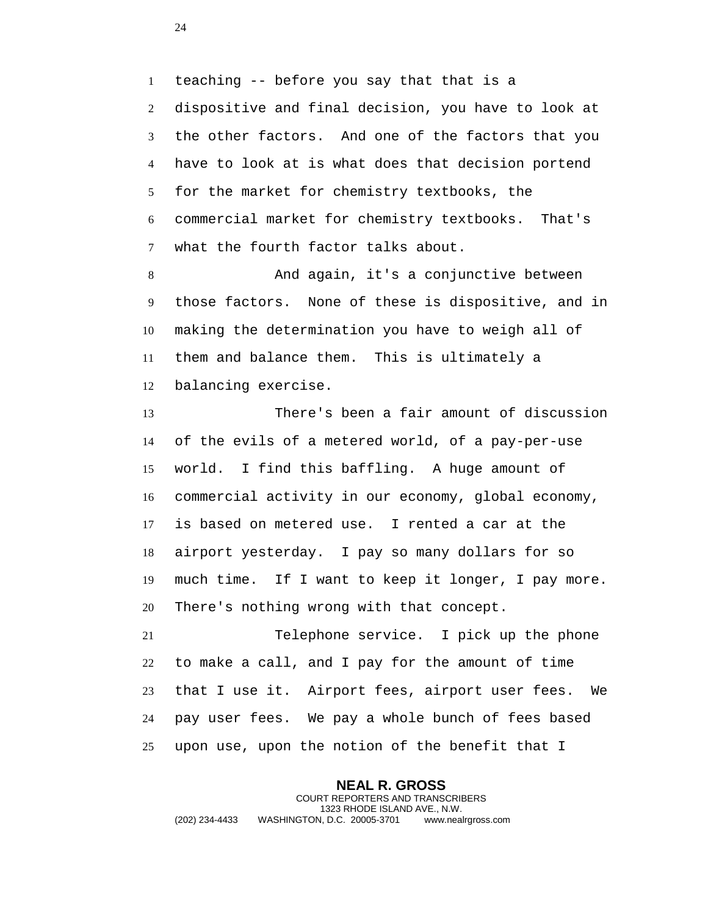teaching -- before you say that that is a dispositive and final decision, you have to look at the other factors. And one of the factors that you have to look at is what does that decision portend for the market for chemistry textbooks, the commercial market for chemistry textbooks. That's what the fourth factor talks about.

 And again, it's a conjunctive between those factors. None of these is dispositive, and in making the determination you have to weigh all of them and balance them. This is ultimately a balancing exercise.

 There's been a fair amount of discussion of the evils of a metered world, of a pay-per-use world. I find this baffling. A huge amount of commercial activity in our economy, global economy, is based on metered use. I rented a car at the airport yesterday. I pay so many dollars for so much time. If I want to keep it longer, I pay more. There's nothing wrong with that concept.

 Telephone service. I pick up the phone to make a call, and I pay for the amount of time that I use it. Airport fees, airport user fees. We pay user fees. We pay a whole bunch of fees based upon use, upon the notion of the benefit that I

**NEAL R. GROSS** COURT REPORTERS AND TRANSCRIBERS 1323 RHODE ISLAND AVE., N.W. (202) 234-4433 WASHINGTON, D.C. 20005-3701 www.nealrgross.com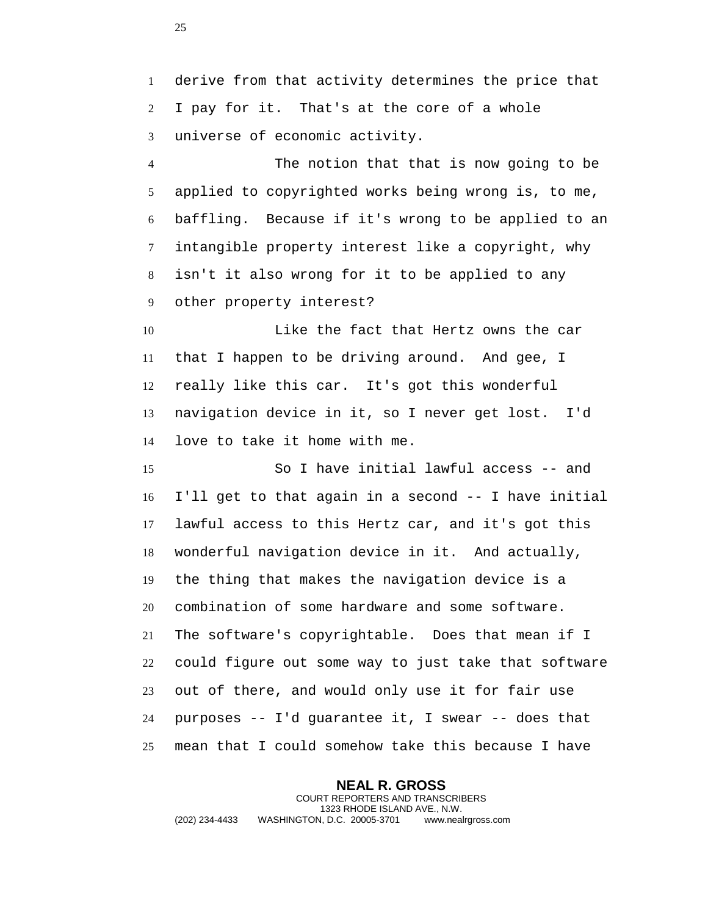derive from that activity determines the price that I pay for it. That's at the core of a whole universe of economic activity.

 The notion that that is now going to be applied to copyrighted works being wrong is, to me, baffling. Because if it's wrong to be applied to an intangible property interest like a copyright, why isn't it also wrong for it to be applied to any other property interest?

 Like the fact that Hertz owns the car that I happen to be driving around. And gee, I really like this car. It's got this wonderful navigation device in it, so I never get lost. I'd love to take it home with me.

 So I have initial lawful access -- and I'll get to that again in a second -- I have initial lawful access to this Hertz car, and it's got this wonderful navigation device in it. And actually, the thing that makes the navigation device is a combination of some hardware and some software. The software's copyrightable. Does that mean if I could figure out some way to just take that software out of there, and would only use it for fair use purposes -- I'd guarantee it, I swear -- does that mean that I could somehow take this because I have

**NEAL R. GROSS** COURT REPORTERS AND TRANSCRIBERS 1323 RHODE ISLAND AVE., N.W. (202) 234-4433 WASHINGTON, D.C. 20005-3701 www.nealrgross.com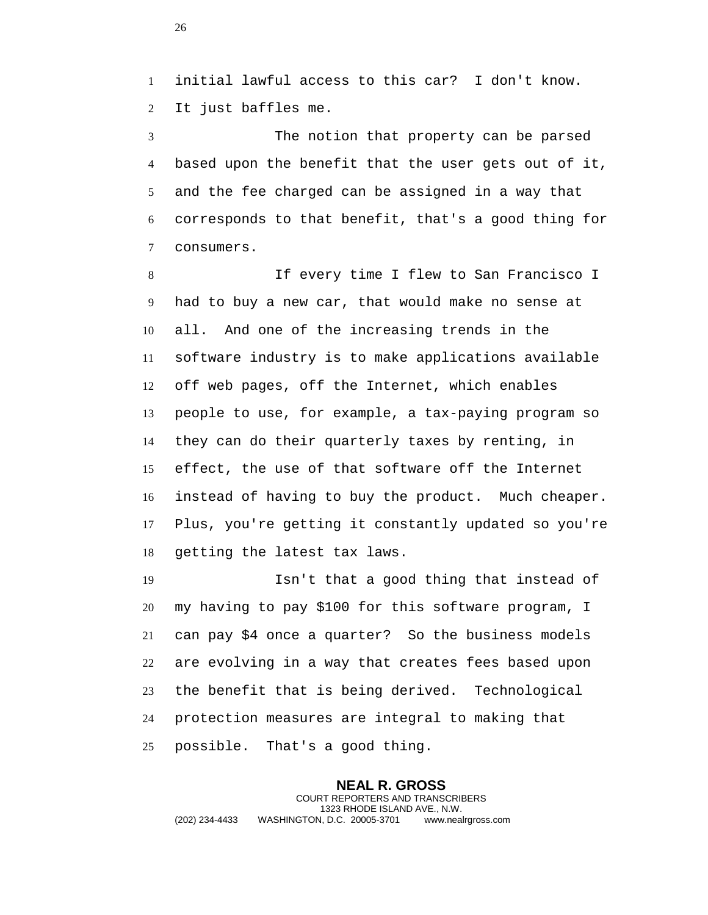initial lawful access to this car? I don't know. It just baffles me.

 The notion that property can be parsed based upon the benefit that the user gets out of it, and the fee charged can be assigned in a way that corresponds to that benefit, that's a good thing for consumers.

 If every time I flew to San Francisco I had to buy a new car, that would make no sense at all. And one of the increasing trends in the software industry is to make applications available off web pages, off the Internet, which enables people to use, for example, a tax-paying program so they can do their quarterly taxes by renting, in effect, the use of that software off the Internet instead of having to buy the product. Much cheaper. Plus, you're getting it constantly updated so you're getting the latest tax laws.

 Isn't that a good thing that instead of my having to pay \$100 for this software program, I can pay \$4 once a quarter? So the business models are evolving in a way that creates fees based upon the benefit that is being derived. Technological protection measures are integral to making that possible. That's a good thing.

**NEAL R. GROSS** COURT REPORTERS AND TRANSCRIBERS 1323 RHODE ISLAND AVE., N.W. (202) 234-4433 WASHINGTON, D.C. 20005-3701 www.nealrgross.com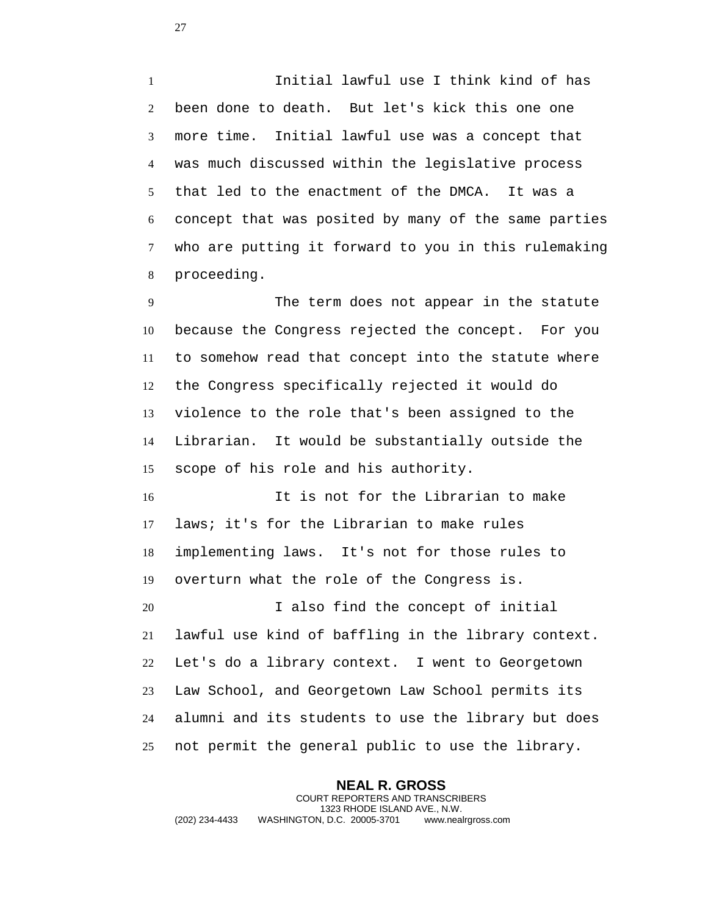Initial lawful use I think kind of has been done to death. But let's kick this one one more time. Initial lawful use was a concept that was much discussed within the legislative process that led to the enactment of the DMCA. It was a concept that was posited by many of the same parties who are putting it forward to you in this rulemaking proceeding.

 The term does not appear in the statute because the Congress rejected the concept. For you to somehow read that concept into the statute where the Congress specifically rejected it would do violence to the role that's been assigned to the Librarian. It would be substantially outside the scope of his role and his authority.

 It is not for the Librarian to make laws; it's for the Librarian to make rules implementing laws. It's not for those rules to overturn what the role of the Congress is.

 I also find the concept of initial lawful use kind of baffling in the library context. Let's do a library context. I went to Georgetown Law School, and Georgetown Law School permits its alumni and its students to use the library but does not permit the general public to use the library.

**NEAL R. GROSS** COURT REPORTERS AND TRANSCRIBERS 1323 RHODE ISLAND AVE., N.W. (202) 234-4433 WASHINGTON, D.C. 20005-3701 www.nealrgross.com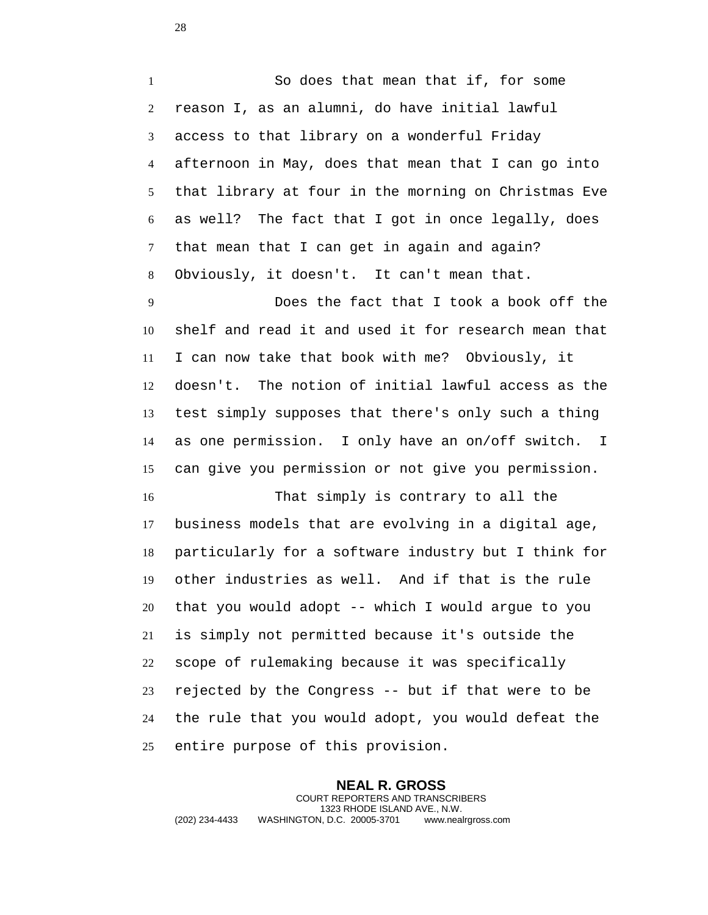So does that mean that if, for some reason I, as an alumni, do have initial lawful access to that library on a wonderful Friday afternoon in May, does that mean that I can go into that library at four in the morning on Christmas Eve as well? The fact that I got in once legally, does that mean that I can get in again and again? Obviously, it doesn't. It can't mean that.

 Does the fact that I took a book off the shelf and read it and used it for research mean that I can now take that book with me? Obviously, it doesn't. The notion of initial lawful access as the test simply supposes that there's only such a thing as one permission. I only have an on/off switch. I can give you permission or not give you permission.

 That simply is contrary to all the business models that are evolving in a digital age, particularly for a software industry but I think for other industries as well. And if that is the rule that you would adopt -- which I would argue to you is simply not permitted because it's outside the scope of rulemaking because it was specifically rejected by the Congress -- but if that were to be the rule that you would adopt, you would defeat the entire purpose of this provision.

**NEAL R. GROSS** COURT REPORTERS AND TRANSCRIBERS 1323 RHODE ISLAND AVE., N.W. (202) 234-4433 WASHINGTON, D.C. 20005-3701 www.nealrgross.com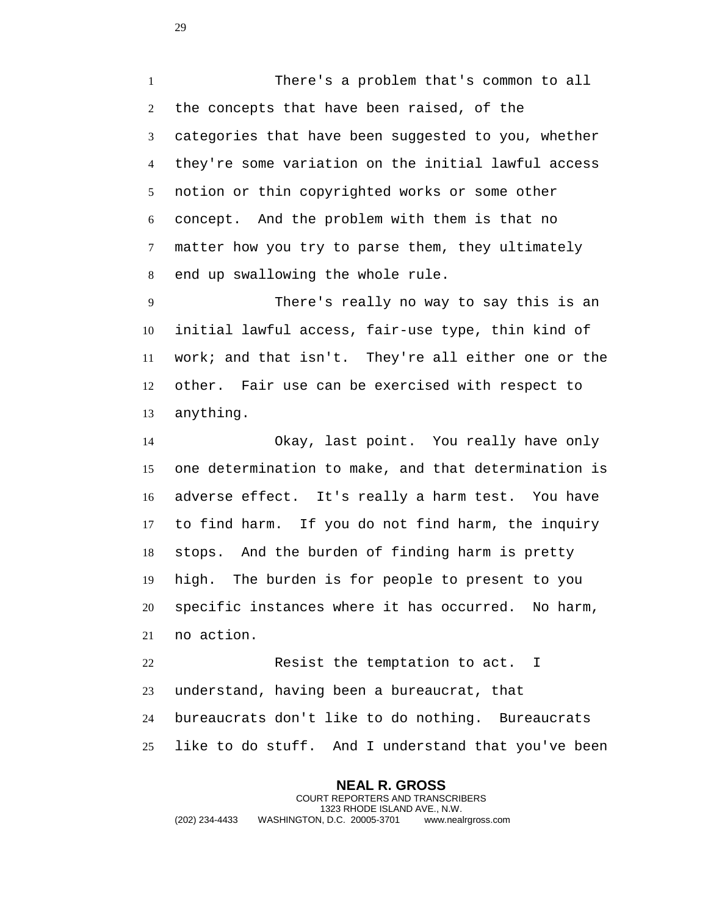There's a problem that's common to all the concepts that have been raised, of the categories that have been suggested to you, whether they're some variation on the initial lawful access notion or thin copyrighted works or some other concept. And the problem with them is that no matter how you try to parse them, they ultimately end up swallowing the whole rule.

 There's really no way to say this is an initial lawful access, fair-use type, thin kind of work; and that isn't. They're all either one or the other. Fair use can be exercised with respect to anything.

 Okay, last point. You really have only one determination to make, and that determination is adverse effect. It's really a harm test. You have to find harm. If you do not find harm, the inquiry stops. And the burden of finding harm is pretty high. The burden is for people to present to you specific instances where it has occurred. No harm, no action.

 Resist the temptation to act. I understand, having been a bureaucrat, that bureaucrats don't like to do nothing. Bureaucrats like to do stuff. And I understand that you've been

**NEAL R. GROSS** COURT REPORTERS AND TRANSCRIBERS 1323 RHODE ISLAND AVE., N.W. (202) 234-4433 WASHINGTON, D.C. 20005-3701 www.nealrgross.com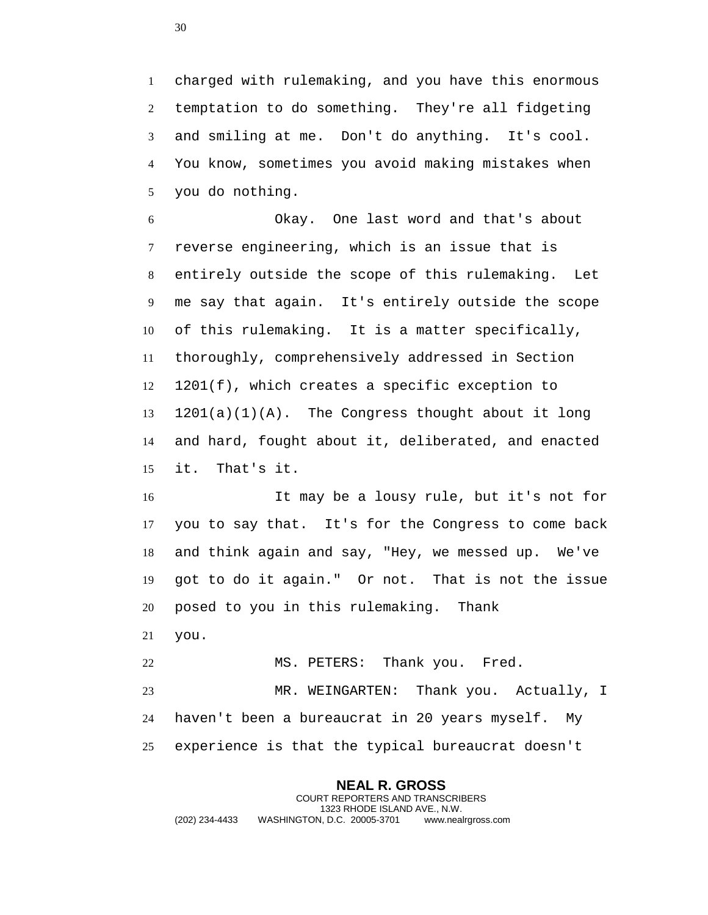charged with rulemaking, and you have this enormous temptation to do something. They're all fidgeting and smiling at me. Don't do anything. It's cool. You know, sometimes you avoid making mistakes when you do nothing.

 Okay. One last word and that's about reverse engineering, which is an issue that is entirely outside the scope of this rulemaking. Let me say that again. It's entirely outside the scope of this rulemaking. It is a matter specifically, thoroughly, comprehensively addressed in Section 1201(f), which creates a specific exception to 1201(a)(1)(A). The Congress thought about it long and hard, fought about it, deliberated, and enacted it. That's it.

 It may be a lousy rule, but it's not for you to say that. It's for the Congress to come back and think again and say, "Hey, we messed up. We've got to do it again." Or not. That is not the issue posed to you in this rulemaking. Thank you.

 MS. PETERS: Thank you. Fred. MR. WEINGARTEN: Thank you. Actually, I haven't been a bureaucrat in 20 years myself. My experience is that the typical bureaucrat doesn't

**NEAL R. GROSS** COURT REPORTERS AND TRANSCRIBERS 1323 RHODE ISLAND AVE., N.W. (202) 234-4433 WASHINGTON, D.C. 20005-3701 www.nealrgross.com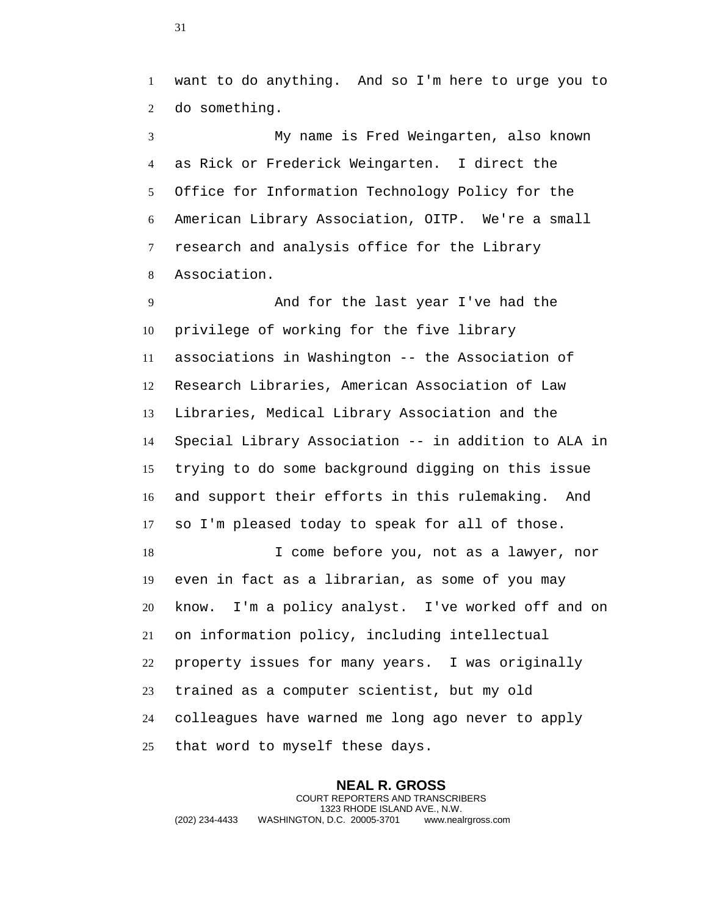want to do anything. And so I'm here to urge you to do something.

 My name is Fred Weingarten, also known as Rick or Frederick Weingarten. I direct the Office for Information Technology Policy for the American Library Association, OITP. We're a small research and analysis office for the Library Association.

 And for the last year I've had the privilege of working for the five library associations in Washington -- the Association of Research Libraries, American Association of Law Libraries, Medical Library Association and the Special Library Association -- in addition to ALA in trying to do some background digging on this issue and support their efforts in this rulemaking. And so I'm pleased today to speak for all of those. I come before you, not as a lawyer, nor

 even in fact as a librarian, as some of you may know. I'm a policy analyst. I've worked off and on on information policy, including intellectual property issues for many years. I was originally trained as a computer scientist, but my old colleagues have warned me long ago never to apply that word to myself these days.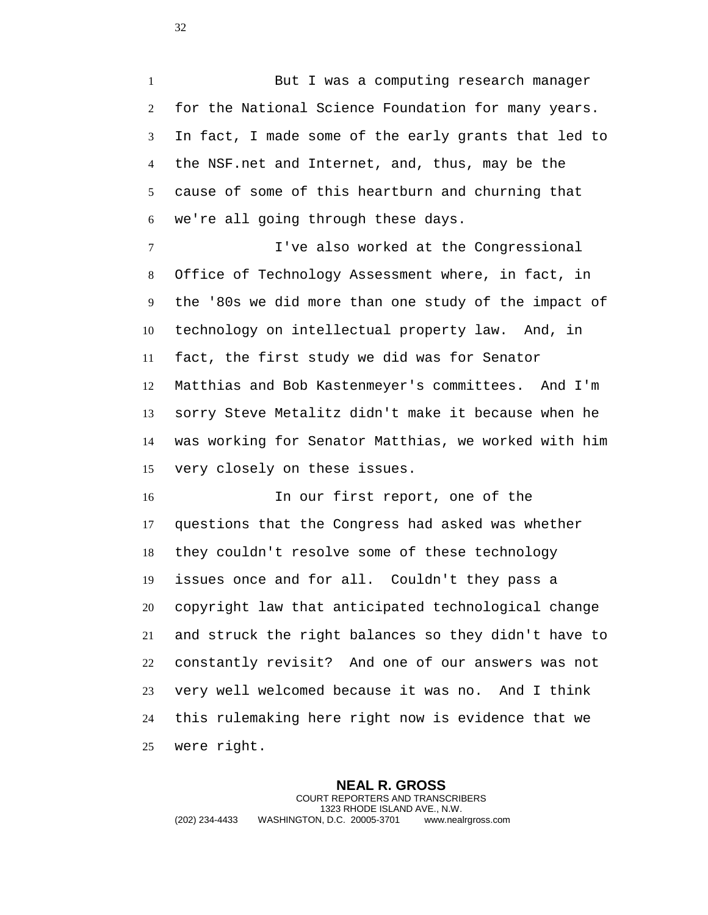1 But I was a computing research manager for the National Science Foundation for many years. In fact, I made some of the early grants that led to the NSF.net and Internet, and, thus, may be the cause of some of this heartburn and churning that we're all going through these days.

 I've also worked at the Congressional Office of Technology Assessment where, in fact, in the '80s we did more than one study of the impact of technology on intellectual property law. And, in fact, the first study we did was for Senator Matthias and Bob Kastenmeyer's committees. And I'm sorry Steve Metalitz didn't make it because when he was working for Senator Matthias, we worked with him very closely on these issues.

 In our first report, one of the questions that the Congress had asked was whether they couldn't resolve some of these technology issues once and for all. Couldn't they pass a copyright law that anticipated technological change and struck the right balances so they didn't have to constantly revisit? And one of our answers was not very well welcomed because it was no. And I think this rulemaking here right now is evidence that we were right.

**NEAL R. GROSS** COURT REPORTERS AND TRANSCRIBERS 1323 RHODE ISLAND AVE., N.W. (202) 234-4433 WASHINGTON, D.C. 20005-3701 www.nealrgross.com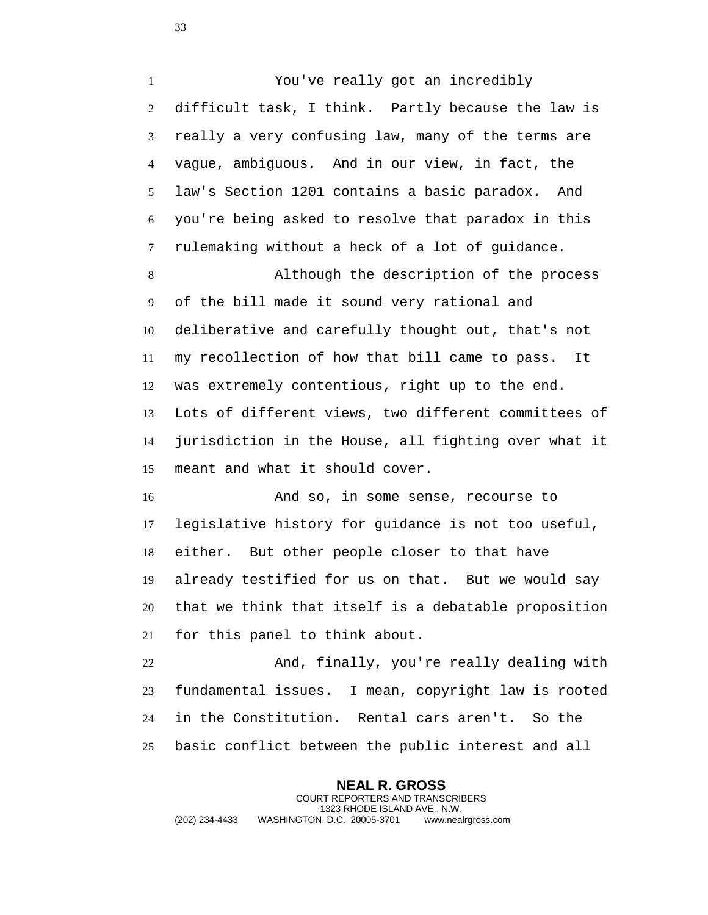You've really got an incredibly difficult task, I think. Partly because the law is really a very confusing law, many of the terms are vague, ambiguous. And in our view, in fact, the law's Section 1201 contains a basic paradox. And you're being asked to resolve that paradox in this rulemaking without a heck of a lot of guidance.

 Although the description of the process of the bill made it sound very rational and deliberative and carefully thought out, that's not my recollection of how that bill came to pass. It was extremely contentious, right up to the end. Lots of different views, two different committees of jurisdiction in the House, all fighting over what it meant and what it should cover.

 And so, in some sense, recourse to legislative history for guidance is not too useful, either. But other people closer to that have already testified for us on that. But we would say that we think that itself is a debatable proposition for this panel to think about.

 And, finally, you're really dealing with fundamental issues. I mean, copyright law is rooted in the Constitution. Rental cars aren't. So the basic conflict between the public interest and all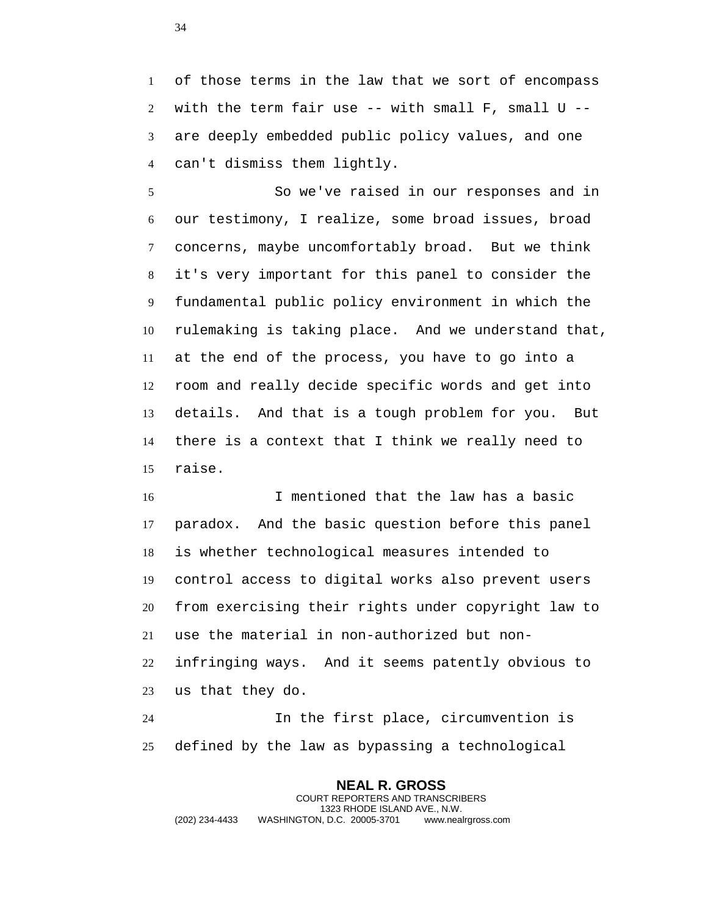of those terms in the law that we sort of encompass 2 with the term fair use  $--$  with small  $F$ , small  $U$   $--$  are deeply embedded public policy values, and one can't dismiss them lightly.

 So we've raised in our responses and in our testimony, I realize, some broad issues, broad concerns, maybe uncomfortably broad. But we think it's very important for this panel to consider the fundamental public policy environment in which the rulemaking is taking place. And we understand that, at the end of the process, you have to go into a room and really decide specific words and get into details. And that is a tough problem for you. But there is a context that I think we really need to raise.

 I mentioned that the law has a basic paradox. And the basic question before this panel is whether technological measures intended to control access to digital works also prevent users from exercising their rights under copyright law to use the material in non-authorized but non- infringing ways. And it seems patently obvious to us that they do.

 In the first place, circumvention is defined by the law as bypassing a technological

**NEAL R. GROSS** COURT REPORTERS AND TRANSCRIBERS 1323 RHODE ISLAND AVE., N.W. (202) 234-4433 WASHINGTON, D.C. 20005-3701 www.nealrgross.com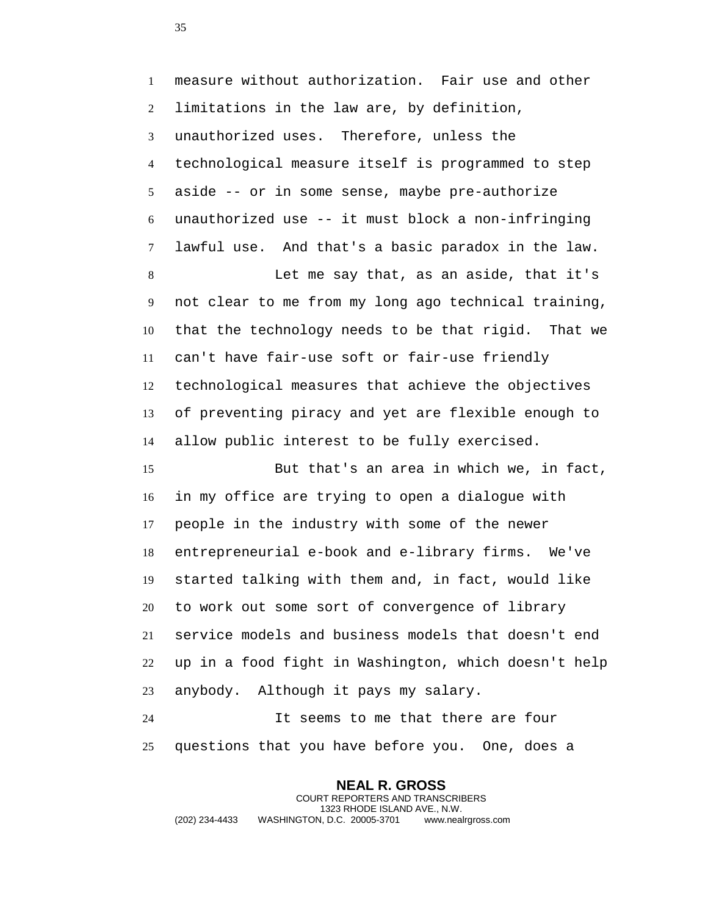measure without authorization. Fair use and other limitations in the law are, by definition, unauthorized uses. Therefore, unless the technological measure itself is programmed to step aside -- or in some sense, maybe pre-authorize unauthorized use -- it must block a non-infringing lawful use. And that's a basic paradox in the law. Let me say that, as an aside, that it's not clear to me from my long ago technical training, that the technology needs to be that rigid. That we can't have fair-use soft or fair-use friendly technological measures that achieve the objectives of preventing piracy and yet are flexible enough to allow public interest to be fully exercised.

 But that's an area in which we, in fact, in my office are trying to open a dialogue with people in the industry with some of the newer entrepreneurial e-book and e-library firms. We've started talking with them and, in fact, would like to work out some sort of convergence of library service models and business models that doesn't end up in a food fight in Washington, which doesn't help anybody. Although it pays my salary.

 It seems to me that there are four questions that you have before you. One, does a

> **NEAL R. GROSS** COURT REPORTERS AND TRANSCRIBERS 1323 RHODE ISLAND AVE., N.W.

(202) 234-4433 WASHINGTON, D.C. 20005-3701 www.nealrgross.com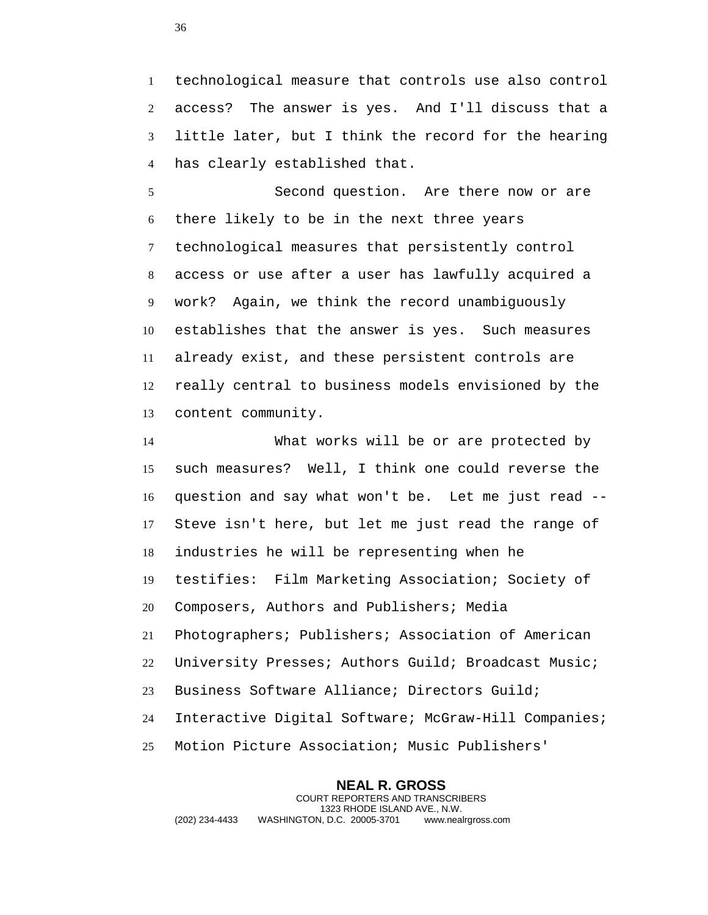technological measure that controls use also control access? The answer is yes. And I'll discuss that a little later, but I think the record for the hearing has clearly established that.

 Second question. Are there now or are there likely to be in the next three years technological measures that persistently control access or use after a user has lawfully acquired a work? Again, we think the record unambiguously establishes that the answer is yes. Such measures already exist, and these persistent controls are really central to business models envisioned by the content community.

 What works will be or are protected by such measures? Well, I think one could reverse the question and say what won't be. Let me just read -- Steve isn't here, but let me just read the range of industries he will be representing when he testifies: Film Marketing Association; Society of Composers, Authors and Publishers; Media Photographers; Publishers; Association of American University Presses; Authors Guild; Broadcast Music; Business Software Alliance; Directors Guild; Interactive Digital Software; McGraw-Hill Companies; Motion Picture Association; Music Publishers'

**NEAL R. GROSS** COURT REPORTERS AND TRANSCRIBERS 1323 RHODE ISLAND AVE., N.W. (202) 234-4433 WASHINGTON, D.C. 20005-3701 www.nealrgross.com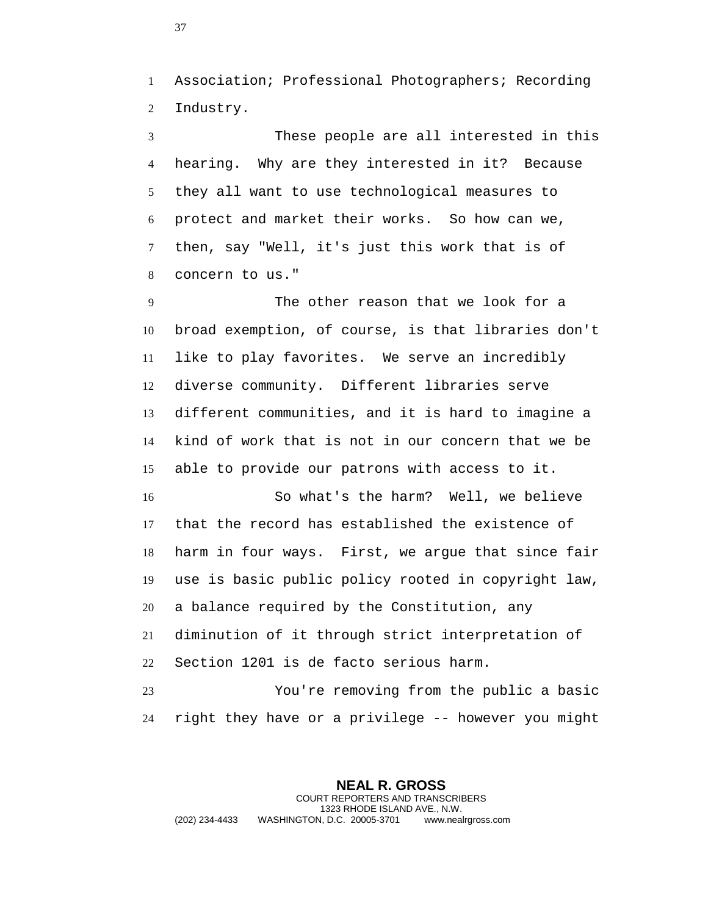Association; Professional Photographers; Recording Industry.

 These people are all interested in this hearing. Why are they interested in it? Because they all want to use technological measures to protect and market their works. So how can we, then, say "Well, it's just this work that is of concern to us."

 The other reason that we look for a broad exemption, of course, is that libraries don't like to play favorites. We serve an incredibly diverse community. Different libraries serve different communities, and it is hard to imagine a kind of work that is not in our concern that we be able to provide our patrons with access to it.

 So what's the harm? Well, we believe that the record has established the existence of harm in four ways. First, we argue that since fair use is basic public policy rooted in copyright law, a balance required by the Constitution, any diminution of it through strict interpretation of Section 1201 is de facto serious harm.

 You're removing from the public a basic right they have or a privilege -- however you might

**NEAL R. GROSS** COURT REPORTERS AND TRANSCRIBERS 1323 RHODE ISLAND AVE., N.W. (202) 234-4433 WASHINGTON, D.C. 20005-3701 www.nealrgross.com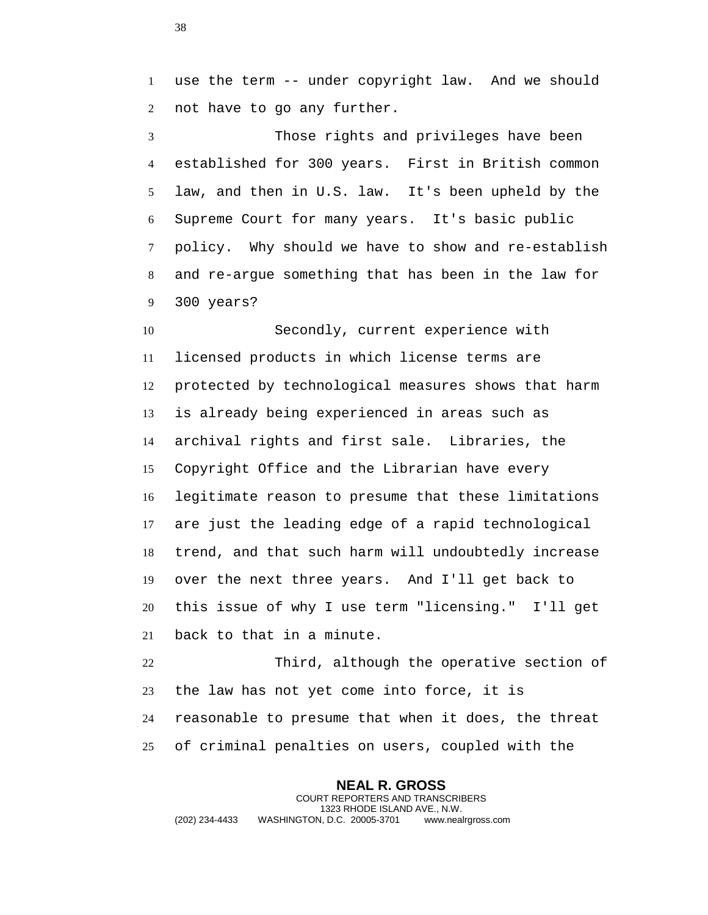use the term -- under copyright law. And we should not have to go any further.

 Those rights and privileges have been established for 300 years. First in British common law, and then in U.S. law. It's been upheld by the Supreme Court for many years. It's basic public policy. Why should we have to show and re-establish and re-argue something that has been in the law for 300 years?

 Secondly, current experience with licensed products in which license terms are protected by technological measures shows that harm is already being experienced in areas such as archival rights and first sale. Libraries, the Copyright Office and the Librarian have every legitimate reason to presume that these limitations are just the leading edge of a rapid technological trend, and that such harm will undoubtedly increase over the next three years. And I'll get back to this issue of why I use term "licensing." I'll get back to that in a minute.

 Third, although the operative section of the law has not yet come into force, it is reasonable to presume that when it does, the threat of criminal penalties on users, coupled with the

**NEAL R. GROSS** COURT REPORTERS AND TRANSCRIBERS 1323 RHODE ISLAND AVE., N.W. (202) 234-4433 WASHINGTON, D.C. 20005-3701 www.nealrgross.com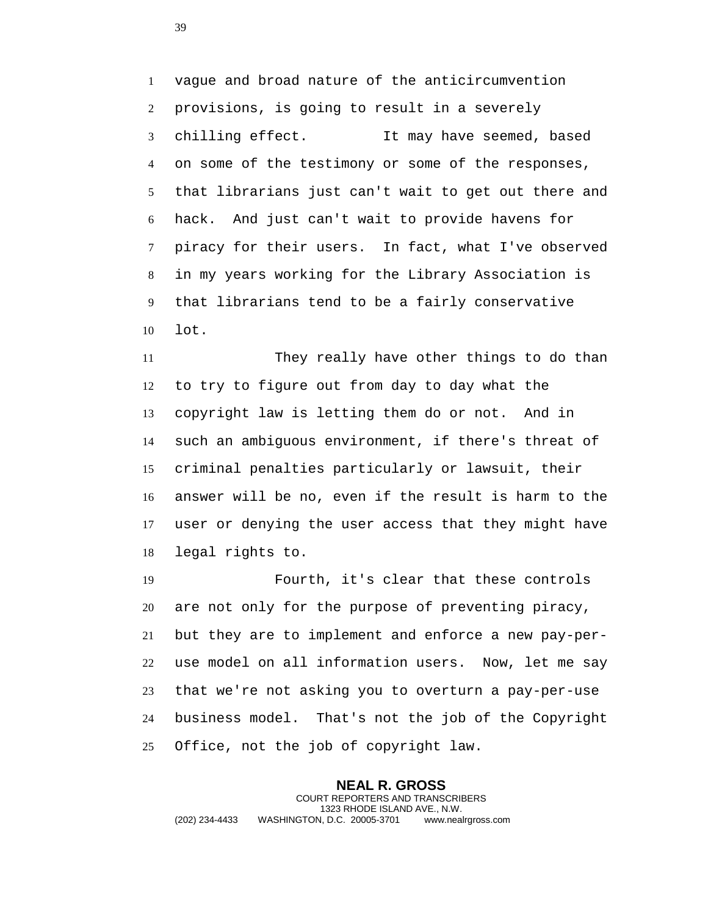vague and broad nature of the anticircumvention provisions, is going to result in a severely chilling effect. It may have seemed, based on some of the testimony or some of the responses, that librarians just can't wait to get out there and hack. And just can't wait to provide havens for piracy for their users. In fact, what I've observed in my years working for the Library Association is that librarians tend to be a fairly conservative lot.

 They really have other things to do than to try to figure out from day to day what the copyright law is letting them do or not. And in such an ambiguous environment, if there's threat of criminal penalties particularly or lawsuit, their answer will be no, even if the result is harm to the user or denying the user access that they might have legal rights to.

 Fourth, it's clear that these controls are not only for the purpose of preventing piracy, but they are to implement and enforce a new pay-per- use model on all information users. Now, let me say that we're not asking you to overturn a pay-per-use business model. That's not the job of the Copyright Office, not the job of copyright law.

**NEAL R. GROSS** COURT REPORTERS AND TRANSCRIBERS 1323 RHODE ISLAND AVE., N.W. (202) 234-4433 WASHINGTON, D.C. 20005-3701 www.nealrgross.com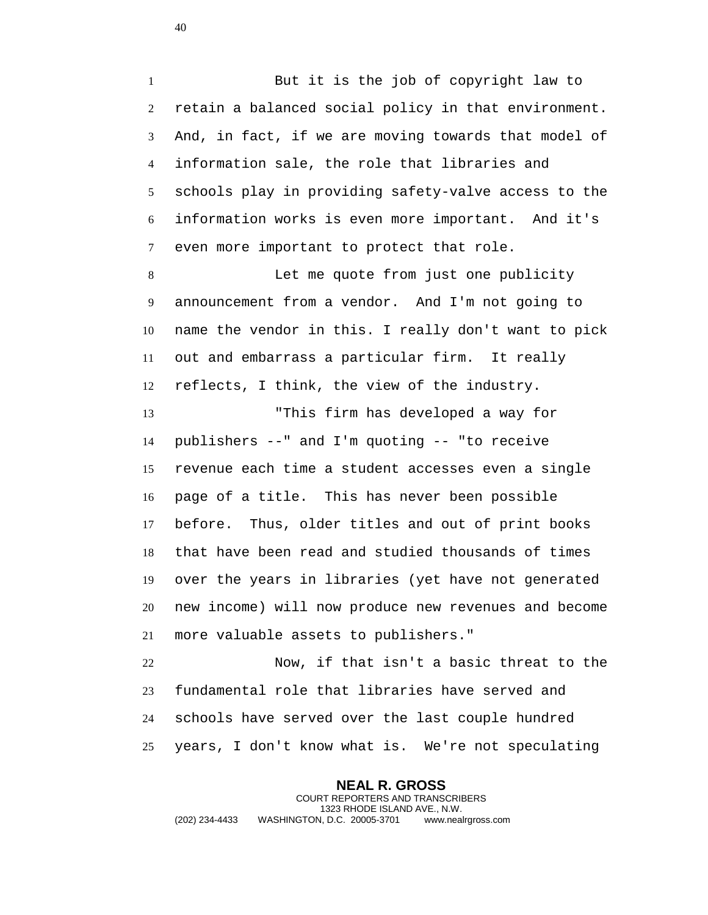But it is the job of copyright law to retain a balanced social policy in that environment. And, in fact, if we are moving towards that model of information sale, the role that libraries and schools play in providing safety-valve access to the information works is even more important. And it's even more important to protect that role.

 Let me quote from just one publicity announcement from a vendor. And I'm not going to name the vendor in this. I really don't want to pick out and embarrass a particular firm. It really reflects, I think, the view of the industry.

 "This firm has developed a way for publishers --" and I'm quoting -- "to receive revenue each time a student accesses even a single page of a title. This has never been possible before. Thus, older titles and out of print books that have been read and studied thousands of times over the years in libraries (yet have not generated new income) will now produce new revenues and become more valuable assets to publishers."

 Now, if that isn't a basic threat to the fundamental role that libraries have served and schools have served over the last couple hundred years, I don't know what is. We're not speculating

**NEAL R. GROSS** COURT REPORTERS AND TRANSCRIBERS 1323 RHODE ISLAND AVE., N.W. (202) 234-4433 WASHINGTON, D.C. 20005-3701 www.nealrgross.com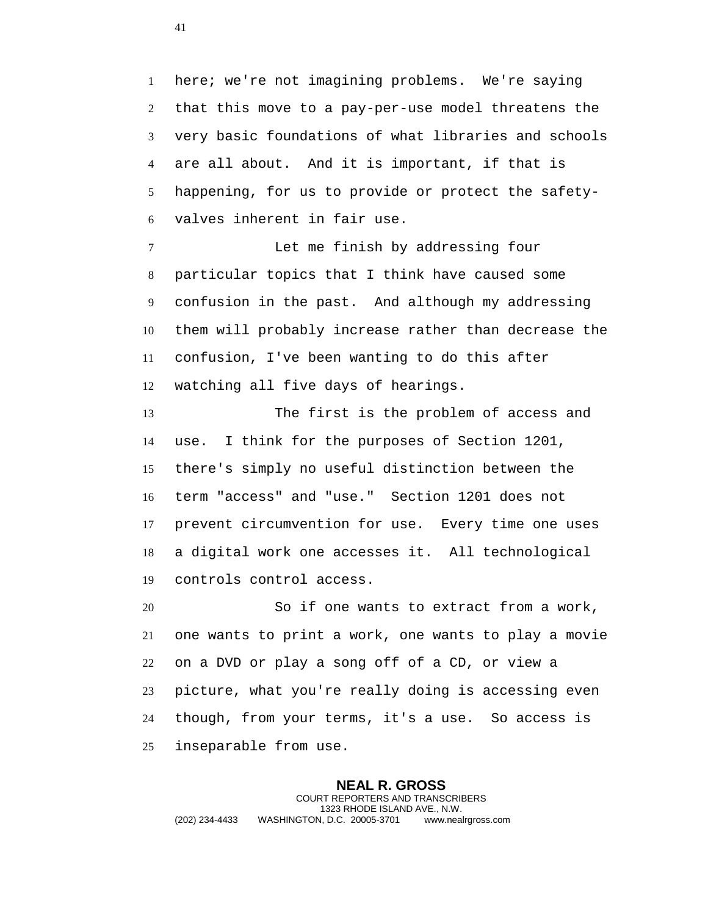here; we're not imagining problems. We're saying that this move to a pay-per-use model threatens the very basic foundations of what libraries and schools are all about. And it is important, if that is happening, for us to provide or protect the safety-valves inherent in fair use.

 Let me finish by addressing four particular topics that I think have caused some confusion in the past. And although my addressing them will probably increase rather than decrease the confusion, I've been wanting to do this after watching all five days of hearings.

 The first is the problem of access and use. I think for the purposes of Section 1201, there's simply no useful distinction between the term "access" and "use." Section 1201 does not prevent circumvention for use. Every time one uses a digital work one accesses it. All technological controls control access.

 So if one wants to extract from a work, one wants to print a work, one wants to play a movie on a DVD or play a song off of a CD, or view a picture, what you're really doing is accessing even though, from your terms, it's a use. So access is inseparable from use.

**NEAL R. GROSS** COURT REPORTERS AND TRANSCRIBERS 1323 RHODE ISLAND AVE., N.W. (202) 234-4433 WASHINGTON, D.C. 20005-3701 www.nealrgross.com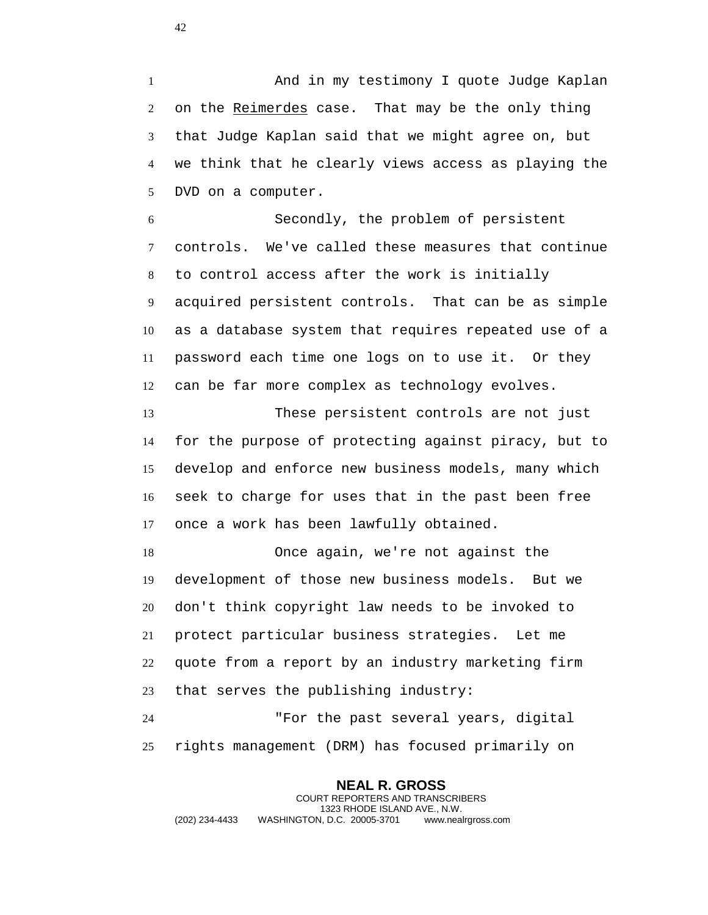And in my testimony I quote Judge Kaplan 2 on the Reimerdes case. That may be the only thing that Judge Kaplan said that we might agree on, but we think that he clearly views access as playing the DVD on a computer.

 Secondly, the problem of persistent controls. We've called these measures that continue to control access after the work is initially acquired persistent controls. That can be as simple as a database system that requires repeated use of a password each time one logs on to use it. Or they can be far more complex as technology evolves.

 These persistent controls are not just for the purpose of protecting against piracy, but to develop and enforce new business models, many which seek to charge for uses that in the past been free once a work has been lawfully obtained.

 Once again, we're not against the development of those new business models. But we don't think copyright law needs to be invoked to protect particular business strategies. Let me quote from a report by an industry marketing firm that serves the publishing industry:

 "For the past several years, digital rights management (DRM) has focused primarily on

**NEAL R. GROSS** COURT REPORTERS AND TRANSCRIBERS 1323 RHODE ISLAND AVE., N.W. (202) 234-4433 WASHINGTON, D.C. 20005-3701 www.nealrgross.com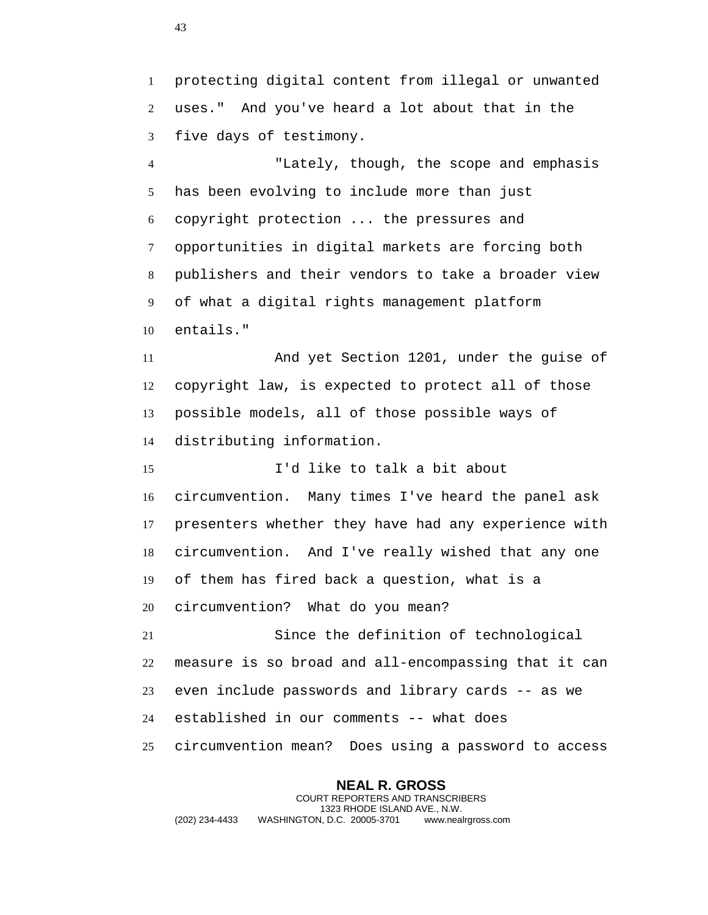protecting digital content from illegal or unwanted uses." And you've heard a lot about that in the five days of testimony.

 "Lately, though, the scope and emphasis has been evolving to include more than just copyright protection ... the pressures and opportunities in digital markets are forcing both publishers and their vendors to take a broader view of what a digital rights management platform entails."

 And yet Section 1201, under the guise of copyright law, is expected to protect all of those possible models, all of those possible ways of distributing information.

 I'd like to talk a bit about circumvention. Many times I've heard the panel ask presenters whether they have had any experience with circumvention. And I've really wished that any one of them has fired back a question, what is a circumvention? What do you mean? Since the definition of technological measure is so broad and all-encompassing that it can even include passwords and library cards -- as we

established in our comments -- what does

circumvention mean? Does using a password to access

**NEAL R. GROSS** COURT REPORTERS AND TRANSCRIBERS 1323 RHODE ISLAND AVE., N.W. (202) 234-4433 WASHINGTON, D.C. 20005-3701 www.nealrgross.com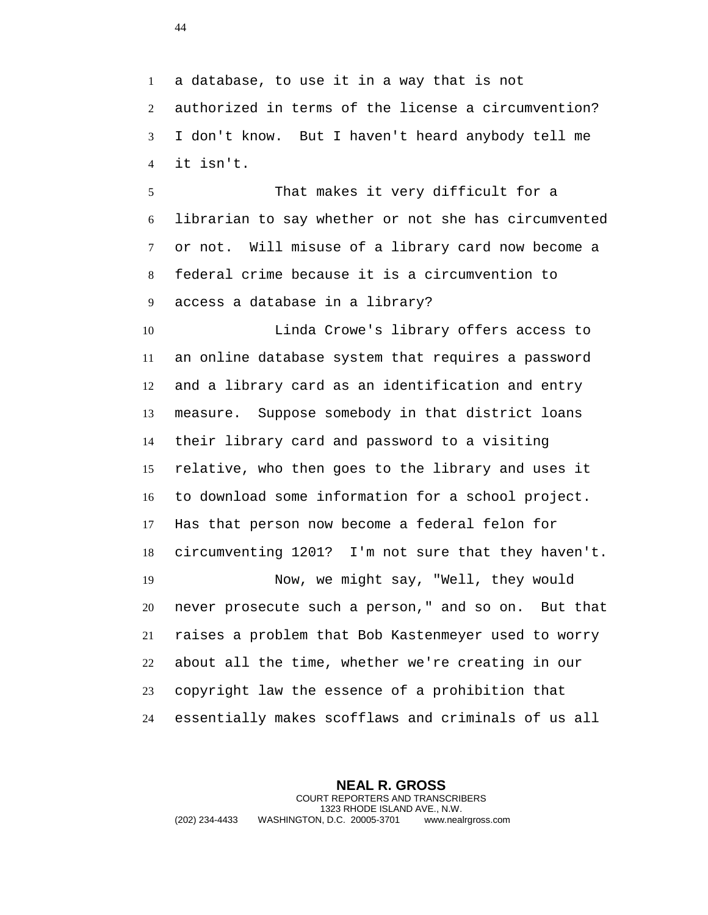a database, to use it in a way that is not authorized in terms of the license a circumvention? I don't know. But I haven't heard anybody tell me it isn't.

 That makes it very difficult for a librarian to say whether or not she has circumvented or not. Will misuse of a library card now become a federal crime because it is a circumvention to access a database in a library?

 Linda Crowe's library offers access to an online database system that requires a password and a library card as an identification and entry measure. Suppose somebody in that district loans their library card and password to a visiting relative, who then goes to the library and uses it to download some information for a school project. Has that person now become a federal felon for circumventing 1201? I'm not sure that they haven't. Now, we might say, "Well, they would never prosecute such a person," and so on. But that raises a problem that Bob Kastenmeyer used to worry about all the time, whether we're creating in our copyright law the essence of a prohibition that essentially makes scofflaws and criminals of us all

**NEAL R. GROSS** COURT REPORTERS AND TRANSCRIBERS 1323 RHODE ISLAND AVE., N.W. (202) 234-4433 WASHINGTON, D.C. 20005-3701 www.nealrgross.com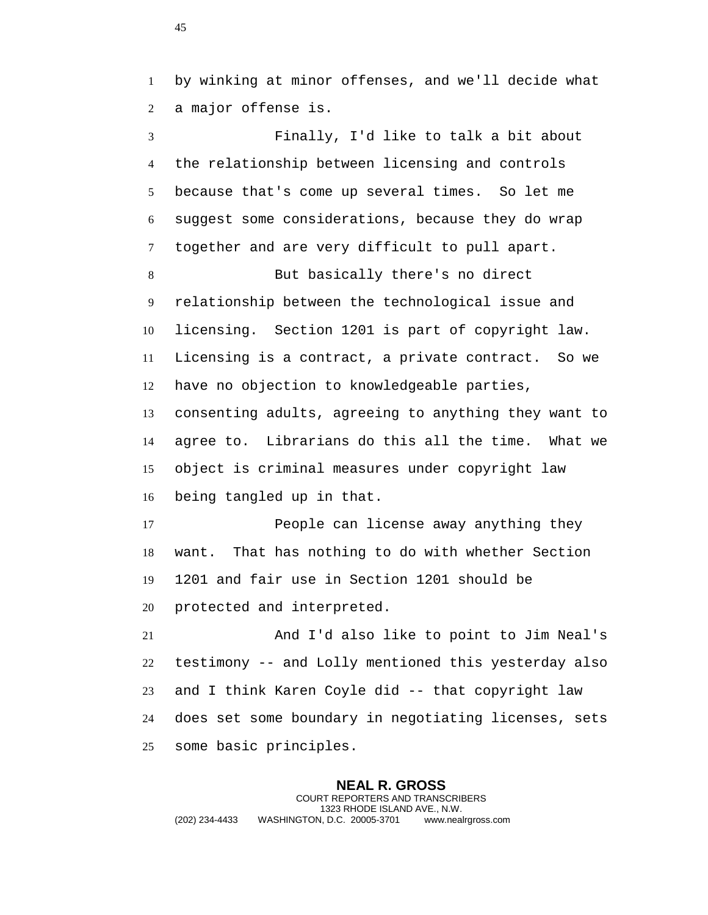by winking at minor offenses, and we'll decide what a major offense is.

 Finally, I'd like to talk a bit about the relationship between licensing and controls because that's come up several times. So let me suggest some considerations, because they do wrap together and are very difficult to pull apart.

 But basically there's no direct relationship between the technological issue and licensing. Section 1201 is part of copyright law. Licensing is a contract, a private contract. So we have no objection to knowledgeable parties, consenting adults, agreeing to anything they want to agree to. Librarians do this all the time. What we object is criminal measures under copyright law being tangled up in that.

 People can license away anything they want. That has nothing to do with whether Section 1201 and fair use in Section 1201 should be protected and interpreted.

 And I'd also like to point to Jim Neal's testimony -- and Lolly mentioned this yesterday also and I think Karen Coyle did -- that copyright law does set some boundary in negotiating licenses, sets some basic principles.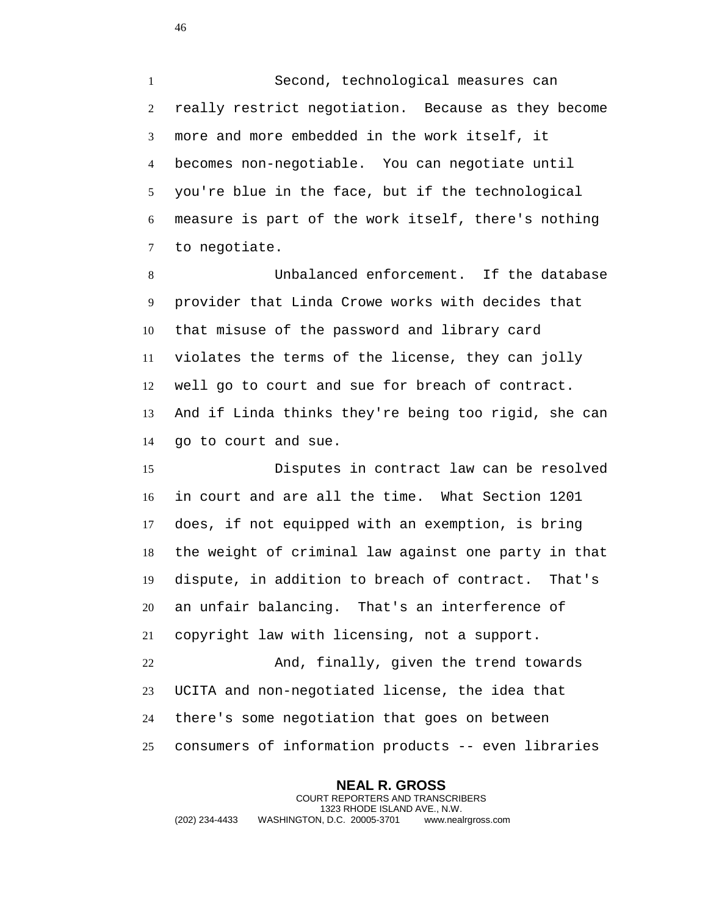Second, technological measures can really restrict negotiation. Because as they become more and more embedded in the work itself, it becomes non-negotiable. You can negotiate until you're blue in the face, but if the technological measure is part of the work itself, there's nothing to negotiate.

 Unbalanced enforcement. If the database provider that Linda Crowe works with decides that that misuse of the password and library card violates the terms of the license, they can jolly well go to court and sue for breach of contract. And if Linda thinks they're being too rigid, she can go to court and sue.

 Disputes in contract law can be resolved in court and are all the time. What Section 1201 does, if not equipped with an exemption, is bring the weight of criminal law against one party in that dispute, in addition to breach of contract. That's an unfair balancing. That's an interference of copyright law with licensing, not a support. And, finally, given the trend towards UCITA and non-negotiated license, the idea that there's some negotiation that goes on between consumers of information products -- even libraries

**NEAL R. GROSS** COURT REPORTERS AND TRANSCRIBERS 1323 RHODE ISLAND AVE., N.W. (202) 234-4433 WASHINGTON, D.C. 20005-3701 www.nealrgross.com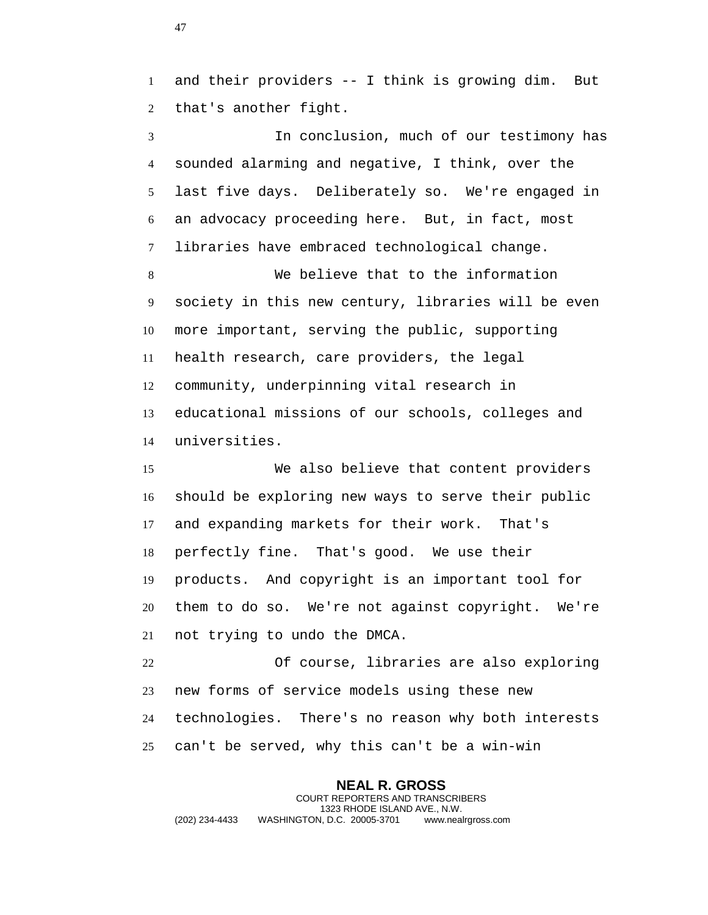and their providers -- I think is growing dim. But that's another fight.

 In conclusion, much of our testimony has sounded alarming and negative, I think, over the last five days. Deliberately so. We're engaged in an advocacy proceeding here. But, in fact, most libraries have embraced technological change.

 We believe that to the information society in this new century, libraries will be even more important, serving the public, supporting health research, care providers, the legal community, underpinning vital research in educational missions of our schools, colleges and universities.

 We also believe that content providers should be exploring new ways to serve their public and expanding markets for their work. That's perfectly fine. That's good. We use their products. And copyright is an important tool for them to do so. We're not against copyright. We're not trying to undo the DMCA.

 Of course, libraries are also exploring new forms of service models using these new technologies. There's no reason why both interests can't be served, why this can't be a win-win

**NEAL R. GROSS** COURT REPORTERS AND TRANSCRIBERS 1323 RHODE ISLAND AVE., N.W. (202) 234-4433 WASHINGTON, D.C. 20005-3701 www.nealrgross.com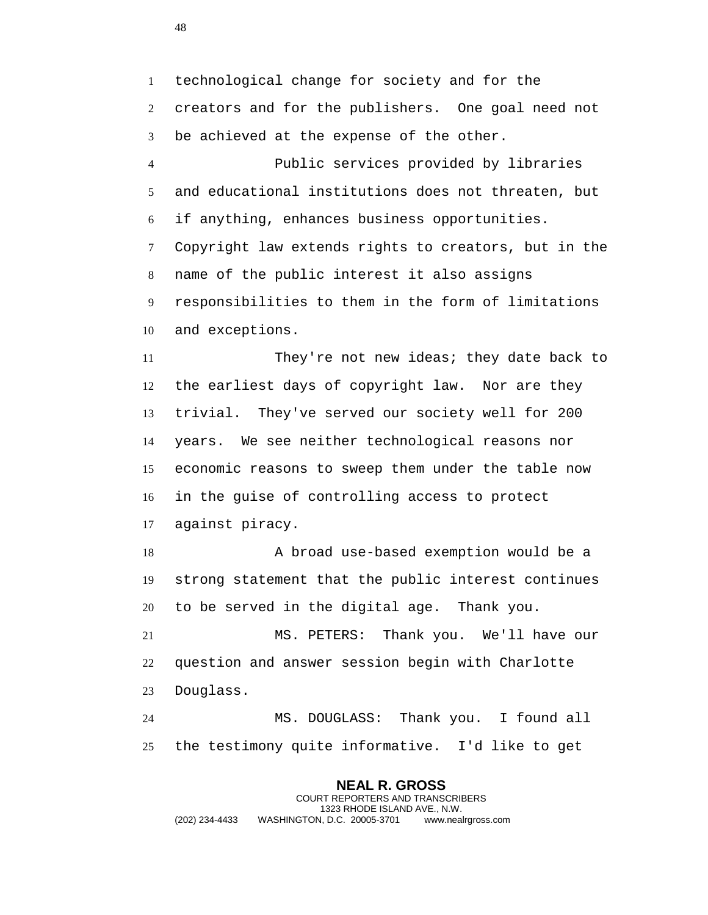technological change for society and for the creators and for the publishers. One goal need not be achieved at the expense of the other.

 Public services provided by libraries and educational institutions does not threaten, but if anything, enhances business opportunities. Copyright law extends rights to creators, but in the name of the public interest it also assigns responsibilities to them in the form of limitations and exceptions.

 They're not new ideas; they date back to the earliest days of copyright law. Nor are they trivial. They've served our society well for 200 years. We see neither technological reasons nor economic reasons to sweep them under the table now in the guise of controlling access to protect against piracy.

18 A broad use-based exemption would be a strong statement that the public interest continues to be served in the digital age. Thank you.

 MS. PETERS: Thank you. We'll have our question and answer session begin with Charlotte Douglass.

 MS. DOUGLASS: Thank you. I found all the testimony quite informative. I'd like to get

**NEAL R. GROSS** COURT REPORTERS AND TRANSCRIBERS 1323 RHODE ISLAND AVE., N.W. (202) 234-4433 WASHINGTON, D.C. 20005-3701 www.nealrgross.com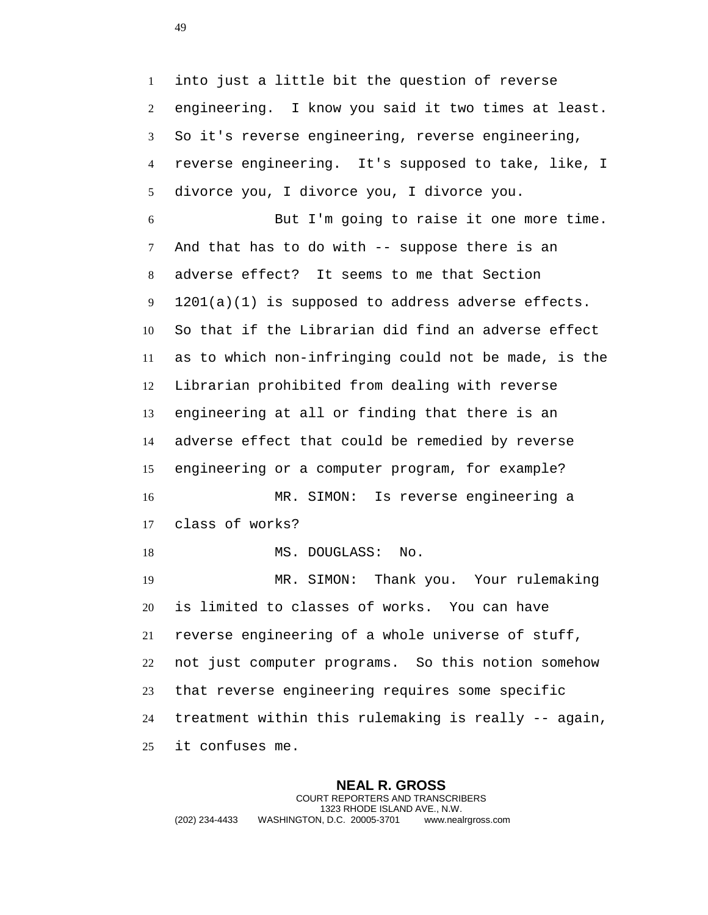into just a little bit the question of reverse engineering. I know you said it two times at least. So it's reverse engineering, reverse engineering, reverse engineering. It's supposed to take, like, I divorce you, I divorce you, I divorce you. But I'm going to raise it one more time. And that has to do with -- suppose there is an adverse effect? It seems to me that Section 1201(a)(1) is supposed to address adverse effects. So that if the Librarian did find an adverse effect as to which non-infringing could not be made, is the Librarian prohibited from dealing with reverse engineering at all or finding that there is an adverse effect that could be remedied by reverse engineering or a computer program, for example? MR. SIMON: Is reverse engineering a class of works? 18 MS. DOUGLASS: No. MR. SIMON: Thank you. Your rulemaking is limited to classes of works. You can have reverse engineering of a whole universe of stuff, not just computer programs. So this notion somehow that reverse engineering requires some specific treatment within this rulemaking is really -- again, it confuses me.

**NEAL R. GROSS** COURT REPORTERS AND TRANSCRIBERS 1323 RHODE ISLAND AVE., N.W. (202) 234-4433 WASHINGTON, D.C. 20005-3701 www.nealrgross.com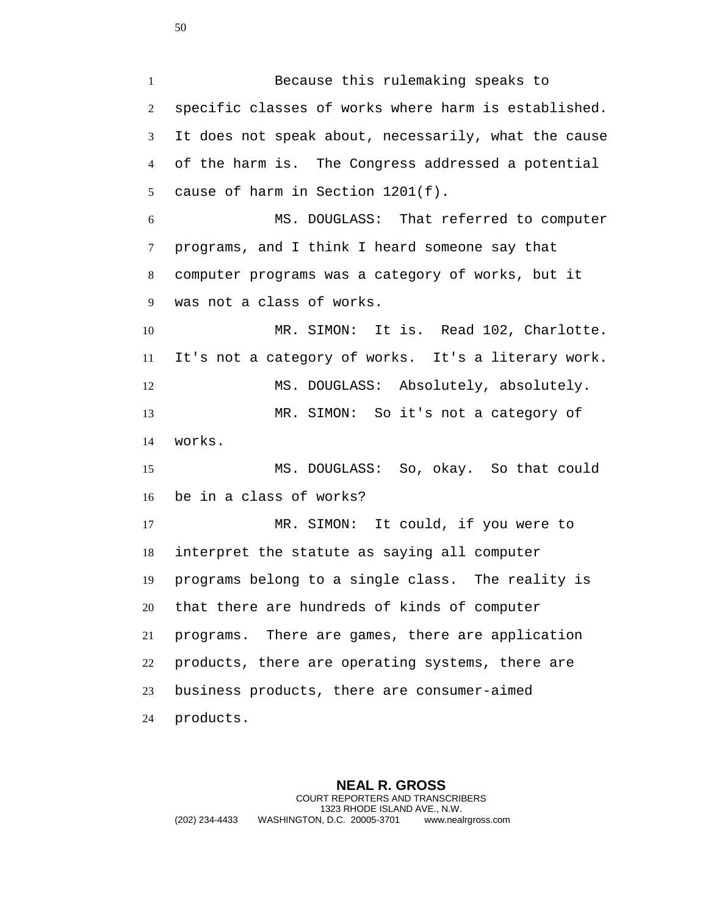Because this rulemaking speaks to specific classes of works where harm is established. It does not speak about, necessarily, what the cause of the harm is. The Congress addressed a potential cause of harm in Section 1201(f). MS. DOUGLASS: That referred to computer programs, and I think I heard someone say that computer programs was a category of works, but it was not a class of works. 10 MR. SIMON: It is. Read 102, Charlotte. It's not a category of works. It's a literary work. MS. DOUGLASS: Absolutely, absolutely. MR. SIMON: So it's not a category of works. MS. DOUGLASS: So, okay. So that could be in a class of works? MR. SIMON: It could, if you were to interpret the statute as saying all computer programs belong to a single class. The reality is that there are hundreds of kinds of computer programs. There are games, there are application products, there are operating systems, there are business products, there are consumer-aimed products.

**NEAL R. GROSS** COURT REPORTERS AND TRANSCRIBERS 1323 RHODE ISLAND AVE., N.W. (202) 234-4433 WASHINGTON, D.C. 20005-3701 www.nealrgross.com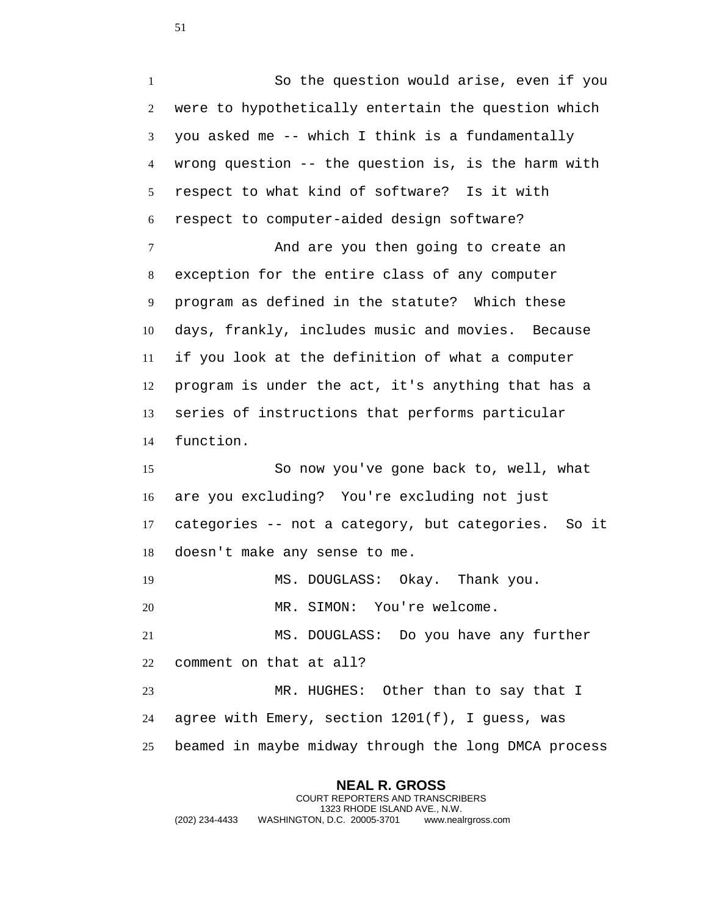So the question would arise, even if you were to hypothetically entertain the question which you asked me -- which I think is a fundamentally wrong question -- the question is, is the harm with respect to what kind of software? Is it with respect to computer-aided design software? 7 And are you then going to create an exception for the entire class of any computer program as defined in the statute? Which these days, frankly, includes music and movies. Because if you look at the definition of what a computer program is under the act, it's anything that has a series of instructions that performs particular function.

 So now you've gone back to, well, what are you excluding? You're excluding not just categories -- not a category, but categories. So it doesn't make any sense to me.

MS. DOUGLASS: Okay. Thank you.

MR. SIMON: You're welcome.

 MS. DOUGLASS: Do you have any further comment on that at all?

 MR. HUGHES: Other than to say that I agree with Emery, section 1201(f), I guess, was beamed in maybe midway through the long DMCA process

**NEAL R. GROSS** COURT REPORTERS AND TRANSCRIBERS 1323 RHODE ISLAND AVE., N.W. (202) 234-4433 WASHINGTON, D.C. 20005-3701 www.nealrgross.com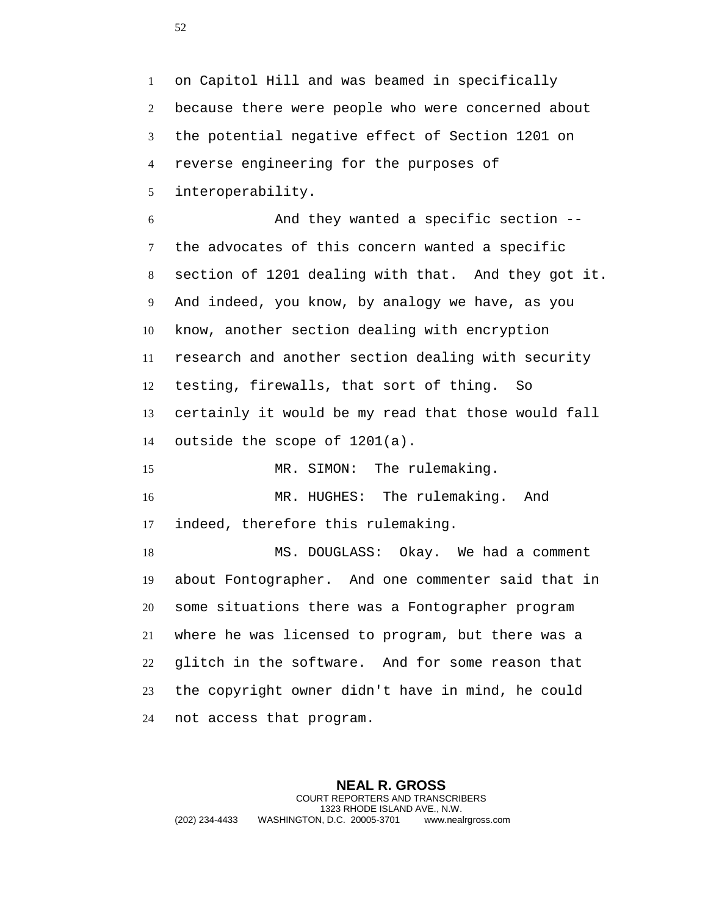on Capitol Hill and was beamed in specifically because there were people who were concerned about the potential negative effect of Section 1201 on reverse engineering for the purposes of interoperability.

 And they wanted a specific section -- the advocates of this concern wanted a specific section of 1201 dealing with that. And they got it. And indeed, you know, by analogy we have, as you know, another section dealing with encryption research and another section dealing with security testing, firewalls, that sort of thing. So certainly it would be my read that those would fall outside the scope of 1201(a).

15 MR. SIMON: The rulemaking. MR. HUGHES: The rulemaking. And indeed, therefore this rulemaking.

 MS. DOUGLASS: Okay. We had a comment about Fontographer. And one commenter said that in some situations there was a Fontographer program where he was licensed to program, but there was a glitch in the software. And for some reason that the copyright owner didn't have in mind, he could not access that program.

**NEAL R. GROSS** COURT REPORTERS AND TRANSCRIBERS 1323 RHODE ISLAND AVE., N.W. (202) 234-4433 WASHINGTON, D.C. 20005-3701 www.nealrgross.com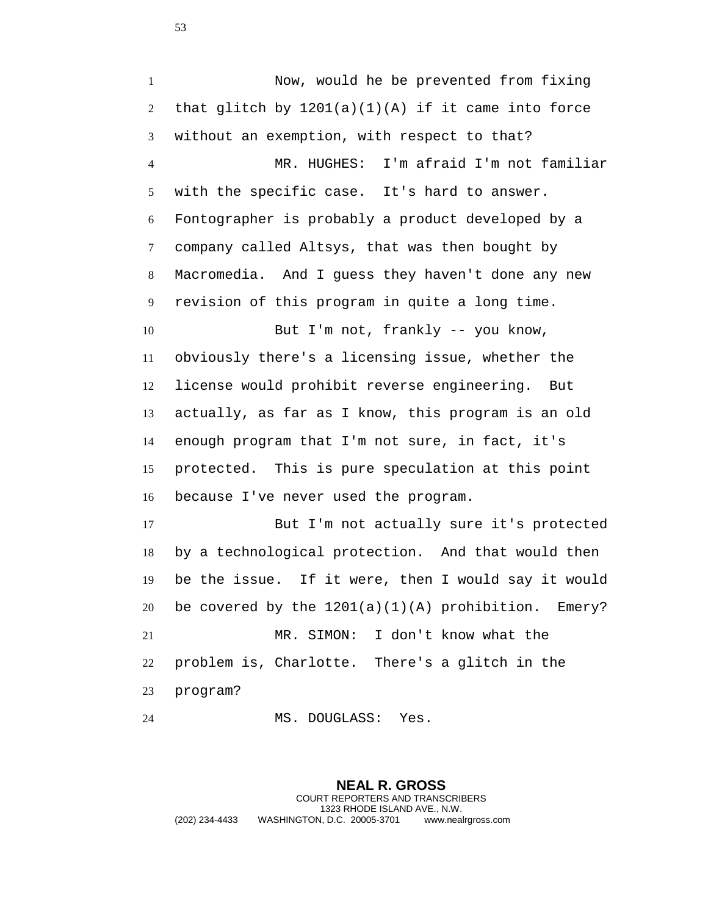Now, would he be prevented from fixing 2 that glitch by  $1201(a)(1)(A)$  if it came into force without an exemption, with respect to that? MR. HUGHES: I'm afraid I'm not familiar with the specific case. It's hard to answer. Fontographer is probably a product developed by a company called Altsys, that was then bought by Macromedia. And I guess they haven't done any new revision of this program in quite a long time. 10 But I'm not, frankly -- you know, obviously there's a licensing issue, whether the license would prohibit reverse engineering. But actually, as far as I know, this program is an old enough program that I'm not sure, in fact, it's protected. This is pure speculation at this point because I've never used the program. But I'm not actually sure it's protected by a technological protection. And that would then be the issue. If it were, then I would say it would 20 be covered by the  $1201(a)(1)(A)$  prohibition. Emery? MR. SIMON: I don't know what the problem is, Charlotte. There's a glitch in the

program?

MS. DOUGLASS: Yes.

**NEAL R. GROSS** COURT REPORTERS AND TRANSCRIBERS 1323 RHODE ISLAND AVE., N.W. (202) 234-4433 WASHINGTON, D.C. 20005-3701 www.nealrgross.com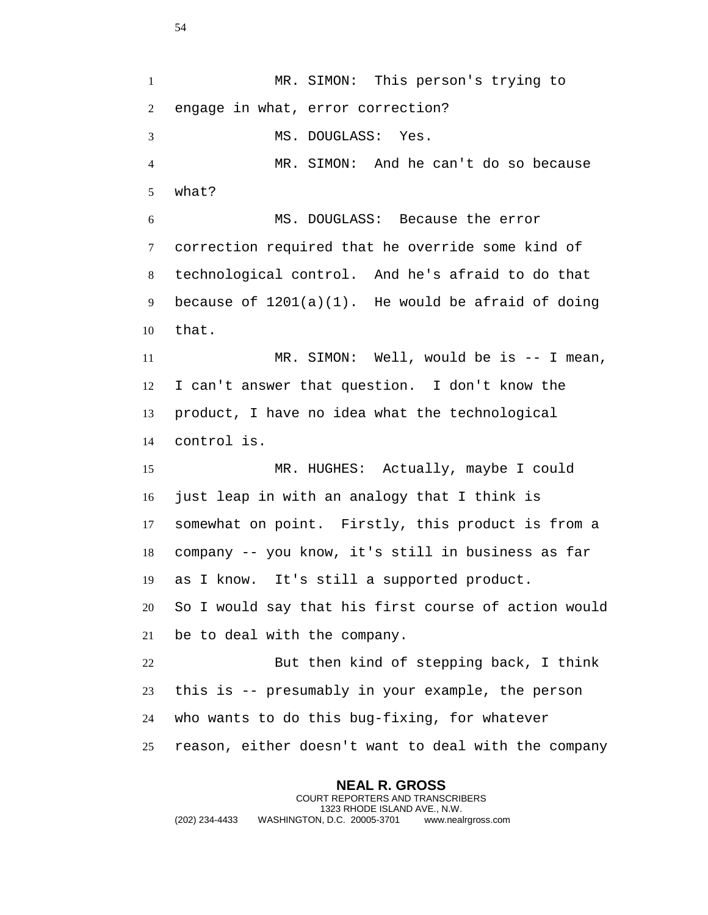1 MR. SIMON: This person's trying to engage in what, error correction? MS. DOUGLASS: Yes. MR. SIMON: And he can't do so because what? MS. DOUGLASS: Because the error correction required that he override some kind of technological control. And he's afraid to do that 9 because of  $1201(a)(1)$ . He would be afraid of doing that. MR. SIMON: Well, would be is -- I mean, I can't answer that question. I don't know the product, I have no idea what the technological control is. MR. HUGHES: Actually, maybe I could just leap in with an analogy that I think is somewhat on point. Firstly, this product is from a company -- you know, it's still in business as far as I know. It's still a supported product. So I would say that his first course of action would be to deal with the company. But then kind of stepping back, I think this is -- presumably in your example, the person who wants to do this bug-fixing, for whatever reason, either doesn't want to deal with the company

**NEAL R. GROSS** COURT REPORTERS AND TRANSCRIBERS 1323 RHODE ISLAND AVE., N.W. (202) 234-4433 WASHINGTON, D.C. 20005-3701 www.nealrgross.com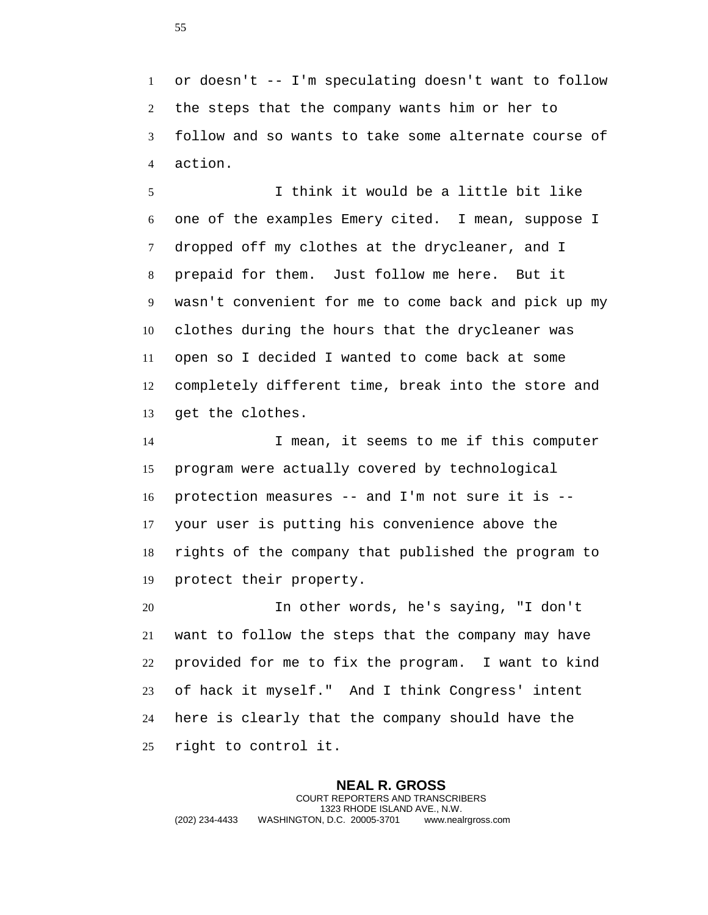or doesn't -- I'm speculating doesn't want to follow the steps that the company wants him or her to follow and so wants to take some alternate course of action.

 I think it would be a little bit like one of the examples Emery cited. I mean, suppose I dropped off my clothes at the drycleaner, and I prepaid for them. Just follow me here. But it wasn't convenient for me to come back and pick up my clothes during the hours that the drycleaner was open so I decided I wanted to come back at some completely different time, break into the store and get the clothes.

 I mean, it seems to me if this computer program were actually covered by technological protection measures -- and I'm not sure it is -- your user is putting his convenience above the rights of the company that published the program to protect their property.

 In other words, he's saying, "I don't want to follow the steps that the company may have provided for me to fix the program. I want to kind of hack it myself." And I think Congress' intent here is clearly that the company should have the right to control it.

**NEAL R. GROSS** COURT REPORTERS AND TRANSCRIBERS 1323 RHODE ISLAND AVE., N.W. (202) 234-4433 WASHINGTON, D.C. 20005-3701 www.nealrgross.com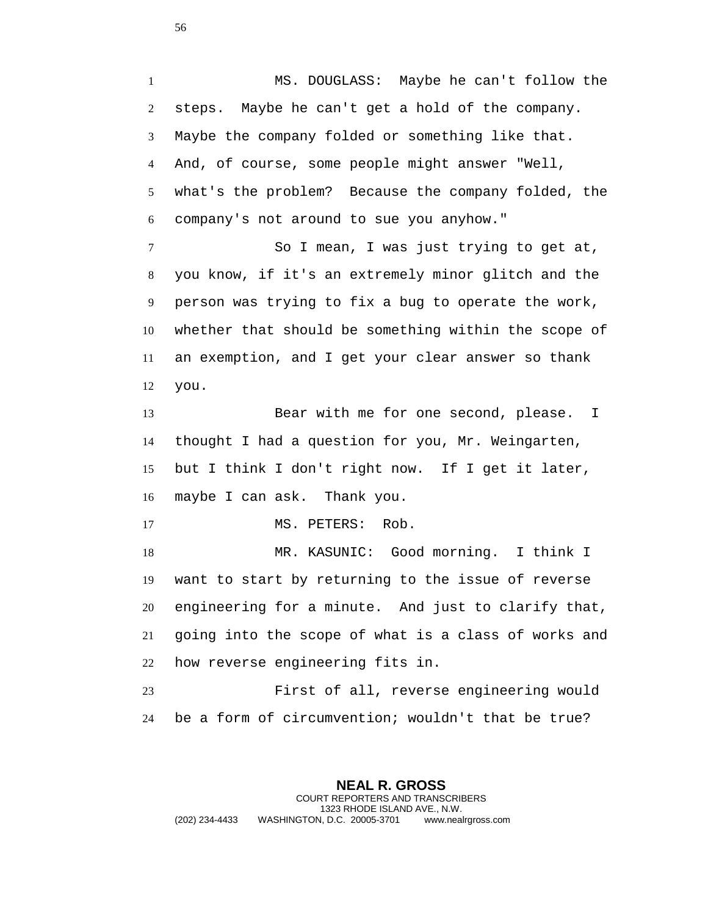MS. DOUGLASS: Maybe he can't follow the steps. Maybe he can't get a hold of the company. Maybe the company folded or something like that. And, of course, some people might answer "Well, what's the problem? Because the company folded, the company's not around to sue you anyhow." So I mean, I was just trying to get at, you know, if it's an extremely minor glitch and the person was trying to fix a bug to operate the work, whether that should be something within the scope of an exemption, and I get your clear answer so thank you. 13 Bear with me for one second, please. I thought I had a question for you, Mr. Weingarten, but I think I don't right now. If I get it later, maybe I can ask. Thank you. 17 MS. PETERS: Rob. MR. KASUNIC: Good morning. I think I want to start by returning to the issue of reverse engineering for a minute. And just to clarify that, going into the scope of what is a class of works and how reverse engineering fits in. First of all, reverse engineering would be a form of circumvention; wouldn't that be true?

**NEAL R. GROSS** COURT REPORTERS AND TRANSCRIBERS 1323 RHODE ISLAND AVE., N.W. (202) 234-4433 WASHINGTON, D.C. 20005-3701 www.nealrgross.com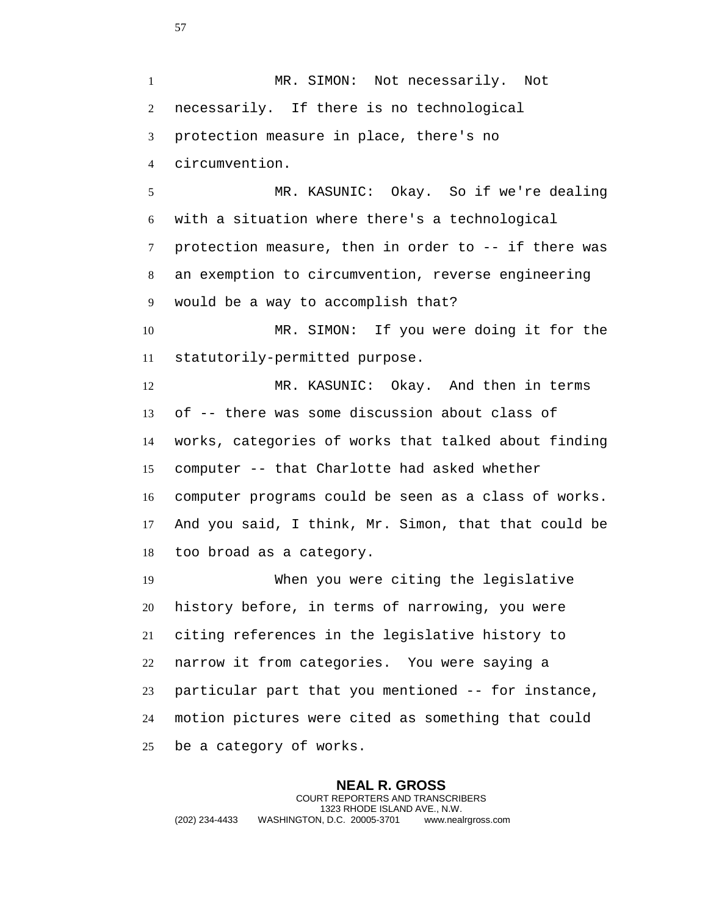1 MR. SIMON: Not necessarily. Not necessarily. If there is no technological protection measure in place, there's no circumvention.

 MR. KASUNIC: Okay. So if we're dealing with a situation where there's a technological protection measure, then in order to -- if there was an exemption to circumvention, reverse engineering would be a way to accomplish that?

 MR. SIMON: If you were doing it for the statutorily-permitted purpose.

 MR. KASUNIC: Okay. And then in terms of -- there was some discussion about class of works, categories of works that talked about finding computer -- that Charlotte had asked whether computer programs could be seen as a class of works. And you said, I think, Mr. Simon, that that could be too broad as a category.

 When you were citing the legislative history before, in terms of narrowing, you were citing references in the legislative history to narrow it from categories. You were saying a particular part that you mentioned -- for instance, motion pictures were cited as something that could be a category of works.

**NEAL R. GROSS** COURT REPORTERS AND TRANSCRIBERS 1323 RHODE ISLAND AVE., N.W. (202) 234-4433 WASHINGTON, D.C. 20005-3701 www.nealrgross.com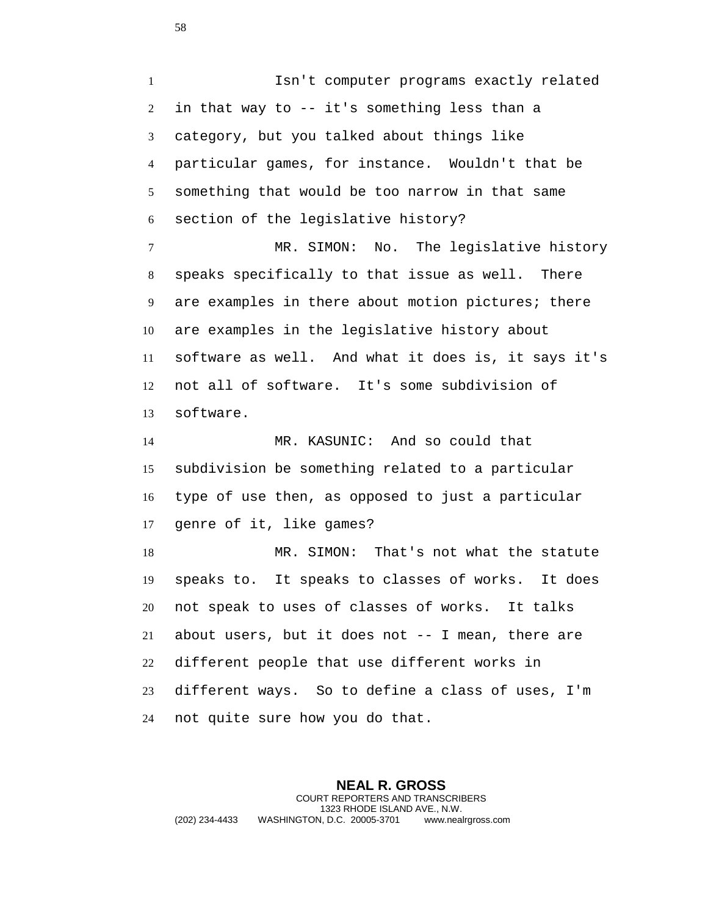Isn't computer programs exactly related in that way to -- it's something less than a category, but you talked about things like particular games, for instance. Wouldn't that be something that would be too narrow in that same section of the legislative history? MR. SIMON: No. The legislative history speaks specifically to that issue as well. There are examples in there about motion pictures; there are examples in the legislative history about software as well. And what it does is, it says it's not all of software. It's some subdivision of software. MR. KASUNIC: And so could that subdivision be something related to a particular type of use then, as opposed to just a particular genre of it, like games? MR. SIMON: That's not what the statute speaks to. It speaks to classes of works. It does not speak to uses of classes of works. It talks about users, but it does not -- I mean, there are different people that use different works in different ways. So to define a class of uses, I'm

not quite sure how you do that.

**NEAL R. GROSS** COURT REPORTERS AND TRANSCRIBERS 1323 RHODE ISLAND AVE., N.W. (202) 234-4433 WASHINGTON, D.C. 20005-3701 www.nealrgross.com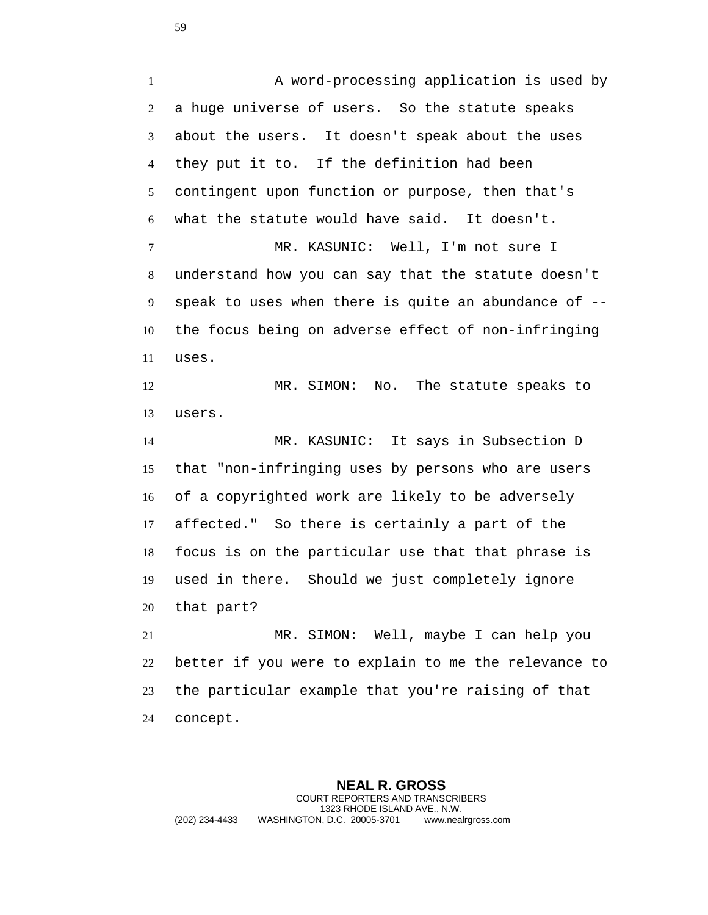A word-processing application is used by a huge universe of users. So the statute speaks about the users. It doesn't speak about the uses they put it to. If the definition had been contingent upon function or purpose, then that's what the statute would have said. It doesn't. 7 MR. KASUNIC: Well, I'm not sure I understand how you can say that the statute doesn't speak to uses when there is quite an abundance of -- the focus being on adverse effect of non-infringing uses. MR. SIMON: No. The statute speaks to users. MR. KASUNIC: It says in Subsection D that "non-infringing uses by persons who are users of a copyrighted work are likely to be adversely affected." So there is certainly a part of the focus is on the particular use that that phrase is used in there. Should we just completely ignore that part? MR. SIMON: Well, maybe I can help you better if you were to explain to me the relevance to the particular example that you're raising of that

concept.

**NEAL R. GROSS** COURT REPORTERS AND TRANSCRIBERS 1323 RHODE ISLAND AVE., N.W. (202) 234-4433 WASHINGTON, D.C. 20005-3701 www.nealrgross.com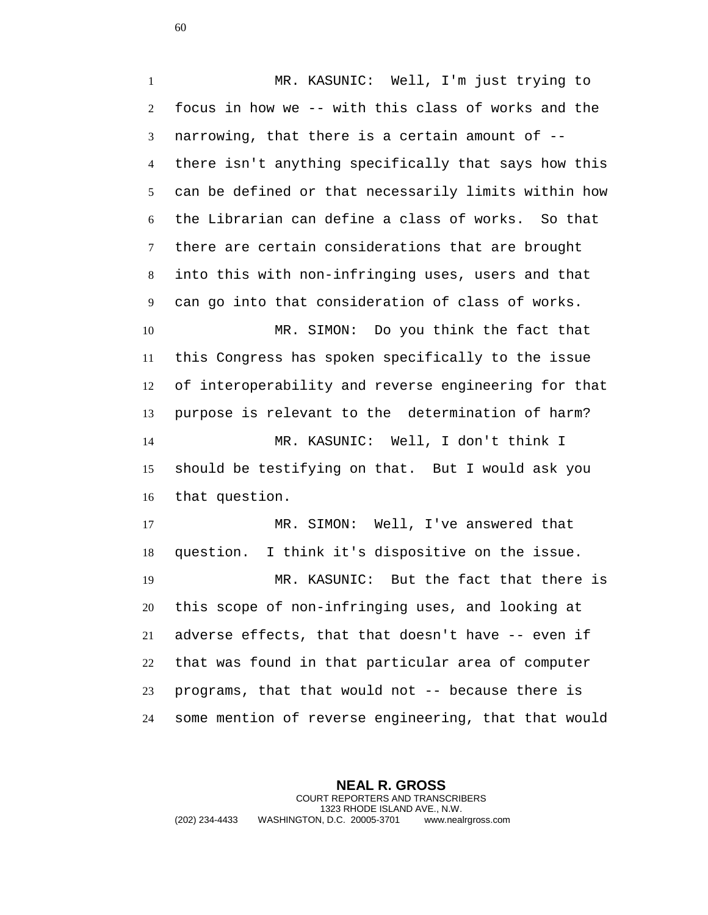MR. KASUNIC: Well, I'm just trying to focus in how we -- with this class of works and the narrowing, that there is a certain amount of -- there isn't anything specifically that says how this can be defined or that necessarily limits within how the Librarian can define a class of works. So that there are certain considerations that are brought into this with non-infringing uses, users and that can go into that consideration of class of works. MR. SIMON: Do you think the fact that this Congress has spoken specifically to the issue of interoperability and reverse engineering for that purpose is relevant to the determination of harm? MR. KASUNIC: Well, I don't think I should be testifying on that. But I would ask you that question.

 MR. SIMON: Well, I've answered that question. I think it's dispositive on the issue. MR. KASUNIC: But the fact that there is this scope of non-infringing uses, and looking at adverse effects, that that doesn't have -- even if that was found in that particular area of computer programs, that that would not -- because there is some mention of reverse engineering, that that would

**NEAL R. GROSS** COURT REPORTERS AND TRANSCRIBERS 1323 RHODE ISLAND AVE., N.W. (202) 234-4433 WASHINGTON, D.C. 20005-3701 www.nealrgross.com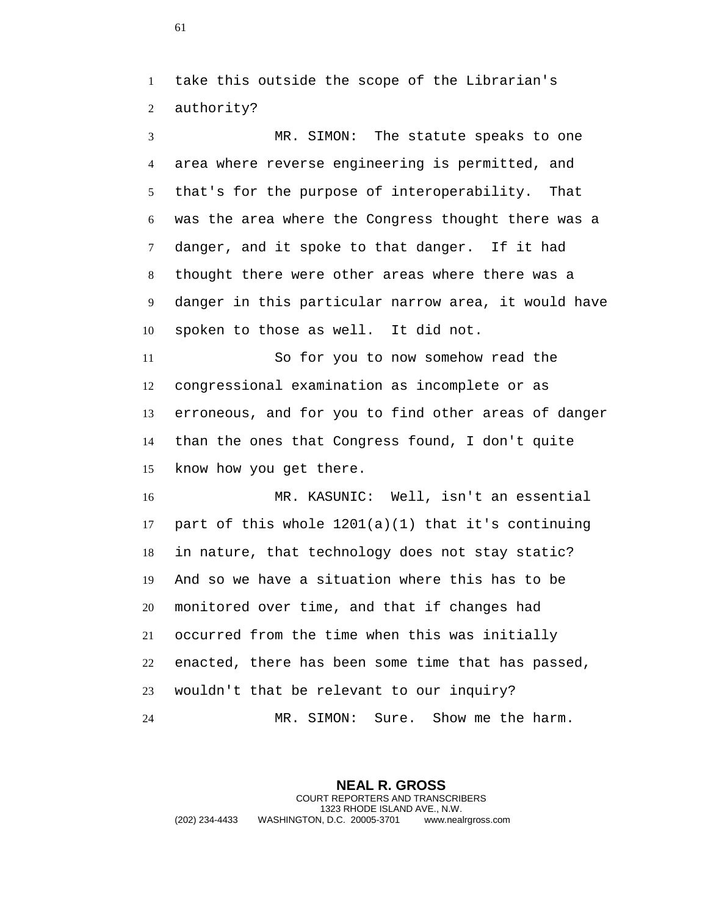take this outside the scope of the Librarian's authority?

 MR. SIMON: The statute speaks to one area where reverse engineering is permitted, and that's for the purpose of interoperability. That was the area where the Congress thought there was a danger, and it spoke to that danger. If it had thought there were other areas where there was a danger in this particular narrow area, it would have spoken to those as well. It did not.

 So for you to now somehow read the congressional examination as incomplete or as erroneous, and for you to find other areas of danger than the ones that Congress found, I don't quite know how you get there.

 MR. KASUNIC: Well, isn't an essential 17 part of this whole  $1201(a)(1)$  that it's continuing in nature, that technology does not stay static? And so we have a situation where this has to be monitored over time, and that if changes had occurred from the time when this was initially enacted, there has been some time that has passed, wouldn't that be relevant to our inquiry? MR. SIMON: Sure. Show me the harm.

**NEAL R. GROSS** COURT REPORTERS AND TRANSCRIBERS 1323 RHODE ISLAND AVE., N.W. (202) 234-4433 WASHINGTON, D.C. 20005-3701 www.nealrgross.com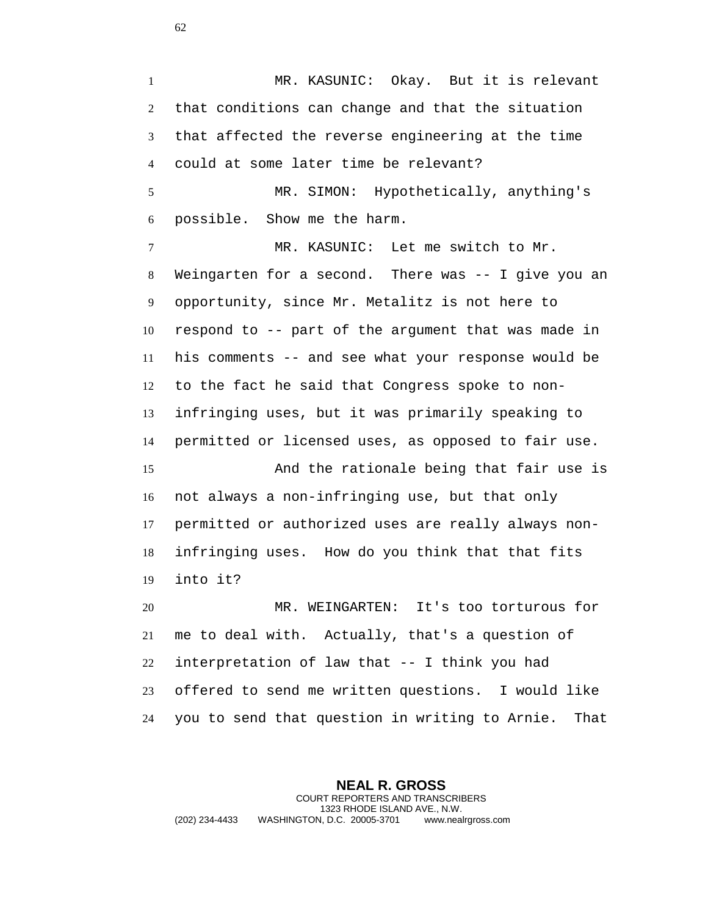MR. KASUNIC: Okay. But it is relevant that conditions can change and that the situation that affected the reverse engineering at the time could at some later time be relevant? MR. SIMON: Hypothetically, anything's possible. Show me the harm. MR. KASUNIC: Let me switch to Mr.

 Weingarten for a second. There was -- I give you an opportunity, since Mr. Metalitz is not here to respond to -- part of the argument that was made in his comments -- and see what your response would be to the fact he said that Congress spoke to non- infringing uses, but it was primarily speaking to permitted or licensed uses, as opposed to fair use.

 And the rationale being that fair use is not always a non-infringing use, but that only permitted or authorized uses are really always non- infringing uses. How do you think that that fits into it?

 MR. WEINGARTEN: It's too torturous for me to deal with. Actually, that's a question of interpretation of law that -- I think you had offered to send me written questions. I would like you to send that question in writing to Arnie. That

**NEAL R. GROSS** COURT REPORTERS AND TRANSCRIBERS 1323 RHODE ISLAND AVE., N.W. (202) 234-4433 WASHINGTON, D.C. 20005-3701 www.nealrgross.com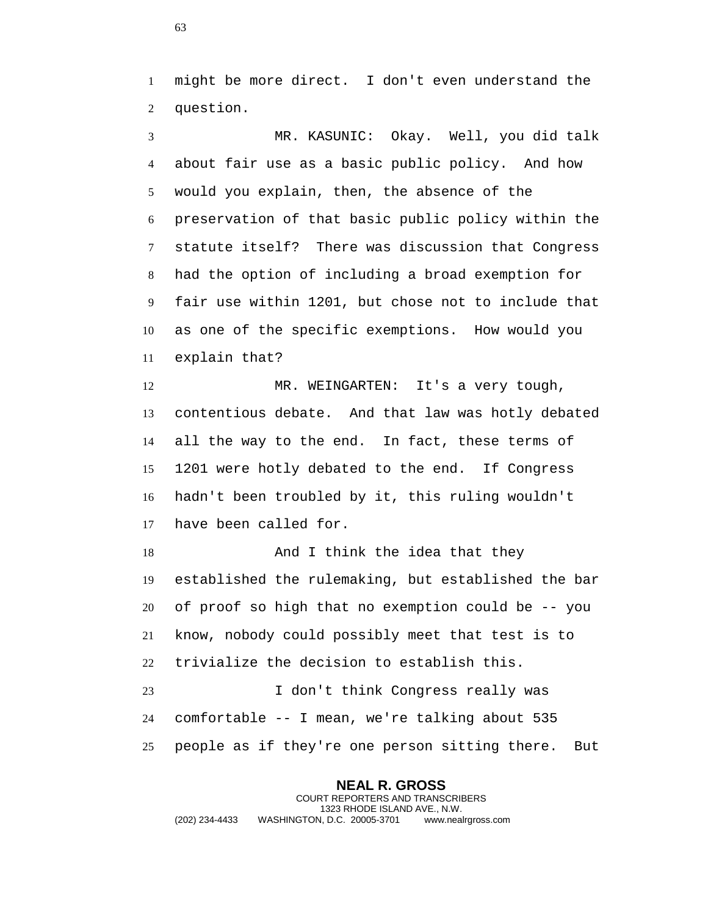might be more direct. I don't even understand the question.

 MR. KASUNIC: Okay. Well, you did talk about fair use as a basic public policy. And how would you explain, then, the absence of the preservation of that basic public policy within the statute itself? There was discussion that Congress had the option of including a broad exemption for fair use within 1201, but chose not to include that as one of the specific exemptions. How would you explain that?

 MR. WEINGARTEN: It's a very tough, contentious debate. And that law was hotly debated all the way to the end. In fact, these terms of 1201 were hotly debated to the end. If Congress hadn't been troubled by it, this ruling wouldn't have been called for.

18 And I think the idea that they established the rulemaking, but established the bar of proof so high that no exemption could be -- you know, nobody could possibly meet that test is to trivialize the decision to establish this.

 I don't think Congress really was comfortable -- I mean, we're talking about 535 people as if they're one person sitting there. But

**NEAL R. GROSS** COURT REPORTERS AND TRANSCRIBERS 1323 RHODE ISLAND AVE., N.W. (202) 234-4433 WASHINGTON, D.C. 20005-3701 www.nealrgross.com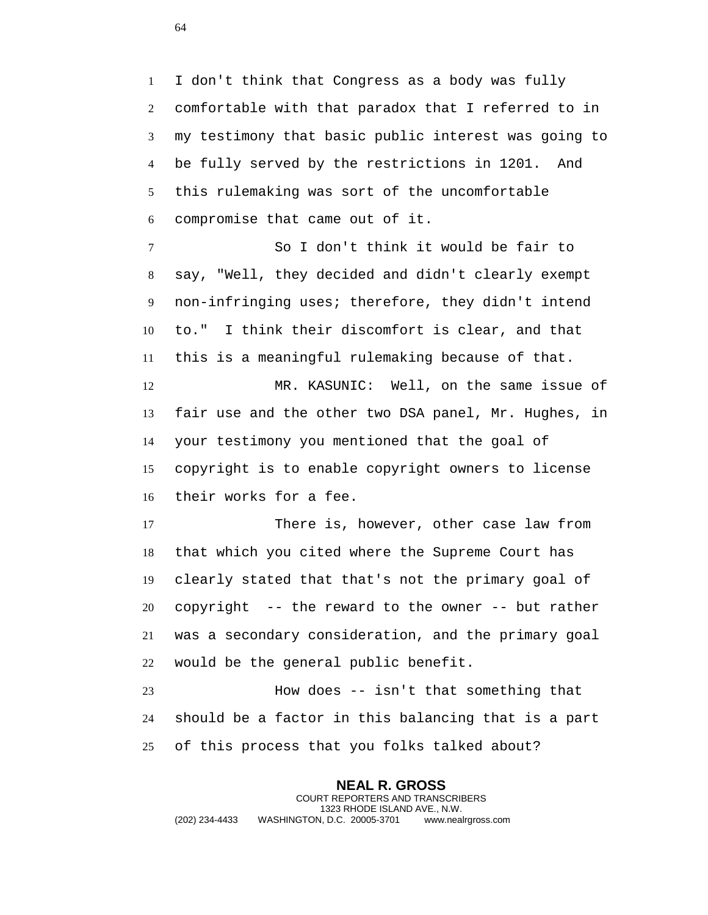I don't think that Congress as a body was fully comfortable with that paradox that I referred to in my testimony that basic public interest was going to be fully served by the restrictions in 1201. And this rulemaking was sort of the uncomfortable compromise that came out of it.

 So I don't think it would be fair to say, "Well, they decided and didn't clearly exempt non-infringing uses; therefore, they didn't intend to." I think their discomfort is clear, and that this is a meaningful rulemaking because of that.

 MR. KASUNIC: Well, on the same issue of fair use and the other two DSA panel, Mr. Hughes, in your testimony you mentioned that the goal of copyright is to enable copyright owners to license their works for a fee.

 There is, however, other case law from that which you cited where the Supreme Court has clearly stated that that's not the primary goal of copyright -- the reward to the owner -- but rather was a secondary consideration, and the primary goal would be the general public benefit.

 How does -- isn't that something that should be a factor in this balancing that is a part of this process that you folks talked about?

**NEAL R. GROSS** COURT REPORTERS AND TRANSCRIBERS 1323 RHODE ISLAND AVE., N.W. (202) 234-4433 WASHINGTON, D.C. 20005-3701 www.nealrgross.com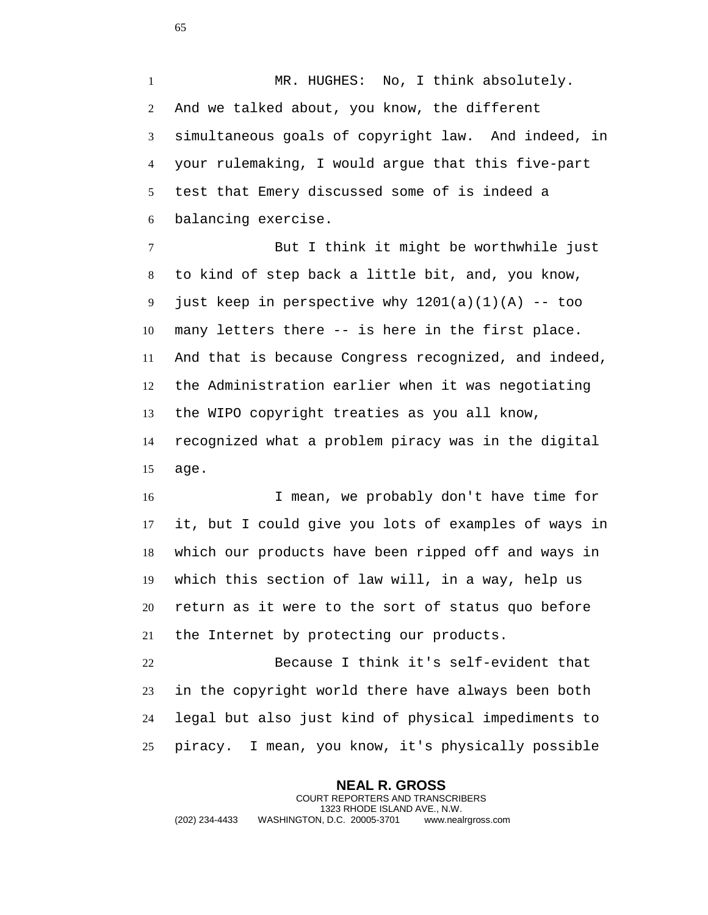1 MR. HUGHES: No, I think absolutely. And we talked about, you know, the different simultaneous goals of copyright law. And indeed, in your rulemaking, I would argue that this five-part test that Emery discussed some of is indeed a balancing exercise.

 But I think it might be worthwhile just to kind of step back a little bit, and, you know, 9 just keep in perspective why  $1201(a)(1)(A)$  -- too many letters there -- is here in the first place. And that is because Congress recognized, and indeed, the Administration earlier when it was negotiating the WIPO copyright treaties as you all know, recognized what a problem piracy was in the digital age.

 I mean, we probably don't have time for it, but I could give you lots of examples of ways in which our products have been ripped off and ways in which this section of law will, in a way, help us return as it were to the sort of status quo before the Internet by protecting our products.

 Because I think it's self-evident that in the copyright world there have always been both legal but also just kind of physical impediments to piracy. I mean, you know, it's physically possible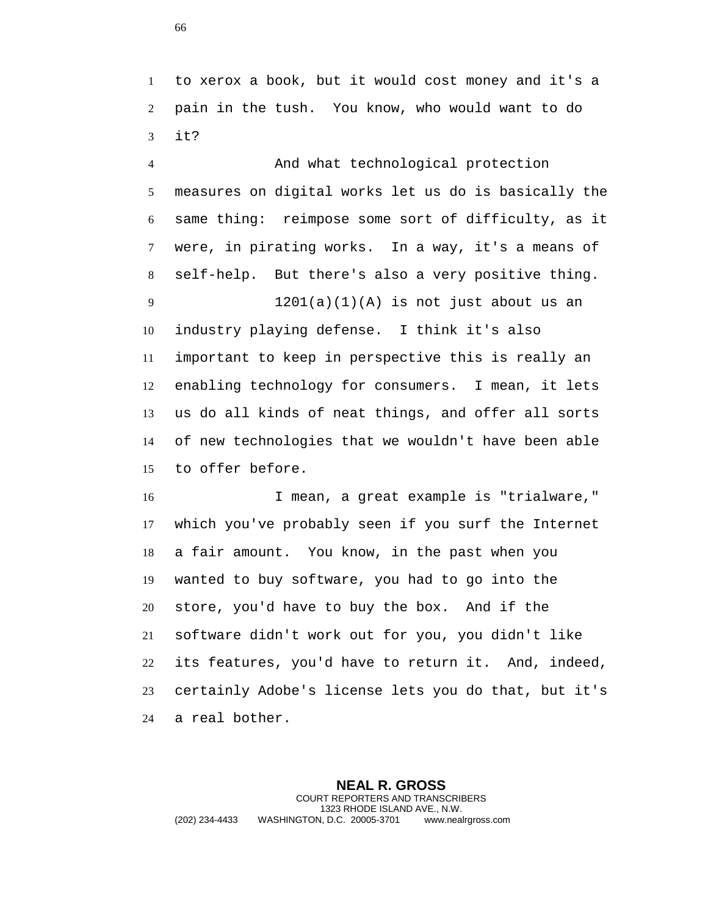to xerox a book, but it would cost money and it's a pain in the tush. You know, who would want to do it?

 And what technological protection measures on digital works let us do is basically the same thing: reimpose some sort of difficulty, as it were, in pirating works. In a way, it's a means of self-help. But there's also a very positive thing. 1201(a)(1)(A) is not just about us an industry playing defense. I think it's also important to keep in perspective this is really an enabling technology for consumers. I mean, it lets us do all kinds of neat things, and offer all sorts of new technologies that we wouldn't have been able to offer before.

 I mean, a great example is "trialware," which you've probably seen if you surf the Internet a fair amount. You know, in the past when you wanted to buy software, you had to go into the store, you'd have to buy the box. And if the software didn't work out for you, you didn't like its features, you'd have to return it. And, indeed, certainly Adobe's license lets you do that, but it's a real bother.

**NEAL R. GROSS** COURT REPORTERS AND TRANSCRIBERS 1323 RHODE ISLAND AVE., N.W. (202) 234-4433 WASHINGTON, D.C. 20005-3701 www.nealrgross.com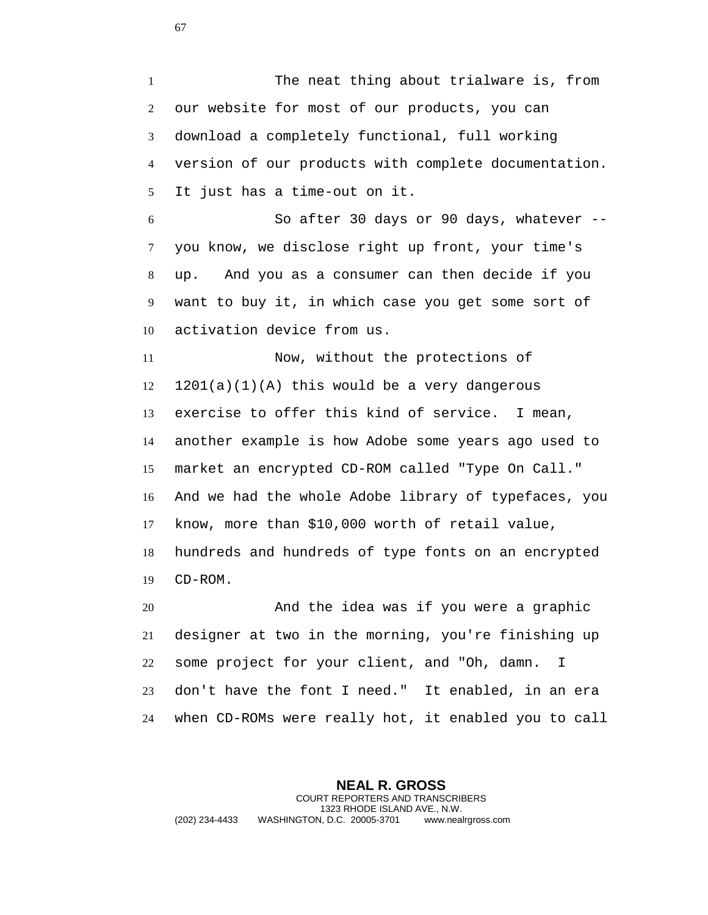The neat thing about trialware is, from our website for most of our products, you can download a completely functional, full working version of our products with complete documentation. It just has a time-out on it. So after 30 days or 90 days, whatever -- you know, we disclose right up front, your time's

 up. And you as a consumer can then decide if you want to buy it, in which case you get some sort of activation device from us.

 Now, without the protections of 1201(a)(1)(A) this would be a very dangerous exercise to offer this kind of service. I mean, another example is how Adobe some years ago used to market an encrypted CD-ROM called "Type On Call." And we had the whole Adobe library of typefaces, you know, more than \$10,000 worth of retail value, hundreds and hundreds of type fonts on an encrypted CD-ROM.

 And the idea was if you were a graphic designer at two in the morning, you're finishing up some project for your client, and "Oh, damn. I don't have the font I need." It enabled, in an era when CD-ROMs were really hot, it enabled you to call

**NEAL R. GROSS** COURT REPORTERS AND TRANSCRIBERS 1323 RHODE ISLAND AVE., N.W. (202) 234-4433 WASHINGTON, D.C. 20005-3701 www.nealrgross.com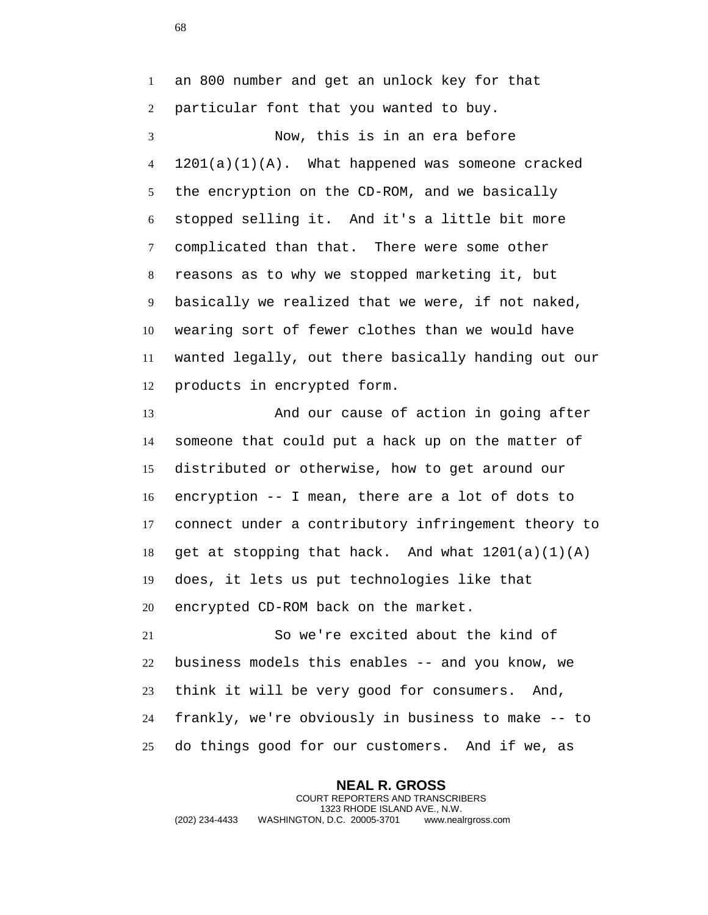an 800 number and get an unlock key for that particular font that you wanted to buy.

 Now, this is in an era before 1201(a)(1)(A). What happened was someone cracked the encryption on the CD-ROM, and we basically stopped selling it. And it's a little bit more complicated than that. There were some other reasons as to why we stopped marketing it, but basically we realized that we were, if not naked, wearing sort of fewer clothes than we would have wanted legally, out there basically handing out our products in encrypted form.

13 And our cause of action in going after someone that could put a hack up on the matter of distributed or otherwise, how to get around our encryption -- I mean, there are a lot of dots to connect under a contributory infringement theory to 18 get at stopping that hack. And what  $1201(a)(1)(A)$  does, it lets us put technologies like that encrypted CD-ROM back on the market.

 So we're excited about the kind of business models this enables -- and you know, we think it will be very good for consumers. And, frankly, we're obviously in business to make -- to do things good for our customers. And if we, as

**NEAL R. GROSS** COURT REPORTERS AND TRANSCRIBERS 1323 RHODE ISLAND AVE., N.W. (202) 234-4433 WASHINGTON, D.C. 20005-3701 www.nealrgross.com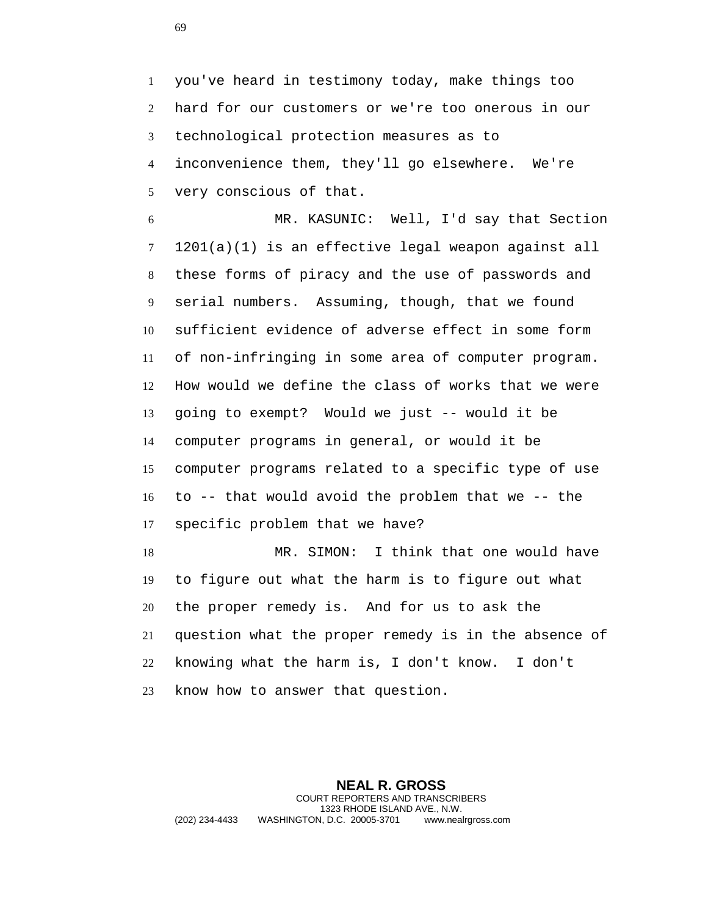you've heard in testimony today, make things too hard for our customers or we're too onerous in our technological protection measures as to inconvenience them, they'll go elsewhere. We're very conscious of that.

 MR. KASUNIC: Well, I'd say that Section 1201(a)(1) is an effective legal weapon against all these forms of piracy and the use of passwords and serial numbers. Assuming, though, that we found sufficient evidence of adverse effect in some form of non-infringing in some area of computer program. How would we define the class of works that we were going to exempt? Would we just -- would it be computer programs in general, or would it be computer programs related to a specific type of use to -- that would avoid the problem that we -- the specific problem that we have? MR. SIMON: I think that one would have

 to figure out what the harm is to figure out what the proper remedy is. And for us to ask the question what the proper remedy is in the absence of knowing what the harm is, I don't know. I don't know how to answer that question.

**NEAL R. GROSS** COURT REPORTERS AND TRANSCRIBERS 1323 RHODE ISLAND AVE., N.W. (202) 234-4433 WASHINGTON, D.C. 20005-3701 www.nealrgross.com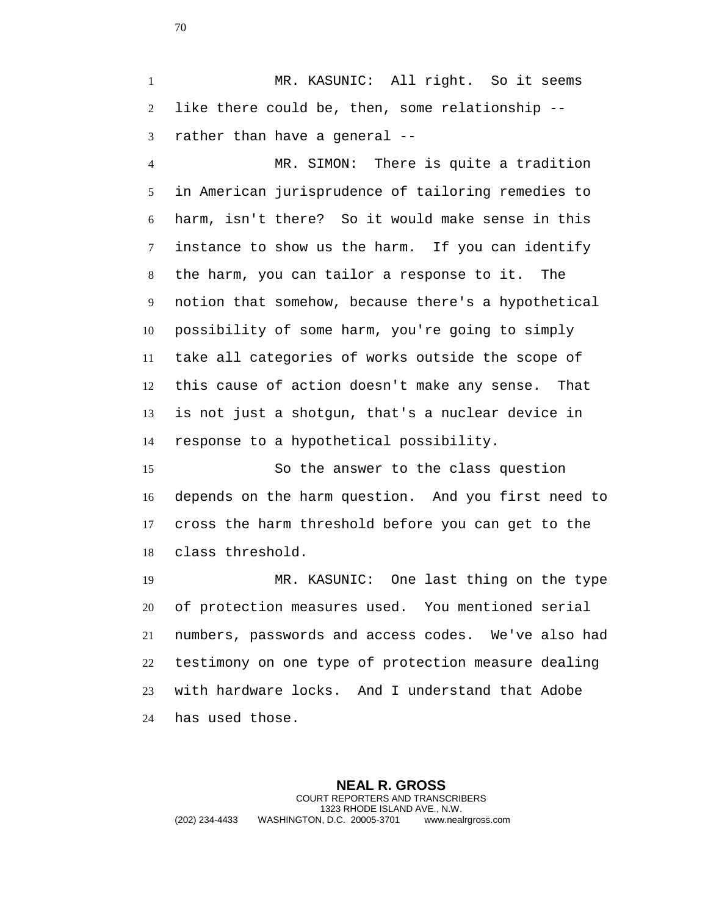1 MR. KASUNIC: All right. So it seems like there could be, then, some relationship -- rather than have a general --

 MR. SIMON: There is quite a tradition in American jurisprudence of tailoring remedies to harm, isn't there? So it would make sense in this instance to show us the harm. If you can identify the harm, you can tailor a response to it. The notion that somehow, because there's a hypothetical possibility of some harm, you're going to simply take all categories of works outside the scope of this cause of action doesn't make any sense. That is not just a shotgun, that's a nuclear device in response to a hypothetical possibility.

 So the answer to the class question depends on the harm question. And you first need to cross the harm threshold before you can get to the class threshold.

 MR. KASUNIC: One last thing on the type of protection measures used. You mentioned serial numbers, passwords and access codes. We've also had testimony on one type of protection measure dealing with hardware locks. And I understand that Adobe has used those.

**NEAL R. GROSS** COURT REPORTERS AND TRANSCRIBERS 1323 RHODE ISLAND AVE., N.W. (202) 234-4433 WASHINGTON, D.C. 20005-3701 www.nealrgross.com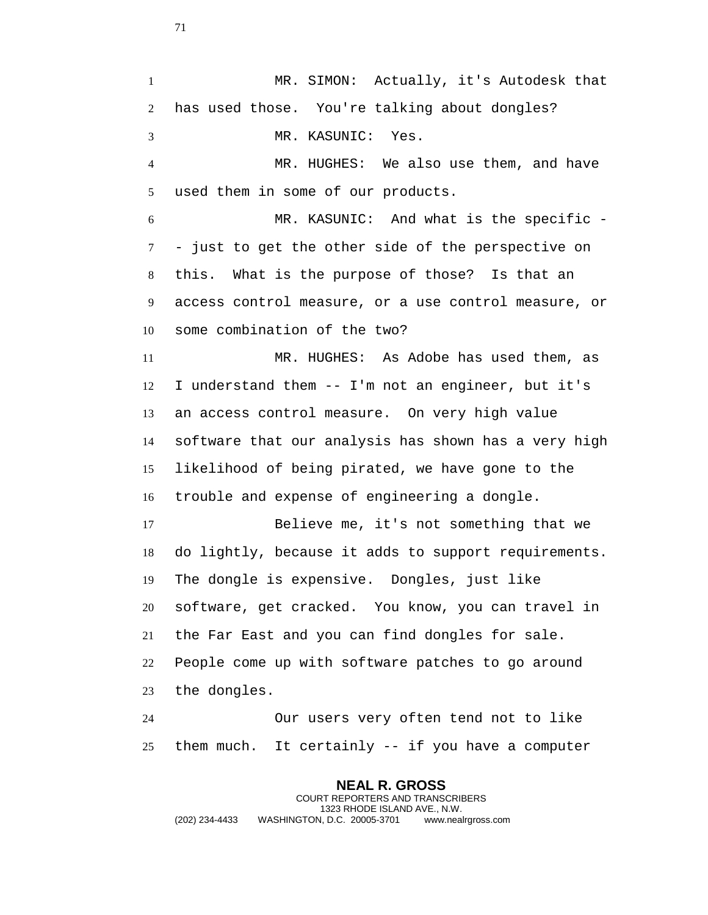MR. SIMON: Actually, it's Autodesk that has used those. You're talking about dongles? MR. KASUNIC: Yes. MR. HUGHES: We also use them, and have used them in some of our products. MR. KASUNIC: And what is the specific - - just to get the other side of the perspective on this. What is the purpose of those? Is that an access control measure, or a use control measure, or some combination of the two? MR. HUGHES: As Adobe has used them, as I understand them -- I'm not an engineer, but it's an access control measure. On very high value software that our analysis has shown has a very high likelihood of being pirated, we have gone to the trouble and expense of engineering a dongle. Believe me, it's not something that we do lightly, because it adds to support requirements. The dongle is expensive. Dongles, just like software, get cracked. You know, you can travel in the Far East and you can find dongles for sale. People come up with software patches to go around the dongles. Our users very often tend not to like them much. It certainly -- if you have a computer

**NEAL R. GROSS** COURT REPORTERS AND TRANSCRIBERS 1323 RHODE ISLAND AVE., N.W. (202) 234-4433 WASHINGTON, D.C. 20005-3701 www.nealrgross.com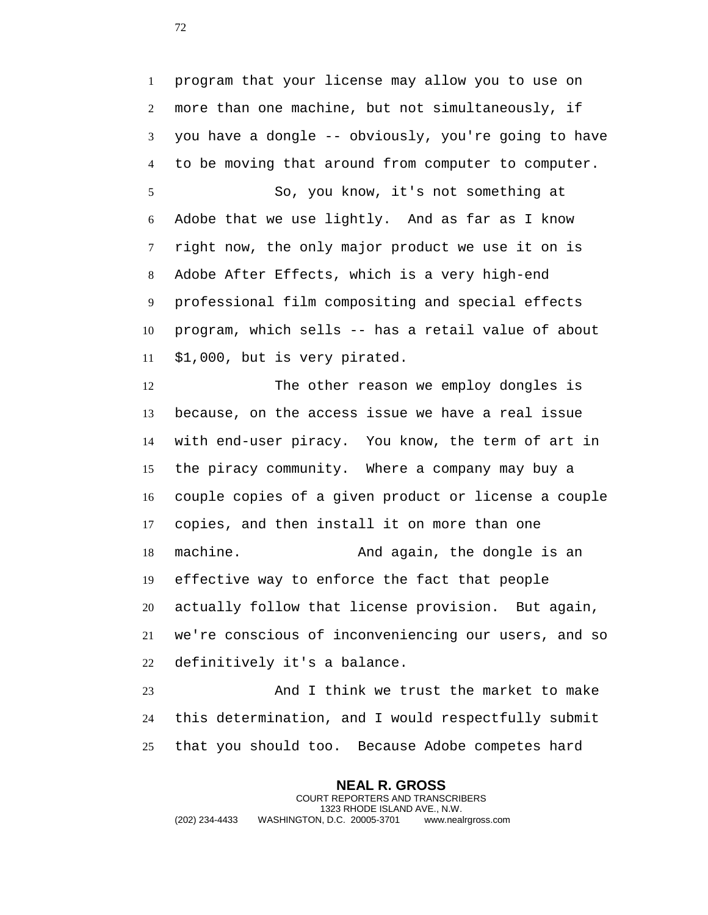program that your license may allow you to use on more than one machine, but not simultaneously, if you have a dongle -- obviously, you're going to have to be moving that around from computer to computer. So, you know, it's not something at Adobe that we use lightly. And as far as I know right now, the only major product we use it on is Adobe After Effects, which is a very high-end professional film compositing and special effects program, which sells -- has a retail value of about \$1,000, but is very pirated.

 The other reason we employ dongles is because, on the access issue we have a real issue with end-user piracy. You know, the term of art in the piracy community. Where a company may buy a couple copies of a given product or license a couple copies, and then install it on more than one machine. And again, the dongle is an effective way to enforce the fact that people actually follow that license provision. But again, we're conscious of inconveniencing our users, and so definitively it's a balance.

 And I think we trust the market to make this determination, and I would respectfully submit that you should too. Because Adobe competes hard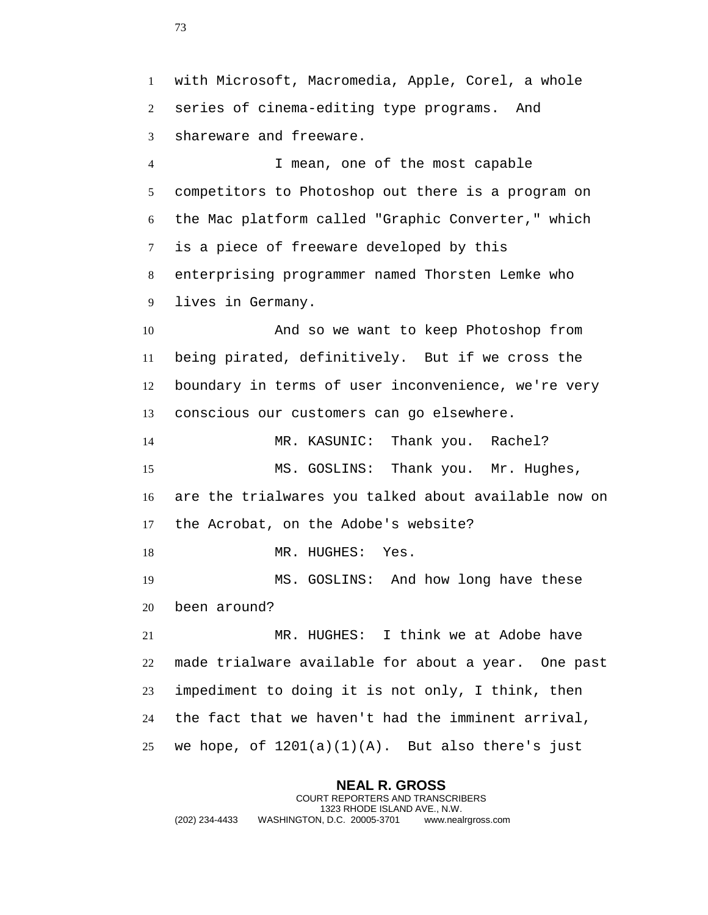with Microsoft, Macromedia, Apple, Corel, a whole series of cinema-editing type programs. And shareware and freeware. I mean, one of the most capable competitors to Photoshop out there is a program on the Mac platform called "Graphic Converter," which is a piece of freeware developed by this enterprising programmer named Thorsten Lemke who lives in Germany. And so we want to keep Photoshop from being pirated, definitively. But if we cross the boundary in terms of user inconvenience, we're very conscious our customers can go elsewhere. MR. KASUNIC: Thank you. Rachel? MS. GOSLINS: Thank you. Mr. Hughes, are the trialwares you talked about available now on the Acrobat, on the Adobe's website? 18 MR. HUGHES: Yes. MS. GOSLINS: And how long have these been around? MR. HUGHES: I think we at Adobe have made trialware available for about a year. One past impediment to doing it is not only, I think, then the fact that we haven't had the imminent arrival, 25 we hope, of  $1201(a)(1)(A)$ . But also there's just

**NEAL R. GROSS** COURT REPORTERS AND TRANSCRIBERS 1323 RHODE ISLAND AVE., N.W. (202) 234-4433 WASHINGTON, D.C. 20005-3701 www.nealrgross.com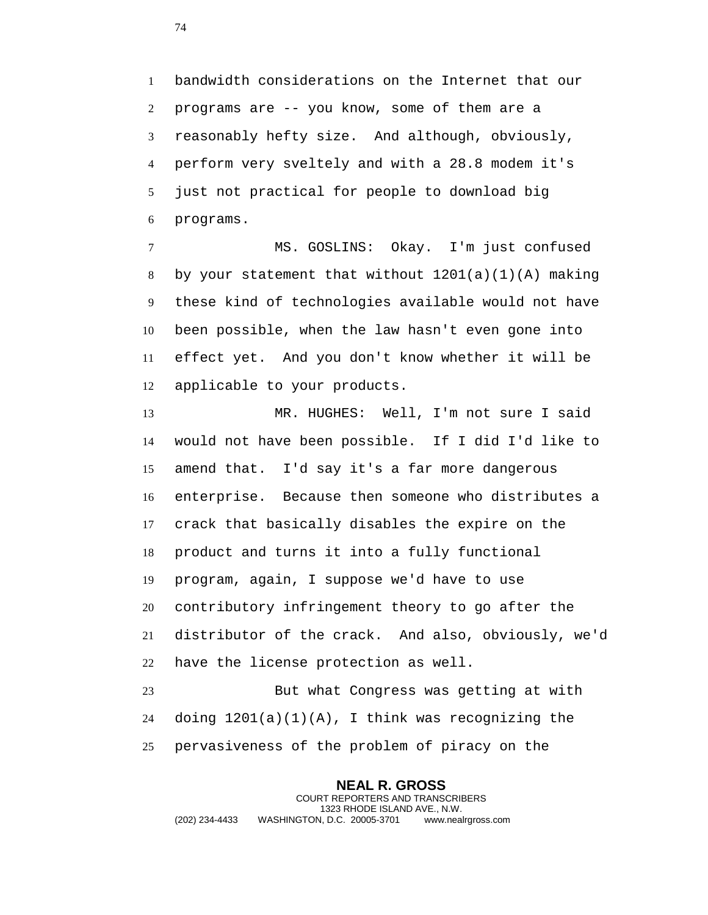bandwidth considerations on the Internet that our programs are -- you know, some of them are a reasonably hefty size. And although, obviously, perform very sveltely and with a 28.8 modem it's just not practical for people to download big programs.

 MS. GOSLINS: Okay. I'm just confused 8 by your statement that without  $1201(a)(1)(A)$  making these kind of technologies available would not have been possible, when the law hasn't even gone into effect yet. And you don't know whether it will be applicable to your products.

 MR. HUGHES: Well, I'm not sure I said would not have been possible. If I did I'd like to amend that. I'd say it's a far more dangerous enterprise. Because then someone who distributes a crack that basically disables the expire on the product and turns it into a fully functional program, again, I suppose we'd have to use contributory infringement theory to go after the distributor of the crack. And also, obviously, we'd have the license protection as well. But what Congress was getting at with

 doing 1201(a)(1)(A), I think was recognizing the pervasiveness of the problem of piracy on the

**NEAL R. GROSS** COURT REPORTERS AND TRANSCRIBERS 1323 RHODE ISLAND AVE., N.W. (202) 234-4433 WASHINGTON, D.C. 20005-3701 www.nealrgross.com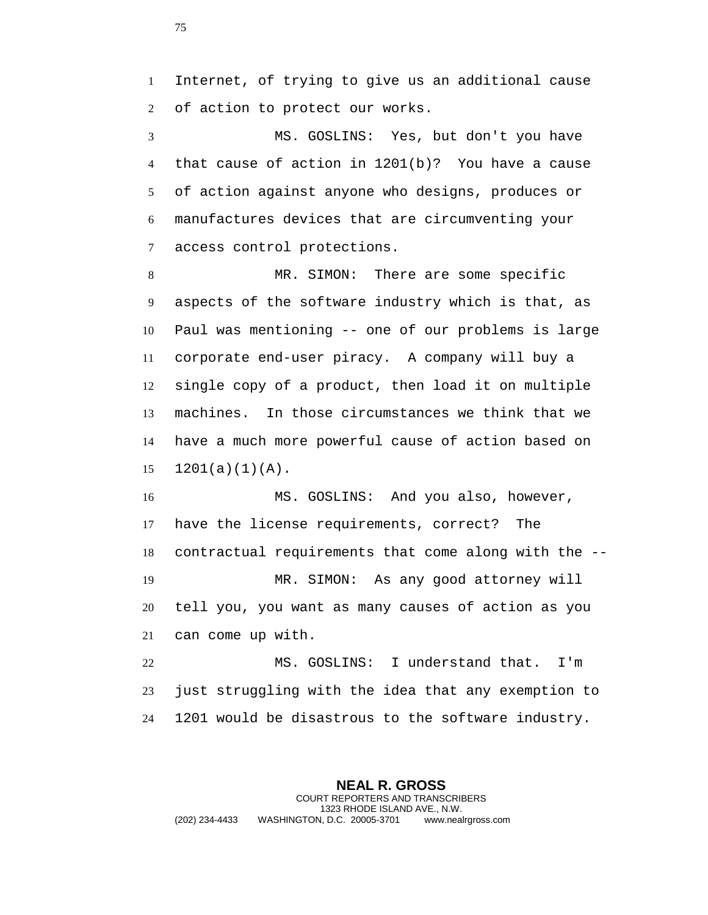Internet, of trying to give us an additional cause of action to protect our works.

 MS. GOSLINS: Yes, but don't you have that cause of action in 1201(b)? You have a cause of action against anyone who designs, produces or manufactures devices that are circumventing your access control protections.

 MR. SIMON: There are some specific aspects of the software industry which is that, as Paul was mentioning -- one of our problems is large corporate end-user piracy. A company will buy a single copy of a product, then load it on multiple machines. In those circumstances we think that we have a much more powerful cause of action based on  $15 \quad 1201(a)(1)(A)$ .

 MS. GOSLINS: And you also, however, have the license requirements, correct? The contractual requirements that come along with the -- MR. SIMON: As any good attorney will tell you, you want as many causes of action as you can come up with.

 MS. GOSLINS: I understand that. I'm just struggling with the idea that any exemption to 1201 would be disastrous to the software industry.

**NEAL R. GROSS** COURT REPORTERS AND TRANSCRIBERS 1323 RHODE ISLAND AVE., N.W. (202) 234-4433 WASHINGTON, D.C. 20005-3701 www.nealrgross.com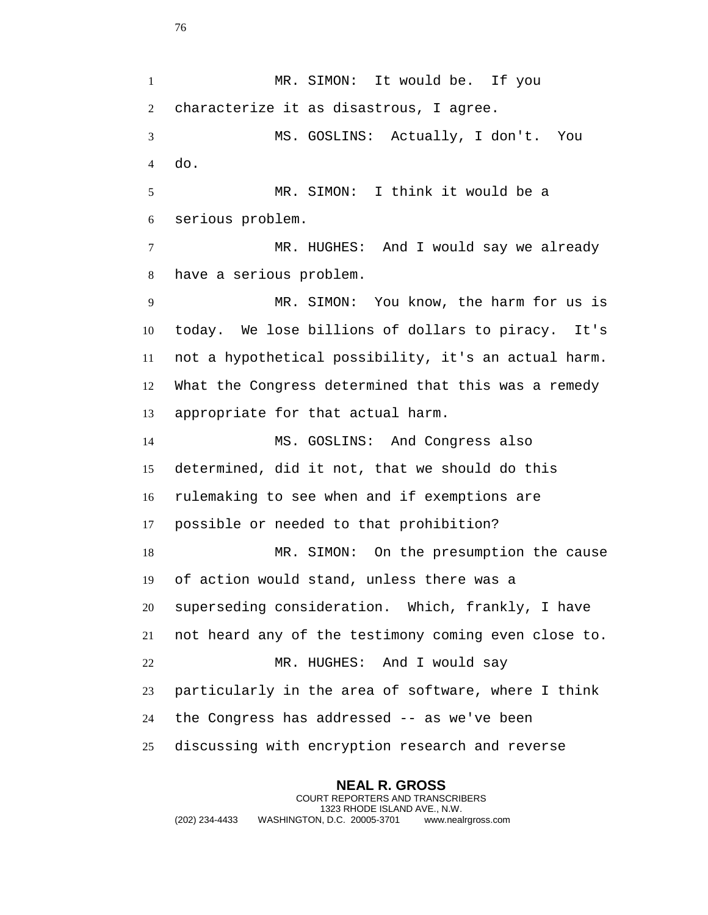MR. SIMON: It would be. If you characterize it as disastrous, I agree. MS. GOSLINS: Actually, I don't. You do. MR. SIMON: I think it would be a serious problem. MR. HUGHES: And I would say we already have a serious problem. MR. SIMON: You know, the harm for us is today. We lose billions of dollars to piracy. It's not a hypothetical possibility, it's an actual harm. What the Congress determined that this was a remedy appropriate for that actual harm. MS. GOSLINS: And Congress also determined, did it not, that we should do this rulemaking to see when and if exemptions are possible or needed to that prohibition? MR. SIMON: On the presumption the cause of action would stand, unless there was a superseding consideration. Which, frankly, I have not heard any of the testimony coming even close to. MR. HUGHES: And I would say particularly in the area of software, where I think the Congress has addressed -- as we've been discussing with encryption research and reverse

**NEAL R. GROSS** COURT REPORTERS AND TRANSCRIBERS 1323 RHODE ISLAND AVE., N.W. (202) 234-4433 WASHINGTON, D.C. 20005-3701 www.nealrgross.com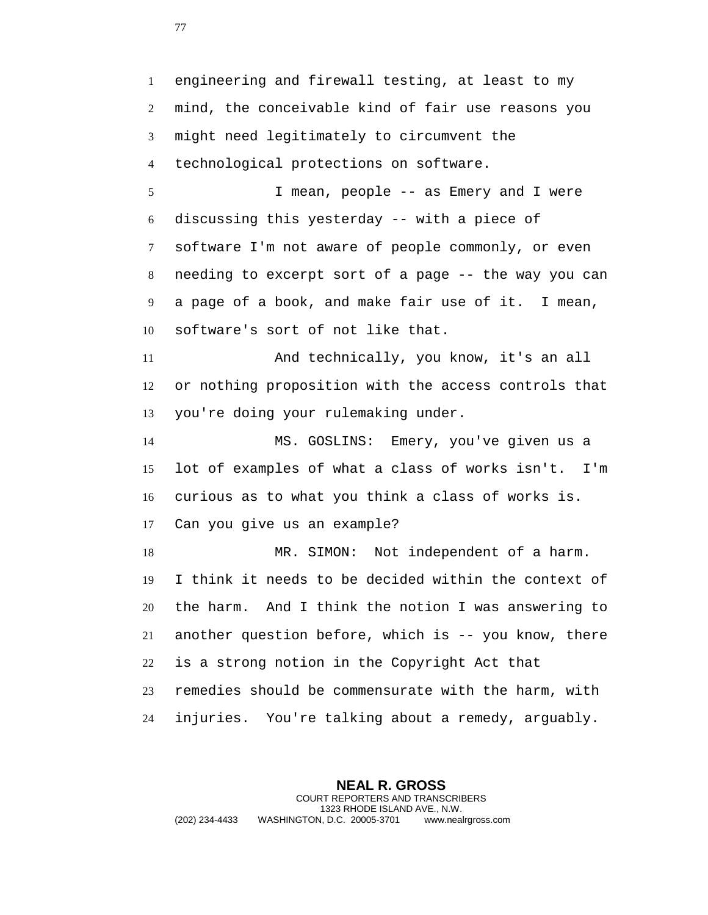engineering and firewall testing, at least to my mind, the conceivable kind of fair use reasons you might need legitimately to circumvent the technological protections on software. I mean, people -- as Emery and I were discussing this yesterday -- with a piece of software I'm not aware of people commonly, or even needing to excerpt sort of a page -- the way you can a page of a book, and make fair use of it. I mean, software's sort of not like that. And technically, you know, it's an all or nothing proposition with the access controls that you're doing your rulemaking under. MS. GOSLINS: Emery, you've given us a lot of examples of what a class of works isn't. I'm curious as to what you think a class of works is. Can you give us an example? MR. SIMON: Not independent of a harm. I think it needs to be decided within the context of the harm. And I think the notion I was answering to another question before, which is -- you know, there is a strong notion in the Copyright Act that remedies should be commensurate with the harm, with injuries. You're talking about a remedy, arguably.

**NEAL R. GROSS** COURT REPORTERS AND TRANSCRIBERS 1323 RHODE ISLAND AVE., N.W. (202) 234-4433 WASHINGTON, D.C. 20005-3701 www.nealrgross.com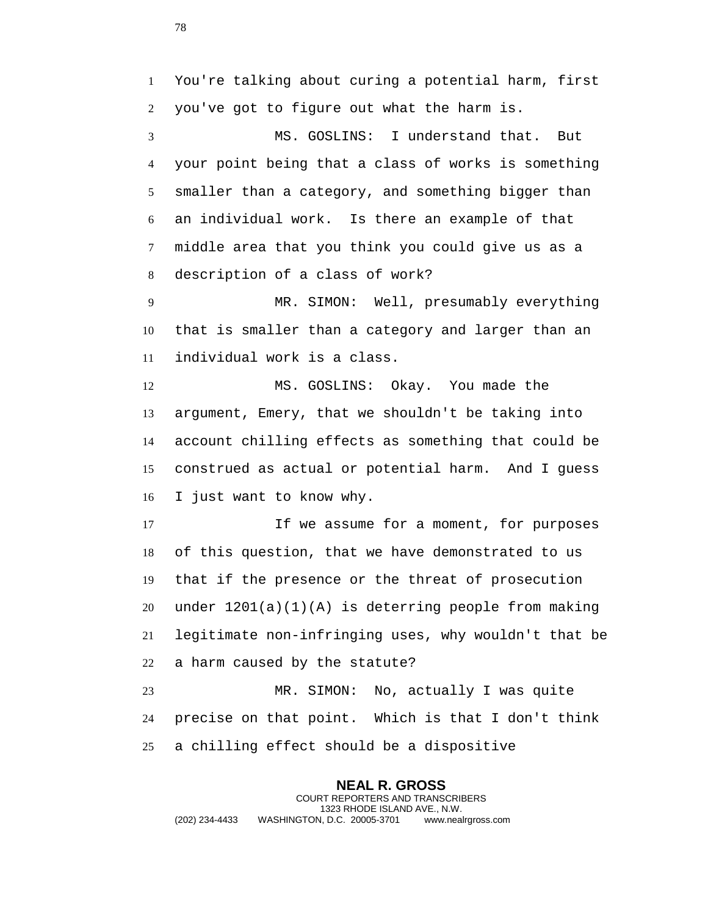```
1 You're talking about curing a potential harm, first
2 you've got to figure out what the harm is.
```
 MS. GOSLINS: I understand that. But your point being that a class of works is something smaller than a category, and something bigger than an individual work. Is there an example of that middle area that you think you could give us as a description of a class of work?

 MR. SIMON: Well, presumably everything that is smaller than a category and larger than an individual work is a class.

 MS. GOSLINS: Okay. You made the argument, Emery, that we shouldn't be taking into account chilling effects as something that could be construed as actual or potential harm. And I guess I just want to know why.

 If we assume for a moment, for purposes of this question, that we have demonstrated to us that if the presence or the threat of prosecution under 1201(a)(1)(A) is deterring people from making legitimate non-infringing uses, why wouldn't that be a harm caused by the statute?

 MR. SIMON: No, actually I was quite precise on that point. Which is that I don't think a chilling effect should be a dispositive

**NEAL R. GROSS** COURT REPORTERS AND TRANSCRIBERS 1323 RHODE ISLAND AVE., N.W. (202) 234-4433 WASHINGTON, D.C. 20005-3701 www.nealrgross.com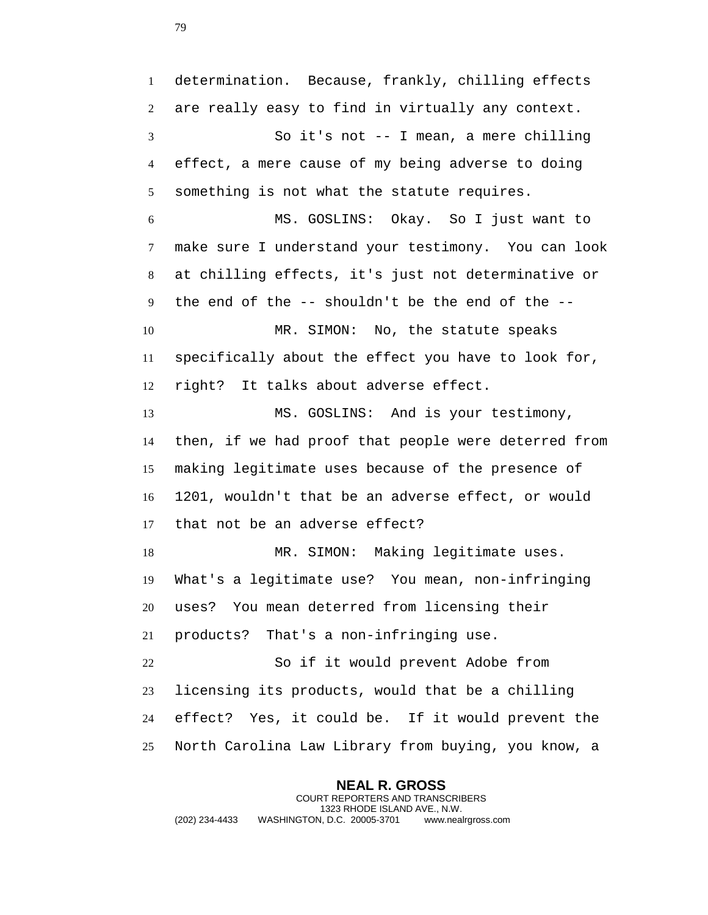**NEAL R. GROSS** COURT REPORTERS AND TRANSCRIBERS 1323 RHODE ISLAND AVE., N.W. determination. Because, frankly, chilling effects are really easy to find in virtually any context. So it's not -- I mean, a mere chilling effect, a mere cause of my being adverse to doing something is not what the statute requires. MS. GOSLINS: Okay. So I just want to make sure I understand your testimony. You can look at chilling effects, it's just not determinative or the end of the -- shouldn't be the end of the -- 10 MR. SIMON: No, the statute speaks specifically about the effect you have to look for, right? It talks about adverse effect. MS. GOSLINS: And is your testimony, then, if we had proof that people were deterred from making legitimate uses because of the presence of 1201, wouldn't that be an adverse effect, or would that not be an adverse effect? 18 MR. SIMON: Making legitimate uses. What's a legitimate use? You mean, non-infringing uses? You mean deterred from licensing their products? That's a non-infringing use. So if it would prevent Adobe from licensing its products, would that be a chilling effect? Yes, it could be. If it would prevent the North Carolina Law Library from buying, you know, a

(202) 234-4433 WASHINGTON, D.C. 20005-3701 www.nealrgross.com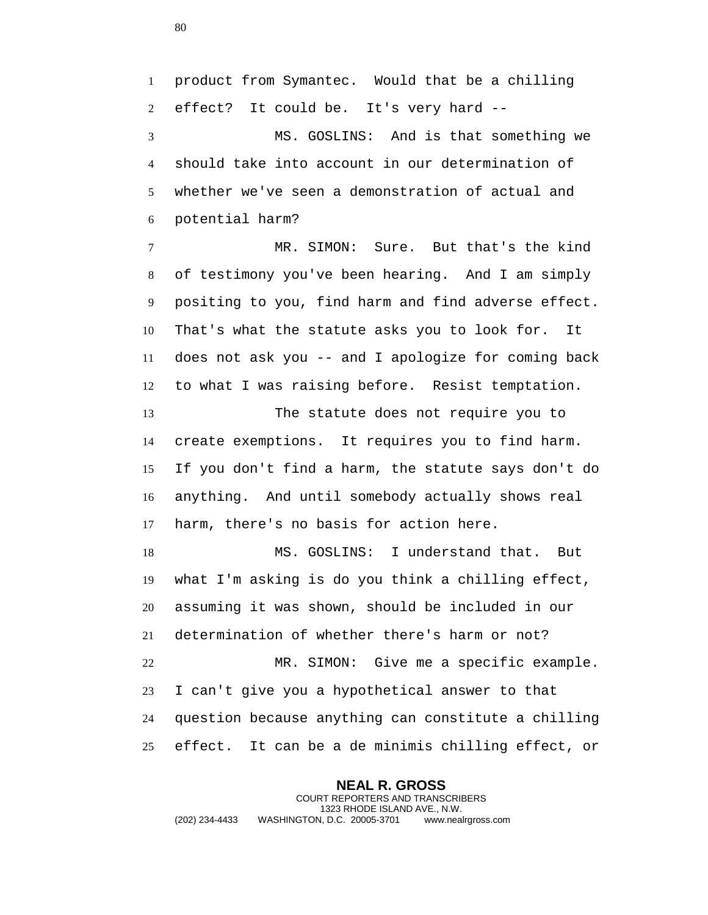product from Symantec. Would that be a chilling effect? It could be. It's very hard -- MS. GOSLINS: And is that something we should take into account in our determination of whether we've seen a demonstration of actual and potential harm? MR. SIMON: Sure. But that's the kind of testimony you've been hearing. And I am simply positing to you, find harm and find adverse effect. That's what the statute asks you to look for. It does not ask you -- and I apologize for coming back to what I was raising before. Resist temptation. The statute does not require you to create exemptions. It requires you to find harm. If you don't find a harm, the statute says don't do anything. And until somebody actually shows real harm, there's no basis for action here. MS. GOSLINS: I understand that. But what I'm asking is do you think a chilling effect, assuming it was shown, should be included in our determination of whether there's harm or not? MR. SIMON: Give me a specific example. I can't give you a hypothetical answer to that question because anything can constitute a chilling effect. It can be a de minimis chilling effect, or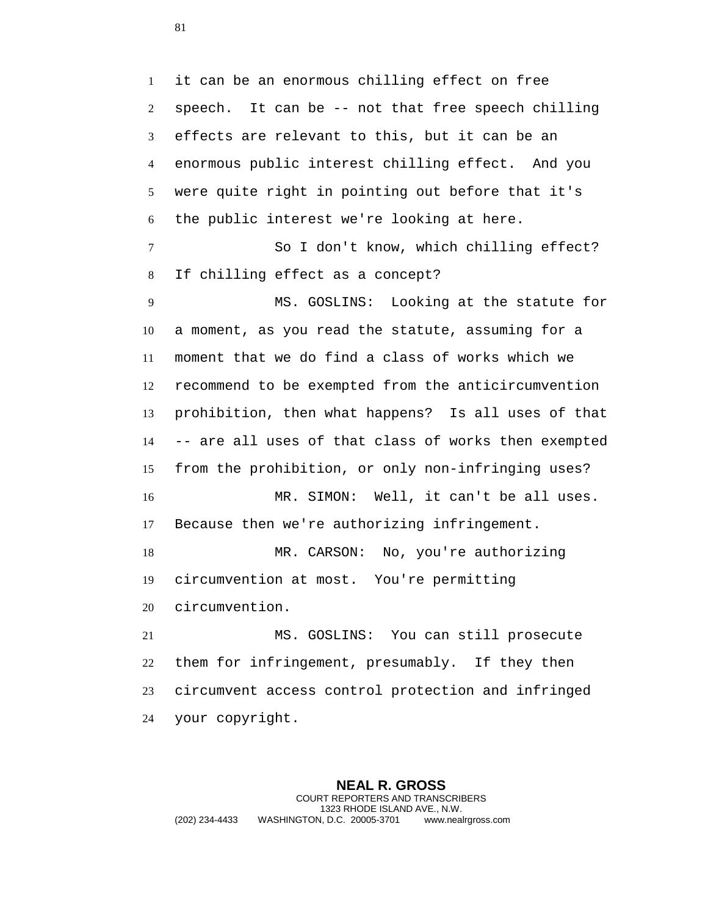it can be an enormous chilling effect on free speech. It can be -- not that free speech chilling effects are relevant to this, but it can be an enormous public interest chilling effect. And you were quite right in pointing out before that it's the public interest we're looking at here. So I don't know, which chilling effect? If chilling effect as a concept? MS. GOSLINS: Looking at the statute for a moment, as you read the statute, assuming for a moment that we do find a class of works which we recommend to be exempted from the anticircumvention prohibition, then what happens? Is all uses of that -- are all uses of that class of works then exempted from the prohibition, or only non-infringing uses? MR. SIMON: Well, it can't be all uses. Because then we're authorizing infringement. 18 MR. CARSON: No, you're authorizing circumvention at most. You're permitting circumvention. MS. GOSLINS: You can still prosecute them for infringement, presumably. If they then circumvent access control protection and infringed your copyright.

**NEAL R. GROSS** COURT REPORTERS AND TRANSCRIBERS 1323 RHODE ISLAND AVE., N.W. (202) 234-4433 WASHINGTON, D.C. 20005-3701 www.nealrgross.com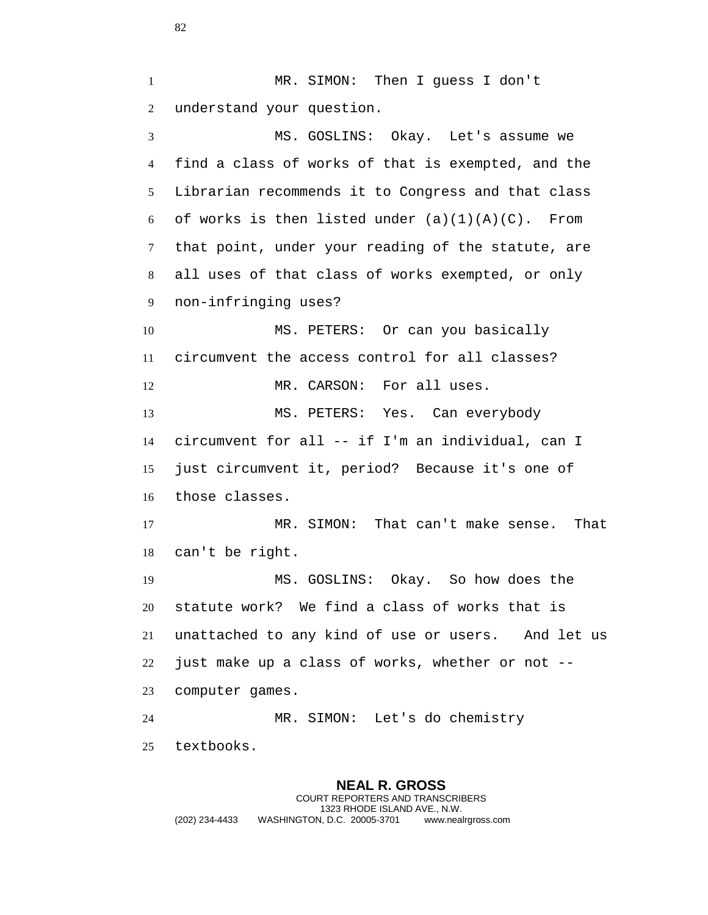MR. SIMON: Then I guess I don't understand your question. MS. GOSLINS: Okay. Let's assume we find a class of works of that is exempted, and the Librarian recommends it to Congress and that class 6 of works is then listed under  $(a)(1)(A)(C)$ . From that point, under your reading of the statute, are all uses of that class of works exempted, or only non-infringing uses? MS. PETERS: Or can you basically circumvent the access control for all classes? 12 MR. CARSON: For all uses. MS. PETERS: Yes. Can everybody circumvent for all -- if I'm an individual, can I just circumvent it, period? Because it's one of those classes. MR. SIMON: That can't make sense. That can't be right. MS. GOSLINS: Okay. So how does the statute work? We find a class of works that is unattached to any kind of use or users. And let us just make up a class of works, whether or not -- computer games. MR. SIMON: Let's do chemistry textbooks.

**NEAL R. GROSS** COURT REPORTERS AND TRANSCRIBERS 1323 RHODE ISLAND AVE., N.W. (202) 234-4433 WASHINGTON, D.C. 20005-3701 www.nealrgross.com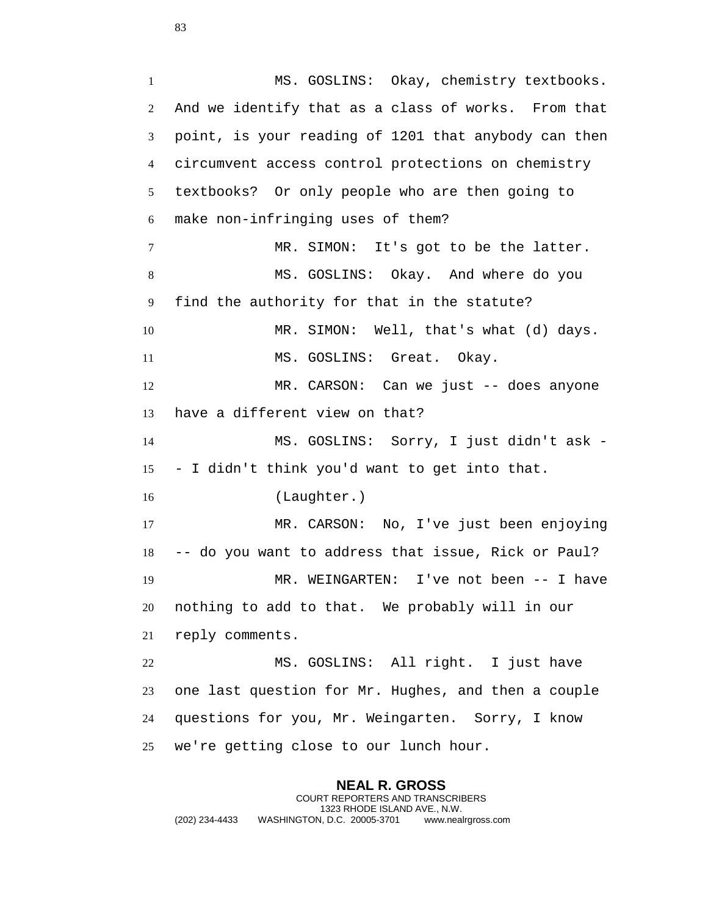MS. GOSLINS: Okay, chemistry textbooks. And we identify that as a class of works. From that point, is your reading of 1201 that anybody can then circumvent access control protections on chemistry textbooks? Or only people who are then going to make non-infringing uses of them? MR. SIMON: It's got to be the latter. MS. GOSLINS: Okay. And where do you find the authority for that in the statute? MR. SIMON: Well, that's what (d) days. 11 MS. GOSLINS: Great. Okay. MR. CARSON: Can we just -- does anyone have a different view on that? MS. GOSLINS: Sorry, I just didn't ask - - I didn't think you'd want to get into that. (Laughter.) MR. CARSON: No, I've just been enjoying -- do you want to address that issue, Rick or Paul? MR. WEINGARTEN: I've not been -- I have nothing to add to that. We probably will in our reply comments. MS. GOSLINS: All right. I just have one last question for Mr. Hughes, and then a couple questions for you, Mr. Weingarten. Sorry, I know

we're getting close to our lunch hour.

**NEAL R. GROSS** COURT REPORTERS AND TRANSCRIBERS 1323 RHODE ISLAND AVE., N.W. (202) 234-4433 WASHINGTON, D.C. 20005-3701 www.nealrgross.com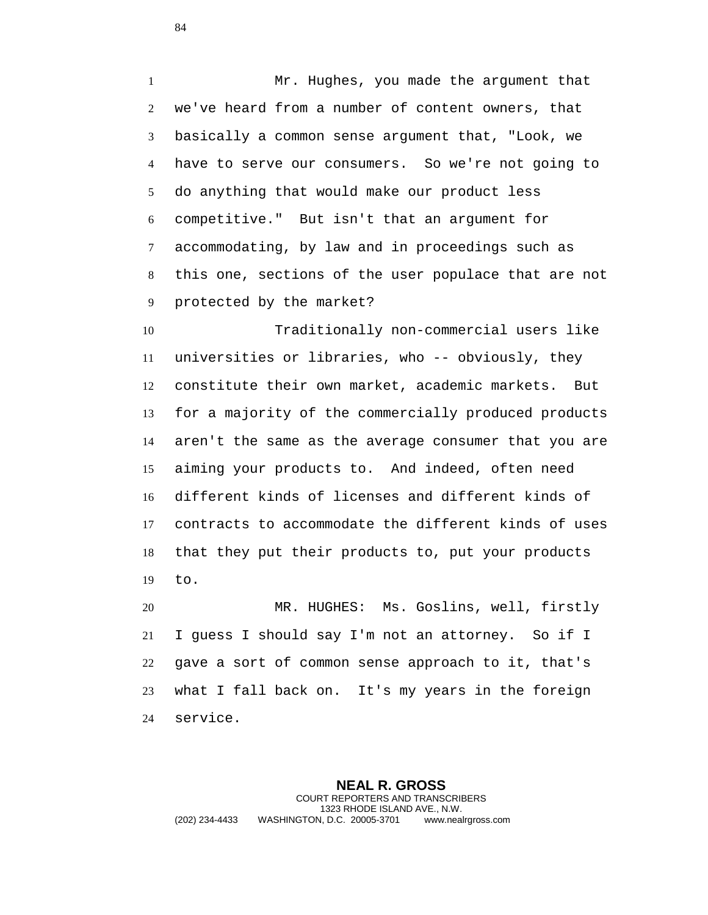Mr. Hughes, you made the argument that we've heard from a number of content owners, that basically a common sense argument that, "Look, we have to serve our consumers. So we're not going to do anything that would make our product less competitive." But isn't that an argument for accommodating, by law and in proceedings such as this one, sections of the user populace that are not protected by the market?

 Traditionally non-commercial users like universities or libraries, who -- obviously, they constitute their own market, academic markets. But for a majority of the commercially produced products aren't the same as the average consumer that you are aiming your products to. And indeed, often need different kinds of licenses and different kinds of contracts to accommodate the different kinds of uses that they put their products to, put your products to.

 MR. HUGHES: Ms. Goslins, well, firstly I guess I should say I'm not an attorney. So if I gave a sort of common sense approach to it, that's what I fall back on. It's my years in the foreign service.

**NEAL R. GROSS** COURT REPORTERS AND TRANSCRIBERS 1323 RHODE ISLAND AVE., N.W. (202) 234-4433 WASHINGTON, D.C. 20005-3701 www.nealrgross.com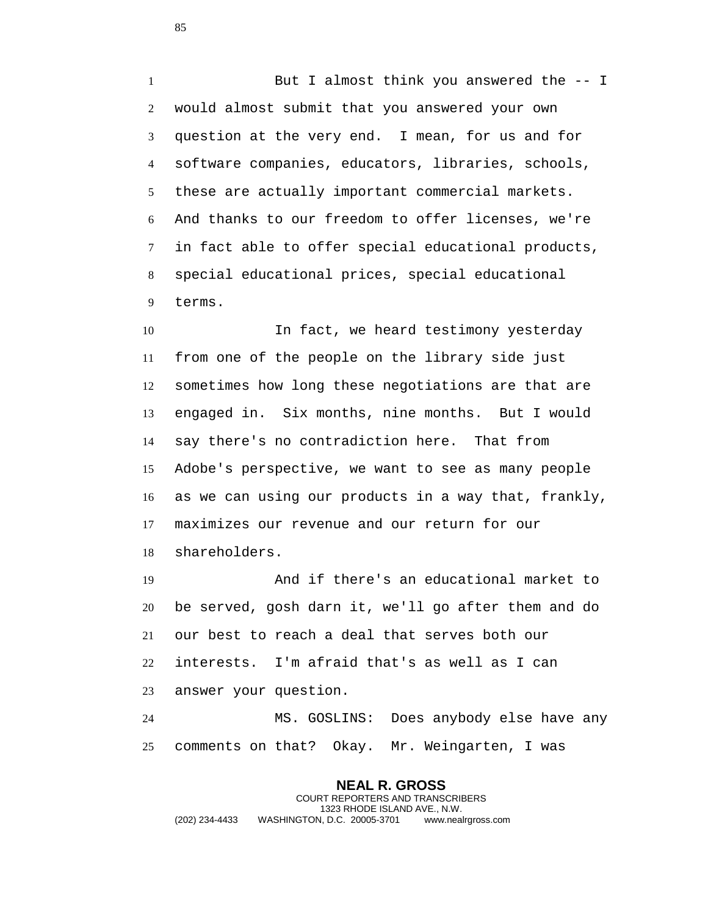But I almost think you answered the -- I would almost submit that you answered your own question at the very end. I mean, for us and for software companies, educators, libraries, schools, these are actually important commercial markets. And thanks to our freedom to offer licenses, we're in fact able to offer special educational products, special educational prices, special educational terms.

 In fact, we heard testimony yesterday from one of the people on the library side just sometimes how long these negotiations are that are engaged in. Six months, nine months. But I would say there's no contradiction here. That from Adobe's perspective, we want to see as many people as we can using our products in a way that, frankly, maximizes our revenue and our return for our shareholders.

 And if there's an educational market to be served, gosh darn it, we'll go after them and do our best to reach a deal that serves both our interests. I'm afraid that's as well as I can answer your question.

 MS. GOSLINS: Does anybody else have any comments on that? Okay. Mr. Weingarten, I was

**NEAL R. GROSS** COURT REPORTERS AND TRANSCRIBERS 1323 RHODE ISLAND AVE., N.W. (202) 234-4433 WASHINGTON, D.C. 20005-3701 www.nealrgross.com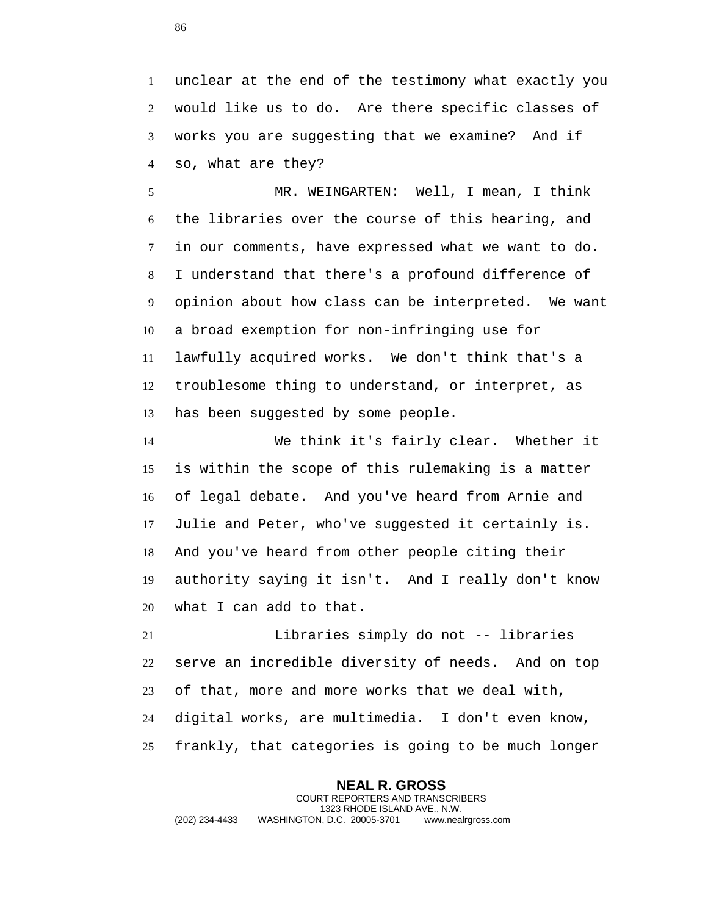unclear at the end of the testimony what exactly you would like us to do. Are there specific classes of works you are suggesting that we examine? And if so, what are they?

 MR. WEINGARTEN: Well, I mean, I think the libraries over the course of this hearing, and in our comments, have expressed what we want to do. I understand that there's a profound difference of opinion about how class can be interpreted. We want a broad exemption for non-infringing use for lawfully acquired works. We don't think that's a troublesome thing to understand, or interpret, as has been suggested by some people.

 We think it's fairly clear. Whether it is within the scope of this rulemaking is a matter of legal debate. And you've heard from Arnie and Julie and Peter, who've suggested it certainly is. And you've heard from other people citing their authority saying it isn't. And I really don't know what I can add to that.

 Libraries simply do not -- libraries serve an incredible diversity of needs. And on top of that, more and more works that we deal with, digital works, are multimedia. I don't even know, frankly, that categories is going to be much longer

**NEAL R. GROSS** COURT REPORTERS AND TRANSCRIBERS 1323 RHODE ISLAND AVE., N.W. (202) 234-4433 WASHINGTON, D.C. 20005-3701 www.nealrgross.com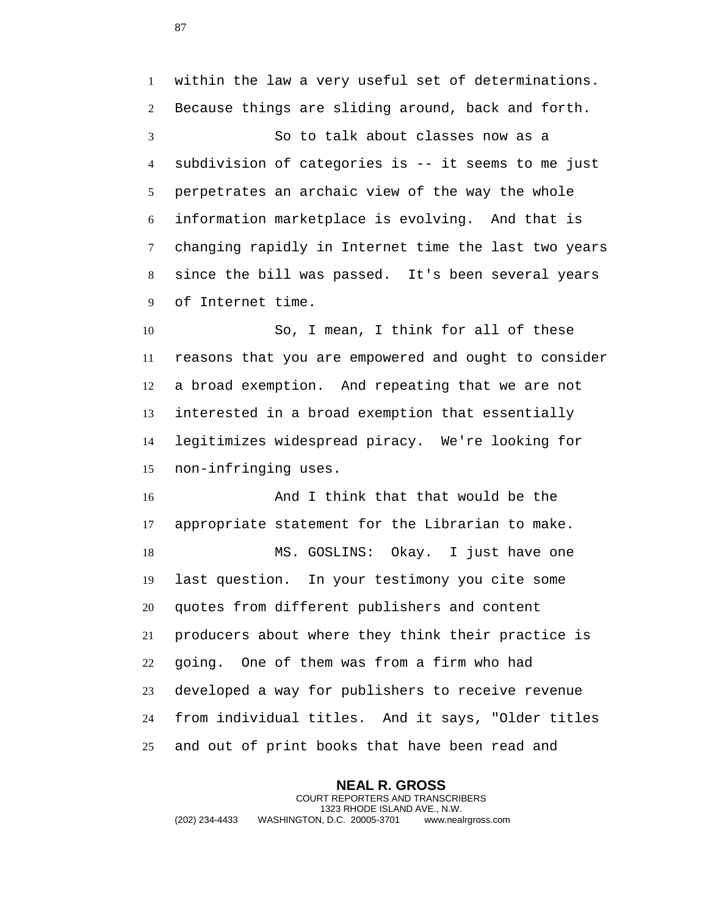within the law a very useful set of determinations. Because things are sliding around, back and forth. So to talk about classes now as a subdivision of categories is -- it seems to me just perpetrates an archaic view of the way the whole information marketplace is evolving. And that is changing rapidly in Internet time the last two years since the bill was passed. It's been several years of Internet time.

 So, I mean, I think for all of these reasons that you are empowered and ought to consider a broad exemption. And repeating that we are not interested in a broad exemption that essentially legitimizes widespread piracy. We're looking for non-infringing uses.

16 And I think that that would be the appropriate statement for the Librarian to make. MS. GOSLINS: Okay. I just have one last question. In your testimony you cite some quotes from different publishers and content producers about where they think their practice is going. One of them was from a firm who had developed a way for publishers to receive revenue from individual titles. And it says, "Older titles and out of print books that have been read and

**NEAL R. GROSS** COURT REPORTERS AND TRANSCRIBERS 1323 RHODE ISLAND AVE., N.W. (202) 234-4433 WASHINGTON, D.C. 20005-3701 www.nealrgross.com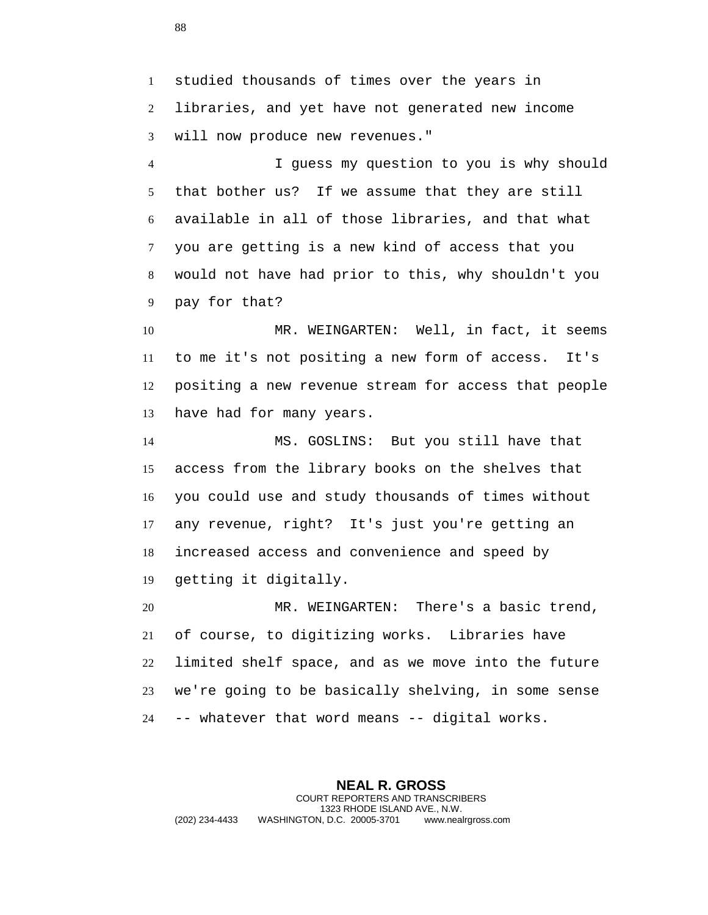studied thousands of times over the years in libraries, and yet have not generated new income will now produce new revenues."

 I guess my question to you is why should that bother us? If we assume that they are still available in all of those libraries, and that what you are getting is a new kind of access that you would not have had prior to this, why shouldn't you pay for that?

 MR. WEINGARTEN: Well, in fact, it seems to me it's not positing a new form of access. It's positing a new revenue stream for access that people have had for many years.

 MS. GOSLINS: But you still have that access from the library books on the shelves that you could use and study thousands of times without any revenue, right? It's just you're getting an increased access and convenience and speed by getting it digitally.

 MR. WEINGARTEN: There's a basic trend, of course, to digitizing works. Libraries have limited shelf space, and as we move into the future we're going to be basically shelving, in some sense -- whatever that word means -- digital works.

**NEAL R. GROSS** COURT REPORTERS AND TRANSCRIBERS 1323 RHODE ISLAND AVE., N.W. (202) 234-4433 WASHINGTON, D.C. 20005-3701 www.nealrgross.com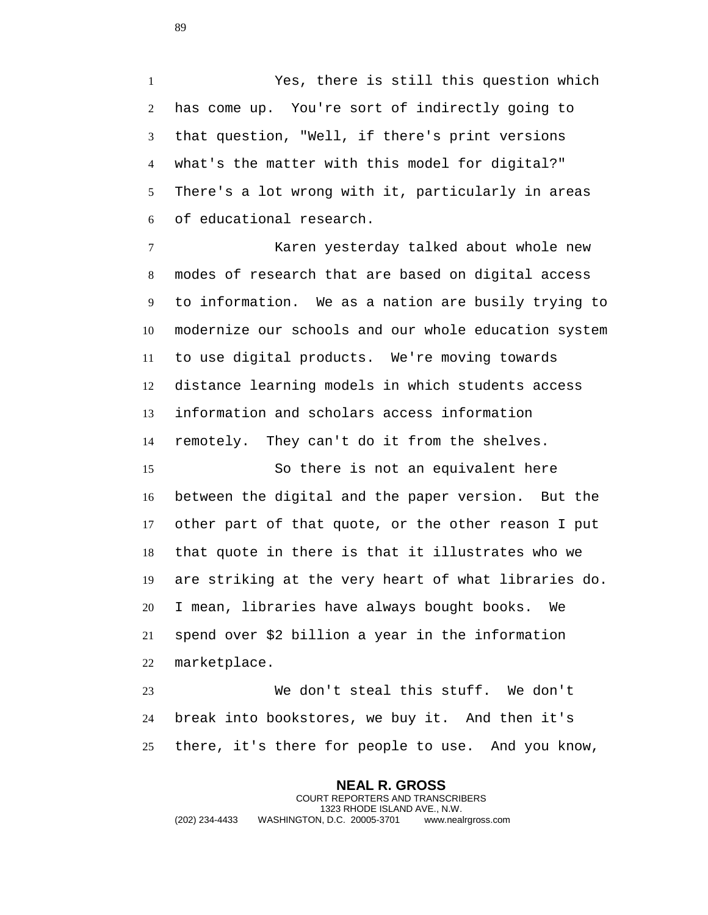Yes, there is still this question which has come up. You're sort of indirectly going to that question, "Well, if there's print versions what's the matter with this model for digital?" There's a lot wrong with it, particularly in areas of educational research.

 Karen yesterday talked about whole new modes of research that are based on digital access to information. We as a nation are busily trying to modernize our schools and our whole education system to use digital products. We're moving towards distance learning models in which students access information and scholars access information remotely. They can't do it from the shelves.

 So there is not an equivalent here between the digital and the paper version. But the other part of that quote, or the other reason I put that quote in there is that it illustrates who we are striking at the very heart of what libraries do. I mean, libraries have always bought books. We spend over \$2 billion a year in the information marketplace.

 We don't steal this stuff. We don't break into bookstores, we buy it. And then it's there, it's there for people to use. And you know,

**NEAL R. GROSS** COURT REPORTERS AND TRANSCRIBERS 1323 RHODE ISLAND AVE., N.W. (202) 234-4433 WASHINGTON, D.C. 20005-3701 www.nealrgross.com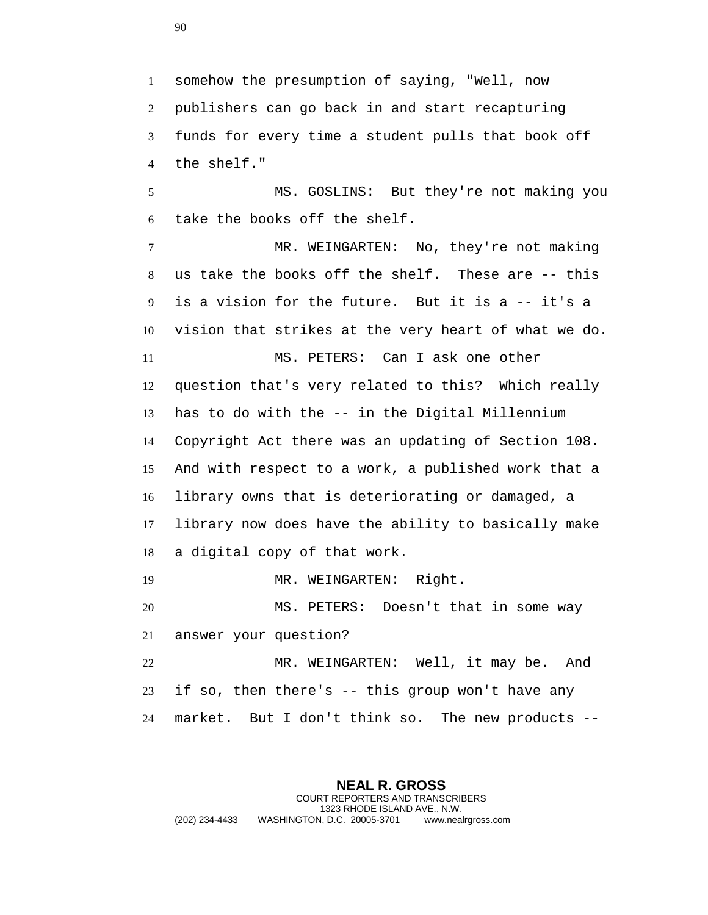somehow the presumption of saying, "Well, now publishers can go back in and start recapturing funds for every time a student pulls that book off the shelf."

 MS. GOSLINS: But they're not making you take the books off the shelf.

 MR. WEINGARTEN: No, they're not making us take the books off the shelf. These are -- this is a vision for the future. But it is a -- it's a vision that strikes at the very heart of what we do. MS. PETERS: Can I ask one other question that's very related to this? Which really has to do with the -- in the Digital Millennium Copyright Act there was an updating of Section 108. And with respect to a work, a published work that a library owns that is deteriorating or damaged, a library now does have the ability to basically make a digital copy of that work.

19 MR. WEINGARTEN: Right.

 MS. PETERS: Doesn't that in some way answer your question?

 MR. WEINGARTEN: Well, it may be. And if so, then there's -- this group won't have any market. But I don't think so. The new products --

**NEAL R. GROSS** COURT REPORTERS AND TRANSCRIBERS 1323 RHODE ISLAND AVE., N.W. (202) 234-4433 WASHINGTON, D.C. 20005-3701 www.nealrgross.com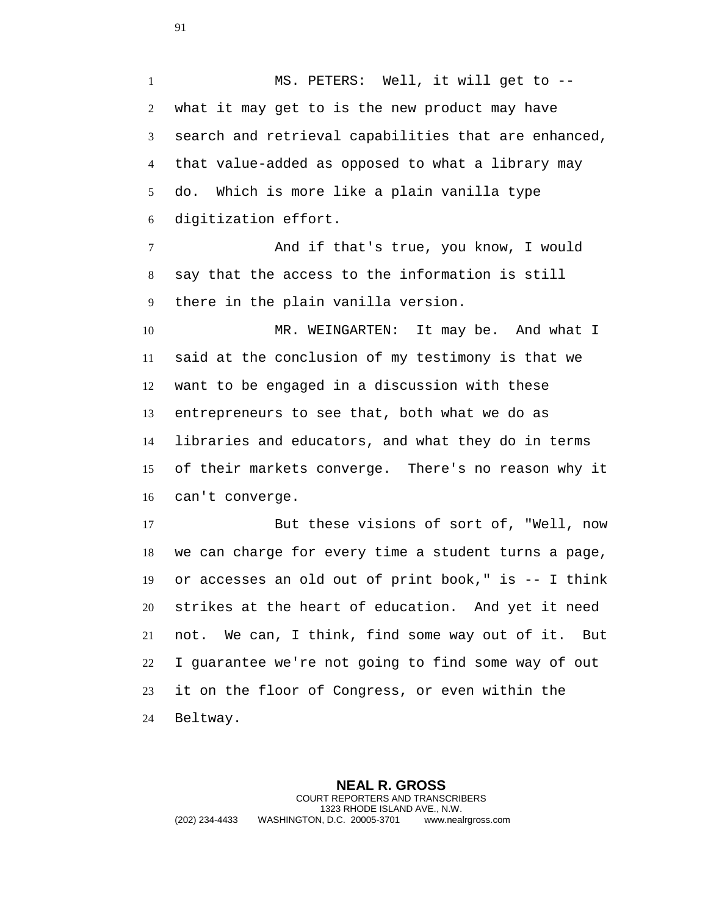MS. PETERS: Well, it will get to -- what it may get to is the new product may have search and retrieval capabilities that are enhanced, that value-added as opposed to what a library may do. Which is more like a plain vanilla type digitization effort. And if that's true, you know, I would say that the access to the information is still there in the plain vanilla version.

 MR. WEINGARTEN: It may be. And what I said at the conclusion of my testimony is that we want to be engaged in a discussion with these entrepreneurs to see that, both what we do as libraries and educators, and what they do in terms of their markets converge. There's no reason why it can't converge.

 But these visions of sort of, "Well, now we can charge for every time a student turns a page, or accesses an old out of print book," is -- I think strikes at the heart of education. And yet it need not. We can, I think, find some way out of it. But I guarantee we're not going to find some way of out it on the floor of Congress, or even within the Beltway.

**NEAL R. GROSS** COURT REPORTERS AND TRANSCRIBERS 1323 RHODE ISLAND AVE., N.W. (202) 234-4433 WASHINGTON, D.C. 20005-3701 www.nealrgross.com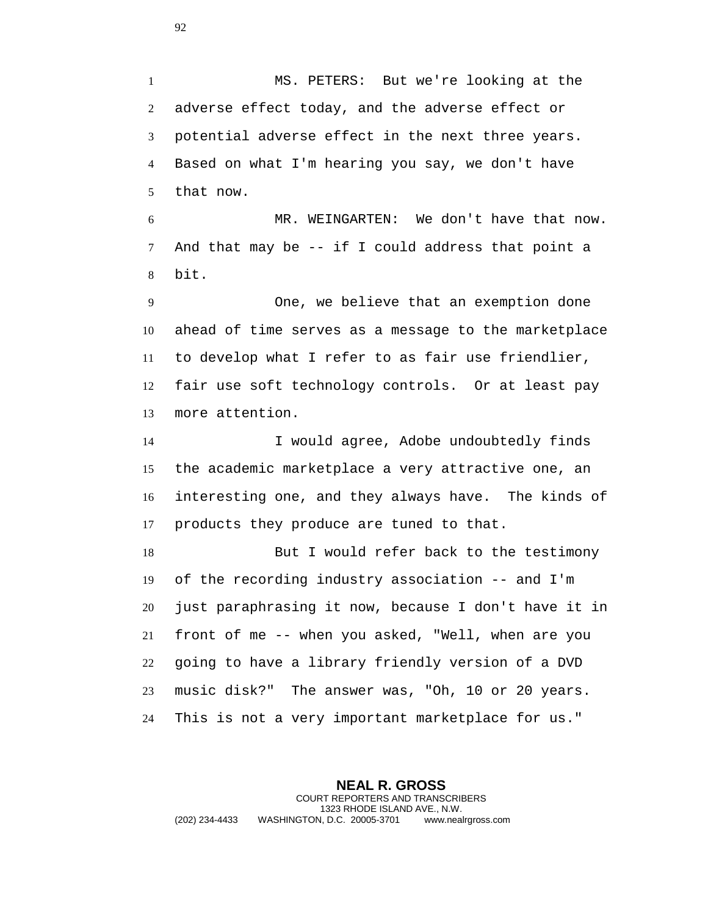MS. PETERS: But we're looking at the adverse effect today, and the adverse effect or potential adverse effect in the next three years. Based on what I'm hearing you say, we don't have that now.

 MR. WEINGARTEN: We don't have that now. And that may be -- if I could address that point a bit.

 One, we believe that an exemption done ahead of time serves as a message to the marketplace to develop what I refer to as fair use friendlier, fair use soft technology controls. Or at least pay more attention.

 I would agree, Adobe undoubtedly finds the academic marketplace a very attractive one, an interesting one, and they always have. The kinds of products they produce are tuned to that.

 But I would refer back to the testimony of the recording industry association -- and I'm just paraphrasing it now, because I don't have it in front of me -- when you asked, "Well, when are you going to have a library friendly version of a DVD music disk?" The answer was, "Oh, 10 or 20 years. This is not a very important marketplace for us."

**NEAL R. GROSS** COURT REPORTERS AND TRANSCRIBERS 1323 RHODE ISLAND AVE., N.W. (202) 234-4433 WASHINGTON, D.C. 20005-3701 www.nealrgross.com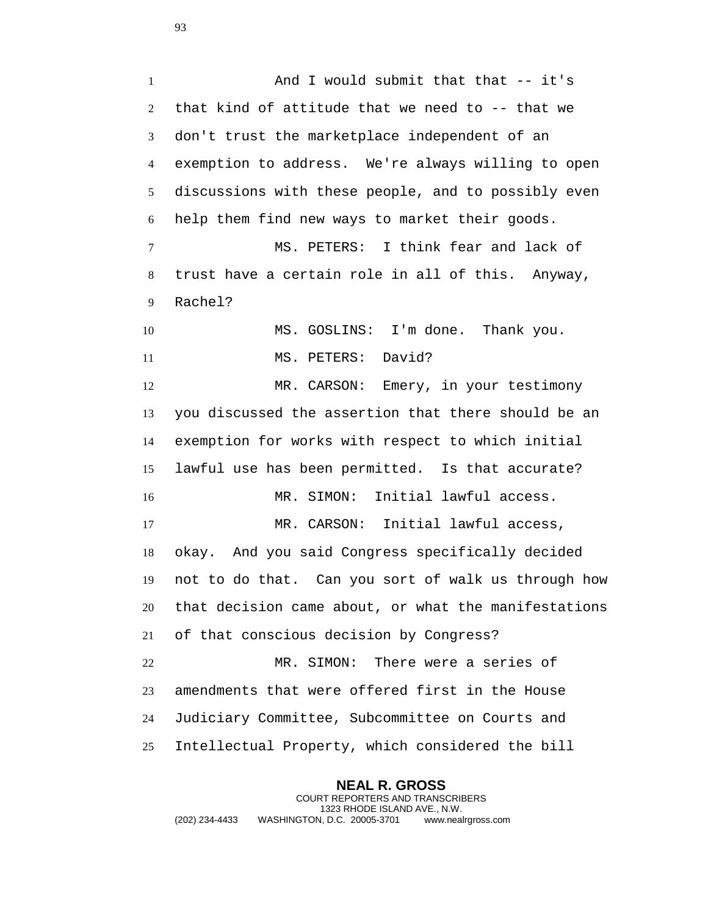1 And I would submit that that -- it's that kind of attitude that we need to -- that we don't trust the marketplace independent of an exemption to address. We're always willing to open discussions with these people, and to possibly even help them find new ways to market their goods. MS. PETERS: I think fear and lack of trust have a certain role in all of this. Anyway, Rachel? 10 MS. GOSLINS: I'm done. Thank you. 11 MS. PETERS: David? MR. CARSON: Emery, in your testimony you discussed the assertion that there should be an exemption for works with respect to which initial lawful use has been permitted. Is that accurate? MR. SIMON: Initial lawful access. MR. CARSON: Initial lawful access, okay. And you said Congress specifically decided not to do that. Can you sort of walk us through how that decision came about, or what the manifestations of that conscious decision by Congress? MR. SIMON: There were a series of amendments that were offered first in the House Judiciary Committee, Subcommittee on Courts and Intellectual Property, which considered the bill

**NEAL R. GROSS** COURT REPORTERS AND TRANSCRIBERS 1323 RHODE ISLAND AVE., N.W. (202) 234-4433 WASHINGTON, D.C. 20005-3701 www.nealrgross.com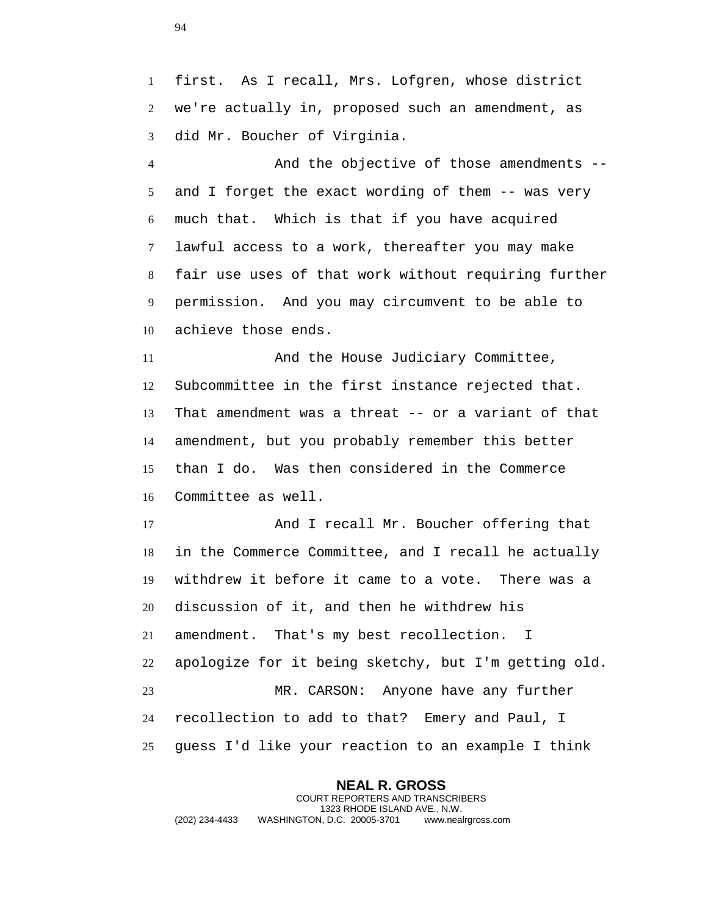first. As I recall, Mrs. Lofgren, whose district we're actually in, proposed such an amendment, as did Mr. Boucher of Virginia.

 And the objective of those amendments -- and I forget the exact wording of them -- was very much that. Which is that if you have acquired lawful access to a work, thereafter you may make fair use uses of that work without requiring further permission. And you may circumvent to be able to achieve those ends.

 And the House Judiciary Committee, Subcommittee in the first instance rejected that. That amendment was a threat -- or a variant of that amendment, but you probably remember this better than I do. Was then considered in the Commerce Committee as well.

17 And I recall Mr. Boucher offering that in the Commerce Committee, and I recall he actually withdrew it before it came to a vote. There was a discussion of it, and then he withdrew his amendment. That's my best recollection. I apologize for it being sketchy, but I'm getting old. MR. CARSON: Anyone have any further recollection to add to that? Emery and Paul, I guess I'd like your reaction to an example I think

**NEAL R. GROSS** COURT REPORTERS AND TRANSCRIBERS 1323 RHODE ISLAND AVE., N.W. (202) 234-4433 WASHINGTON, D.C. 20005-3701 www.nealrgross.com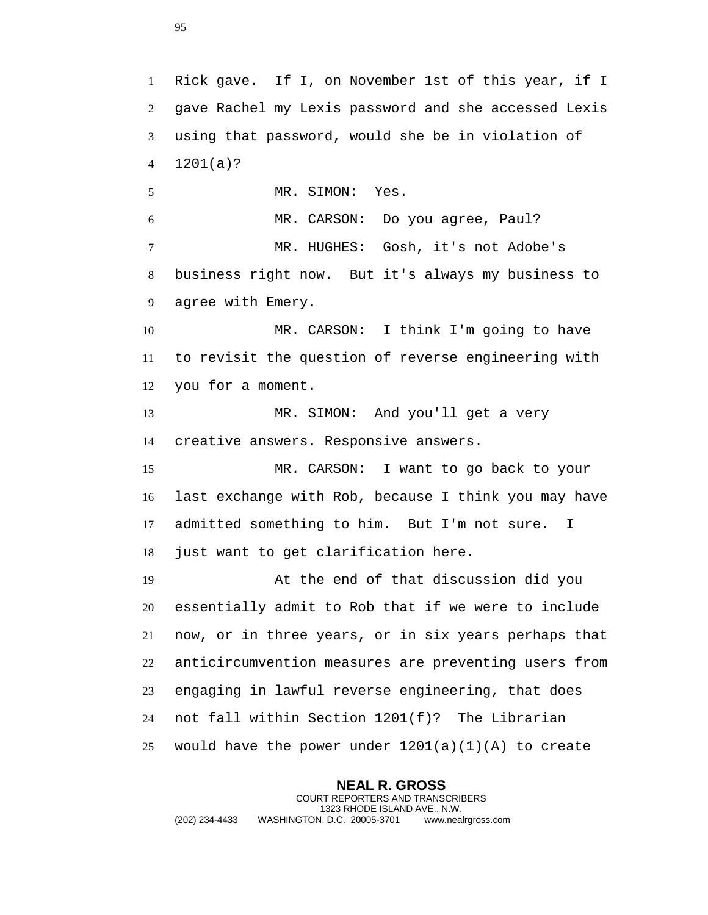Rick gave. If I, on November 1st of this year, if I gave Rachel my Lexis password and she accessed Lexis using that password, would she be in violation of 1201(a)? MR. SIMON: Yes. MR. CARSON: Do you agree, Paul? MR. HUGHES: Gosh, it's not Adobe's business right now. But it's always my business to agree with Emery. MR. CARSON: I think I'm going to have to revisit the question of reverse engineering with you for a moment. MR. SIMON: And you'll get a very creative answers. Responsive answers. MR. CARSON: I want to go back to your last exchange with Rob, because I think you may have admitted something to him. But I'm not sure. I just want to get clarification here. At the end of that discussion did you essentially admit to Rob that if we were to include now, or in three years, or in six years perhaps that anticircumvention measures are preventing users from engaging in lawful reverse engineering, that does not fall within Section 1201(f)? The Librarian 25 would have the power under  $1201(a)(1)(A)$  to create

**NEAL R. GROSS** COURT REPORTERS AND TRANSCRIBERS 1323 RHODE ISLAND AVE., N.W. (202) 234-4433 WASHINGTON, D.C. 20005-3701 www.nealrgross.com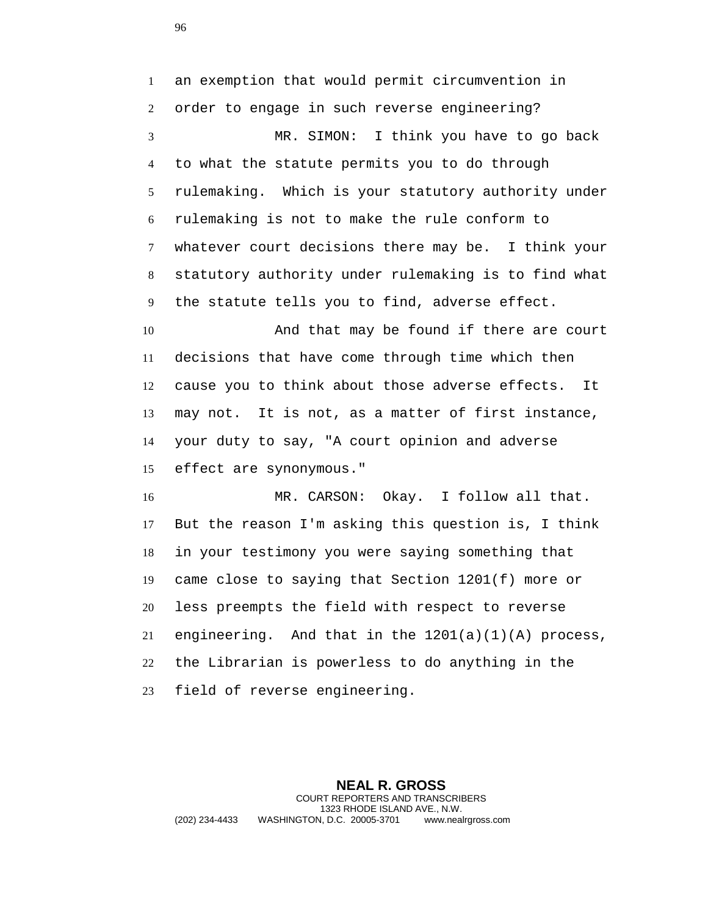an exemption that would permit circumvention in order to engage in such reverse engineering? MR. SIMON: I think you have to go back to what the statute permits you to do through rulemaking. Which is your statutory authority under rulemaking is not to make the rule conform to whatever court decisions there may be. I think your statutory authority under rulemaking is to find what the statute tells you to find, adverse effect. 10 And that may be found if there are court decisions that have come through time which then cause you to think about those adverse effects. It may not. It is not, as a matter of first instance, your duty to say, "A court opinion and adverse effect are synonymous." MR. CARSON: Okay. I follow all that. But the reason I'm asking this question is, I think in your testimony you were saying something that came close to saying that Section 1201(f) more or less preempts the field with respect to reverse engineering. And that in the 1201(a)(1)(A) process, the Librarian is powerless to do anything in the field of reverse engineering.

**NEAL R. GROSS** COURT REPORTERS AND TRANSCRIBERS 1323 RHODE ISLAND AVE., N.W. (202) 234-4433 WASHINGTON, D.C. 20005-3701 www.nealrgross.com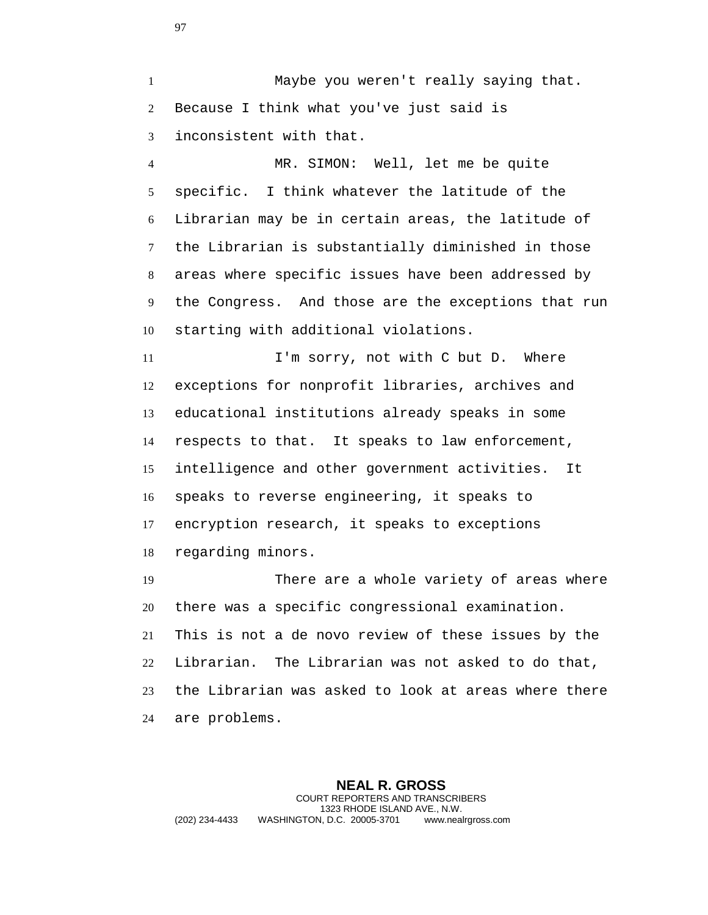Maybe you weren't really saying that. Because I think what you've just said is inconsistent with that.

 MR. SIMON: Well, let me be quite specific. I think whatever the latitude of the Librarian may be in certain areas, the latitude of the Librarian is substantially diminished in those areas where specific issues have been addressed by the Congress. And those are the exceptions that run starting with additional violations.

11 I'm sorry, not with C but D. Where exceptions for nonprofit libraries, archives and educational institutions already speaks in some respects to that. It speaks to law enforcement, intelligence and other government activities. It speaks to reverse engineering, it speaks to encryption research, it speaks to exceptions regarding minors.

 There are a whole variety of areas where there was a specific congressional examination. This is not a de novo review of these issues by the Librarian. The Librarian was not asked to do that, the Librarian was asked to look at areas where there are problems.

**NEAL R. GROSS** COURT REPORTERS AND TRANSCRIBERS 1323 RHODE ISLAND AVE., N.W. (202) 234-4433 WASHINGTON, D.C. 20005-3701 www.nealrgross.com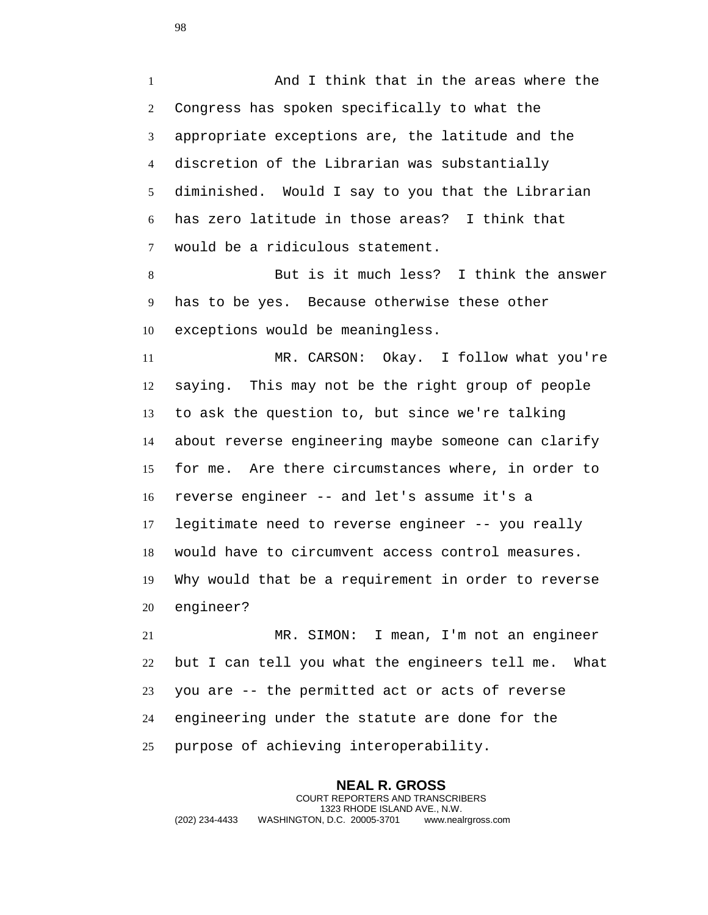And I think that in the areas where the Congress has spoken specifically to what the appropriate exceptions are, the latitude and the discretion of the Librarian was substantially diminished. Would I say to you that the Librarian has zero latitude in those areas? I think that would be a ridiculous statement.

 But is it much less? I think the answer has to be yes. Because otherwise these other exceptions would be meaningless.

 MR. CARSON: Okay. I follow what you're saying. This may not be the right group of people to ask the question to, but since we're talking about reverse engineering maybe someone can clarify for me. Are there circumstances where, in order to reverse engineer -- and let's assume it's a legitimate need to reverse engineer -- you really would have to circumvent access control measures. Why would that be a requirement in order to reverse engineer?

 MR. SIMON: I mean, I'm not an engineer but I can tell you what the engineers tell me. What you are -- the permitted act or acts of reverse engineering under the statute are done for the purpose of achieving interoperability.

**NEAL R. GROSS** COURT REPORTERS AND TRANSCRIBERS 1323 RHODE ISLAND AVE., N.W. (202) 234-4433 WASHINGTON, D.C. 20005-3701 www.nealrgross.com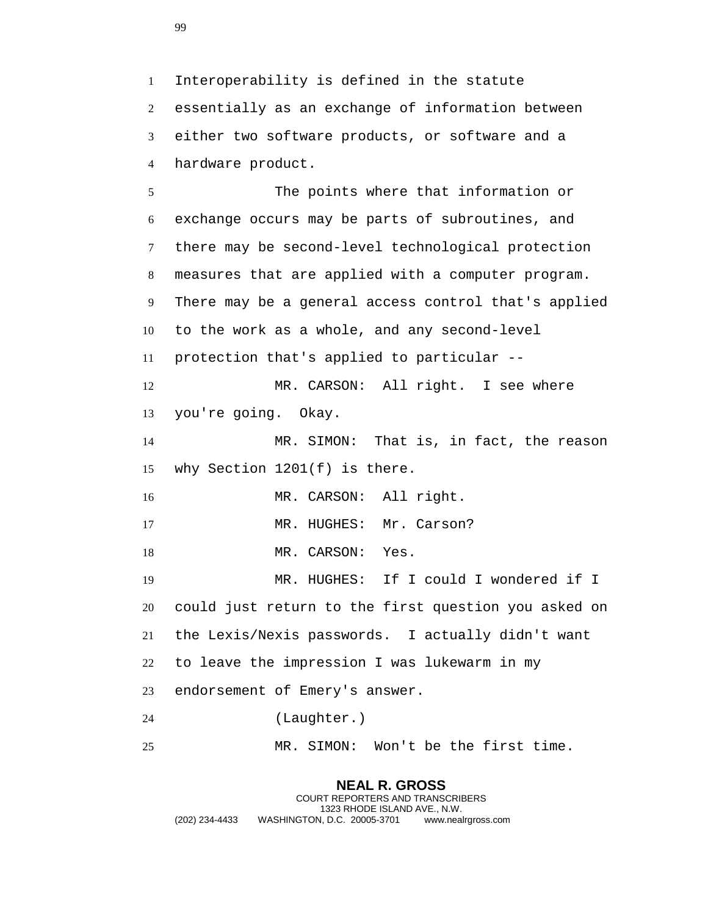Interoperability is defined in the statute essentially as an exchange of information between either two software products, or software and a hardware product.

 The points where that information or exchange occurs may be parts of subroutines, and there may be second-level technological protection measures that are applied with a computer program. There may be a general access control that's applied to the work as a whole, and any second-level protection that's applied to particular -- MR. CARSON: All right. I see where you're going. Okay. MR. SIMON: That is, in fact, the reason why Section 1201(f) is there. 16 MR. CARSON: All right. 17 MR. HUGHES: Mr. Carson? 18 MR. CARSON: Yes. MR. HUGHES: If I could I wondered if I could just return to the first question you asked on the Lexis/Nexis passwords. I actually didn't want to leave the impression I was lukewarm in my endorsement of Emery's answer. (Laughter.) MR. SIMON: Won't be the first time.

## **NEAL R. GROSS**

COURT REPORTERS AND TRANSCRIBERS 1323 RHODE ISLAND AVE., N.W. (202) 234-4433 WASHINGTON, D.C. 20005-3701 www.nealrgross.com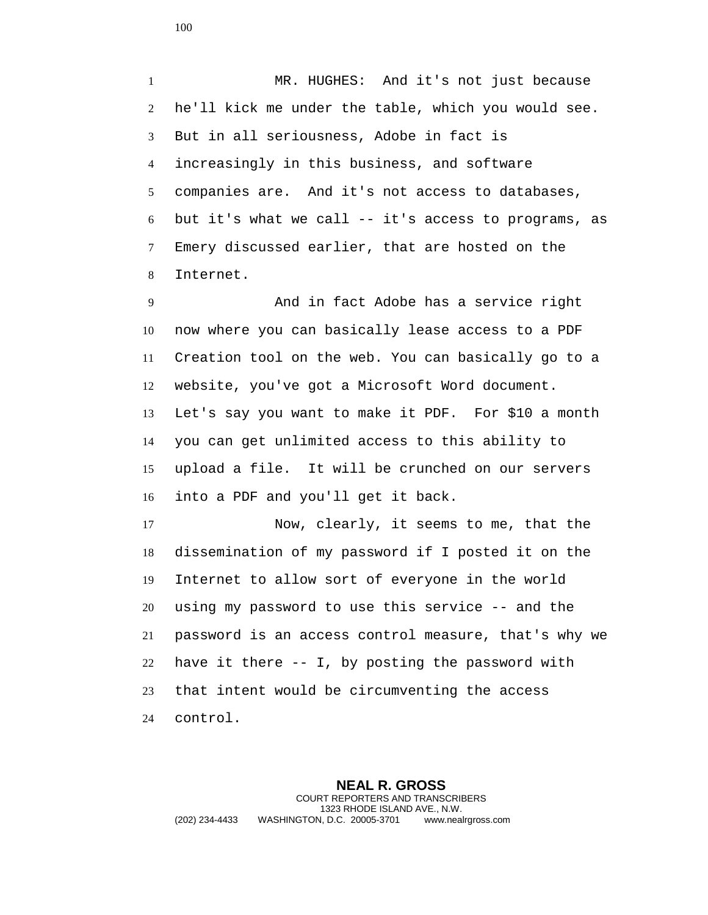MR. HUGHES: And it's not just because he'll kick me under the table, which you would see. But in all seriousness, Adobe in fact is increasingly in this business, and software companies are. And it's not access to databases, but it's what we call -- it's access to programs, as Emery discussed earlier, that are hosted on the Internet.

 And in fact Adobe has a service right now where you can basically lease access to a PDF Creation tool on the web. You can basically go to a website, you've got a Microsoft Word document. Let's say you want to make it PDF. For \$10 a month you can get unlimited access to this ability to upload a file. It will be crunched on our servers into a PDF and you'll get it back.

 Now, clearly, it seems to me, that the dissemination of my password if I posted it on the Internet to allow sort of everyone in the world using my password to use this service -- and the password is an access control measure, that's why we have it there -- I, by posting the password with that intent would be circumventing the access control.

**NEAL R. GROSS** COURT REPORTERS AND TRANSCRIBERS 1323 RHODE ISLAND AVE., N.W. (202) 234-4433 WASHINGTON, D.C. 20005-3701 www.nealrgross.com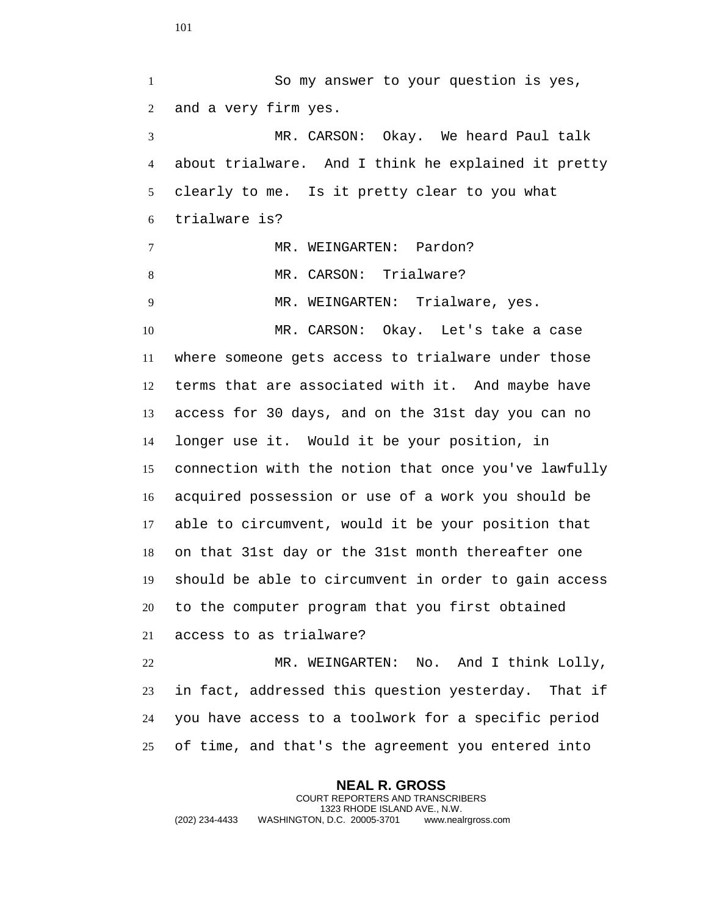So my answer to your question is yes, and a very firm yes. MR. CARSON: Okay. We heard Paul talk about trialware. And I think he explained it pretty clearly to me. Is it pretty clear to you what trialware is? 7 MR. WEINGARTEN: Pardon? 8 MR. CARSON: Trialware? MR. WEINGARTEN: Trialware, yes. MR. CARSON: Okay. Let's take a case where someone gets access to trialware under those terms that are associated with it. And maybe have access for 30 days, and on the 31st day you can no longer use it. Would it be your position, in connection with the notion that once you've lawfully acquired possession or use of a work you should be able to circumvent, would it be your position that on that 31st day or the 31st month thereafter one should be able to circumvent in order to gain access to the computer program that you first obtained access to as trialware? MR. WEINGARTEN: No. And I think Lolly, in fact, addressed this question yesterday. That if you have access to a toolwork for a specific period of time, and that's the agreement you entered into

**NEAL R. GROSS** COURT REPORTERS AND TRANSCRIBERS 1323 RHODE ISLAND AVE., N.W. (202) 234-4433 WASHINGTON, D.C. 20005-3701 www.nealrgross.com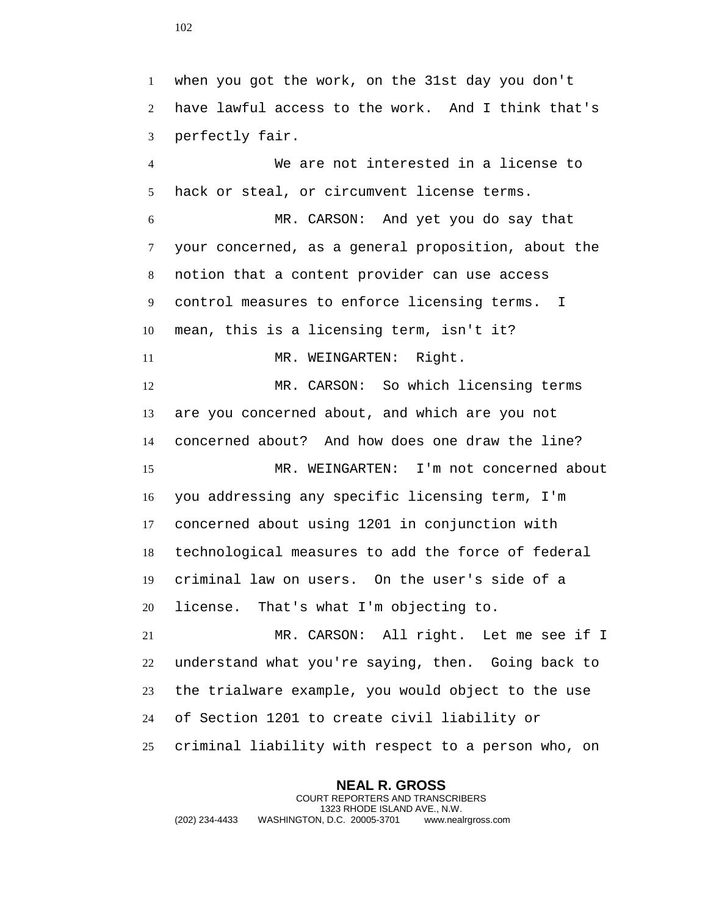when you got the work, on the 31st day you don't have lawful access to the work. And I think that's perfectly fair.

 We are not interested in a license to hack or steal, or circumvent license terms. MR. CARSON: And yet you do say that your concerned, as a general proposition, about the notion that a content provider can use access control measures to enforce licensing terms. I mean, this is a licensing term, isn't it? 11 MR. WEINGARTEN: Right. MR. CARSON: So which licensing terms are you concerned about, and which are you not concerned about? And how does one draw the line? MR. WEINGARTEN: I'm not concerned about you addressing any specific licensing term, I'm concerned about using 1201 in conjunction with technological measures to add the force of federal criminal law on users. On the user's side of a license. That's what I'm objecting to. MR. CARSON: All right. Let me see if I

 understand what you're saying, then. Going back to the trialware example, you would object to the use of Section 1201 to create civil liability or criminal liability with respect to a person who, on

**NEAL R. GROSS** COURT REPORTERS AND TRANSCRIBERS 1323 RHODE ISLAND AVE., N.W. (202) 234-4433 WASHINGTON, D.C. 20005-3701 www.nealrgross.com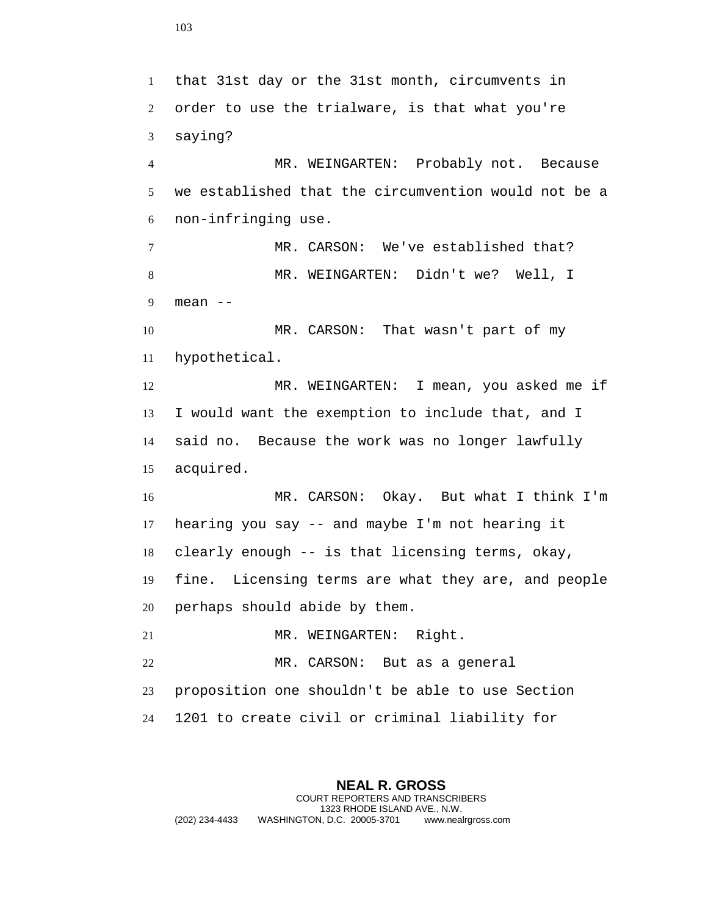that 31st day or the 31st month, circumvents in order to use the trialware, is that what you're saying? MR. WEINGARTEN: Probably not. Because we established that the circumvention would not be a non-infringing use. MR. CARSON: We've established that? MR. WEINGARTEN: Didn't we? Well, I mean -- MR. CARSON: That wasn't part of my hypothetical. MR. WEINGARTEN: I mean, you asked me if I would want the exemption to include that, and I said no. Because the work was no longer lawfully acquired. MR. CARSON: Okay. But what I think I'm hearing you say -- and maybe I'm not hearing it clearly enough -- is that licensing terms, okay, fine. Licensing terms are what they are, and people perhaps should abide by them. 21 MR. WEINGARTEN: Right. MR. CARSON: But as a general proposition one shouldn't be able to use Section 1201 to create civil or criminal liability for

**NEAL R. GROSS** COURT REPORTERS AND TRANSCRIBERS 1323 RHODE ISLAND AVE., N.W. (202) 234-4433 WASHINGTON, D.C. 20005-3701 www.nealrgross.com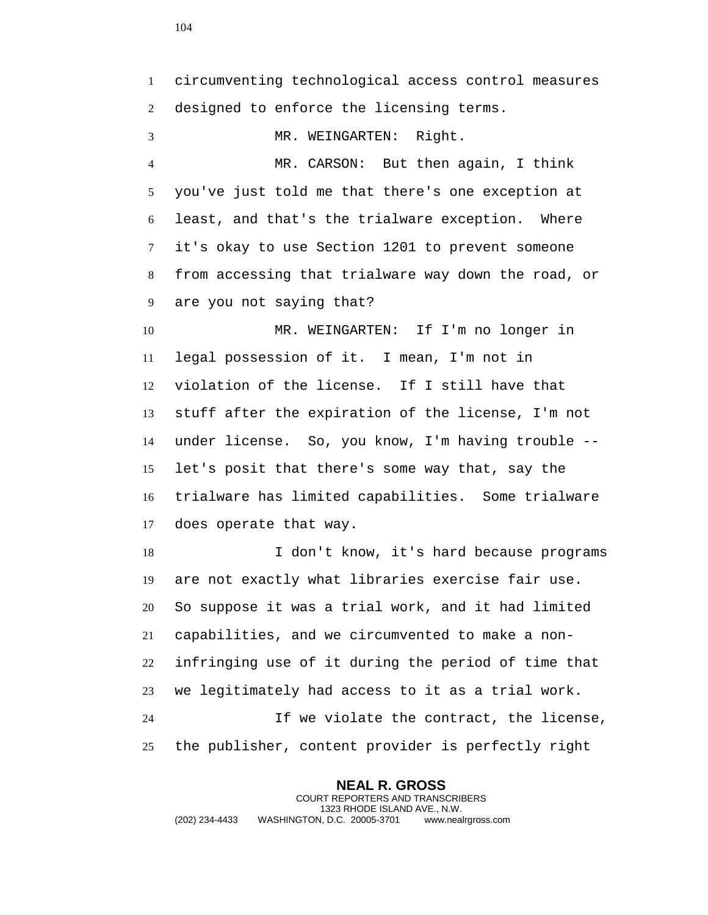circumventing technological access control measures designed to enforce the licensing terms. MR. WEINGARTEN: Right. MR. CARSON: But then again, I think you've just told me that there's one exception at least, and that's the trialware exception. Where it's okay to use Section 1201 to prevent someone from accessing that trialware way down the road, or are you not saying that? MR. WEINGARTEN: If I'm no longer in legal possession of it. I mean, I'm not in violation of the license. If I still have that stuff after the expiration of the license, I'm not under license. So, you know, I'm having trouble -- let's posit that there's some way that, say the trialware has limited capabilities. Some trialware does operate that way. I don't know, it's hard because programs are not exactly what libraries exercise fair use. So suppose it was a trial work, and it had limited capabilities, and we circumvented to make a non- infringing use of it during the period of time that we legitimately had access to it as a trial work. If we violate the contract, the license, the publisher, content provider is perfectly right

**NEAL R. GROSS** COURT REPORTERS AND TRANSCRIBERS 1323 RHODE ISLAND AVE., N.W. (202) 234-4433 WASHINGTON, D.C. 20005-3701 www.nealrgross.com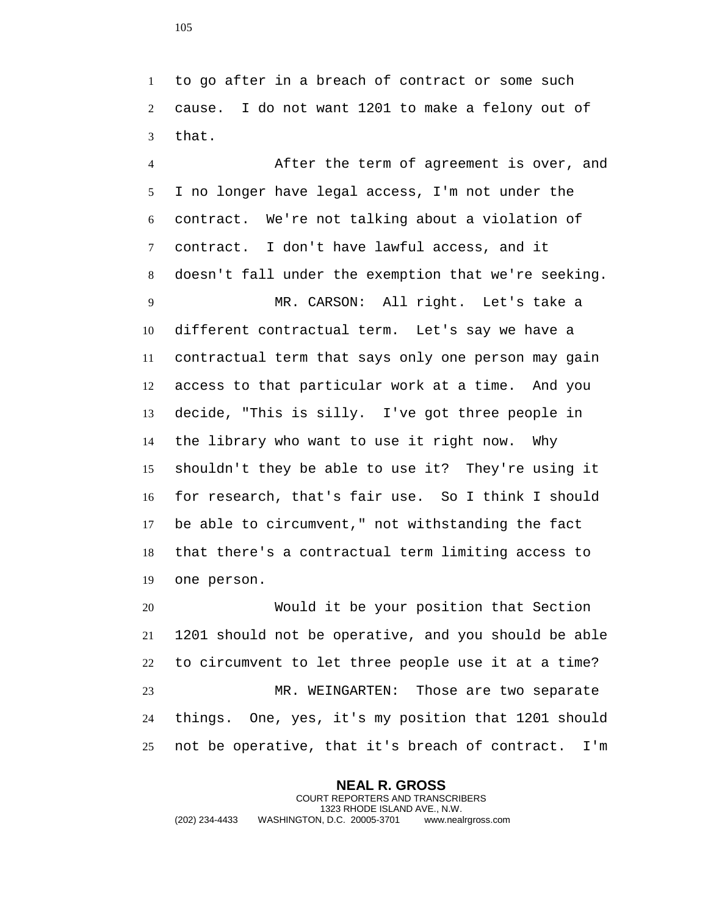to go after in a breach of contract or some such cause. I do not want 1201 to make a felony out of that.

 After the term of agreement is over, and I no longer have legal access, I'm not under the contract. We're not talking about a violation of contract. I don't have lawful access, and it doesn't fall under the exemption that we're seeking. MR. CARSON: All right. Let's take a different contractual term. Let's say we have a contractual term that says only one person may gain access to that particular work at a time. And you decide, "This is silly. I've got three people in the library who want to use it right now. Why shouldn't they be able to use it? They're using it for research, that's fair use. So I think I should be able to circumvent," not withstanding the fact that there's a contractual term limiting access to one person.

 Would it be your position that Section 1201 should not be operative, and you should be able to circumvent to let three people use it at a time? MR. WEINGARTEN: Those are two separate things. One, yes, it's my position that 1201 should not be operative, that it's breach of contract. I'm

**NEAL R. GROSS** COURT REPORTERS AND TRANSCRIBERS 1323 RHODE ISLAND AVE., N.W. (202) 234-4433 WASHINGTON, D.C. 20005-3701 www.nealrgross.com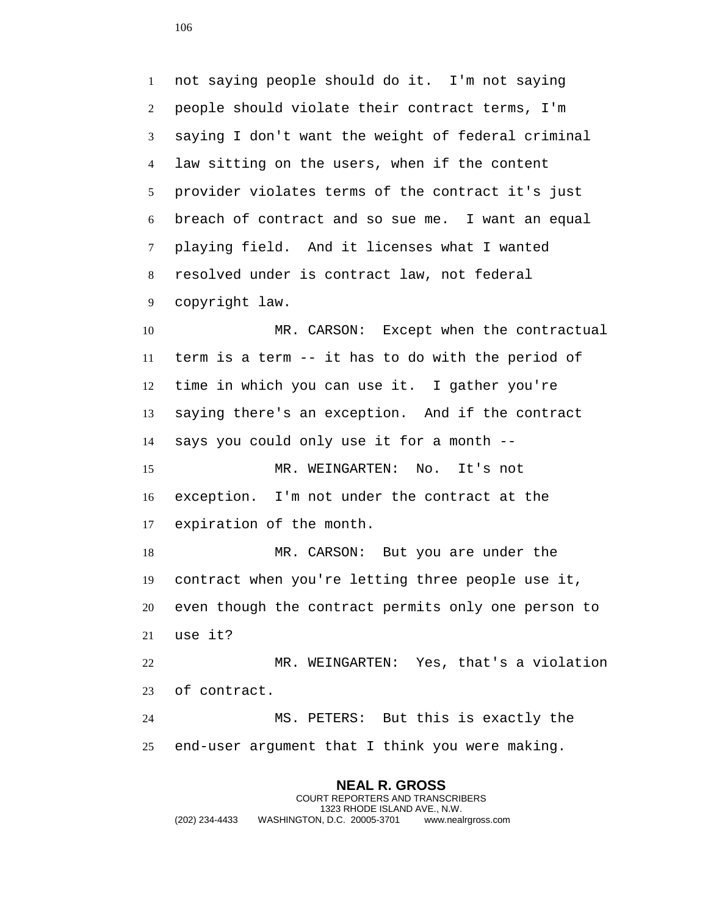not saying people should do it. I'm not saying people should violate their contract terms, I'm saying I don't want the weight of federal criminal law sitting on the users, when if the content provider violates terms of the contract it's just breach of contract and so sue me. I want an equal playing field. And it licenses what I wanted resolved under is contract law, not federal copyright law. 10 MR. CARSON: Except when the contractual term is a term -- it has to do with the period of time in which you can use it. I gather you're saying there's an exception. And if the contract says you could only use it for a month -- MR. WEINGARTEN: No. It's not

 exception. I'm not under the contract at the expiration of the month.

 MR. CARSON: But you are under the contract when you're letting three people use it, even though the contract permits only one person to use it?

 MR. WEINGARTEN: Yes, that's a violation of contract.

 MS. PETERS: But this is exactly the end-user argument that I think you were making.

**NEAL R. GROSS** COURT REPORTERS AND TRANSCRIBERS 1323 RHODE ISLAND AVE., N.W. (202) 234-4433 WASHINGTON, D.C. 20005-3701 www.nealrgross.com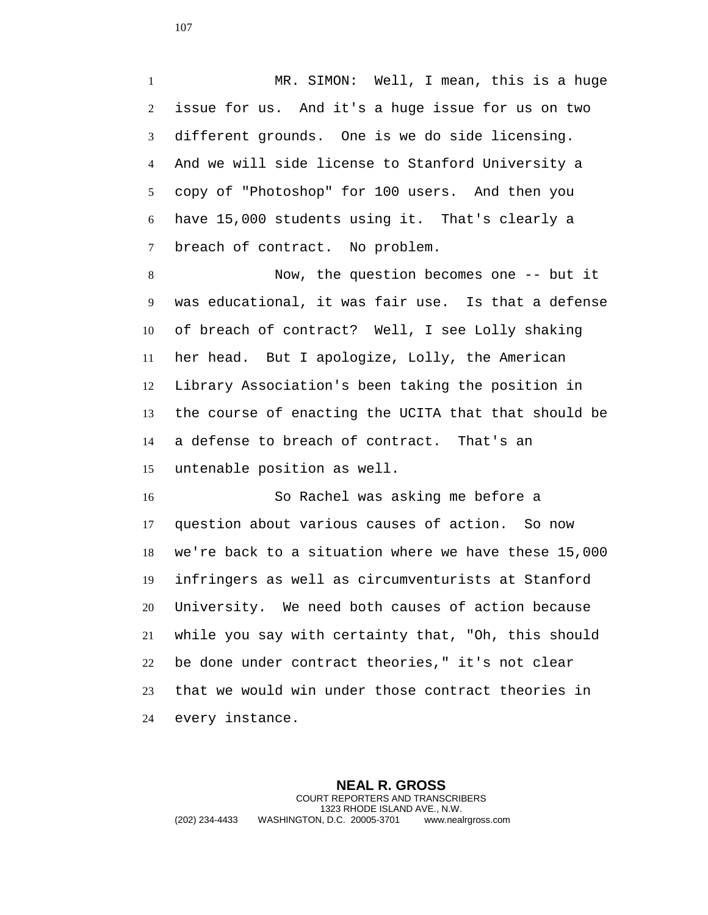MR. SIMON: Well, I mean, this is a huge issue for us. And it's a huge issue for us on two different grounds. One is we do side licensing. And we will side license to Stanford University a copy of "Photoshop" for 100 users. And then you have 15,000 students using it. That's clearly a breach of contract. No problem.

 Now, the question becomes one -- but it was educational, it was fair use. Is that a defense of breach of contract? Well, I see Lolly shaking her head. But I apologize, Lolly, the American Library Association's been taking the position in the course of enacting the UCITA that that should be a defense to breach of contract. That's an untenable position as well.

 So Rachel was asking me before a question about various causes of action. So now we're back to a situation where we have these 15,000 infringers as well as circumventurists at Stanford University. We need both causes of action because while you say with certainty that, "Oh, this should be done under contract theories," it's not clear that we would win under those contract theories in every instance.

**NEAL R. GROSS** COURT REPORTERS AND TRANSCRIBERS 1323 RHODE ISLAND AVE., N.W. (202) 234-4433 WASHINGTON, D.C. 20005-3701 www.nealrgross.com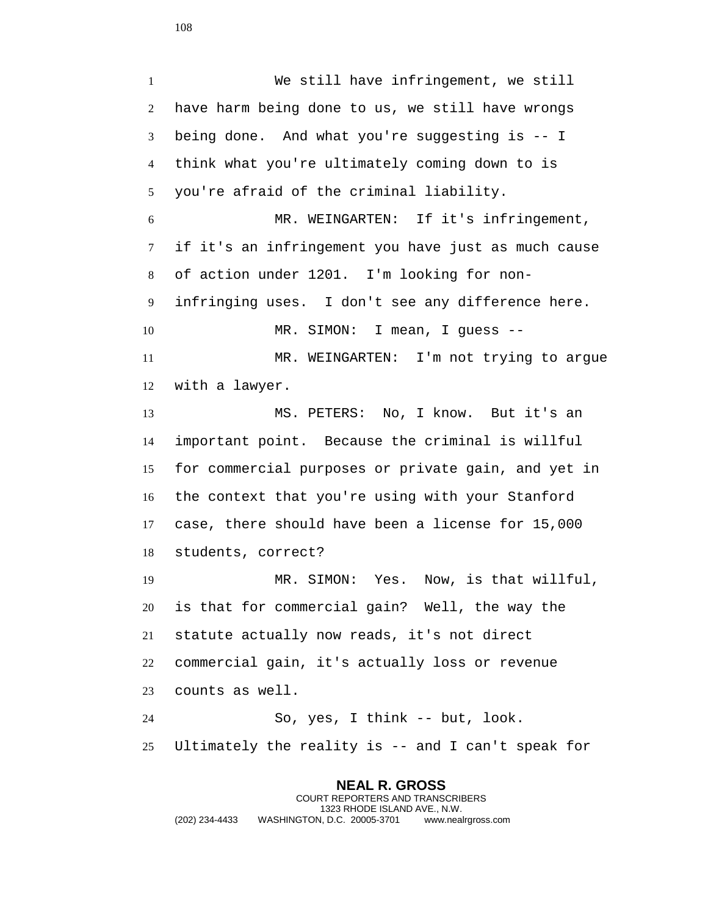**NEAL R. GROSS** COURT REPORTERS AND TRANSCRIBERS 1323 RHODE ISLAND AVE., N.W. (202) 234-4433 WASHINGTON, D.C. 20005-3701 www.nealrgross.com We still have infringement, we still have harm being done to us, we still have wrongs being done. And what you're suggesting is -- I think what you're ultimately coming down to is you're afraid of the criminal liability. MR. WEINGARTEN: If it's infringement, if it's an infringement you have just as much cause of action under 1201. I'm looking for non- infringing uses. I don't see any difference here. 10 MR. SIMON: I mean, I guess -- MR. WEINGARTEN: I'm not trying to argue with a lawyer. MS. PETERS: No, I know. But it's an important point. Because the criminal is willful for commercial purposes or private gain, and yet in the context that you're using with your Stanford case, there should have been a license for 15,000 students, correct? MR. SIMON: Yes. Now, is that willful, is that for commercial gain? Well, the way the statute actually now reads, it's not direct commercial gain, it's actually loss or revenue counts as well. So, yes, I think -- but, look. Ultimately the reality is -- and I can't speak for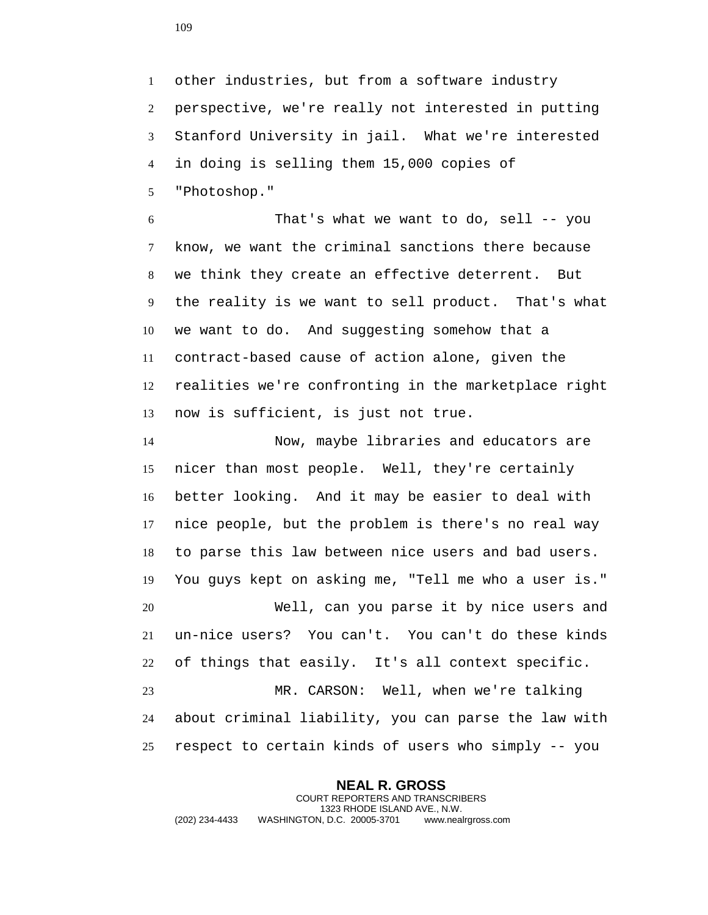other industries, but from a software industry perspective, we're really not interested in putting Stanford University in jail. What we're interested in doing is selling them 15,000 copies of "Photoshop."

 That's what we want to do, sell -- you know, we want the criminal sanctions there because we think they create an effective deterrent. But the reality is we want to sell product. That's what we want to do. And suggesting somehow that a contract-based cause of action alone, given the realities we're confronting in the marketplace right now is sufficient, is just not true.

 Now, maybe libraries and educators are nicer than most people. Well, they're certainly better looking. And it may be easier to deal with nice people, but the problem is there's no real way to parse this law between nice users and bad users. You guys kept on asking me, "Tell me who a user is." Well, can you parse it by nice users and un-nice users? You can't. You can't do these kinds of things that easily. It's all context specific. MR. CARSON: Well, when we're talking about criminal liability, you can parse the law with respect to certain kinds of users who simply -- you

**NEAL R. GROSS** COURT REPORTERS AND TRANSCRIBERS 1323 RHODE ISLAND AVE., N.W. (202) 234-4433 WASHINGTON, D.C. 20005-3701 www.nealrgross.com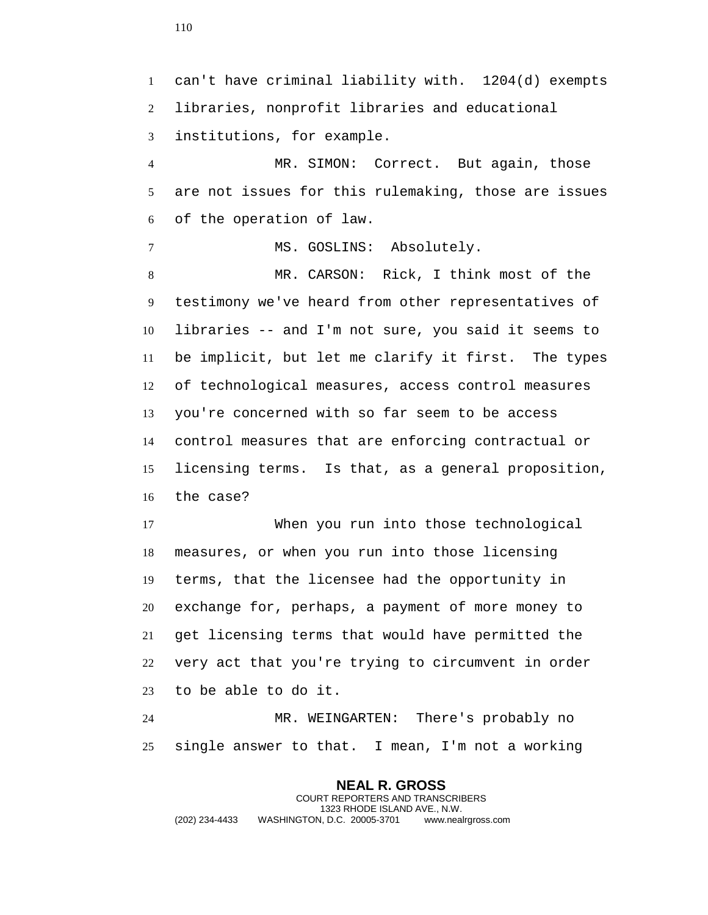can't have criminal liability with. 1204(d) exempts libraries, nonprofit libraries and educational institutions, for example. MR. SIMON: Correct. But again, those are not issues for this rulemaking, those are issues of the operation of law. MS. GOSLINS: Absolutely. MR. CARSON: Rick, I think most of the testimony we've heard from other representatives of libraries -- and I'm not sure, you said it seems to be implicit, but let me clarify it first. The types of technological measures, access control measures you're concerned with so far seem to be access control measures that are enforcing contractual or licensing terms. Is that, as a general proposition, the case? When you run into those technological measures, or when you run into those licensing terms, that the licensee had the opportunity in exchange for, perhaps, a payment of more money to get licensing terms that would have permitted the very act that you're trying to circumvent in order to be able to do it. MR. WEINGARTEN: There's probably no

single answer to that. I mean, I'm not a working

**NEAL R. GROSS** COURT REPORTERS AND TRANSCRIBERS 1323 RHODE ISLAND AVE., N.W. (202) 234-4433 WASHINGTON, D.C. 20005-3701 www.nealrgross.com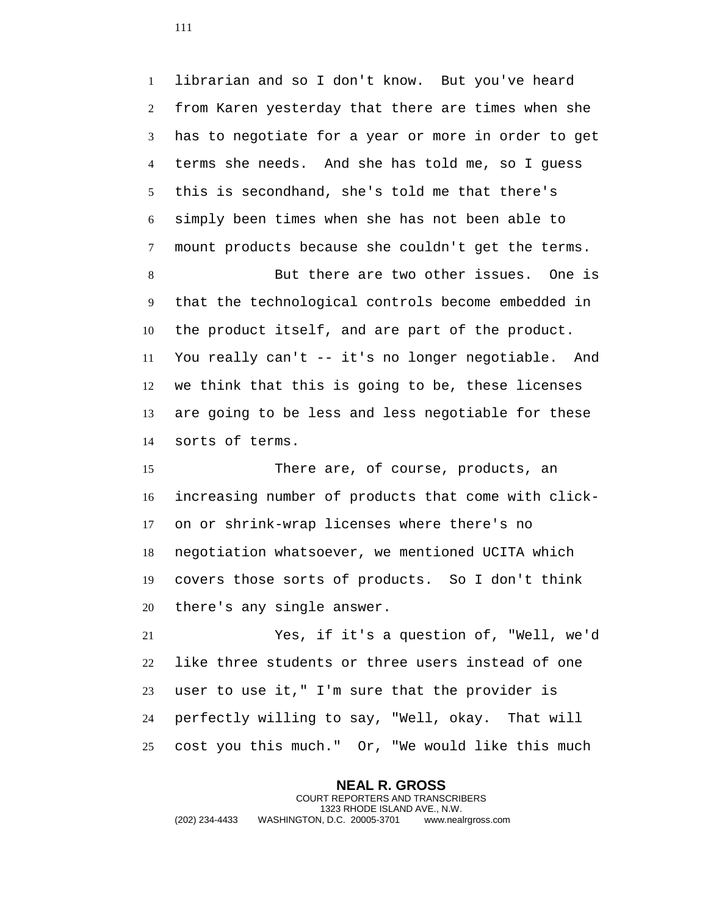librarian and so I don't know. But you've heard from Karen yesterday that there are times when she has to negotiate for a year or more in order to get terms she needs. And she has told me, so I guess this is secondhand, she's told me that there's simply been times when she has not been able to mount products because she couldn't get the terms.

 But there are two other issues. One is that the technological controls become embedded in the product itself, and are part of the product. You really can't -- it's no longer negotiable. And we think that this is going to be, these licenses are going to be less and less negotiable for these sorts of terms.

 There are, of course, products, an increasing number of products that come with click- on or shrink-wrap licenses where there's no negotiation whatsoever, we mentioned UCITA which covers those sorts of products. So I don't think there's any single answer.

 Yes, if it's a question of, "Well, we'd like three students or three users instead of one user to use it," I'm sure that the provider is perfectly willing to say, "Well, okay. That will cost you this much." Or, "We would like this much

**NEAL R. GROSS** COURT REPORTERS AND TRANSCRIBERS 1323 RHODE ISLAND AVE., N.W. (202) 234-4433 WASHINGTON, D.C. 20005-3701 www.nealrgross.com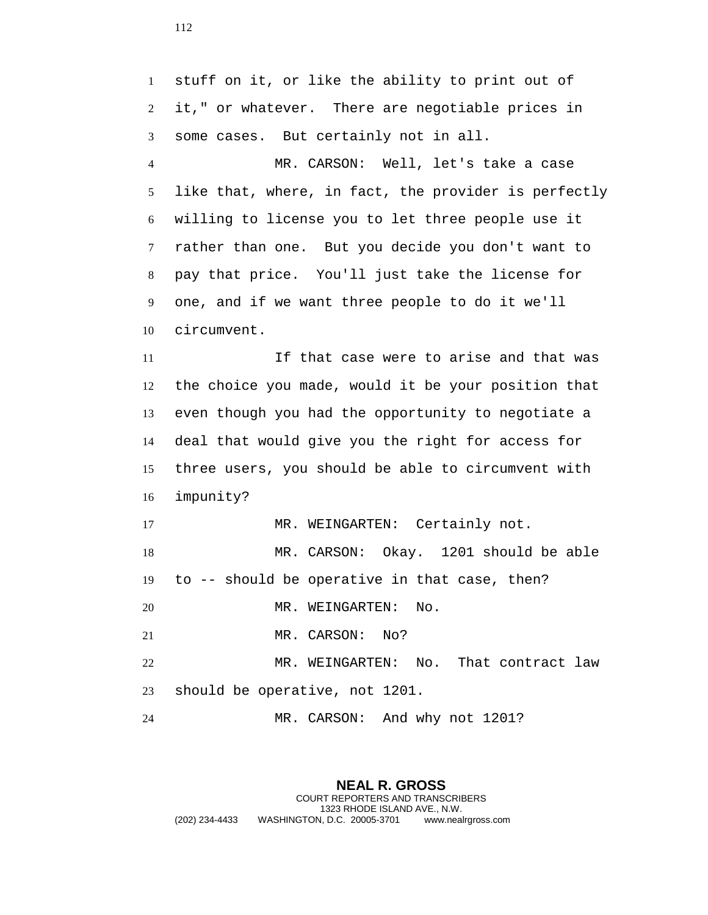stuff on it, or like the ability to print out of it," or whatever. There are negotiable prices in some cases. But certainly not in all. MR. CARSON: Well, let's take a case like that, where, in fact, the provider is perfectly willing to license you to let three people use it rather than one. But you decide you don't want to pay that price. You'll just take the license for one, and if we want three people to do it we'll circumvent. If that case were to arise and that was the choice you made, would it be your position that even though you had the opportunity to negotiate a deal that would give you the right for access for three users, you should be able to circumvent with impunity? 17 MR. WEINGARTEN: Certainly not. MR. CARSON: Okay. 1201 should be able to -- should be operative in that case, then? MR. WEINGARTEN: No. 21 MR. CARSON: No? MR. WEINGARTEN: No. That contract law should be operative, not 1201. MR. CARSON: And why not 1201?

**NEAL R. GROSS** COURT REPORTERS AND TRANSCRIBERS 1323 RHODE ISLAND AVE., N.W. (202) 234-4433 WASHINGTON, D.C. 20005-3701 www.nealrgross.com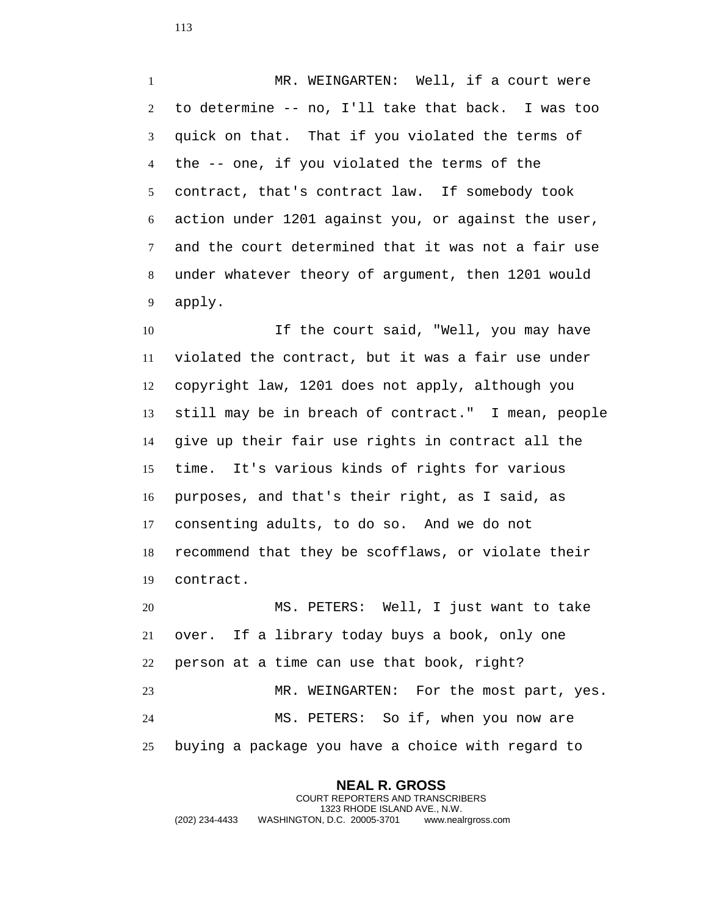1 MR. WEINGARTEN: Well, if a court were to determine -- no, I'll take that back. I was too quick on that. That if you violated the terms of the -- one, if you violated the terms of the contract, that's contract law. If somebody took action under 1201 against you, or against the user, and the court determined that it was not a fair use under whatever theory of argument, then 1201 would apply.

 If the court said, "Well, you may have violated the contract, but it was a fair use under copyright law, 1201 does not apply, although you still may be in breach of contract." I mean, people give up their fair use rights in contract all the time. It's various kinds of rights for various purposes, and that's their right, as I said, as consenting adults, to do so. And we do not recommend that they be scofflaws, or violate their contract.

 MS. PETERS: Well, I just want to take over. If a library today buys a book, only one person at a time can use that book, right? MR. WEINGARTEN: For the most part, yes. MS. PETERS: So if, when you now are buying a package you have a choice with regard to

## **NEAL R. GROSS** COURT REPORTERS AND TRANSCRIBERS 1323 RHODE ISLAND AVE., N.W. (202) 234-4433 WASHINGTON, D.C. 20005-3701 www.nealrgross.com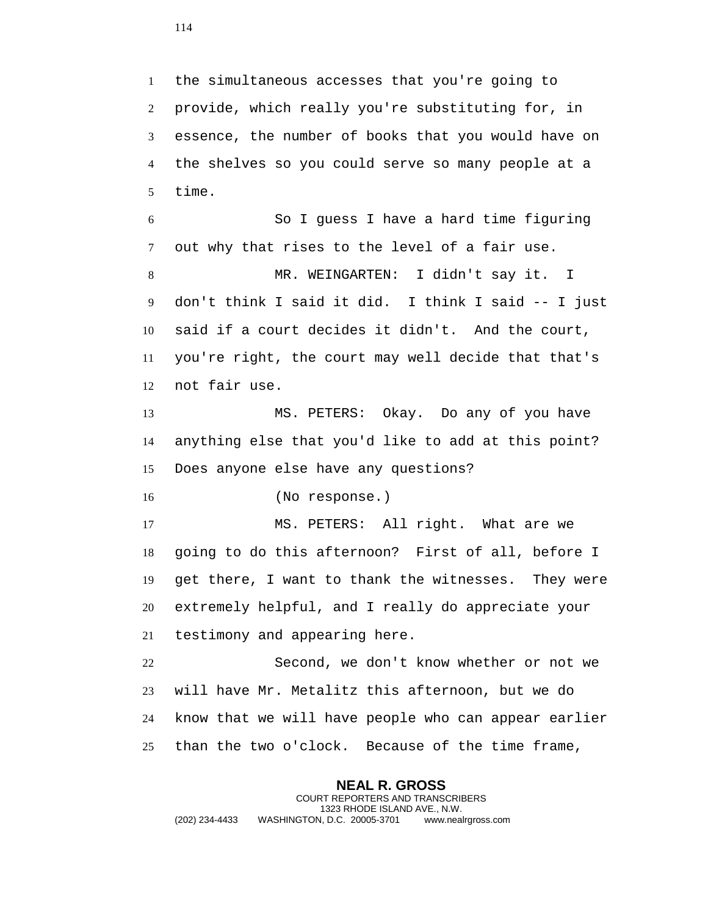the simultaneous accesses that you're going to provide, which really you're substituting for, in essence, the number of books that you would have on the shelves so you could serve so many people at a time.

 So I guess I have a hard time figuring out why that rises to the level of a fair use. MR. WEINGARTEN: I didn't say it. I don't think I said it did. I think I said -- I just said if a court decides it didn't. And the court, you're right, the court may well decide that that's not fair use.

 MS. PETERS: Okay. Do any of you have anything else that you'd like to add at this point? Does anyone else have any questions?

(No response.)

 MS. PETERS: All right. What are we going to do this afternoon? First of all, before I get there, I want to thank the witnesses. They were extremely helpful, and I really do appreciate your testimony and appearing here.

 Second, we don't know whether or not we will have Mr. Metalitz this afternoon, but we do know that we will have people who can appear earlier than the two o'clock. Because of the time frame,

**NEAL R. GROSS** COURT REPORTERS AND TRANSCRIBERS 1323 RHODE ISLAND AVE., N.W. (202) 234-4433 WASHINGTON, D.C. 20005-3701 www.nealrgross.com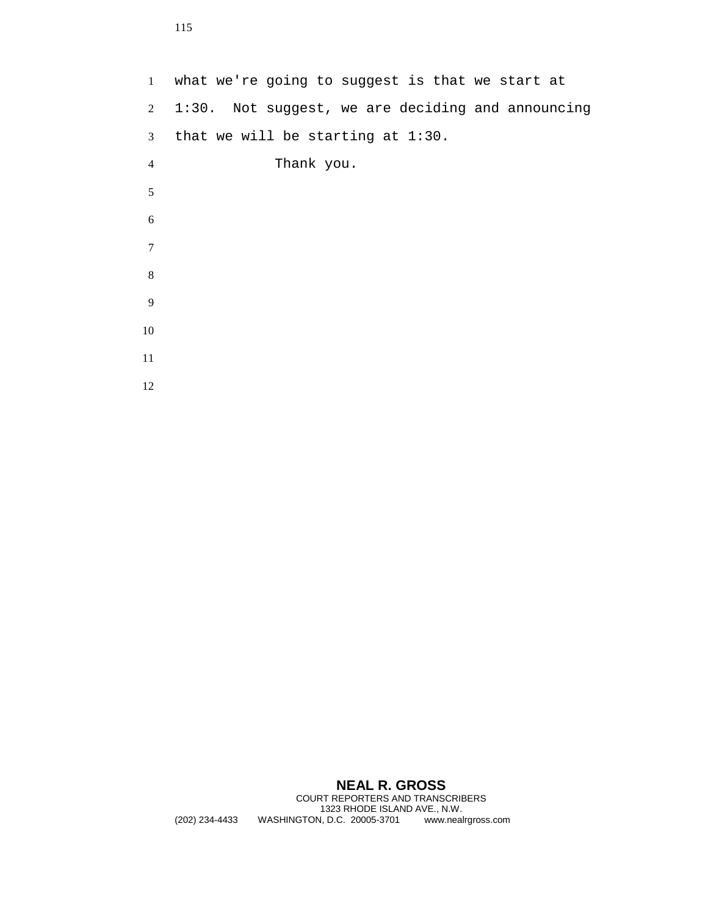what we're going to suggest is that we start at 1:30. Not suggest, we are deciding and announcing that we will be starting at 1:30. Thank you. 

## **NEAL R. GROSS**

COURT REPORTERS AND TRANSCRIBERS 1323 RHODE ISLAND AVE., N.W.<br>1323 RHODE ISLAND AVE., N.W.<br>N, D.C. 20005-3701 www.nealrgross.com (202) 234-4433 WASHINGTON, D.C. 20005-3701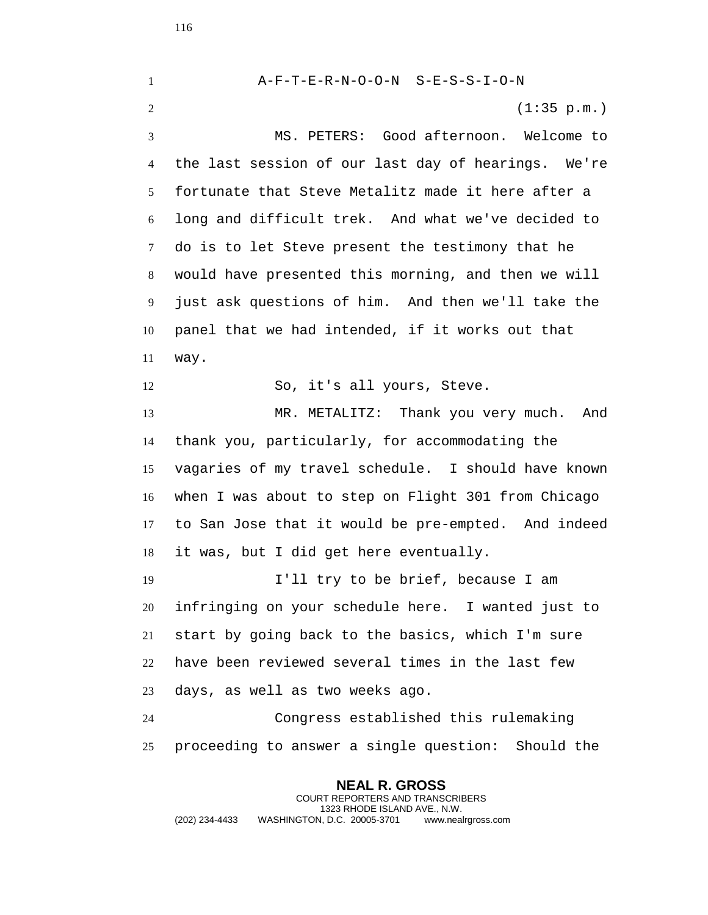**NEAL R. GROSS** A-F-T-E-R-N-O-O-N S-E-S-S-I-O-N (1:35 p.m.) MS. PETERS: Good afternoon. Welcome to the last session of our last day of hearings. We're fortunate that Steve Metalitz made it here after a long and difficult trek. And what we've decided to do is to let Steve present the testimony that he would have presented this morning, and then we will just ask questions of him. And then we'll take the panel that we had intended, if it works out that way. So, it's all yours, Steve. MR. METALITZ: Thank you very much. And thank you, particularly, for accommodating the vagaries of my travel schedule. I should have known when I was about to step on Flight 301 from Chicago to San Jose that it would be pre-empted. And indeed it was, but I did get here eventually. I'll try to be brief, because I am infringing on your schedule here. I wanted just to start by going back to the basics, which I'm sure have been reviewed several times in the last few days, as well as two weeks ago. Congress established this rulemaking proceeding to answer a single question: Should the

COURT REPORTERS AND TRANSCRIBERS 1323 RHODE ISLAND AVE., N.W. (202) 234-4433 WASHINGTON, D.C. 20005-3701 www.nealrgross.com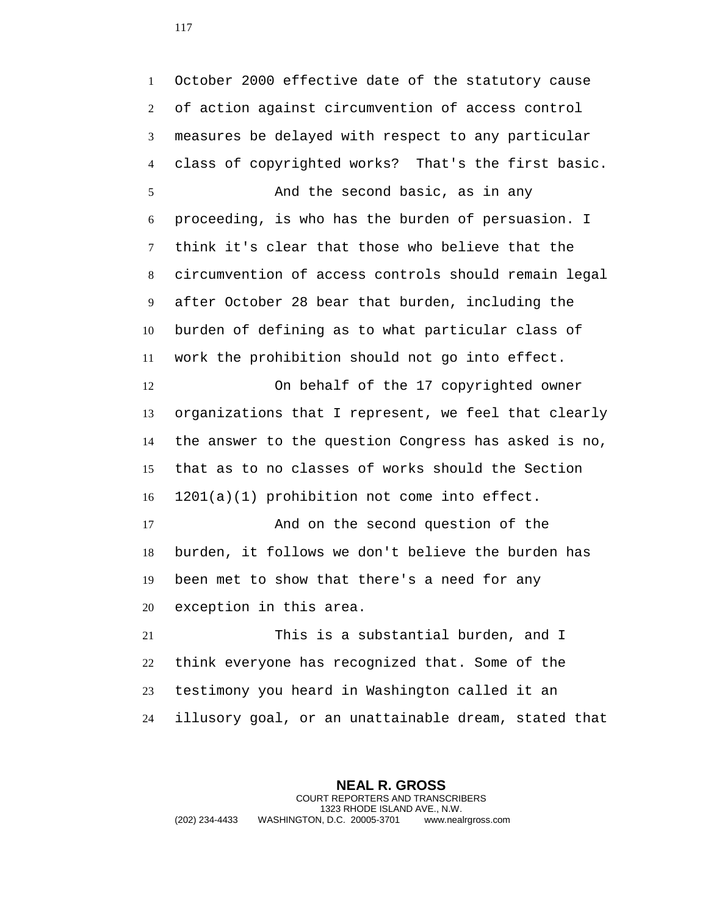October 2000 effective date of the statutory cause of action against circumvention of access control measures be delayed with respect to any particular class of copyrighted works? That's the first basic. And the second basic, as in any proceeding, is who has the burden of persuasion. I think it's clear that those who believe that the circumvention of access controls should remain legal after October 28 bear that burden, including the burden of defining as to what particular class of work the prohibition should not go into effect. On behalf of the 17 copyrighted owner organizations that I represent, we feel that clearly the answer to the question Congress has asked is no, that as to no classes of works should the Section 1201(a)(1) prohibition not come into effect. And on the second question of the burden, it follows we don't believe the burden has been met to show that there's a need for any exception in this area. This is a substantial burden, and I think everyone has recognized that. Some of the testimony you heard in Washington called it an illusory goal, or an unattainable dream, stated that

**NEAL R. GROSS** COURT REPORTERS AND TRANSCRIBERS 1323 RHODE ISLAND AVE., N.W. (202) 234-4433 WASHINGTON, D.C. 20005-3701 www.nealrgross.com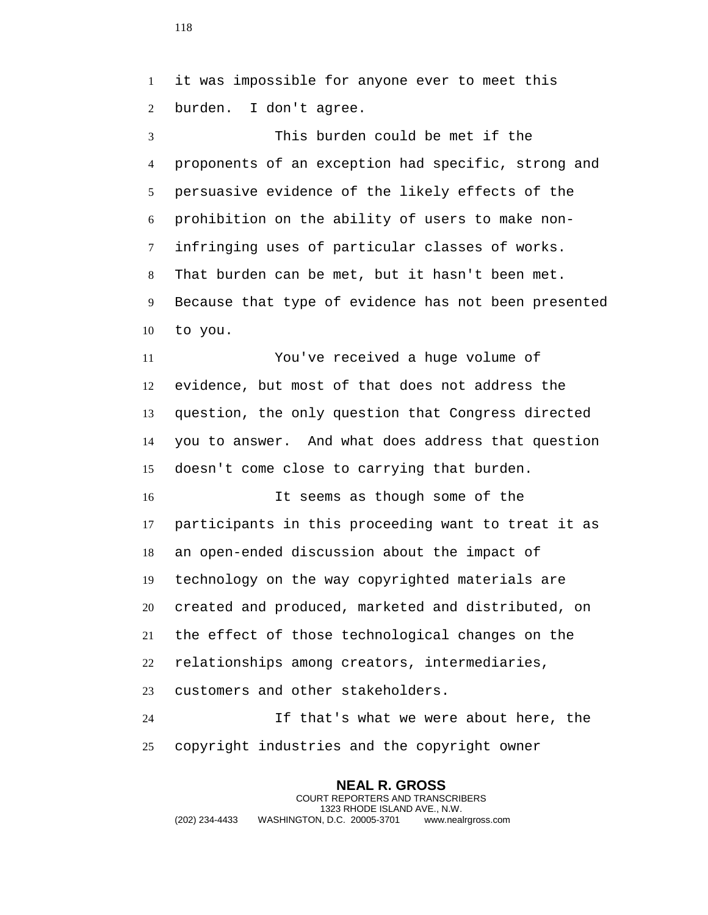it was impossible for anyone ever to meet this burden. I don't agree.

 This burden could be met if the proponents of an exception had specific, strong and persuasive evidence of the likely effects of the prohibition on the ability of users to make non- infringing uses of particular classes of works. That burden can be met, but it hasn't been met. Because that type of evidence has not been presented to you.

 You've received a huge volume of evidence, but most of that does not address the question, the only question that Congress directed you to answer. And what does address that question doesn't come close to carrying that burden.

 It seems as though some of the participants in this proceeding want to treat it as an open-ended discussion about the impact of technology on the way copyrighted materials are created and produced, marketed and distributed, on the effect of those technological changes on the relationships among creators, intermediaries, customers and other stakeholders.

 If that's what we were about here, the copyright industries and the copyright owner

**NEAL R. GROSS** COURT REPORTERS AND TRANSCRIBERS 1323 RHODE ISLAND AVE., N.W. (202) 234-4433 WASHINGTON, D.C. 20005-3701 www.nealrgross.com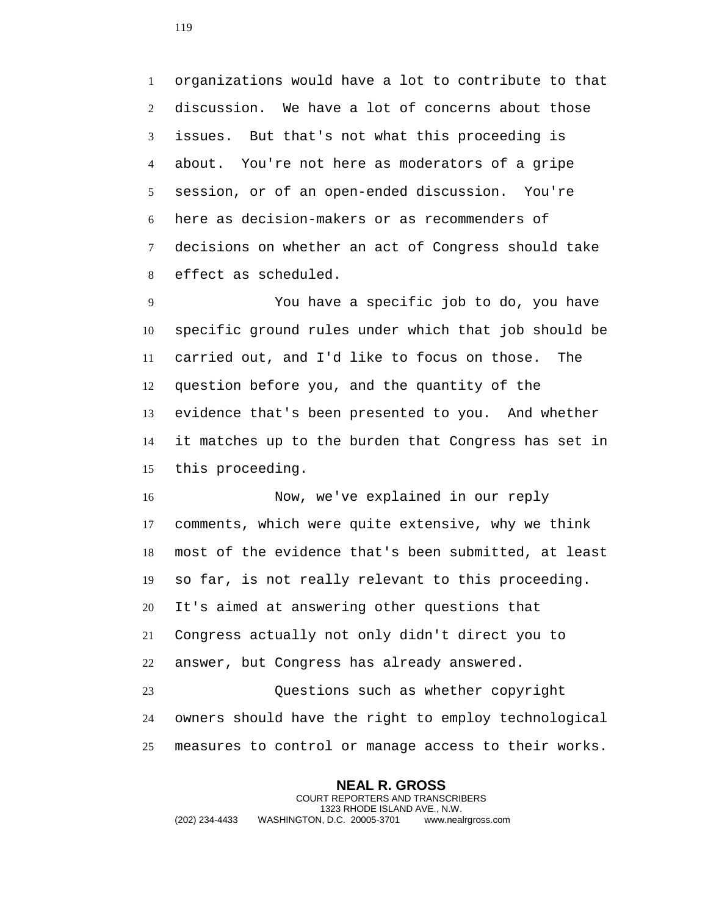organizations would have a lot to contribute to that discussion. We have a lot of concerns about those issues. But that's not what this proceeding is about. You're not here as moderators of a gripe session, or of an open-ended discussion. You're here as decision-makers or as recommenders of decisions on whether an act of Congress should take effect as scheduled.

 You have a specific job to do, you have specific ground rules under which that job should be carried out, and I'd like to focus on those. The question before you, and the quantity of the evidence that's been presented to you. And whether it matches up to the burden that Congress has set in this proceeding.

 Now, we've explained in our reply comments, which were quite extensive, why we think most of the evidence that's been submitted, at least so far, is not really relevant to this proceeding. It's aimed at answering other questions that Congress actually not only didn't direct you to answer, but Congress has already answered. Questions such as whether copyright

 owners should have the right to employ technological measures to control or manage access to their works.

**NEAL R. GROSS** COURT REPORTERS AND TRANSCRIBERS 1323 RHODE ISLAND AVE., N.W. (202) 234-4433 WASHINGTON, D.C. 20005-3701 www.nealrgross.com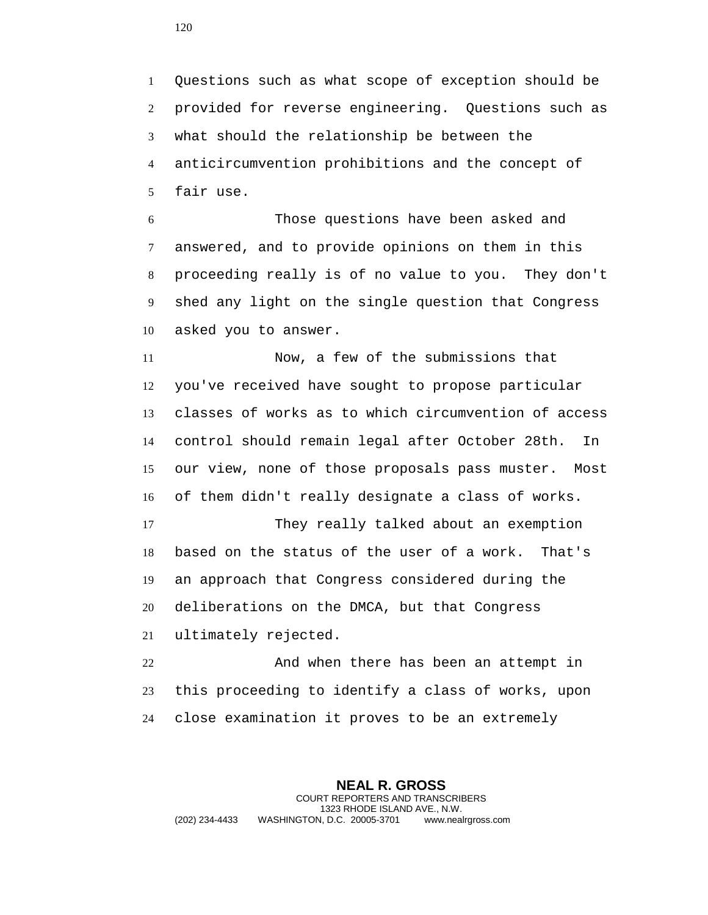Questions such as what scope of exception should be provided for reverse engineering. Questions such as what should the relationship be between the anticircumvention prohibitions and the concept of fair use.

 Those questions have been asked and answered, and to provide opinions on them in this proceeding really is of no value to you. They don't shed any light on the single question that Congress asked you to answer.

 Now, a few of the submissions that you've received have sought to propose particular classes of works as to which circumvention of access control should remain legal after October 28th. In our view, none of those proposals pass muster. Most of them didn't really designate a class of works.

 They really talked about an exemption based on the status of the user of a work. That's an approach that Congress considered during the deliberations on the DMCA, but that Congress ultimately rejected.

 And when there has been an attempt in this proceeding to identify a class of works, upon close examination it proves to be an extremely

**NEAL R. GROSS** COURT REPORTERS AND TRANSCRIBERS 1323 RHODE ISLAND AVE., N.W. (202) 234-4433 WASHINGTON, D.C. 20005-3701 www.nealrgross.com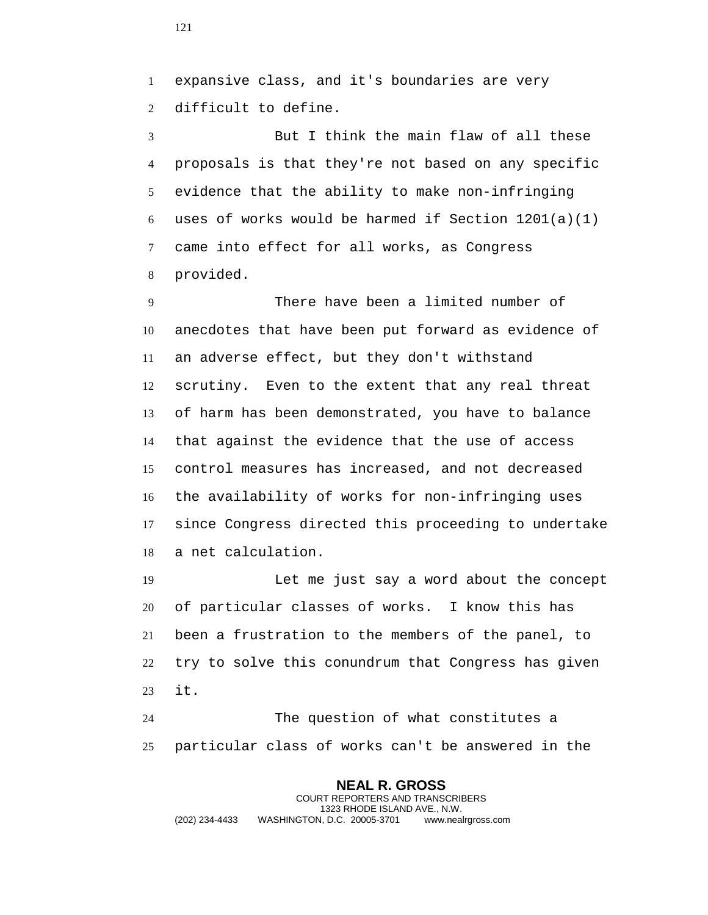expansive class, and it's boundaries are very difficult to define.

 But I think the main flaw of all these proposals is that they're not based on any specific evidence that the ability to make non-infringing 6 uses of works would be harmed if Section  $1201(a)(1)$  came into effect for all works, as Congress provided.

 There have been a limited number of anecdotes that have been put forward as evidence of an adverse effect, but they don't withstand scrutiny. Even to the extent that any real threat of harm has been demonstrated, you have to balance that against the evidence that the use of access control measures has increased, and not decreased the availability of works for non-infringing uses since Congress directed this proceeding to undertake a net calculation.

 Let me just say a word about the concept of particular classes of works. I know this has been a frustration to the members of the panel, to try to solve this conundrum that Congress has given it.

 The question of what constitutes a particular class of works can't be answered in the

**NEAL R. GROSS** COURT REPORTERS AND TRANSCRIBERS 1323 RHODE ISLAND AVE., N.W. (202) 234-4433 WASHINGTON, D.C. 20005-3701 www.nealrgross.com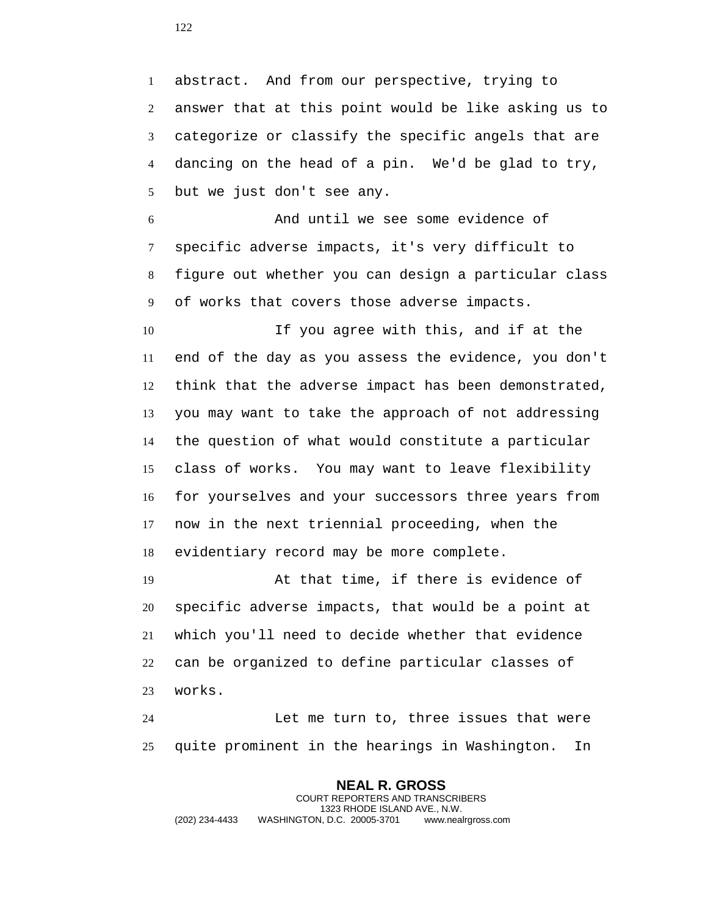abstract. And from our perspective, trying to answer that at this point would be like asking us to categorize or classify the specific angels that are dancing on the head of a pin. We'd be glad to try, but we just don't see any.

 And until we see some evidence of specific adverse impacts, it's very difficult to figure out whether you can design a particular class of works that covers those adverse impacts.

 If you agree with this, and if at the end of the day as you assess the evidence, you don't think that the adverse impact has been demonstrated, you may want to take the approach of not addressing the question of what would constitute a particular class of works. You may want to leave flexibility for yourselves and your successors three years from now in the next triennial proceeding, when the evidentiary record may be more complete.

 At that time, if there is evidence of specific adverse impacts, that would be a point at which you'll need to decide whether that evidence can be organized to define particular classes of works.

 Let me turn to, three issues that were quite prominent in the hearings in Washington. In

**NEAL R. GROSS** COURT REPORTERS AND TRANSCRIBERS 1323 RHODE ISLAND AVE., N.W. (202) 234-4433 WASHINGTON, D.C. 20005-3701 www.nealrgross.com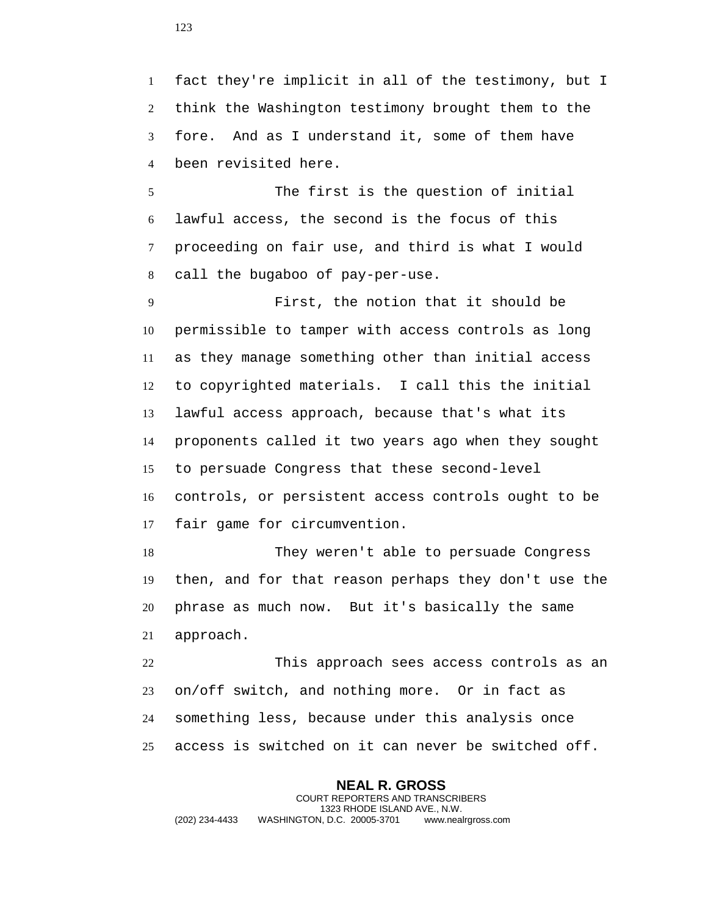fact they're implicit in all of the testimony, but I think the Washington testimony brought them to the fore. And as I understand it, some of them have been revisited here.

 The first is the question of initial lawful access, the second is the focus of this proceeding on fair use, and third is what I would call the bugaboo of pay-per-use.

 First, the notion that it should be permissible to tamper with access controls as long as they manage something other than initial access to copyrighted materials. I call this the initial lawful access approach, because that's what its proponents called it two years ago when they sought to persuade Congress that these second-level controls, or persistent access controls ought to be fair game for circumvention.

 They weren't able to persuade Congress then, and for that reason perhaps they don't use the phrase as much now. But it's basically the same approach.

 This approach sees access controls as an on/off switch, and nothing more. Or in fact as something less, because under this analysis once access is switched on it can never be switched off.

**NEAL R. GROSS** COURT REPORTERS AND TRANSCRIBERS 1323 RHODE ISLAND AVE., N.W. (202) 234-4433 WASHINGTON, D.C. 20005-3701 www.nealrgross.com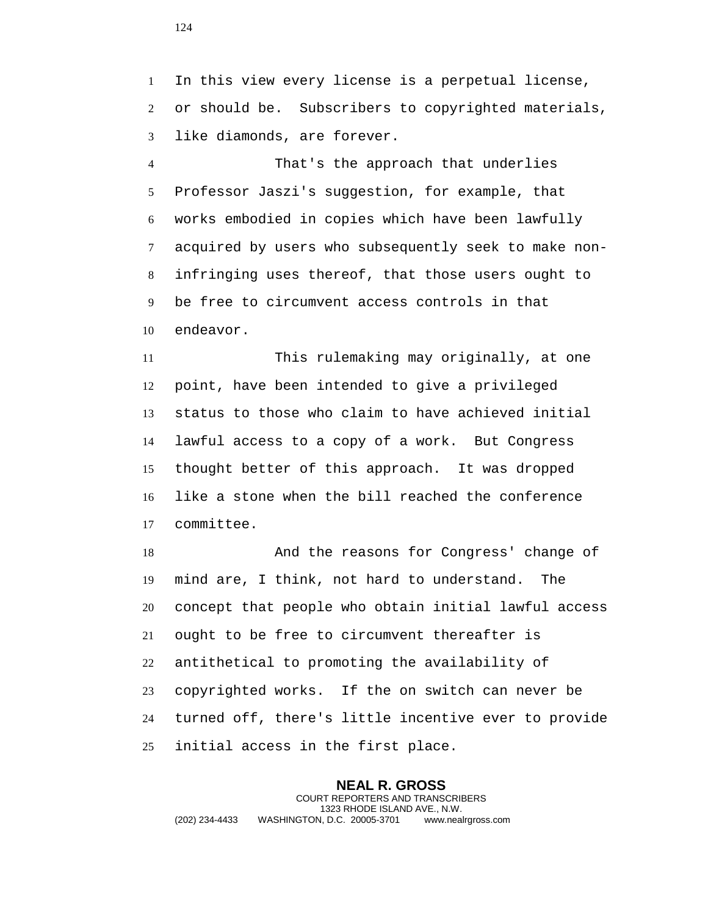In this view every license is a perpetual license, or should be. Subscribers to copyrighted materials, like diamonds, are forever.

 That's the approach that underlies Professor Jaszi's suggestion, for example, that works embodied in copies which have been lawfully acquired by users who subsequently seek to make non- infringing uses thereof, that those users ought to be free to circumvent access controls in that endeavor.

 This rulemaking may originally, at one point, have been intended to give a privileged status to those who claim to have achieved initial lawful access to a copy of a work. But Congress thought better of this approach. It was dropped like a stone when the bill reached the conference committee.

 And the reasons for Congress' change of mind are, I think, not hard to understand. The concept that people who obtain initial lawful access ought to be free to circumvent thereafter is antithetical to promoting the availability of copyrighted works. If the on switch can never be turned off, there's little incentive ever to provide initial access in the first place.

**NEAL R. GROSS** COURT REPORTERS AND TRANSCRIBERS 1323 RHODE ISLAND AVE., N.W. (202) 234-4433 WASHINGTON, D.C. 20005-3701 www.nealrgross.com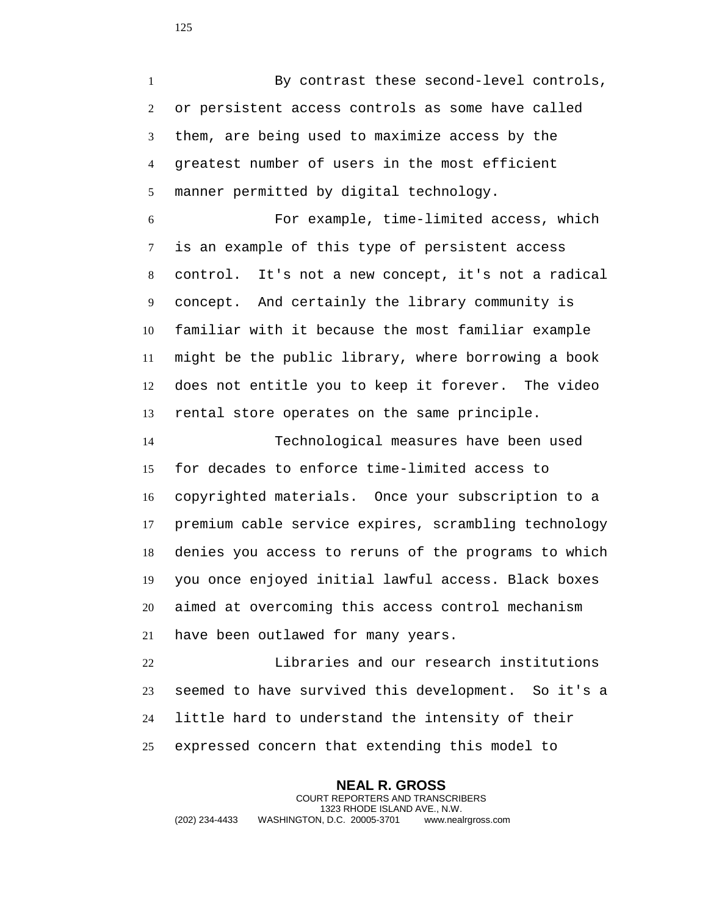By contrast these second-level controls, or persistent access controls as some have called them, are being used to maximize access by the greatest number of users in the most efficient manner permitted by digital technology.

 For example, time-limited access, which is an example of this type of persistent access control. It's not a new concept, it's not a radical concept. And certainly the library community is familiar with it because the most familiar example might be the public library, where borrowing a book does not entitle you to keep it forever. The video rental store operates on the same principle.

 Technological measures have been used for decades to enforce time-limited access to copyrighted materials. Once your subscription to a premium cable service expires, scrambling technology denies you access to reruns of the programs to which you once enjoyed initial lawful access. Black boxes aimed at overcoming this access control mechanism have been outlawed for many years.

 Libraries and our research institutions seemed to have survived this development. So it's a little hard to understand the intensity of their expressed concern that extending this model to

**NEAL R. GROSS** COURT REPORTERS AND TRANSCRIBERS 1323 RHODE ISLAND AVE., N.W. (202) 234-4433 WASHINGTON, D.C. 20005-3701 www.nealrgross.com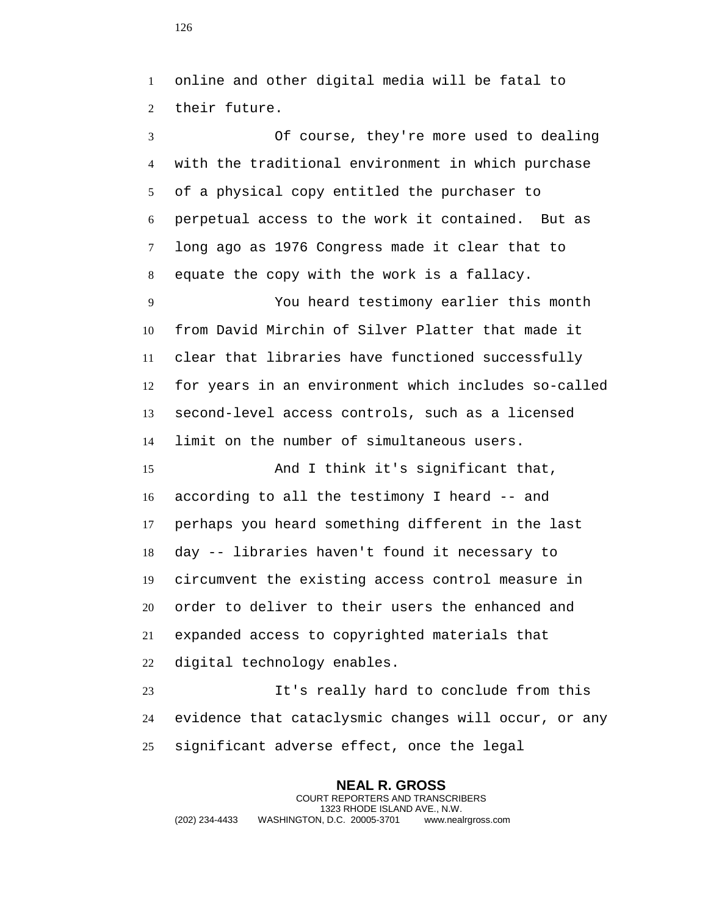online and other digital media will be fatal to their future.

 Of course, they're more used to dealing with the traditional environment in which purchase of a physical copy entitled the purchaser to perpetual access to the work it contained. But as long ago as 1976 Congress made it clear that to equate the copy with the work is a fallacy.

 You heard testimony earlier this month from David Mirchin of Silver Platter that made it clear that libraries have functioned successfully for years in an environment which includes so-called second-level access controls, such as a licensed limit on the number of simultaneous users.

15 And I think it's significant that, according to all the testimony I heard -- and perhaps you heard something different in the last day -- libraries haven't found it necessary to circumvent the existing access control measure in order to deliver to their users the enhanced and expanded access to copyrighted materials that digital technology enables.

 It's really hard to conclude from this evidence that cataclysmic changes will occur, or any significant adverse effect, once the legal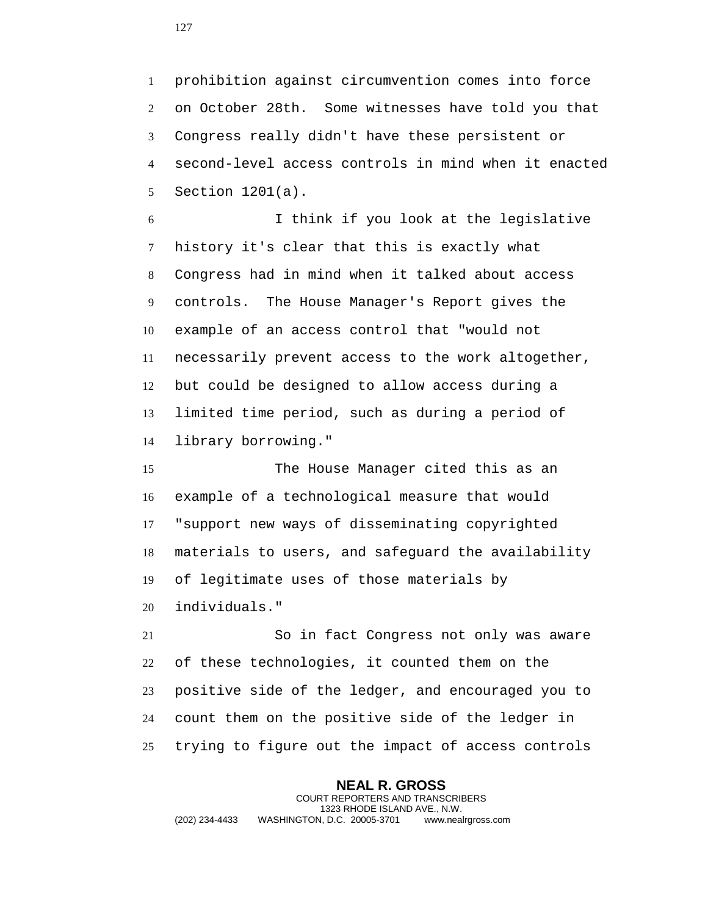prohibition against circumvention comes into force on October 28th. Some witnesses have told you that Congress really didn't have these persistent or second-level access controls in mind when it enacted Section 1201(a).

 I think if you look at the legislative history it's clear that this is exactly what Congress had in mind when it talked about access controls. The House Manager's Report gives the example of an access control that "would not necessarily prevent access to the work altogether, but could be designed to allow access during a limited time period, such as during a period of library borrowing."

 The House Manager cited this as an example of a technological measure that would "support new ways of disseminating copyrighted materials to users, and safeguard the availability of legitimate uses of those materials by individuals."

 So in fact Congress not only was aware of these technologies, it counted them on the positive side of the ledger, and encouraged you to count them on the positive side of the ledger in trying to figure out the impact of access controls

**NEAL R. GROSS** COURT REPORTERS AND TRANSCRIBERS 1323 RHODE ISLAND AVE., N.W. (202) 234-4433 WASHINGTON, D.C. 20005-3701 www.nealrgross.com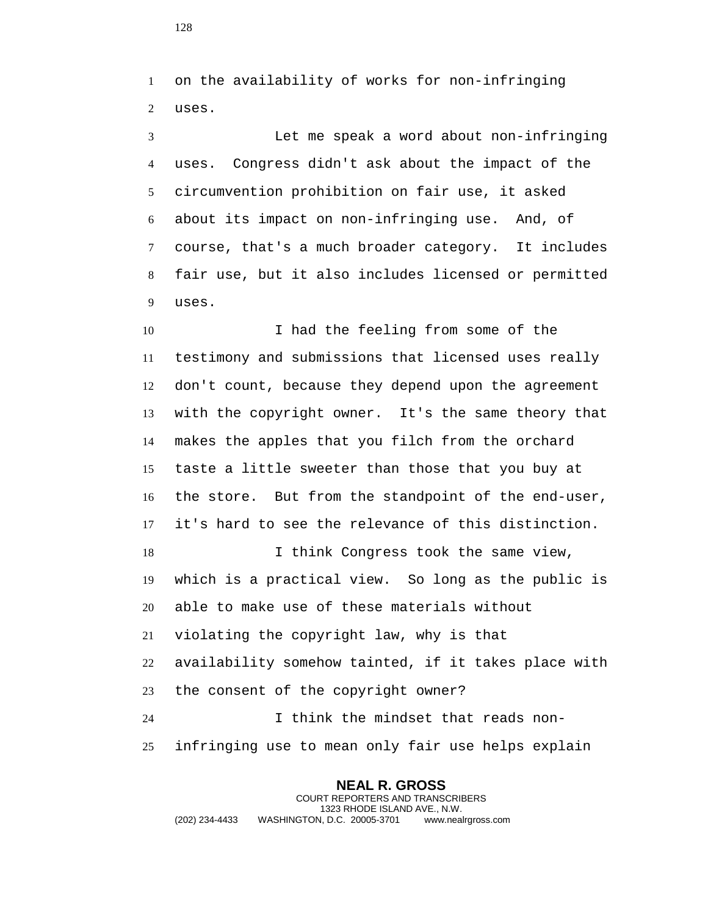on the availability of works for non-infringing uses.

 Let me speak a word about non-infringing uses. Congress didn't ask about the impact of the circumvention prohibition on fair use, it asked about its impact on non-infringing use. And, of course, that's a much broader category. It includes fair use, but it also includes licensed or permitted uses.

10 I had the feeling from some of the testimony and submissions that licensed uses really don't count, because they depend upon the agreement with the copyright owner. It's the same theory that makes the apples that you filch from the orchard taste a little sweeter than those that you buy at the store. But from the standpoint of the end-user, it's hard to see the relevance of this distinction. I think Congress took the same view, which is a practical view. So long as the public is able to make use of these materials without violating the copyright law, why is that availability somehow tainted, if it takes place with the consent of the copyright owner? I think the mindset that reads non-infringing use to mean only fair use helps explain

**NEAL R. GROSS** COURT REPORTERS AND TRANSCRIBERS 1323 RHODE ISLAND AVE., N.W. (202) 234-4433 WASHINGTON, D.C. 20005-3701 www.nealrgross.com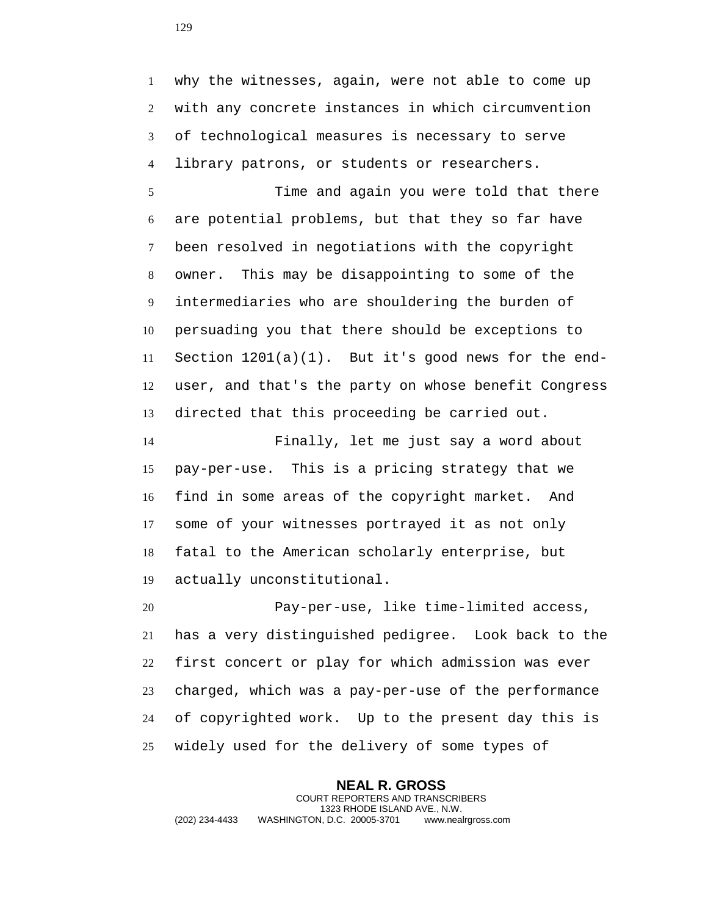why the witnesses, again, were not able to come up with any concrete instances in which circumvention of technological measures is necessary to serve library patrons, or students or researchers.

 Time and again you were told that there are potential problems, but that they so far have been resolved in negotiations with the copyright owner. This may be disappointing to some of the intermediaries who are shouldering the burden of persuading you that there should be exceptions to Section 1201(a)(1). But it's good news for the end- user, and that's the party on whose benefit Congress directed that this proceeding be carried out.

 Finally, let me just say a word about pay-per-use. This is a pricing strategy that we find in some areas of the copyright market. And some of your witnesses portrayed it as not only fatal to the American scholarly enterprise, but actually unconstitutional.

 Pay-per-use, like time-limited access, has a very distinguished pedigree. Look back to the first concert or play for which admission was ever charged, which was a pay-per-use of the performance of copyrighted work. Up to the present day this is widely used for the delivery of some types of

**NEAL R. GROSS** COURT REPORTERS AND TRANSCRIBERS 1323 RHODE ISLAND AVE., N.W. (202) 234-4433 WASHINGTON, D.C. 20005-3701 www.nealrgross.com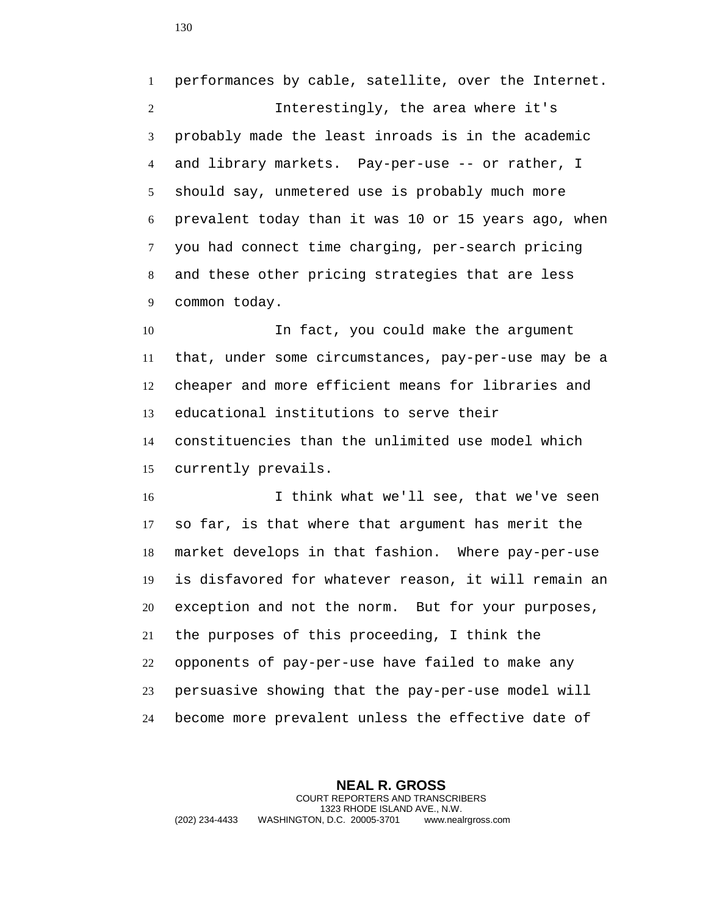performances by cable, satellite, over the Internet. Interestingly, the area where it's probably made the least inroads is in the academic and library markets. Pay-per-use -- or rather, I should say, unmetered use is probably much more prevalent today than it was 10 or 15 years ago, when you had connect time charging, per-search pricing and these other pricing strategies that are less common today.

 In fact, you could make the argument that, under some circumstances, pay-per-use may be a cheaper and more efficient means for libraries and educational institutions to serve their constituencies than the unlimited use model which currently prevails.

 I think what we'll see, that we've seen so far, is that where that argument has merit the market develops in that fashion. Where pay-per-use is disfavored for whatever reason, it will remain an exception and not the norm. But for your purposes, the purposes of this proceeding, I think the opponents of pay-per-use have failed to make any persuasive showing that the pay-per-use model will become more prevalent unless the effective date of

**NEAL R. GROSS** COURT REPORTERS AND TRANSCRIBERS 1323 RHODE ISLAND AVE., N.W. (202) 234-4433 WASHINGTON, D.C. 20005-3701 www.nealrgross.com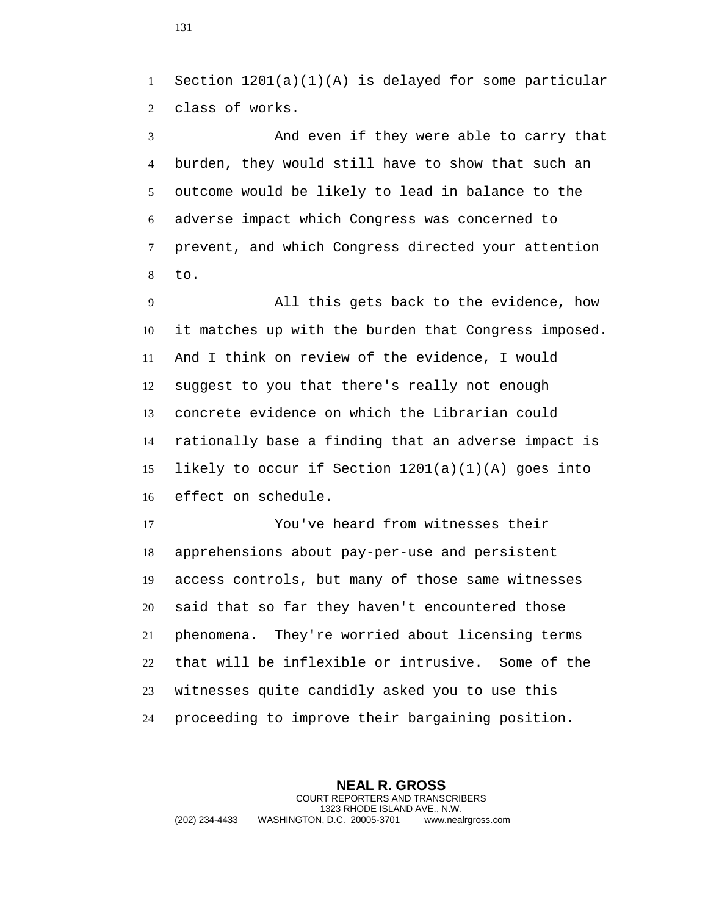1 Section  $1201(a)(1)(A)$  is delayed for some particular class of works.

 And even if they were able to carry that burden, they would still have to show that such an outcome would be likely to lead in balance to the adverse impact which Congress was concerned to prevent, and which Congress directed your attention to.

 All this gets back to the evidence, how it matches up with the burden that Congress imposed. And I think on review of the evidence, I would suggest to you that there's really not enough concrete evidence on which the Librarian could rationally base a finding that an adverse impact is likely to occur if Section 1201(a)(1)(A) goes into effect on schedule.

 You've heard from witnesses their apprehensions about pay-per-use and persistent access controls, but many of those same witnesses said that so far they haven't encountered those phenomena. They're worried about licensing terms that will be inflexible or intrusive. Some of the witnesses quite candidly asked you to use this proceeding to improve their bargaining position.

**NEAL R. GROSS** COURT REPORTERS AND TRANSCRIBERS 1323 RHODE ISLAND AVE., N.W. (202) 234-4433 WASHINGTON, D.C. 20005-3701 www.nealrgross.com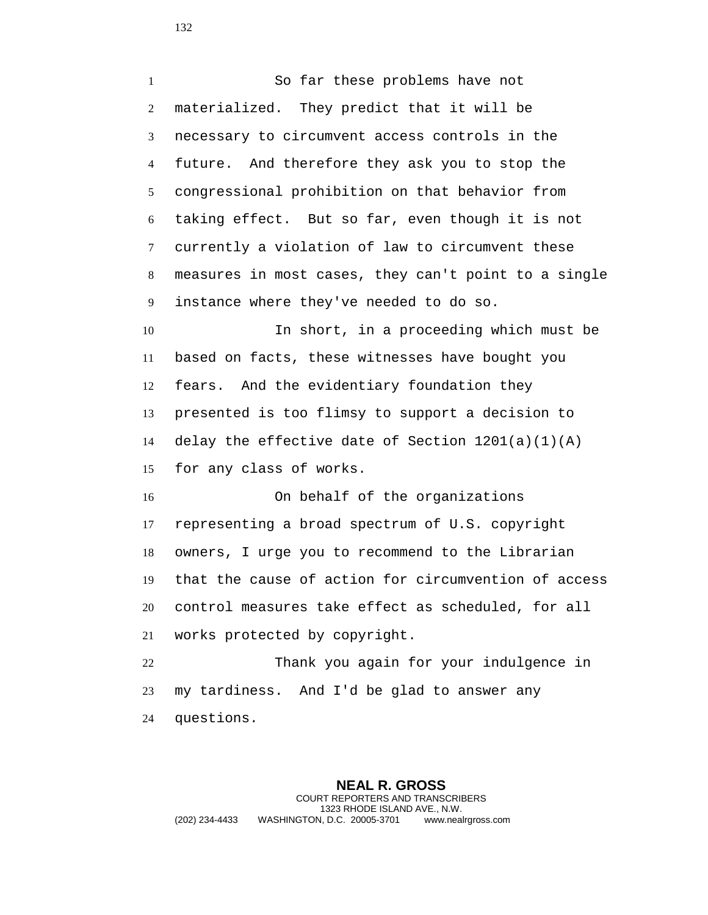So far these problems have not materialized. They predict that it will be necessary to circumvent access controls in the future. And therefore they ask you to stop the congressional prohibition on that behavior from taking effect. But so far, even though it is not currently a violation of law to circumvent these measures in most cases, they can't point to a single instance where they've needed to do so. In short, in a proceeding which must be based on facts, these witnesses have bought you fears. And the evidentiary foundation they presented is too flimsy to support a decision to 14 delay the effective date of Section  $1201(a)(1)(A)$  for any class of works. On behalf of the organizations representing a broad spectrum of U.S. copyright owners, I urge you to recommend to the Librarian that the cause of action for circumvention of access control measures take effect as scheduled, for all works protected by copyright. Thank you again for your indulgence in my tardiness. And I'd be glad to answer any questions.

**NEAL R. GROSS** COURT REPORTERS AND TRANSCRIBERS 1323 RHODE ISLAND AVE., N.W. (202) 234-4433 WASHINGTON, D.C. 20005-3701 www.nealrgross.com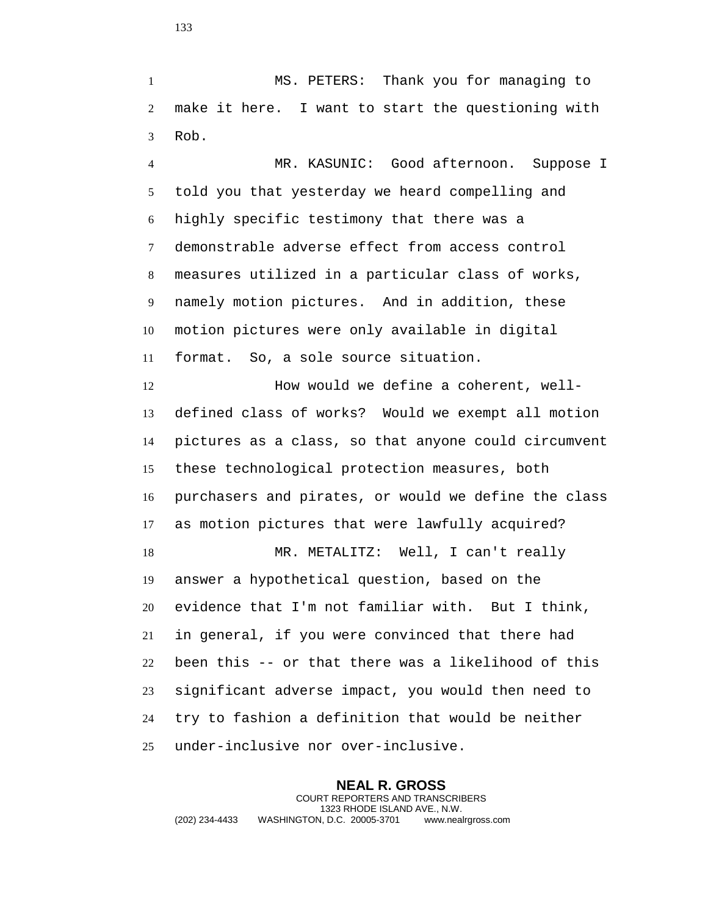MS. PETERS: Thank you for managing to make it here. I want to start the questioning with Rob.

 MR. KASUNIC: Good afternoon. Suppose I told you that yesterday we heard compelling and highly specific testimony that there was a demonstrable adverse effect from access control measures utilized in a particular class of works, namely motion pictures. And in addition, these motion pictures were only available in digital format. So, a sole source situation.

12 How would we define a coherent, well- defined class of works? Would we exempt all motion pictures as a class, so that anyone could circumvent these technological protection measures, both purchasers and pirates, or would we define the class as motion pictures that were lawfully acquired? MR. METALITZ: Well, I can't really answer a hypothetical question, based on the evidence that I'm not familiar with. But I think, in general, if you were convinced that there had

 been this -- or that there was a likelihood of this significant adverse impact, you would then need to try to fashion a definition that would be neither under-inclusive nor over-inclusive.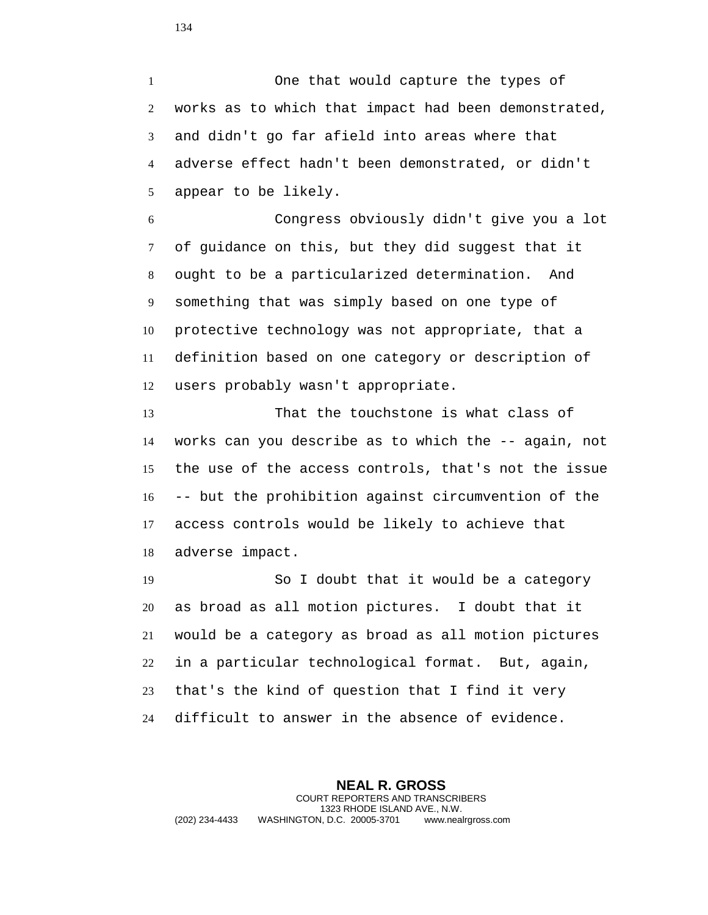One that would capture the types of works as to which that impact had been demonstrated, and didn't go far afield into areas where that adverse effect hadn't been demonstrated, or didn't appear to be likely.

 Congress obviously didn't give you a lot of guidance on this, but they did suggest that it ought to be a particularized determination. And something that was simply based on one type of protective technology was not appropriate, that a definition based on one category or description of users probably wasn't appropriate.

 That the touchstone is what class of works can you describe as to which the -- again, not the use of the access controls, that's not the issue -- but the prohibition against circumvention of the access controls would be likely to achieve that adverse impact.

 So I doubt that it would be a category as broad as all motion pictures. I doubt that it would be a category as broad as all motion pictures in a particular technological format. But, again, that's the kind of question that I find it very difficult to answer in the absence of evidence.

**NEAL R. GROSS** COURT REPORTERS AND TRANSCRIBERS 1323 RHODE ISLAND AVE., N.W. (202) 234-4433 WASHINGTON, D.C. 20005-3701 www.nealrgross.com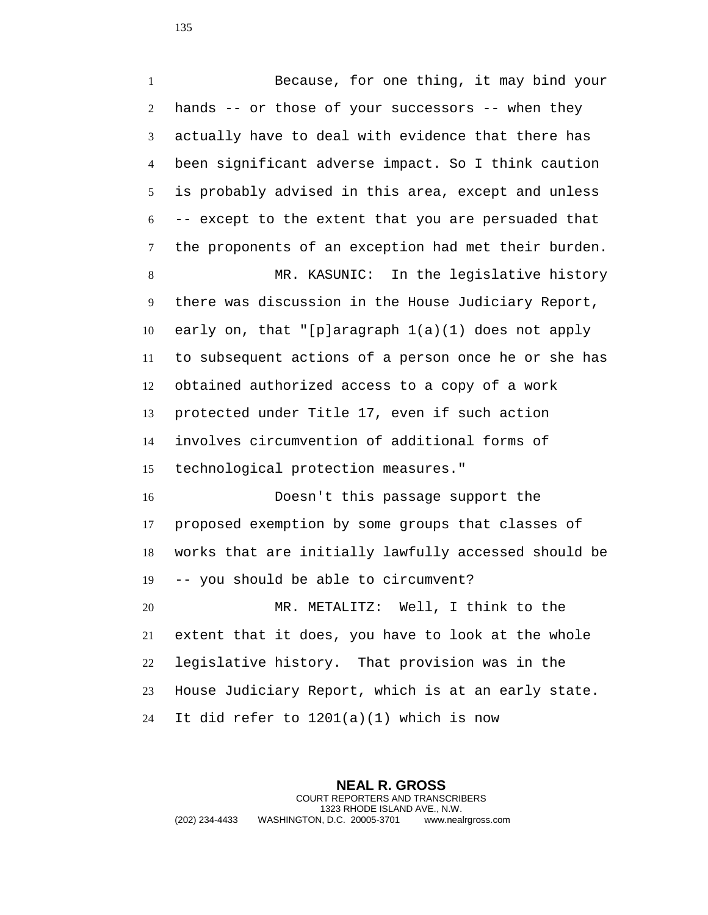Because, for one thing, it may bind your hands -- or those of your successors -- when they actually have to deal with evidence that there has been significant adverse impact. So I think caution is probably advised in this area, except and unless -- except to the extent that you are persuaded that the proponents of an exception had met their burden. MR. KASUNIC: In the legislative history there was discussion in the House Judiciary Report, early on, that "[p]aragraph 1(a)(1) does not apply to subsequent actions of a person once he or she has obtained authorized access to a copy of a work protected under Title 17, even if such action involves circumvention of additional forms of technological protection measures." Doesn't this passage support the proposed exemption by some groups that classes of works that are initially lawfully accessed should be -- you should be able to circumvent? MR. METALITZ: Well, I think to the extent that it does, you have to look at the whole legislative history. That provision was in the House Judiciary Report, which is at an early state. It did refer to 1201(a)(1) which is now

**NEAL R. GROSS** COURT REPORTERS AND TRANSCRIBERS 1323 RHODE ISLAND AVE., N.W. (202) 234-4433 WASHINGTON, D.C. 20005-3701 www.nealrgross.com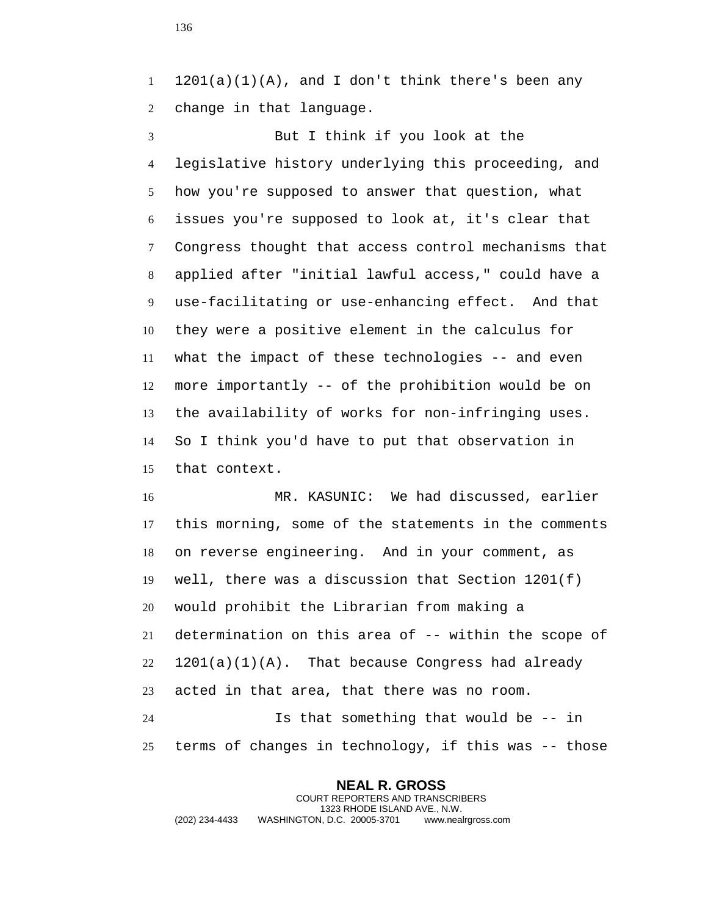$1 \quad 1201(a)(1)(A)$ , and I don't think there's been any change in that language.

 But I think if you look at the legislative history underlying this proceeding, and how you're supposed to answer that question, what issues you're supposed to look at, it's clear that Congress thought that access control mechanisms that applied after "initial lawful access," could have a use-facilitating or use-enhancing effect. And that they were a positive element in the calculus for what the impact of these technologies -- and even more importantly -- of the prohibition would be on the availability of works for non-infringing uses. So I think you'd have to put that observation in that context.

 MR. KASUNIC: We had discussed, earlier this morning, some of the statements in the comments on reverse engineering. And in your comment, as well, there was a discussion that Section 1201(f) would prohibit the Librarian from making a determination on this area of -- within the scope of  $22 \quad 1201(a)(1)(A)$ . That because Congress had already acted in that area, that there was no room. Is that something that would be -- in terms of changes in technology, if this was -- those

**NEAL R. GROSS** COURT REPORTERS AND TRANSCRIBERS 1323 RHODE ISLAND AVE., N.W. (202) 234-4433 WASHINGTON, D.C. 20005-3701 www.nealrgross.com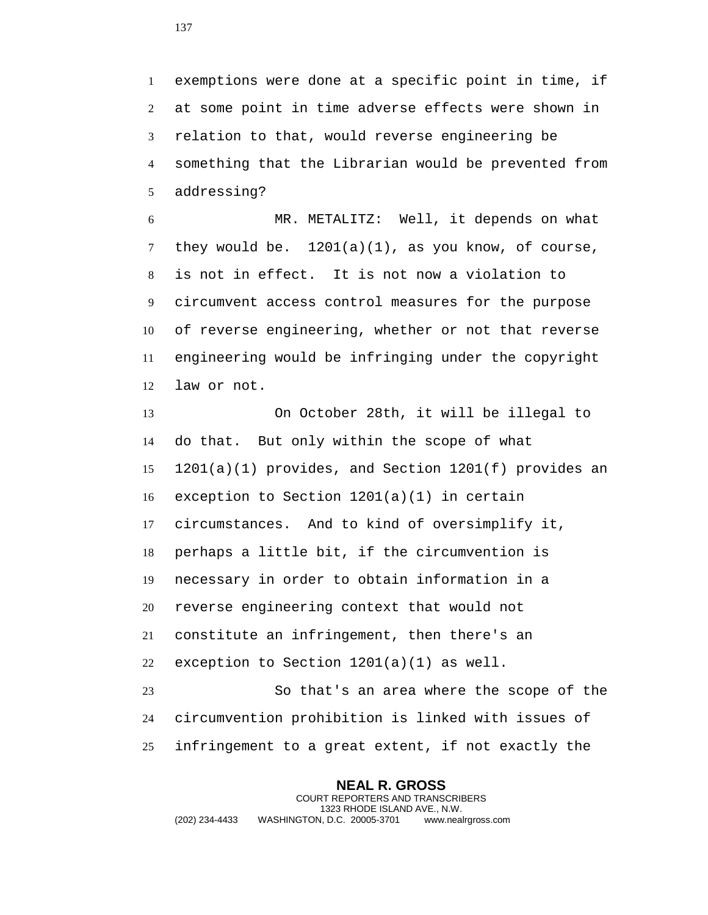exemptions were done at a specific point in time, if at some point in time adverse effects were shown in relation to that, would reverse engineering be something that the Librarian would be prevented from addressing?

 MR. METALITZ: Well, it depends on what they would be. 1201(a)(1), as you know, of course, is not in effect. It is not now a violation to circumvent access control measures for the purpose of reverse engineering, whether or not that reverse engineering would be infringing under the copyright law or not.

 On October 28th, it will be illegal to do that. But only within the scope of what 1201(a)(1) provides, and Section 1201(f) provides an exception to Section 1201(a)(1) in certain circumstances. And to kind of oversimplify it, perhaps a little bit, if the circumvention is necessary in order to obtain information in a reverse engineering context that would not constitute an infringement, then there's an exception to Section 1201(a)(1) as well. So that's an area where the scope of the

 circumvention prohibition is linked with issues of infringement to a great extent, if not exactly the

**NEAL R. GROSS** COURT REPORTERS AND TRANSCRIBERS 1323 RHODE ISLAND AVE., N.W. (202) 234-4433 WASHINGTON, D.C. 20005-3701 www.nealrgross.com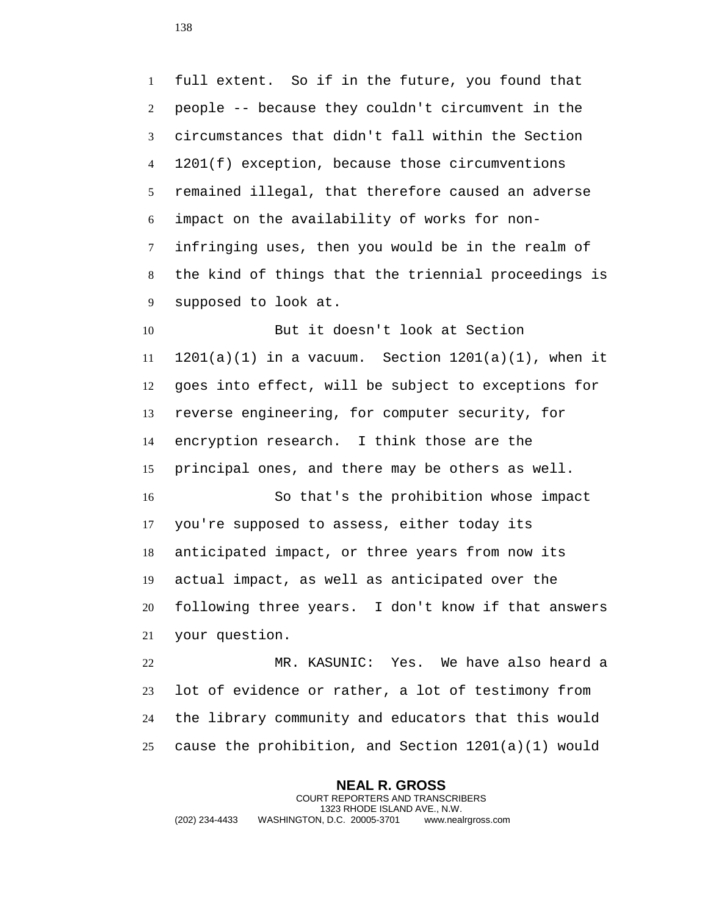full extent. So if in the future, you found that people -- because they couldn't circumvent in the circumstances that didn't fall within the Section 1201(f) exception, because those circumventions remained illegal, that therefore caused an adverse impact on the availability of works for non- infringing uses, then you would be in the realm of the kind of things that the triennial proceedings is supposed to look at. But it doesn't look at Section  $1201(a)(1)$  in a vacuum. Section  $1201(a)(1)$ , when it goes into effect, will be subject to exceptions for reverse engineering, for computer security, for encryption research. I think those are the principal ones, and there may be others as well. So that's the prohibition whose impact you're supposed to assess, either today its anticipated impact, or three years from now its actual impact, as well as anticipated over the following three years. I don't know if that answers your question. MR. KASUNIC: Yes. We have also heard a lot of evidence or rather, a lot of testimony from

 the library community and educators that this would cause the prohibition, and Section 1201(a)(1) would

**NEAL R. GROSS** COURT REPORTERS AND TRANSCRIBERS 1323 RHODE ISLAND AVE., N.W. (202) 234-4433 WASHINGTON, D.C. 20005-3701 www.nealrgross.com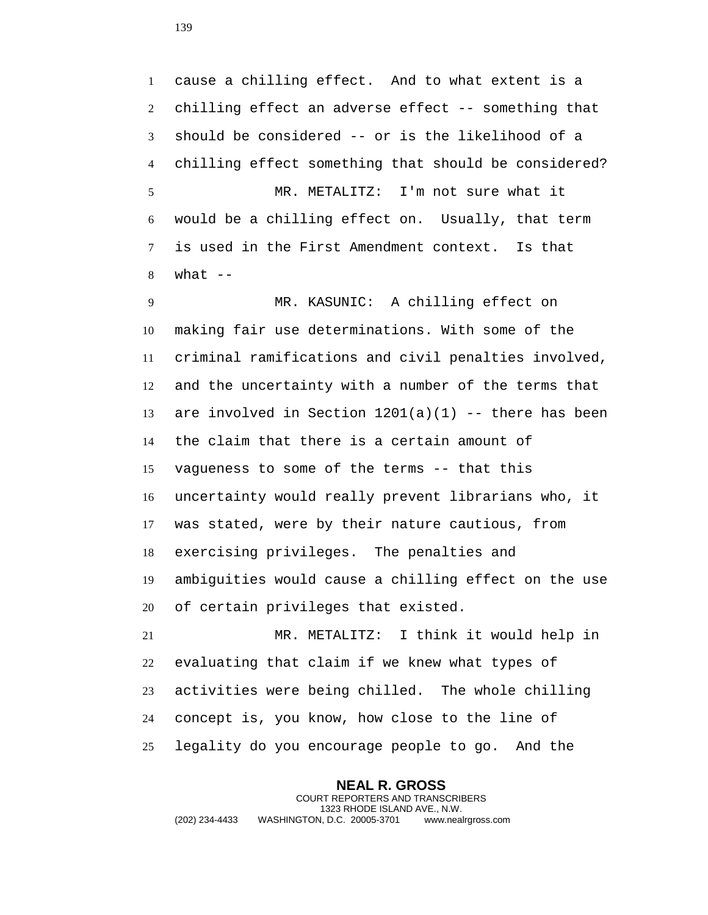cause a chilling effect. And to what extent is a chilling effect an adverse effect -- something that should be considered -- or is the likelihood of a chilling effect something that should be considered? MR. METALITZ: I'm not sure what it would be a chilling effect on. Usually, that term is used in the First Amendment context. Is that what  $-$ MR. KASUNIC: A chilling effect on

 making fair use determinations. With some of the criminal ramifications and civil penalties involved, and the uncertainty with a number of the terms that 13 are involved in Section  $1201(a)(1)$  -- there has been the claim that there is a certain amount of vagueness to some of the terms -- that this uncertainty would really prevent librarians who, it was stated, were by their nature cautious, from exercising privileges. The penalties and ambiguities would cause a chilling effect on the use of certain privileges that existed.

 MR. METALITZ: I think it would help in evaluating that claim if we knew what types of activities were being chilled. The whole chilling concept is, you know, how close to the line of legality do you encourage people to go. And the

**NEAL R. GROSS** COURT REPORTERS AND TRANSCRIBERS 1323 RHODE ISLAND AVE., N.W. (202) 234-4433 WASHINGTON, D.C. 20005-3701 www.nealrgross.com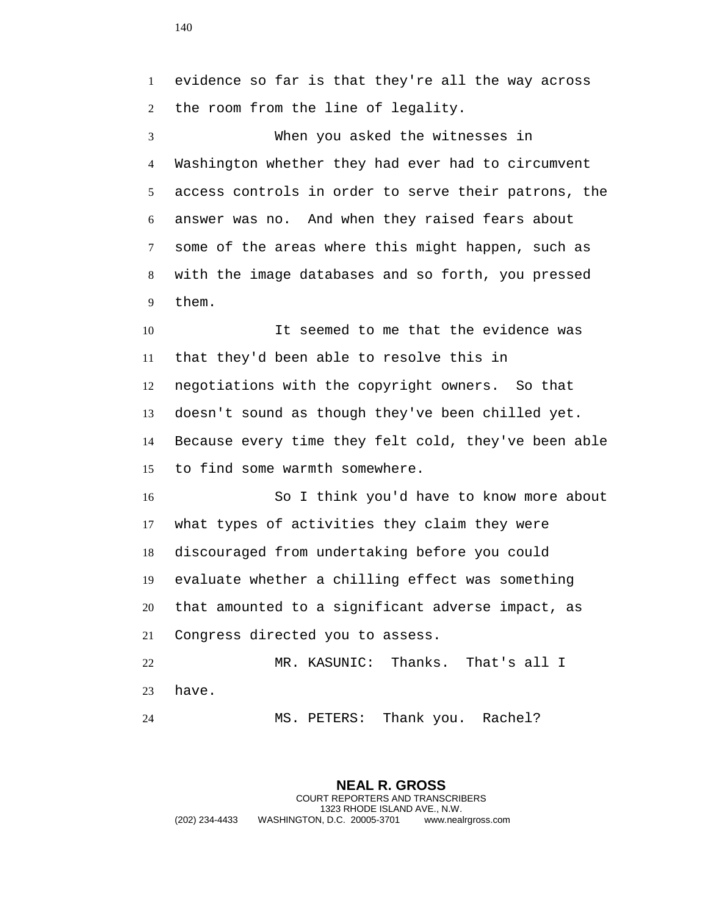evidence so far is that they're all the way across the room from the line of legality. When you asked the witnesses in Washington whether they had ever had to circumvent access controls in order to serve their patrons, the answer was no. And when they raised fears about some of the areas where this might happen, such as with the image databases and so forth, you pressed them. It seemed to me that the evidence was that they'd been able to resolve this in negotiations with the copyright owners. So that doesn't sound as though they've been chilled yet. Because every time they felt cold, they've been able to find some warmth somewhere. So I think you'd have to know more about what types of activities they claim they were discouraged from undertaking before you could evaluate whether a chilling effect was something that amounted to a significant adverse impact, as Congress directed you to assess. MR. KASUNIC: Thanks. That's all I have. MS. PETERS: Thank you. Rachel?

**NEAL R. GROSS** COURT REPORTERS AND TRANSCRIBERS 1323 RHODE ISLAND AVE., N.W. (202) 234-4433 WASHINGTON, D.C. 20005-3701 www.nealrgross.com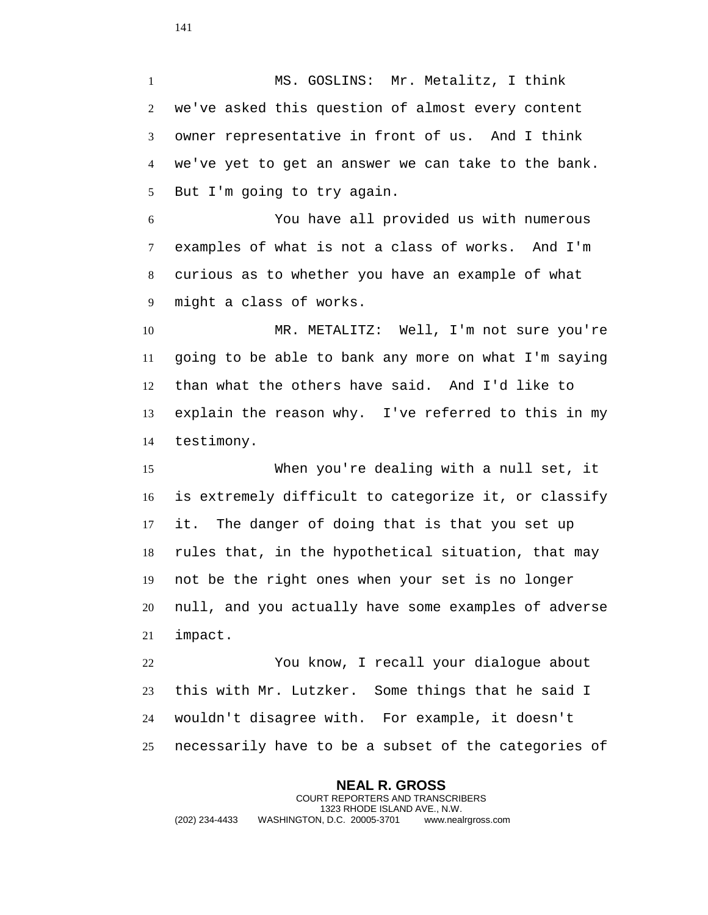MS. GOSLINS: Mr. Metalitz, I think we've asked this question of almost every content owner representative in front of us. And I think we've yet to get an answer we can take to the bank. But I'm going to try again.

 You have all provided us with numerous examples of what is not a class of works. And I'm curious as to whether you have an example of what might a class of works.

 MR. METALITZ: Well, I'm not sure you're going to be able to bank any more on what I'm saying than what the others have said. And I'd like to explain the reason why. I've referred to this in my testimony.

 When you're dealing with a null set, it is extremely difficult to categorize it, or classify it. The danger of doing that is that you set up rules that, in the hypothetical situation, that may not be the right ones when your set is no longer null, and you actually have some examples of adverse impact.

 You know, I recall your dialogue about this with Mr. Lutzker. Some things that he said I wouldn't disagree with. For example, it doesn't necessarily have to be a subset of the categories of

**NEAL R. GROSS** COURT REPORTERS AND TRANSCRIBERS 1323 RHODE ISLAND AVE., N.W. (202) 234-4433 WASHINGTON, D.C. 20005-3701 www.nealrgross.com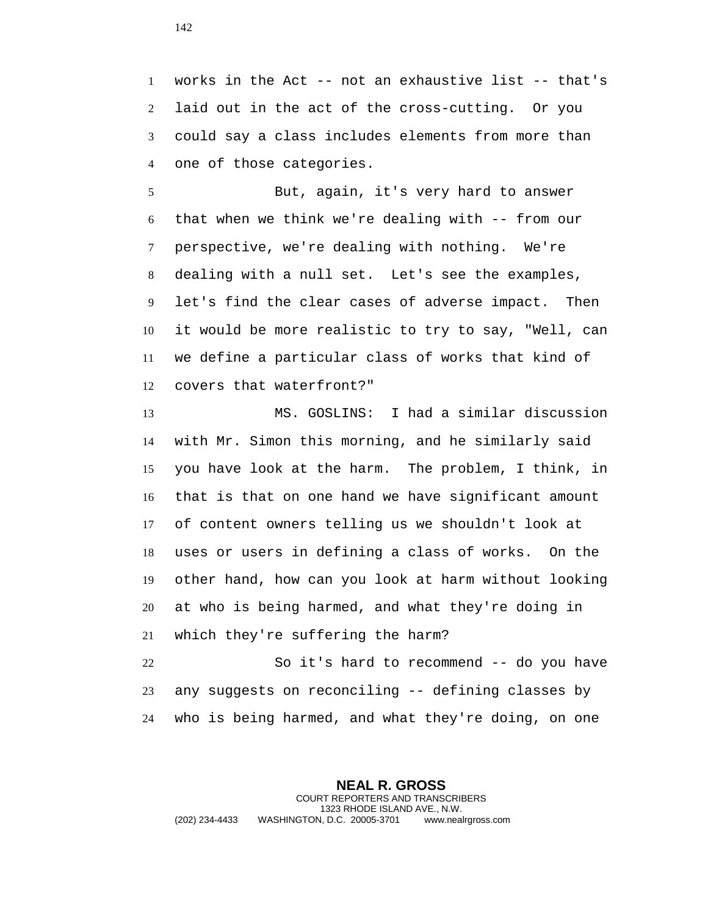works in the Act -- not an exhaustive list -- that's laid out in the act of the cross-cutting. Or you could say a class includes elements from more than one of those categories.

 But, again, it's very hard to answer that when we think we're dealing with -- from our perspective, we're dealing with nothing. We're dealing with a null set. Let's see the examples, let's find the clear cases of adverse impact. Then it would be more realistic to try to say, "Well, can we define a particular class of works that kind of covers that waterfront?"

 MS. GOSLINS: I had a similar discussion with Mr. Simon this morning, and he similarly said you have look at the harm. The problem, I think, in that is that on one hand we have significant amount of content owners telling us we shouldn't look at uses or users in defining a class of works. On the other hand, how can you look at harm without looking at who is being harmed, and what they're doing in which they're suffering the harm?

 So it's hard to recommend -- do you have any suggests on reconciling -- defining classes by who is being harmed, and what they're doing, on one

**NEAL R. GROSS** COURT REPORTERS AND TRANSCRIBERS 1323 RHODE ISLAND AVE., N.W. (202) 234-4433 WASHINGTON, D.C. 20005-3701 www.nealrgross.com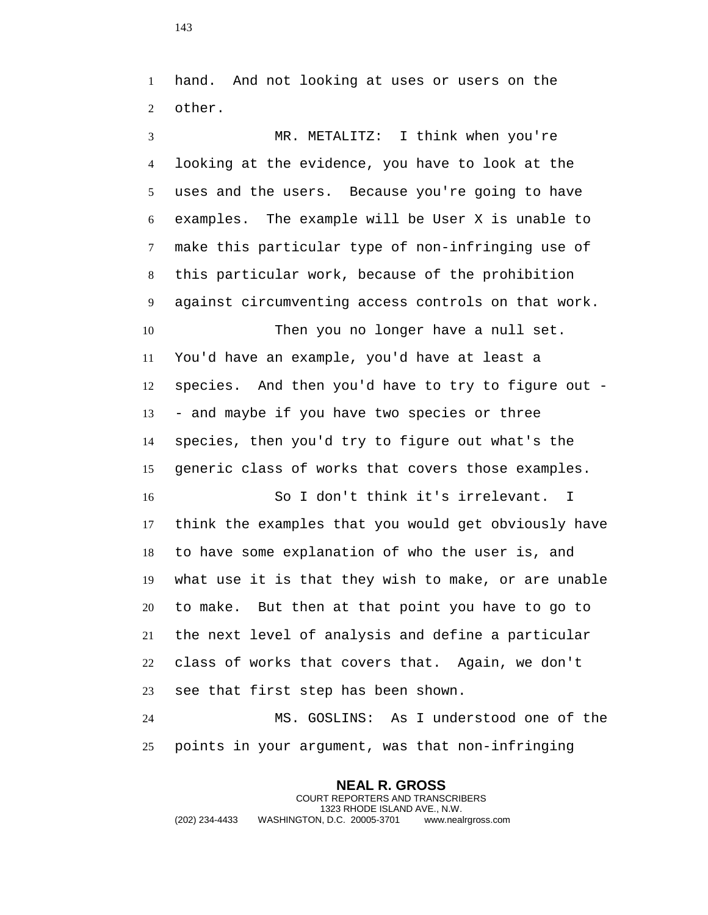hand. And not looking at uses or users on the other.

 MR. METALITZ: I think when you're looking at the evidence, you have to look at the uses and the users. Because you're going to have examples. The example will be User X is unable to make this particular type of non-infringing use of this particular work, because of the prohibition against circumventing access controls on that work. Then you no longer have a null set. You'd have an example, you'd have at least a species. And then you'd have to try to figure out - - and maybe if you have two species or three species, then you'd try to figure out what's the generic class of works that covers those examples. So I don't think it's irrelevant. I think the examples that you would get obviously have

 to have some explanation of who the user is, and what use it is that they wish to make, or are unable to make. But then at that point you have to go to the next level of analysis and define a particular class of works that covers that. Again, we don't see that first step has been shown.

 MS. GOSLINS: As I understood one of the points in your argument, was that non-infringing

## **NEAL R. GROSS**

COURT REPORTERS AND TRANSCRIBERS 1323 RHODE ISLAND AVE., N.W. (202) 234-4433 WASHINGTON, D.C. 20005-3701 www.nealrgross.com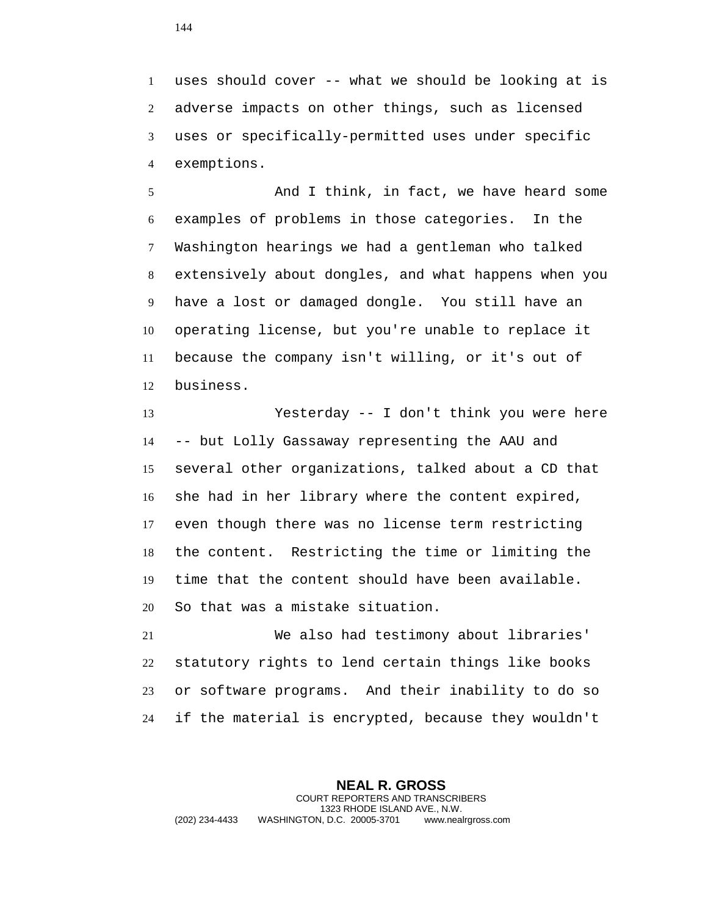uses should cover -- what we should be looking at is adverse impacts on other things, such as licensed uses or specifically-permitted uses under specific exemptions.

 And I think, in fact, we have heard some examples of problems in those categories. In the Washington hearings we had a gentleman who talked extensively about dongles, and what happens when you have a lost or damaged dongle. You still have an operating license, but you're unable to replace it because the company isn't willing, or it's out of business.

 Yesterday -- I don't think you were here -- but Lolly Gassaway representing the AAU and several other organizations, talked about a CD that she had in her library where the content expired, even though there was no license term restricting the content. Restricting the time or limiting the time that the content should have been available. So that was a mistake situation.

 We also had testimony about libraries' statutory rights to lend certain things like books or software programs. And their inability to do so if the material is encrypted, because they wouldn't

**NEAL R. GROSS** COURT REPORTERS AND TRANSCRIBERS 1323 RHODE ISLAND AVE., N.W. (202) 234-4433 WASHINGTON, D.C. 20005-3701 www.nealrgross.com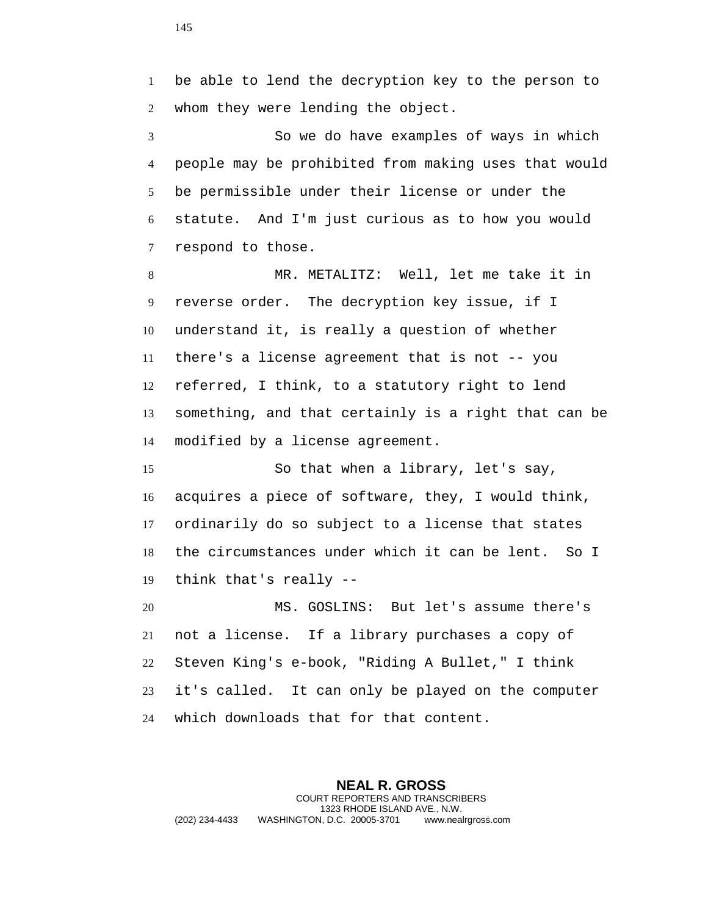be able to lend the decryption key to the person to whom they were lending the object.

 So we do have examples of ways in which people may be prohibited from making uses that would be permissible under their license or under the statute. And I'm just curious as to how you would respond to those.

 MR. METALITZ: Well, let me take it in reverse order. The decryption key issue, if I understand it, is really a question of whether there's a license agreement that is not -- you referred, I think, to a statutory right to lend something, and that certainly is a right that can be modified by a license agreement.

 So that when a library, let's say, acquires a piece of software, they, I would think, ordinarily do so subject to a license that states the circumstances under which it can be lent. So I think that's really --

 MS. GOSLINS: But let's assume there's not a license. If a library purchases a copy of Steven King's e-book, "Riding A Bullet," I think it's called. It can only be played on the computer which downloads that for that content.

**NEAL R. GROSS** COURT REPORTERS AND TRANSCRIBERS 1323 RHODE ISLAND AVE., N.W. (202) 234-4433 WASHINGTON, D.C. 20005-3701 www.nealrgross.com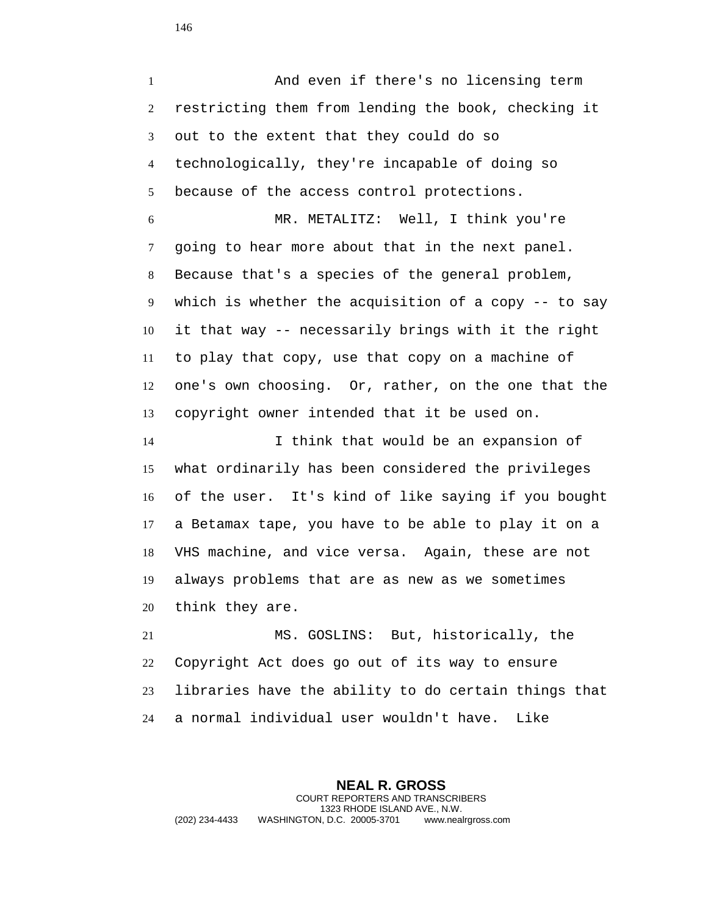And even if there's no licensing term restricting them from lending the book, checking it out to the extent that they could do so technologically, they're incapable of doing so because of the access control protections.

 MR. METALITZ: Well, I think you're going to hear more about that in the next panel. Because that's a species of the general problem, which is whether the acquisition of a copy -- to say it that way -- necessarily brings with it the right to play that copy, use that copy on a machine of one's own choosing. Or, rather, on the one that the copyright owner intended that it be used on.

 I think that would be an expansion of what ordinarily has been considered the privileges of the user. It's kind of like saying if you bought a Betamax tape, you have to be able to play it on a VHS machine, and vice versa. Again, these are not always problems that are as new as we sometimes think they are.

 MS. GOSLINS: But, historically, the Copyright Act does go out of its way to ensure libraries have the ability to do certain things that a normal individual user wouldn't have. Like

**NEAL R. GROSS** COURT REPORTERS AND TRANSCRIBERS 1323 RHODE ISLAND AVE., N.W. (202) 234-4433 WASHINGTON, D.C. 20005-3701 www.nealrgross.com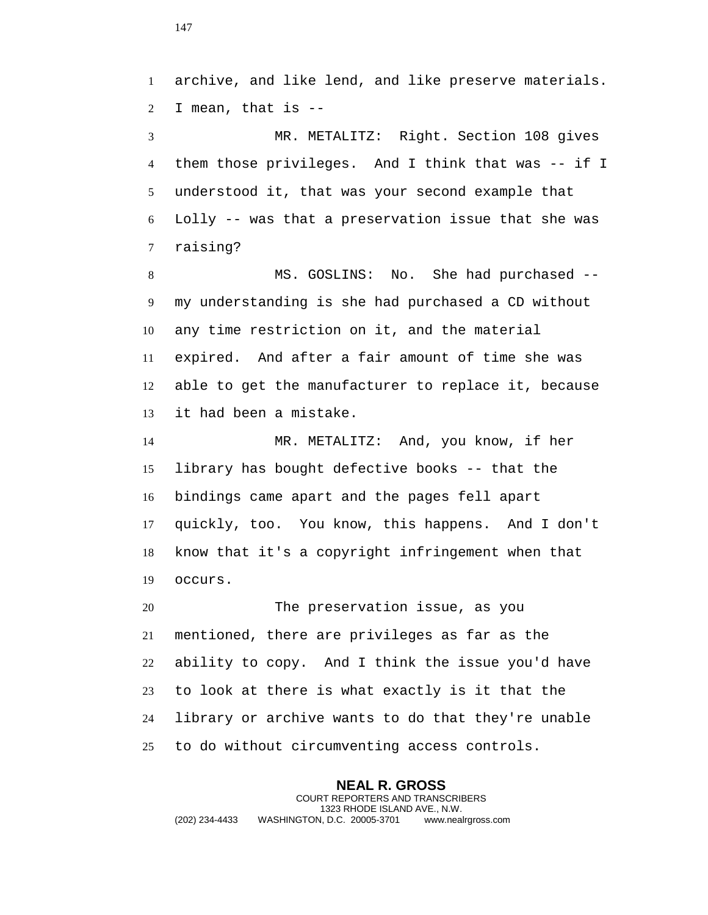archive, and like lend, and like preserve materials. I mean, that is --

 MR. METALITZ: Right. Section 108 gives them those privileges. And I think that was -- if I understood it, that was your second example that Lolly -- was that a preservation issue that she was raising?

 MS. GOSLINS: No. She had purchased -- my understanding is she had purchased a CD without any time restriction on it, and the material expired. And after a fair amount of time she was able to get the manufacturer to replace it, because it had been a mistake.

 MR. METALITZ: And, you know, if her library has bought defective books -- that the bindings came apart and the pages fell apart quickly, too. You know, this happens. And I don't know that it's a copyright infringement when that occurs.

 The preservation issue, as you mentioned, there are privileges as far as the ability to copy. And I think the issue you'd have to look at there is what exactly is it that the library or archive wants to do that they're unable to do without circumventing access controls.

**NEAL R. GROSS** COURT REPORTERS AND TRANSCRIBERS 1323 RHODE ISLAND AVE., N.W. (202) 234-4433 WASHINGTON, D.C. 20005-3701 www.nealrgross.com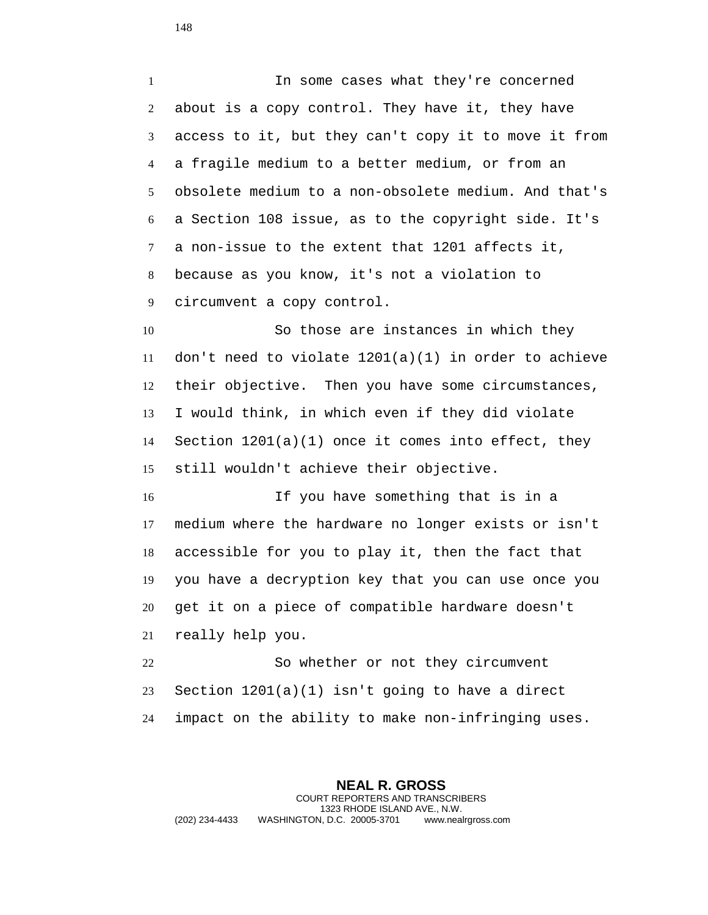1 1 In some cases what they're concerned about is a copy control. They have it, they have access to it, but they can't copy it to move it from a fragile medium to a better medium, or from an obsolete medium to a non-obsolete medium. And that's a Section 108 issue, as to the copyright side. It's a non-issue to the extent that 1201 affects it, because as you know, it's not a violation to circumvent a copy control. So those are instances in which they 11 don't need to violate  $1201(a)(1)$  in order to achieve their objective. Then you have some circumstances,

 I would think, in which even if they did violate Section 1201(a)(1) once it comes into effect, they still wouldn't achieve their objective.

 If you have something that is in a medium where the hardware no longer exists or isn't accessible for you to play it, then the fact that you have a decryption key that you can use once you get it on a piece of compatible hardware doesn't really help you.

 So whether or not they circumvent Section 1201(a)(1) isn't going to have a direct impact on the ability to make non-infringing uses.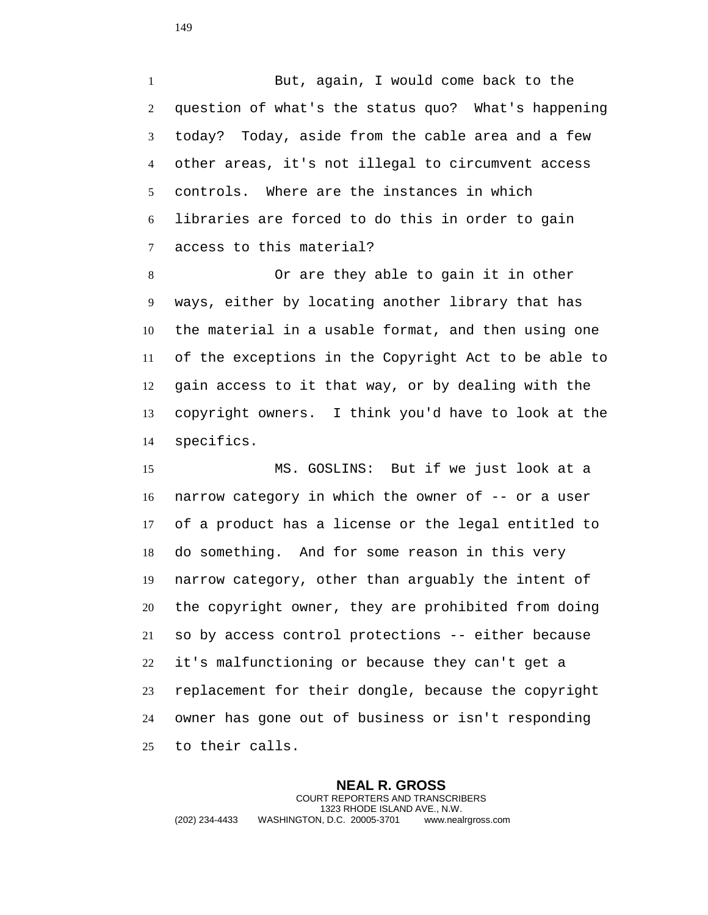1 But, again, I would come back to the question of what's the status quo? What's happening today? Today, aside from the cable area and a few other areas, it's not illegal to circumvent access controls. Where are the instances in which libraries are forced to do this in order to gain access to this material?

 Or are they able to gain it in other ways, either by locating another library that has the material in a usable format, and then using one of the exceptions in the Copyright Act to be able to gain access to it that way, or by dealing with the copyright owners. I think you'd have to look at the specifics.

 MS. GOSLINS: But if we just look at a narrow category in which the owner of -- or a user of a product has a license or the legal entitled to do something. And for some reason in this very narrow category, other than arguably the intent of the copyright owner, they are prohibited from doing so by access control protections -- either because it's malfunctioning or because they can't get a replacement for their dongle, because the copyright owner has gone out of business or isn't responding to their calls.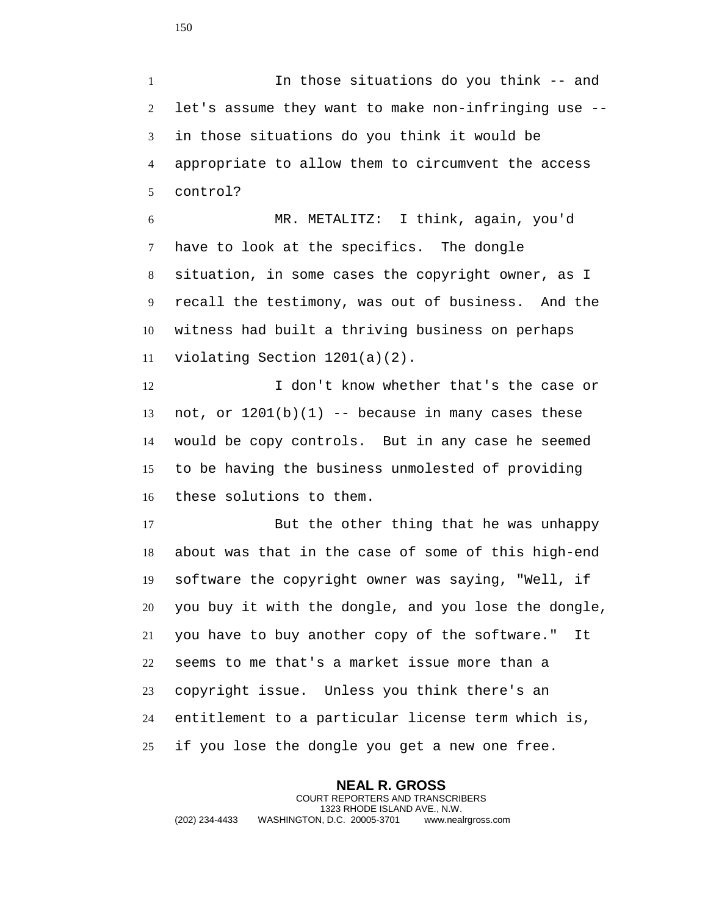In those situations do you think -- and let's assume they want to make non-infringing use -- in those situations do you think it would be appropriate to allow them to circumvent the access control?

 MR. METALITZ: I think, again, you'd have to look at the specifics. The dongle situation, in some cases the copyright owner, as I recall the testimony, was out of business. And the witness had built a thriving business on perhaps violating Section 1201(a)(2).

12 I don't know whether that's the case or 13 not, or  $1201(b)(1)$  -- because in many cases these would be copy controls. But in any case he seemed to be having the business unmolested of providing these solutions to them.

 But the other thing that he was unhappy about was that in the case of some of this high-end software the copyright owner was saying, "Well, if you buy it with the dongle, and you lose the dongle, you have to buy another copy of the software." It seems to me that's a market issue more than a copyright issue. Unless you think there's an entitlement to a particular license term which is, if you lose the dongle you get a new one free.

**NEAL R. GROSS** COURT REPORTERS AND TRANSCRIBERS 1323 RHODE ISLAND AVE., N.W. (202) 234-4433 WASHINGTON, D.C. 20005-3701 www.nealrgross.com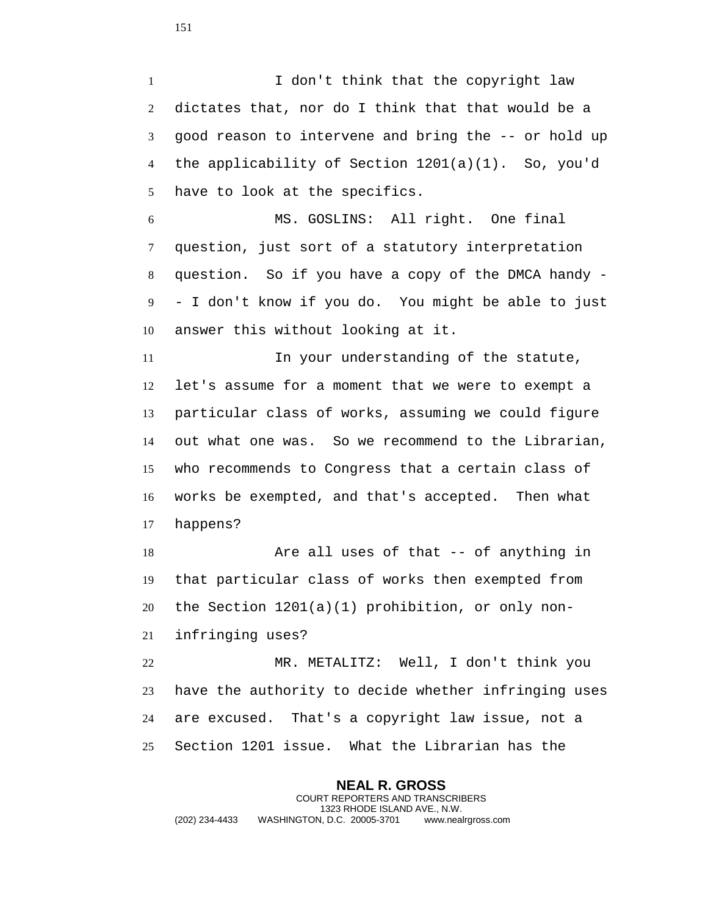1 I don't think that the copyright law dictates that, nor do I think that that would be a good reason to intervene and bring the -- or hold up the applicability of Section 1201(a)(1). So, you'd have to look at the specifics.

 MS. GOSLINS: All right. One final question, just sort of a statutory interpretation question. So if you have a copy of the DMCA handy - - I don't know if you do. You might be able to just answer this without looking at it.

 In your understanding of the statute, let's assume for a moment that we were to exempt a particular class of works, assuming we could figure out what one was. So we recommend to the Librarian, who recommends to Congress that a certain class of works be exempted, and that's accepted. Then what happens?

 Are all uses of that -- of anything in that particular class of works then exempted from the Section 1201(a)(1) prohibition, or only non-infringing uses?

 MR. METALITZ: Well, I don't think you have the authority to decide whether infringing uses are excused. That's a copyright law issue, not a Section 1201 issue. What the Librarian has the

**NEAL R. GROSS** COURT REPORTERS AND TRANSCRIBERS 1323 RHODE ISLAND AVE., N.W. (202) 234-4433 WASHINGTON, D.C. 20005-3701 www.nealrgross.com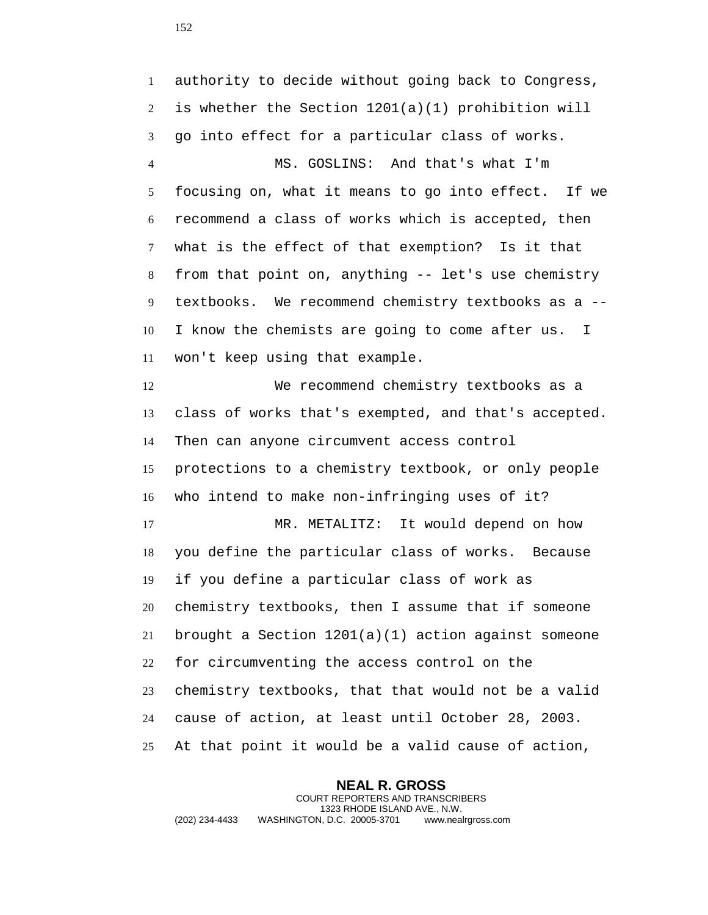authority to decide without going back to Congress, is whether the Section 1201(a)(1) prohibition will go into effect for a particular class of works. MS. GOSLINS: And that's what I'm focusing on, what it means to go into effect. If we recommend a class of works which is accepted, then what is the effect of that exemption? Is it that from that point on, anything -- let's use chemistry textbooks. We recommend chemistry textbooks as a -- I know the chemists are going to come after us. I won't keep using that example. We recommend chemistry textbooks as a class of works that's exempted, and that's accepted. Then can anyone circumvent access control protections to a chemistry textbook, or only people who intend to make non-infringing uses of it? MR. METALITZ: It would depend on how you define the particular class of works. Because if you define a particular class of work as chemistry textbooks, then I assume that if someone brought a Section 1201(a)(1) action against someone for circumventing the access control on the chemistry textbooks, that that would not be a valid cause of action, at least until October 28, 2003. At that point it would be a valid cause of action,

**NEAL R. GROSS** COURT REPORTERS AND TRANSCRIBERS 1323 RHODE ISLAND AVE., N.W. (202) 234-4433 WASHINGTON, D.C. 20005-3701 www.nealrgross.com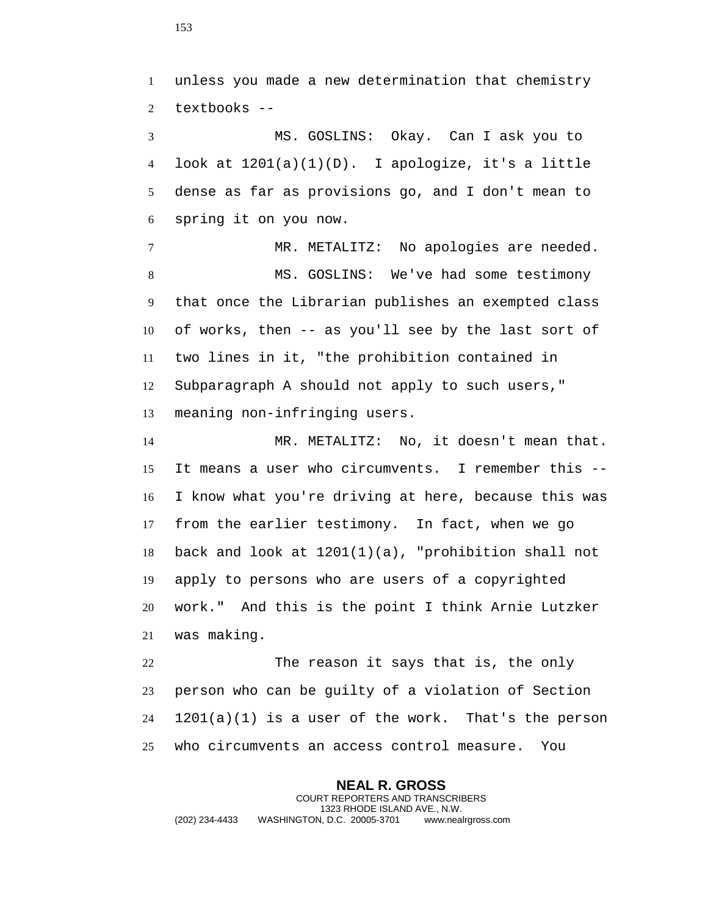unless you made a new determination that chemistry textbooks -- MS. GOSLINS: Okay. Can I ask you to look at 1201(a)(1)(D). I apologize, it's a little dense as far as provisions go, and I don't mean to spring it on you now. MR. METALITZ: No apologies are needed. MS. GOSLINS: We've had some testimony that once the Librarian publishes an exempted class of works, then -- as you'll see by the last sort of two lines in it, "the prohibition contained in Subparagraph A should not apply to such users," meaning non-infringing users. MR. METALITZ: No, it doesn't mean that.

 It means a user who circumvents. I remember this -- I know what you're driving at here, because this was from the earlier testimony. In fact, when we go back and look at 1201(1)(a), "prohibition shall not apply to persons who are users of a copyrighted work." And this is the point I think Arnie Lutzker was making.

 The reason it says that is, the only person who can be guilty of a violation of Section 1201(a)(1) is a user of the work. That's the person who circumvents an access control measure. You

**NEAL R. GROSS** COURT REPORTERS AND TRANSCRIBERS 1323 RHODE ISLAND AVE., N.W. (202) 234-4433 WASHINGTON, D.C. 20005-3701 www.nealrgross.com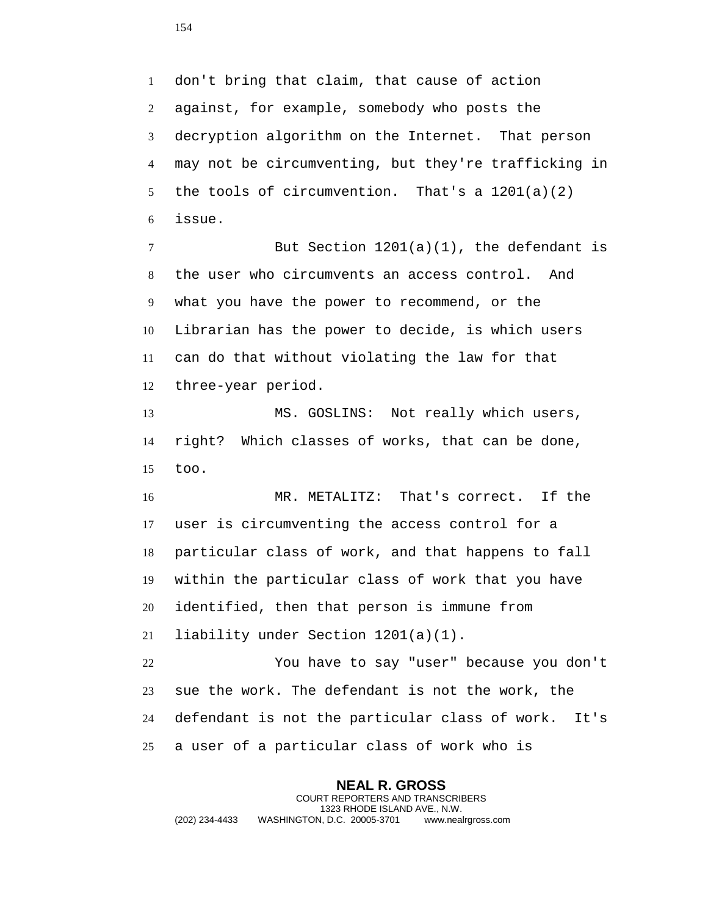don't bring that claim, that cause of action against, for example, somebody who posts the decryption algorithm on the Internet. That person may not be circumventing, but they're trafficking in the tools of circumvention. That's a 1201(a)(2) issue.

 But Section 1201(a)(1), the defendant is the user who circumvents an access control. And what you have the power to recommend, or the Librarian has the power to decide, is which users can do that without violating the law for that three-year period.

 MS. GOSLINS: Not really which users, right? Which classes of works, that can be done, too.

 MR. METALITZ: That's correct. If the user is circumventing the access control for a particular class of work, and that happens to fall within the particular class of work that you have identified, then that person is immune from liability under Section 1201(a)(1).

 You have to say "user" because you don't sue the work. The defendant is not the work, the defendant is not the particular class of work. It's a user of a particular class of work who is

**NEAL R. GROSS** COURT REPORTERS AND TRANSCRIBERS 1323 RHODE ISLAND AVE., N.W. (202) 234-4433 WASHINGTON, D.C. 20005-3701 www.nealrgross.com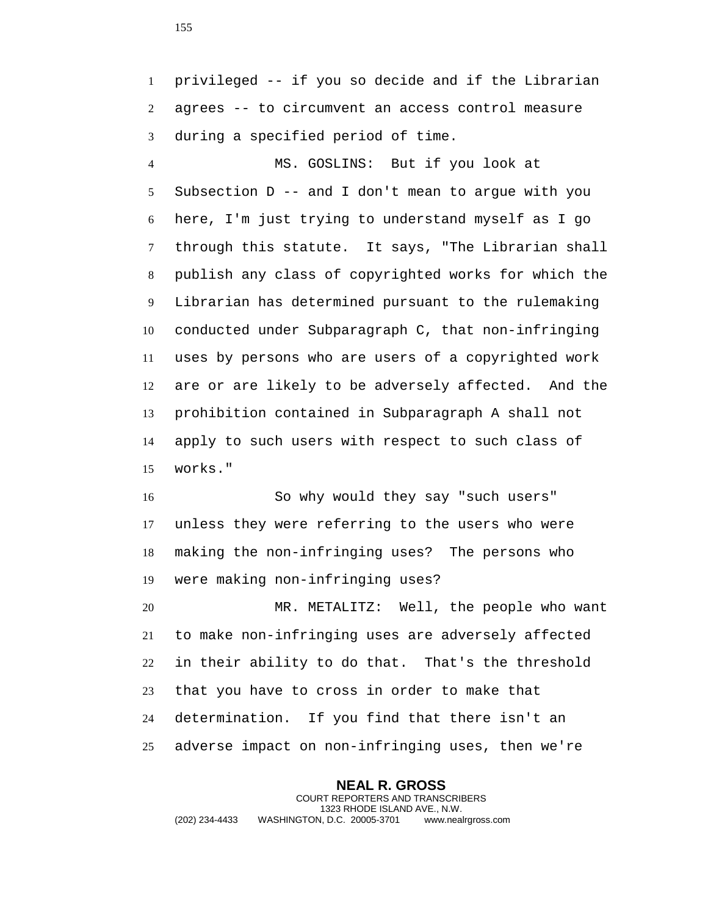privileged -- if you so decide and if the Librarian agrees -- to circumvent an access control measure during a specified period of time.

 MS. GOSLINS: But if you look at Subsection D -- and I don't mean to argue with you here, I'm just trying to understand myself as I go through this statute. It says, "The Librarian shall publish any class of copyrighted works for which the Librarian has determined pursuant to the rulemaking conducted under Subparagraph C, that non-infringing uses by persons who are users of a copyrighted work are or are likely to be adversely affected. And the prohibition contained in Subparagraph A shall not apply to such users with respect to such class of works."

 So why would they say "such users" unless they were referring to the users who were making the non-infringing uses? The persons who were making non-infringing uses?

 MR. METALITZ: Well, the people who want to make non-infringing uses are adversely affected in their ability to do that. That's the threshold that you have to cross in order to make that determination. If you find that there isn't an adverse impact on non-infringing uses, then we're

**NEAL R. GROSS** COURT REPORTERS AND TRANSCRIBERS 1323 RHODE ISLAND AVE., N.W. (202) 234-4433 WASHINGTON, D.C. 20005-3701 www.nealrgross.com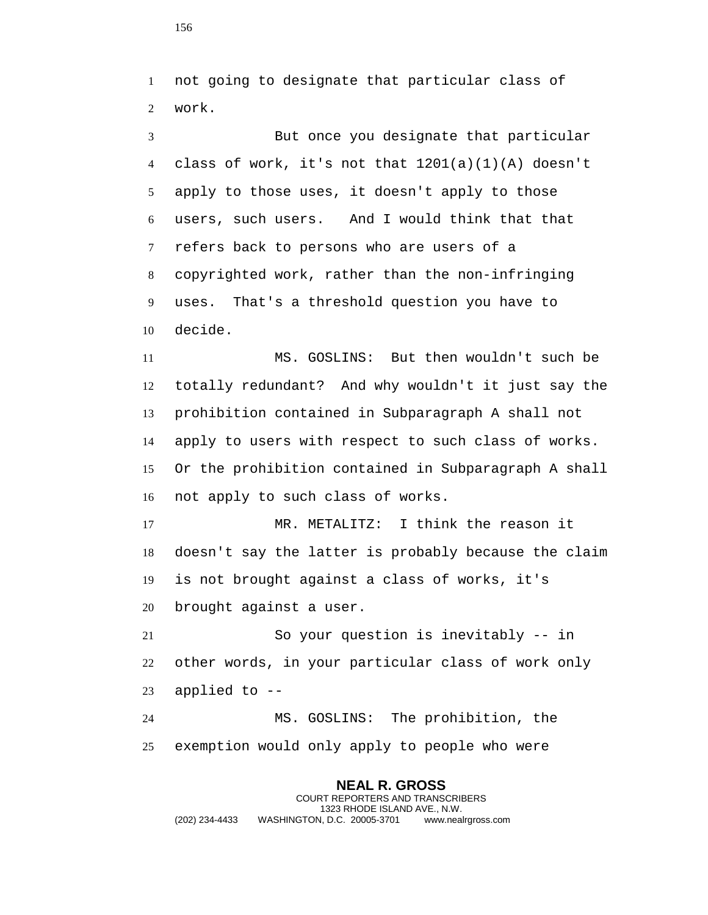not going to designate that particular class of work.

 But once you designate that particular class of work, it's not that 1201(a)(1)(A) doesn't apply to those uses, it doesn't apply to those users, such users. And I would think that that refers back to persons who are users of a copyrighted work, rather than the non-infringing uses. That's a threshold question you have to decide.

 MS. GOSLINS: But then wouldn't such be totally redundant? And why wouldn't it just say the prohibition contained in Subparagraph A shall not apply to users with respect to such class of works. Or the prohibition contained in Subparagraph A shall not apply to such class of works.

 MR. METALITZ: I think the reason it doesn't say the latter is probably because the claim is not brought against a class of works, it's brought against a user.

 So your question is inevitably -- in other words, in your particular class of work only applied to --

 MS. GOSLINS: The prohibition, the exemption would only apply to people who were

**NEAL R. GROSS** COURT REPORTERS AND TRANSCRIBERS 1323 RHODE ISLAND AVE., N.W. (202) 234-4433 WASHINGTON, D.C. 20005-3701 www.nealrgross.com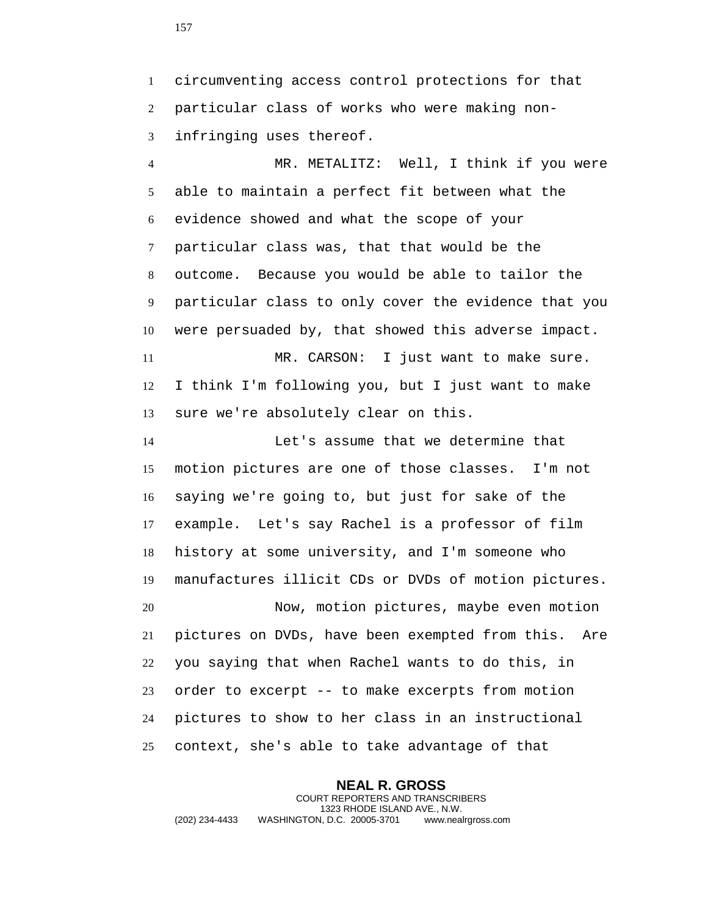circumventing access control protections for that particular class of works who were making non-infringing uses thereof.

 MR. METALITZ: Well, I think if you were able to maintain a perfect fit between what the evidence showed and what the scope of your particular class was, that that would be the outcome. Because you would be able to tailor the particular class to only cover the evidence that you were persuaded by, that showed this adverse impact. MR. CARSON: I just want to make sure. I think I'm following you, but I just want to make sure we're absolutely clear on this.

 Let's assume that we determine that motion pictures are one of those classes. I'm not saying we're going to, but just for sake of the example. Let's say Rachel is a professor of film history at some university, and I'm someone who manufactures illicit CDs or DVDs of motion pictures. Now, motion pictures, maybe even motion pictures on DVDs, have been exempted from this. Are you saying that when Rachel wants to do this, in

 order to excerpt -- to make excerpts from motion pictures to show to her class in an instructional context, she's able to take advantage of that

**NEAL R. GROSS** COURT REPORTERS AND TRANSCRIBERS 1323 RHODE ISLAND AVE., N.W. (202) 234-4433 WASHINGTON, D.C. 20005-3701 www.nealrgross.com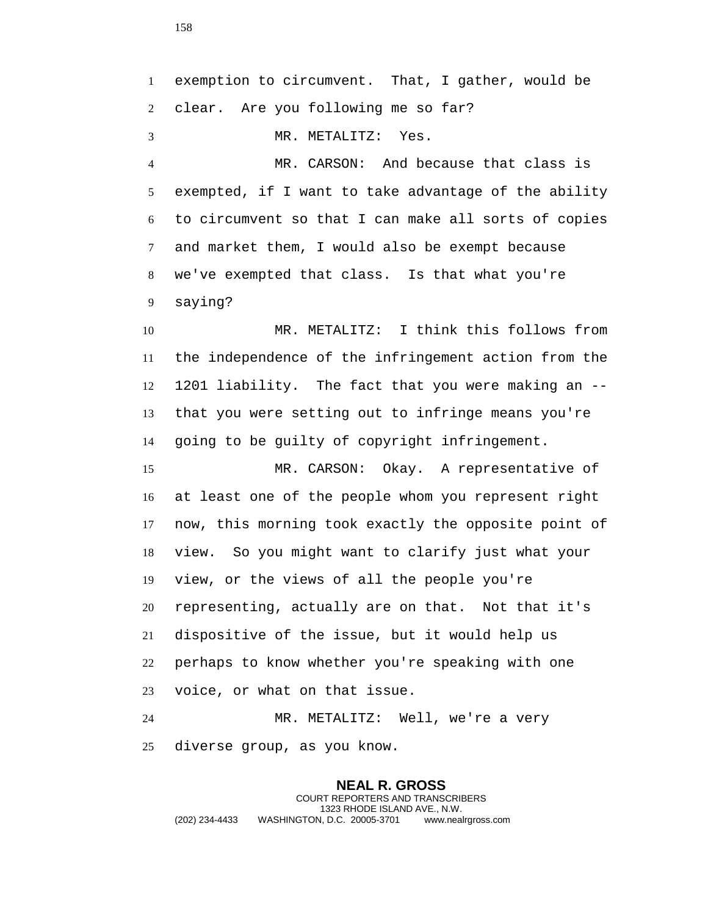exemption to circumvent. That, I gather, would be clear. Are you following me so far? MR. METALITZ: Yes. MR. CARSON: And because that class is exempted, if I want to take advantage of the ability to circumvent so that I can make all sorts of copies and market them, I would also be exempt because we've exempted that class. Is that what you're saying? MR. METALITZ: I think this follows from the independence of the infringement action from the 1201 liability. The fact that you were making an -- that you were setting out to infringe means you're going to be guilty of copyright infringement. MR. CARSON: Okay. A representative of at least one of the people whom you represent right now, this morning took exactly the opposite point of view. So you might want to clarify just what your view, or the views of all the people you're representing, actually are on that. Not that it's dispositive of the issue, but it would help us perhaps to know whether you're speaking with one voice, or what on that issue. MR. METALITZ: Well, we're a very diverse group, as you know.

**NEAL R. GROSS** COURT REPORTERS AND TRANSCRIBERS 1323 RHODE ISLAND AVE., N.W. (202) 234-4433 WASHINGTON, D.C. 20005-3701 www.nealrgross.com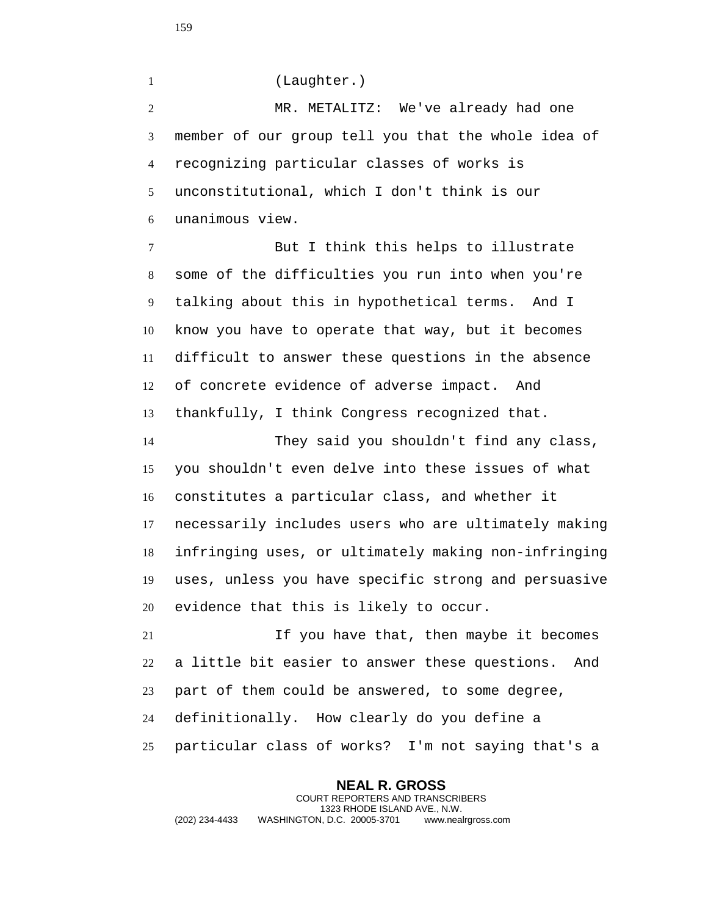(Laughter.)

 MR. METALITZ: We've already had one member of our group tell you that the whole idea of recognizing particular classes of works is unconstitutional, which I don't think is our unanimous view.

 But I think this helps to illustrate some of the difficulties you run into when you're talking about this in hypothetical terms. And I know you have to operate that way, but it becomes difficult to answer these questions in the absence of concrete evidence of adverse impact. And thankfully, I think Congress recognized that.

 They said you shouldn't find any class, you shouldn't even delve into these issues of what constitutes a particular class, and whether it necessarily includes users who are ultimately making infringing uses, or ultimately making non-infringing uses, unless you have specific strong and persuasive evidence that this is likely to occur.

 If you have that, then maybe it becomes a little bit easier to answer these questions. And part of them could be answered, to some degree, definitionally. How clearly do you define a particular class of works? I'm not saying that's a

**NEAL R. GROSS** COURT REPORTERS AND TRANSCRIBERS 1323 RHODE ISLAND AVE., N.W. (202) 234-4433 WASHINGTON, D.C. 20005-3701 www.nealrgross.com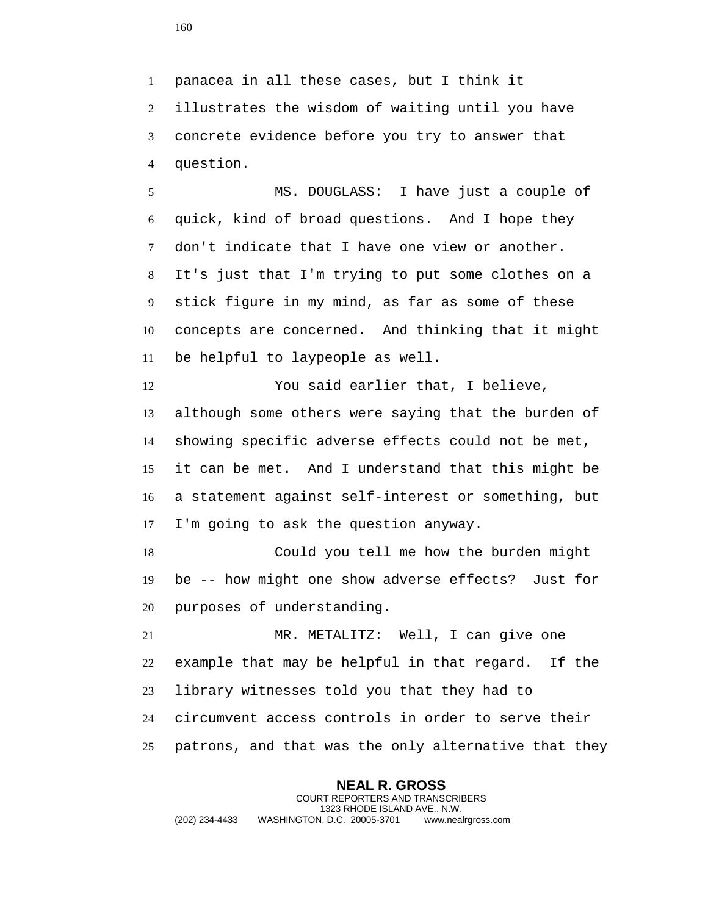panacea in all these cases, but I think it illustrates the wisdom of waiting until you have concrete evidence before you try to answer that question.

 MS. DOUGLASS: I have just a couple of quick, kind of broad questions. And I hope they don't indicate that I have one view or another. It's just that I'm trying to put some clothes on a stick figure in my mind, as far as some of these concepts are concerned. And thinking that it might be helpful to laypeople as well.

 You said earlier that, I believe, although some others were saying that the burden of showing specific adverse effects could not be met, it can be met. And I understand that this might be a statement against self-interest or something, but I'm going to ask the question anyway.

 Could you tell me how the burden might be -- how might one show adverse effects? Just for purposes of understanding.

 MR. METALITZ: Well, I can give one example that may be helpful in that regard. If the library witnesses told you that they had to circumvent access controls in order to serve their patrons, and that was the only alternative that they

**NEAL R. GROSS** COURT REPORTERS AND TRANSCRIBERS 1323 RHODE ISLAND AVE., N.W. (202) 234-4433 WASHINGTON, D.C. 20005-3701 www.nealrgross.com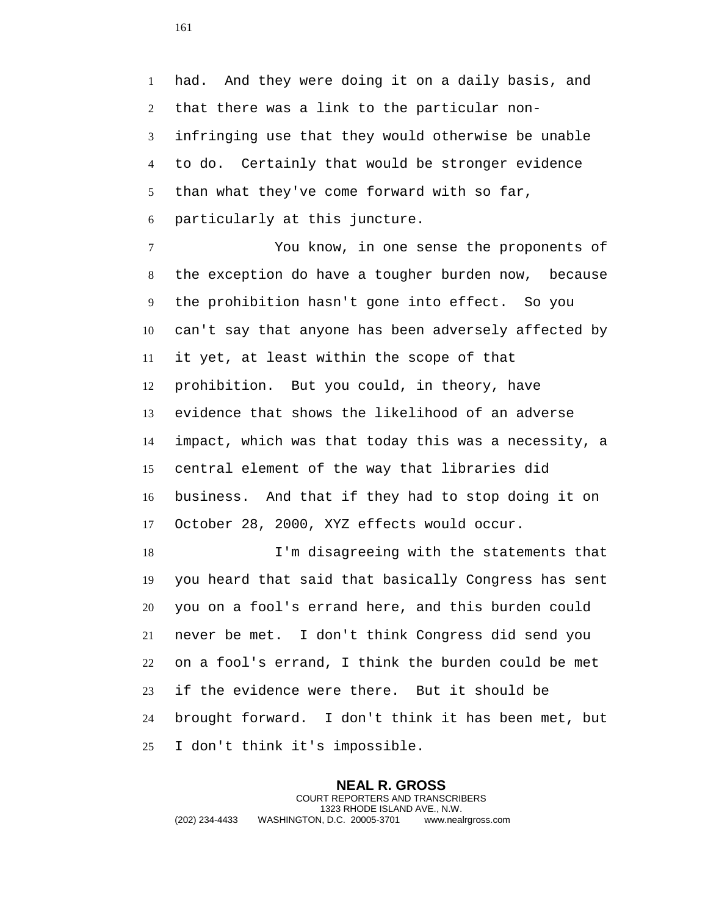had. And they were doing it on a daily basis, and that there was a link to the particular non- infringing use that they would otherwise be unable to do. Certainly that would be stronger evidence than what they've come forward with so far, particularly at this juncture.

 You know, in one sense the proponents of the exception do have a tougher burden now, because the prohibition hasn't gone into effect. So you can't say that anyone has been adversely affected by it yet, at least within the scope of that prohibition. But you could, in theory, have evidence that shows the likelihood of an adverse impact, which was that today this was a necessity, a central element of the way that libraries did business. And that if they had to stop doing it on October 28, 2000, XYZ effects would occur.

 I'm disagreeing with the statements that you heard that said that basically Congress has sent you on a fool's errand here, and this burden could never be met. I don't think Congress did send you on a fool's errand, I think the burden could be met if the evidence were there. But it should be brought forward. I don't think it has been met, but I don't think it's impossible.

**NEAL R. GROSS** COURT REPORTERS AND TRANSCRIBERS 1323 RHODE ISLAND AVE., N.W. (202) 234-4433 WASHINGTON, D.C. 20005-3701 www.nealrgross.com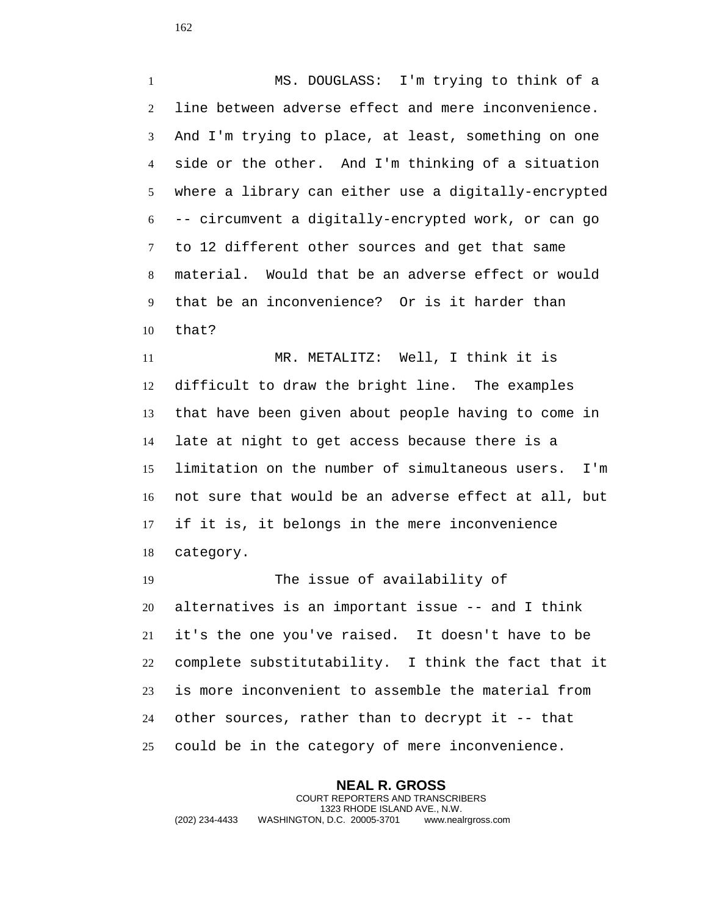MS. DOUGLASS: I'm trying to think of a line between adverse effect and mere inconvenience. And I'm trying to place, at least, something on one side or the other. And I'm thinking of a situation where a library can either use a digitally-encrypted -- circumvent a digitally-encrypted work, or can go to 12 different other sources and get that same material. Would that be an adverse effect or would that be an inconvenience? Or is it harder than that?

 MR. METALITZ: Well, I think it is difficult to draw the bright line. The examples that have been given about people having to come in late at night to get access because there is a limitation on the number of simultaneous users. I'm not sure that would be an adverse effect at all, but if it is, it belongs in the mere inconvenience category.

 The issue of availability of alternatives is an important issue -- and I think it's the one you've raised. It doesn't have to be complete substitutability. I think the fact that it is more inconvenient to assemble the material from other sources, rather than to decrypt it -- that could be in the category of mere inconvenience.

**NEAL R. GROSS** COURT REPORTERS AND TRANSCRIBERS 1323 RHODE ISLAND AVE., N.W. (202) 234-4433 WASHINGTON, D.C. 20005-3701 www.nealrgross.com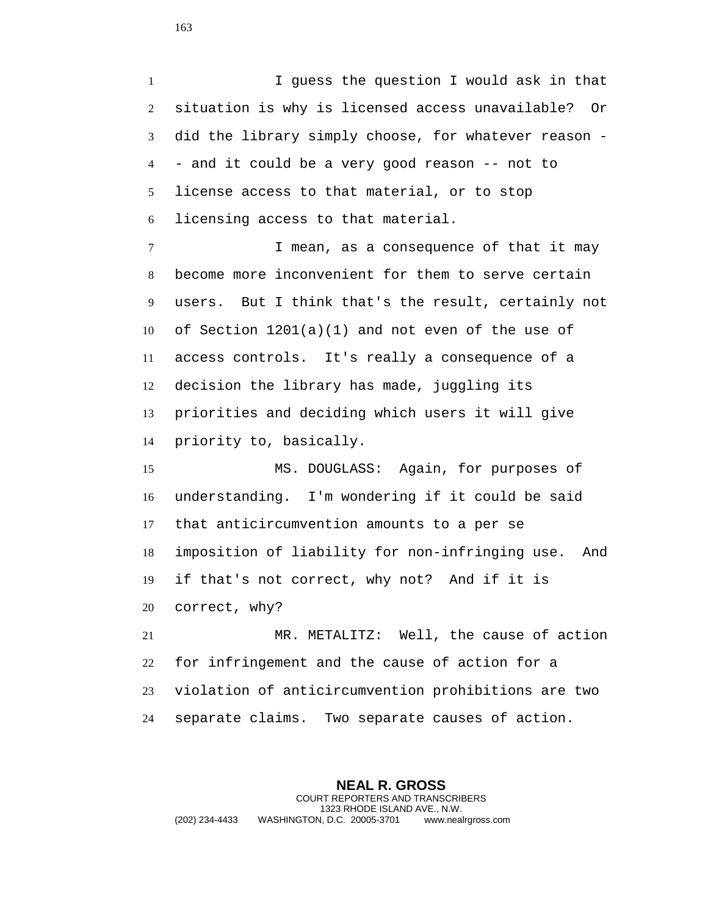I guess the question I would ask in that situation is why is licensed access unavailable? Or did the library simply choose, for whatever reason - - and it could be a very good reason -- not to license access to that material, or to stop licensing access to that material.

7 1 I mean, as a consequence of that it may become more inconvenient for them to serve certain users. But I think that's the result, certainly not of Section 1201(a)(1) and not even of the use of access controls. It's really a consequence of a decision the library has made, juggling its priorities and deciding which users it will give priority to, basically.

 MS. DOUGLASS: Again, for purposes of understanding. I'm wondering if it could be said that anticircumvention amounts to a per se imposition of liability for non-infringing use. And if that's not correct, why not? And if it is correct, why?

 MR. METALITZ: Well, the cause of action for infringement and the cause of action for a violation of anticircumvention prohibitions are two separate claims. Two separate causes of action.

**NEAL R. GROSS** COURT REPORTERS AND TRANSCRIBERS 1323 RHODE ISLAND AVE., N.W. (202) 234-4433 WASHINGTON, D.C. 20005-3701 www.nealrgross.com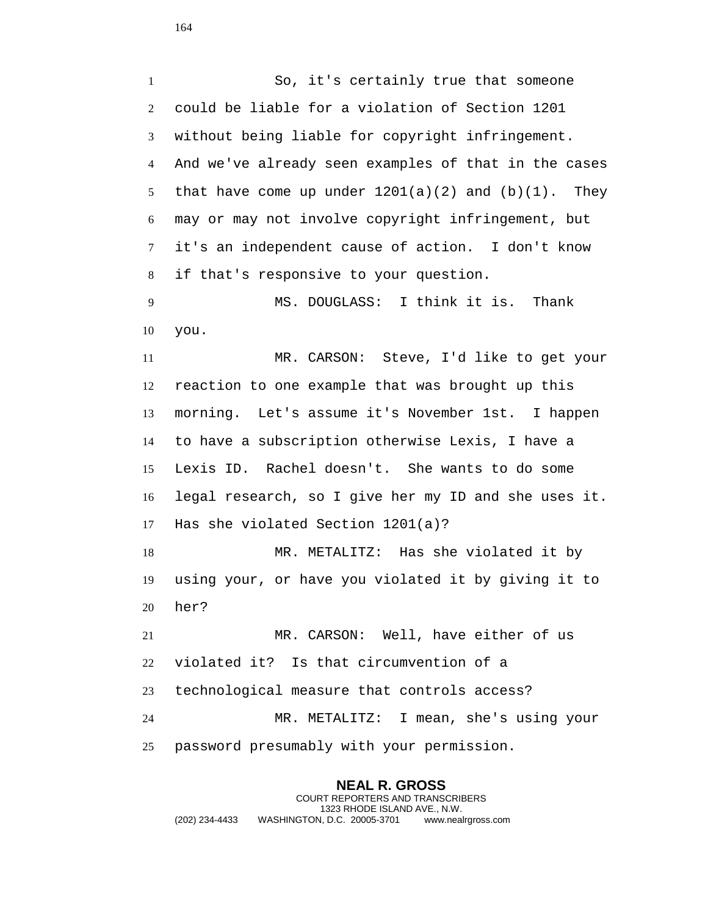So, it's certainly true that someone could be liable for a violation of Section 1201 without being liable for copyright infringement. And we've already seen examples of that in the cases 5 that have come up under  $1201(a)(2)$  and  $(b)(1)$ . They may or may not involve copyright infringement, but it's an independent cause of action. I don't know if that's responsive to your question.

 MS. DOUGLASS: I think it is. Thank you.

 MR. CARSON: Steve, I'd like to get your reaction to one example that was brought up this morning. Let's assume it's November 1st. I happen to have a subscription otherwise Lexis, I have a Lexis ID. Rachel doesn't. She wants to do some legal research, so I give her my ID and she uses it. Has she violated Section 1201(a)?

 MR. METALITZ: Has she violated it by using your, or have you violated it by giving it to her?

 MR. CARSON: Well, have either of us violated it? Is that circumvention of a technological measure that controls access? MR. METALITZ: I mean, she's using your password presumably with your permission.

**NEAL R. GROSS** COURT REPORTERS AND TRANSCRIBERS 1323 RHODE ISLAND AVE., N.W. (202) 234-4433 WASHINGTON, D.C. 20005-3701 www.nealrgross.com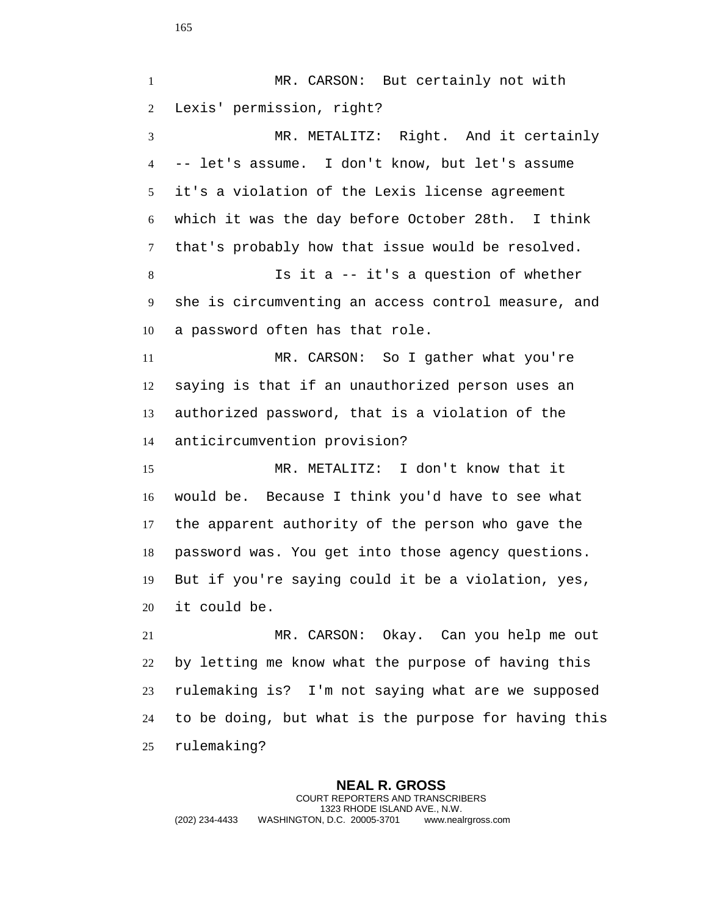**NEAL R. GROSS** COURT REPORTERS AND TRANSCRIBERS 1 MR. CARSON: But certainly not with Lexis' permission, right? MR. METALITZ: Right. And it certainly -- let's assume. I don't know, but let's assume it's a violation of the Lexis license agreement which it was the day before October 28th. I think that's probably how that issue would be resolved. Is it a -- it's a question of whether she is circumventing an access control measure, and a password often has that role. MR. CARSON: So I gather what you're saying is that if an unauthorized person uses an authorized password, that is a violation of the anticircumvention provision? MR. METALITZ: I don't know that it would be. Because I think you'd have to see what the apparent authority of the person who gave the password was. You get into those agency questions. But if you're saying could it be a violation, yes, it could be. MR. CARSON: Okay. Can you help me out by letting me know what the purpose of having this rulemaking is? I'm not saying what are we supposed to be doing, but what is the purpose for having this rulemaking?

1323 RHODE ISLAND AVE., N.W.

(202) 234-4433 WASHINGTON, D.C. 20005-3701 www.nealrgross.com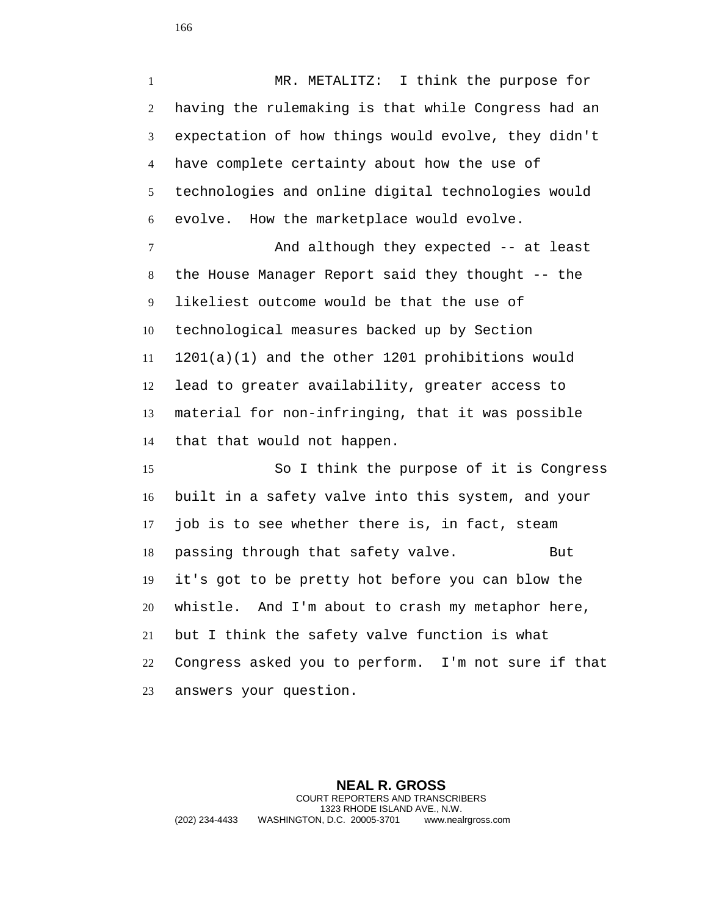MR. METALITZ: I think the purpose for having the rulemaking is that while Congress had an expectation of how things would evolve, they didn't have complete certainty about how the use of technologies and online digital technologies would evolve. How the marketplace would evolve. And although they expected -- at least

 the House Manager Report said they thought -- the likeliest outcome would be that the use of technological measures backed up by Section 1201(a)(1) and the other 1201 prohibitions would lead to greater availability, greater access to material for non-infringing, that it was possible that that would not happen.

 So I think the purpose of it is Congress built in a safety valve into this system, and your job is to see whether there is, in fact, steam 18 passing through that safety valve. But it's got to be pretty hot before you can blow the whistle. And I'm about to crash my metaphor here, but I think the safety valve function is what Congress asked you to perform. I'm not sure if that answers your question.

**NEAL R. GROSS** COURT REPORTERS AND TRANSCRIBERS 1323 RHODE ISLAND AVE., N.W. (202) 234-4433 WASHINGTON, D.C. 20005-3701 www.nealrgross.com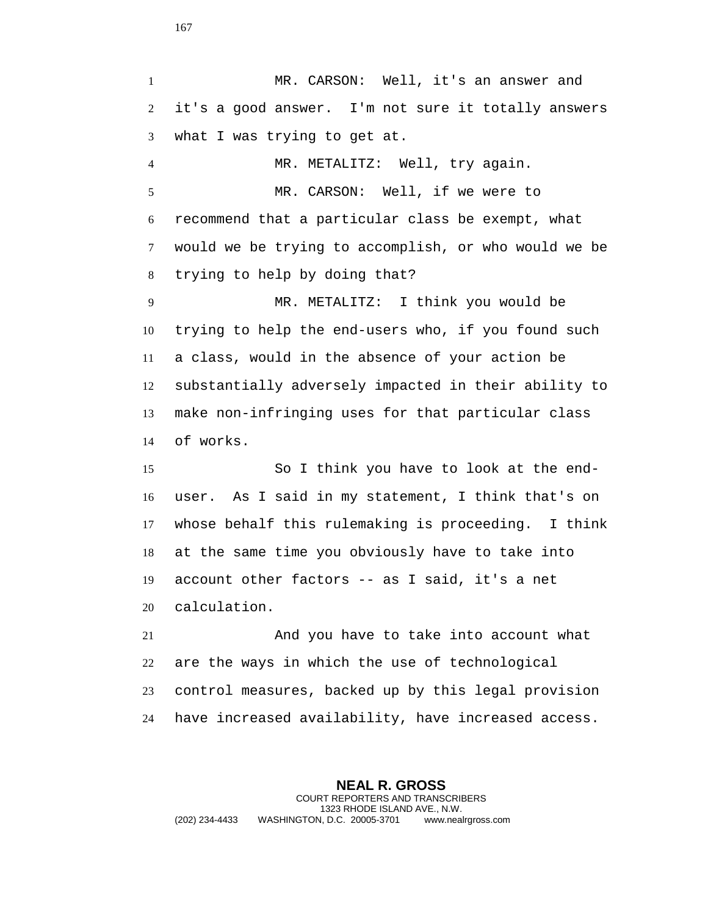MR. CARSON: Well, it's an answer and it's a good answer. I'm not sure it totally answers what I was trying to get at. MR. METALITZ: Well, try again. MR. CARSON: Well, if we were to recommend that a particular class be exempt, what would we be trying to accomplish, or who would we be trying to help by doing that? MR. METALITZ: I think you would be trying to help the end-users who, if you found such a class, would in the absence of your action be substantially adversely impacted in their ability to make non-infringing uses for that particular class of works. So I think you have to look at the end-

 user. As I said in my statement, I think that's on whose behalf this rulemaking is proceeding. I think at the same time you obviously have to take into account other factors -- as I said, it's a net calculation.

 And you have to take into account what are the ways in which the use of technological control measures, backed up by this legal provision have increased availability, have increased access.

**NEAL R. GROSS** COURT REPORTERS AND TRANSCRIBERS 1323 RHODE ISLAND AVE., N.W. (202) 234-4433 WASHINGTON, D.C. 20005-3701 www.nealrgross.com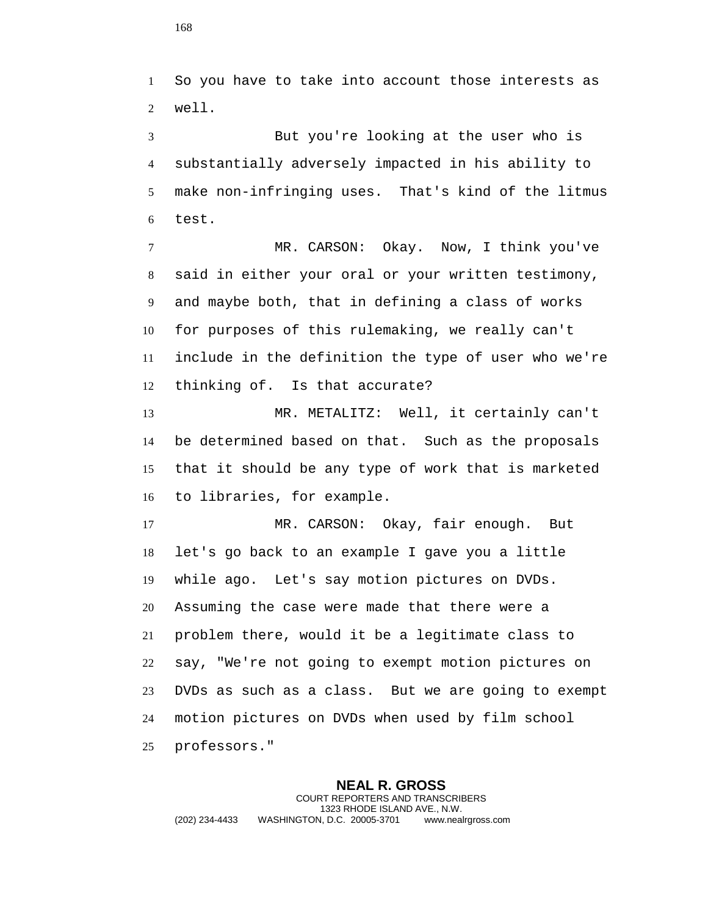So you have to take into account those interests as well.

 But you're looking at the user who is substantially adversely impacted in his ability to make non-infringing uses. That's kind of the litmus test.

 MR. CARSON: Okay. Now, I think you've said in either your oral or your written testimony, and maybe both, that in defining a class of works for purposes of this rulemaking, we really can't include in the definition the type of user who we're thinking of. Is that accurate?

 MR. METALITZ: Well, it certainly can't be determined based on that. Such as the proposals that it should be any type of work that is marketed to libraries, for example.

 MR. CARSON: Okay, fair enough. But let's go back to an example I gave you a little while ago. Let's say motion pictures on DVDs. Assuming the case were made that there were a problem there, would it be a legitimate class to say, "We're not going to exempt motion pictures on DVDs as such as a class. But we are going to exempt motion pictures on DVDs when used by film school professors."

**NEAL R. GROSS** COURT REPORTERS AND TRANSCRIBERS 1323 RHODE ISLAND AVE., N.W. (202) 234-4433 WASHINGTON, D.C. 20005-3701 www.nealrgross.com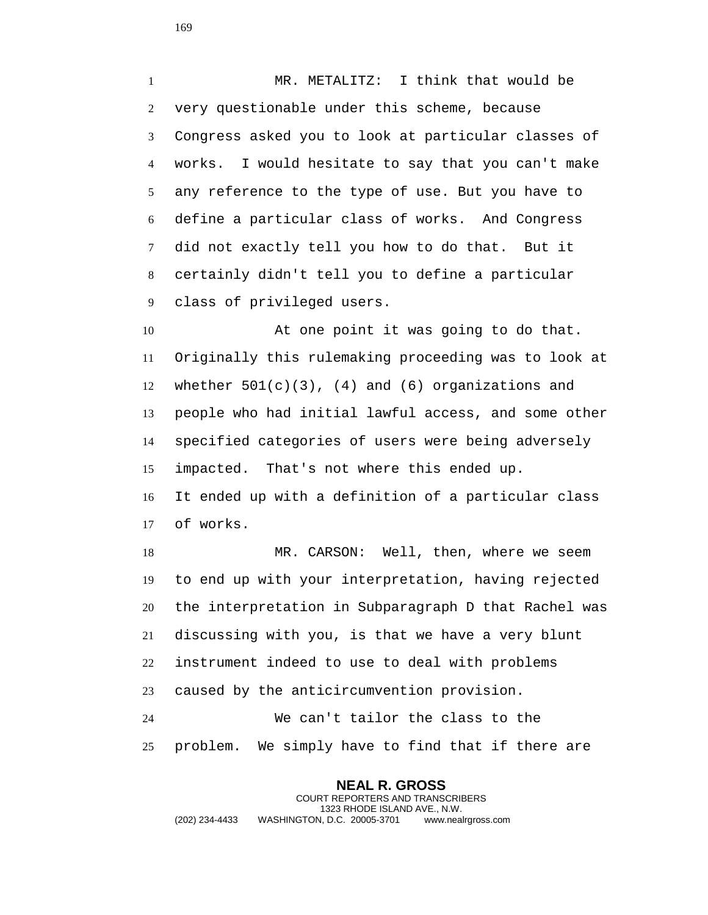MR. METALITZ: I think that would be very questionable under this scheme, because Congress asked you to look at particular classes of works. I would hesitate to say that you can't make any reference to the type of use. But you have to define a particular class of works. And Congress did not exactly tell you how to do that. But it certainly didn't tell you to define a particular class of privileged users.

 At one point it was going to do that. Originally this rulemaking proceeding was to look at 12 whether  $501(c)(3)$ , (4) and (6) organizations and people who had initial lawful access, and some other specified categories of users were being adversely impacted. That's not where this ended up. It ended up with a definition of a particular class of works.

18 MR. CARSON: Well, then, where we seem to end up with your interpretation, having rejected the interpretation in Subparagraph D that Rachel was discussing with you, is that we have a very blunt instrument indeed to use to deal with problems caused by the anticircumvention provision.

 We can't tailor the class to the problem. We simply have to find that if there are

**NEAL R. GROSS** COURT REPORTERS AND TRANSCRIBERS 1323 RHODE ISLAND AVE., N.W. (202) 234-4433 WASHINGTON, D.C. 20005-3701 www.nealrgross.com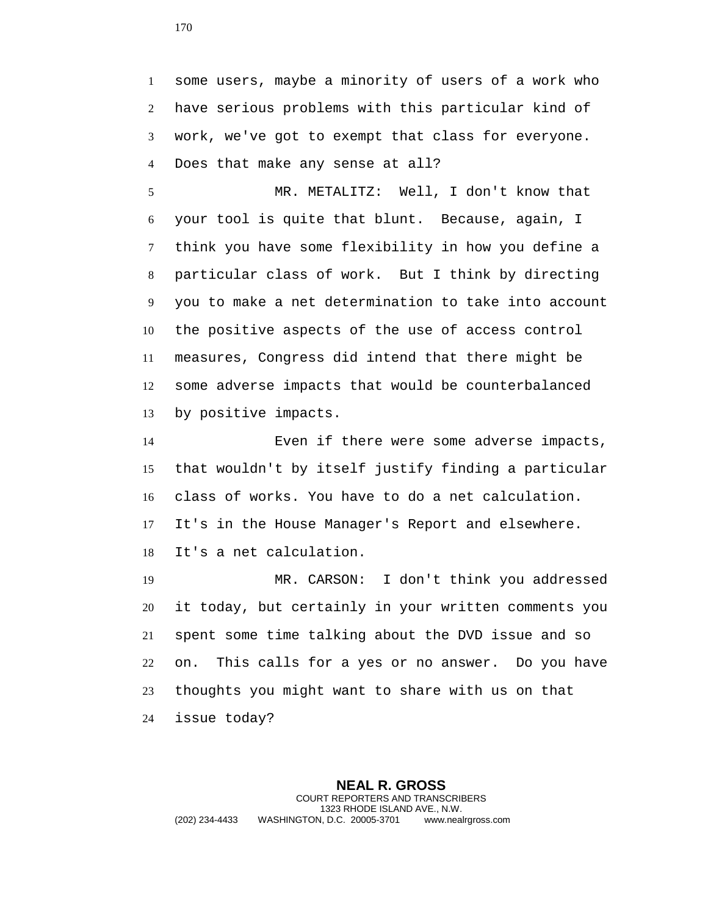some users, maybe a minority of users of a work who have serious problems with this particular kind of work, we've got to exempt that class for everyone. Does that make any sense at all?

 MR. METALITZ: Well, I don't know that your tool is quite that blunt. Because, again, I think you have some flexibility in how you define a particular class of work. But I think by directing you to make a net determination to take into account the positive aspects of the use of access control measures, Congress did intend that there might be some adverse impacts that would be counterbalanced by positive impacts.

 Even if there were some adverse impacts, that wouldn't by itself justify finding a particular class of works. You have to do a net calculation. It's in the House Manager's Report and elsewhere. It's a net calculation.

 MR. CARSON: I don't think you addressed it today, but certainly in your written comments you spent some time talking about the DVD issue and so on. This calls for a yes or no answer. Do you have thoughts you might want to share with us on that issue today?

**NEAL R. GROSS** COURT REPORTERS AND TRANSCRIBERS 1323 RHODE ISLAND AVE., N.W. (202) 234-4433 WASHINGTON, D.C. 20005-3701 www.nealrgross.com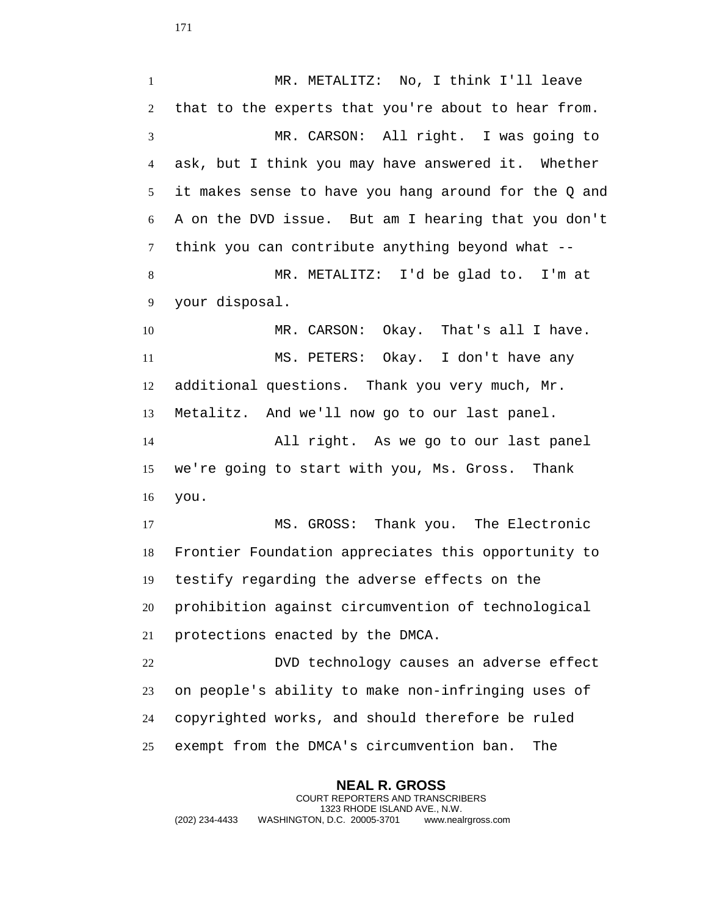MR. METALITZ: No, I think I'll leave that to the experts that you're about to hear from. MR. CARSON: All right. I was going to ask, but I think you may have answered it. Whether it makes sense to have you hang around for the Q and A on the DVD issue. But am I hearing that you don't think you can contribute anything beyond what -- MR. METALITZ: I'd be glad to. I'm at your disposal. 10 MR. CARSON: Okay. That's all I have. MS. PETERS: Okay. I don't have any additional questions. Thank you very much, Mr. Metalitz. And we'll now go to our last panel. All right. As we go to our last panel we're going to start with you, Ms. Gross. Thank you. MS. GROSS: Thank you. The Electronic Frontier Foundation appreciates this opportunity to testify regarding the adverse effects on the prohibition against circumvention of technological protections enacted by the DMCA. DVD technology causes an adverse effect on people's ability to make non-infringing uses of copyrighted works, and should therefore be ruled exempt from the DMCA's circumvention ban. The

**NEAL R. GROSS** COURT REPORTERS AND TRANSCRIBERS 1323 RHODE ISLAND AVE., N.W. (202) 234-4433 WASHINGTON, D.C. 20005-3701 www.nealrgross.com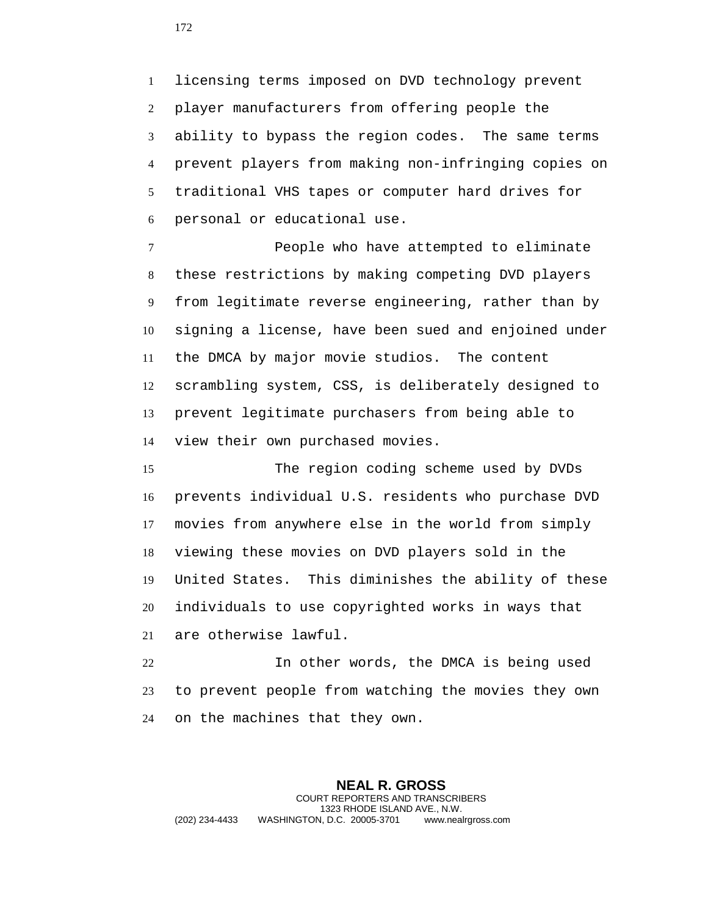licensing terms imposed on DVD technology prevent player manufacturers from offering people the ability to bypass the region codes. The same terms prevent players from making non-infringing copies on traditional VHS tapes or computer hard drives for personal or educational use.

 People who have attempted to eliminate these restrictions by making competing DVD players from legitimate reverse engineering, rather than by signing a license, have been sued and enjoined under the DMCA by major movie studios. The content scrambling system, CSS, is deliberately designed to prevent legitimate purchasers from being able to view their own purchased movies.

 The region coding scheme used by DVDs prevents individual U.S. residents who purchase DVD movies from anywhere else in the world from simply viewing these movies on DVD players sold in the United States. This diminishes the ability of these individuals to use copyrighted works in ways that are otherwise lawful.

 In other words, the DMCA is being used to prevent people from watching the movies they own on the machines that they own.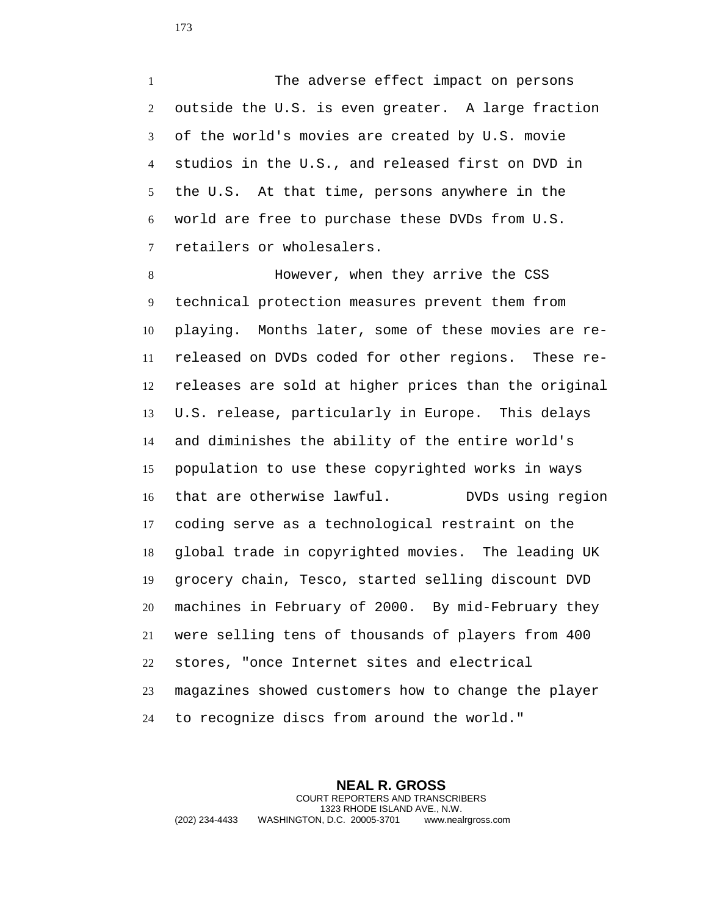1 The adverse effect impact on persons outside the U.S. is even greater. A large fraction of the world's movies are created by U.S. movie studios in the U.S., and released first on DVD in the U.S. At that time, persons anywhere in the world are free to purchase these DVDs from U.S. retailers or wholesalers.

 However, when they arrive the CSS technical protection measures prevent them from playing. Months later, some of these movies are re- released on DVDs coded for other regions. These re- releases are sold at higher prices than the original U.S. release, particularly in Europe. This delays and diminishes the ability of the entire world's population to use these copyrighted works in ways that are otherwise lawful. DVDs using region coding serve as a technological restraint on the global trade in copyrighted movies. The leading UK grocery chain, Tesco, started selling discount DVD machines in February of 2000. By mid-February they were selling tens of thousands of players from 400 stores, "once Internet sites and electrical magazines showed customers how to change the player to recognize discs from around the world."

**NEAL R. GROSS** COURT REPORTERS AND TRANSCRIBERS 1323 RHODE ISLAND AVE., N.W. (202) 234-4433 WASHINGTON, D.C. 20005-3701 www.nealrgross.com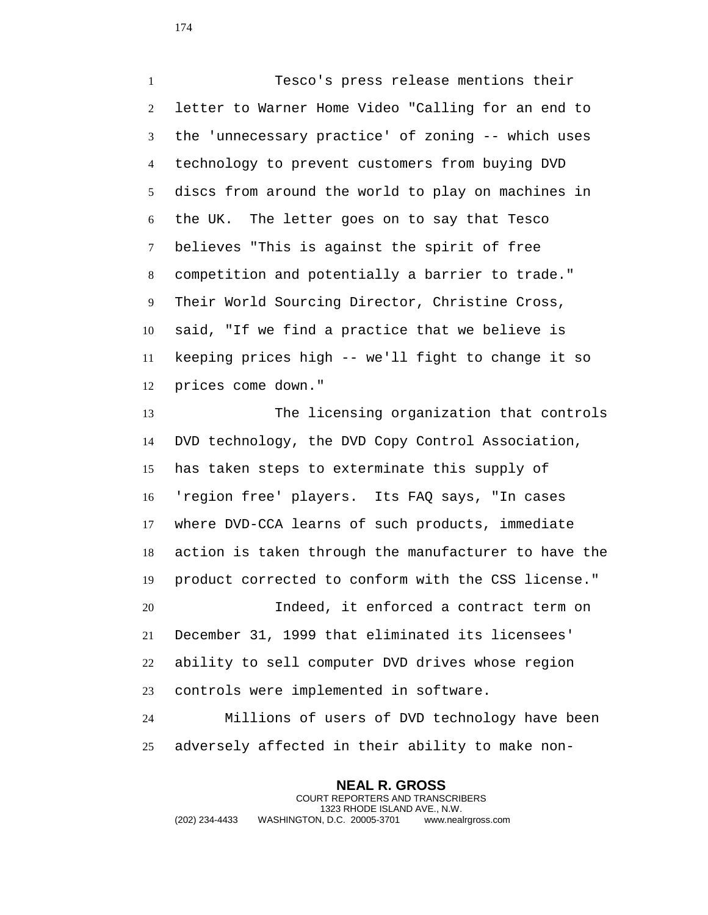Tesco's press release mentions their letter to Warner Home Video "Calling for an end to the 'unnecessary practice' of zoning -- which uses technology to prevent customers from buying DVD discs from around the world to play on machines in the UK. The letter goes on to say that Tesco believes "This is against the spirit of free competition and potentially a barrier to trade." Their World Sourcing Director, Christine Cross, said, "If we find a practice that we believe is keeping prices high -- we'll fight to change it so prices come down."

 The licensing organization that controls DVD technology, the DVD Copy Control Association, has taken steps to exterminate this supply of 'region free' players. Its FAQ says, "In cases where DVD-CCA learns of such products, immediate action is taken through the manufacturer to have the product corrected to conform with the CSS license." Indeed, it enforced a contract term on December 31, 1999 that eliminated its licensees' ability to sell computer DVD drives whose region controls were implemented in software.

 Millions of users of DVD technology have been adversely affected in their ability to make non-

**NEAL R. GROSS** COURT REPORTERS AND TRANSCRIBERS 1323 RHODE ISLAND AVE., N.W. (202) 234-4433 WASHINGTON, D.C. 20005-3701 www.nealrgross.com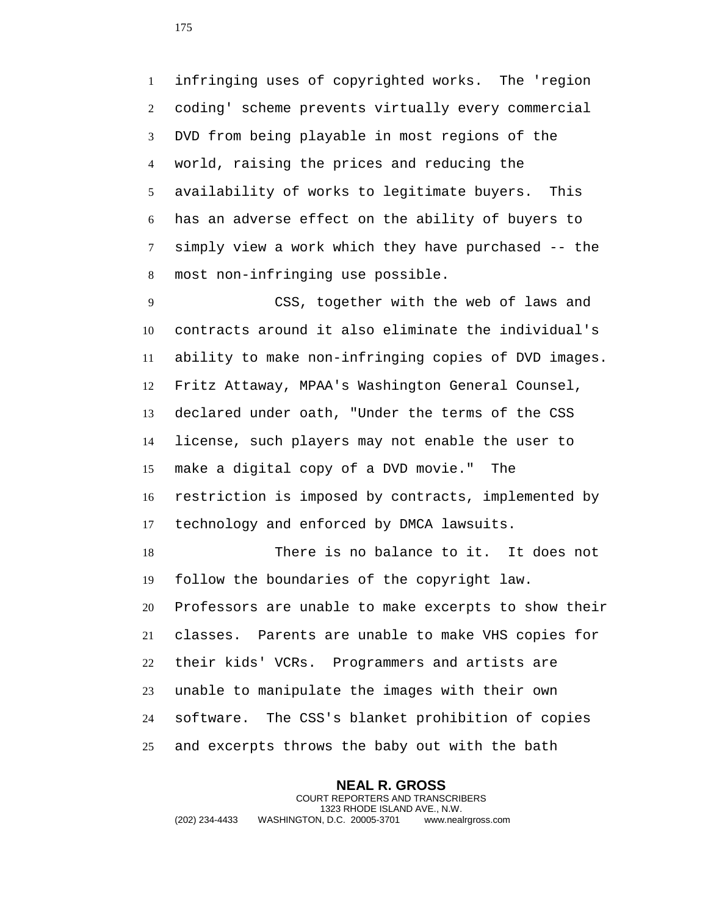infringing uses of copyrighted works. The 'region coding' scheme prevents virtually every commercial DVD from being playable in most regions of the world, raising the prices and reducing the availability of works to legitimate buyers. This has an adverse effect on the ability of buyers to simply view a work which they have purchased -- the most non-infringing use possible.

 CSS, together with the web of laws and contracts around it also eliminate the individual's ability to make non-infringing copies of DVD images. Fritz Attaway, MPAA's Washington General Counsel, declared under oath, "Under the terms of the CSS license, such players may not enable the user to make a digital copy of a DVD movie." The restriction is imposed by contracts, implemented by technology and enforced by DMCA lawsuits.

 There is no balance to it. It does not follow the boundaries of the copyright law. Professors are unable to make excerpts to show their classes. Parents are unable to make VHS copies for their kids' VCRs. Programmers and artists are unable to manipulate the images with their own software. The CSS's blanket prohibition of copies and excerpts throws the baby out with the bath

**NEAL R. GROSS** COURT REPORTERS AND TRANSCRIBERS 1323 RHODE ISLAND AVE., N.W. (202) 234-4433 WASHINGTON, D.C. 20005-3701 www.nealrgross.com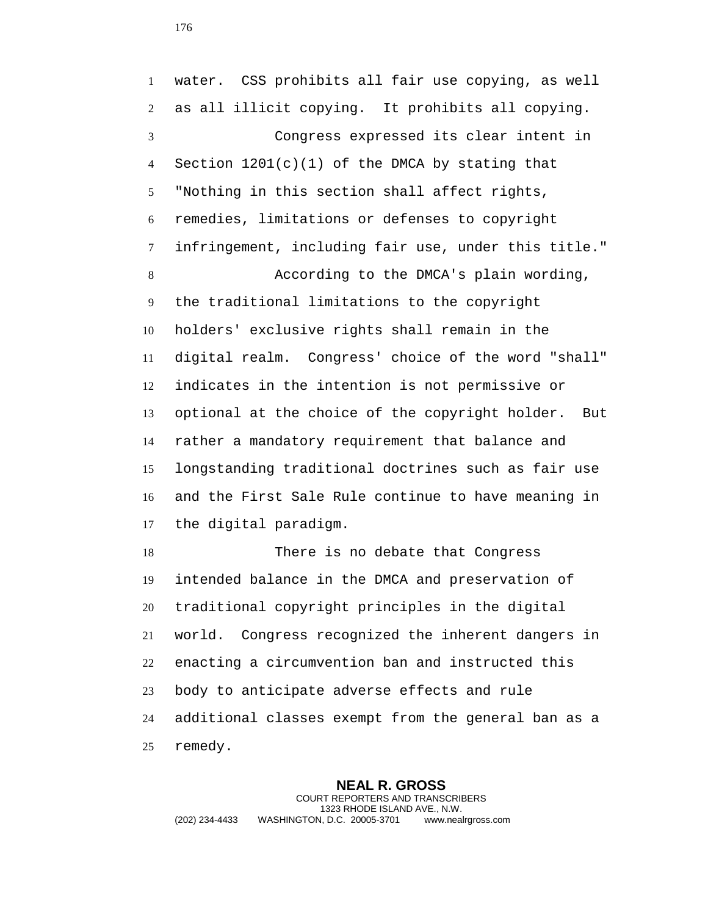water. CSS prohibits all fair use copying, as well as all illicit copying. It prohibits all copying. Congress expressed its clear intent in Section 1201(c)(1) of the DMCA by stating that "Nothing in this section shall affect rights, remedies, limitations or defenses to copyright infringement, including fair use, under this title." According to the DMCA's plain wording, the traditional limitations to the copyright holders' exclusive rights shall remain in the digital realm. Congress' choice of the word "shall" indicates in the intention is not permissive or optional at the choice of the copyright holder. But rather a mandatory requirement that balance and longstanding traditional doctrines such as fair use and the First Sale Rule continue to have meaning in the digital paradigm. There is no debate that Congress intended balance in the DMCA and preservation of traditional copyright principles in the digital world. Congress recognized the inherent dangers in enacting a circumvention ban and instructed this body to anticipate adverse effects and rule additional classes exempt from the general ban as a remedy.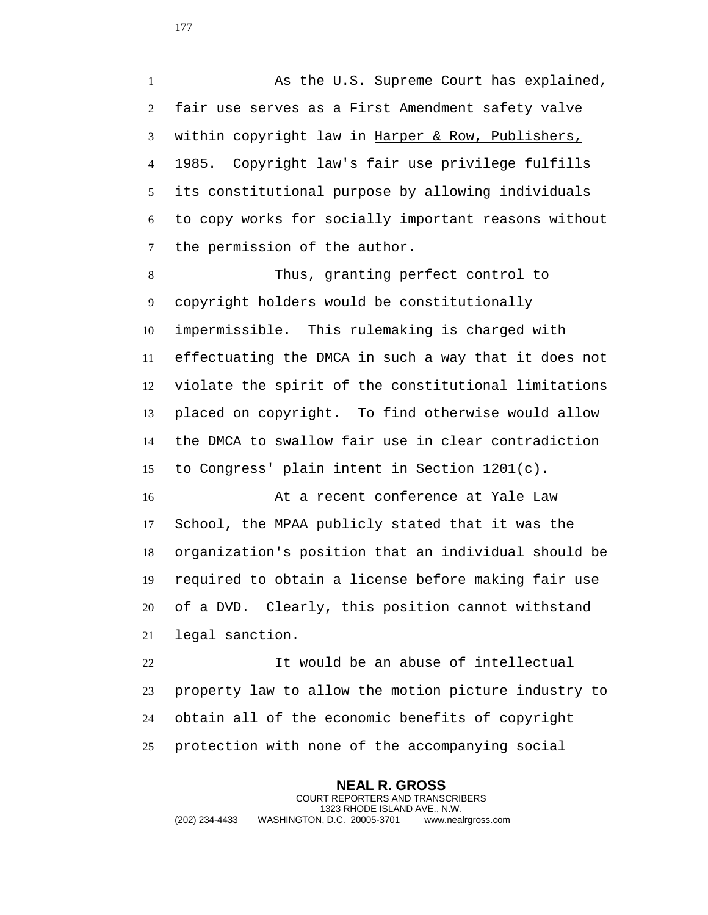1 As the U.S. Supreme Court has explained, fair use serves as a First Amendment safety valve within copyright law in Harper & Row, Publishers, 1985. Copyright law's fair use privilege fulfills its constitutional purpose by allowing individuals to copy works for socially important reasons without the permission of the author.

 Thus, granting perfect control to copyright holders would be constitutionally impermissible. This rulemaking is charged with effectuating the DMCA in such a way that it does not violate the spirit of the constitutional limitations placed on copyright. To find otherwise would allow the DMCA to swallow fair use in clear contradiction to Congress' plain intent in Section 1201(c).

 At a recent conference at Yale Law School, the MPAA publicly stated that it was the organization's position that an individual should be required to obtain a license before making fair use of a DVD. Clearly, this position cannot withstand legal sanction.

 It would be an abuse of intellectual property law to allow the motion picture industry to obtain all of the economic benefits of copyright protection with none of the accompanying social

**NEAL R. GROSS** COURT REPORTERS AND TRANSCRIBERS 1323 RHODE ISLAND AVE., N.W. (202) 234-4433 WASHINGTON, D.C. 20005-3701 www.nealrgross.com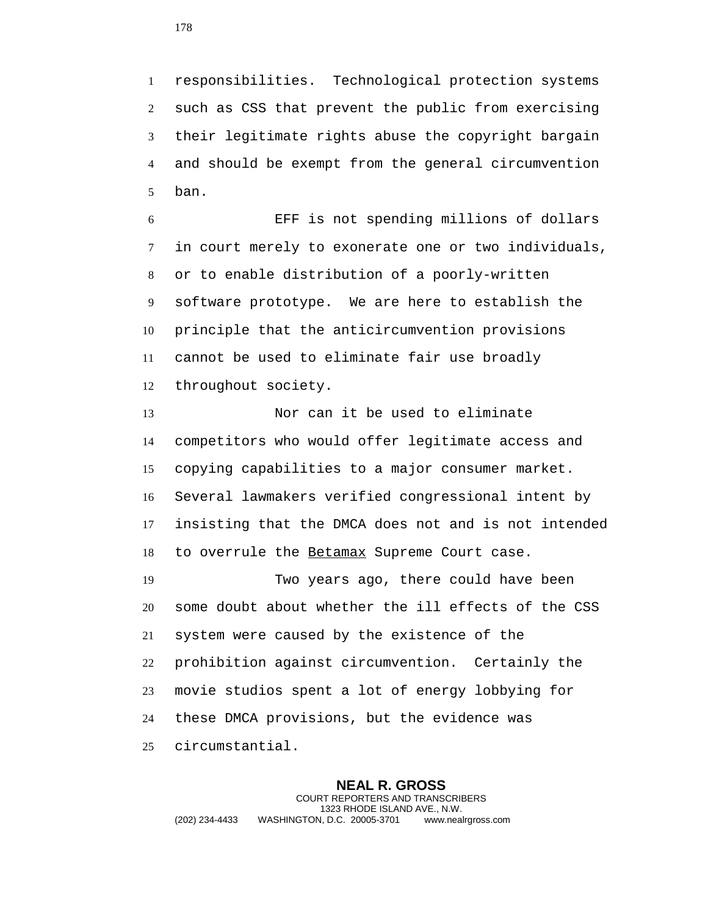responsibilities. Technological protection systems such as CSS that prevent the public from exercising their legitimate rights abuse the copyright bargain and should be exempt from the general circumvention ban.

 EFF is not spending millions of dollars in court merely to exonerate one or two individuals, or to enable distribution of a poorly-written software prototype. We are here to establish the principle that the anticircumvention provisions cannot be used to eliminate fair use broadly throughout society.

 Nor can it be used to eliminate competitors who would offer legitimate access and copying capabilities to a major consumer market. Several lawmakers verified congressional intent by insisting that the DMCA does not and is not intended 18 to overrule the Betamax Supreme Court case.

 Two years ago, there could have been some doubt about whether the ill effects of the CSS system were caused by the existence of the prohibition against circumvention. Certainly the movie studios spent a lot of energy lobbying for these DMCA provisions, but the evidence was circumstantial.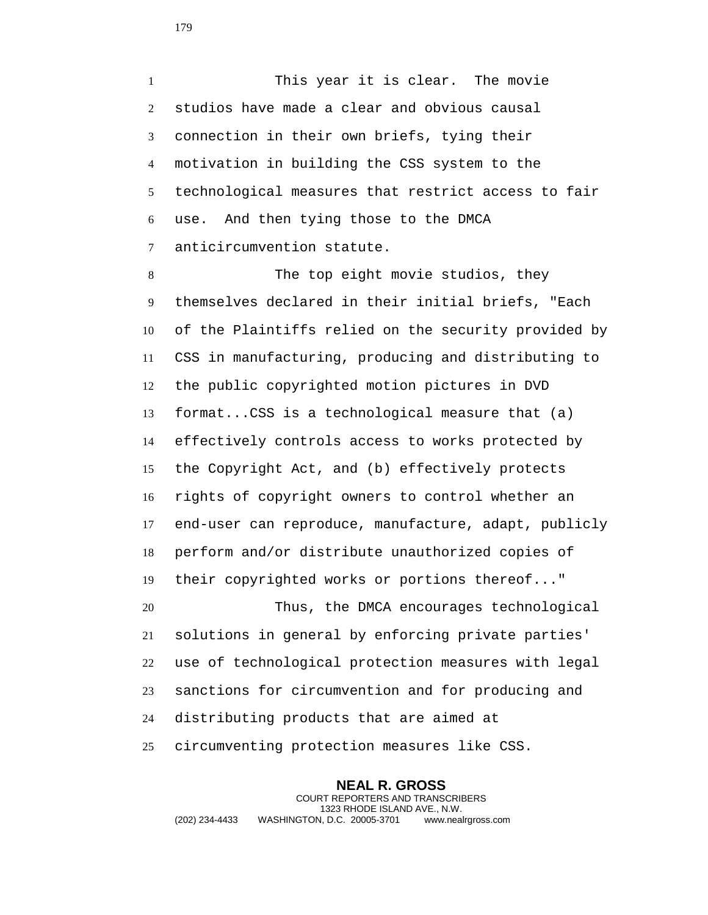This year it is clear. The movie studios have made a clear and obvious causal connection in their own briefs, tying their motivation in building the CSS system to the technological measures that restrict access to fair use. And then tying those to the DMCA anticircumvention statute.

 The top eight movie studios, they themselves declared in their initial briefs, "Each of the Plaintiffs relied on the security provided by CSS in manufacturing, producing and distributing to the public copyrighted motion pictures in DVD format...CSS is a technological measure that (a) effectively controls access to works protected by the Copyright Act, and (b) effectively protects rights of copyright owners to control whether an end-user can reproduce, manufacture, adapt, publicly perform and/or distribute unauthorized copies of their copyrighted works or portions thereof..." Thus, the DMCA encourages technological solutions in general by enforcing private parties' use of technological protection measures with legal sanctions for circumvention and for producing and distributing products that are aimed at circumventing protection measures like CSS.

**NEAL R. GROSS** COURT REPORTERS AND TRANSCRIBERS 1323 RHODE ISLAND AVE., N.W. (202) 234-4433 WASHINGTON, D.C. 20005-3701 www.nealrgross.com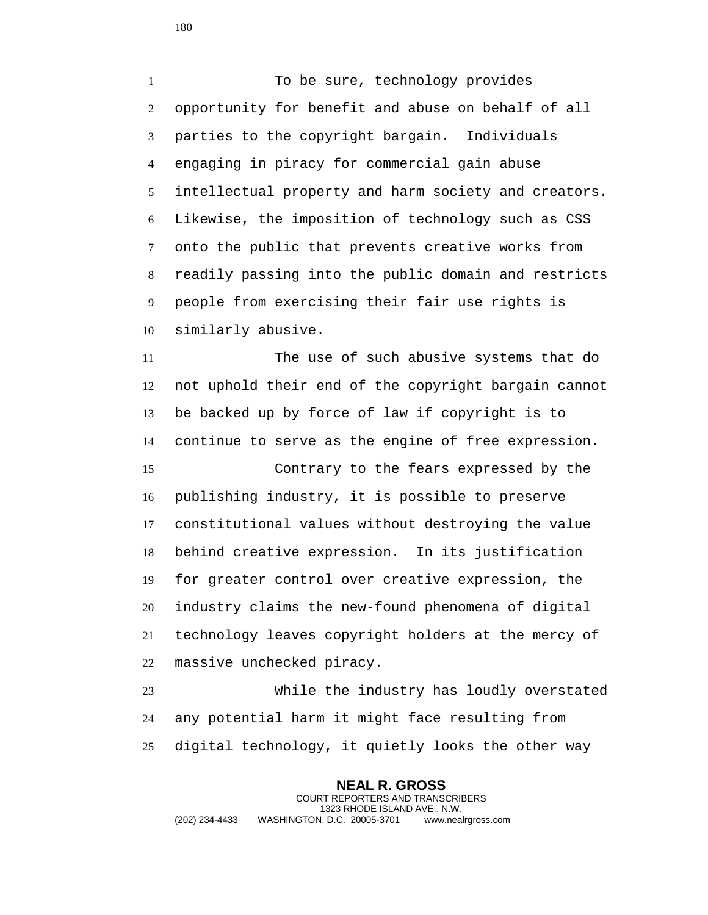1 To be sure, technology provides opportunity for benefit and abuse on behalf of all parties to the copyright bargain. Individuals engaging in piracy for commercial gain abuse intellectual property and harm society and creators. Likewise, the imposition of technology such as CSS onto the public that prevents creative works from readily passing into the public domain and restricts people from exercising their fair use rights is similarly abusive.

 The use of such abusive systems that do not uphold their end of the copyright bargain cannot be backed up by force of law if copyright is to continue to serve as the engine of free expression.

 Contrary to the fears expressed by the publishing industry, it is possible to preserve constitutional values without destroying the value behind creative expression. In its justification for greater control over creative expression, the industry claims the new-found phenomena of digital technology leaves copyright holders at the mercy of massive unchecked piracy.

 While the industry has loudly overstated any potential harm it might face resulting from digital technology, it quietly looks the other way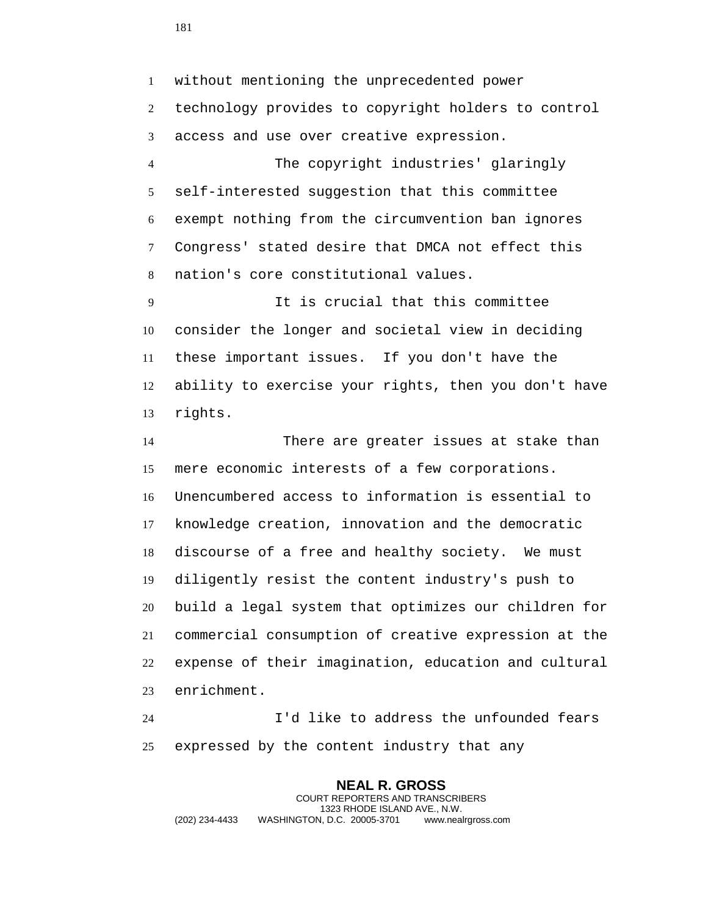without mentioning the unprecedented power technology provides to copyright holders to control access and use over creative expression.

 The copyright industries' glaringly self-interested suggestion that this committee exempt nothing from the circumvention ban ignores Congress' stated desire that DMCA not effect this nation's core constitutional values.

 It is crucial that this committee consider the longer and societal view in deciding these important issues. If you don't have the ability to exercise your rights, then you don't have rights.

 There are greater issues at stake than mere economic interests of a few corporations. Unencumbered access to information is essential to knowledge creation, innovation and the democratic discourse of a free and healthy society. We must diligently resist the content industry's push to build a legal system that optimizes our children for commercial consumption of creative expression at the expense of their imagination, education and cultural enrichment.

 I'd like to address the unfounded fears expressed by the content industry that any

**NEAL R. GROSS** COURT REPORTERS AND TRANSCRIBERS 1323 RHODE ISLAND AVE., N.W. (202) 234-4433 WASHINGTON, D.C. 20005-3701 www.nealrgross.com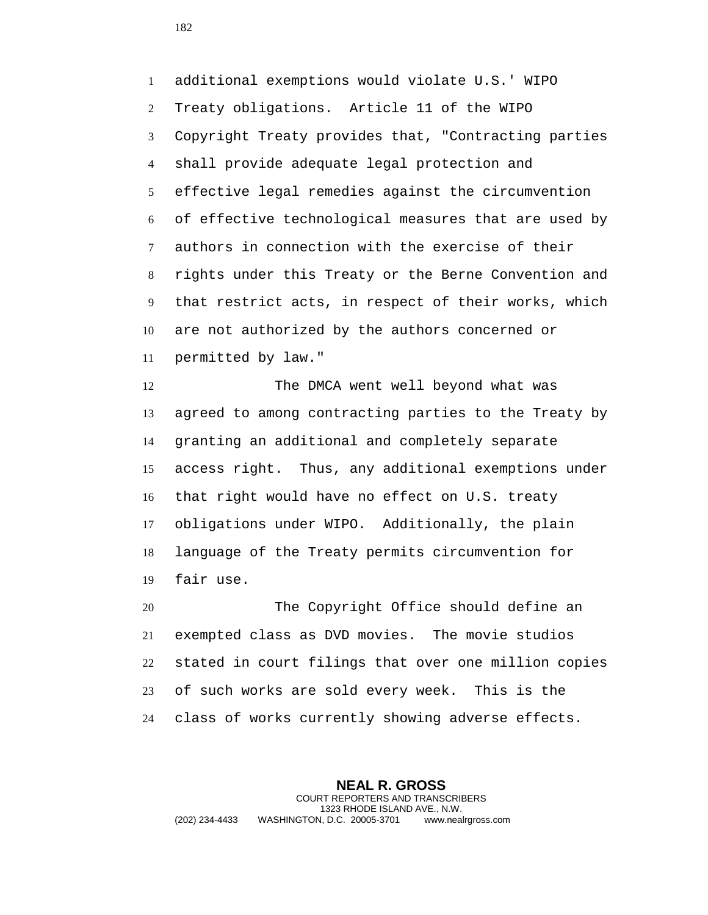additional exemptions would violate U.S.' WIPO Treaty obligations. Article 11 of the WIPO Copyright Treaty provides that, "Contracting parties shall provide adequate legal protection and effective legal remedies against the circumvention of effective technological measures that are used by authors in connection with the exercise of their rights under this Treaty or the Berne Convention and that restrict acts, in respect of their works, which are not authorized by the authors concerned or permitted by law."

12 The DMCA went well beyond what was agreed to among contracting parties to the Treaty by granting an additional and completely separate access right. Thus, any additional exemptions under that right would have no effect on U.S. treaty obligations under WIPO. Additionally, the plain language of the Treaty permits circumvention for fair use.

 The Copyright Office should define an exempted class as DVD movies. The movie studios stated in court filings that over one million copies of such works are sold every week. This is the class of works currently showing adverse effects.

**NEAL R. GROSS** COURT REPORTERS AND TRANSCRIBERS 1323 RHODE ISLAND AVE., N.W. (202) 234-4433 WASHINGTON, D.C. 20005-3701 www.nealrgross.com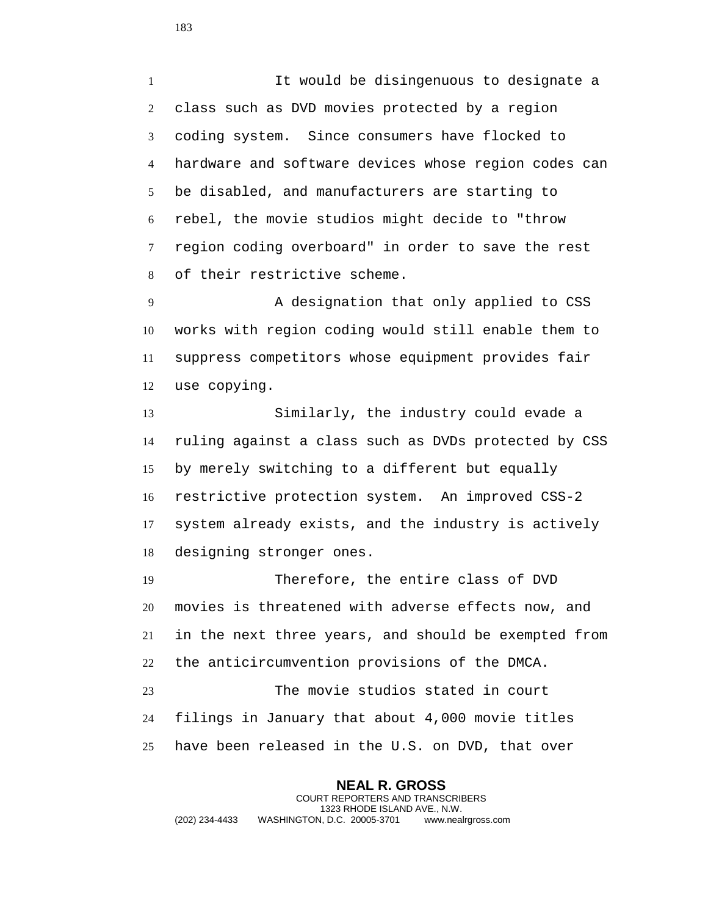It would be disingenuous to designate a class such as DVD movies protected by a region coding system. Since consumers have flocked to hardware and software devices whose region codes can be disabled, and manufacturers are starting to rebel, the movie studios might decide to "throw region coding overboard" in order to save the rest of their restrictive scheme.

 A designation that only applied to CSS works with region coding would still enable them to suppress competitors whose equipment provides fair use copying.

 Similarly, the industry could evade a ruling against a class such as DVDs protected by CSS by merely switching to a different but equally restrictive protection system. An improved CSS-2 system already exists, and the industry is actively designing stronger ones.

 Therefore, the entire class of DVD movies is threatened with adverse effects now, and in the next three years, and should be exempted from the anticircumvention provisions of the DMCA. The movie studios stated in court filings in January that about 4,000 movie titles have been released in the U.S. on DVD, that over

**NEAL R. GROSS** COURT REPORTERS AND TRANSCRIBERS 1323 RHODE ISLAND AVE., N.W. (202) 234-4433 WASHINGTON, D.C. 20005-3701 www.nealrgross.com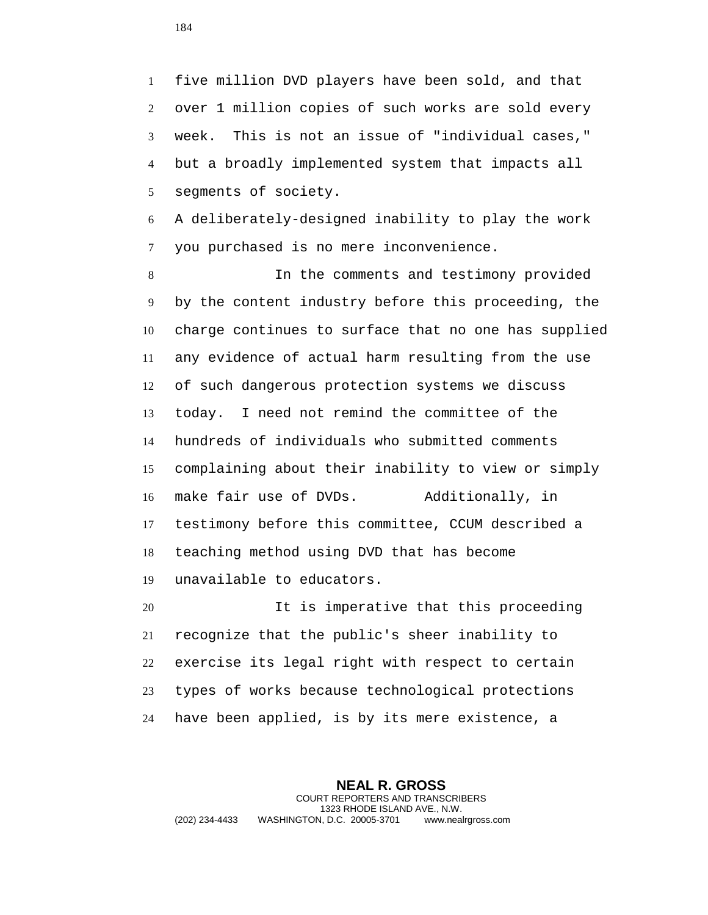five million DVD players have been sold, and that over 1 million copies of such works are sold every week. This is not an issue of "individual cases," but a broadly implemented system that impacts all segments of society.

 A deliberately-designed inability to play the work you purchased is no mere inconvenience.

 In the comments and testimony provided by the content industry before this proceeding, the charge continues to surface that no one has supplied any evidence of actual harm resulting from the use of such dangerous protection systems we discuss today. I need not remind the committee of the hundreds of individuals who submitted comments complaining about their inability to view or simply make fair use of DVDs. Additionally, in testimony before this committee, CCUM described a teaching method using DVD that has become unavailable to educators.

 It is imperative that this proceeding recognize that the public's sheer inability to exercise its legal right with respect to certain types of works because technological protections have been applied, is by its mere existence, a

**NEAL R. GROSS** COURT REPORTERS AND TRANSCRIBERS 1323 RHODE ISLAND AVE., N.W. (202) 234-4433 WASHINGTON, D.C. 20005-3701 www.nealrgross.com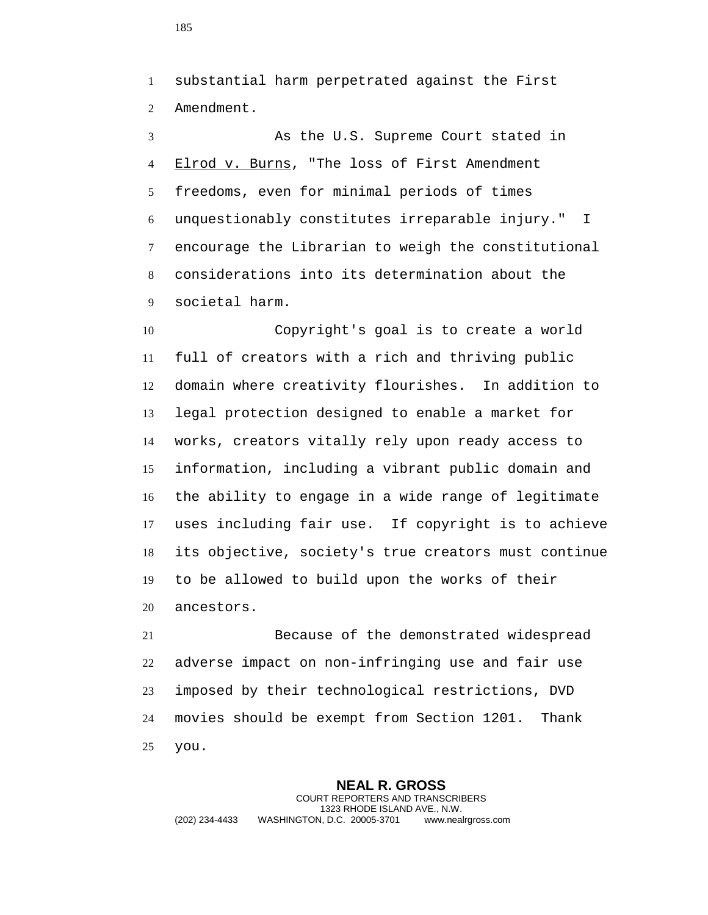substantial harm perpetrated against the First Amendment.

 As the U.S. Supreme Court stated in 4 Elrod v. Burns, "The loss of First Amendment freedoms, even for minimal periods of times unquestionably constitutes irreparable injury." I encourage the Librarian to weigh the constitutional considerations into its determination about the societal harm.

 Copyright's goal is to create a world full of creators with a rich and thriving public domain where creativity flourishes. In addition to legal protection designed to enable a market for works, creators vitally rely upon ready access to information, including a vibrant public domain and the ability to engage in a wide range of legitimate uses including fair use. If copyright is to achieve its objective, society's true creators must continue to be allowed to build upon the works of their ancestors.

 Because of the demonstrated widespread adverse impact on non-infringing use and fair use imposed by their technological restrictions, DVD movies should be exempt from Section 1201. Thank you.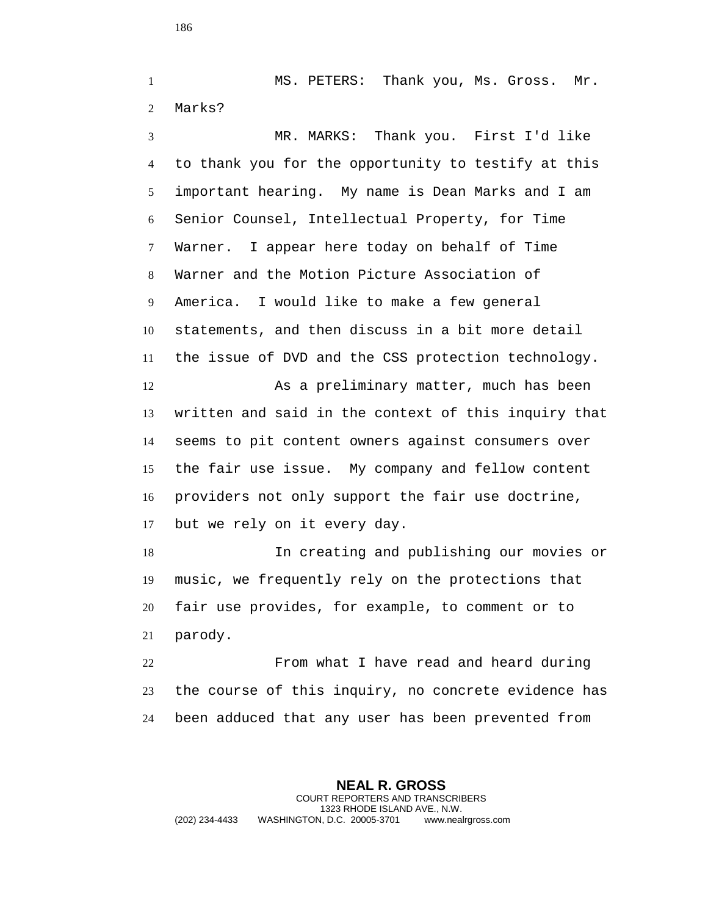MS. PETERS: Thank you, Ms. Gross. Mr. Marks? MR. MARKS: Thank you. First I'd like

 to thank you for the opportunity to testify at this important hearing. My name is Dean Marks and I am Senior Counsel, Intellectual Property, for Time Warner. I appear here today on behalf of Time Warner and the Motion Picture Association of America. I would like to make a few general statements, and then discuss in a bit more detail the issue of DVD and the CSS protection technology. As a preliminary matter, much has been written and said in the context of this inquiry that seems to pit content owners against consumers over the fair use issue. My company and fellow content providers not only support the fair use doctrine, but we rely on it every day. In creating and publishing our movies or

 music, we frequently rely on the protections that fair use provides, for example, to comment or to parody.

 From what I have read and heard during the course of this inquiry, no concrete evidence has been adduced that any user has been prevented from

**NEAL R. GROSS** COURT REPORTERS AND TRANSCRIBERS 1323 RHODE ISLAND AVE., N.W. (202) 234-4433 WASHINGTON, D.C. 20005-3701 www.nealrgross.com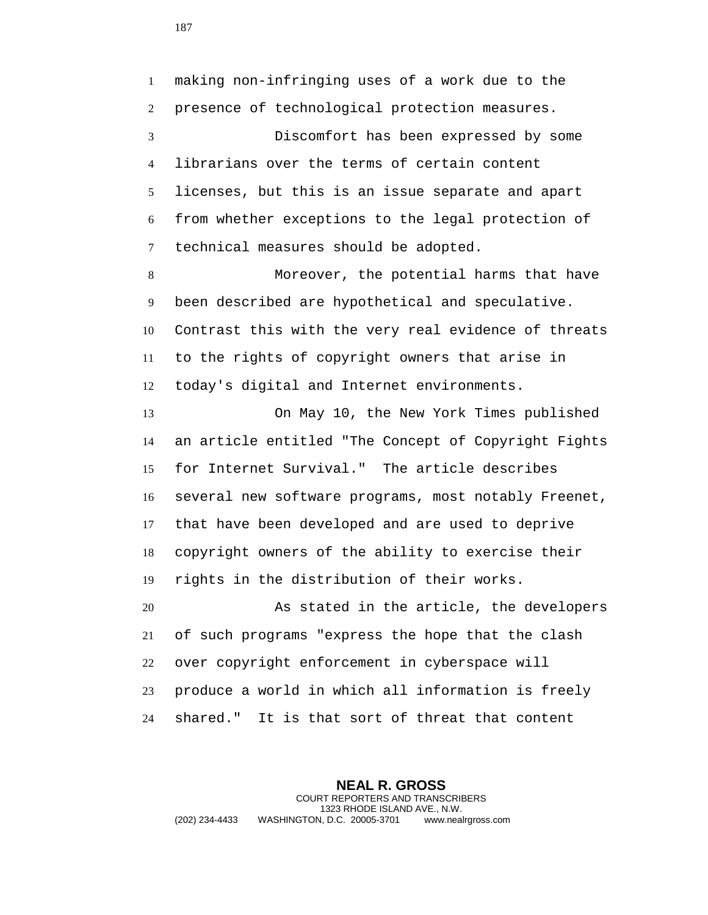making non-infringing uses of a work due to the presence of technological protection measures.

 Discomfort has been expressed by some librarians over the terms of certain content licenses, but this is an issue separate and apart from whether exceptions to the legal protection of technical measures should be adopted.

 Moreover, the potential harms that have been described are hypothetical and speculative. Contrast this with the very real evidence of threats to the rights of copyright owners that arise in today's digital and Internet environments.

 On May 10, the New York Times published an article entitled "The Concept of Copyright Fights for Internet Survival." The article describes several new software programs, most notably Freenet, that have been developed and are used to deprive copyright owners of the ability to exercise their rights in the distribution of their works.

 As stated in the article, the developers of such programs "express the hope that the clash over copyright enforcement in cyberspace will produce a world in which all information is freely shared." It is that sort of threat that content

**NEAL R. GROSS** COURT REPORTERS AND TRANSCRIBERS 1323 RHODE ISLAND AVE., N.W. (202) 234-4433 WASHINGTON, D.C. 20005-3701 www.nealrgross.com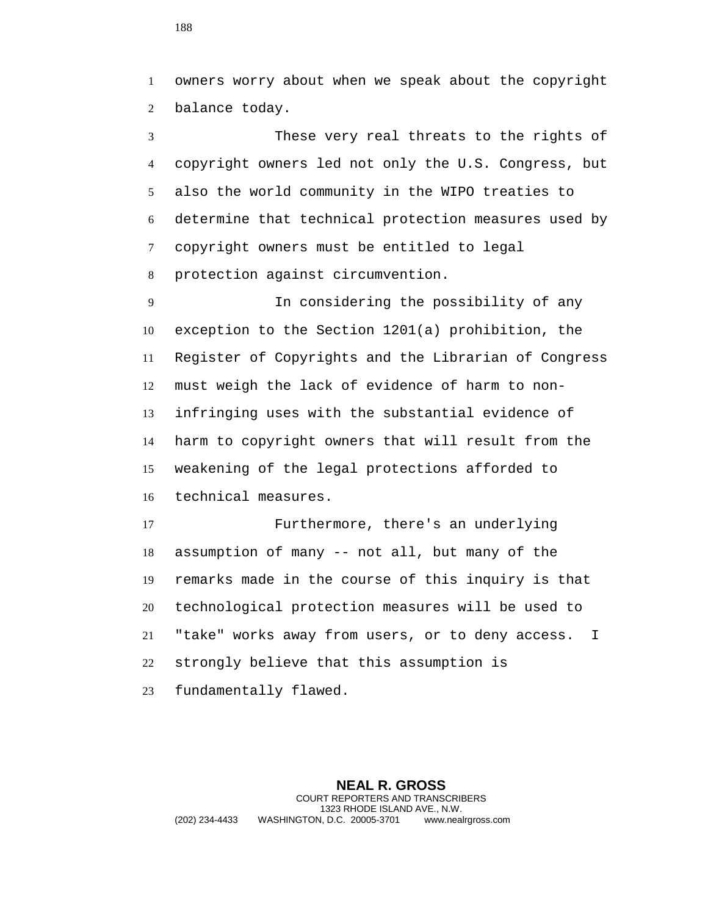owners worry about when we speak about the copyright balance today.

 These very real threats to the rights of copyright owners led not only the U.S. Congress, but also the world community in the WIPO treaties to determine that technical protection measures used by copyright owners must be entitled to legal protection against circumvention.

 In considering the possibility of any exception to the Section 1201(a) prohibition, the Register of Copyrights and the Librarian of Congress must weigh the lack of evidence of harm to non- infringing uses with the substantial evidence of harm to copyright owners that will result from the weakening of the legal protections afforded to technical measures.

 Furthermore, there's an underlying assumption of many -- not all, but many of the remarks made in the course of this inquiry is that technological protection measures will be used to "take" works away from users, or to deny access. I strongly believe that this assumption is fundamentally flawed.

**NEAL R. GROSS** COURT REPORTERS AND TRANSCRIBERS 1323 RHODE ISLAND AVE., N.W. (202) 234-4433 WASHINGTON, D.C. 20005-3701 www.nealrgross.com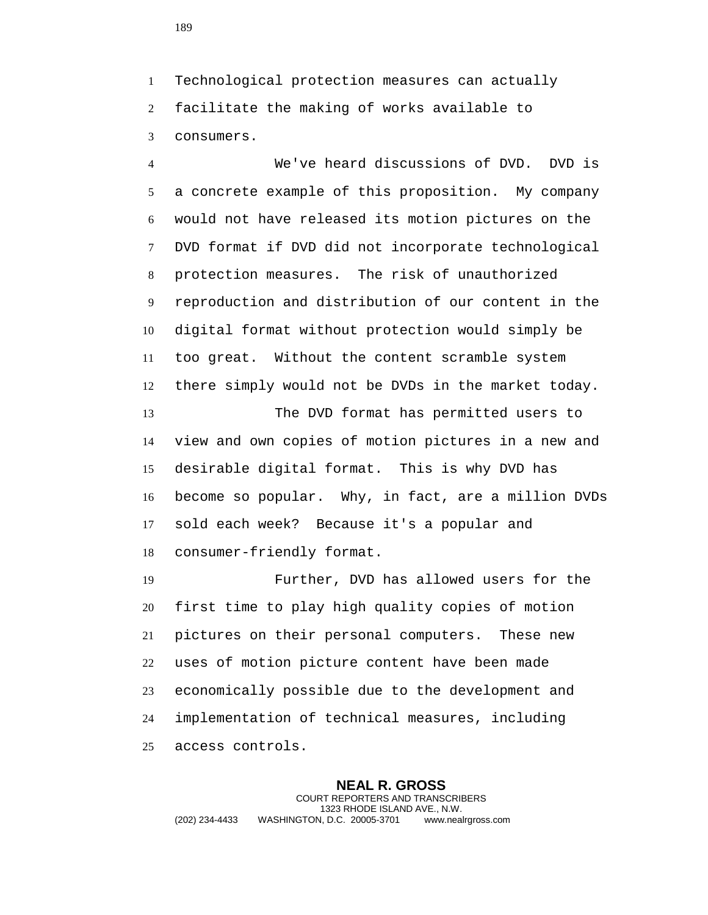Technological protection measures can actually facilitate the making of works available to consumers.

 We've heard discussions of DVD. DVD is a concrete example of this proposition. My company would not have released its motion pictures on the DVD format if DVD did not incorporate technological protection measures. The risk of unauthorized reproduction and distribution of our content in the digital format without protection would simply be too great. Without the content scramble system there simply would not be DVDs in the market today.

 The DVD format has permitted users to view and own copies of motion pictures in a new and desirable digital format. This is why DVD has become so popular. Why, in fact, are a million DVDs sold each week? Because it's a popular and consumer-friendly format.

 Further, DVD has allowed users for the first time to play high quality copies of motion pictures on their personal computers. These new uses of motion picture content have been made economically possible due to the development and implementation of technical measures, including access controls.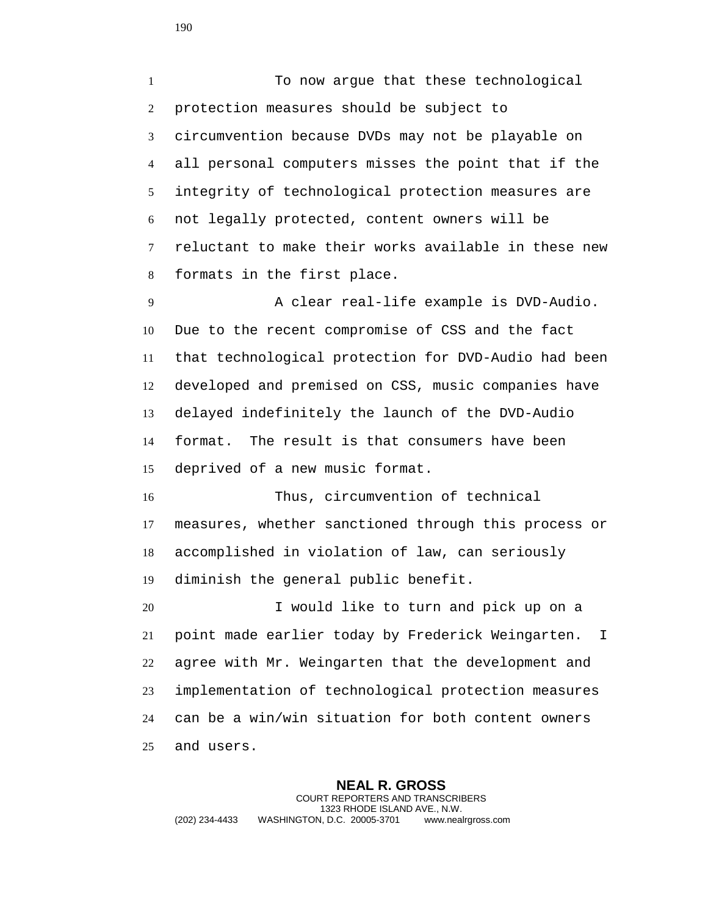To now argue that these technological protection measures should be subject to circumvention because DVDs may not be playable on all personal computers misses the point that if the integrity of technological protection measures are not legally protected, content owners will be reluctant to make their works available in these new formats in the first place.

 A clear real-life example is DVD-Audio. Due to the recent compromise of CSS and the fact that technological protection for DVD-Audio had been developed and premised on CSS, music companies have delayed indefinitely the launch of the DVD-Audio format. The result is that consumers have been deprived of a new music format.

 Thus, circumvention of technical measures, whether sanctioned through this process or accomplished in violation of law, can seriously diminish the general public benefit.

 I would like to turn and pick up on a point made earlier today by Frederick Weingarten. I agree with Mr. Weingarten that the development and implementation of technological protection measures can be a win/win situation for both content owners and users.

**NEAL R. GROSS** COURT REPORTERS AND TRANSCRIBERS 1323 RHODE ISLAND AVE., N.W. (202) 234-4433 WASHINGTON, D.C. 20005-3701 www.nealrgross.com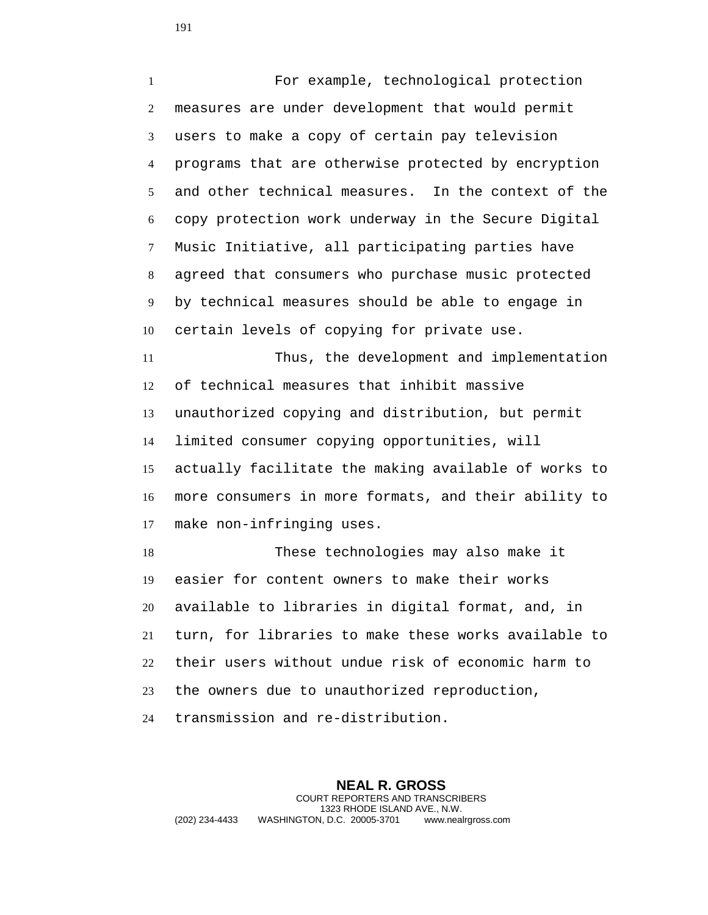For example, technological protection measures are under development that would permit users to make a copy of certain pay television programs that are otherwise protected by encryption and other technical measures. In the context of the copy protection work underway in the Secure Digital Music Initiative, all participating parties have agreed that consumers who purchase music protected by technical measures should be able to engage in certain levels of copying for private use. Thus, the development and implementation

 of technical measures that inhibit massive unauthorized copying and distribution, but permit limited consumer copying opportunities, will actually facilitate the making available of works to more consumers in more formats, and their ability to make non-infringing uses.

 These technologies may also make it easier for content owners to make their works available to libraries in digital format, and, in turn, for libraries to make these works available to their users without undue risk of economic harm to the owners due to unauthorized reproduction, transmission and re-distribution.

**NEAL R. GROSS** COURT REPORTERS AND TRANSCRIBERS 1323 RHODE ISLAND AVE., N.W. (202) 234-4433 WASHINGTON, D.C. 20005-3701 www.nealrgross.com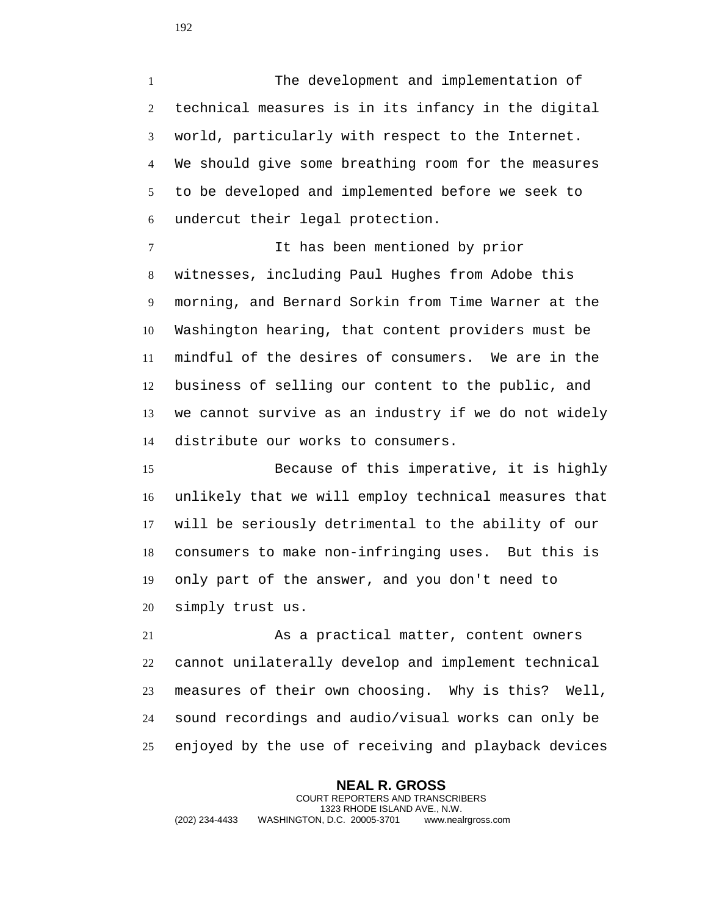The development and implementation of technical measures is in its infancy in the digital world, particularly with respect to the Internet. We should give some breathing room for the measures to be developed and implemented before we seek to undercut their legal protection.

 It has been mentioned by prior witnesses, including Paul Hughes from Adobe this morning, and Bernard Sorkin from Time Warner at the Washington hearing, that content providers must be mindful of the desires of consumers. We are in the business of selling our content to the public, and we cannot survive as an industry if we do not widely distribute our works to consumers.

 Because of this imperative, it is highly unlikely that we will employ technical measures that will be seriously detrimental to the ability of our consumers to make non-infringing uses. But this is only part of the answer, and you don't need to simply trust us.

 As a practical matter, content owners cannot unilaterally develop and implement technical measures of their own choosing. Why is this? Well, sound recordings and audio/visual works can only be enjoyed by the use of receiving and playback devices

**NEAL R. GROSS** COURT REPORTERS AND TRANSCRIBERS 1323 RHODE ISLAND AVE., N.W. (202) 234-4433 WASHINGTON, D.C. 20005-3701 www.nealrgross.com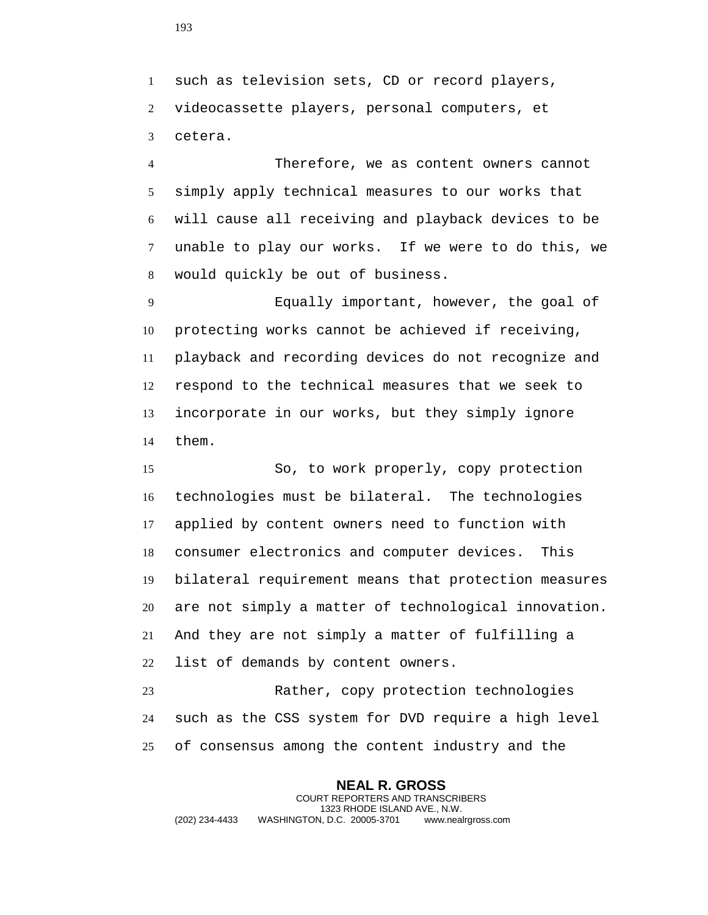such as television sets, CD or record players, videocassette players, personal computers, et cetera.

 Therefore, we as content owners cannot simply apply technical measures to our works that will cause all receiving and playback devices to be unable to play our works. If we were to do this, we would quickly be out of business.

 Equally important, however, the goal of protecting works cannot be achieved if receiving, playback and recording devices do not recognize and respond to the technical measures that we seek to incorporate in our works, but they simply ignore them.

 So, to work properly, copy protection technologies must be bilateral. The technologies applied by content owners need to function with consumer electronics and computer devices. This bilateral requirement means that protection measures are not simply a matter of technological innovation. And they are not simply a matter of fulfilling a list of demands by content owners.

 Rather, copy protection technologies such as the CSS system for DVD require a high level of consensus among the content industry and the

**NEAL R. GROSS** COURT REPORTERS AND TRANSCRIBERS 1323 RHODE ISLAND AVE., N.W. (202) 234-4433 WASHINGTON, D.C. 20005-3701 www.nealrgross.com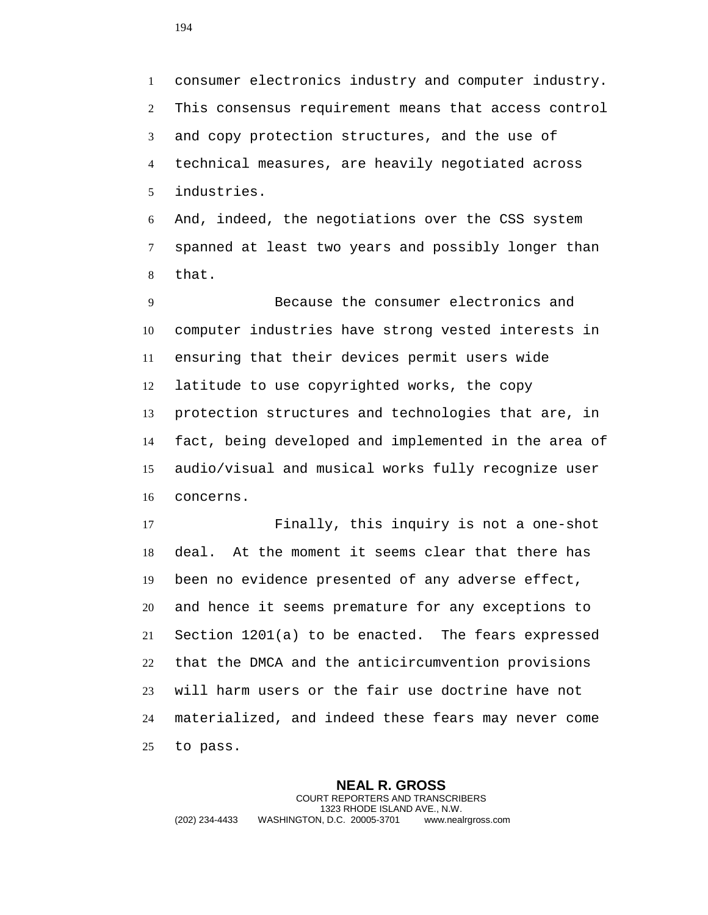consumer electronics industry and computer industry. This consensus requirement means that access control and copy protection structures, and the use of technical measures, are heavily negotiated across industries.

 And, indeed, the negotiations over the CSS system spanned at least two years and possibly longer than that.

 Because the consumer electronics and computer industries have strong vested interests in ensuring that their devices permit users wide latitude to use copyrighted works, the copy protection structures and technologies that are, in fact, being developed and implemented in the area of audio/visual and musical works fully recognize user concerns.

 Finally, this inquiry is not a one-shot deal. At the moment it seems clear that there has been no evidence presented of any adverse effect, and hence it seems premature for any exceptions to Section 1201(a) to be enacted. The fears expressed that the DMCA and the anticircumvention provisions will harm users or the fair use doctrine have not materialized, and indeed these fears may never come to pass.

**NEAL R. GROSS** COURT REPORTERS AND TRANSCRIBERS 1323 RHODE ISLAND AVE., N.W. (202) 234-4433 WASHINGTON, D.C. 20005-3701 www.nealrgross.com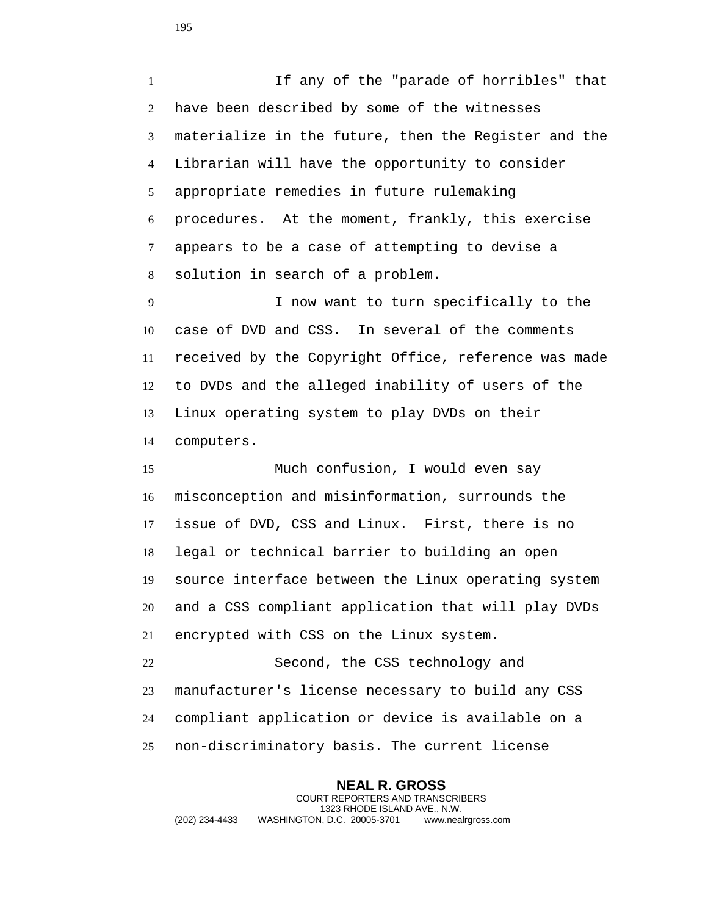If any of the "parade of horribles" that have been described by some of the witnesses materialize in the future, then the Register and the Librarian will have the opportunity to consider appropriate remedies in future rulemaking procedures. At the moment, frankly, this exercise appears to be a case of attempting to devise a solution in search of a problem.

 I now want to turn specifically to the case of DVD and CSS. In several of the comments received by the Copyright Office, reference was made to DVDs and the alleged inability of users of the Linux operating system to play DVDs on their computers.

 Much confusion, I would even say misconception and misinformation, surrounds the issue of DVD, CSS and Linux. First, there is no legal or technical barrier to building an open source interface between the Linux operating system and a CSS compliant application that will play DVDs encrypted with CSS on the Linux system.

 Second, the CSS technology and manufacturer's license necessary to build any CSS compliant application or device is available on a non-discriminatory basis. The current license

**NEAL R. GROSS** COURT REPORTERS AND TRANSCRIBERS 1323 RHODE ISLAND AVE., N.W. (202) 234-4433 WASHINGTON, D.C. 20005-3701 www.nealrgross.com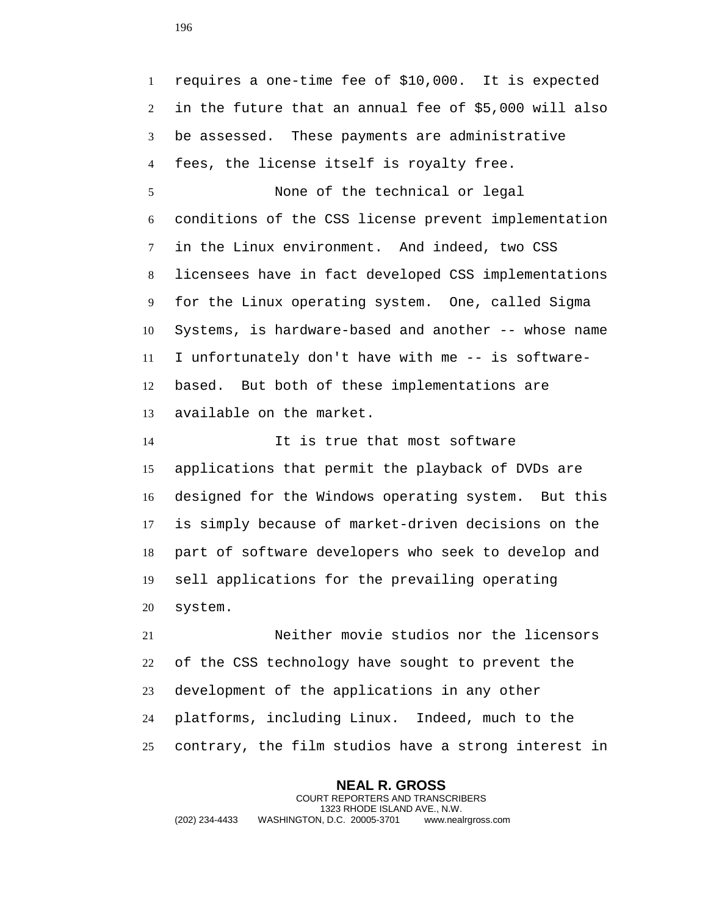requires a one-time fee of \$10,000. It is expected in the future that an annual fee of \$5,000 will also be assessed. These payments are administrative fees, the license itself is royalty free.

 None of the technical or legal conditions of the CSS license prevent implementation in the Linux environment. And indeed, two CSS licensees have in fact developed CSS implementations for the Linux operating system. One, called Sigma Systems, is hardware-based and another -- whose name I unfortunately don't have with me -- is software- based. But both of these implementations are available on the market.

 It is true that most software applications that permit the playback of DVDs are designed for the Windows operating system. But this is simply because of market-driven decisions on the part of software developers who seek to develop and sell applications for the prevailing operating system.

 Neither movie studios nor the licensors of the CSS technology have sought to prevent the development of the applications in any other platforms, including Linux. Indeed, much to the contrary, the film studios have a strong interest in

**NEAL R. GROSS** COURT REPORTERS AND TRANSCRIBERS 1323 RHODE ISLAND AVE., N.W. (202) 234-4433 WASHINGTON, D.C. 20005-3701 www.nealrgross.com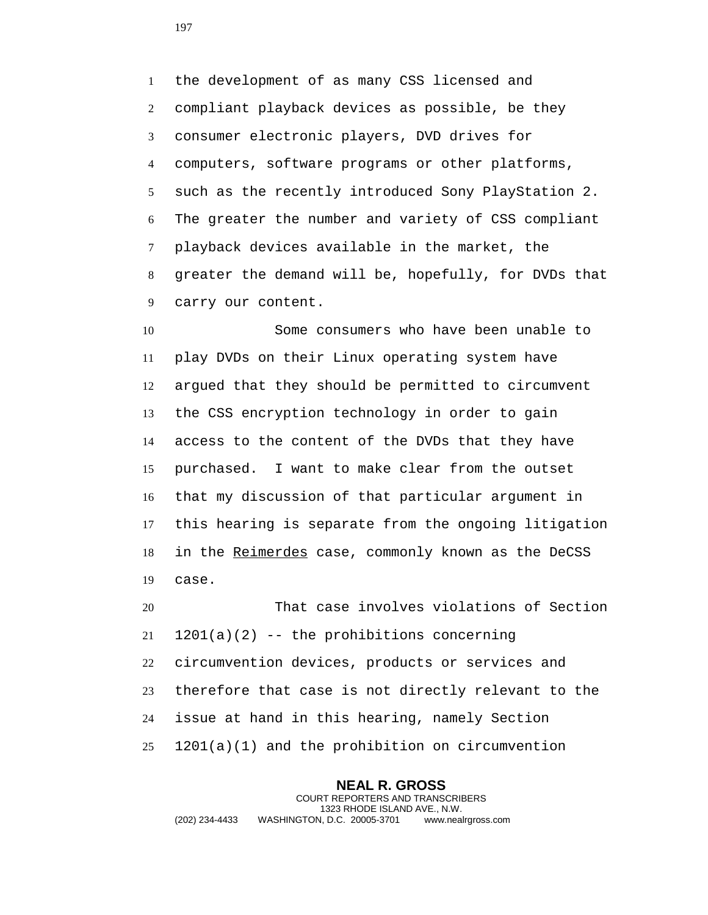the development of as many CSS licensed and compliant playback devices as possible, be they consumer electronic players, DVD drives for computers, software programs or other platforms, such as the recently introduced Sony PlayStation 2. The greater the number and variety of CSS compliant playback devices available in the market, the greater the demand will be, hopefully, for DVDs that carry our content.

 Some consumers who have been unable to play DVDs on their Linux operating system have argued that they should be permitted to circumvent the CSS encryption technology in order to gain access to the content of the DVDs that they have purchased. I want to make clear from the outset that my discussion of that particular argument in this hearing is separate from the ongoing litigation 18 in the Reimerdes case, commonly known as the DeCSS case.

 That case involves violations of Section 1201(a)(2) -- the prohibitions concerning circumvention devices, products or services and therefore that case is not directly relevant to the issue at hand in this hearing, namely Section 1201(a)(1) and the prohibition on circumvention

**NEAL R. GROSS** COURT REPORTERS AND TRANSCRIBERS 1323 RHODE ISLAND AVE., N.W. (202) 234-4433 WASHINGTON, D.C. 20005-3701 www.nealrgross.com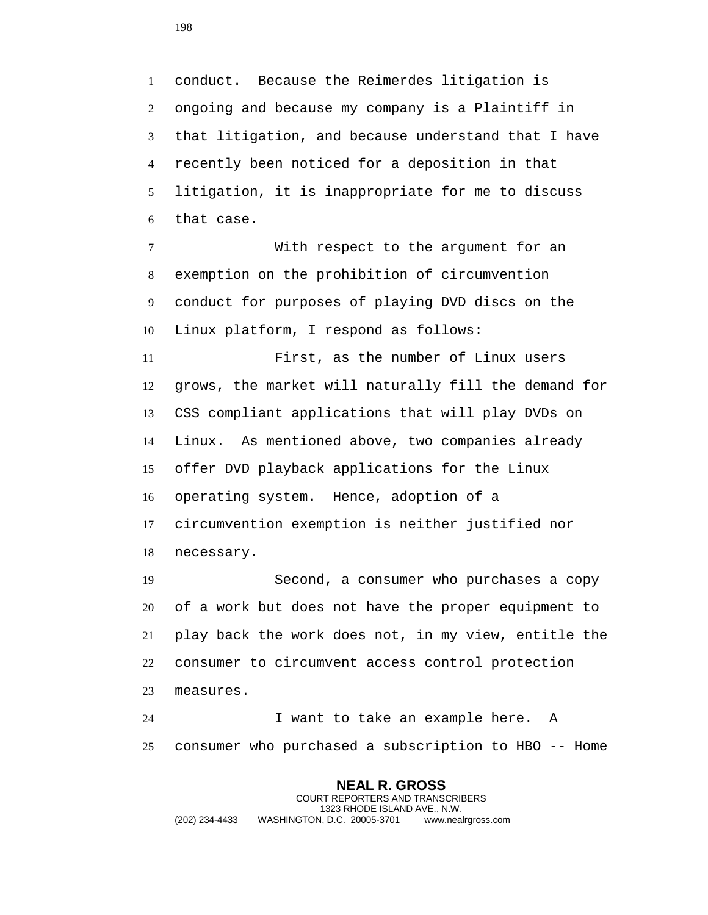1 conduct. Because the Reimerdes litigation is ongoing and because my company is a Plaintiff in that litigation, and because understand that I have recently been noticed for a deposition in that litigation, it is inappropriate for me to discuss that case.

 With respect to the argument for an exemption on the prohibition of circumvention conduct for purposes of playing DVD discs on the Linux platform, I respond as follows:

 First, as the number of Linux users grows, the market will naturally fill the demand for CSS compliant applications that will play DVDs on Linux. As mentioned above, two companies already offer DVD playback applications for the Linux operating system. Hence, adoption of a circumvention exemption is neither justified nor necessary.

 Second, a consumer who purchases a copy of a work but does not have the proper equipment to play back the work does not, in my view, entitle the consumer to circumvent access control protection measures.

 I want to take an example here. A consumer who purchased a subscription to HBO -- Home

**NEAL R. GROSS** COURT REPORTERS AND TRANSCRIBERS 1323 RHODE ISLAND AVE., N.W. (202) 234-4433 WASHINGTON, D.C. 20005-3701 www.nealrgross.com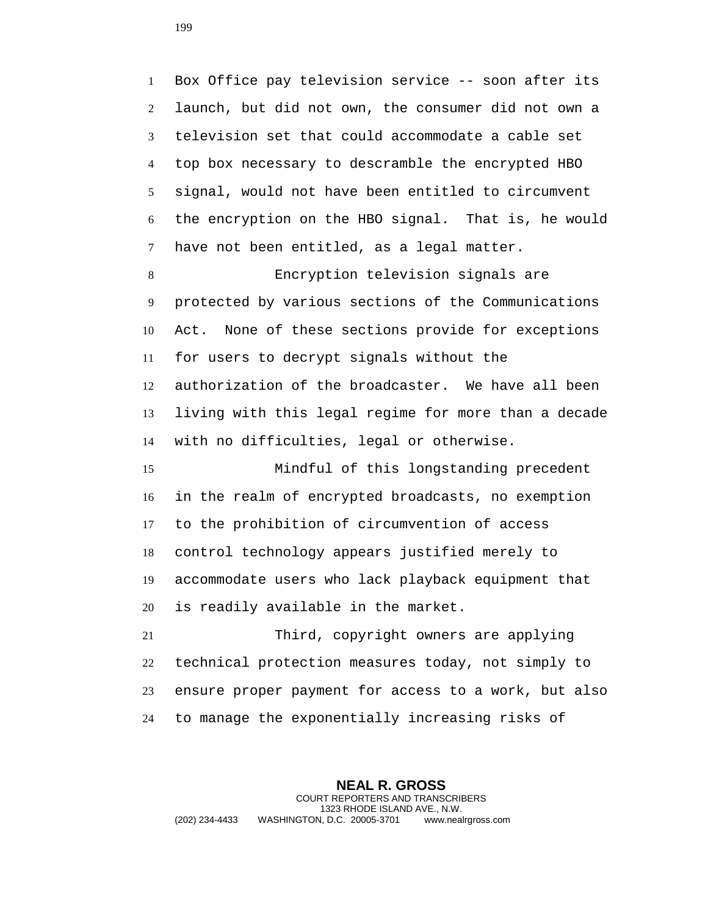Box Office pay television service -- soon after its launch, but did not own, the consumer did not own a television set that could accommodate a cable set top box necessary to descramble the encrypted HBO signal, would not have been entitled to circumvent the encryption on the HBO signal. That is, he would have not been entitled, as a legal matter.

 Encryption television signals are protected by various sections of the Communications Act. None of these sections provide for exceptions for users to decrypt signals without the authorization of the broadcaster. We have all been living with this legal regime for more than a decade with no difficulties, legal or otherwise.

 Mindful of this longstanding precedent in the realm of encrypted broadcasts, no exemption to the prohibition of circumvention of access control technology appears justified merely to accommodate users who lack playback equipment that is readily available in the market.

 Third, copyright owners are applying technical protection measures today, not simply to ensure proper payment for access to a work, but also to manage the exponentially increasing risks of

**NEAL R. GROSS** COURT REPORTERS AND TRANSCRIBERS 1323 RHODE ISLAND AVE., N.W. (202) 234-4433 WASHINGTON, D.C. 20005-3701 www.nealrgross.com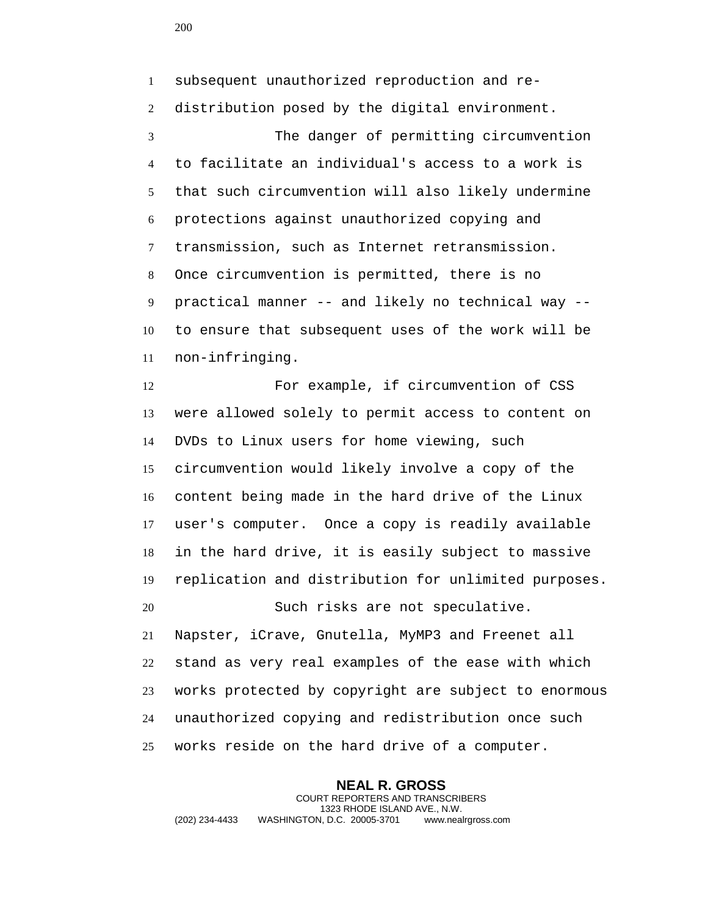subsequent unauthorized reproduction and re- distribution posed by the digital environment. The danger of permitting circumvention to facilitate an individual's access to a work is that such circumvention will also likely undermine protections against unauthorized copying and transmission, such as Internet retransmission. Once circumvention is permitted, there is no practical manner -- and likely no technical way -- to ensure that subsequent uses of the work will be non-infringing.

 For example, if circumvention of CSS were allowed solely to permit access to content on DVDs to Linux users for home viewing, such circumvention would likely involve a copy of the content being made in the hard drive of the Linux user's computer. Once a copy is readily available in the hard drive, it is easily subject to massive replication and distribution for unlimited purposes.

 Napster, iCrave, Gnutella, MyMP3 and Freenet all stand as very real examples of the ease with which works protected by copyright are subject to enormous unauthorized copying and redistribution once such works reside on the hard drive of a computer.

**NEAL R. GROSS** COURT REPORTERS AND TRANSCRIBERS 1323 RHODE ISLAND AVE., N.W. (202) 234-4433 WASHINGTON, D.C. 20005-3701 www.nealrgross.com

Such risks are not speculative.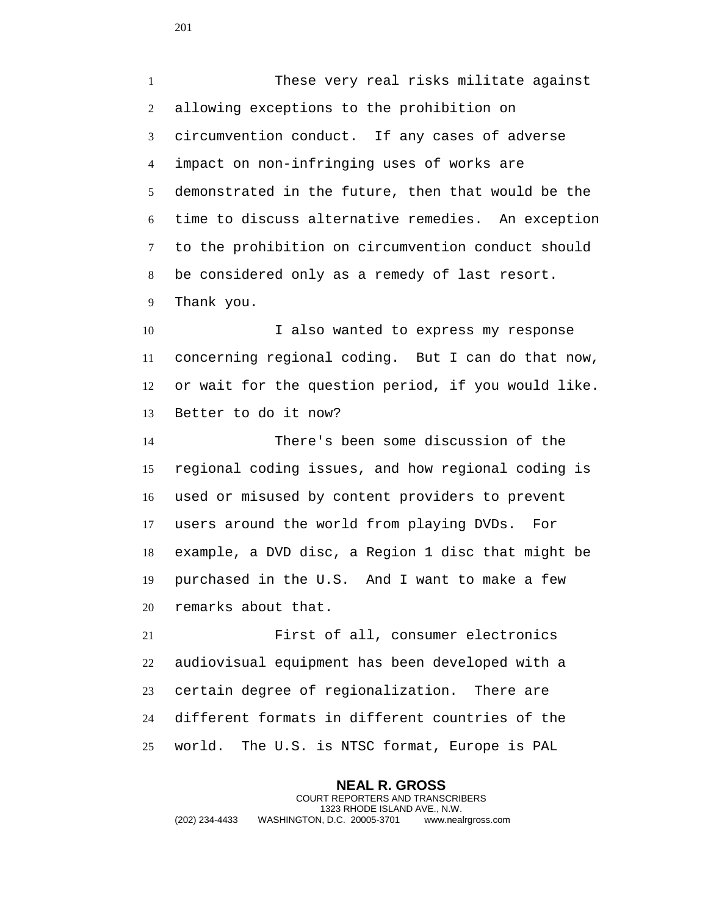These very real risks militate against allowing exceptions to the prohibition on circumvention conduct. If any cases of adverse impact on non-infringing uses of works are demonstrated in the future, then that would be the time to discuss alternative remedies. An exception to the prohibition on circumvention conduct should be considered only as a remedy of last resort. Thank you.

10 I also wanted to express my response concerning regional coding. But I can do that now, or wait for the question period, if you would like. Better to do it now?

 There's been some discussion of the regional coding issues, and how regional coding is used or misused by content providers to prevent users around the world from playing DVDs. For example, a DVD disc, a Region 1 disc that might be purchased in the U.S. And I want to make a few remarks about that.

 First of all, consumer electronics audiovisual equipment has been developed with a certain degree of regionalization. There are different formats in different countries of the world. The U.S. is NTSC format, Europe is PAL

**NEAL R. GROSS** COURT REPORTERS AND TRANSCRIBERS 1323 RHODE ISLAND AVE., N.W. (202) 234-4433 WASHINGTON, D.C. 20005-3701 www.nealrgross.com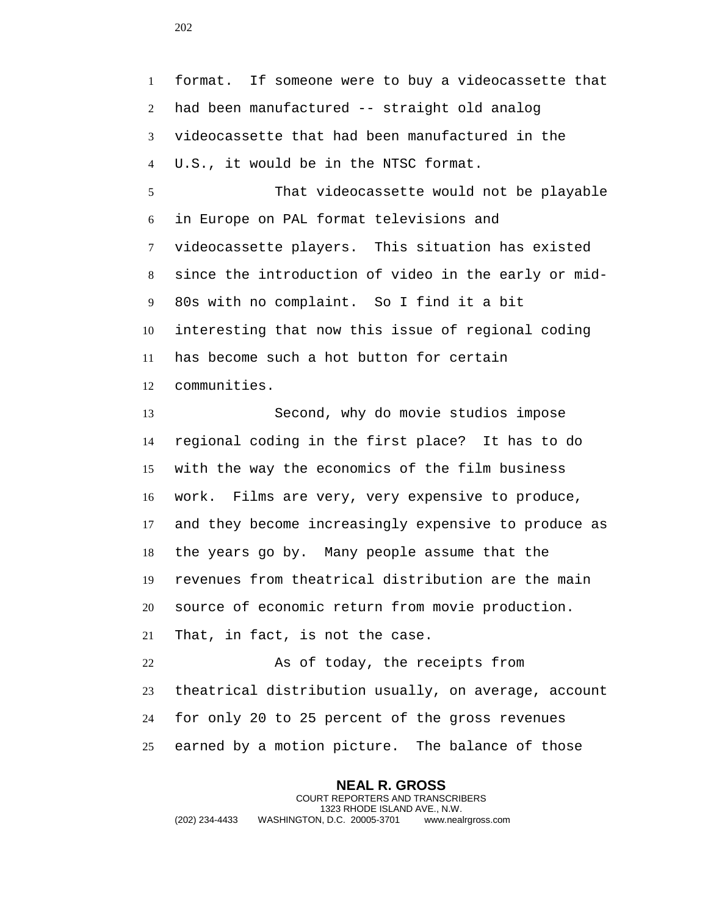format. If someone were to buy a videocassette that had been manufactured -- straight old analog videocassette that had been manufactured in the U.S., it would be in the NTSC format. That videocassette would not be playable in Europe on PAL format televisions and videocassette players. This situation has existed

since the introduction of video in the early or mid-

interesting that now this issue of regional coding

80s with no complaint. So I find it a bit

 has become such a hot button for certain communities. Second, why do movie studios impose regional coding in the first place? It has to do with the way the economics of the film business work. Films are very, very expensive to produce, and they become increasingly expensive to produce as the years go by. Many people assume that the revenues from theatrical distribution are the main source of economic return from movie production. That, in fact, is not the case.

 As of today, the receipts from theatrical distribution usually, on average, account for only 20 to 25 percent of the gross revenues earned by a motion picture. The balance of those

**NEAL R. GROSS** COURT REPORTERS AND TRANSCRIBERS 1323 RHODE ISLAND AVE., N.W. (202) 234-4433 WASHINGTON, D.C. 20005-3701 www.nealrgross.com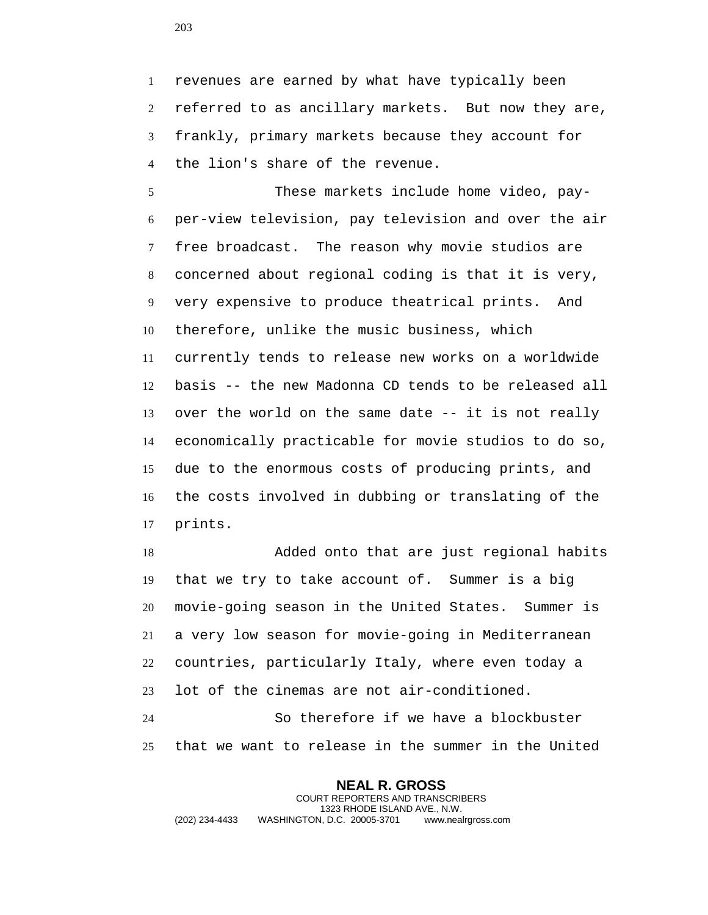revenues are earned by what have typically been referred to as ancillary markets. But now they are, frankly, primary markets because they account for the lion's share of the revenue.

 These markets include home video, pay- per-view television, pay television and over the air free broadcast. The reason why movie studios are concerned about regional coding is that it is very, very expensive to produce theatrical prints. And therefore, unlike the music business, which currently tends to release new works on a worldwide basis -- the new Madonna CD tends to be released all over the world on the same date -- it is not really economically practicable for movie studios to do so, due to the enormous costs of producing prints, and the costs involved in dubbing or translating of the prints.

 Added onto that are just regional habits that we try to take account of. Summer is a big movie-going season in the United States. Summer is a very low season for movie-going in Mediterranean countries, particularly Italy, where even today a lot of the cinemas are not air-conditioned.

 So therefore if we have a blockbuster that we want to release in the summer in the United

**NEAL R. GROSS** COURT REPORTERS AND TRANSCRIBERS 1323 RHODE ISLAND AVE., N.W. (202) 234-4433 WASHINGTON, D.C. 20005-3701 www.nealrgross.com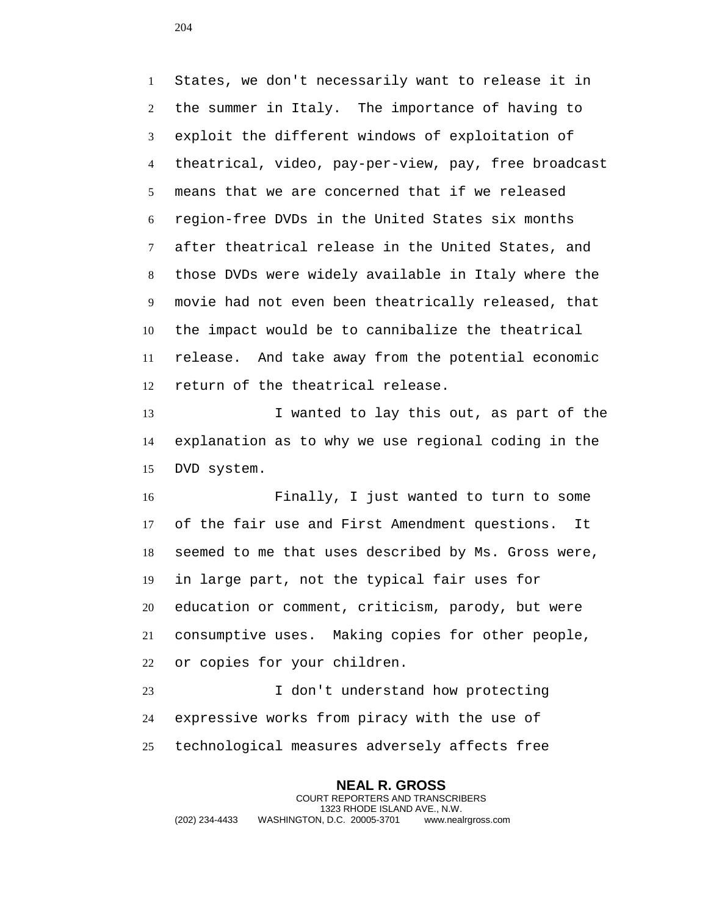States, we don't necessarily want to release it in the summer in Italy. The importance of having to exploit the different windows of exploitation of theatrical, video, pay-per-view, pay, free broadcast means that we are concerned that if we released region-free DVDs in the United States six months after theatrical release in the United States, and those DVDs were widely available in Italy where the movie had not even been theatrically released, that the impact would be to cannibalize the theatrical release. And take away from the potential economic return of the theatrical release.

 I wanted to lay this out, as part of the explanation as to why we use regional coding in the DVD system.

 Finally, I just wanted to turn to some of the fair use and First Amendment questions. It seemed to me that uses described by Ms. Gross were, in large part, not the typical fair uses for education or comment, criticism, parody, but were consumptive uses. Making copies for other people, or copies for your children.

 I don't understand how protecting expressive works from piracy with the use of technological measures adversely affects free

**NEAL R. GROSS** COURT REPORTERS AND TRANSCRIBERS 1323 RHODE ISLAND AVE., N.W. (202) 234-4433 WASHINGTON, D.C. 20005-3701 www.nealrgross.com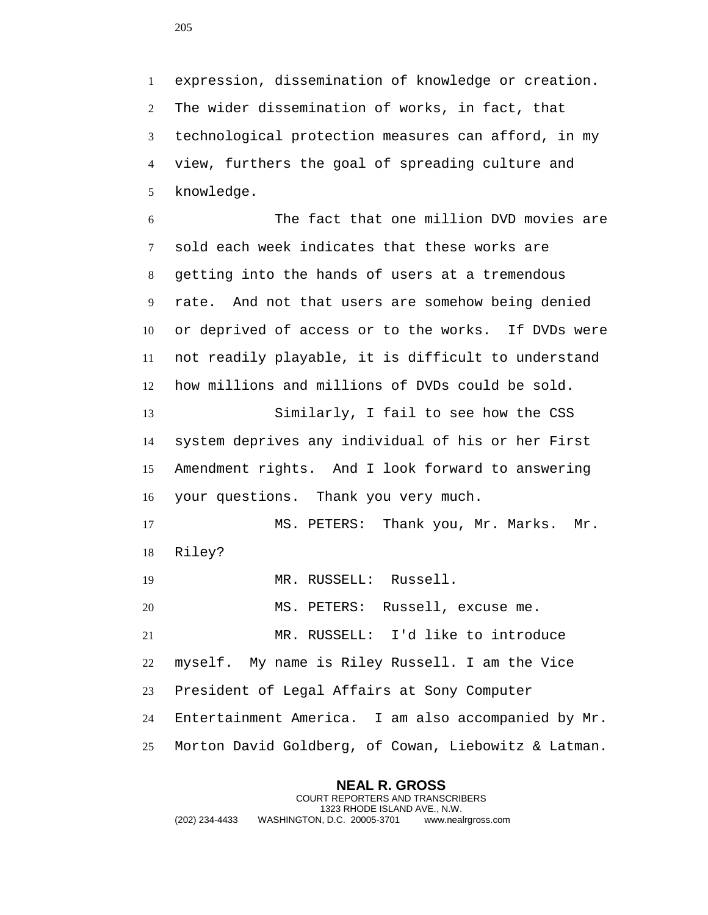expression, dissemination of knowledge or creation. The wider dissemination of works, in fact, that technological protection measures can afford, in my view, furthers the goal of spreading culture and knowledge.

 The fact that one million DVD movies are sold each week indicates that these works are getting into the hands of users at a tremendous rate. And not that users are somehow being denied or deprived of access or to the works. If DVDs were not readily playable, it is difficult to understand how millions and millions of DVDs could be sold.

 Similarly, I fail to see how the CSS system deprives any individual of his or her First Amendment rights. And I look forward to answering your questions. Thank you very much.

 MS. PETERS: Thank you, Mr. Marks. Mr. Riley?

MR. RUSSELL: Russell.

MS. PETERS: Russell, excuse me.

 MR. RUSSELL: I'd like to introduce myself. My name is Riley Russell. I am the Vice President of Legal Affairs at Sony Computer Entertainment America. I am also accompanied by Mr.

Morton David Goldberg, of Cowan, Liebowitz & Latman.

**NEAL R. GROSS** COURT REPORTERS AND TRANSCRIBERS 1323 RHODE ISLAND AVE., N.W. (202) 234-4433 WASHINGTON, D.C. 20005-3701 www.nealrgross.com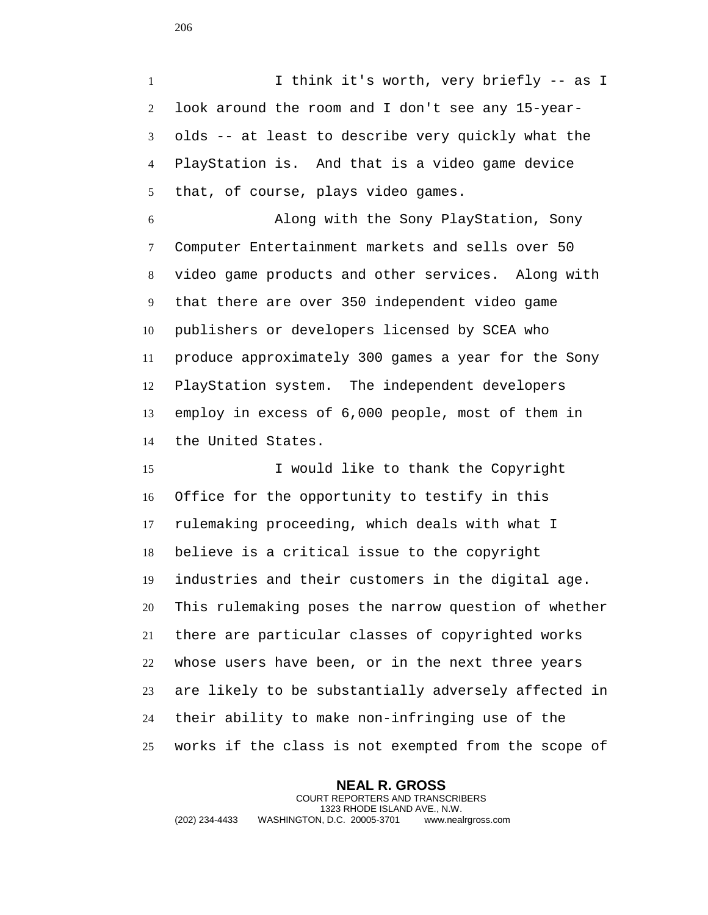I think it's worth, very briefly -- as I look around the room and I don't see any 15-year- olds -- at least to describe very quickly what the PlayStation is. And that is a video game device that, of course, plays video games.

 Along with the Sony PlayStation, Sony Computer Entertainment markets and sells over 50 video game products and other services. Along with that there are over 350 independent video game publishers or developers licensed by SCEA who produce approximately 300 games a year for the Sony PlayStation system. The independent developers employ in excess of 6,000 people, most of them in the United States.

 I would like to thank the Copyright Office for the opportunity to testify in this rulemaking proceeding, which deals with what I believe is a critical issue to the copyright industries and their customers in the digital age. This rulemaking poses the narrow question of whether there are particular classes of copyrighted works whose users have been, or in the next three years are likely to be substantially adversely affected in their ability to make non-infringing use of the works if the class is not exempted from the scope of

**NEAL R. GROSS** COURT REPORTERS AND TRANSCRIBERS 1323 RHODE ISLAND AVE., N.W. (202) 234-4433 WASHINGTON, D.C. 20005-3701 www.nealrgross.com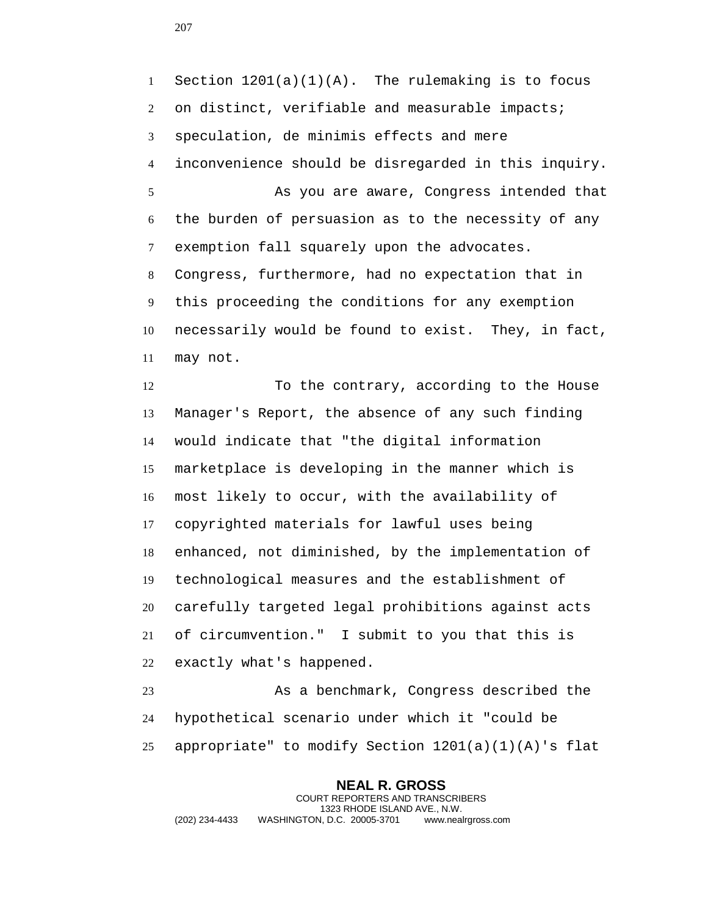1 Section  $1201(a)(1)(A)$ . The rulemaking is to focus 2 on distinct, verifiable and measurable impacts; speculation, de minimis effects and mere inconvenience should be disregarded in this inquiry. As you are aware, Congress intended that the burden of persuasion as to the necessity of any exemption fall squarely upon the advocates. Congress, furthermore, had no expectation that in this proceeding the conditions for any exemption necessarily would be found to exist. They, in fact, may not.

 To the contrary, according to the House Manager's Report, the absence of any such finding would indicate that "the digital information marketplace is developing in the manner which is most likely to occur, with the availability of copyrighted materials for lawful uses being enhanced, not diminished, by the implementation of technological measures and the establishment of carefully targeted legal prohibitions against acts of circumvention." I submit to you that this is exactly what's happened.

 As a benchmark, Congress described the hypothetical scenario under which it "could be appropriate" to modify Section 1201(a)(1)(A)'s flat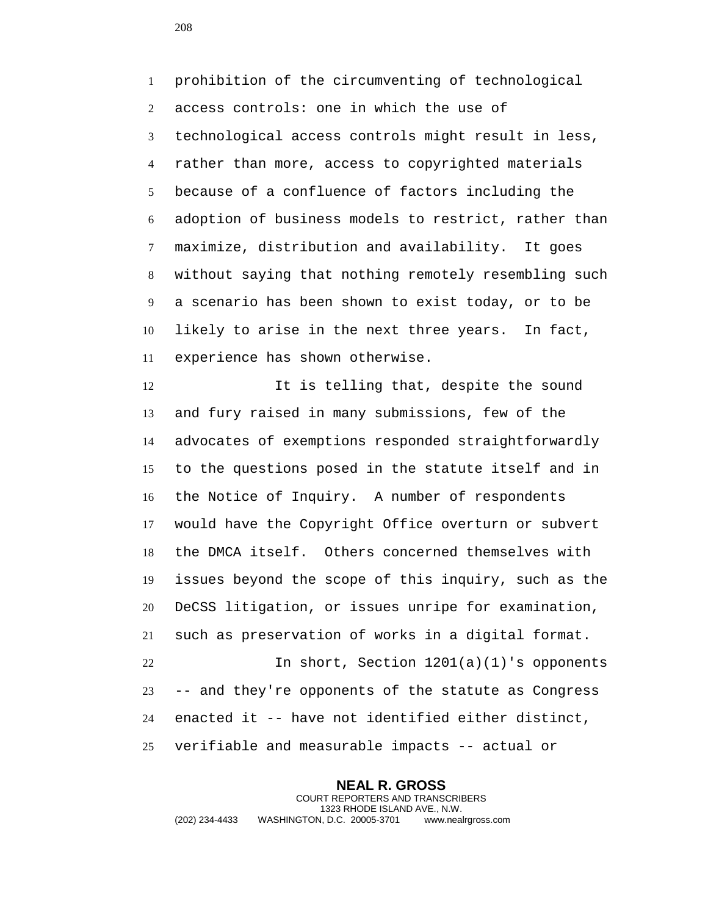prohibition of the circumventing of technological access controls: one in which the use of technological access controls might result in less, rather than more, access to copyrighted materials because of a confluence of factors including the adoption of business models to restrict, rather than maximize, distribution and availability. It goes without saying that nothing remotely resembling such a scenario has been shown to exist today, or to be likely to arise in the next three years. In fact, experience has shown otherwise.

 It is telling that, despite the sound and fury raised in many submissions, few of the advocates of exemptions responded straightforwardly to the questions posed in the statute itself and in the Notice of Inquiry. A number of respondents would have the Copyright Office overturn or subvert the DMCA itself. Others concerned themselves with issues beyond the scope of this inquiry, such as the DeCSS litigation, or issues unripe for examination, such as preservation of works in a digital format. In short, Section 1201(a)(1)'s opponents -- and they're opponents of the statute as Congress enacted it -- have not identified either distinct, verifiable and measurable impacts -- actual or

**NEAL R. GROSS** COURT REPORTERS AND TRANSCRIBERS 1323 RHODE ISLAND AVE., N.W. (202) 234-4433 WASHINGTON, D.C. 20005-3701 www.nealrgross.com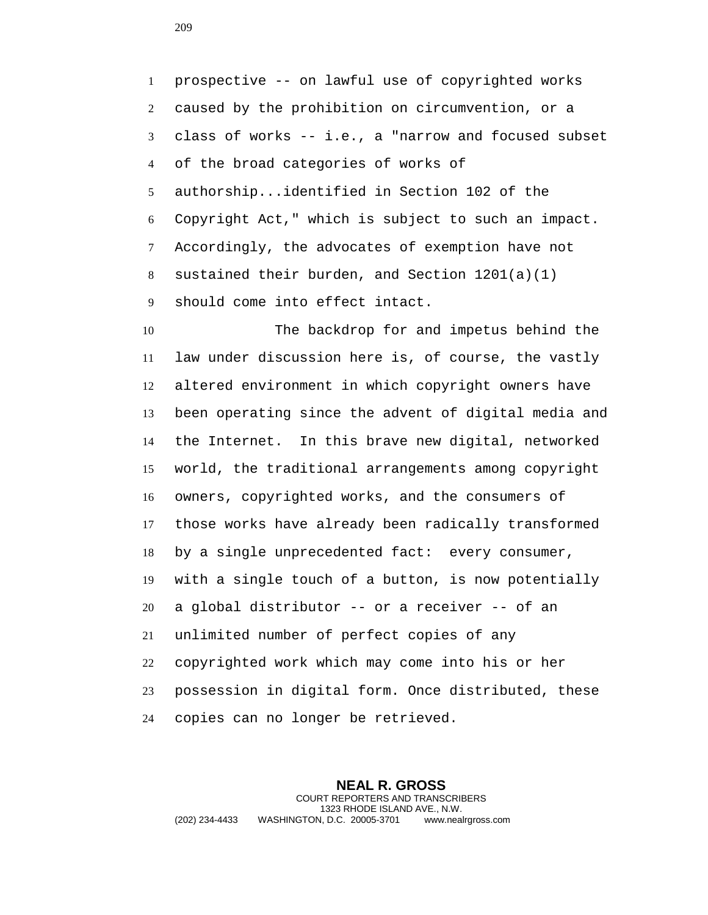prospective -- on lawful use of copyrighted works caused by the prohibition on circumvention, or a class of works -- i.e., a "narrow and focused subset of the broad categories of works of authorship...identified in Section 102 of the Copyright Act," which is subject to such an impact. Accordingly, the advocates of exemption have not sustained their burden, and Section 1201(a)(1) should come into effect intact.

 The backdrop for and impetus behind the law under discussion here is, of course, the vastly altered environment in which copyright owners have been operating since the advent of digital media and the Internet. In this brave new digital, networked world, the traditional arrangements among copyright owners, copyrighted works, and the consumers of those works have already been radically transformed by a single unprecedented fact: every consumer, with a single touch of a button, is now potentially a global distributor -- or a receiver -- of an unlimited number of perfect copies of any copyrighted work which may come into his or her possession in digital form. Once distributed, these copies can no longer be retrieved.

**NEAL R. GROSS** COURT REPORTERS AND TRANSCRIBERS 1323 RHODE ISLAND AVE., N.W. (202) 234-4433 WASHINGTON, D.C. 20005-3701 www.nealrgross.com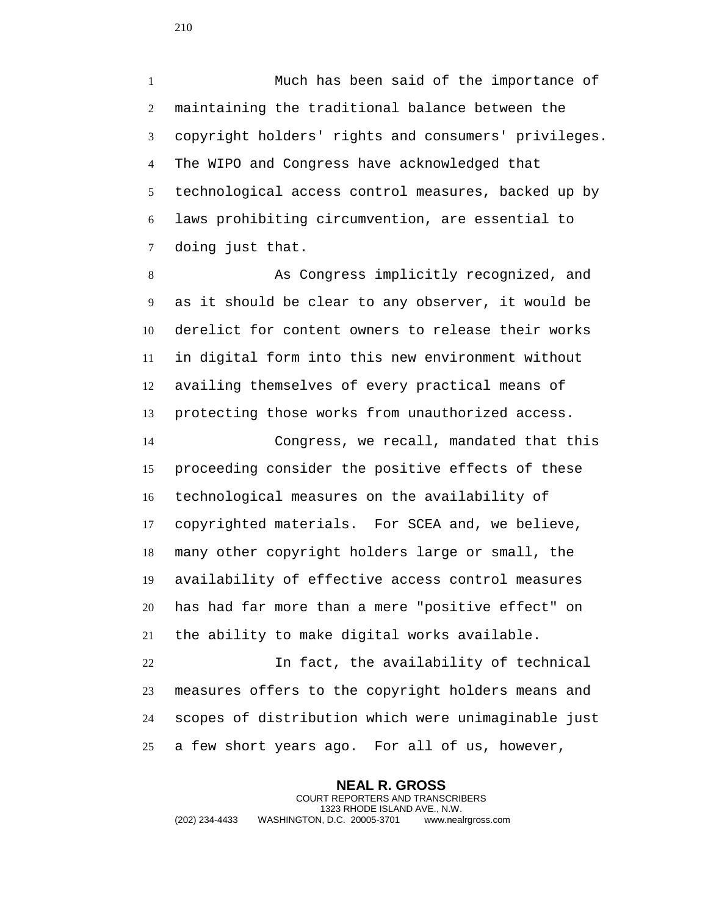Much has been said of the importance of maintaining the traditional balance between the copyright holders' rights and consumers' privileges. The WIPO and Congress have acknowledged that technological access control measures, backed up by laws prohibiting circumvention, are essential to doing just that.

 As Congress implicitly recognized, and as it should be clear to any observer, it would be derelict for content owners to release their works in digital form into this new environment without availing themselves of every practical means of protecting those works from unauthorized access.

 Congress, we recall, mandated that this proceeding consider the positive effects of these technological measures on the availability of copyrighted materials. For SCEA and, we believe, many other copyright holders large or small, the availability of effective access control measures has had far more than a mere "positive effect" on the ability to make digital works available.

 In fact, the availability of technical measures offers to the copyright holders means and scopes of distribution which were unimaginable just a few short years ago. For all of us, however,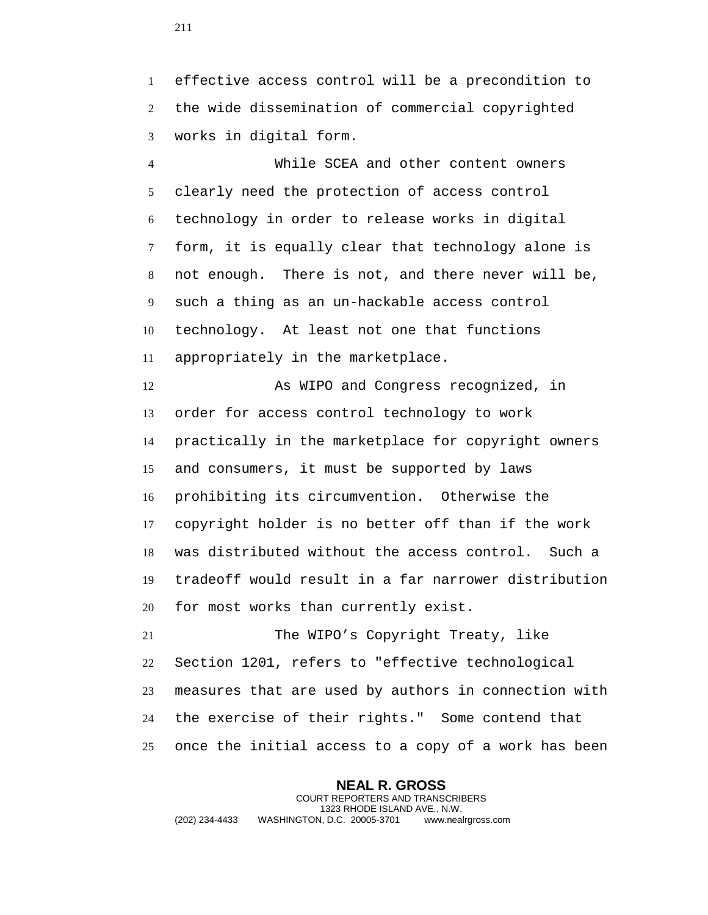effective access control will be a precondition to the wide dissemination of commercial copyrighted works in digital form.

 While SCEA and other content owners clearly need the protection of access control technology in order to release works in digital form, it is equally clear that technology alone is not enough. There is not, and there never will be, such a thing as an un-hackable access control technology. At least not one that functions appropriately in the marketplace.

 As WIPO and Congress recognized, in order for access control technology to work practically in the marketplace for copyright owners and consumers, it must be supported by laws prohibiting its circumvention. Otherwise the copyright holder is no better off than if the work was distributed without the access control. Such a tradeoff would result in a far narrower distribution for most works than currently exist.

 The WIPO's Copyright Treaty, like Section 1201, refers to "effective technological measures that are used by authors in connection with the exercise of their rights." Some contend that once the initial access to a copy of a work has been

**NEAL R. GROSS** COURT REPORTERS AND TRANSCRIBERS 1323 RHODE ISLAND AVE., N.W. (202) 234-4433 WASHINGTON, D.C. 20005-3701 www.nealrgross.com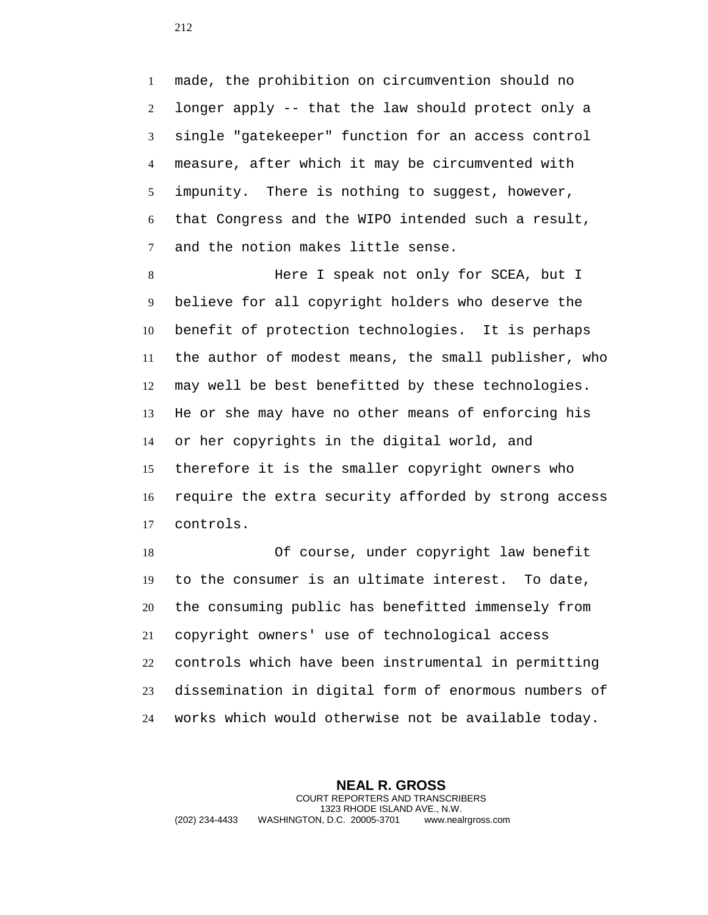made, the prohibition on circumvention should no longer apply -- that the law should protect only a single "gatekeeper" function for an access control measure, after which it may be circumvented with impunity. There is nothing to suggest, however, that Congress and the WIPO intended such a result, and the notion makes little sense.

 Here I speak not only for SCEA, but I believe for all copyright holders who deserve the benefit of protection technologies. It is perhaps the author of modest means, the small publisher, who may well be best benefitted by these technologies. He or she may have no other means of enforcing his or her copyrights in the digital world, and therefore it is the smaller copyright owners who require the extra security afforded by strong access controls.

 Of course, under copyright law benefit to the consumer is an ultimate interest. To date, the consuming public has benefitted immensely from copyright owners' use of technological access controls which have been instrumental in permitting dissemination in digital form of enormous numbers of works which would otherwise not be available today.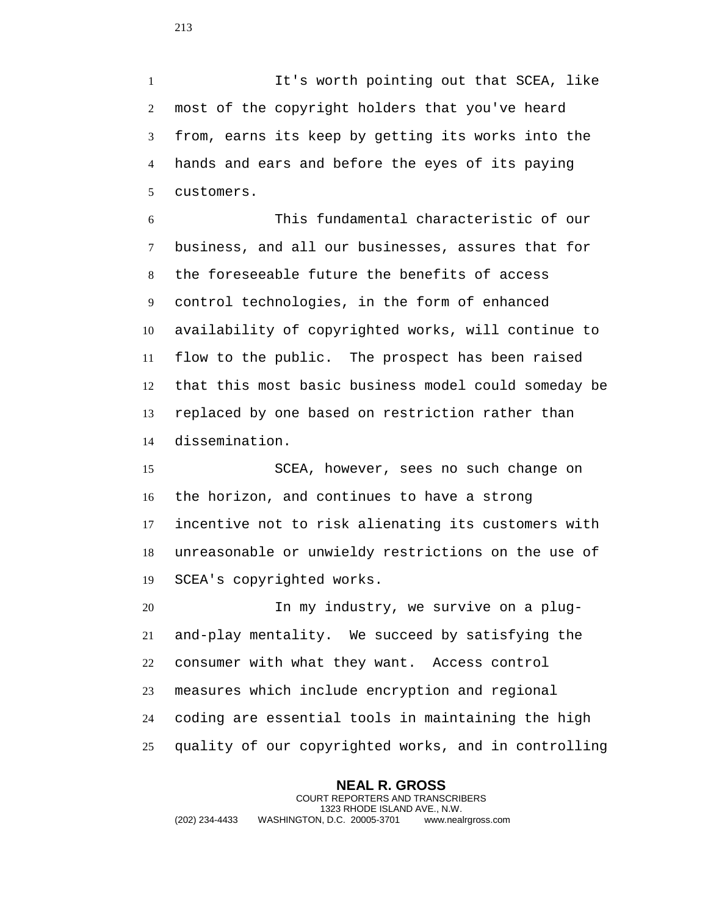It's worth pointing out that SCEA, like most of the copyright holders that you've heard from, earns its keep by getting its works into the hands and ears and before the eyes of its paying customers.

 This fundamental characteristic of our business, and all our businesses, assures that for the foreseeable future the benefits of access control technologies, in the form of enhanced availability of copyrighted works, will continue to flow to the public. The prospect has been raised that this most basic business model could someday be replaced by one based on restriction rather than dissemination.

 SCEA, however, sees no such change on the horizon, and continues to have a strong incentive not to risk alienating its customers with unreasonable or unwieldy restrictions on the use of SCEA's copyrighted works.

 In my industry, we survive on a plug- and-play mentality. We succeed by satisfying the consumer with what they want. Access control measures which include encryption and regional coding are essential tools in maintaining the high quality of our copyrighted works, and in controlling

**NEAL R. GROSS** COURT REPORTERS AND TRANSCRIBERS 1323 RHODE ISLAND AVE., N.W. (202) 234-4433 WASHINGTON, D.C. 20005-3701 www.nealrgross.com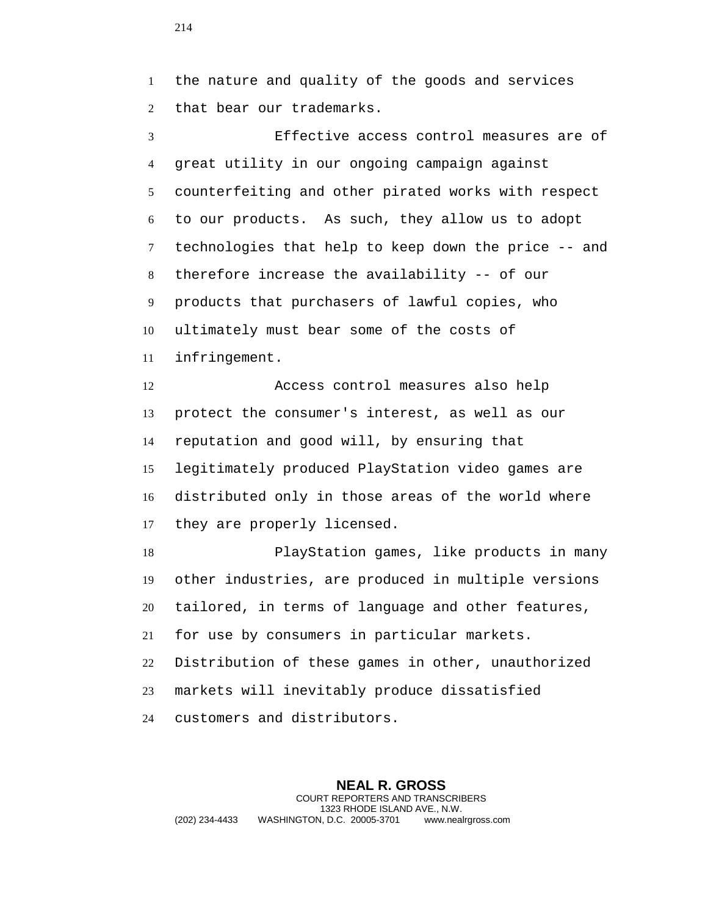the nature and quality of the goods and services that bear our trademarks.

 Effective access control measures are of great utility in our ongoing campaign against counterfeiting and other pirated works with respect to our products. As such, they allow us to adopt technologies that help to keep down the price -- and therefore increase the availability -- of our products that purchasers of lawful copies, who ultimately must bear some of the costs of infringement.

 Access control measures also help protect the consumer's interest, as well as our reputation and good will, by ensuring that legitimately produced PlayStation video games are distributed only in those areas of the world where they are properly licensed.

 PlayStation games, like products in many other industries, are produced in multiple versions tailored, in terms of language and other features, for use by consumers in particular markets. Distribution of these games in other, unauthorized markets will inevitably produce dissatisfied customers and distributors.

**NEAL R. GROSS** COURT REPORTERS AND TRANSCRIBERS 1323 RHODE ISLAND AVE., N.W. (202) 234-4433 WASHINGTON, D.C. 20005-3701 www.nealrgross.com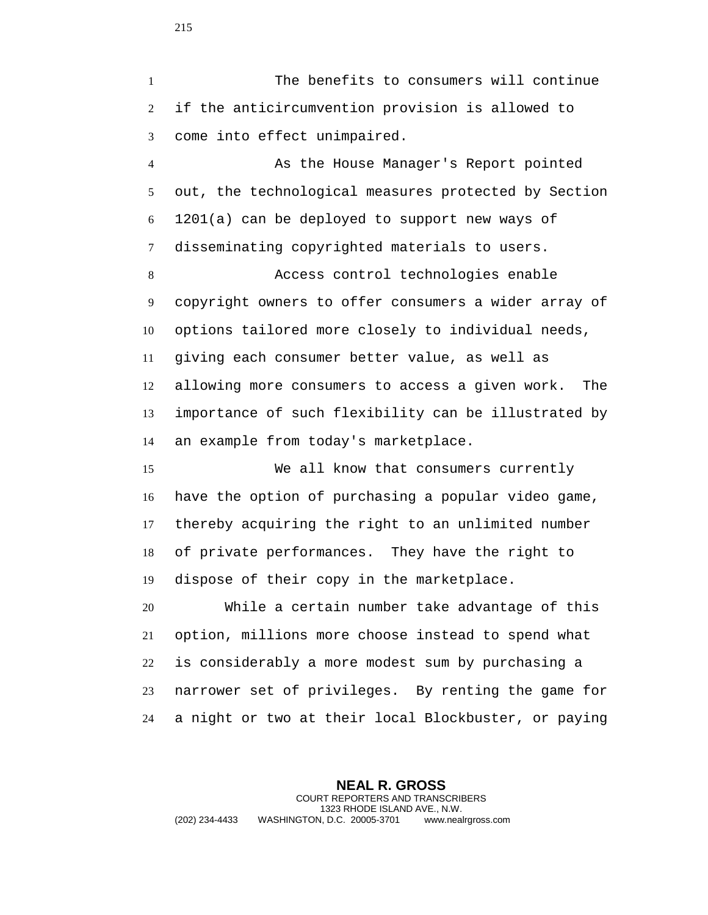The benefits to consumers will continue if the anticircumvention provision is allowed to come into effect unimpaired.

 As the House Manager's Report pointed out, the technological measures protected by Section 1201(a) can be deployed to support new ways of disseminating copyrighted materials to users.

 Access control technologies enable copyright owners to offer consumers a wider array of options tailored more closely to individual needs, giving each consumer better value, as well as allowing more consumers to access a given work. The importance of such flexibility can be illustrated by an example from today's marketplace.

 We all know that consumers currently have the option of purchasing a popular video game, thereby acquiring the right to an unlimited number of private performances. They have the right to dispose of their copy in the marketplace.

 While a certain number take advantage of this option, millions more choose instead to spend what is considerably a more modest sum by purchasing a narrower set of privileges. By renting the game for a night or two at their local Blockbuster, or paying

**NEAL R. GROSS** COURT REPORTERS AND TRANSCRIBERS 1323 RHODE ISLAND AVE., N.W. (202) 234-4433 WASHINGTON, D.C. 20005-3701 www.nealrgross.com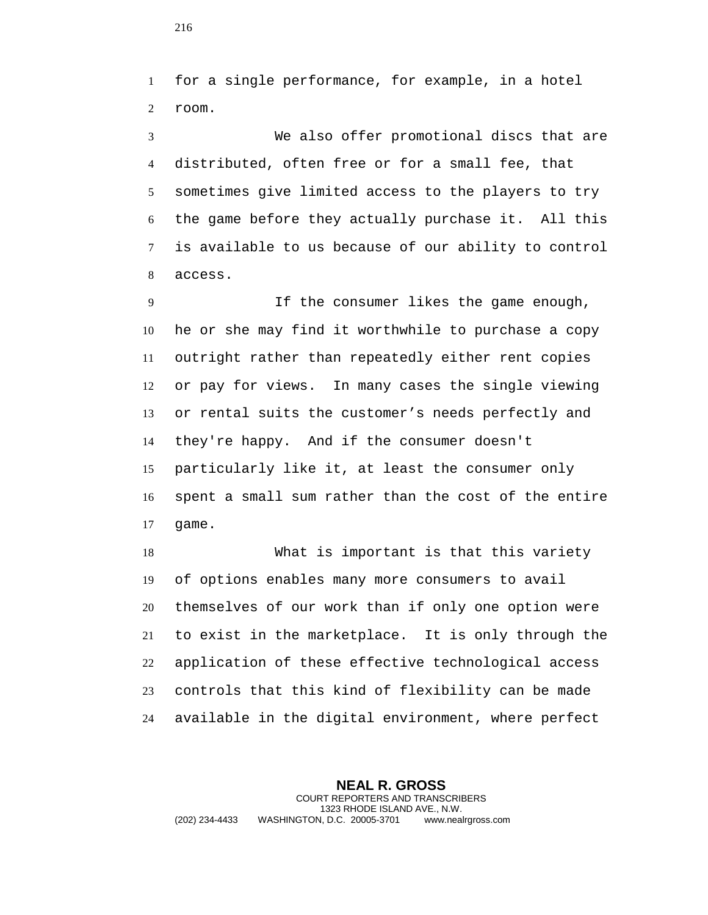for a single performance, for example, in a hotel room.

 We also offer promotional discs that are distributed, often free or for a small fee, that sometimes give limited access to the players to try the game before they actually purchase it. All this is available to us because of our ability to control access.

 If the consumer likes the game enough, he or she may find it worthwhile to purchase a copy outright rather than repeatedly either rent copies or pay for views. In many cases the single viewing or rental suits the customer's needs perfectly and they're happy. And if the consumer doesn't particularly like it, at least the consumer only spent a small sum rather than the cost of the entire game.

 What is important is that this variety of options enables many more consumers to avail themselves of our work than if only one option were to exist in the marketplace. It is only through the application of these effective technological access controls that this kind of flexibility can be made available in the digital environment, where perfect

**NEAL R. GROSS** COURT REPORTERS AND TRANSCRIBERS 1323 RHODE ISLAND AVE., N.W. (202) 234-4433 WASHINGTON, D.C. 20005-3701 www.nealrgross.com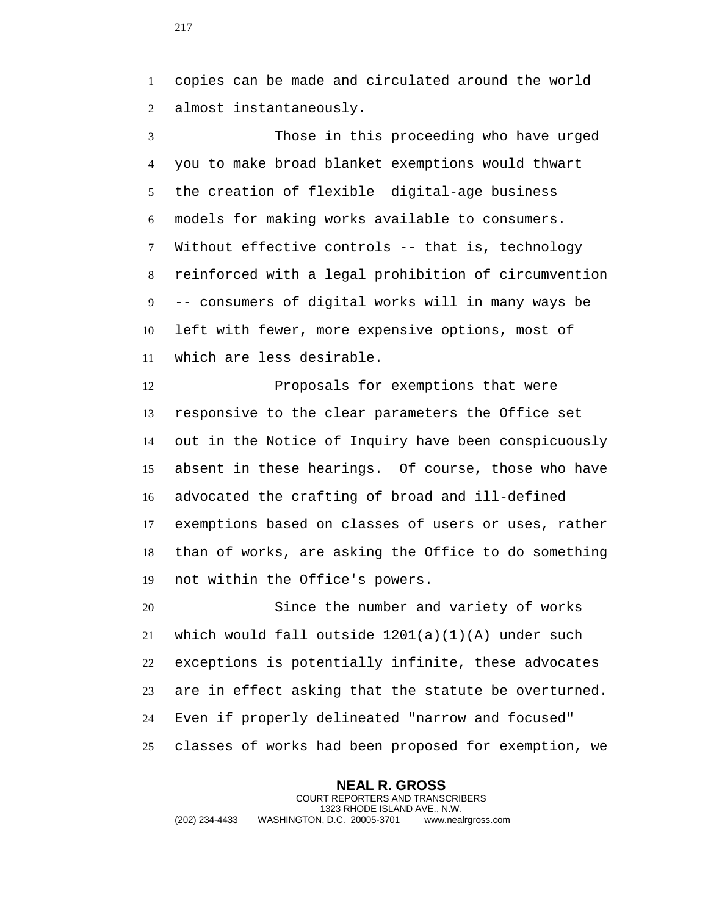copies can be made and circulated around the world almost instantaneously.

 Those in this proceeding who have urged you to make broad blanket exemptions would thwart the creation of flexible digital-age business models for making works available to consumers. Without effective controls -- that is, technology reinforced with a legal prohibition of circumvention -- consumers of digital works will in many ways be left with fewer, more expensive options, most of which are less desirable.

12 Proposals for exemptions that were responsive to the clear parameters the Office set out in the Notice of Inquiry have been conspicuously absent in these hearings. Of course, those who have advocated the crafting of broad and ill-defined exemptions based on classes of users or uses, rather than of works, are asking the Office to do something not within the Office's powers.

 Since the number and variety of works 21 which would fall outside  $1201(a)(1)(A)$  under such exceptions is potentially infinite, these advocates are in effect asking that the statute be overturned. Even if properly delineated "narrow and focused" classes of works had been proposed for exemption, we

**NEAL R. GROSS** COURT REPORTERS AND TRANSCRIBERS 1323 RHODE ISLAND AVE., N.W. (202) 234-4433 WASHINGTON, D.C. 20005-3701 www.nealrgross.com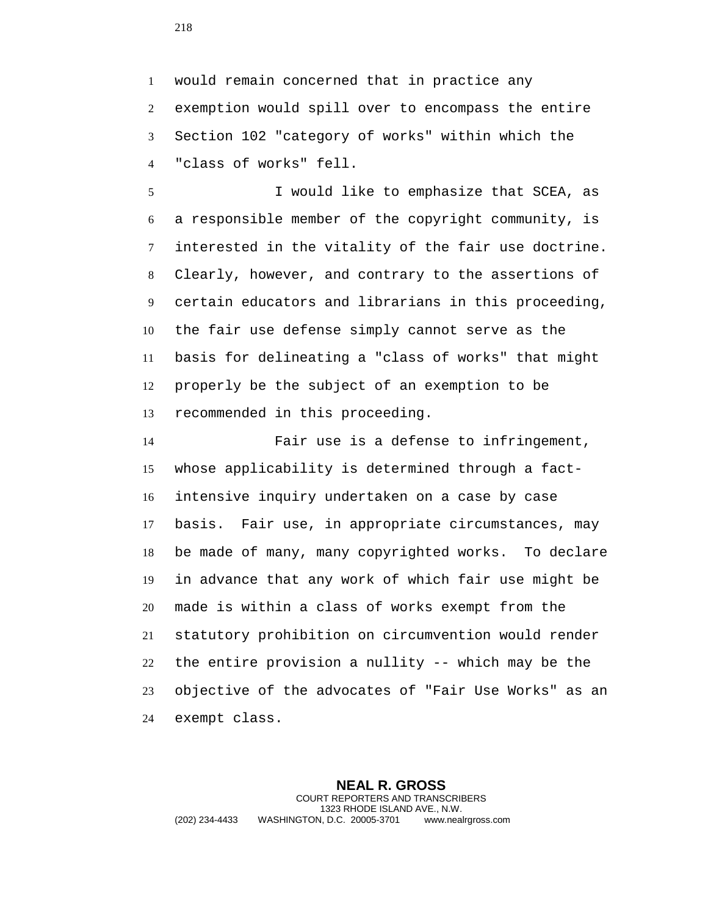would remain concerned that in practice any exemption would spill over to encompass the entire Section 102 "category of works" within which the "class of works" fell.

 I would like to emphasize that SCEA, as a responsible member of the copyright community, is interested in the vitality of the fair use doctrine. Clearly, however, and contrary to the assertions of certain educators and librarians in this proceeding, the fair use defense simply cannot serve as the basis for delineating a "class of works" that might properly be the subject of an exemption to be recommended in this proceeding.

 Fair use is a defense to infringement, whose applicability is determined through a fact- intensive inquiry undertaken on a case by case basis. Fair use, in appropriate circumstances, may be made of many, many copyrighted works. To declare in advance that any work of which fair use might be made is within a class of works exempt from the statutory prohibition on circumvention would render the entire provision a nullity -- which may be the objective of the advocates of "Fair Use Works" as an exempt class.

**NEAL R. GROSS** COURT REPORTERS AND TRANSCRIBERS 1323 RHODE ISLAND AVE., N.W. (202) 234-4433 WASHINGTON, D.C. 20005-3701 www.nealrgross.com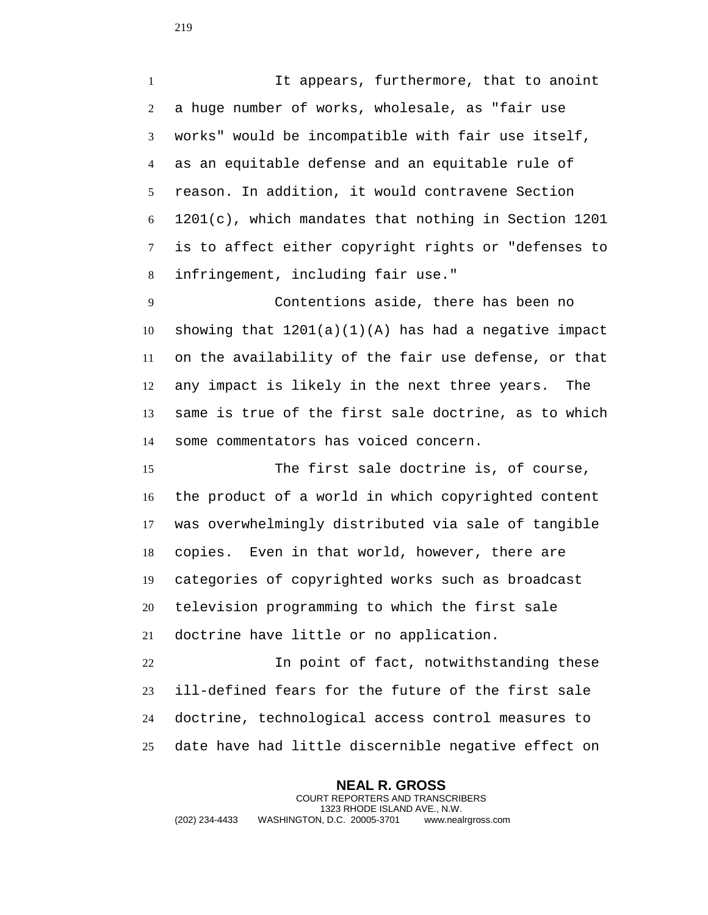It appears, furthermore, that to anoint a huge number of works, wholesale, as "fair use works" would be incompatible with fair use itself, as an equitable defense and an equitable rule of reason. In addition, it would contravene Section 1201(c), which mandates that nothing in Section 1201 is to affect either copyright rights or "defenses to infringement, including fair use."

 Contentions aside, there has been no 10 showing that  $1201(a)(1)(A)$  has had a negative impact on the availability of the fair use defense, or that any impact is likely in the next three years. The same is true of the first sale doctrine, as to which some commentators has voiced concern.

 The first sale doctrine is, of course, the product of a world in which copyrighted content was overwhelmingly distributed via sale of tangible copies. Even in that world, however, there are categories of copyrighted works such as broadcast television programming to which the first sale doctrine have little or no application.

 In point of fact, notwithstanding these ill-defined fears for the future of the first sale doctrine, technological access control measures to date have had little discernible negative effect on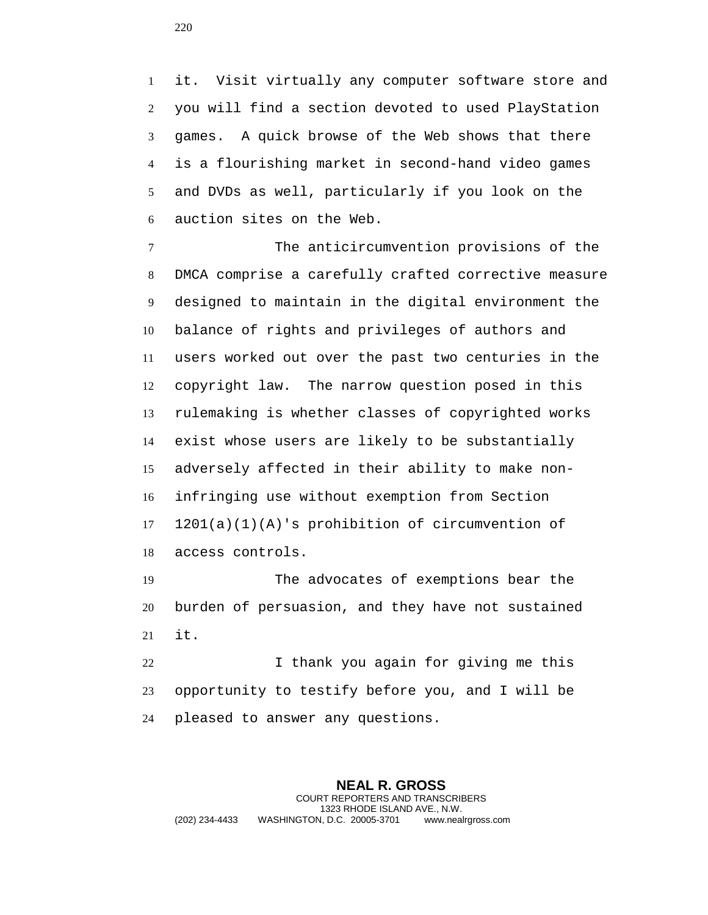it. Visit virtually any computer software store and you will find a section devoted to used PlayStation games. A quick browse of the Web shows that there is a flourishing market in second-hand video games and DVDs as well, particularly if you look on the auction sites on the Web.

 The anticircumvention provisions of the DMCA comprise a carefully crafted corrective measure designed to maintain in the digital environment the balance of rights and privileges of authors and users worked out over the past two centuries in the copyright law. The narrow question posed in this rulemaking is whether classes of copyrighted works exist whose users are likely to be substantially adversely affected in their ability to make non- infringing use without exemption from Section 1201(a)(1)(A)'s prohibition of circumvention of access controls.

 The advocates of exemptions bear the burden of persuasion, and they have not sustained it.

 I thank you again for giving me this opportunity to testify before you, and I will be pleased to answer any questions.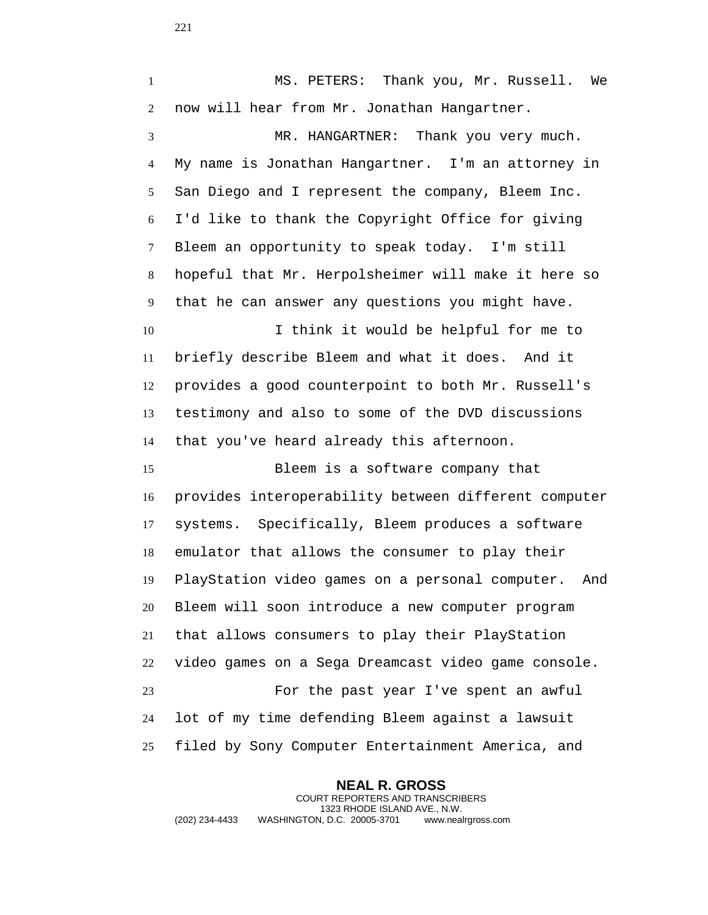MS. PETERS: Thank you, Mr. Russell. We now will hear from Mr. Jonathan Hangartner. MR. HANGARTNER: Thank you very much. My name is Jonathan Hangartner. I'm an attorney in San Diego and I represent the company, Bleem Inc. I'd like to thank the Copyright Office for giving Bleem an opportunity to speak today. I'm still hopeful that Mr. Herpolsheimer will make it here so that he can answer any questions you might have. I think it would be helpful for me to briefly describe Bleem and what it does. And it provides a good counterpoint to both Mr. Russell's testimony and also to some of the DVD discussions that you've heard already this afternoon. Bleem is a software company that provides interoperability between different computer systems. Specifically, Bleem produces a software emulator that allows the consumer to play their PlayStation video games on a personal computer. And Bleem will soon introduce a new computer program that allows consumers to play their PlayStation video games on a Sega Dreamcast video game console. For the past year I've spent an awful lot of my time defending Bleem against a lawsuit

**NEAL R. GROSS** COURT REPORTERS AND TRANSCRIBERS 1323 RHODE ISLAND AVE., N.W. (202) 234-4433 WASHINGTON, D.C. 20005-3701 www.nealrgross.com

filed by Sony Computer Entertainment America, and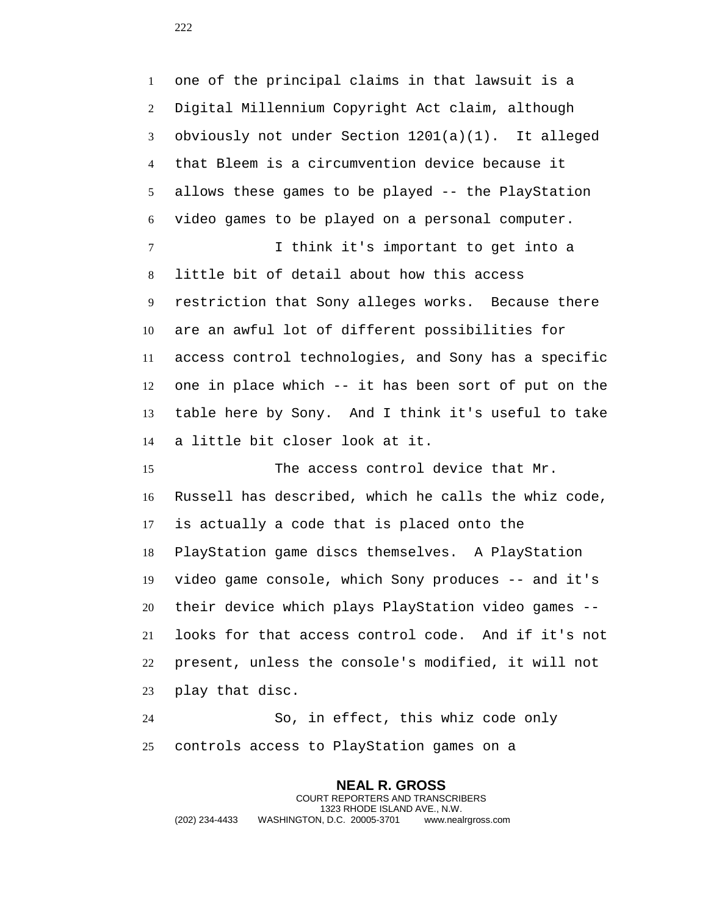one of the principal claims in that lawsuit is a Digital Millennium Copyright Act claim, although obviously not under Section 1201(a)(1). It alleged that Bleem is a circumvention device because it allows these games to be played -- the PlayStation video games to be played on a personal computer. 7 1 I think it's important to get into a little bit of detail about how this access restriction that Sony alleges works. Because there are an awful lot of different possibilities for access control technologies, and Sony has a specific one in place which -- it has been sort of put on the table here by Sony. And I think it's useful to take a little bit closer look at it. 15 The access control device that Mr.

 Russell has described, which he calls the whiz code, is actually a code that is placed onto the PlayStation game discs themselves. A PlayStation video game console, which Sony produces -- and it's their device which plays PlayStation video games -- looks for that access control code. And if it's not present, unless the console's modified, it will not play that disc.

 So, in effect, this whiz code only controls access to PlayStation games on a

**NEAL R. GROSS** COURT REPORTERS AND TRANSCRIBERS 1323 RHODE ISLAND AVE., N.W. (202) 234-4433 WASHINGTON, D.C. 20005-3701 www.nealrgross.com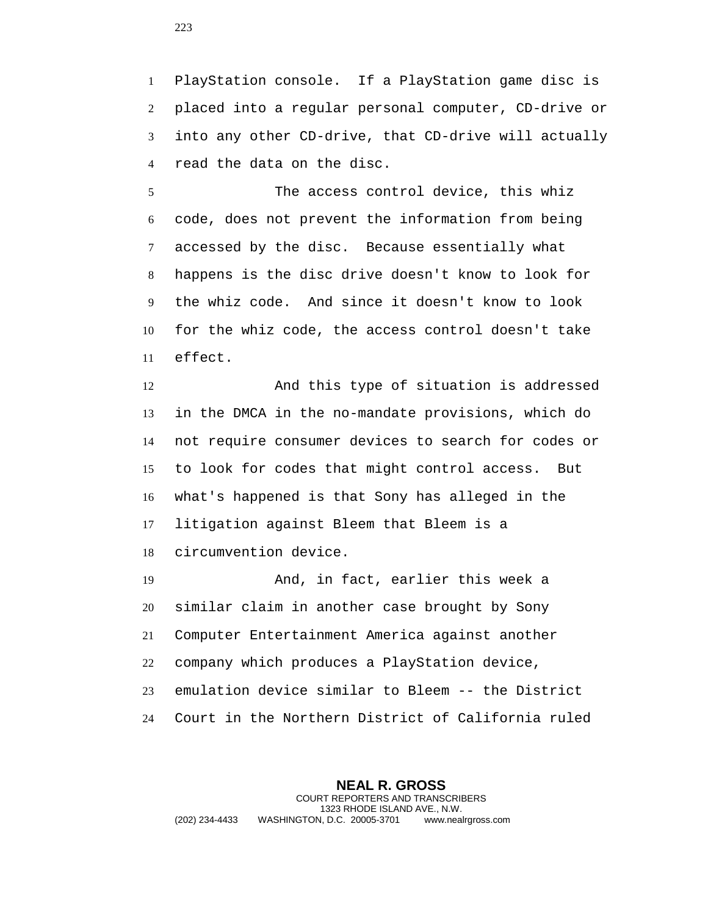PlayStation console. If a PlayStation game disc is placed into a regular personal computer, CD-drive or into any other CD-drive, that CD-drive will actually read the data on the disc.

 The access control device, this whiz code, does not prevent the information from being accessed by the disc. Because essentially what happens is the disc drive doesn't know to look for the whiz code. And since it doesn't know to look for the whiz code, the access control doesn't take effect.

 And this type of situation is addressed in the DMCA in the no-mandate provisions, which do not require consumer devices to search for codes or to look for codes that might control access. But what's happened is that Sony has alleged in the litigation against Bleem that Bleem is a circumvention device.

 And, in fact, earlier this week a similar claim in another case brought by Sony Computer Entertainment America against another company which produces a PlayStation device, emulation device similar to Bleem -- the District Court in the Northern District of California ruled

**NEAL R. GROSS** COURT REPORTERS AND TRANSCRIBERS 1323 RHODE ISLAND AVE., N.W. (202) 234-4433 WASHINGTON, D.C. 20005-3701 www.nealrgross.com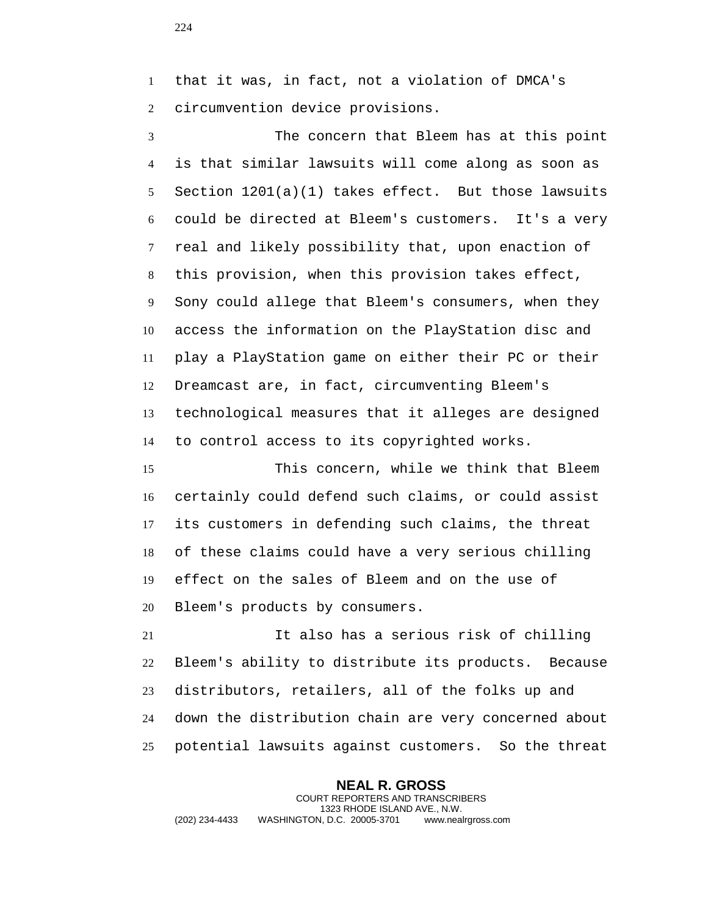that it was, in fact, not a violation of DMCA's circumvention device provisions.

 The concern that Bleem has at this point is that similar lawsuits will come along as soon as Section 1201(a)(1) takes effect. But those lawsuits could be directed at Bleem's customers. It's a very real and likely possibility that, upon enaction of this provision, when this provision takes effect, Sony could allege that Bleem's consumers, when they access the information on the PlayStation disc and play a PlayStation game on either their PC or their Dreamcast are, in fact, circumventing Bleem's technological measures that it alleges are designed to control access to its copyrighted works.

 This concern, while we think that Bleem certainly could defend such claims, or could assist its customers in defending such claims, the threat of these claims could have a very serious chilling effect on the sales of Bleem and on the use of Bleem's products by consumers.

 It also has a serious risk of chilling Bleem's ability to distribute its products. Because distributors, retailers, all of the folks up and down the distribution chain are very concerned about potential lawsuits against customers. So the threat

**NEAL R. GROSS** COURT REPORTERS AND TRANSCRIBERS 1323 RHODE ISLAND AVE., N.W. (202) 234-4433 WASHINGTON, D.C. 20005-3701 www.nealrgross.com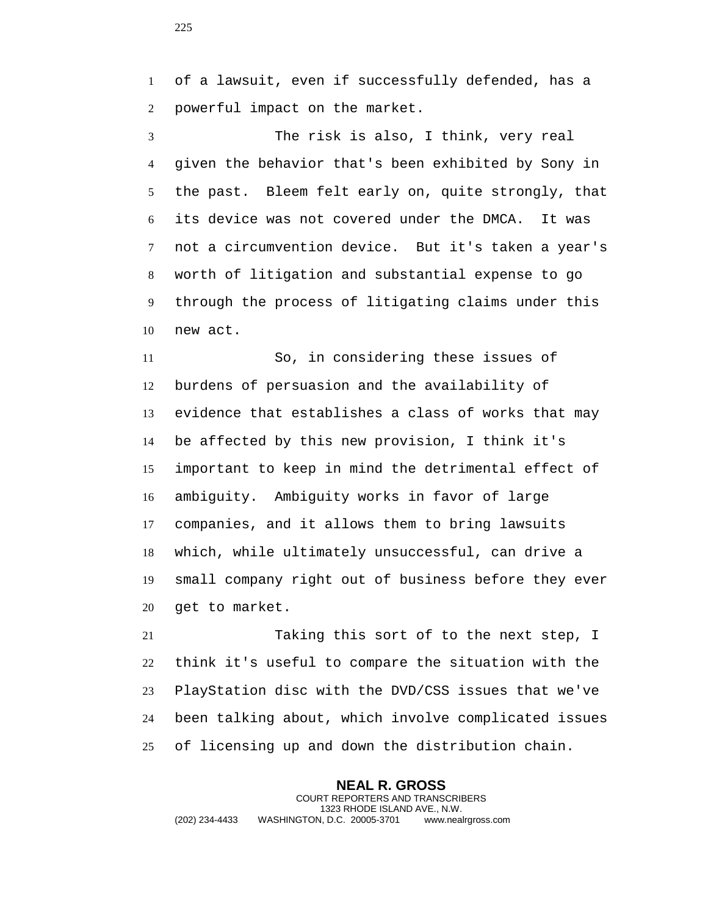of a lawsuit, even if successfully defended, has a powerful impact on the market.

 The risk is also, I think, very real given the behavior that's been exhibited by Sony in the past. Bleem felt early on, quite strongly, that its device was not covered under the DMCA. It was not a circumvention device. But it's taken a year's worth of litigation and substantial expense to go through the process of litigating claims under this new act.

 So, in considering these issues of burdens of persuasion and the availability of evidence that establishes a class of works that may be affected by this new provision, I think it's important to keep in mind the detrimental effect of ambiguity. Ambiguity works in favor of large companies, and it allows them to bring lawsuits which, while ultimately unsuccessful, can drive a small company right out of business before they ever get to market.

 Taking this sort of to the next step, I think it's useful to compare the situation with the PlayStation disc with the DVD/CSS issues that we've been talking about, which involve complicated issues of licensing up and down the distribution chain.

**NEAL R. GROSS** COURT REPORTERS AND TRANSCRIBERS 1323 RHODE ISLAND AVE., N.W. (202) 234-4433 WASHINGTON, D.C. 20005-3701 www.nealrgross.com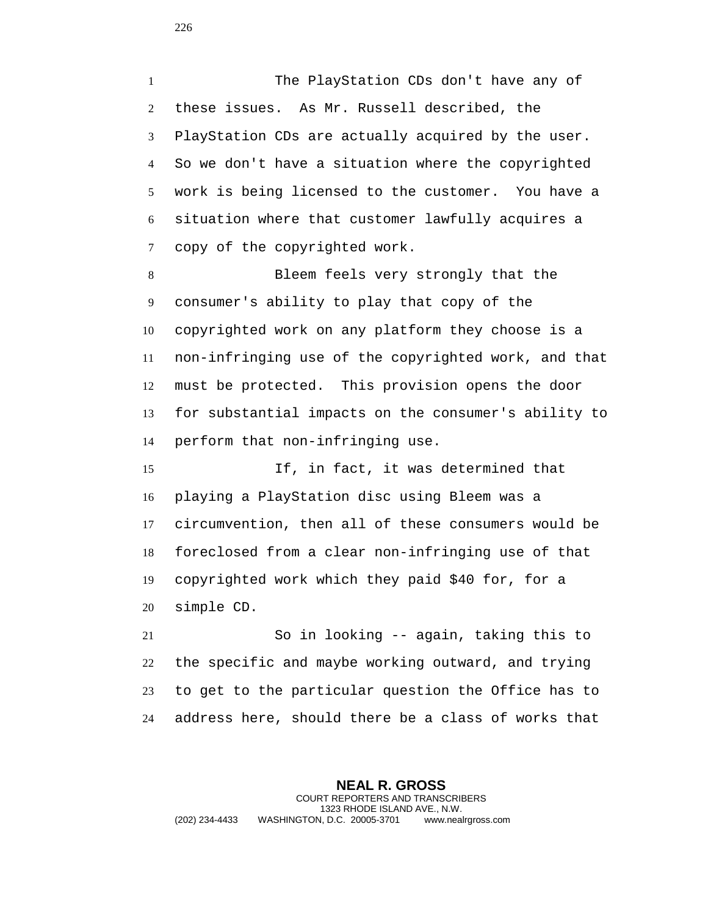The PlayStation CDs don't have any of these issues. As Mr. Russell described, the PlayStation CDs are actually acquired by the user. So we don't have a situation where the copyrighted work is being licensed to the customer. You have a situation where that customer lawfully acquires a copy of the copyrighted work.

 Bleem feels very strongly that the consumer's ability to play that copy of the copyrighted work on any platform they choose is a non-infringing use of the copyrighted work, and that must be protected. This provision opens the door for substantial impacts on the consumer's ability to perform that non-infringing use.

 If, in fact, it was determined that playing a PlayStation disc using Bleem was a circumvention, then all of these consumers would be foreclosed from a clear non-infringing use of that copyrighted work which they paid \$40 for, for a simple CD.

 So in looking -- again, taking this to the specific and maybe working outward, and trying to get to the particular question the Office has to address here, should there be a class of works that

**NEAL R. GROSS** COURT REPORTERS AND TRANSCRIBERS 1323 RHODE ISLAND AVE., N.W. (202) 234-4433 WASHINGTON, D.C. 20005-3701 www.nealrgross.com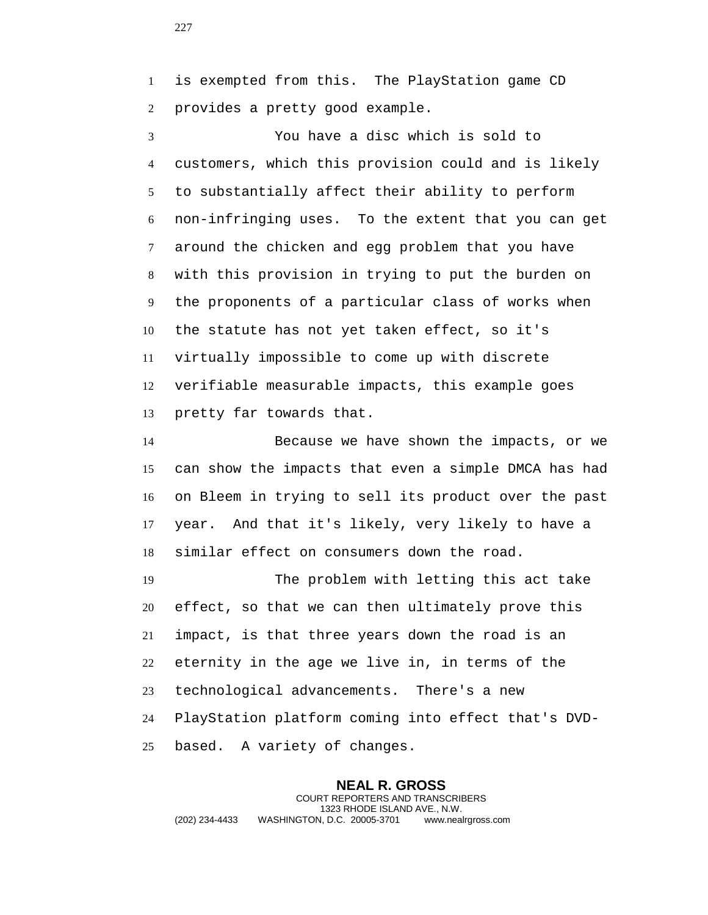is exempted from this. The PlayStation game CD provides a pretty good example.

 You have a disc which is sold to customers, which this provision could and is likely to substantially affect their ability to perform non-infringing uses. To the extent that you can get around the chicken and egg problem that you have with this provision in trying to put the burden on the proponents of a particular class of works when the statute has not yet taken effect, so it's virtually impossible to come up with discrete verifiable measurable impacts, this example goes pretty far towards that.

 Because we have shown the impacts, or we can show the impacts that even a simple DMCA has had on Bleem in trying to sell its product over the past year. And that it's likely, very likely to have a similar effect on consumers down the road.

 The problem with letting this act take effect, so that we can then ultimately prove this impact, is that three years down the road is an eternity in the age we live in, in terms of the technological advancements. There's a new PlayStation platform coming into effect that's DVD-based. A variety of changes.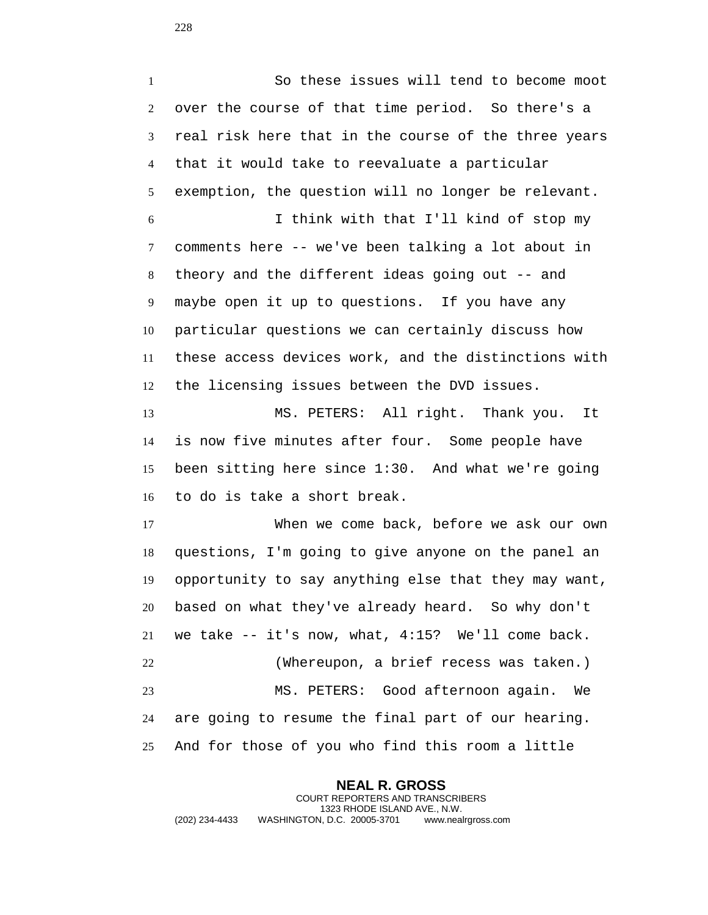So these issues will tend to become moot over the course of that time period. So there's a real risk here that in the course of the three years that it would take to reevaluate a particular exemption, the question will no longer be relevant. I think with that I'll kind of stop my comments here -- we've been talking a lot about in theory and the different ideas going out -- and maybe open it up to questions. If you have any particular questions we can certainly discuss how these access devices work, and the distinctions with the licensing issues between the DVD issues.

 MS. PETERS: All right. Thank you. It is now five minutes after four. Some people have been sitting here since 1:30. And what we're going to do is take a short break.

 When we come back, before we ask our own questions, I'm going to give anyone on the panel an opportunity to say anything else that they may want, based on what they've already heard. So why don't we take -- it's now, what, 4:15? We'll come back. (Whereupon, a brief recess was taken.) MS. PETERS: Good afternoon again. We are going to resume the final part of our hearing. And for those of you who find this room a little

**NEAL R. GROSS** COURT REPORTERS AND TRANSCRIBERS 1323 RHODE ISLAND AVE., N.W. (202) 234-4433 WASHINGTON, D.C. 20005-3701 www.nealrgross.com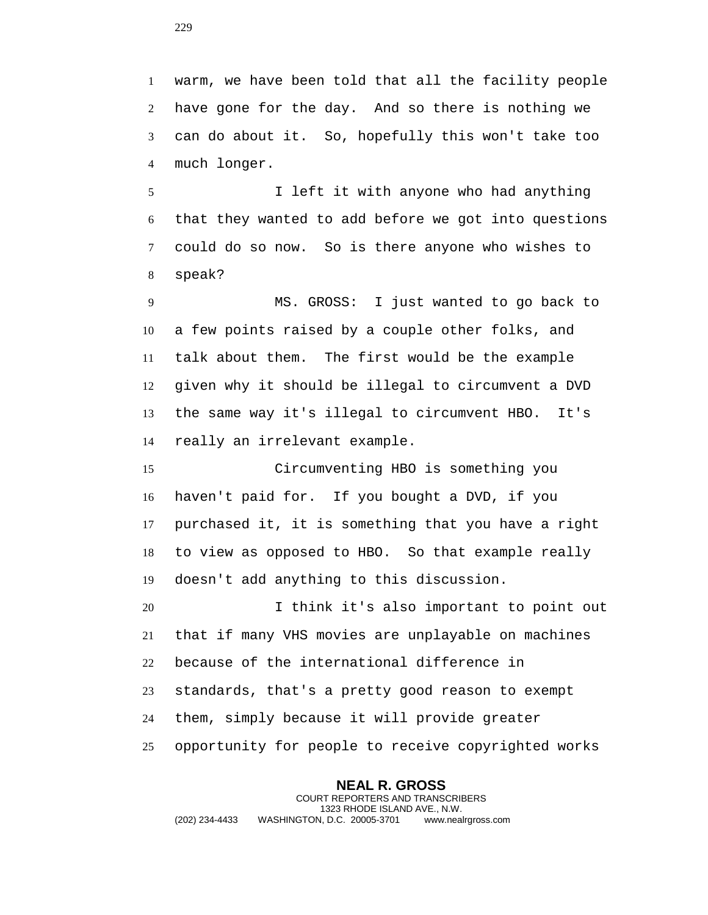warm, we have been told that all the facility people have gone for the day. And so there is nothing we can do about it. So, hopefully this won't take too much longer.

 I left it with anyone who had anything that they wanted to add before we got into questions could do so now. So is there anyone who wishes to speak?

 MS. GROSS: I just wanted to go back to a few points raised by a couple other folks, and talk about them. The first would be the example given why it should be illegal to circumvent a DVD the same way it's illegal to circumvent HBO. It's really an irrelevant example.

 Circumventing HBO is something you haven't paid for. If you bought a DVD, if you purchased it, it is something that you have a right to view as opposed to HBO. So that example really doesn't add anything to this discussion.

 I think it's also important to point out that if many VHS movies are unplayable on machines because of the international difference in standards, that's a pretty good reason to exempt them, simply because it will provide greater opportunity for people to receive copyrighted works

**NEAL R. GROSS** COURT REPORTERS AND TRANSCRIBERS 1323 RHODE ISLAND AVE., N.W. (202) 234-4433 WASHINGTON, D.C. 20005-3701 www.nealrgross.com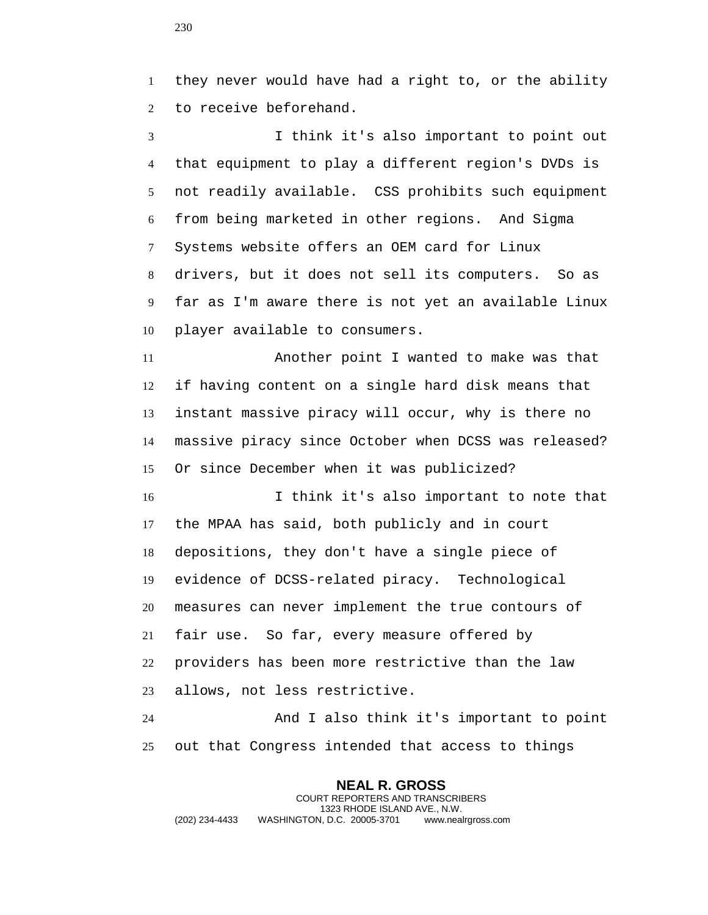they never would have had a right to, or the ability to receive beforehand.

 I think it's also important to point out that equipment to play a different region's DVDs is not readily available. CSS prohibits such equipment from being marketed in other regions. And Sigma Systems website offers an OEM card for Linux drivers, but it does not sell its computers. So as far as I'm aware there is not yet an available Linux player available to consumers.

 Another point I wanted to make was that if having content on a single hard disk means that instant massive piracy will occur, why is there no massive piracy since October when DCSS was released? Or since December when it was publicized?

 I think it's also important to note that the MPAA has said, both publicly and in court depositions, they don't have a single piece of evidence of DCSS-related piracy. Technological measures can never implement the true contours of fair use. So far, every measure offered by providers has been more restrictive than the law allows, not less restrictive.

 And I also think it's important to point out that Congress intended that access to things

**NEAL R. GROSS** COURT REPORTERS AND TRANSCRIBERS 1323 RHODE ISLAND AVE., N.W. (202) 234-4433 WASHINGTON, D.C. 20005-3701 www.nealrgross.com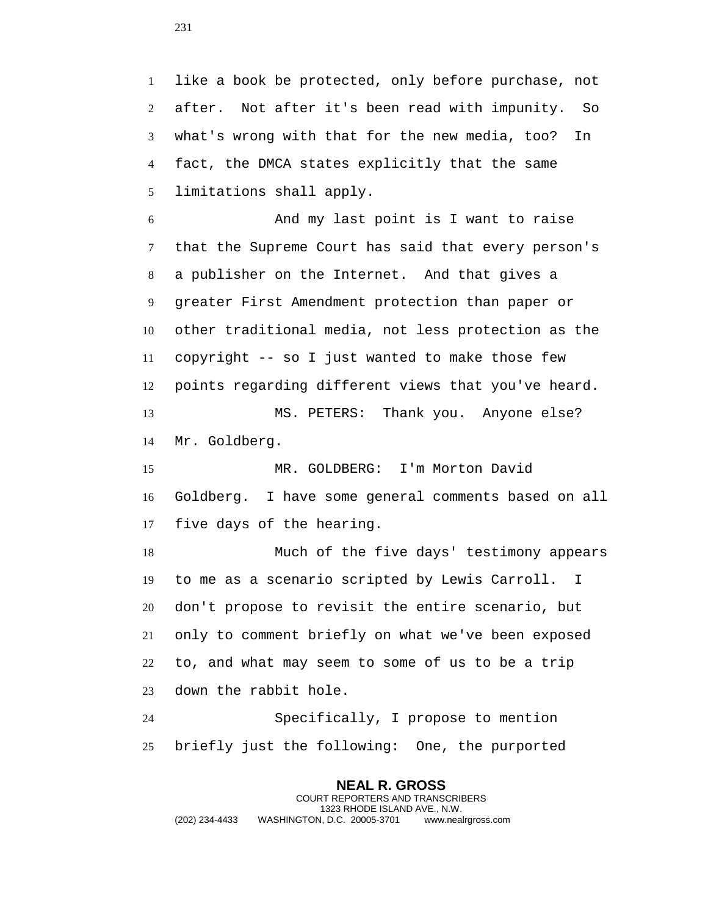like a book be protected, only before purchase, not after. Not after it's been read with impunity. So what's wrong with that for the new media, too? In fact, the DMCA states explicitly that the same limitations shall apply.

 And my last point is I want to raise that the Supreme Court has said that every person's a publisher on the Internet. And that gives a greater First Amendment protection than paper or other traditional media, not less protection as the copyright -- so I just wanted to make those few points regarding different views that you've heard.

 MS. PETERS: Thank you. Anyone else? Mr. Goldberg.

 MR. GOLDBERG: I'm Morton David Goldberg. I have some general comments based on all five days of the hearing.

 Much of the five days' testimony appears to me as a scenario scripted by Lewis Carroll. I don't propose to revisit the entire scenario, but only to comment briefly on what we've been exposed to, and what may seem to some of us to be a trip down the rabbit hole.

 Specifically, I propose to mention briefly just the following: One, the purported

**NEAL R. GROSS** COURT REPORTERS AND TRANSCRIBERS 1323 RHODE ISLAND AVE., N.W. (202) 234-4433 WASHINGTON, D.C. 20005-3701 www.nealrgross.com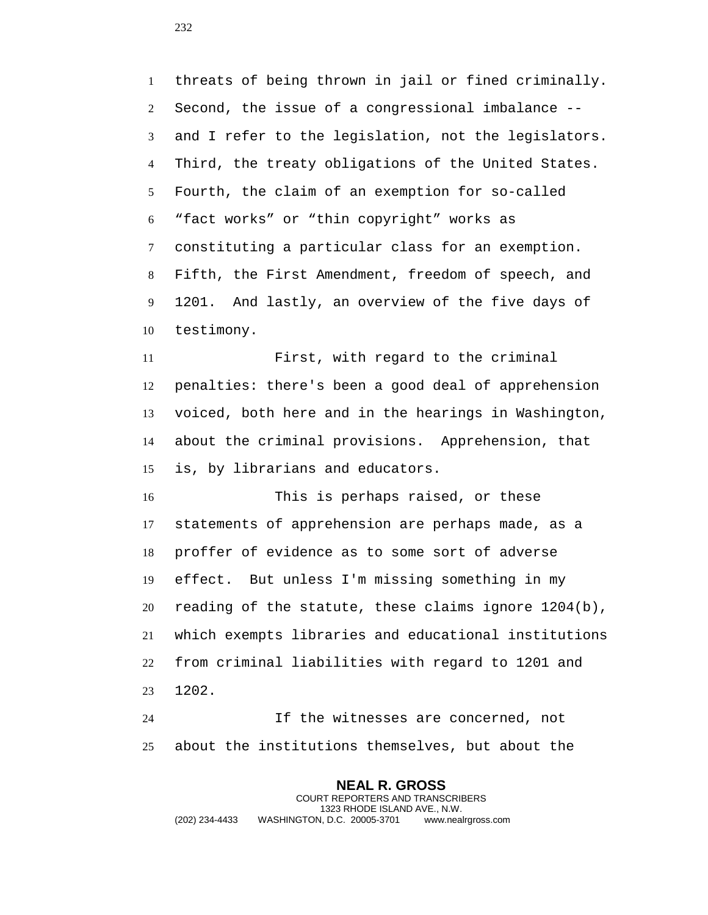threats of being thrown in jail or fined criminally. Second, the issue of a congressional imbalance -- and I refer to the legislation, not the legislators. Third, the treaty obligations of the United States. Fourth, the claim of an exemption for so-called "fact works" or "thin copyright" works as constituting a particular class for an exemption. Fifth, the First Amendment, freedom of speech, and 1201. And lastly, an overview of the five days of testimony.

 First, with regard to the criminal penalties: there's been a good deal of apprehension voiced, both here and in the hearings in Washington, about the criminal provisions. Apprehension, that is, by librarians and educators.

 This is perhaps raised, or these statements of apprehension are perhaps made, as a proffer of evidence as to some sort of adverse effect. But unless I'm missing something in my reading of the statute, these claims ignore 1204(b), which exempts libraries and educational institutions from criminal liabilities with regard to 1201 and 1202.

 If the witnesses are concerned, not about the institutions themselves, but about the

**NEAL R. GROSS** COURT REPORTERS AND TRANSCRIBERS 1323 RHODE ISLAND AVE., N.W. (202) 234-4433 WASHINGTON, D.C. 20005-3701 www.nealrgross.com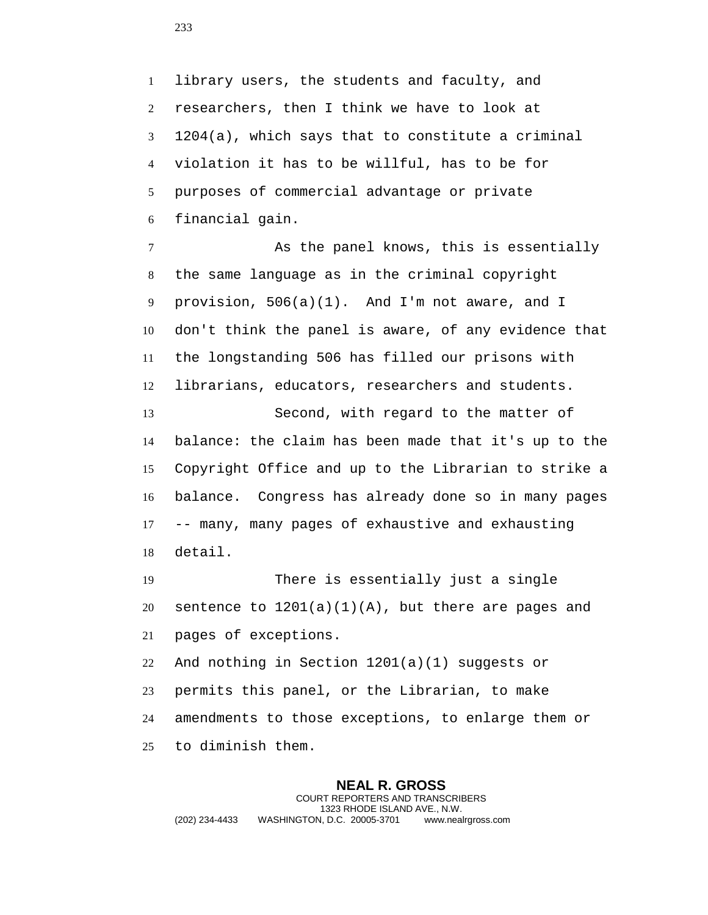library users, the students and faculty, and researchers, then I think we have to look at 1204(a), which says that to constitute a criminal violation it has to be willful, has to be for purposes of commercial advantage or private financial gain.

 As the panel knows, this is essentially the same language as in the criminal copyright provision, 506(a)(1). And I'm not aware, and I don't think the panel is aware, of any evidence that the longstanding 506 has filled our prisons with librarians, educators, researchers and students.

 Second, with regard to the matter of balance: the claim has been made that it's up to the Copyright Office and up to the Librarian to strike a balance. Congress has already done so in many pages -- many, many pages of exhaustive and exhausting detail.

 There is essentially just a single 20 sentence to  $1201(a)(1)(A)$ , but there are pages and pages of exceptions.

 And nothing in Section 1201(a)(1) suggests or permits this panel, or the Librarian, to make amendments to those exceptions, to enlarge them or to diminish them.

**NEAL R. GROSS** COURT REPORTERS AND TRANSCRIBERS 1323 RHODE ISLAND AVE., N.W. (202) 234-4433 WASHINGTON, D.C. 20005-3701 www.nealrgross.com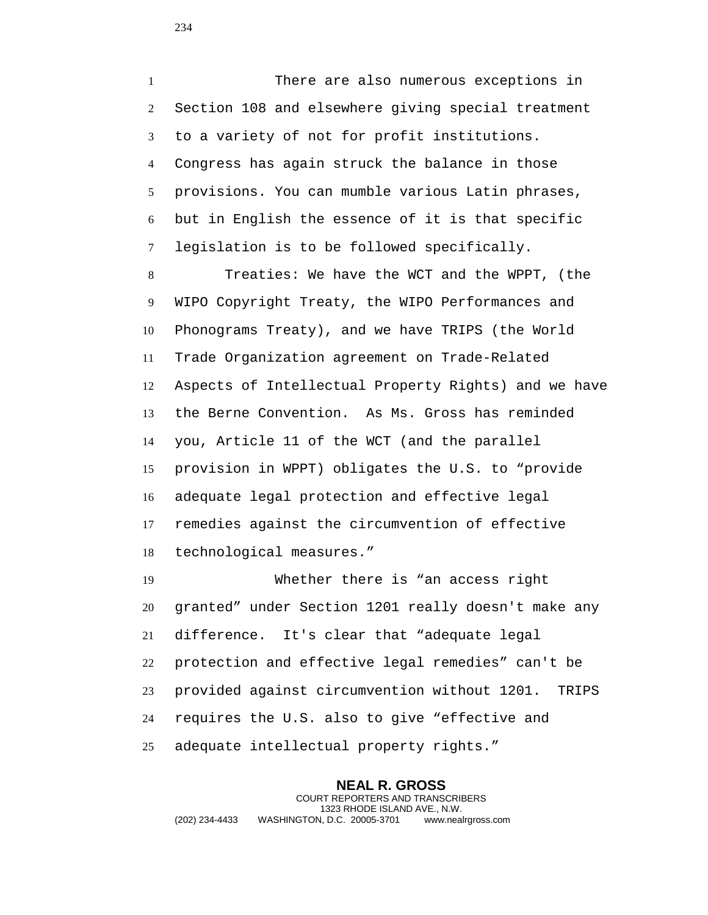There are also numerous exceptions in Section 108 and elsewhere giving special treatment to a variety of not for profit institutions. Congress has again struck the balance in those provisions. You can mumble various Latin phrases, but in English the essence of it is that specific legislation is to be followed specifically.

 Treaties: We have the WCT and the WPPT, (the WIPO Copyright Treaty, the WIPO Performances and Phonograms Treaty), and we have TRIPS (the World Trade Organization agreement on Trade-Related Aspects of Intellectual Property Rights) and we have the Berne Convention. As Ms. Gross has reminded you, Article 11 of the WCT (and the parallel provision in WPPT) obligates the U.S. to "provide adequate legal protection and effective legal remedies against the circumvention of effective technological measures."

 Whether there is "an access right granted" under Section 1201 really doesn't make any difference. It's clear that "adequate legal protection and effective legal remedies" can't be provided against circumvention without 1201. TRIPS requires the U.S. also to give "effective and adequate intellectual property rights."

**NEAL R. GROSS** COURT REPORTERS AND TRANSCRIBERS 1323 RHODE ISLAND AVE., N.W. (202) 234-4433 WASHINGTON, D.C. 20005-3701 www.nealrgross.com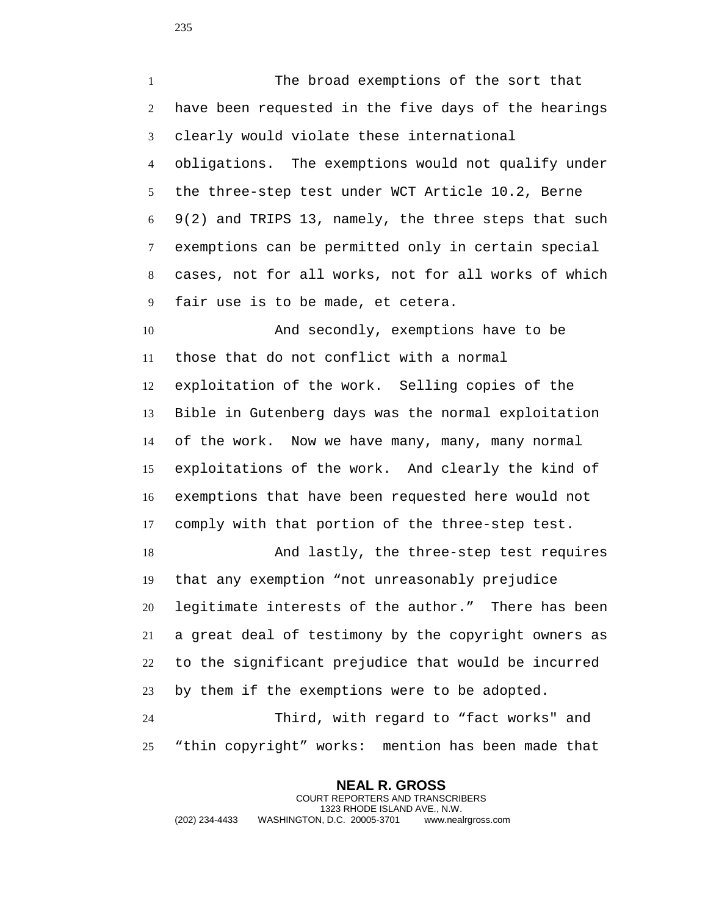The broad exemptions of the sort that have been requested in the five days of the hearings clearly would violate these international obligations. The exemptions would not qualify under the three-step test under WCT Article 10.2, Berne 9(2) and TRIPS 13, namely, the three steps that such exemptions can be permitted only in certain special cases, not for all works, not for all works of which fair use is to be made, et cetera. 10 And secondly, exemptions have to be those that do not conflict with a normal

 exploitation of the work. Selling copies of the Bible in Gutenberg days was the normal exploitation of the work. Now we have many, many, many normal exploitations of the work. And clearly the kind of exemptions that have been requested here would not comply with that portion of the three-step test.

 And lastly, the three-step test requires that any exemption "not unreasonably prejudice legitimate interests of the author." There has been a great deal of testimony by the copyright owners as to the significant prejudice that would be incurred by them if the exemptions were to be adopted.

 Third, with regard to "fact works" and "thin copyright" works: mention has been made that

**NEAL R. GROSS** COURT REPORTERS AND TRANSCRIBERS 1323 RHODE ISLAND AVE., N.W. (202) 234-4433 WASHINGTON, D.C. 20005-3701 www.nealrgross.com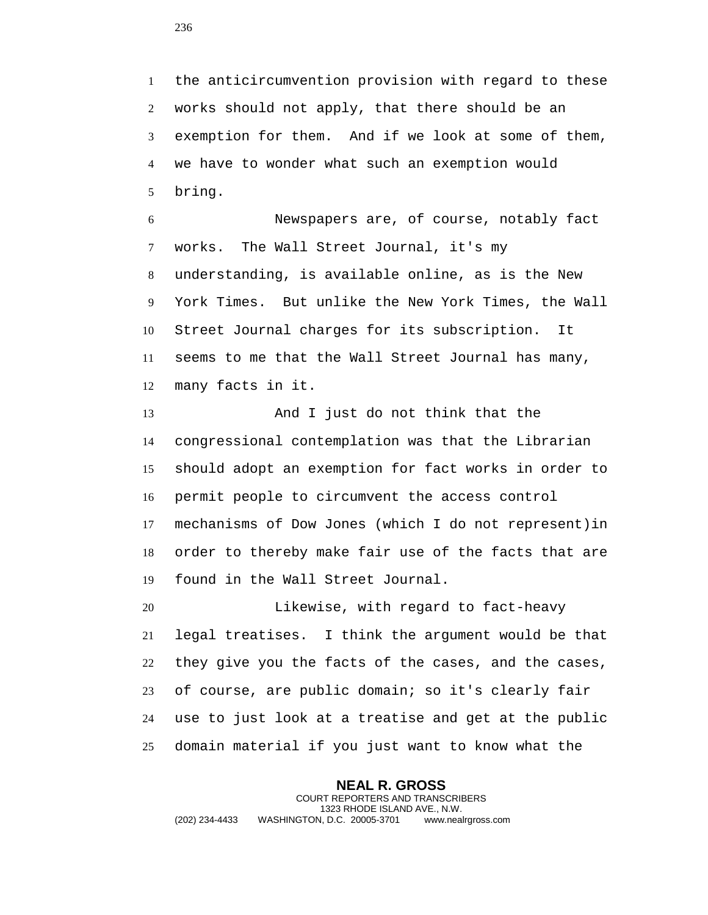the anticircumvention provision with regard to these works should not apply, that there should be an exemption for them. And if we look at some of them, we have to wonder what such an exemption would bring.

 Newspapers are, of course, notably fact works. The Wall Street Journal, it's my understanding, is available online, as is the New York Times. But unlike the New York Times, the Wall Street Journal charges for its subscription. It seems to me that the Wall Street Journal has many, many facts in it.

 And I just do not think that the congressional contemplation was that the Librarian should adopt an exemption for fact works in order to permit people to circumvent the access control mechanisms of Dow Jones (which I do not represent)in order to thereby make fair use of the facts that are found in the Wall Street Journal.

 Likewise, with regard to fact-heavy legal treatises. I think the argument would be that they give you the facts of the cases, and the cases, of course, are public domain; so it's clearly fair use to just look at a treatise and get at the public domain material if you just want to know what the

**NEAL R. GROSS** COURT REPORTERS AND TRANSCRIBERS 1323 RHODE ISLAND AVE., N.W. (202) 234-4433 WASHINGTON, D.C. 20005-3701 www.nealrgross.com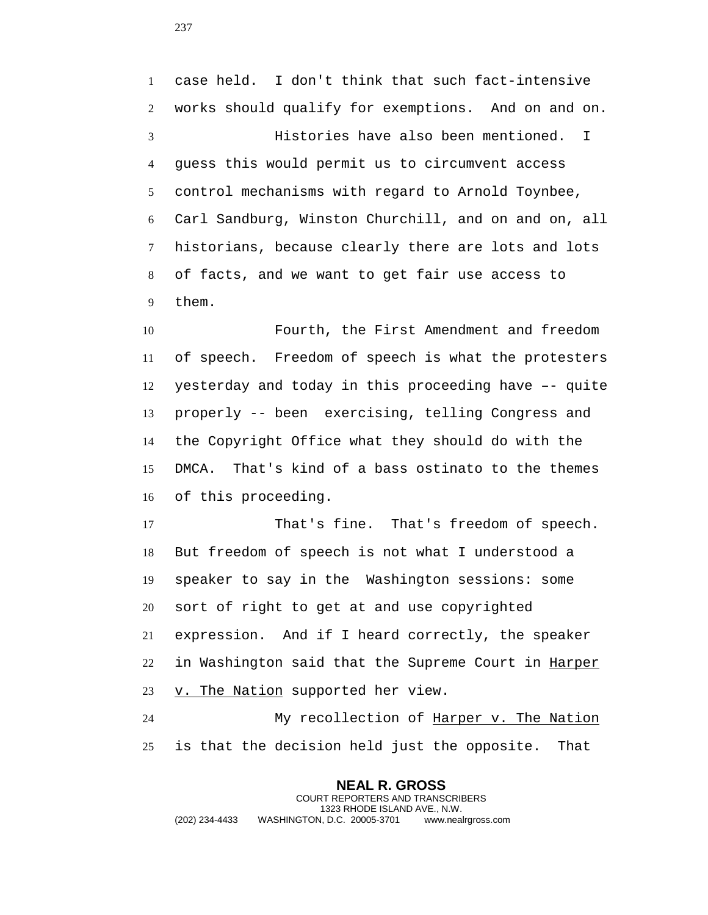case held. I don't think that such fact-intensive works should qualify for exemptions. And on and on. Histories have also been mentioned. I guess this would permit us to circumvent access control mechanisms with regard to Arnold Toynbee, Carl Sandburg, Winston Churchill, and on and on, all historians, because clearly there are lots and lots of facts, and we want to get fair use access to them.

 Fourth, the First Amendment and freedom of speech. Freedom of speech is what the protesters yesterday and today in this proceeding have –- quite properly -- been exercising, telling Congress and the Copyright Office what they should do with the DMCA. That's kind of a bass ostinato to the themes of this proceeding.

 That's fine. That's freedom of speech. But freedom of speech is not what I understood a speaker to say in the Washington sessions: some sort of right to get at and use copyrighted expression. And if I heard correctly, the speaker 22 in Washington said that the Supreme Court in Harper 23 v. The Nation supported her view.

24 My recollection of Harper v. The Nation is that the decision held just the opposite. That

**NEAL R. GROSS** COURT REPORTERS AND TRANSCRIBERS 1323 RHODE ISLAND AVE., N.W. (202) 234-4433 WASHINGTON, D.C. 20005-3701 www.nealrgross.com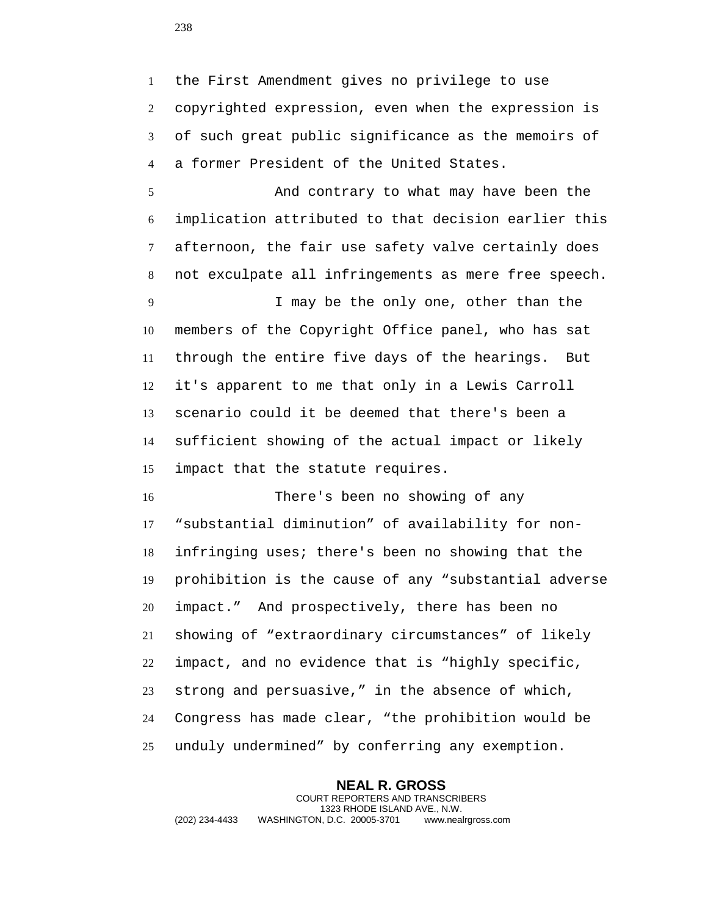the First Amendment gives no privilege to use copyrighted expression, even when the expression is of such great public significance as the memoirs of a former President of the United States.

 And contrary to what may have been the implication attributed to that decision earlier this afternoon, the fair use safety valve certainly does not exculpate all infringements as mere free speech.

 I may be the only one, other than the members of the Copyright Office panel, who has sat through the entire five days of the hearings. But it's apparent to me that only in a Lewis Carroll scenario could it be deemed that there's been a sufficient showing of the actual impact or likely impact that the statute requires.

 There's been no showing of any "substantial diminution" of availability for non- infringing uses; there's been no showing that the prohibition is the cause of any "substantial adverse impact." And prospectively, there has been no showing of "extraordinary circumstances" of likely impact, and no evidence that is "highly specific, strong and persuasive," in the absence of which, Congress has made clear, "the prohibition would be unduly undermined" by conferring any exemption.

**NEAL R. GROSS** COURT REPORTERS AND TRANSCRIBERS 1323 RHODE ISLAND AVE., N.W. (202) 234-4433 WASHINGTON, D.C. 20005-3701 www.nealrgross.com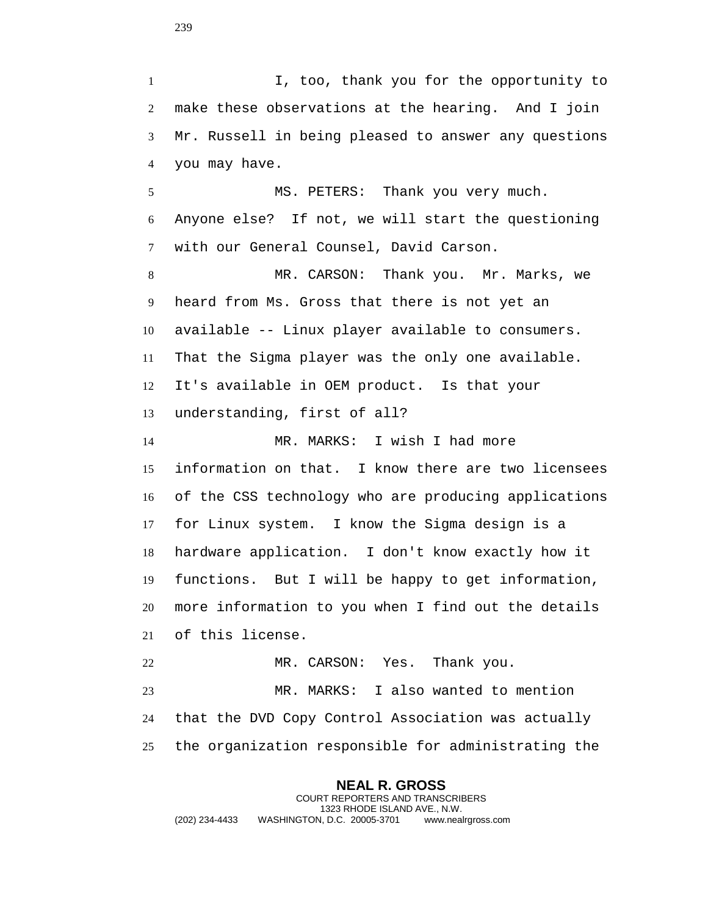I, too, thank you for the opportunity to make these observations at the hearing. And I join Mr. Russell in being pleased to answer any questions you may have.

 MS. PETERS: Thank you very much. Anyone else? If not, we will start the questioning with our General Counsel, David Carson.

 MR. CARSON: Thank you. Mr. Marks, we heard from Ms. Gross that there is not yet an available -- Linux player available to consumers. That the Sigma player was the only one available. It's available in OEM product. Is that your understanding, first of all? MR. MARKS: I wish I had more information on that. I know there are two licensees of the CSS technology who are producing applications for Linux system. I know the Sigma design is a hardware application. I don't know exactly how it functions. But I will be happy to get information,

 more information to you when I find out the details of this license.

 MR. CARSON: Yes. Thank you. MR. MARKS: I also wanted to mention that the DVD Copy Control Association was actually the organization responsible for administrating the

**NEAL R. GROSS** COURT REPORTERS AND TRANSCRIBERS 1323 RHODE ISLAND AVE., N.W. (202) 234-4433 WASHINGTON, D.C. 20005-3701 www.nealrgross.com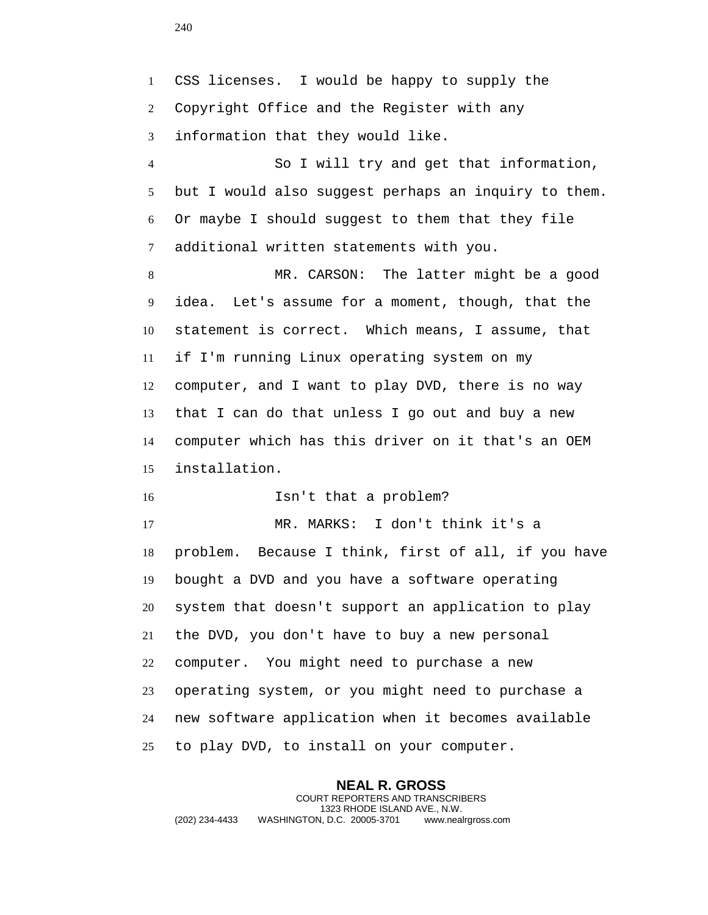CSS licenses. I would be happy to supply the Copyright Office and the Register with any information that they would like.

 So I will try and get that information, but I would also suggest perhaps an inquiry to them. Or maybe I should suggest to them that they file additional written statements with you.

 MR. CARSON: The latter might be a good idea. Let's assume for a moment, though, that the statement is correct. Which means, I assume, that if I'm running Linux operating system on my computer, and I want to play DVD, there is no way that I can do that unless I go out and buy a new computer which has this driver on it that's an OEM installation.

Isn't that a problem?

 MR. MARKS: I don't think it's a problem. Because I think, first of all, if you have bought a DVD and you have a software operating system that doesn't support an application to play the DVD, you don't have to buy a new personal computer. You might need to purchase a new operating system, or you might need to purchase a new software application when it becomes available to play DVD, to install on your computer.

**NEAL R. GROSS** COURT REPORTERS AND TRANSCRIBERS 1323 RHODE ISLAND AVE., N.W. (202) 234-4433 WASHINGTON, D.C. 20005-3701 www.nealrgross.com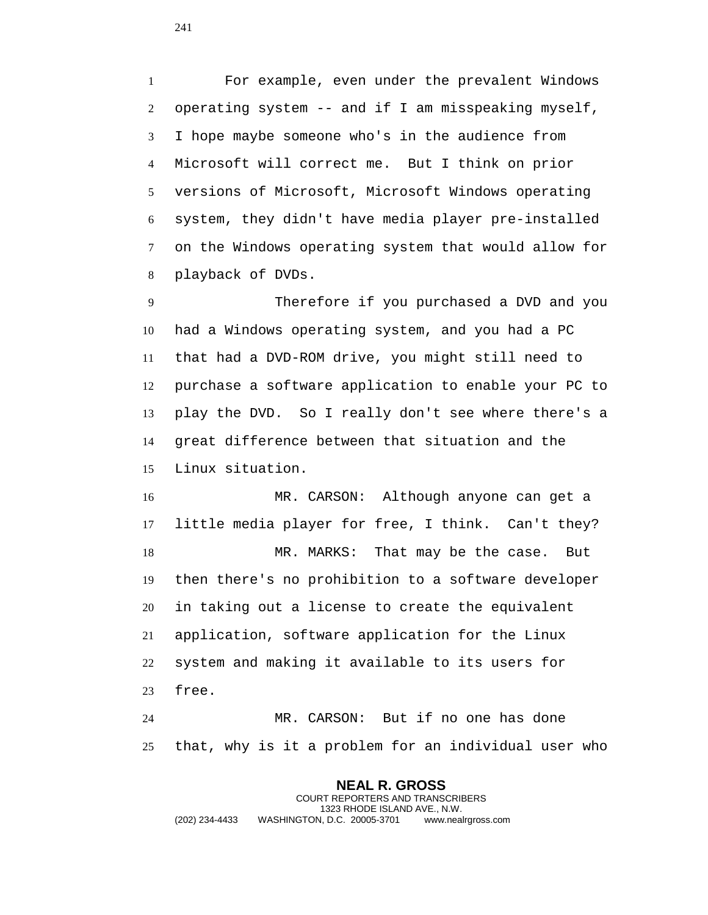For example, even under the prevalent Windows operating system -- and if I am misspeaking myself, I hope maybe someone who's in the audience from Microsoft will correct me. But I think on prior versions of Microsoft, Microsoft Windows operating system, they didn't have media player pre-installed on the Windows operating system that would allow for playback of DVDs.

 Therefore if you purchased a DVD and you had a Windows operating system, and you had a PC that had a DVD-ROM drive, you might still need to purchase a software application to enable your PC to play the DVD. So I really don't see where there's a great difference between that situation and the Linux situation.

 MR. CARSON: Although anyone can get a little media player for free, I think. Can't they? MR. MARKS: That may be the case. But then there's no prohibition to a software developer in taking out a license to create the equivalent application, software application for the Linux system and making it available to its users for free.

 MR. CARSON: But if no one has done that, why is it a problem for an individual user who

**NEAL R. GROSS** COURT REPORTERS AND TRANSCRIBERS 1323 RHODE ISLAND AVE., N.W. (202) 234-4433 WASHINGTON, D.C. 20005-3701 www.nealrgross.com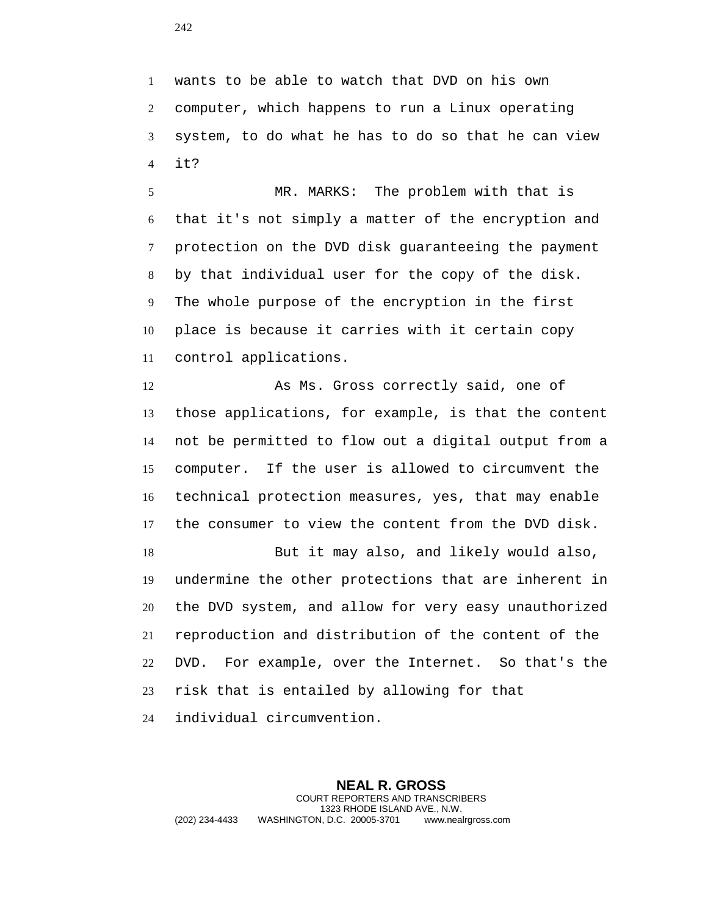wants to be able to watch that DVD on his own computer, which happens to run a Linux operating system, to do what he has to do so that he can view it?

 MR. MARKS: The problem with that is that it's not simply a matter of the encryption and protection on the DVD disk guaranteeing the payment by that individual user for the copy of the disk. The whole purpose of the encryption in the first place is because it carries with it certain copy control applications.

 As Ms. Gross correctly said, one of those applications, for example, is that the content not be permitted to flow out a digital output from a computer. If the user is allowed to circumvent the technical protection measures, yes, that may enable the consumer to view the content from the DVD disk.

 But it may also, and likely would also, undermine the other protections that are inherent in the DVD system, and allow for very easy unauthorized reproduction and distribution of the content of the DVD. For example, over the Internet. So that's the risk that is entailed by allowing for that individual circumvention.

**NEAL R. GROSS** COURT REPORTERS AND TRANSCRIBERS 1323 RHODE ISLAND AVE., N.W. (202) 234-4433 WASHINGTON, D.C. 20005-3701 www.nealrgross.com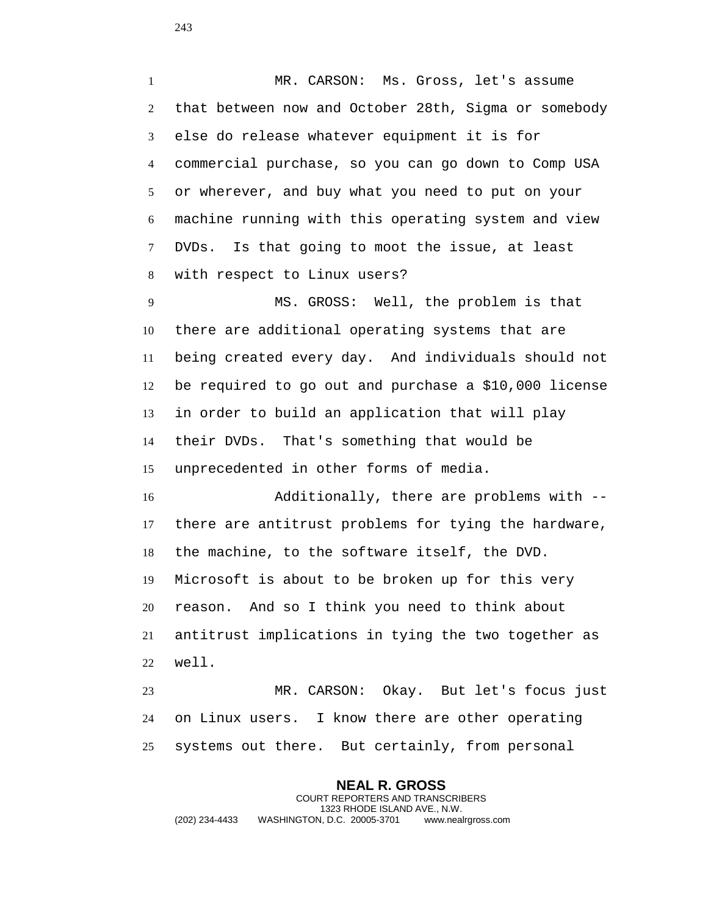MR. CARSON: Ms. Gross, let's assume that between now and October 28th, Sigma or somebody else do release whatever equipment it is for commercial purchase, so you can go down to Comp USA or wherever, and buy what you need to put on your machine running with this operating system and view DVDs. Is that going to moot the issue, at least with respect to Linux users?

 MS. GROSS: Well, the problem is that there are additional operating systems that are being created every day. And individuals should not be required to go out and purchase a \$10,000 license in order to build an application that will play their DVDs. That's something that would be unprecedented in other forms of media.

 Additionally, there are problems with -- there are antitrust problems for tying the hardware, the machine, to the software itself, the DVD. Microsoft is about to be broken up for this very reason. And so I think you need to think about antitrust implications in tying the two together as well.

 MR. CARSON: Okay. But let's focus just on Linux users. I know there are other operating systems out there. But certainly, from personal

**NEAL R. GROSS** COURT REPORTERS AND TRANSCRIBERS 1323 RHODE ISLAND AVE., N.W. (202) 234-4433 WASHINGTON, D.C. 20005-3701 www.nealrgross.com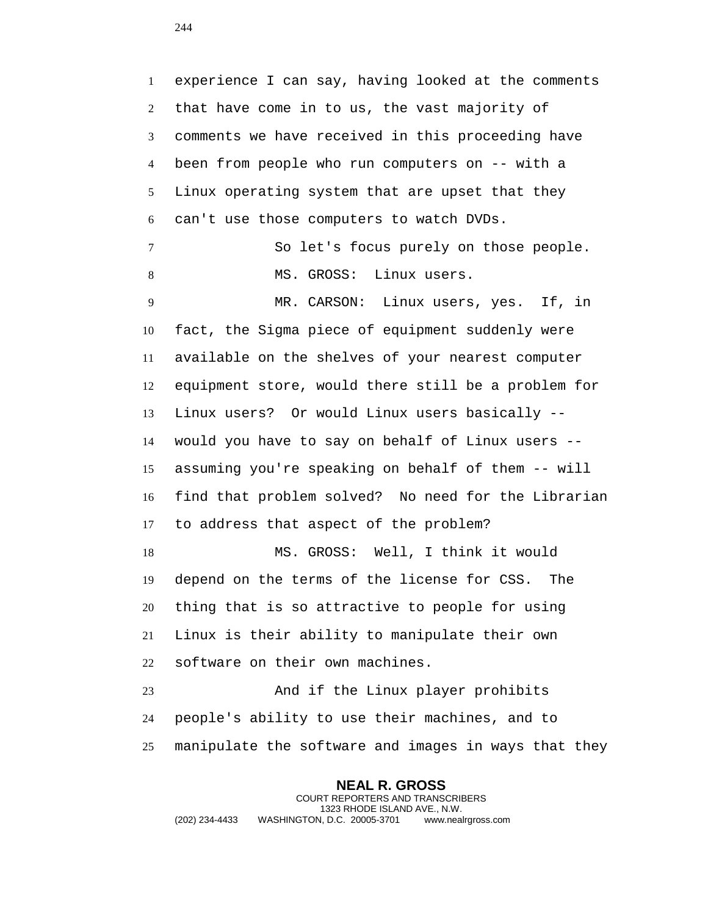experience I can say, having looked at the comments that have come in to us, the vast majority of comments we have received in this proceeding have been from people who run computers on -- with a Linux operating system that are upset that they can't use those computers to watch DVDs. So let's focus purely on those people. 8 MS. GROSS: Linux users. MR. CARSON: Linux users, yes. If, in fact, the Sigma piece of equipment suddenly were available on the shelves of your nearest computer equipment store, would there still be a problem for Linux users? Or would Linux users basically -- would you have to say on behalf of Linux users -- assuming you're speaking on behalf of them -- will find that problem solved? No need for the Librarian to address that aspect of the problem? 18 MS. GROSS: Well, I think it would depend on the terms of the license for CSS. The thing that is so attractive to people for using Linux is their ability to manipulate their own software on their own machines. And if the Linux player prohibits people's ability to use their machines, and to manipulate the software and images in ways that they

**NEAL R. GROSS** COURT REPORTERS AND TRANSCRIBERS 1323 RHODE ISLAND AVE., N.W. (202) 234-4433 WASHINGTON, D.C. 20005-3701 www.nealrgross.com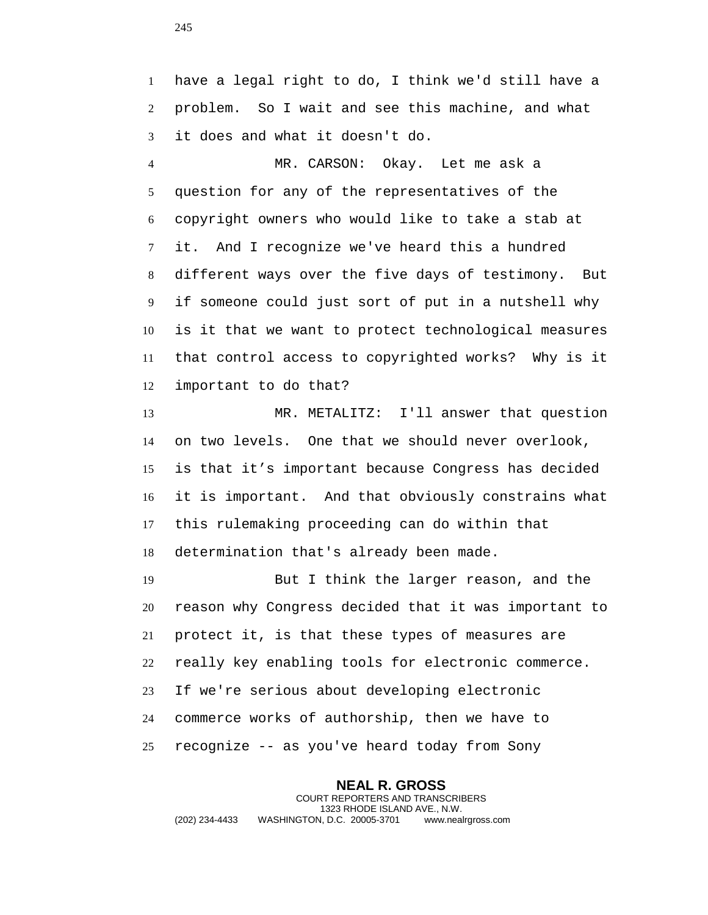have a legal right to do, I think we'd still have a problem. So I wait and see this machine, and what it does and what it doesn't do.

 MR. CARSON: Okay. Let me ask a question for any of the representatives of the copyright owners who would like to take a stab at it. And I recognize we've heard this a hundred different ways over the five days of testimony. But if someone could just sort of put in a nutshell why is it that we want to protect technological measures that control access to copyrighted works? Why is it important to do that?

13 MR. METALITZ: I'll answer that question on two levels. One that we should never overlook, is that it's important because Congress has decided it is important. And that obviously constrains what this rulemaking proceeding can do within that determination that's already been made.

 But I think the larger reason, and the reason why Congress decided that it was important to protect it, is that these types of measures are really key enabling tools for electronic commerce. If we're serious about developing electronic commerce works of authorship, then we have to recognize -- as you've heard today from Sony

**NEAL R. GROSS** COURT REPORTERS AND TRANSCRIBERS 1323 RHODE ISLAND AVE., N.W. (202) 234-4433 WASHINGTON, D.C. 20005-3701 www.nealrgross.com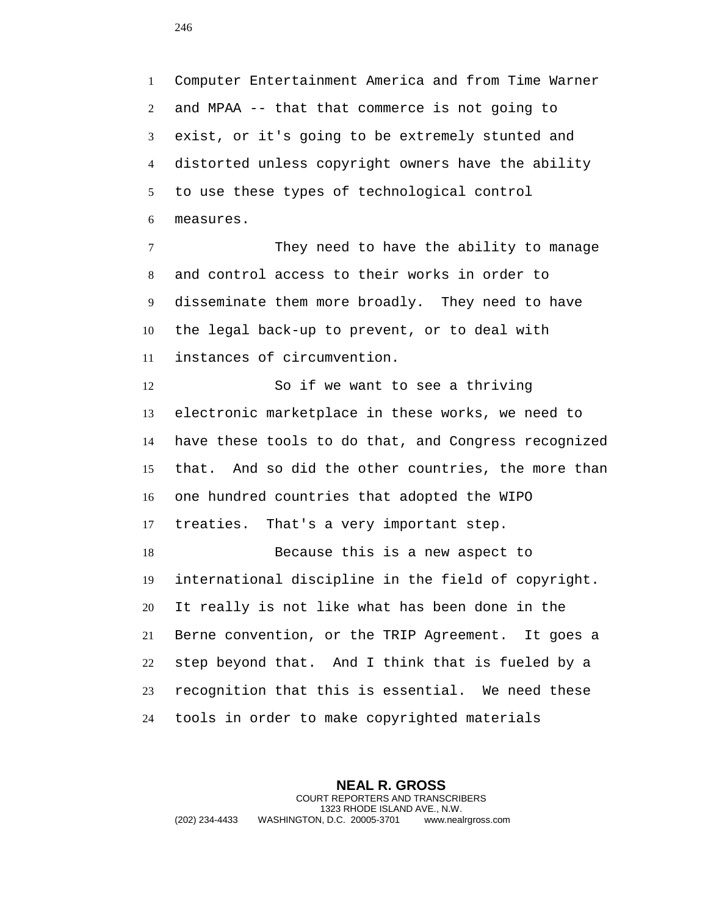Computer Entertainment America and from Time Warner and MPAA -- that that commerce is not going to exist, or it's going to be extremely stunted and distorted unless copyright owners have the ability to use these types of technological control measures.

 They need to have the ability to manage and control access to their works in order to disseminate them more broadly. They need to have the legal back-up to prevent, or to deal with instances of circumvention.

 So if we want to see a thriving electronic marketplace in these works, we need to have these tools to do that, and Congress recognized that. And so did the other countries, the more than one hundred countries that adopted the WIPO treaties. That's a very important step.

 Because this is a new aspect to international discipline in the field of copyright. It really is not like what has been done in the Berne convention, or the TRIP Agreement. It goes a step beyond that. And I think that is fueled by a recognition that this is essential. We need these tools in order to make copyrighted materials

**NEAL R. GROSS** COURT REPORTERS AND TRANSCRIBERS 1323 RHODE ISLAND AVE., N.W. (202) 234-4433 WASHINGTON, D.C. 20005-3701 www.nealrgross.com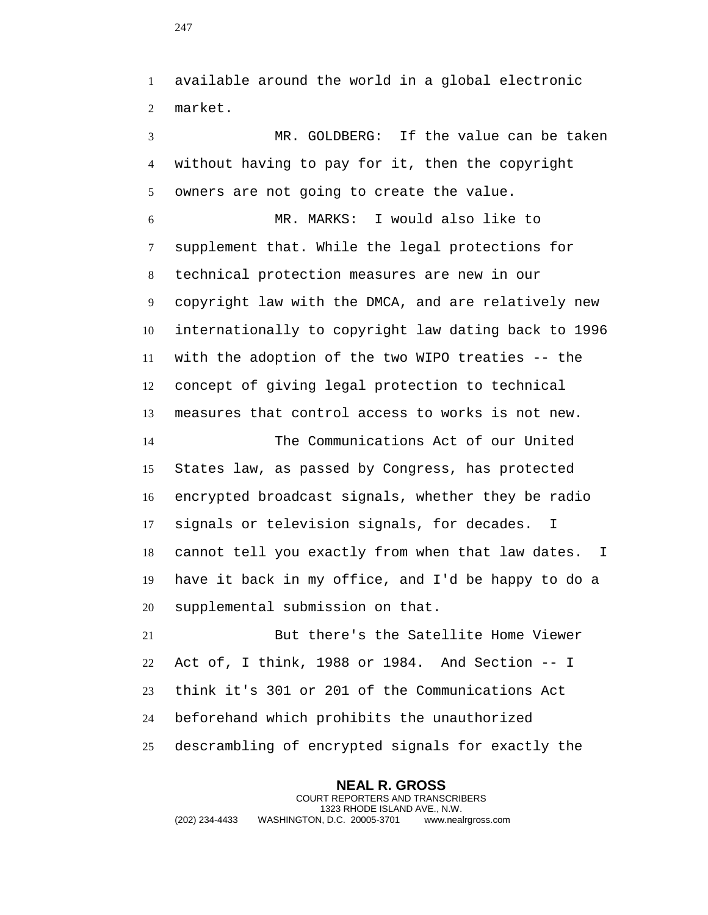available around the world in a global electronic market.

 MR. GOLDBERG: If the value can be taken without having to pay for it, then the copyright owners are not going to create the value. MR. MARKS: I would also like to supplement that. While the legal protections for technical protection measures are new in our copyright law with the DMCA, and are relatively new internationally to copyright law dating back to 1996 with the adoption of the two WIPO treaties -- the concept of giving legal protection to technical measures that control access to works is not new. The Communications Act of our United States law, as passed by Congress, has protected encrypted broadcast signals, whether they be radio

 signals or television signals, for decades. I cannot tell you exactly from when that law dates. I have it back in my office, and I'd be happy to do a supplemental submission on that.

 But there's the Satellite Home Viewer Act of, I think, 1988 or 1984. And Section -- I think it's 301 or 201 of the Communications Act beforehand which prohibits the unauthorized descrambling of encrypted signals for exactly the

**NEAL R. GROSS** COURT REPORTERS AND TRANSCRIBERS 1323 RHODE ISLAND AVE., N.W. (202) 234-4433 WASHINGTON, D.C. 20005-3701 www.nealrgross.com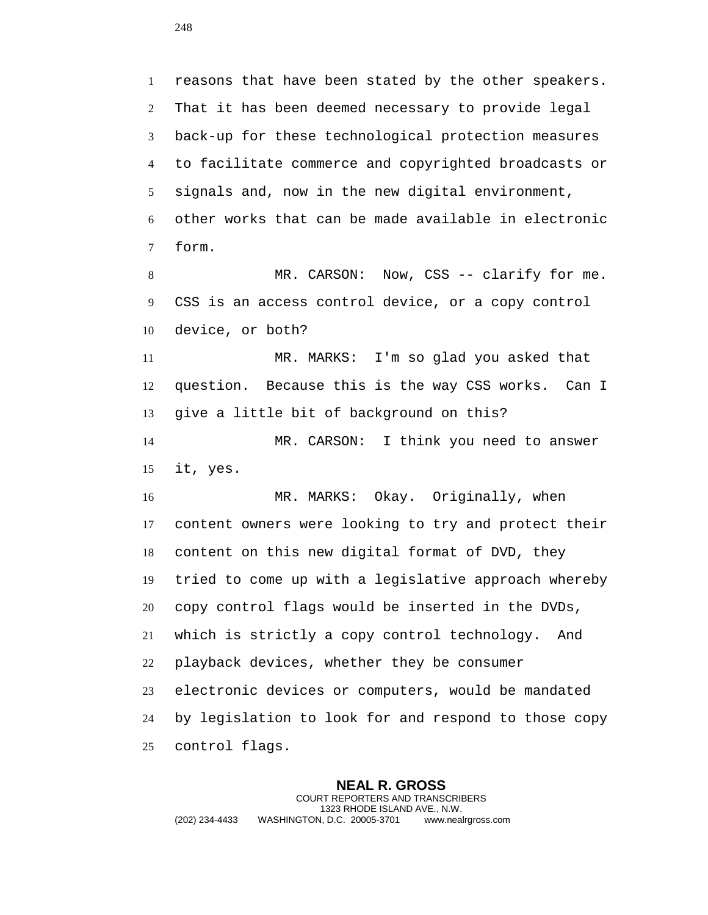reasons that have been stated by the other speakers. That it has been deemed necessary to provide legal back-up for these technological protection measures to facilitate commerce and copyrighted broadcasts or signals and, now in the new digital environment, other works that can be made available in electronic form.

8 MR. CARSON: Now, CSS -- clarify for me. CSS is an access control device, or a copy control device, or both?

 MR. MARKS: I'm so glad you asked that question. Because this is the way CSS works. Can I give a little bit of background on this?

 MR. CARSON: I think you need to answer it, yes.

 MR. MARKS: Okay. Originally, when content owners were looking to try and protect their content on this new digital format of DVD, they tried to come up with a legislative approach whereby copy control flags would be inserted in the DVDs, which is strictly a copy control technology. And playback devices, whether they be consumer electronic devices or computers, would be mandated by legislation to look for and respond to those copy control flags.

**NEAL R. GROSS** COURT REPORTERS AND TRANSCRIBERS 1323 RHODE ISLAND AVE., N.W. (202) 234-4433 WASHINGTON, D.C. 20005-3701 www.nealrgross.com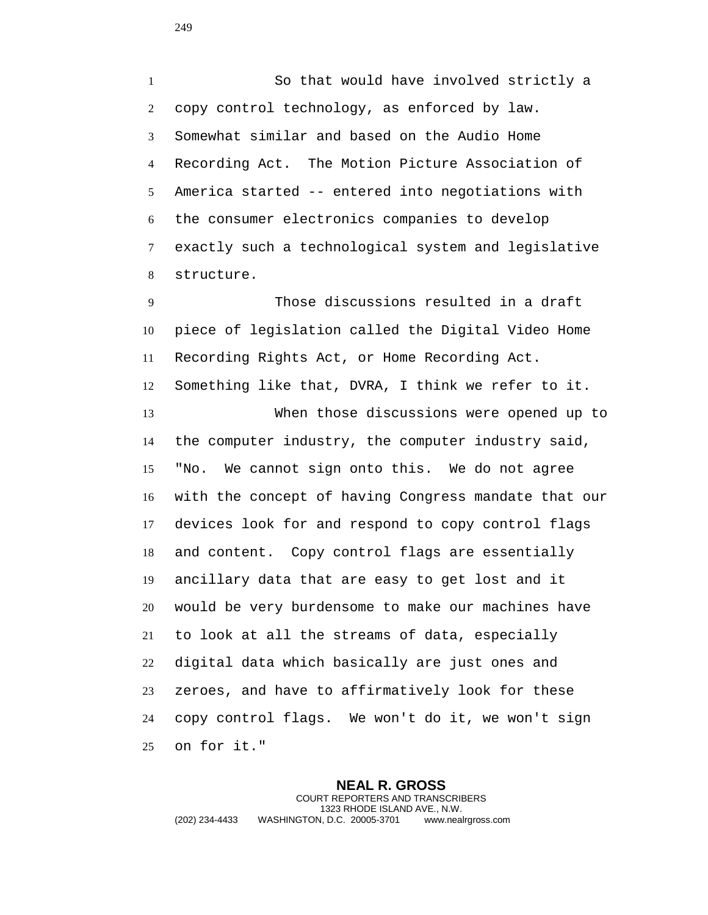So that would have involved strictly a copy control technology, as enforced by law. Somewhat similar and based on the Audio Home Recording Act. The Motion Picture Association of America started -- entered into negotiations with the consumer electronics companies to develop exactly such a technological system and legislative structure.

 Those discussions resulted in a draft piece of legislation called the Digital Video Home Recording Rights Act, or Home Recording Act. Something like that, DVRA, I think we refer to it. When those discussions were opened up to the computer industry, the computer industry said, "No. We cannot sign onto this. We do not agree with the concept of having Congress mandate that our devices look for and respond to copy control flags and content. Copy control flags are essentially ancillary data that are easy to get lost and it would be very burdensome to make our machines have to look at all the streams of data, especially digital data which basically are just ones and zeroes, and have to affirmatively look for these copy control flags. We won't do it, we won't sign on for it."

**NEAL R. GROSS** COURT REPORTERS AND TRANSCRIBERS 1323 RHODE ISLAND AVE., N.W. (202) 234-4433 WASHINGTON, D.C. 20005-3701 www.nealrgross.com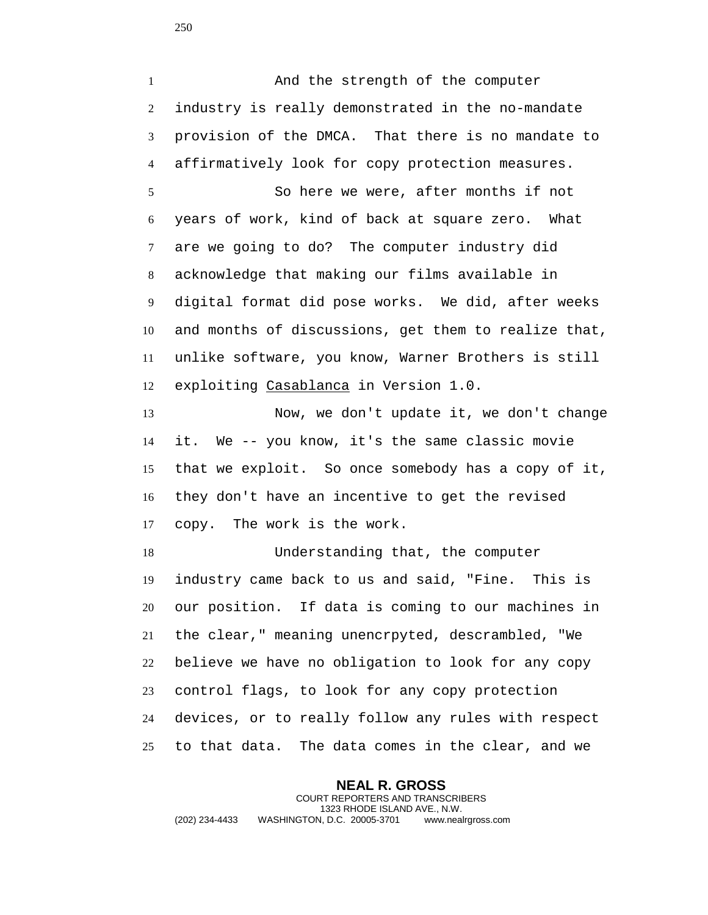1 And the strength of the computer industry is really demonstrated in the no-mandate provision of the DMCA. That there is no mandate to affirmatively look for copy protection measures. So here we were, after months if not years of work, kind of back at square zero. What are we going to do? The computer industry did acknowledge that making our films available in digital format did pose works. We did, after weeks and months of discussions, get them to realize that, unlike software, you know, Warner Brothers is still exploiting Casablanca in Version 1.0. Now, we don't update it, we don't change it. We -- you know, it's the same classic movie that we exploit. So once somebody has a copy of it, they don't have an incentive to get the revised copy. The work is the work. Understanding that, the computer industry came back to us and said, "Fine. This is our position. If data is coming to our machines in the clear," meaning unencrpyted, descrambled, "We believe we have no obligation to look for any copy control flags, to look for any copy protection devices, or to really follow any rules with respect to that data. The data comes in the clear, and we

**NEAL R. GROSS** COURT REPORTERS AND TRANSCRIBERS 1323 RHODE ISLAND AVE., N.W. (202) 234-4433 WASHINGTON, D.C. 20005-3701 www.nealrgross.com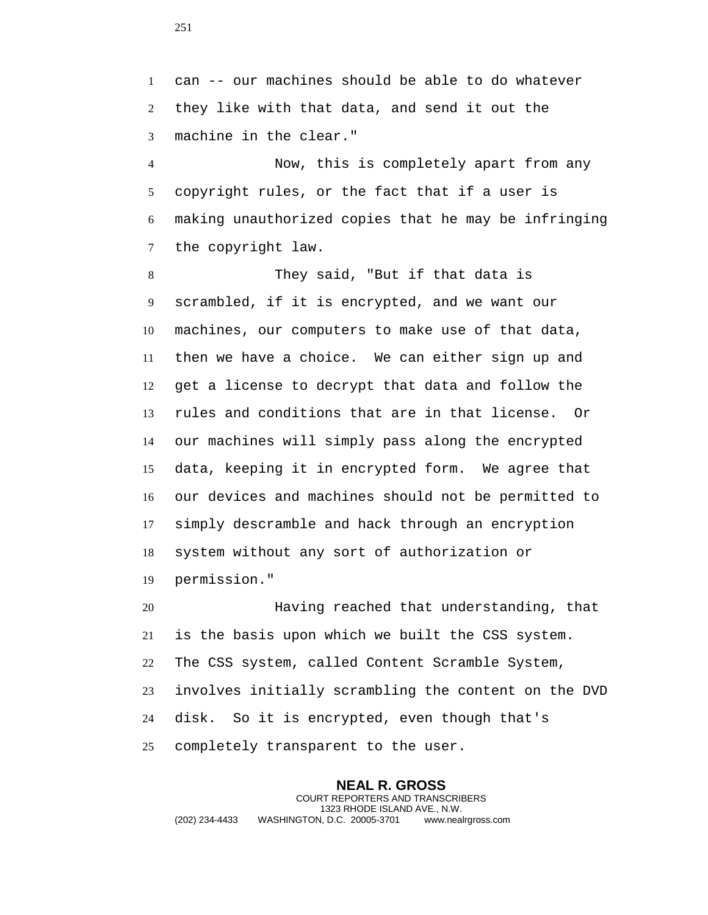can -- our machines should be able to do whatever they like with that data, and send it out the machine in the clear."

 Now, this is completely apart from any copyright rules, or the fact that if a user is making unauthorized copies that he may be infringing the copyright law.

 They said, "But if that data is scrambled, if it is encrypted, and we want our machines, our computers to make use of that data, then we have a choice. We can either sign up and get a license to decrypt that data and follow the rules and conditions that are in that license. Or our machines will simply pass along the encrypted data, keeping it in encrypted form. We agree that our devices and machines should not be permitted to simply descramble and hack through an encryption system without any sort of authorization or permission."

 Having reached that understanding, that is the basis upon which we built the CSS system. The CSS system, called Content Scramble System, involves initially scrambling the content on the DVD disk. So it is encrypted, even though that's completely transparent to the user.

**NEAL R. GROSS** COURT REPORTERS AND TRANSCRIBERS 1323 RHODE ISLAND AVE., N.W. (202) 234-4433 WASHINGTON, D.C. 20005-3701 www.nealrgross.com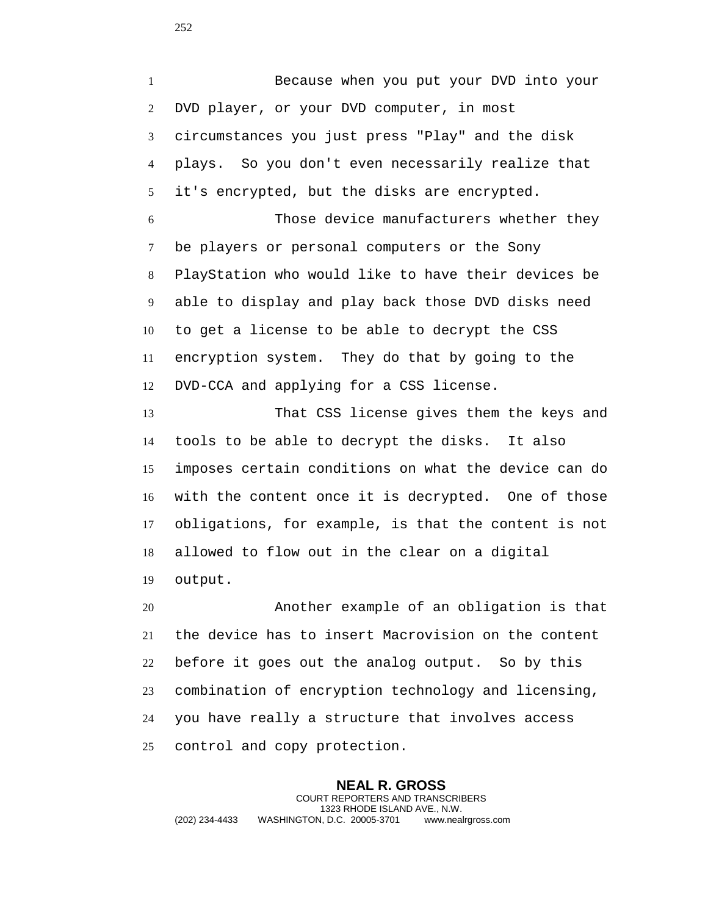Because when you put your DVD into your DVD player, or your DVD computer, in most circumstances you just press "Play" and the disk plays. So you don't even necessarily realize that it's encrypted, but the disks are encrypted. Those device manufacturers whether they be players or personal computers or the Sony PlayStation who would like to have their devices be able to display and play back those DVD disks need

 encryption system. They do that by going to the DVD-CCA and applying for a CSS license.

to get a license to be able to decrypt the CSS

 That CSS license gives them the keys and tools to be able to decrypt the disks. It also imposes certain conditions on what the device can do with the content once it is decrypted. One of those obligations, for example, is that the content is not allowed to flow out in the clear on a digital output.

 Another example of an obligation is that the device has to insert Macrovision on the content before it goes out the analog output. So by this combination of encryption technology and licensing, you have really a structure that involves access control and copy protection.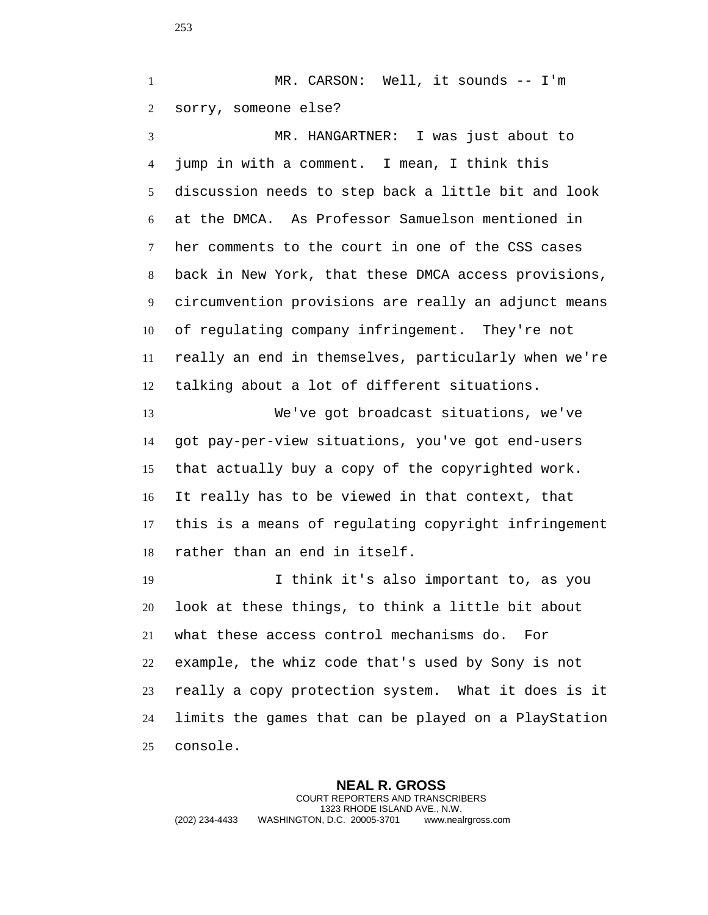MR. CARSON: Well, it sounds -- I'm sorry, someone else? MR. HANGARTNER: I was just about to jump in with a comment. I mean, I think this discussion needs to step back a little bit and look at the DMCA. As Professor Samuelson mentioned in her comments to the court in one of the CSS cases back in New York, that these DMCA access provisions, circumvention provisions are really an adjunct means of regulating company infringement. They're not really an end in themselves, particularly when we're talking about a lot of different situations. We've got broadcast situations, we've got pay-per-view situations, you've got end-users that actually buy a copy of the copyrighted work. It really has to be viewed in that context, that this is a means of regulating copyright infringement rather than an end in itself. I think it's also important to, as you look at these things, to think a little bit about what these access control mechanisms do. For example, the whiz code that's used by Sony is not really a copy protection system. What it does is it

 limits the games that can be played on a PlayStation console.

**NEAL R. GROSS** COURT REPORTERS AND TRANSCRIBERS 1323 RHODE ISLAND AVE., N.W. (202) 234-4433 WASHINGTON, D.C. 20005-3701 www.nealrgross.com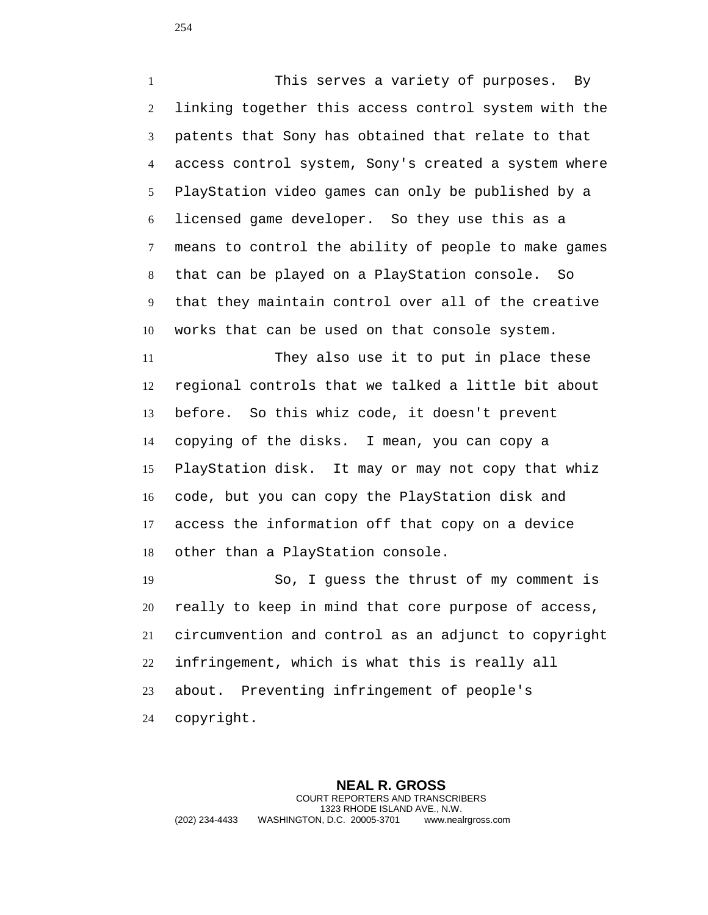This serves a variety of purposes. By linking together this access control system with the patents that Sony has obtained that relate to that access control system, Sony's created a system where PlayStation video games can only be published by a licensed game developer. So they use this as a means to control the ability of people to make games that can be played on a PlayStation console. So that they maintain control over all of the creative works that can be used on that console system.

 They also use it to put in place these regional controls that we talked a little bit about before. So this whiz code, it doesn't prevent copying of the disks. I mean, you can copy a PlayStation disk. It may or may not copy that whiz code, but you can copy the PlayStation disk and access the information off that copy on a device other than a PlayStation console.

 So, I guess the thrust of my comment is really to keep in mind that core purpose of access, circumvention and control as an adjunct to copyright infringement, which is what this is really all about. Preventing infringement of people's copyright.

**NEAL R. GROSS** COURT REPORTERS AND TRANSCRIBERS 1323 RHODE ISLAND AVE., N.W. (202) 234-4433 WASHINGTON, D.C. 20005-3701 www.nealrgross.com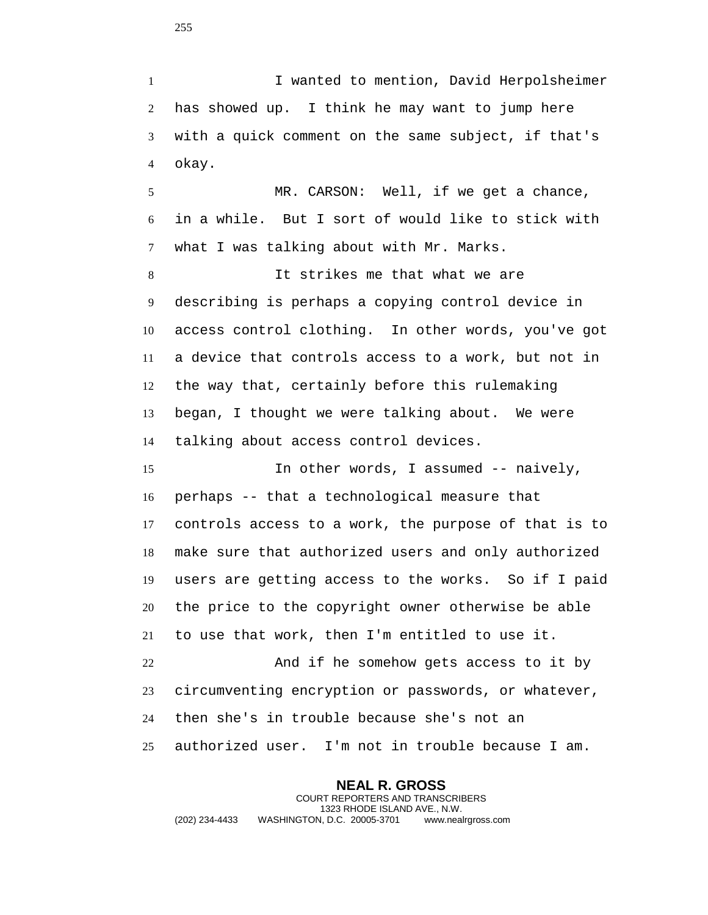I wanted to mention, David Herpolsheimer has showed up. I think he may want to jump here with a quick comment on the same subject, if that's okay.

 MR. CARSON: Well, if we get a chance, in a while. But I sort of would like to stick with what I was talking about with Mr. Marks.

 It strikes me that what we are describing is perhaps a copying control device in access control clothing. In other words, you've got a device that controls access to a work, but not in the way that, certainly before this rulemaking began, I thought we were talking about. We were talking about access control devices.

 In other words, I assumed -- naively, perhaps -- that a technological measure that controls access to a work, the purpose of that is to make sure that authorized users and only authorized users are getting access to the works. So if I paid the price to the copyright owner otherwise be able to use that work, then I'm entitled to use it. And if he somehow gets access to it by circumventing encryption or passwords, or whatever, then she's in trouble because she's not an authorized user. I'm not in trouble because I am.

**NEAL R. GROSS** COURT REPORTERS AND TRANSCRIBERS 1323 RHODE ISLAND AVE., N.W. (202) 234-4433 WASHINGTON, D.C. 20005-3701 www.nealrgross.com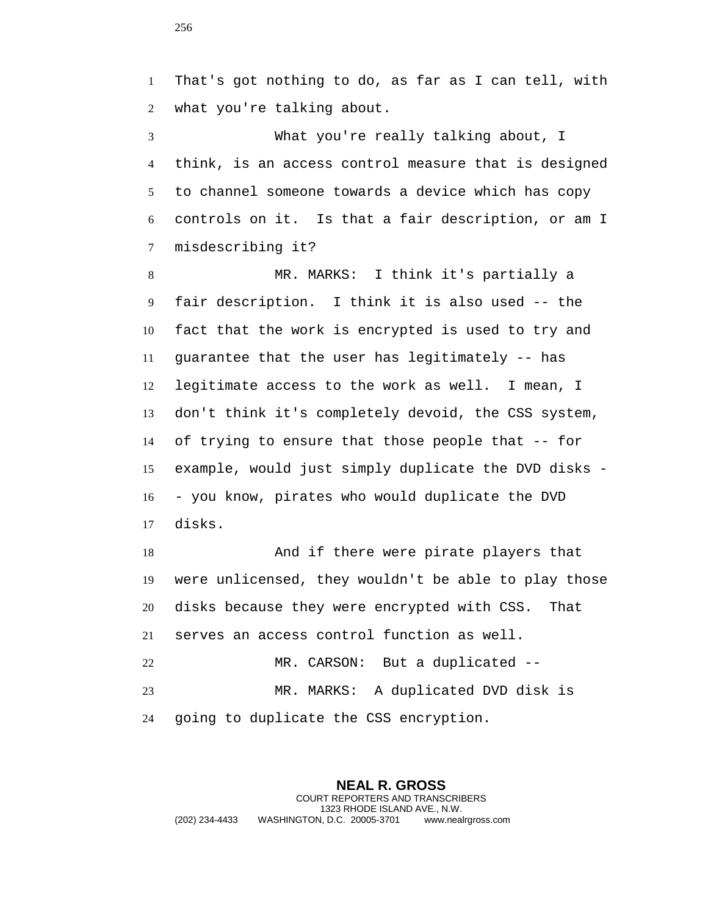That's got nothing to do, as far as I can tell, with what you're talking about.

 What you're really talking about, I think, is an access control measure that is designed to channel someone towards a device which has copy controls on it. Is that a fair description, or am I misdescribing it?

 MR. MARKS: I think it's partially a fair description. I think it is also used -- the fact that the work is encrypted is used to try and guarantee that the user has legitimately -- has legitimate access to the work as well. I mean, I don't think it's completely devoid, the CSS system, of trying to ensure that those people that -- for example, would just simply duplicate the DVD disks - - you know, pirates who would duplicate the DVD disks.

 And if there were pirate players that were unlicensed, they wouldn't be able to play those disks because they were encrypted with CSS. That serves an access control function as well. MR. CARSON: But a duplicated -- MR. MARKS: A duplicated DVD disk is going to duplicate the CSS encryption.

**NEAL R. GROSS** COURT REPORTERS AND TRANSCRIBERS 1323 RHODE ISLAND AVE., N.W. (202) 234-4433 WASHINGTON, D.C. 20005-3701 www.nealrgross.com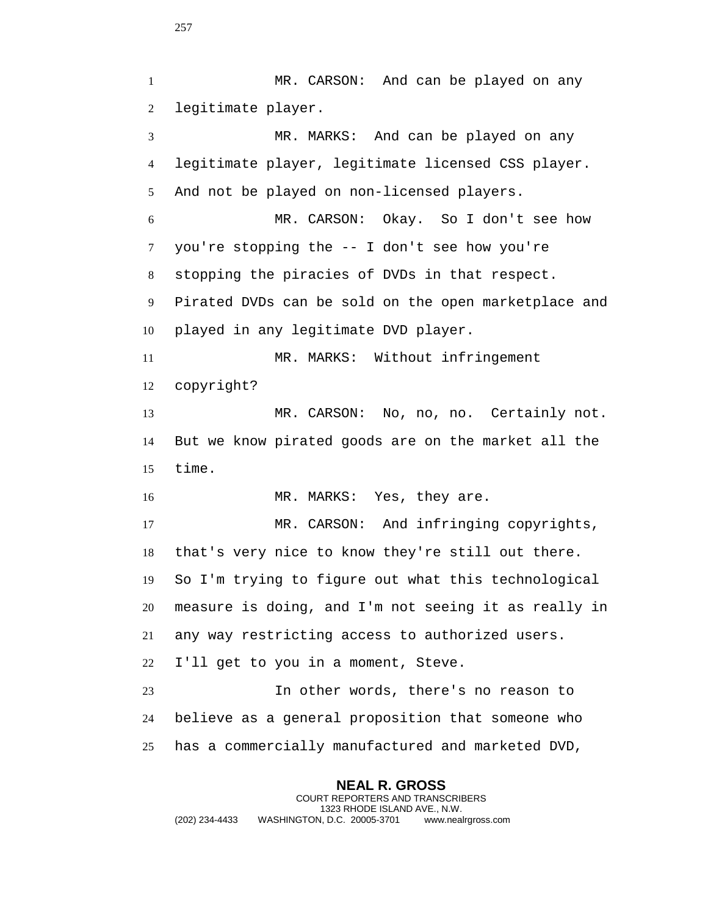**NEAL R. GROSS** MR. CARSON: And can be played on any legitimate player. MR. MARKS: And can be played on any legitimate player, legitimate licensed CSS player. And not be played on non-licensed players. MR. CARSON: Okay. So I don't see how you're stopping the -- I don't see how you're stopping the piracies of DVDs in that respect. Pirated DVDs can be sold on the open marketplace and played in any legitimate DVD player. MR. MARKS: Without infringement copyright? MR. CARSON: No, no, no. Certainly not. But we know pirated goods are on the market all the time. 16 MR. MARKS: Yes, they are. 17 MR. CARSON: And infringing copyrights, that's very nice to know they're still out there. So I'm trying to figure out what this technological measure is doing, and I'm not seeing it as really in any way restricting access to authorized users. I'll get to you in a moment, Steve. In other words, there's no reason to believe as a general proposition that someone who has a commercially manufactured and marketed DVD,

COURT REPORTERS AND TRANSCRIBERS 1323 RHODE ISLAND AVE., N.W. (202) 234-4433 WASHINGTON, D.C. 20005-3701 www.nealrgross.com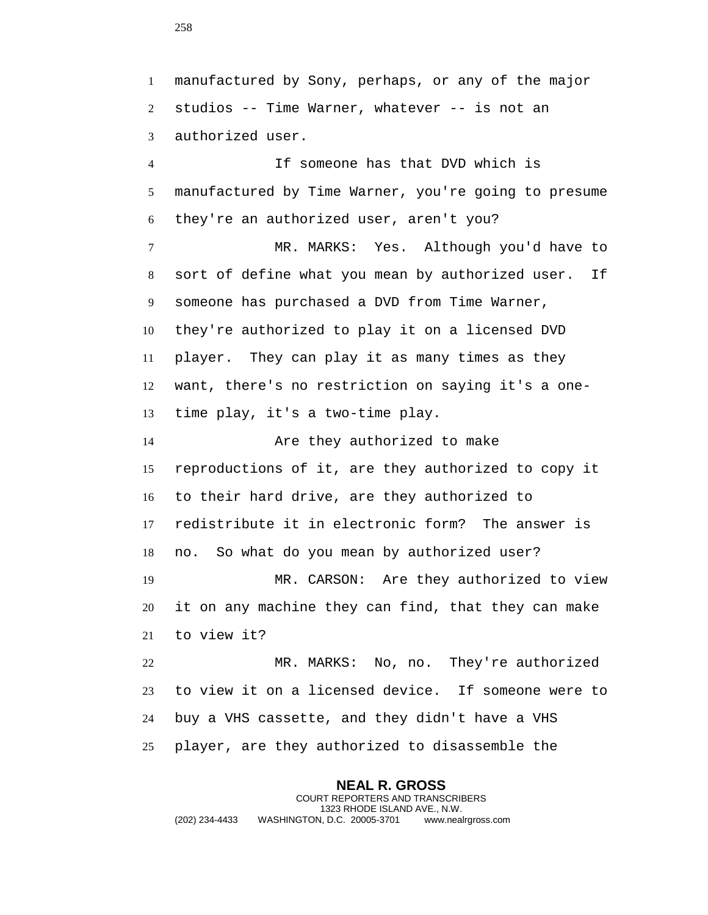manufactured by Sony, perhaps, or any of the major studios -- Time Warner, whatever -- is not an authorized user. If someone has that DVD which is manufactured by Time Warner, you're going to presume they're an authorized user, aren't you? MR. MARKS: Yes. Although you'd have to sort of define what you mean by authorized user. If someone has purchased a DVD from Time Warner, they're authorized to play it on a licensed DVD player. They can play it as many times as they want, there's no restriction on saying it's a one- time play, it's a two-time play. Are they authorized to make reproductions of it, are they authorized to copy it to their hard drive, are they authorized to redistribute it in electronic form? The answer is no. So what do you mean by authorized user? MR. CARSON: Are they authorized to view it on any machine they can find, that they can make to view it? MR. MARKS: No, no. They're authorized to view it on a licensed device. If someone were to buy a VHS cassette, and they didn't have a VHS player, are they authorized to disassemble the

**NEAL R. GROSS** COURT REPORTERS AND TRANSCRIBERS 1323 RHODE ISLAND AVE., N.W. (202) 234-4433 WASHINGTON, D.C. 20005-3701 www.nealrgross.com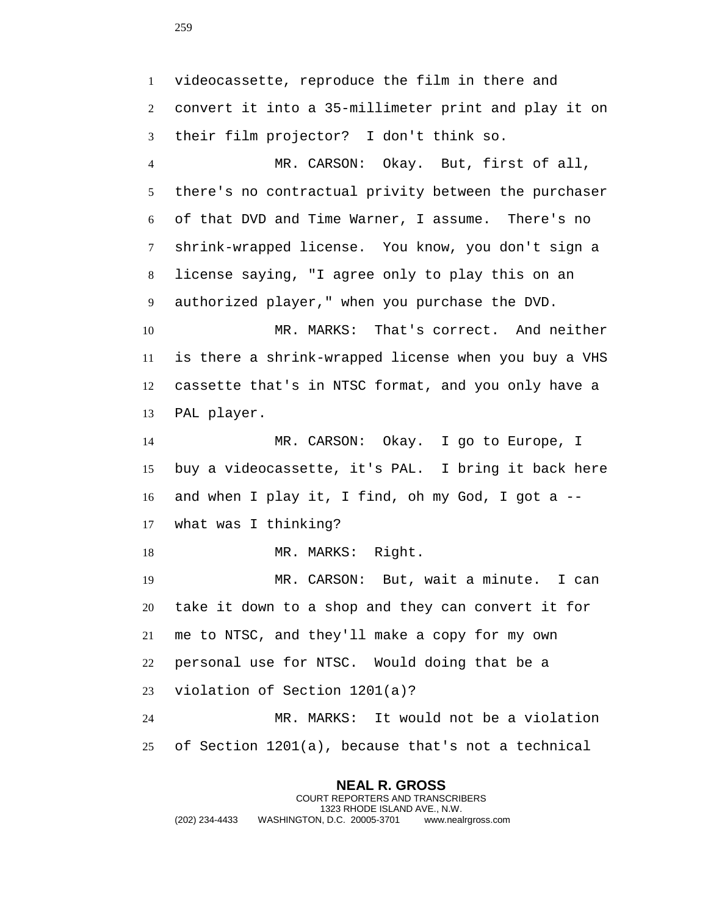videocassette, reproduce the film in there and convert it into a 35-millimeter print and play it on their film projector? I don't think so.

 MR. CARSON: Okay. But, first of all, there's no contractual privity between the purchaser of that DVD and Time Warner, I assume. There's no shrink-wrapped license. You know, you don't sign a license saying, "I agree only to play this on an authorized player," when you purchase the DVD.

 MR. MARKS: That's correct. And neither is there a shrink-wrapped license when you buy a VHS cassette that's in NTSC format, and you only have a PAL player.

 MR. CARSON: Okay. I go to Europe, I buy a videocassette, it's PAL. I bring it back here and when I play it, I find, oh my God, I got a -- what was I thinking?

18 MR. MARKS: Right.

 MR. CARSON: But, wait a minute. I can take it down to a shop and they can convert it for me to NTSC, and they'll make a copy for my own personal use for NTSC. Would doing that be a violation of Section 1201(a)? MR. MARKS: It would not be a violation

of Section 1201(a), because that's not a technical

## **NEAL R. GROSS**

COURT REPORTERS AND TRANSCRIBERS 1323 RHODE ISLAND AVE., N.W. (202) 234-4433 WASHINGTON, D.C. 20005-3701 www.nealrgross.com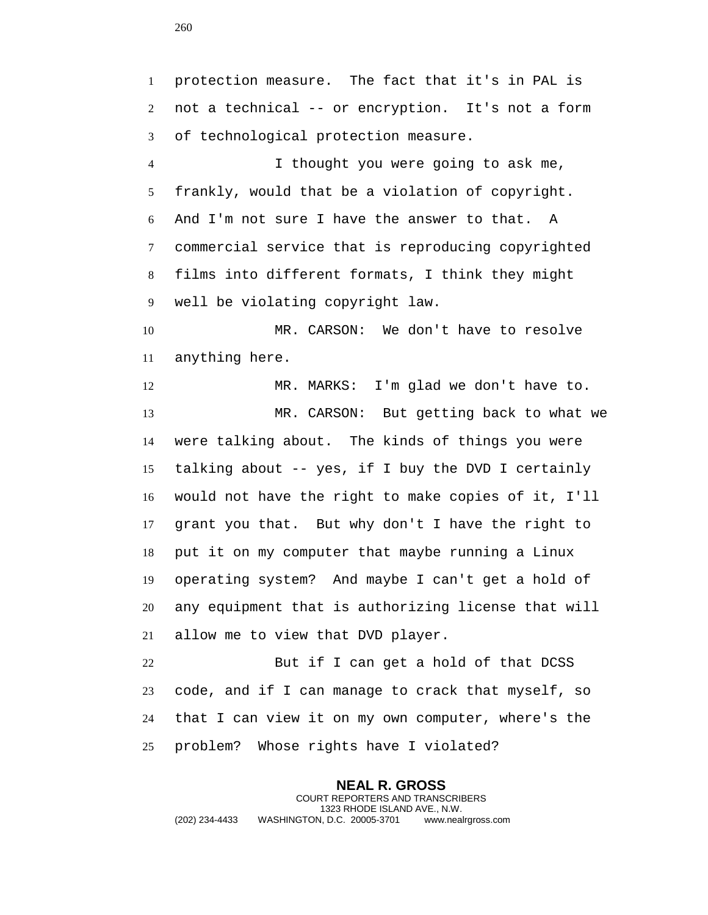protection measure. The fact that it's in PAL is not a technical -- or encryption. It's not a form of technological protection measure. I thought you were going to ask me, frankly, would that be a violation of copyright. And I'm not sure I have the answer to that. A commercial service that is reproducing copyrighted films into different formats, I think they might well be violating copyright law. MR. CARSON: We don't have to resolve anything here. MR. MARKS: I'm glad we don't have to. MR. CARSON: But getting back to what we were talking about. The kinds of things you were talking about -- yes, if I buy the DVD I certainly would not have the right to make copies of it, I'll grant you that. But why don't I have the right to put it on my computer that maybe running a Linux operating system? And maybe I can't get a hold of any equipment that is authorizing license that will allow me to view that DVD player. But if I can get a hold of that DCSS code, and if I can manage to crack that myself, so that I can view it on my own computer, where's the problem? Whose rights have I violated?

**NEAL R. GROSS** COURT REPORTERS AND TRANSCRIBERS 1323 RHODE ISLAND AVE., N.W. (202) 234-4433 WASHINGTON, D.C. 20005-3701 www.nealrgross.com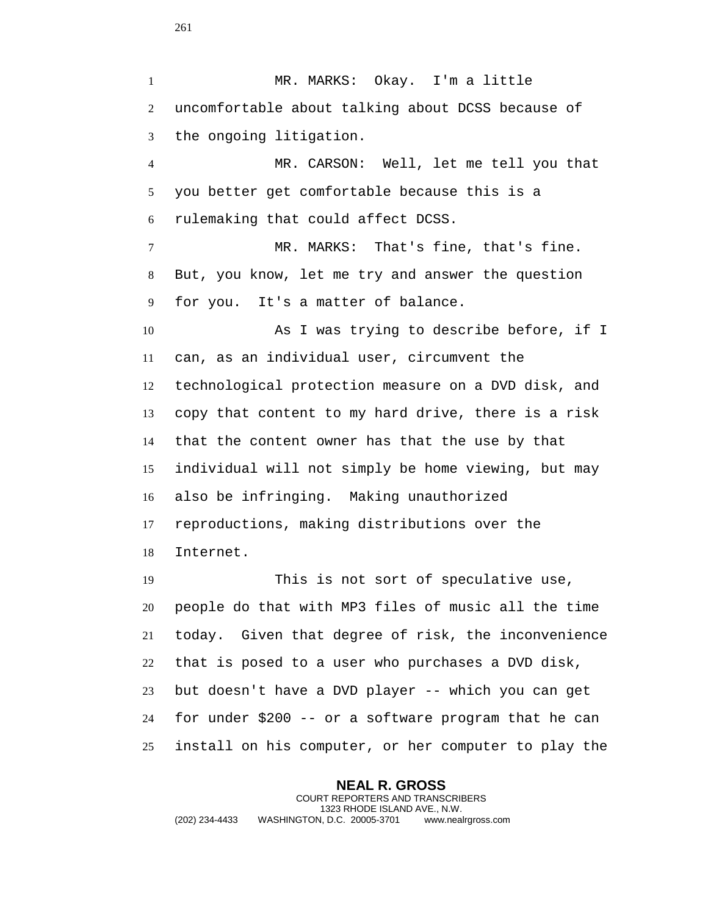MR. MARKS: Okay. I'm a little uncomfortable about talking about DCSS because of the ongoing litigation. MR. CARSON: Well, let me tell you that you better get comfortable because this is a rulemaking that could affect DCSS. MR. MARKS: That's fine, that's fine. But, you know, let me try and answer the question for you. It's a matter of balance. As I was trying to describe before, if I can, as an individual user, circumvent the technological protection measure on a DVD disk, and copy that content to my hard drive, there is a risk that the content owner has that the use by that individual will not simply be home viewing, but may also be infringing. Making unauthorized reproductions, making distributions over the Internet. This is not sort of speculative use, people do that with MP3 files of music all the time today. Given that degree of risk, the inconvenience that is posed to a user who purchases a DVD disk, but doesn't have a DVD player -- which you can get for under \$200 -- or a software program that he can install on his computer, or her computer to play the

**NEAL R. GROSS** COURT REPORTERS AND TRANSCRIBERS 1323 RHODE ISLAND AVE., N.W. (202) 234-4433 WASHINGTON, D.C. 20005-3701 www.nealrgross.com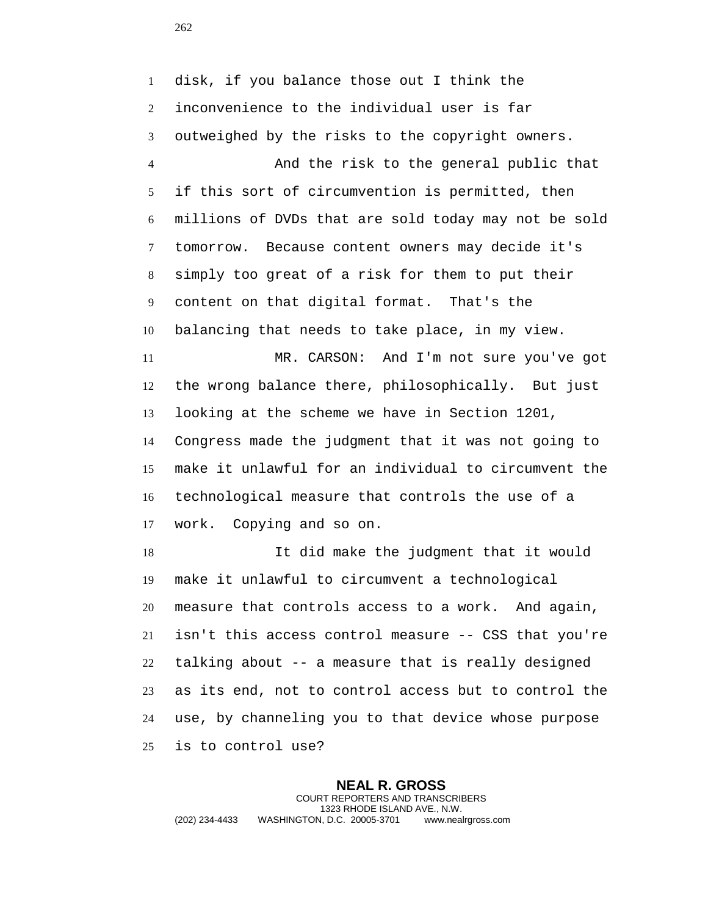disk, if you balance those out I think the inconvenience to the individual user is far outweighed by the risks to the copyright owners. And the risk to the general public that if this sort of circumvention is permitted, then millions of DVDs that are sold today may not be sold tomorrow. Because content owners may decide it's simply too great of a risk for them to put their content on that digital format. That's the balancing that needs to take place, in my view. MR. CARSON: And I'm not sure you've got the wrong balance there, philosophically. But just looking at the scheme we have in Section 1201, Congress made the judgment that it was not going to

 make it unlawful for an individual to circumvent the technological measure that controls the use of a work. Copying and so on.

 It did make the judgment that it would make it unlawful to circumvent a technological measure that controls access to a work. And again, isn't this access control measure -- CSS that you're talking about -- a measure that is really designed as its end, not to control access but to control the use, by channeling you to that device whose purpose is to control use?

**NEAL R. GROSS** COURT REPORTERS AND TRANSCRIBERS 1323 RHODE ISLAND AVE., N.W. (202) 234-4433 WASHINGTON, D.C. 20005-3701 www.nealrgross.com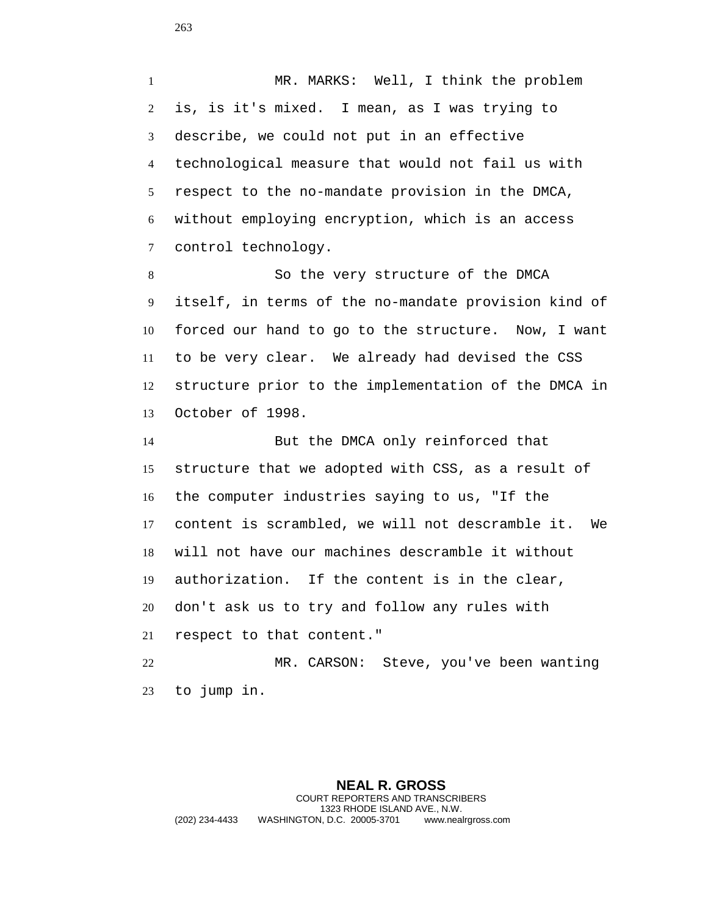MR. MARKS: Well, I think the problem is, is it's mixed. I mean, as I was trying to describe, we could not put in an effective technological measure that would not fail us with respect to the no-mandate provision in the DMCA, without employing encryption, which is an access control technology.

 So the very structure of the DMCA itself, in terms of the no-mandate provision kind of forced our hand to go to the structure. Now, I want to be very clear. We already had devised the CSS structure prior to the implementation of the DMCA in October of 1998.

 But the DMCA only reinforced that structure that we adopted with CSS, as a result of the computer industries saying to us, "If the content is scrambled, we will not descramble it. We will not have our machines descramble it without authorization. If the content is in the clear, don't ask us to try and follow any rules with respect to that content." MR. CARSON: Steve, you've been wanting

to jump in.

**NEAL R. GROSS** COURT REPORTERS AND TRANSCRIBERS 1323 RHODE ISLAND AVE., N.W. (202) 234-4433 WASHINGTON, D.C. 20005-3701 www.nealrgross.com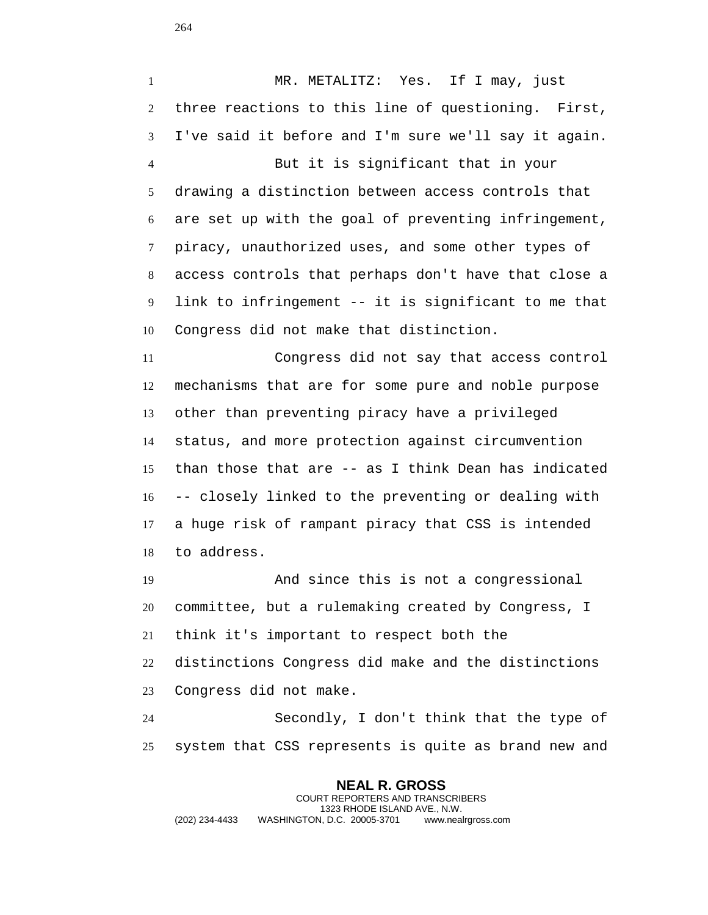MR. METALITZ: Yes. If I may, just three reactions to this line of questioning. First, I've said it before and I'm sure we'll say it again. But it is significant that in your drawing a distinction between access controls that are set up with the goal of preventing infringement, piracy, unauthorized uses, and some other types of access controls that perhaps don't have that close a link to infringement -- it is significant to me that Congress did not make that distinction.

 Congress did not say that access control mechanisms that are for some pure and noble purpose other than preventing piracy have a privileged status, and more protection against circumvention than those that are -- as I think Dean has indicated -- closely linked to the preventing or dealing with a huge risk of rampant piracy that CSS is intended to address.

 And since this is not a congressional committee, but a rulemaking created by Congress, I think it's important to respect both the distinctions Congress did make and the distinctions Congress did not make.

 Secondly, I don't think that the type of system that CSS represents is quite as brand new and

**NEAL R. GROSS** COURT REPORTERS AND TRANSCRIBERS 1323 RHODE ISLAND AVE., N.W. (202) 234-4433 WASHINGTON, D.C. 20005-3701 www.nealrgross.com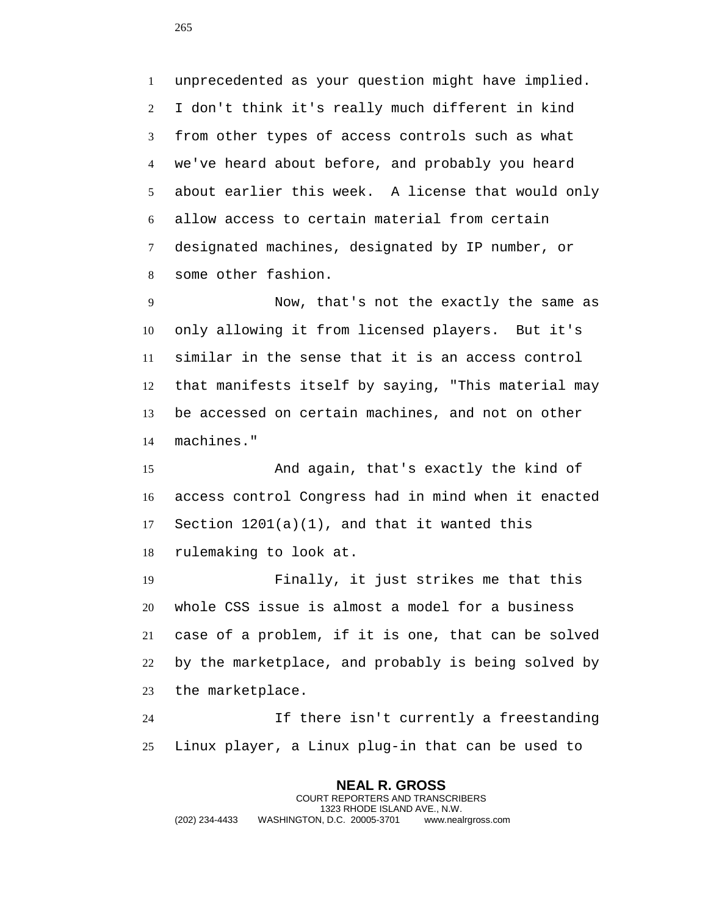unprecedented as your question might have implied. I don't think it's really much different in kind from other types of access controls such as what we've heard about before, and probably you heard about earlier this week. A license that would only allow access to certain material from certain designated machines, designated by IP number, or some other fashion.

 Now, that's not the exactly the same as only allowing it from licensed players. But it's similar in the sense that it is an access control that manifests itself by saying, "This material may be accessed on certain machines, and not on other machines."

 And again, that's exactly the kind of access control Congress had in mind when it enacted Section 1201(a)(1), and that it wanted this rulemaking to look at.

 Finally, it just strikes me that this whole CSS issue is almost a model for a business case of a problem, if it is one, that can be solved by the marketplace, and probably is being solved by the marketplace.

 If there isn't currently a freestanding Linux player, a Linux plug-in that can be used to

**NEAL R. GROSS** COURT REPORTERS AND TRANSCRIBERS 1323 RHODE ISLAND AVE., N.W. (202) 234-4433 WASHINGTON, D.C. 20005-3701 www.nealrgross.com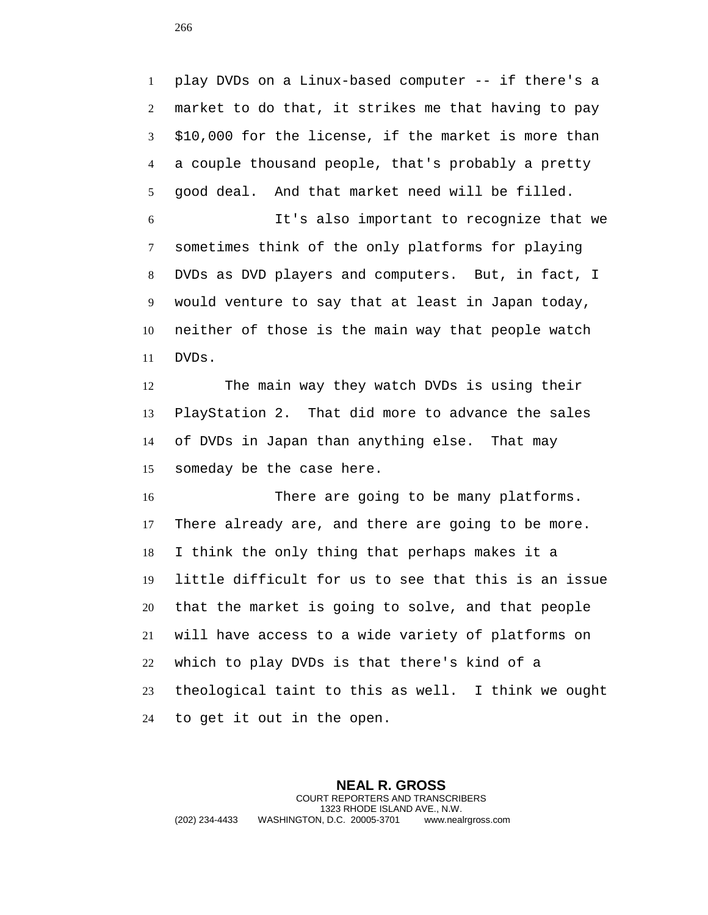play DVDs on a Linux-based computer -- if there's a market to do that, it strikes me that having to pay \$10,000 for the license, if the market is more than a couple thousand people, that's probably a pretty good deal. And that market need will be filled.

 It's also important to recognize that we sometimes think of the only platforms for playing DVDs as DVD players and computers. But, in fact, I would venture to say that at least in Japan today, neither of those is the main way that people watch DVDs.

 The main way they watch DVDs is using their PlayStation 2. That did more to advance the sales of DVDs in Japan than anything else. That may someday be the case here.

 There are going to be many platforms. There already are, and there are going to be more. I think the only thing that perhaps makes it a little difficult for us to see that this is an issue that the market is going to solve, and that people will have access to a wide variety of platforms on which to play DVDs is that there's kind of a theological taint to this as well. I think we ought to get it out in the open.

**NEAL R. GROSS** COURT REPORTERS AND TRANSCRIBERS 1323 RHODE ISLAND AVE., N.W. (202) 234-4433 WASHINGTON, D.C. 20005-3701 www.nealrgross.com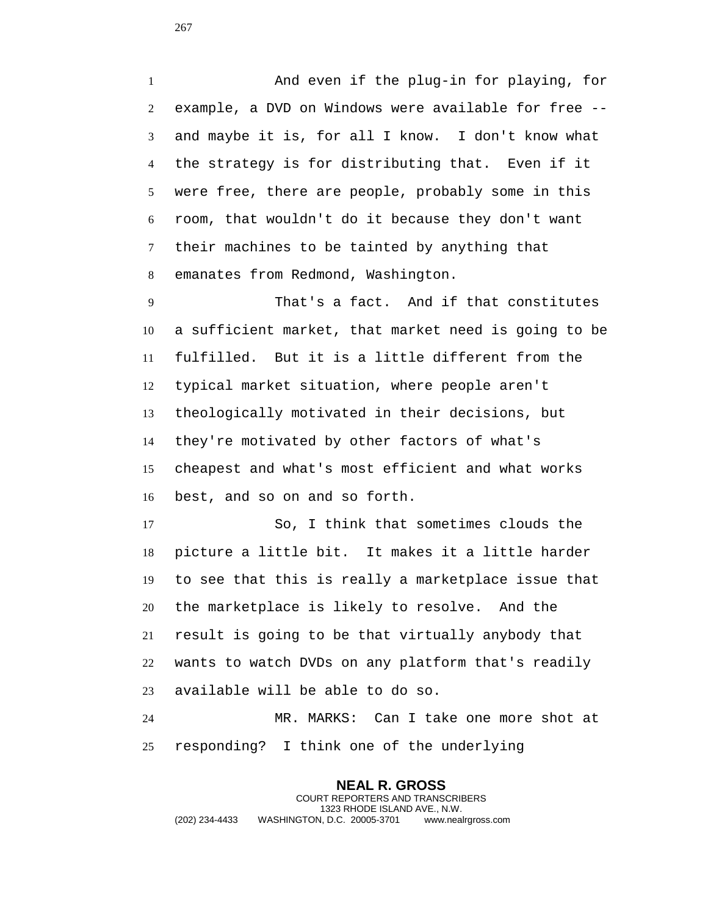And even if the plug-in for playing, for example, a DVD on Windows were available for free -- and maybe it is, for all I know. I don't know what the strategy is for distributing that. Even if it were free, there are people, probably some in this room, that wouldn't do it because they don't want their machines to be tainted by anything that emanates from Redmond, Washington.

 That's a fact. And if that constitutes a sufficient market, that market need is going to be fulfilled. But it is a little different from the typical market situation, where people aren't theologically motivated in their decisions, but they're motivated by other factors of what's cheapest and what's most efficient and what works best, and so on and so forth.

 So, I think that sometimes clouds the picture a little bit. It makes it a little harder to see that this is really a marketplace issue that the marketplace is likely to resolve. And the result is going to be that virtually anybody that wants to watch DVDs on any platform that's readily available will be able to do so.

 MR. MARKS: Can I take one more shot at responding? I think one of the underlying

**NEAL R. GROSS** COURT REPORTERS AND TRANSCRIBERS 1323 RHODE ISLAND AVE., N.W. (202) 234-4433 WASHINGTON, D.C. 20005-3701 www.nealrgross.com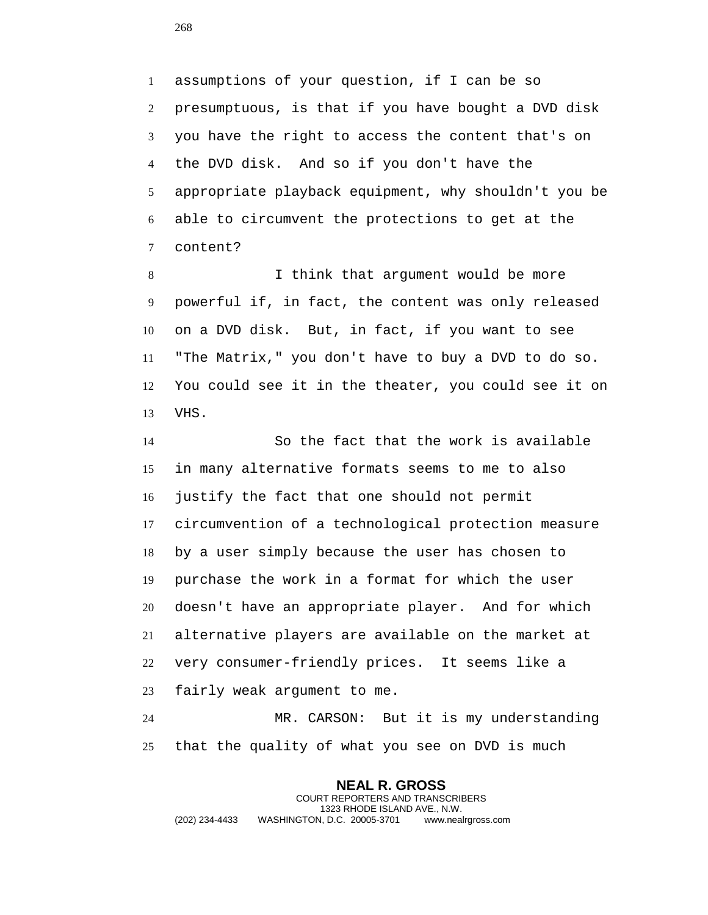assumptions of your question, if I can be so presumptuous, is that if you have bought a DVD disk you have the right to access the content that's on the DVD disk. And so if you don't have the appropriate playback equipment, why shouldn't you be able to circumvent the protections to get at the content?

 I think that argument would be more powerful if, in fact, the content was only released on a DVD disk. But, in fact, if you want to see "The Matrix," you don't have to buy a DVD to do so. You could see it in the theater, you could see it on VHS.

 So the fact that the work is available in many alternative formats seems to me to also justify the fact that one should not permit circumvention of a technological protection measure by a user simply because the user has chosen to purchase the work in a format for which the user doesn't have an appropriate player. And for which alternative players are available on the market at very consumer-friendly prices. It seems like a fairly weak argument to me.

 MR. CARSON: But it is my understanding that the quality of what you see on DVD is much

**NEAL R. GROSS** COURT REPORTERS AND TRANSCRIBERS 1323 RHODE ISLAND AVE., N.W. (202) 234-4433 WASHINGTON, D.C. 20005-3701 www.nealrgross.com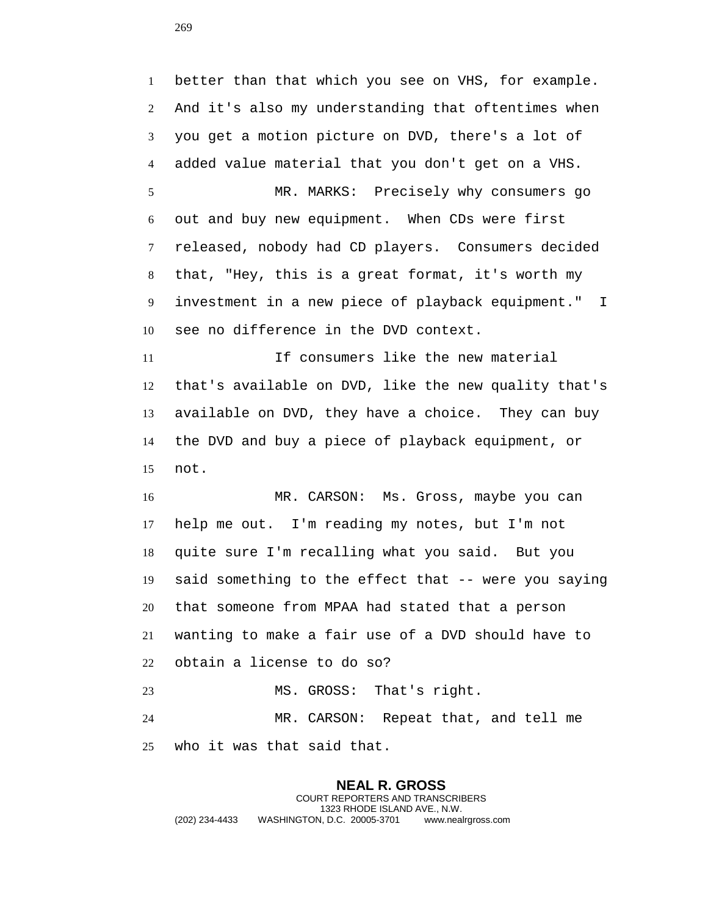better than that which you see on VHS, for example. And it's also my understanding that oftentimes when you get a motion picture on DVD, there's a lot of added value material that you don't get on a VHS. MR. MARKS: Precisely why consumers go out and buy new equipment. When CDs were first released, nobody had CD players. Consumers decided that, "Hey, this is a great format, it's worth my investment in a new piece of playback equipment." I see no difference in the DVD context. If consumers like the new material that's available on DVD, like the new quality that's available on DVD, they have a choice. They can buy the DVD and buy a piece of playback equipment, or not. MR. CARSON: Ms. Gross, maybe you can help me out. I'm reading my notes, but I'm not quite sure I'm recalling what you said. But you said something to the effect that -- were you saying that someone from MPAA had stated that a person wanting to make a fair use of a DVD should have to obtain a license to do so? MS. GROSS: That's right. MR. CARSON: Repeat that, and tell me who it was that said that.

## **NEAL R. GROSS** COURT REPORTERS AND TRANSCRIBERS 1323 RHODE ISLAND AVE., N.W. (202) 234-4433 WASHINGTON, D.C. 20005-3701 www.nealrgross.com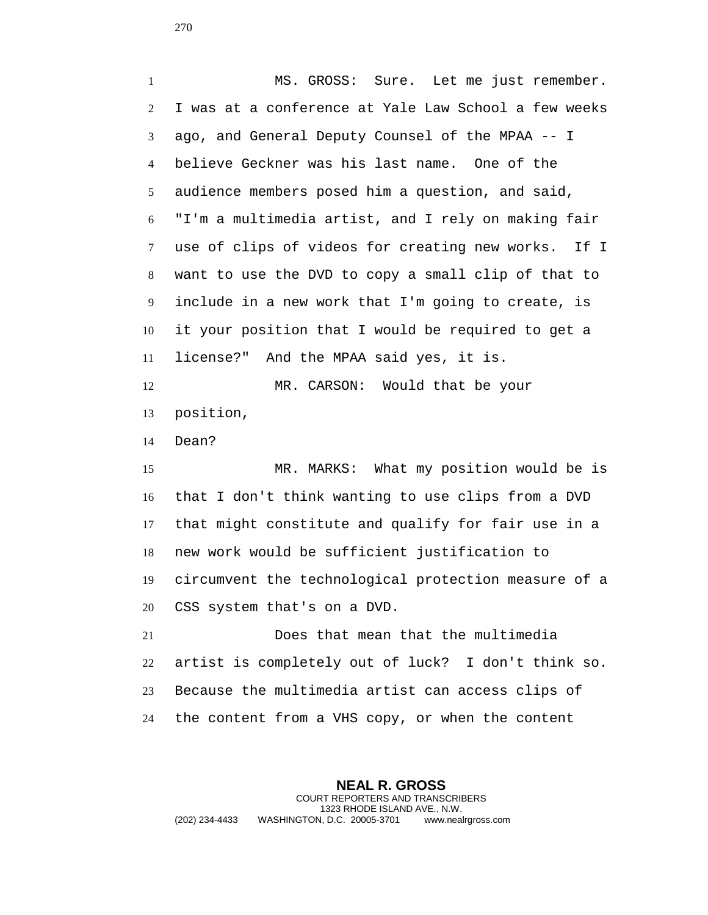MS. GROSS: Sure. Let me just remember. I was at a conference at Yale Law School a few weeks ago, and General Deputy Counsel of the MPAA -- I believe Geckner was his last name. One of the audience members posed him a question, and said, "I'm a multimedia artist, and I rely on making fair use of clips of videos for creating new works. If I want to use the DVD to copy a small clip of that to include in a new work that I'm going to create, is it your position that I would be required to get a license?" And the MPAA said yes, it is. MR. CARSON: Would that be your position, Dean? MR. MARKS: What my position would be is that I don't think wanting to use clips from a DVD that might constitute and qualify for fair use in a

new work would be sufficient justification to

circumvent the technological protection measure of a

CSS system that's on a DVD.

 Does that mean that the multimedia artist is completely out of luck? I don't think so. Because the multimedia artist can access clips of the content from a VHS copy, or when the content

**NEAL R. GROSS** COURT REPORTERS AND TRANSCRIBERS 1323 RHODE ISLAND AVE., N.W. (202) 234-4433 WASHINGTON, D.C. 20005-3701 www.nealrgross.com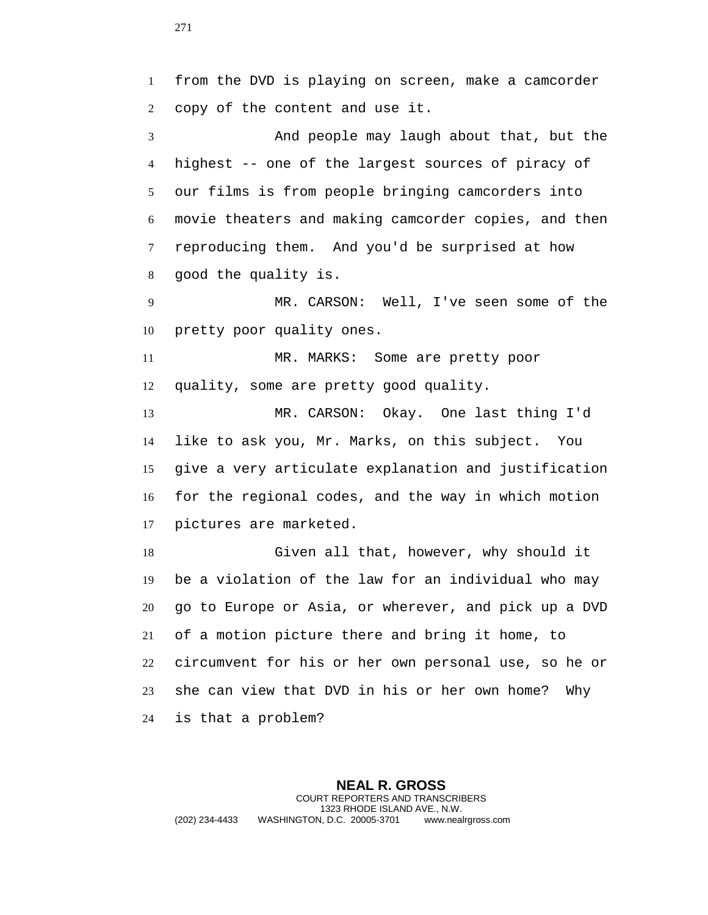from the DVD is playing on screen, make a camcorder copy of the content and use it. And people may laugh about that, but the highest -- one of the largest sources of piracy of our films is from people bringing camcorders into movie theaters and making camcorder copies, and then reproducing them. And you'd be surprised at how good the quality is. MR. CARSON: Well, I've seen some of the pretty poor quality ones. MR. MARKS: Some are pretty poor quality, some are pretty good quality. MR. CARSON: Okay. One last thing I'd like to ask you, Mr. Marks, on this subject. You give a very articulate explanation and justification for the regional codes, and the way in which motion pictures are marketed. Given all that, however, why should it be a violation of the law for an individual who may go to Europe or Asia, or wherever, and pick up a DVD of a motion picture there and bring it home, to circumvent for his or her own personal use, so he or she can view that DVD in his or her own home? Why is that a problem?

**NEAL R. GROSS** COURT REPORTERS AND TRANSCRIBERS 1323 RHODE ISLAND AVE., N.W. (202) 234-4433 WASHINGTON, D.C. 20005-3701 www.nealrgross.com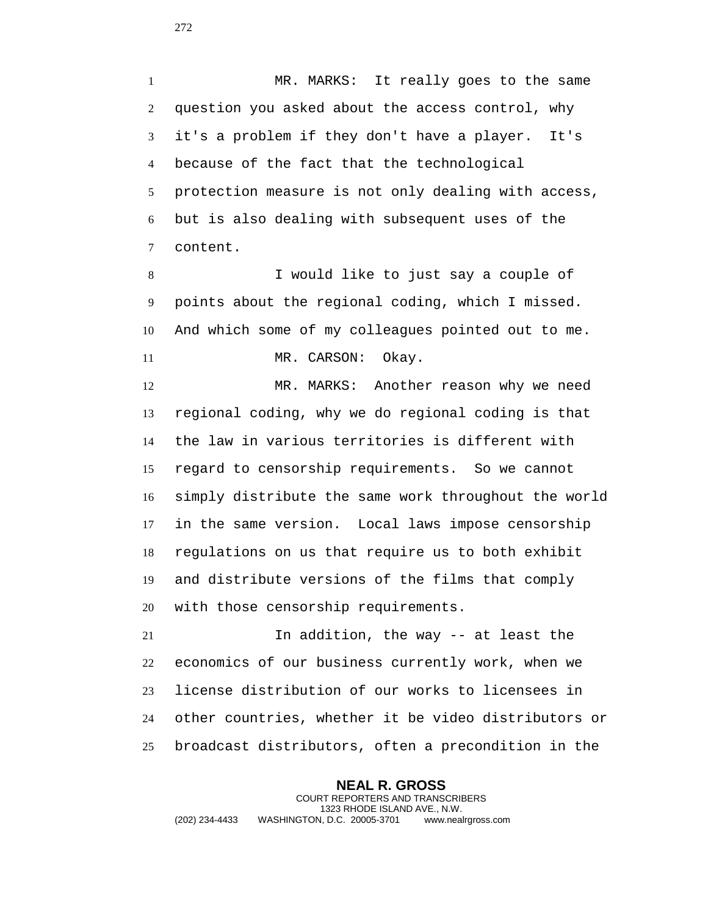MR. MARKS: It really goes to the same question you asked about the access control, why it's a problem if they don't have a player. It's because of the fact that the technological protection measure is not only dealing with access, but is also dealing with subsequent uses of the content.

 I would like to just say a couple of points about the regional coding, which I missed. And which some of my colleagues pointed out to me. 11 MR. CARSON: Okay.

 MR. MARKS: Another reason why we need regional coding, why we do regional coding is that the law in various territories is different with regard to censorship requirements. So we cannot simply distribute the same work throughout the world in the same version. Local laws impose censorship regulations on us that require us to both exhibit and distribute versions of the films that comply with those censorship requirements.

 In addition, the way -- at least the economics of our business currently work, when we license distribution of our works to licensees in other countries, whether it be video distributors or broadcast distributors, often a precondition in the

**NEAL R. GROSS** COURT REPORTERS AND TRANSCRIBERS 1323 RHODE ISLAND AVE., N.W. (202) 234-4433 WASHINGTON, D.C. 20005-3701 www.nealrgross.com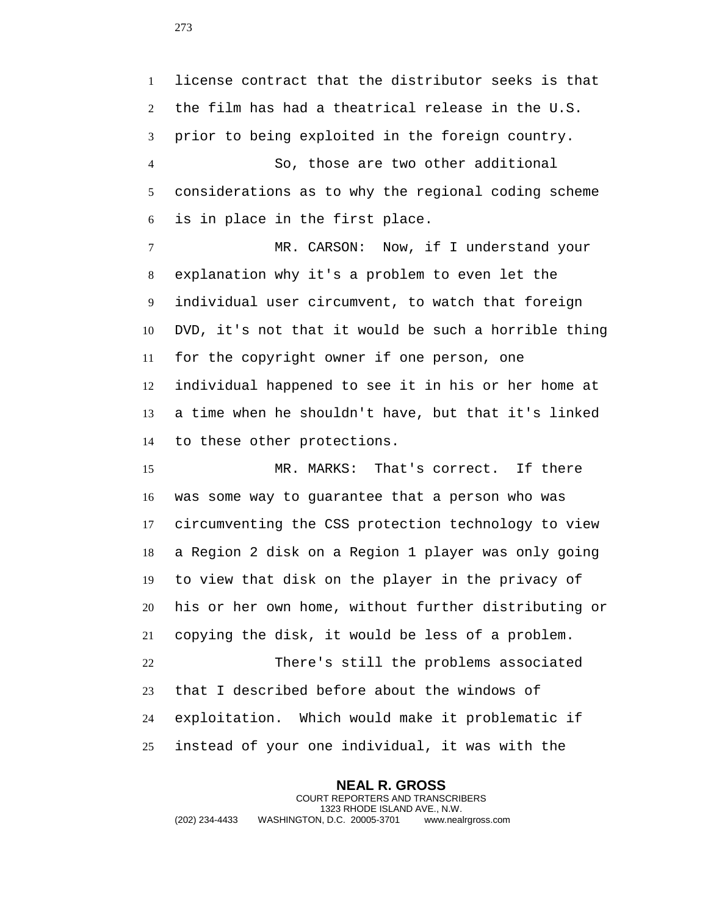license contract that the distributor seeks is that the film has had a theatrical release in the U.S. prior to being exploited in the foreign country. So, those are two other additional

 considerations as to why the regional coding scheme is in place in the first place.

 MR. CARSON: Now, if I understand your explanation why it's a problem to even let the individual user circumvent, to watch that foreign DVD, it's not that it would be such a horrible thing for the copyright owner if one person, one individual happened to see it in his or her home at a time when he shouldn't have, but that it's linked to these other protections.

 MR. MARKS: That's correct. If there was some way to guarantee that a person who was circumventing the CSS protection technology to view a Region 2 disk on a Region 1 player was only going to view that disk on the player in the privacy of his or her own home, without further distributing or copying the disk, it would be less of a problem. There's still the problems associated that I described before about the windows of exploitation. Which would make it problematic if instead of your one individual, it was with the

**NEAL R. GROSS** COURT REPORTERS AND TRANSCRIBERS 1323 RHODE ISLAND AVE., N.W. (202) 234-4433 WASHINGTON, D.C. 20005-3701 www.nealrgross.com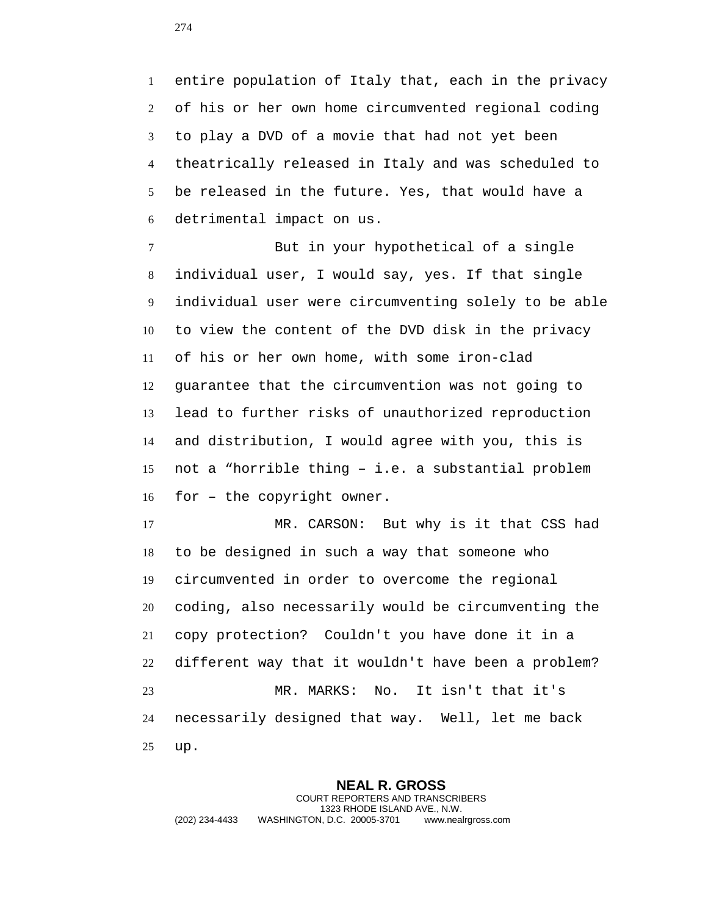entire population of Italy that, each in the privacy of his or her own home circumvented regional coding to play a DVD of a movie that had not yet been theatrically released in Italy and was scheduled to be released in the future. Yes, that would have a detrimental impact on us.

 But in your hypothetical of a single individual user, I would say, yes. If that single individual user were circumventing solely to be able to view the content of the DVD disk in the privacy of his or her own home, with some iron-clad guarantee that the circumvention was not going to lead to further risks of unauthorized reproduction and distribution, I would agree with you, this is not a "horrible thing – i.e. a substantial problem for – the copyright owner.

 MR. CARSON: But why is it that CSS had to be designed in such a way that someone who circumvented in order to overcome the regional coding, also necessarily would be circumventing the copy protection? Couldn't you have done it in a different way that it wouldn't have been a problem? MR. MARKS: No. It isn't that it's necessarily designed that way. Well, let me back up.

**NEAL R. GROSS** COURT REPORTERS AND TRANSCRIBERS 1323 RHODE ISLAND AVE., N.W. (202) 234-4433 WASHINGTON, D.C. 20005-3701 www.nealrgross.com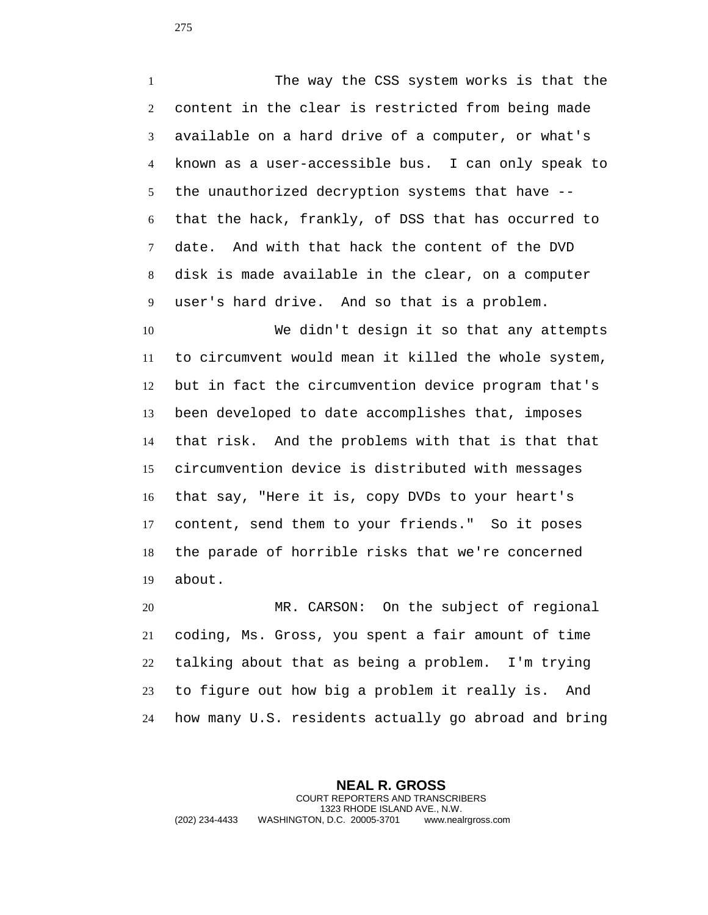The way the CSS system works is that the content in the clear is restricted from being made available on a hard drive of a computer, or what's known as a user-accessible bus. I can only speak to the unauthorized decryption systems that have -- that the hack, frankly, of DSS that has occurred to date. And with that hack the content of the DVD disk is made available in the clear, on a computer user's hard drive. And so that is a problem.

 We didn't design it so that any attempts to circumvent would mean it killed the whole system, but in fact the circumvention device program that's been developed to date accomplishes that, imposes that risk. And the problems with that is that that circumvention device is distributed with messages that say, "Here it is, copy DVDs to your heart's content, send them to your friends." So it poses the parade of horrible risks that we're concerned about.

 MR. CARSON: On the subject of regional coding, Ms. Gross, you spent a fair amount of time talking about that as being a problem. I'm trying to figure out how big a problem it really is. And how many U.S. residents actually go abroad and bring

**NEAL R. GROSS** COURT REPORTERS AND TRANSCRIBERS 1323 RHODE ISLAND AVE., N.W. (202) 234-4433 WASHINGTON, D.C. 20005-3701 www.nealrgross.com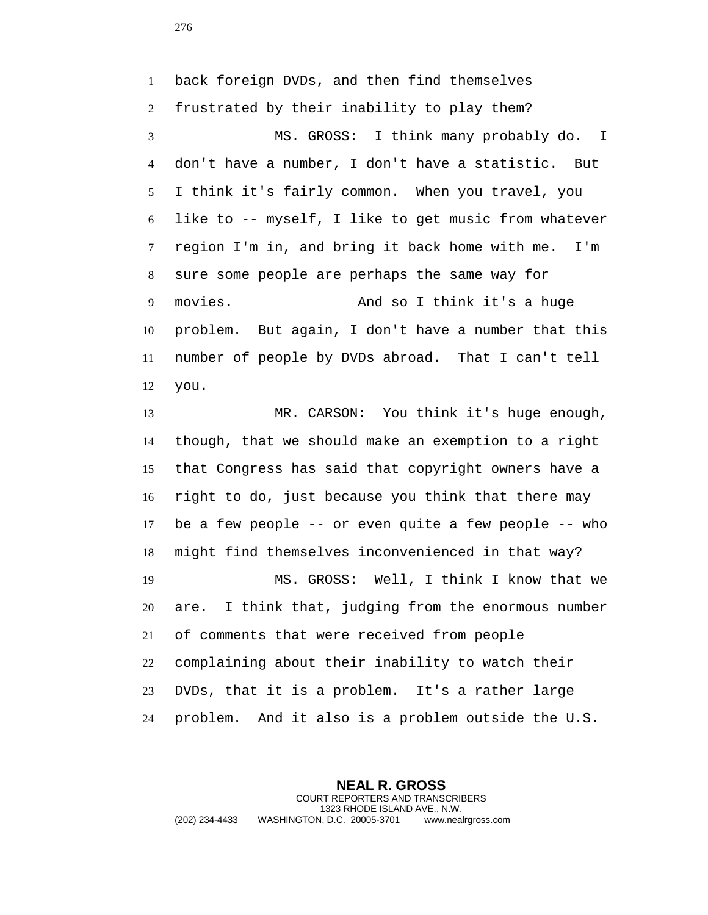back foreign DVDs, and then find themselves frustrated by their inability to play them? MS. GROSS: I think many probably do. I don't have a number, I don't have a statistic. But I think it's fairly common. When you travel, you like to -- myself, I like to get music from whatever region I'm in, and bring it back home with me. I'm sure some people are perhaps the same way for movies. And so I think it's a huge problem. But again, I don't have a number that this number of people by DVDs abroad. That I can't tell you.

 MR. CARSON: You think it's huge enough, though, that we should make an exemption to a right that Congress has said that copyright owners have a right to do, just because you think that there may be a few people -- or even quite a few people -- who might find themselves inconvenienced in that way? MS. GROSS: Well, I think I know that we are. I think that, judging from the enormous number of comments that were received from people complaining about their inability to watch their DVDs, that it is a problem. It's a rather large problem. And it also is a problem outside the U.S.

**NEAL R. GROSS** COURT REPORTERS AND TRANSCRIBERS 1323 RHODE ISLAND AVE., N.W. (202) 234-4433 WASHINGTON, D.C. 20005-3701 www.nealrgross.com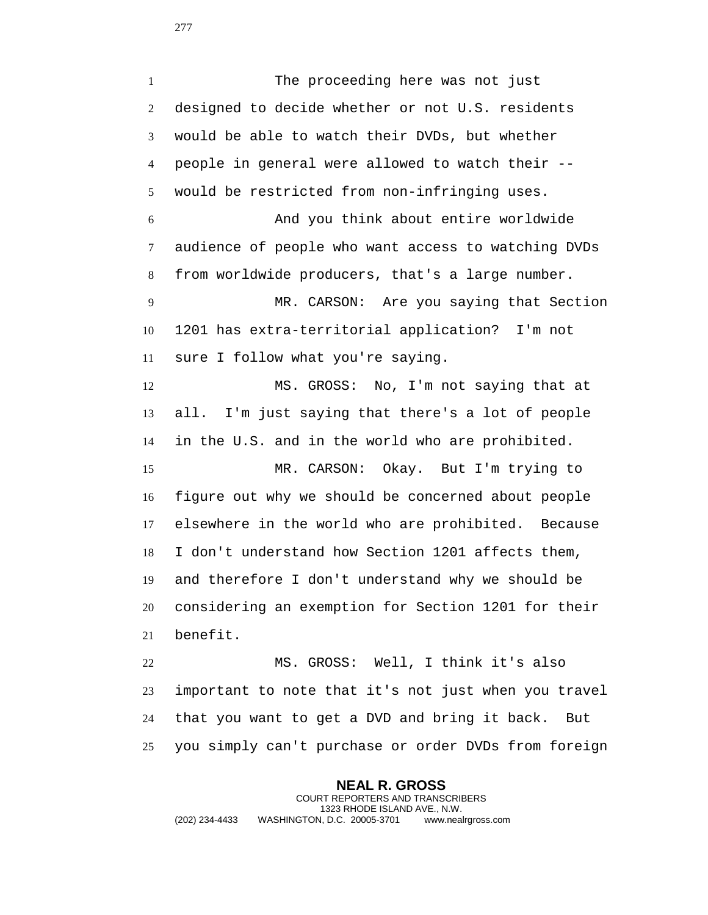The proceeding here was not just designed to decide whether or not U.S. residents would be able to watch their DVDs, but whether people in general were allowed to watch their -- would be restricted from non-infringing uses. And you think about entire worldwide audience of people who want access to watching DVDs from worldwide producers, that's a large number. MR. CARSON: Are you saying that Section 1201 has extra-territorial application? I'm not sure I follow what you're saying. MS. GROSS: No, I'm not saying that at all. I'm just saying that there's a lot of people in the U.S. and in the world who are prohibited. MR. CARSON: Okay. But I'm trying to figure out why we should be concerned about people elsewhere in the world who are prohibited. Because I don't understand how Section 1201 affects them, and therefore I don't understand why we should be considering an exemption for Section 1201 for their benefit.

 MS. GROSS: Well, I think it's also important to note that it's not just when you travel that you want to get a DVD and bring it back. But you simply can't purchase or order DVDs from foreign

**NEAL R. GROSS** COURT REPORTERS AND TRANSCRIBERS 1323 RHODE ISLAND AVE., N.W. (202) 234-4433 WASHINGTON, D.C. 20005-3701 www.nealrgross.com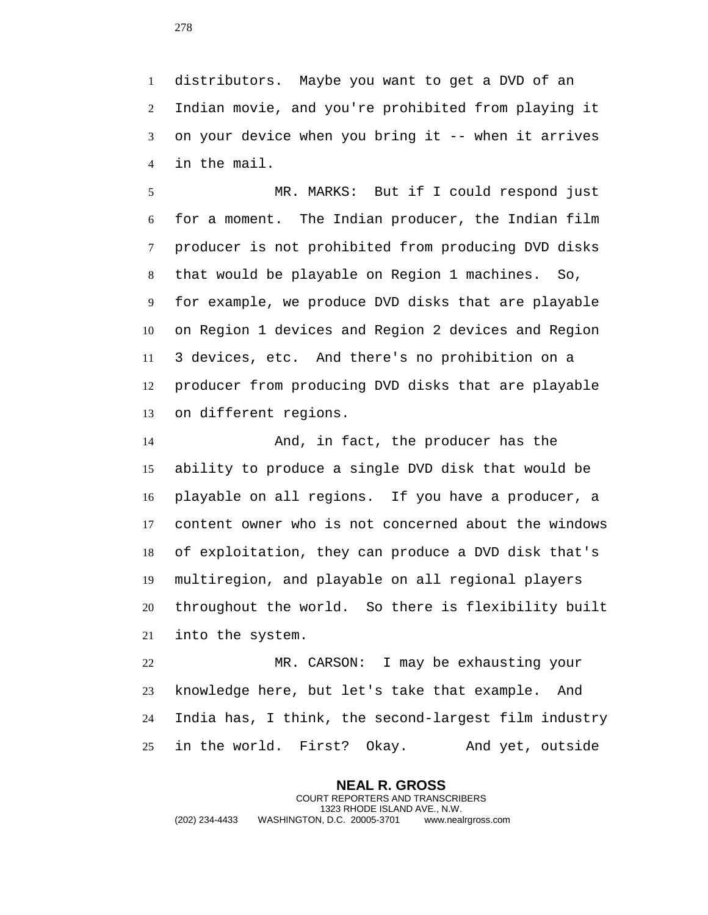distributors. Maybe you want to get a DVD of an Indian movie, and you're prohibited from playing it on your device when you bring it -- when it arrives in the mail.

 MR. MARKS: But if I could respond just for a moment. The Indian producer, the Indian film producer is not prohibited from producing DVD disks that would be playable on Region 1 machines. So, for example, we produce DVD disks that are playable on Region 1 devices and Region 2 devices and Region 3 devices, etc. And there's no prohibition on a producer from producing DVD disks that are playable on different regions.

 And, in fact, the producer has the ability to produce a single DVD disk that would be playable on all regions. If you have a producer, a content owner who is not concerned about the windows of exploitation, they can produce a DVD disk that's multiregion, and playable on all regional players throughout the world. So there is flexibility built into the system.

 MR. CARSON: I may be exhausting your knowledge here, but let's take that example. And India has, I think, the second-largest film industry in the world. First? Okay. And yet, outside

**NEAL R. GROSS** COURT REPORTERS AND TRANSCRIBERS 1323 RHODE ISLAND AVE., N.W. (202) 234-4433 WASHINGTON, D.C. 20005-3701 www.nealrgross.com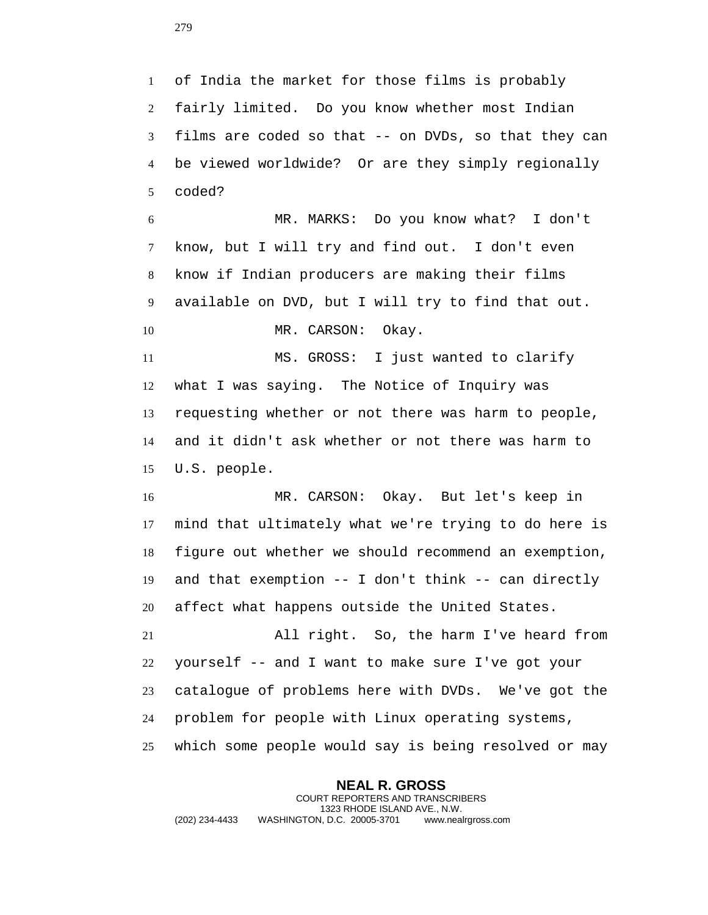of India the market for those films is probably fairly limited. Do you know whether most Indian films are coded so that -- on DVDs, so that they can be viewed worldwide? Or are they simply regionally coded?

 MR. MARKS: Do you know what? I don't know, but I will try and find out. I don't even know if Indian producers are making their films available on DVD, but I will try to find that out. 10 MR. CARSON: Okay.

 MS. GROSS: I just wanted to clarify what I was saying. The Notice of Inquiry was requesting whether or not there was harm to people, and it didn't ask whether or not there was harm to U.S. people.

 MR. CARSON: Okay. But let's keep in mind that ultimately what we're trying to do here is figure out whether we should recommend an exemption, and that exemption -- I don't think -- can directly affect what happens outside the United States. All right. So, the harm I've heard from

 yourself -- and I want to make sure I've got your catalogue of problems here with DVDs. We've got the problem for people with Linux operating systems, which some people would say is being resolved or may

**NEAL R. GROSS** COURT REPORTERS AND TRANSCRIBERS 1323 RHODE ISLAND AVE., N.W. (202) 234-4433 WASHINGTON, D.C. 20005-3701 www.nealrgross.com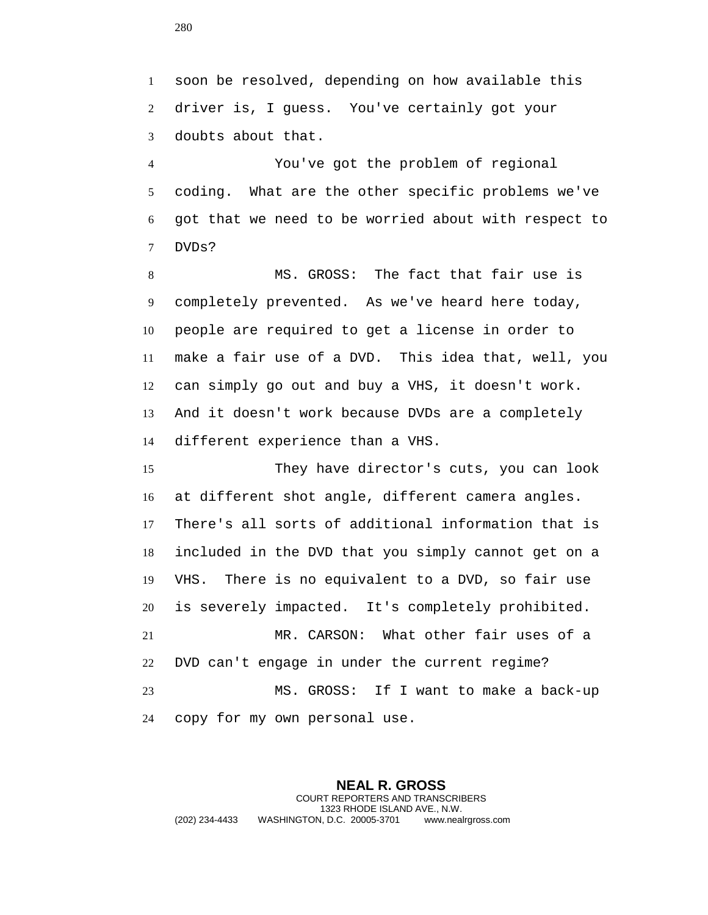soon be resolved, depending on how available this driver is, I guess. You've certainly got your doubts about that.

 You've got the problem of regional coding. What are the other specific problems we've got that we need to be worried about with respect to DVDs?

 MS. GROSS: The fact that fair use is completely prevented. As we've heard here today, people are required to get a license in order to make a fair use of a DVD. This idea that, well, you can simply go out and buy a VHS, it doesn't work. And it doesn't work because DVDs are a completely different experience than a VHS.

 They have director's cuts, you can look at different shot angle, different camera angles. There's all sorts of additional information that is included in the DVD that you simply cannot get on a VHS. There is no equivalent to a DVD, so fair use is severely impacted. It's completely prohibited. MR. CARSON: What other fair uses of a DVD can't engage in under the current regime? MS. GROSS: If I want to make a back-up copy for my own personal use.

**NEAL R. GROSS** COURT REPORTERS AND TRANSCRIBERS 1323 RHODE ISLAND AVE., N.W. (202) 234-4433 WASHINGTON, D.C. 20005-3701 www.nealrgross.com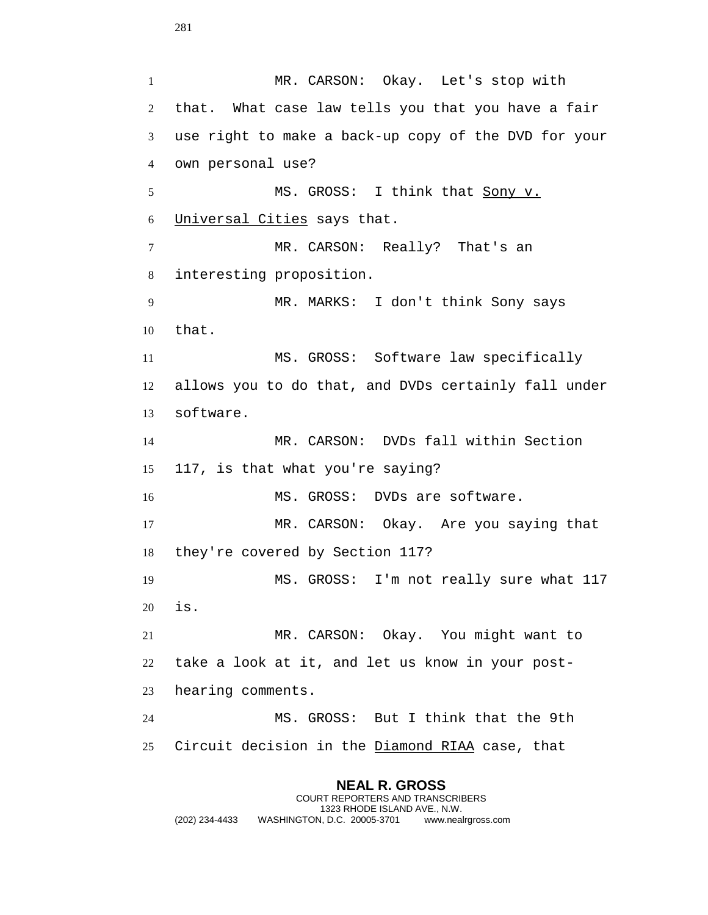**NEAL R. GROSS** MR. CARSON: Okay. Let's stop with that. What case law tells you that you have a fair use right to make a back-up copy of the DVD for your own personal use? MS. GROSS: I think that Sony v. Universal Cities says that. 7 MR. CARSON: Really? That's an interesting proposition. MR. MARKS: I don't think Sony says that. MS. GROSS: Software law specifically allows you to do that, and DVDs certainly fall under software. MR. CARSON: DVDs fall within Section 117, is that what you're saying? MS. GROSS: DVDs are software. MR. CARSON: Okay. Are you saying that they're covered by Section 117? MS. GROSS: I'm not really sure what 117 is. MR. CARSON: Okay. You might want to take a look at it, and let us know in your post- hearing comments. MS. GROSS: But I think that the 9th Circuit decision in the Diamond RIAA case, that

COURT REPORTERS AND TRANSCRIBERS 1323 RHODE ISLAND AVE., N.W. (202) 234-4433 WASHINGTON, D.C. 20005-3701 www.nealrgross.com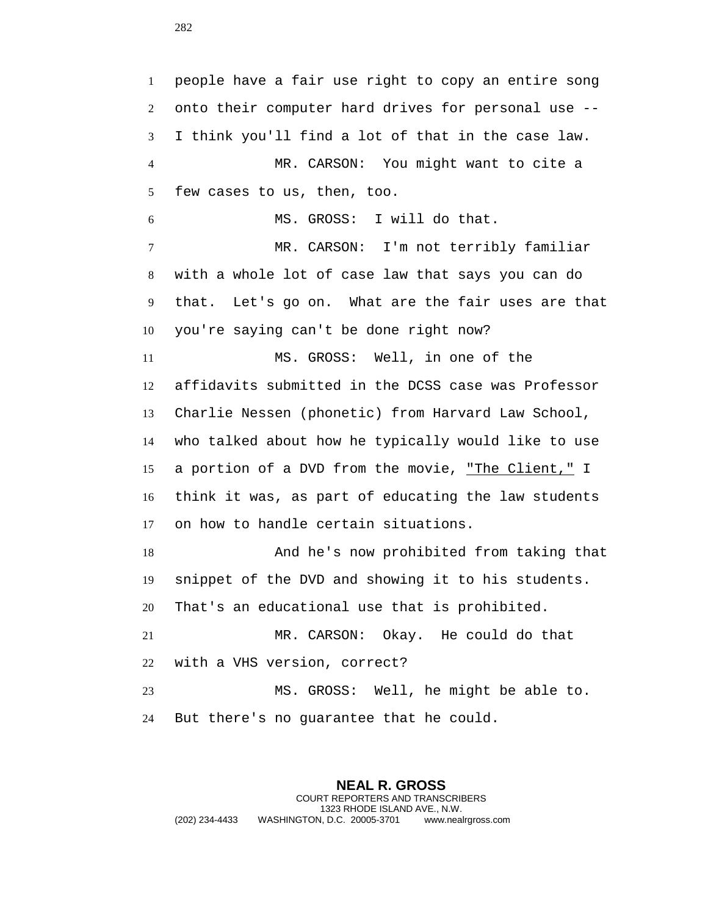people have a fair use right to copy an entire song onto their computer hard drives for personal use -- I think you'll find a lot of that in the case law. MR. CARSON: You might want to cite a few cases to us, then, too. MS. GROSS: I will do that. MR. CARSON: I'm not terribly familiar with a whole lot of case law that says you can do that. Let's go on. What are the fair uses are that you're saying can't be done right now? MS. GROSS: Well, in one of the affidavits submitted in the DCSS case was Professor Charlie Nessen (phonetic) from Harvard Law School, who talked about how he typically would like to use a portion of a DVD from the movie, "The Client," I think it was, as part of educating the law students on how to handle certain situations. And he's now prohibited from taking that snippet of the DVD and showing it to his students. That's an educational use that is prohibited. MR. CARSON: Okay. He could do that with a VHS version, correct? MS. GROSS: Well, he might be able to. But there's no guarantee that he could.

**NEAL R. GROSS** COURT REPORTERS AND TRANSCRIBERS 1323 RHODE ISLAND AVE., N.W. (202) 234-4433 WASHINGTON, D.C. 20005-3701 www.nealrgross.com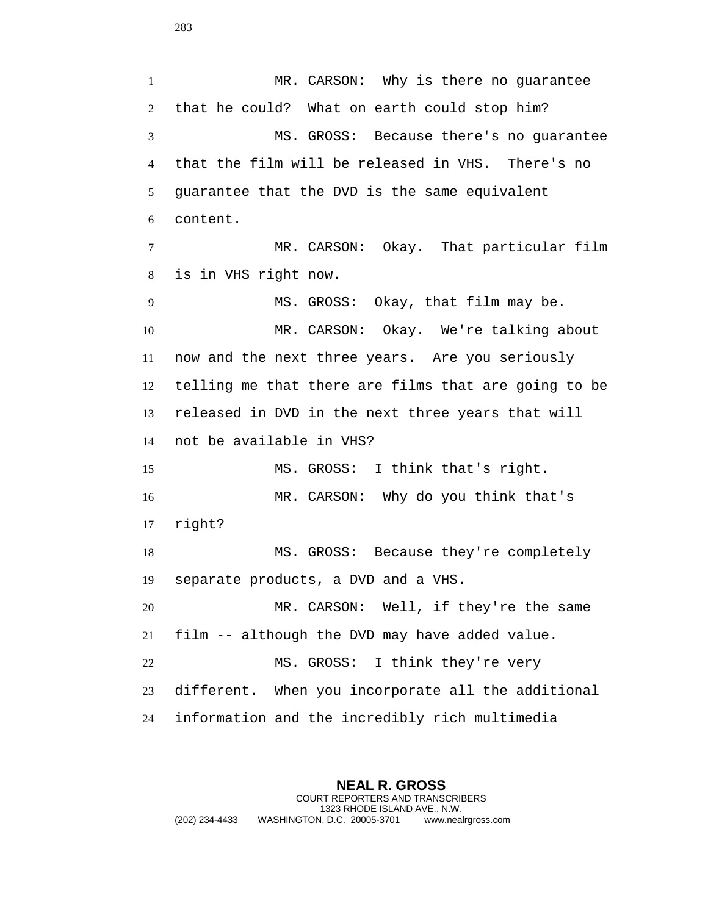1 MR. CARSON: Why is there no guarantee that he could? What on earth could stop him? MS. GROSS: Because there's no guarantee that the film will be released in VHS. There's no guarantee that the DVD is the same equivalent content. MR. CARSON: Okay. That particular film is in VHS right now. MS. GROSS: Okay, that film may be. MR. CARSON: Okay. We're talking about now and the next three years. Are you seriously telling me that there are films that are going to be released in DVD in the next three years that will not be available in VHS? MS. GROSS: I think that's right. MR. CARSON: Why do you think that's right? MS. GROSS: Because they're completely separate products, a DVD and a VHS. MR. CARSON: Well, if they're the same film -- although the DVD may have added value. MS. GROSS: I think they're very different. When you incorporate all the additional information and the incredibly rich multimedia

**NEAL R. GROSS** COURT REPORTERS AND TRANSCRIBERS 1323 RHODE ISLAND AVE., N.W. (202) 234-4433 WASHINGTON, D.C. 20005-3701 www.nealrgross.com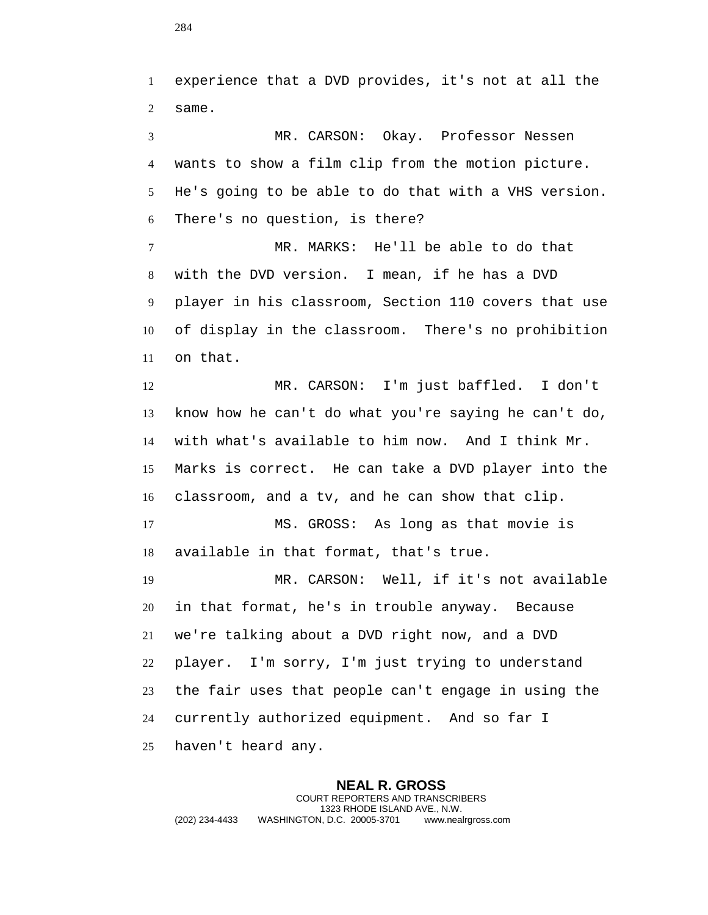experience that a DVD provides, it's not at all the same. MR. CARSON: Okay. Professor Nessen wants to show a film clip from the motion picture. He's going to be able to do that with a VHS version. There's no question, is there? MR. MARKS: He'll be able to do that with the DVD version. I mean, if he has a DVD player in his classroom, Section 110 covers that use of display in the classroom. There's no prohibition on that. MR. CARSON: I'm just baffled. I don't know how he can't do what you're saying he can't do, with what's available to him now. And I think Mr. Marks is correct. He can take a DVD player into the classroom, and a tv, and he can show that clip. MS. GROSS: As long as that movie is available in that format, that's true. MR. CARSON: Well, if it's not available in that format, he's in trouble anyway. Because we're talking about a DVD right now, and a DVD player. I'm sorry, I'm just trying to understand the fair uses that people can't engage in using the currently authorized equipment. And so far I

haven't heard any.

**NEAL R. GROSS** COURT REPORTERS AND TRANSCRIBERS 1323 RHODE ISLAND AVE., N.W. (202) 234-4433 WASHINGTON, D.C. 20005-3701 www.nealrgross.com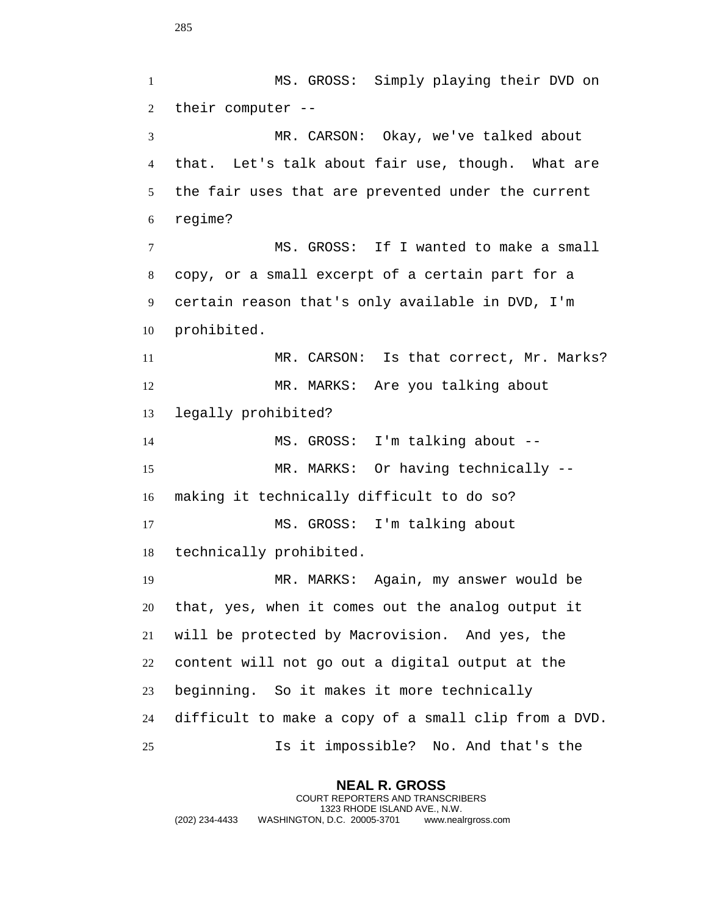MS. GROSS: Simply playing their DVD on their computer -- MR. CARSON: Okay, we've talked about that. Let's talk about fair use, though. What are the fair uses that are prevented under the current regime? MS. GROSS: If I wanted to make a small copy, or a small excerpt of a certain part for a certain reason that's only available in DVD, I'm prohibited. MR. CARSON: Is that correct, Mr. Marks? MR. MARKS: Are you talking about legally prohibited? MS. GROSS: I'm talking about -- MR. MARKS: Or having technically -- making it technically difficult to do so? MS. GROSS: I'm talking about technically prohibited. MR. MARKS: Again, my answer would be that, yes, when it comes out the analog output it will be protected by Macrovision. And yes, the content will not go out a digital output at the beginning. So it makes it more technically difficult to make a copy of a small clip from a DVD. Is it impossible? No. And that's the

**NEAL R. GROSS** COURT REPORTERS AND TRANSCRIBERS 1323 RHODE ISLAND AVE., N.W. (202) 234-4433 WASHINGTON, D.C. 20005-3701 www.nealrgross.com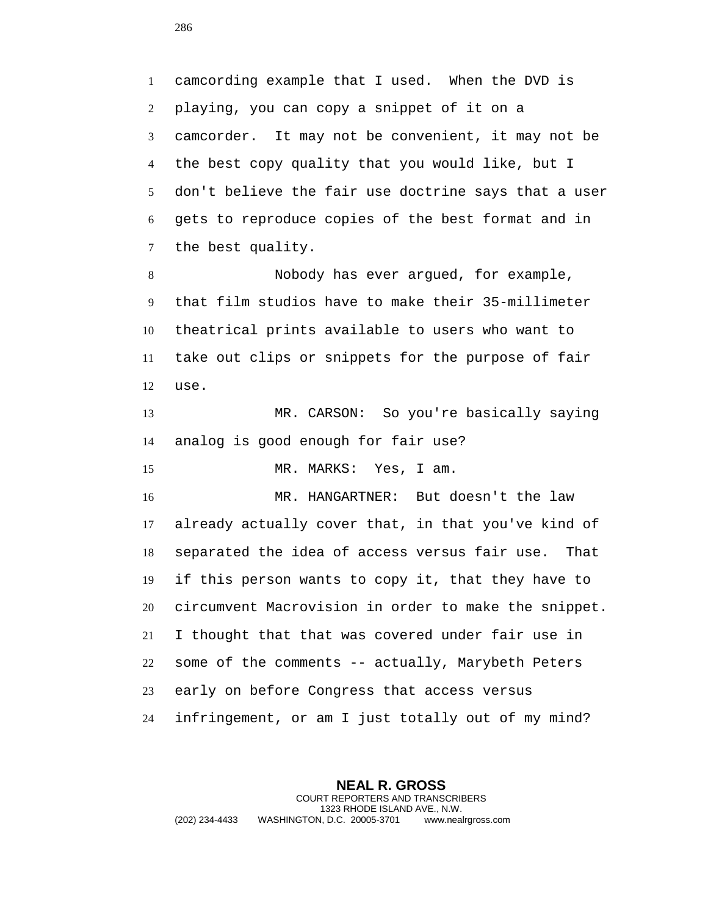camcording example that I used. When the DVD is playing, you can copy a snippet of it on a camcorder. It may not be convenient, it may not be the best copy quality that you would like, but I don't believe the fair use doctrine says that a user gets to reproduce copies of the best format and in the best quality.

 Nobody has ever argued, for example, that film studios have to make their 35-millimeter theatrical prints available to users who want to take out clips or snippets for the purpose of fair use.

 MR. CARSON: So you're basically saying analog is good enough for fair use?

MR. MARKS: Yes, I am.

 MR. HANGARTNER: But doesn't the law already actually cover that, in that you've kind of separated the idea of access versus fair use. That if this person wants to copy it, that they have to circumvent Macrovision in order to make the snippet. I thought that that was covered under fair use in some of the comments -- actually, Marybeth Peters early on before Congress that access versus infringement, or am I just totally out of my mind?

**NEAL R. GROSS** COURT REPORTERS AND TRANSCRIBERS 1323 RHODE ISLAND AVE., N.W. (202) 234-4433 WASHINGTON, D.C. 20005-3701 www.nealrgross.com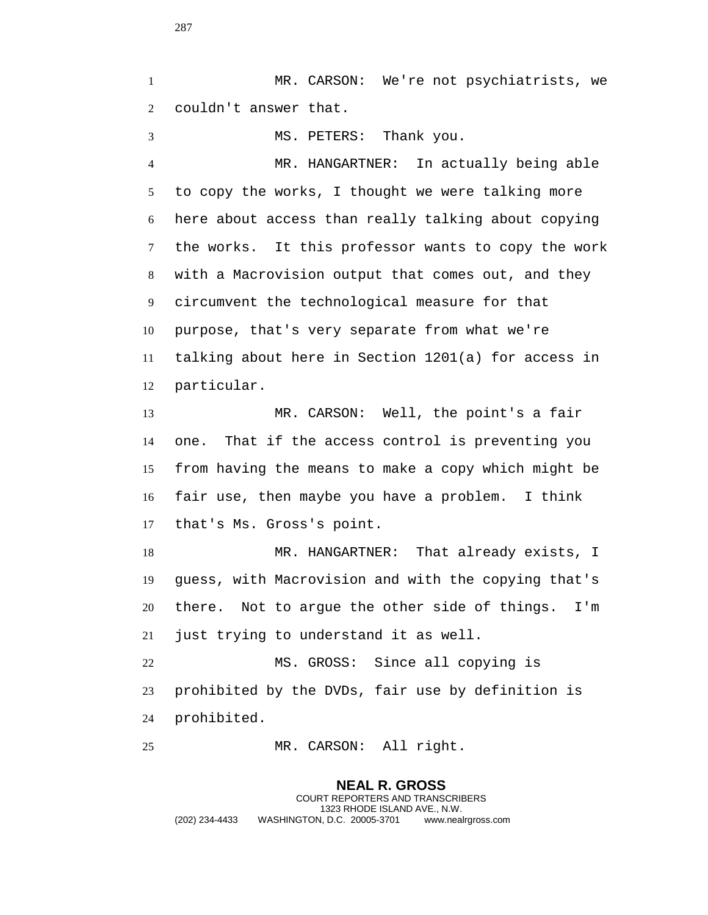MR. CARSON: We're not psychiatrists, we couldn't answer that. MS. PETERS: Thank you. MR. HANGARTNER: In actually being able to copy the works, I thought we were talking more here about access than really talking about copying the works. It this professor wants to copy the work with a Macrovision output that comes out, and they circumvent the technological measure for that purpose, that's very separate from what we're talking about here in Section 1201(a) for access in particular. MR. CARSON: Well, the point's a fair one. That if the access control is preventing you from having the means to make a copy which might be fair use, then maybe you have a problem. I think that's Ms. Gross's point. MR. HANGARTNER: That already exists, I guess, with Macrovision and with the copying that's there. Not to argue the other side of things. I'm just trying to understand it as well. MS. GROSS: Since all copying is prohibited by the DVDs, fair use by definition is prohibited. MR. CARSON: All right.

**NEAL R. GROSS** COURT REPORTERS AND TRANSCRIBERS 1323 RHODE ISLAND AVE., N.W. (202) 234-4433 WASHINGTON, D.C. 20005-3701 www.nealrgross.com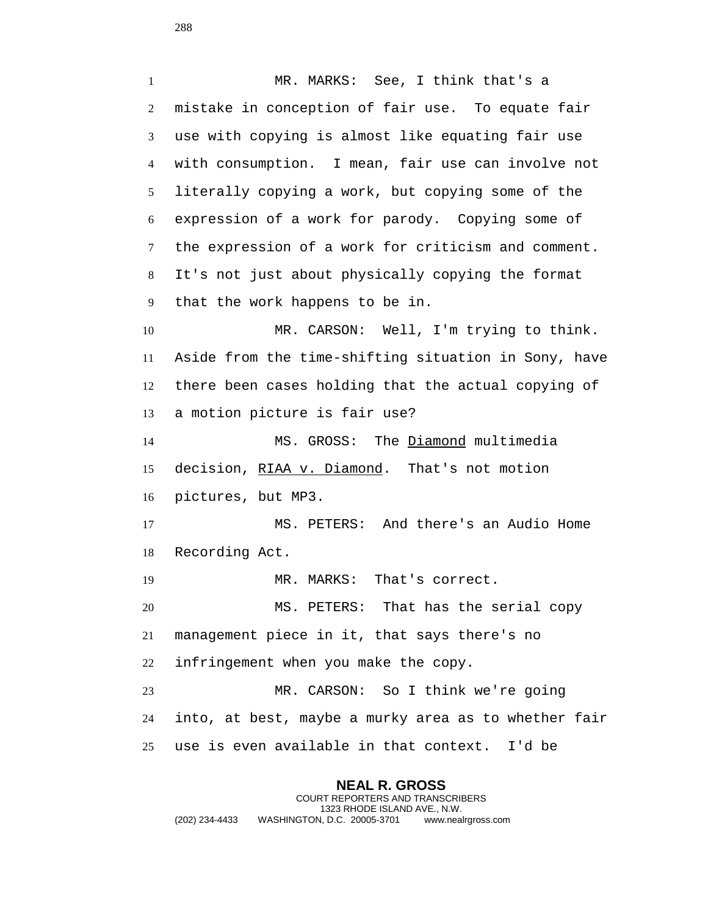MR. MARKS: See, I think that's a mistake in conception of fair use. To equate fair use with copying is almost like equating fair use with consumption. I mean, fair use can involve not literally copying a work, but copying some of the expression of a work for parody. Copying some of the expression of a work for criticism and comment. It's not just about physically copying the format that the work happens to be in. MR. CARSON: Well, I'm trying to think. Aside from the time-shifting situation in Sony, have there been cases holding that the actual copying of a motion picture is fair use? MS. GROSS: The Diamond multimedia 15 decision, RIAA v. Diamond. That's not motion pictures, but MP3. MS. PETERS: And there's an Audio Home Recording Act. MR. MARKS: That's correct. MS. PETERS: That has the serial copy management piece in it, that says there's no infringement when you make the copy. MR. CARSON: So I think we're going into, at best, maybe a murky area as to whether fair use is even available in that context. I'd be

**NEAL R. GROSS** COURT REPORTERS AND TRANSCRIBERS 1323 RHODE ISLAND AVE., N.W. (202) 234-4433 WASHINGTON, D.C. 20005-3701 www.nealrgross.com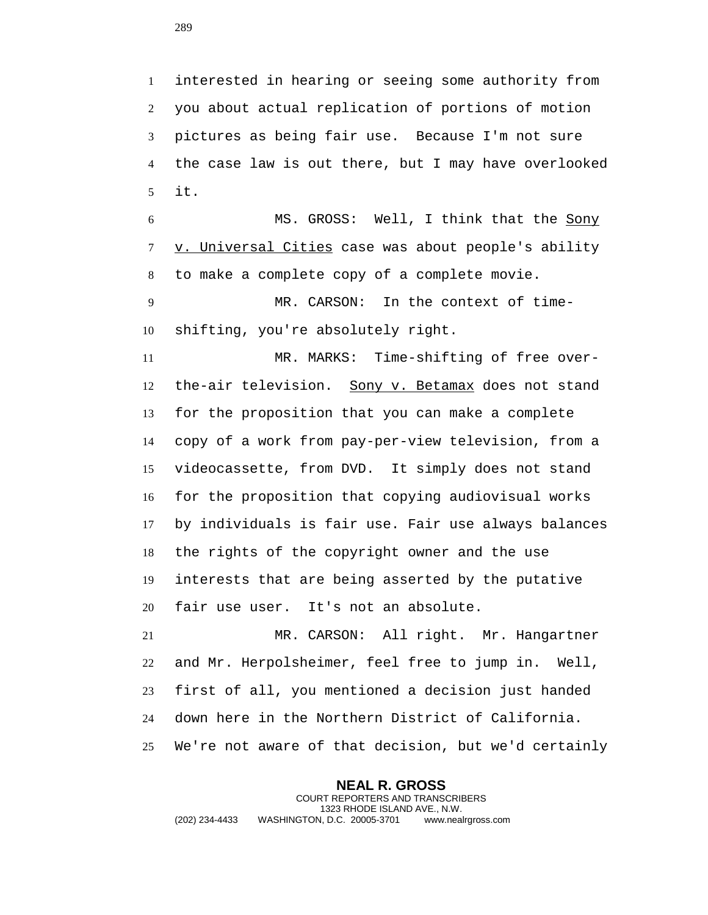interested in hearing or seeing some authority from you about actual replication of portions of motion pictures as being fair use. Because I'm not sure the case law is out there, but I may have overlooked it.

 MS. GROSS: Well, I think that the Sony v. Universal Cities case was about people's ability to make a complete copy of a complete movie.

 MR. CARSON: In the context of time-shifting, you're absolutely right.

 MR. MARKS: Time-shifting of free over-12 the-air television. Sony v. Betamax does not stand for the proposition that you can make a complete copy of a work from pay-per-view television, from a videocassette, from DVD. It simply does not stand for the proposition that copying audiovisual works by individuals is fair use. Fair use always balances the rights of the copyright owner and the use interests that are being asserted by the putative fair use user. It's not an absolute.

 MR. CARSON: All right. Mr. Hangartner and Mr. Herpolsheimer, feel free to jump in. Well, first of all, you mentioned a decision just handed down here in the Northern District of California. We're not aware of that decision, but we'd certainly

**NEAL R. GROSS** COURT REPORTERS AND TRANSCRIBERS 1323 RHODE ISLAND AVE., N.W. (202) 234-4433 WASHINGTON, D.C. 20005-3701 www.nealrgross.com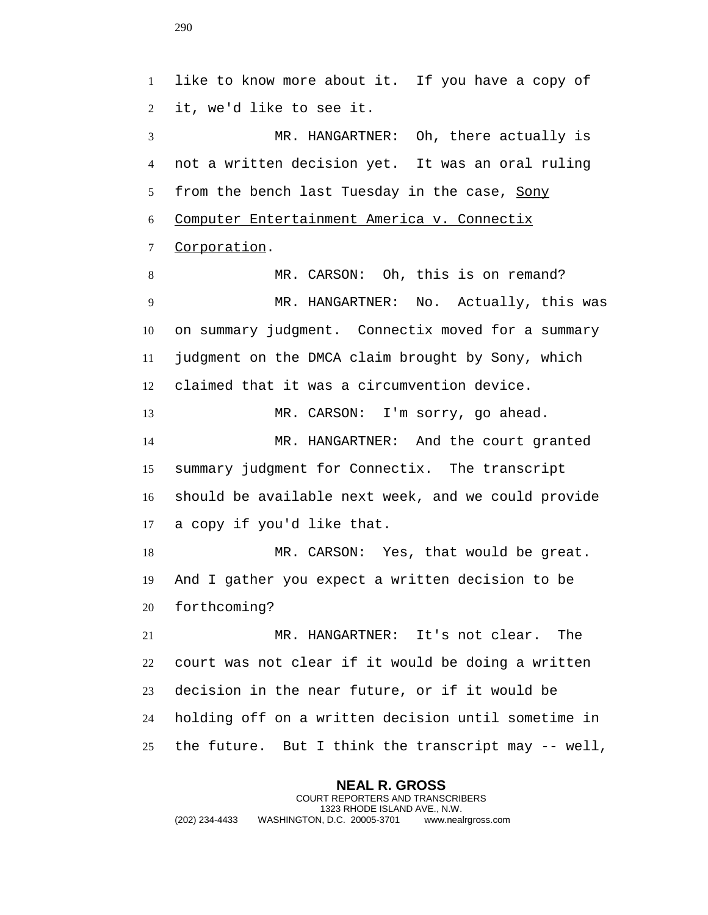like to know more about it. If you have a copy of it, we'd like to see it. MR. HANGARTNER: Oh, there actually is not a written decision yet. It was an oral ruling from the bench last Tuesday in the case, Sony Computer Entertainment America v. Connectix Corporation. MR. CARSON: Oh, this is on remand? MR. HANGARTNER: No. Actually, this was on summary judgment. Connectix moved for a summary judgment on the DMCA claim brought by Sony, which claimed that it was a circumvention device. 13 MR. CARSON: I'm sorry, go ahead. MR. HANGARTNER: And the court granted summary judgment for Connectix. The transcript should be available next week, and we could provide a copy if you'd like that. MR. CARSON: Yes, that would be great. And I gather you expect a written decision to be forthcoming? MR. HANGARTNER: It's not clear. The court was not clear if it would be doing a written decision in the near future, or if it would be holding off on a written decision until sometime in the future. But I think the transcript may -- well,

**NEAL R. GROSS** COURT REPORTERS AND TRANSCRIBERS 1323 RHODE ISLAND AVE., N.W. (202) 234-4433 WASHINGTON, D.C. 20005-3701 www.nealrgross.com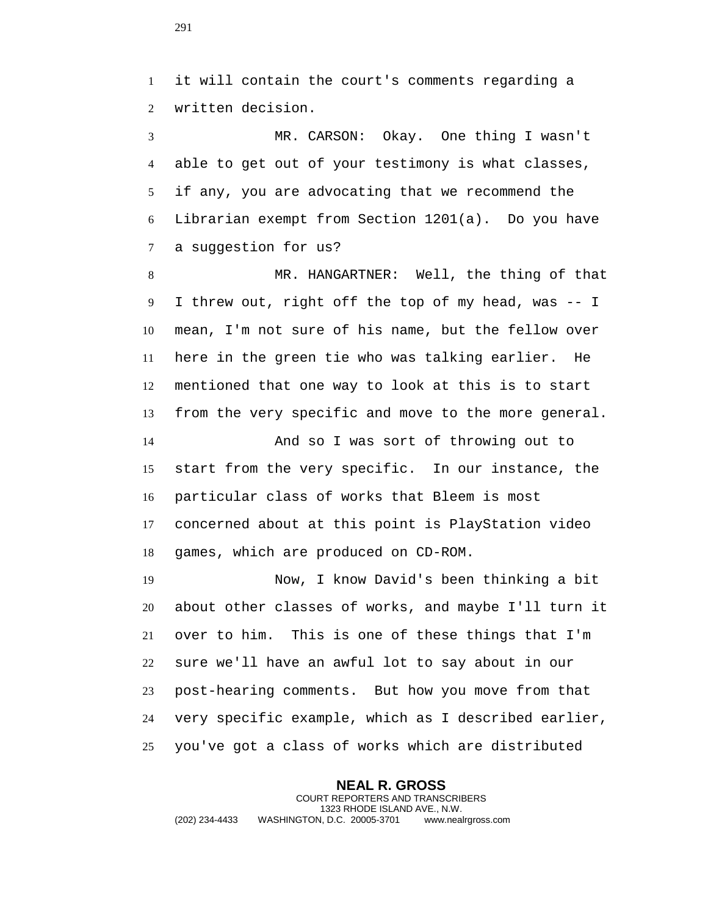it will contain the court's comments regarding a written decision.

 MR. CARSON: Okay. One thing I wasn't able to get out of your testimony is what classes, if any, you are advocating that we recommend the Librarian exempt from Section 1201(a). Do you have a suggestion for us?

 MR. HANGARTNER: Well, the thing of that I threw out, right off the top of my head, was -- I mean, I'm not sure of his name, but the fellow over here in the green tie who was talking earlier. He mentioned that one way to look at this is to start from the very specific and move to the more general.

 And so I was sort of throwing out to start from the very specific. In our instance, the particular class of works that Bleem is most concerned about at this point is PlayStation video games, which are produced on CD-ROM.

 Now, I know David's been thinking a bit about other classes of works, and maybe I'll turn it over to him. This is one of these things that I'm sure we'll have an awful lot to say about in our post-hearing comments. But how you move from that very specific example, which as I described earlier, you've got a class of works which are distributed

**NEAL R. GROSS** COURT REPORTERS AND TRANSCRIBERS 1323 RHODE ISLAND AVE., N.W. (202) 234-4433 WASHINGTON, D.C. 20005-3701 www.nealrgross.com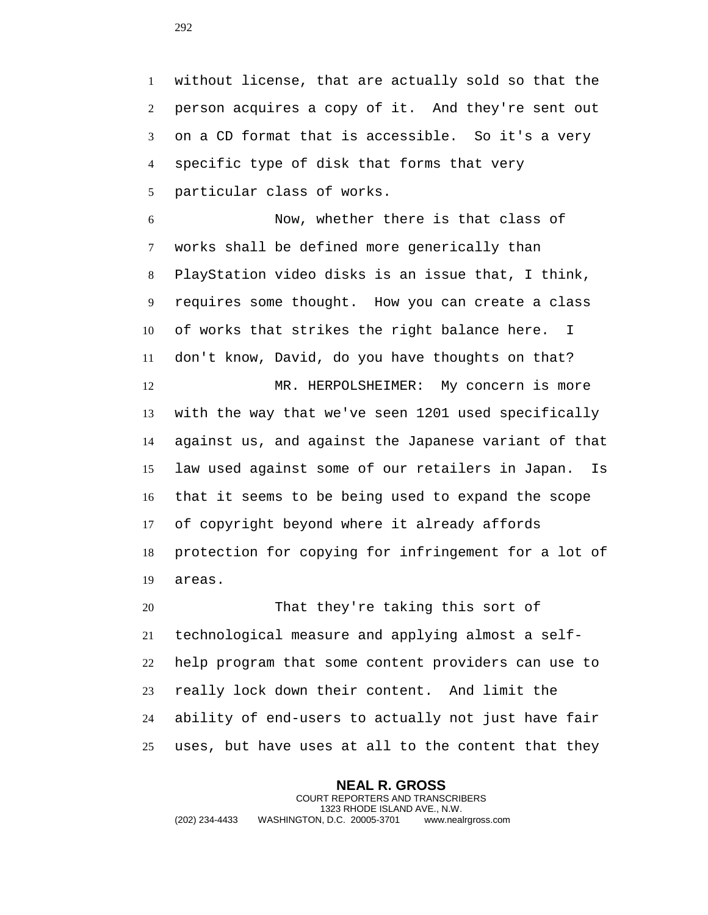without license, that are actually sold so that the person acquires a copy of it. And they're sent out on a CD format that is accessible. So it's a very specific type of disk that forms that very particular class of works.

 Now, whether there is that class of works shall be defined more generically than PlayStation video disks is an issue that, I think, requires some thought. How you can create a class of works that strikes the right balance here. I don't know, David, do you have thoughts on that? MR. HERPOLSHEIMER: My concern is more with the way that we've seen 1201 used specifically against us, and against the Japanese variant of that law used against some of our retailers in Japan. Is that it seems to be being used to expand the scope of copyright beyond where it already affords protection for copying for infringement for a lot of areas.

 That they're taking this sort of technological measure and applying almost a self- help program that some content providers can use to really lock down their content. And limit the ability of end-users to actually not just have fair uses, but have uses at all to the content that they

**NEAL R. GROSS** COURT REPORTERS AND TRANSCRIBERS 1323 RHODE ISLAND AVE., N.W. (202) 234-4433 WASHINGTON, D.C. 20005-3701 www.nealrgross.com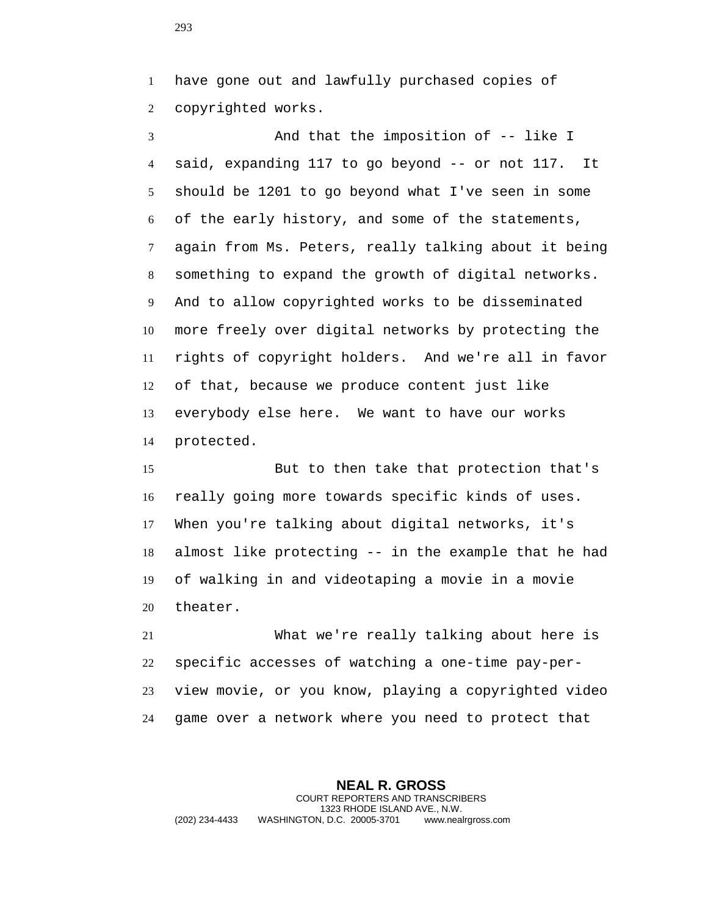have gone out and lawfully purchased copies of copyrighted works.

 And that the imposition of -- like I said, expanding 117 to go beyond -- or not 117. It should be 1201 to go beyond what I've seen in some of the early history, and some of the statements, again from Ms. Peters, really talking about it being something to expand the growth of digital networks. And to allow copyrighted works to be disseminated more freely over digital networks by protecting the rights of copyright holders. And we're all in favor of that, because we produce content just like everybody else here. We want to have our works protected.

 But to then take that protection that's really going more towards specific kinds of uses. When you're talking about digital networks, it's almost like protecting -- in the example that he had of walking in and videotaping a movie in a movie theater.

 What we're really talking about here is specific accesses of watching a one-time pay-per- view movie, or you know, playing a copyrighted video game over a network where you need to protect that

**NEAL R. GROSS** COURT REPORTERS AND TRANSCRIBERS 1323 RHODE ISLAND AVE., N.W. (202) 234-4433 WASHINGTON, D.C. 20005-3701 www.nealrgross.com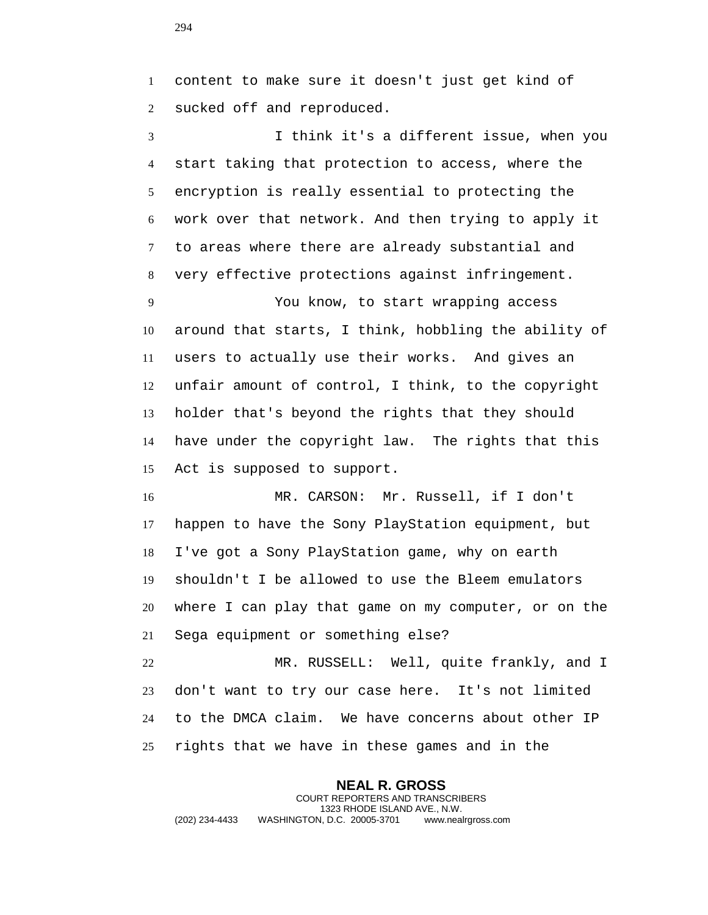content to make sure it doesn't just get kind of sucked off and reproduced.

 I think it's a different issue, when you start taking that protection to access, where the encryption is really essential to protecting the work over that network. And then trying to apply it to areas where there are already substantial and very effective protections against infringement.

 You know, to start wrapping access around that starts, I think, hobbling the ability of users to actually use their works. And gives an unfair amount of control, I think, to the copyright holder that's beyond the rights that they should have under the copyright law. The rights that this Act is supposed to support.

 MR. CARSON: Mr. Russell, if I don't happen to have the Sony PlayStation equipment, but I've got a Sony PlayStation game, why on earth shouldn't I be allowed to use the Bleem emulators where I can play that game on my computer, or on the Sega equipment or something else?

 MR. RUSSELL: Well, quite frankly, and I don't want to try our case here. It's not limited to the DMCA claim. We have concerns about other IP rights that we have in these games and in the

**NEAL R. GROSS** COURT REPORTERS AND TRANSCRIBERS 1323 RHODE ISLAND AVE., N.W. (202) 234-4433 WASHINGTON, D.C. 20005-3701 www.nealrgross.com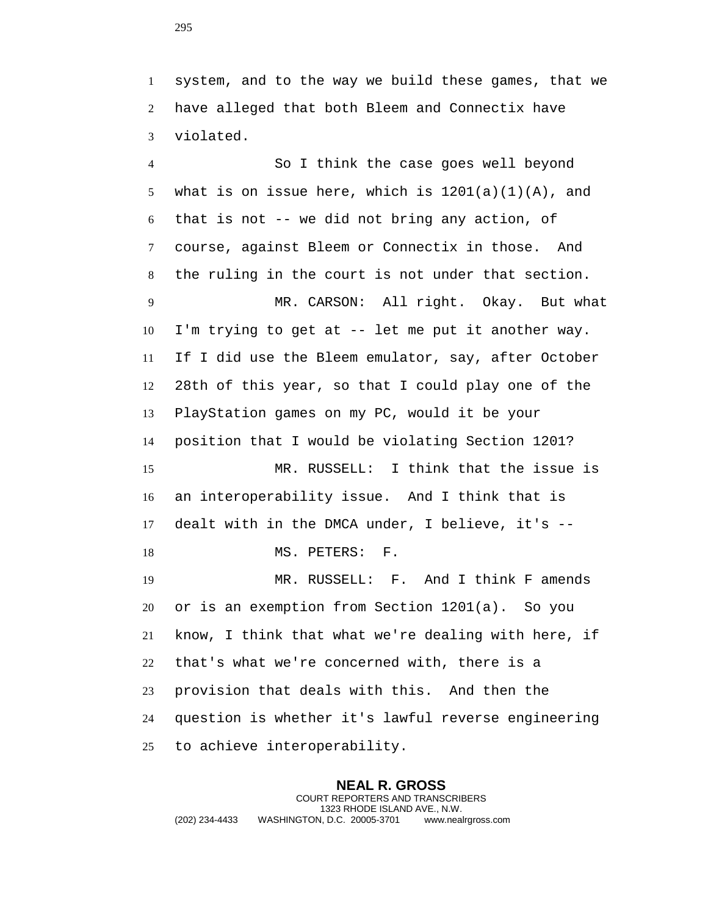system, and to the way we build these games, that we have alleged that both Bleem and Connectix have violated.

 So I think the case goes well beyond 5 what is on issue here, which is  $1201(a)(1)(A)$ , and that is not -- we did not bring any action, of course, against Bleem or Connectix in those. And the ruling in the court is not under that section. MR. CARSON: All right. Okay. But what I'm trying to get at -- let me put it another way. If I did use the Bleem emulator, say, after October 28th of this year, so that I could play one of the PlayStation games on my PC, would it be your position that I would be violating Section 1201? MR. RUSSELL: I think that the issue is an interoperability issue. And I think that is dealt with in the DMCA under, I believe, it's -- 18 MS. PETERS: F. MR. RUSSELL: F. And I think F amends or is an exemption from Section 1201(a). So you know, I think that what we're dealing with here, if that's what we're concerned with, there is a provision that deals with this. And then the question is whether it's lawful reverse engineering to achieve interoperability.

**NEAL R. GROSS** COURT REPORTERS AND TRANSCRIBERS 1323 RHODE ISLAND AVE., N.W. (202) 234-4433 WASHINGTON, D.C. 20005-3701 www.nealrgross.com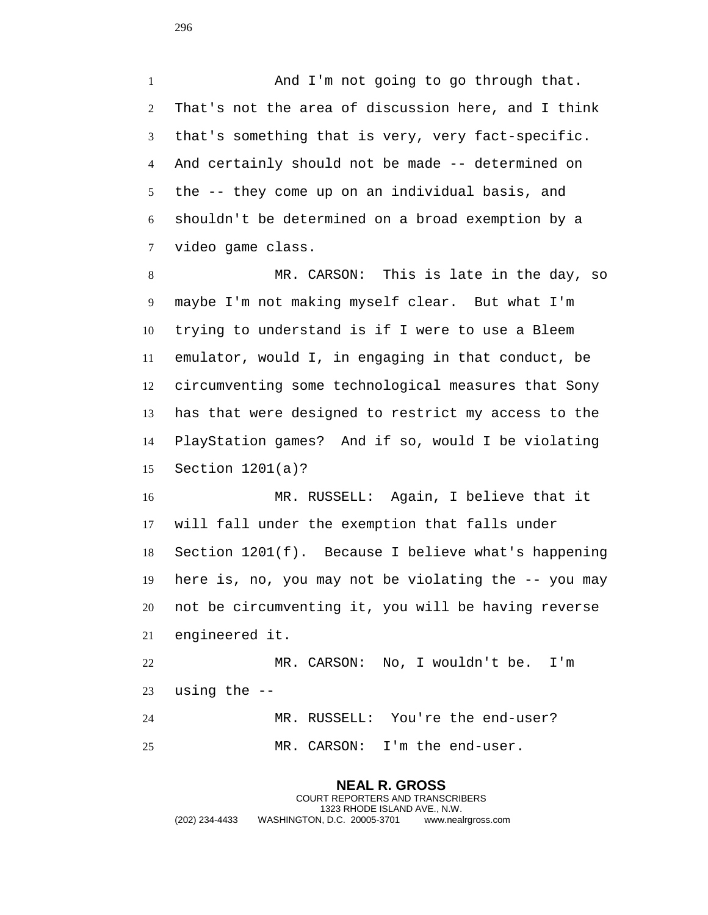1 And I'm not going to go through that. That's not the area of discussion here, and I think that's something that is very, very fact-specific. And certainly should not be made -- determined on the -- they come up on an individual basis, and shouldn't be determined on a broad exemption by a video game class.

 MR. CARSON: This is late in the day, so maybe I'm not making myself clear. But what I'm trying to understand is if I were to use a Bleem emulator, would I, in engaging in that conduct, be circumventing some technological measures that Sony has that were designed to restrict my access to the PlayStation games? And if so, would I be violating Section 1201(a)?

 MR. RUSSELL: Again, I believe that it will fall under the exemption that falls under Section 1201(f). Because I believe what's happening here is, no, you may not be violating the -- you may not be circumventing it, you will be having reverse engineered it.

 MR. CARSON: No, I wouldn't be. I'm using the -- MR. RUSSELL: You're the end-user? MR. CARSON: I'm the end-user.

**NEAL R. GROSS**

COURT REPORTERS AND TRANSCRIBERS 1323 RHODE ISLAND AVE., N.W. (202) 234-4433 WASHINGTON, D.C. 20005-3701 www.nealrgross.com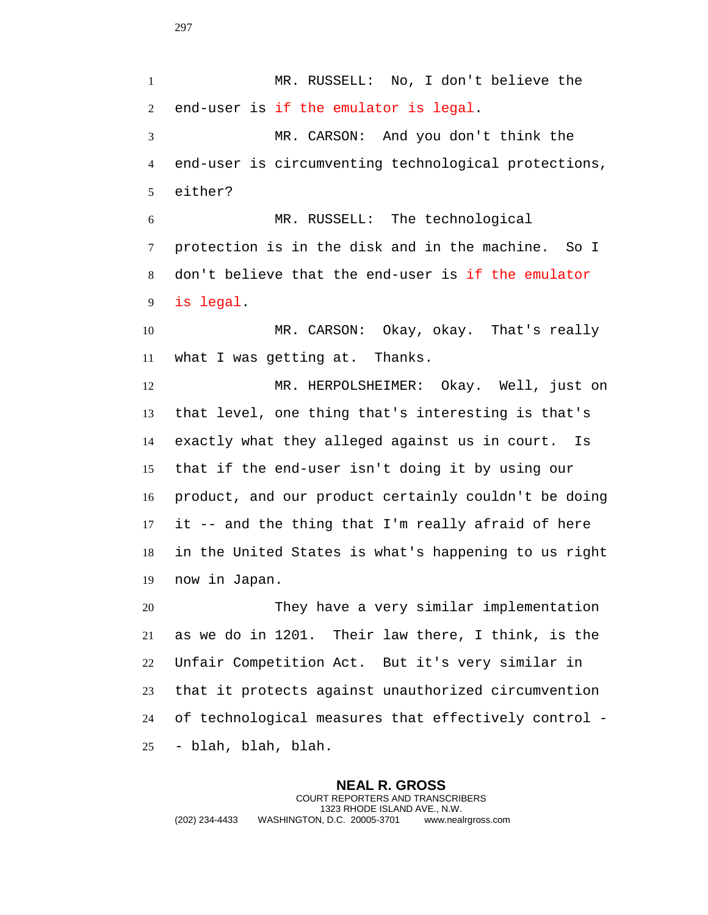MR. RUSSELL: No, I don't believe the end-user is if the emulator is legal. MR. CARSON: And you don't think the end-user is circumventing technological protections, either? MR. RUSSELL: The technological protection is in the disk and in the machine. So I don't believe that the end-user is if the emulator is legal. MR. CARSON: Okay, okay. That's really what I was getting at. Thanks. MR. HERPOLSHEIMER: Okay. Well, just on that level, one thing that's interesting is that's exactly what they alleged against us in court. Is that if the end-user isn't doing it by using our product, and our product certainly couldn't be doing it -- and the thing that I'm really afraid of here in the United States is what's happening to us right now in Japan. They have a very similar implementation as we do in 1201. Their law there, I think, is the Unfair Competition Act. But it's very similar in that it protects against unauthorized circumvention of technological measures that effectively control - - blah, blah, blah.

**NEAL R. GROSS** COURT REPORTERS AND TRANSCRIBERS 1323 RHODE ISLAND AVE., N.W. (202) 234-4433 WASHINGTON, D.C. 20005-3701 www.nealrgross.com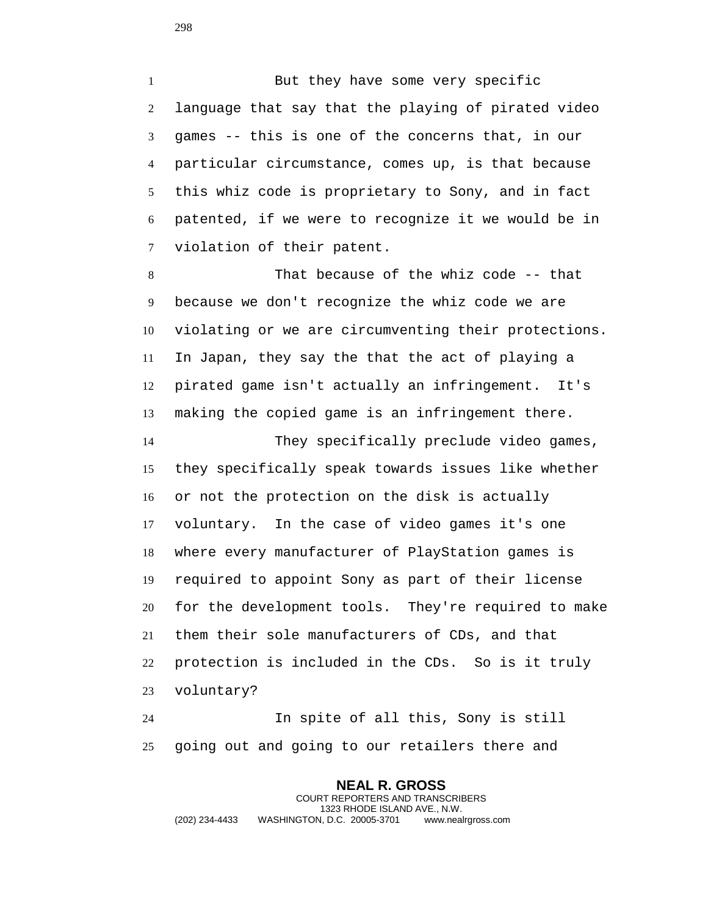1 But they have some very specific language that say that the playing of pirated video games -- this is one of the concerns that, in our particular circumstance, comes up, is that because this whiz code is proprietary to Sony, and in fact patented, if we were to recognize it we would be in violation of their patent.

 That because of the whiz code -- that because we don't recognize the whiz code we are violating or we are circumventing their protections. In Japan, they say the that the act of playing a pirated game isn't actually an infringement. It's making the copied game is an infringement there.

 They specifically preclude video games, they specifically speak towards issues like whether or not the protection on the disk is actually voluntary. In the case of video games it's one where every manufacturer of PlayStation games is required to appoint Sony as part of their license for the development tools. They're required to make them their sole manufacturers of CDs, and that protection is included in the CDs. So is it truly voluntary?

 In spite of all this, Sony is still going out and going to our retailers there and

**NEAL R. GROSS** COURT REPORTERS AND TRANSCRIBERS 1323 RHODE ISLAND AVE., N.W. (202) 234-4433 WASHINGTON, D.C. 20005-3701 www.nealrgross.com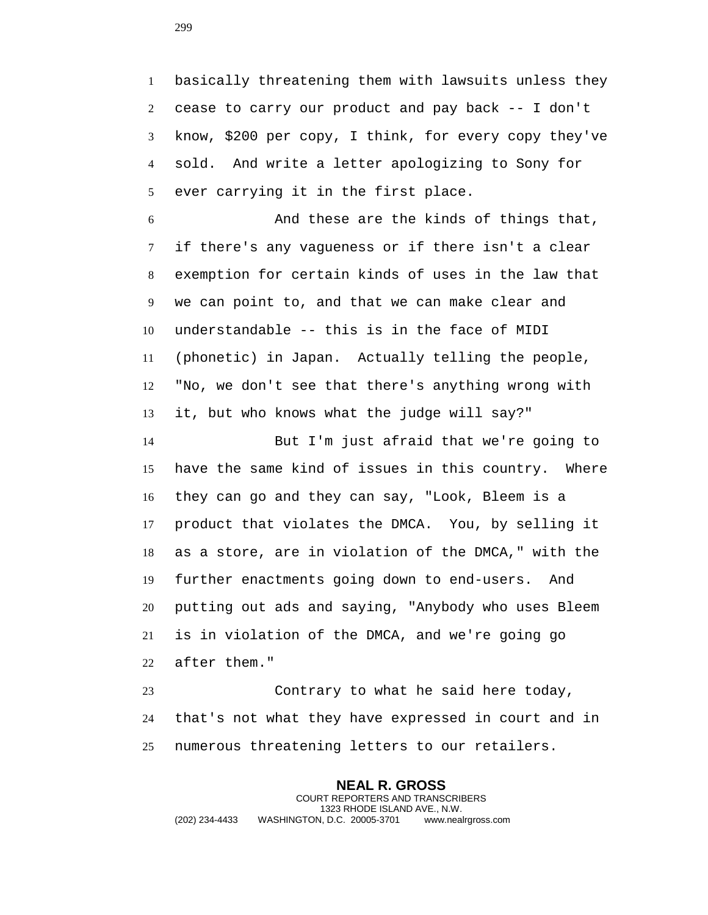basically threatening them with lawsuits unless they cease to carry our product and pay back -- I don't know, \$200 per copy, I think, for every copy they've sold. And write a letter apologizing to Sony for ever carrying it in the first place.

 And these are the kinds of things that, if there's any vagueness or if there isn't a clear exemption for certain kinds of uses in the law that we can point to, and that we can make clear and understandable -- this is in the face of MIDI (phonetic) in Japan. Actually telling the people, "No, we don't see that there's anything wrong with it, but who knows what the judge will say?"

 But I'm just afraid that we're going to have the same kind of issues in this country. Where they can go and they can say, "Look, Bleem is a product that violates the DMCA. You, by selling it as a store, are in violation of the DMCA," with the further enactments going down to end-users. And putting out ads and saying, "Anybody who uses Bleem is in violation of the DMCA, and we're going go after them."

 Contrary to what he said here today, that's not what they have expressed in court and in numerous threatening letters to our retailers.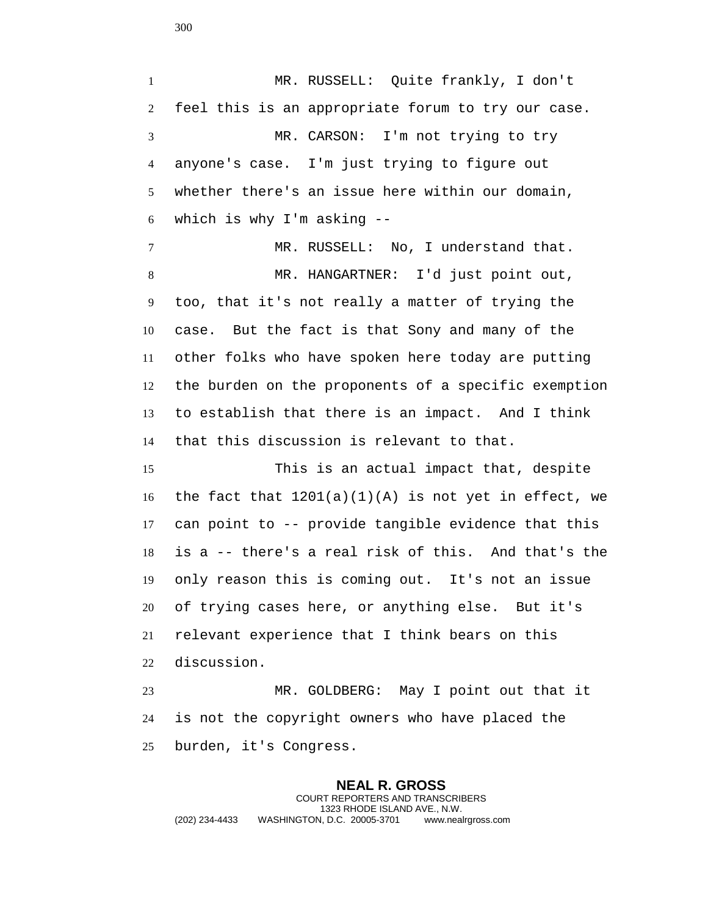MR. RUSSELL: Quite frankly, I don't feel this is an appropriate forum to try our case. MR. CARSON: I'm not trying to try anyone's case. I'm just trying to figure out whether there's an issue here within our domain, which is why I'm asking --

 MR. RUSSELL: No, I understand that. MR. HANGARTNER: I'd just point out, too, that it's not really a matter of trying the case. But the fact is that Sony and many of the other folks who have spoken here today are putting the burden on the proponents of a specific exemption to establish that there is an impact. And I think that this discussion is relevant to that.

 This is an actual impact that, despite 16 the fact that  $1201(a)(1)(A)$  is not yet in effect, we can point to -- provide tangible evidence that this is a -- there's a real risk of this. And that's the only reason this is coming out. It's not an issue of trying cases here, or anything else. But it's relevant experience that I think bears on this discussion.

 MR. GOLDBERG: May I point out that it is not the copyright owners who have placed the burden, it's Congress.

**NEAL R. GROSS** COURT REPORTERS AND TRANSCRIBERS 1323 RHODE ISLAND AVE., N.W. (202) 234-4433 WASHINGTON, D.C. 20005-3701 www.nealrgross.com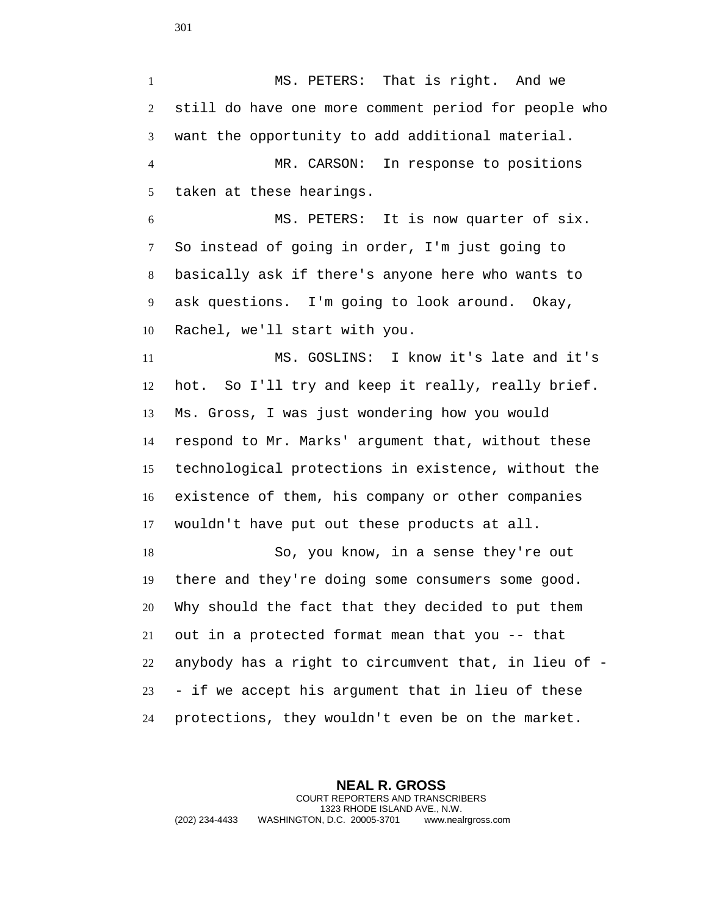MS. PETERS: That is right. And we still do have one more comment period for people who want the opportunity to add additional material. MR. CARSON: In response to positions taken at these hearings.

 MS. PETERS: It is now quarter of six. So instead of going in order, I'm just going to basically ask if there's anyone here who wants to ask questions. I'm going to look around. Okay, Rachel, we'll start with you.

 MS. GOSLINS: I know it's late and it's hot. So I'll try and keep it really, really brief. Ms. Gross, I was just wondering how you would respond to Mr. Marks' argument that, without these technological protections in existence, without the existence of them, his company or other companies wouldn't have put out these products at all.

 So, you know, in a sense they're out there and they're doing some consumers some good. Why should the fact that they decided to put them out in a protected format mean that you -- that anybody has a right to circumvent that, in lieu of - - if we accept his argument that in lieu of these protections, they wouldn't even be on the market.

**NEAL R. GROSS** COURT REPORTERS AND TRANSCRIBERS 1323 RHODE ISLAND AVE., N.W. (202) 234-4433 WASHINGTON, D.C. 20005-3701 www.nealrgross.com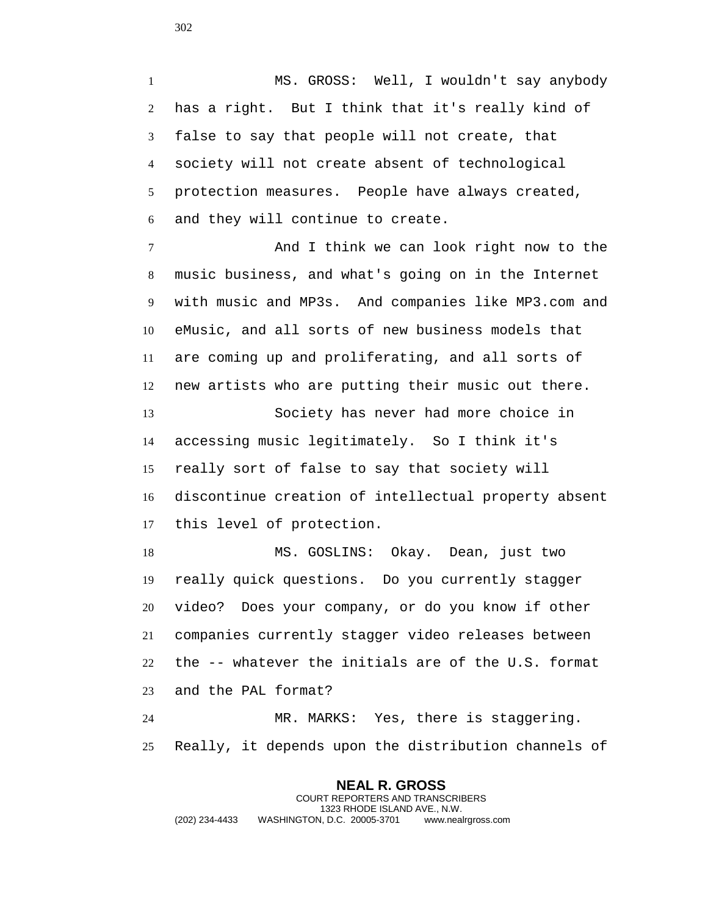MS. GROSS: Well, I wouldn't say anybody has a right. But I think that it's really kind of false to say that people will not create, that society will not create absent of technological protection measures. People have always created, and they will continue to create.

 And I think we can look right now to the music business, and what's going on in the Internet with music and MP3s. And companies like MP3.com and eMusic, and all sorts of new business models that are coming up and proliferating, and all sorts of new artists who are putting their music out there.

 Society has never had more choice in accessing music legitimately. So I think it's really sort of false to say that society will discontinue creation of intellectual property absent this level of protection.

 MS. GOSLINS: Okay. Dean, just two really quick questions. Do you currently stagger video? Does your company, or do you know if other companies currently stagger video releases between the -- whatever the initials are of the U.S. format and the PAL format?

 MR. MARKS: Yes, there is staggering. Really, it depends upon the distribution channels of

**NEAL R. GROSS** COURT REPORTERS AND TRANSCRIBERS 1323 RHODE ISLAND AVE., N.W. (202) 234-4433 WASHINGTON, D.C. 20005-3701 www.nealrgross.com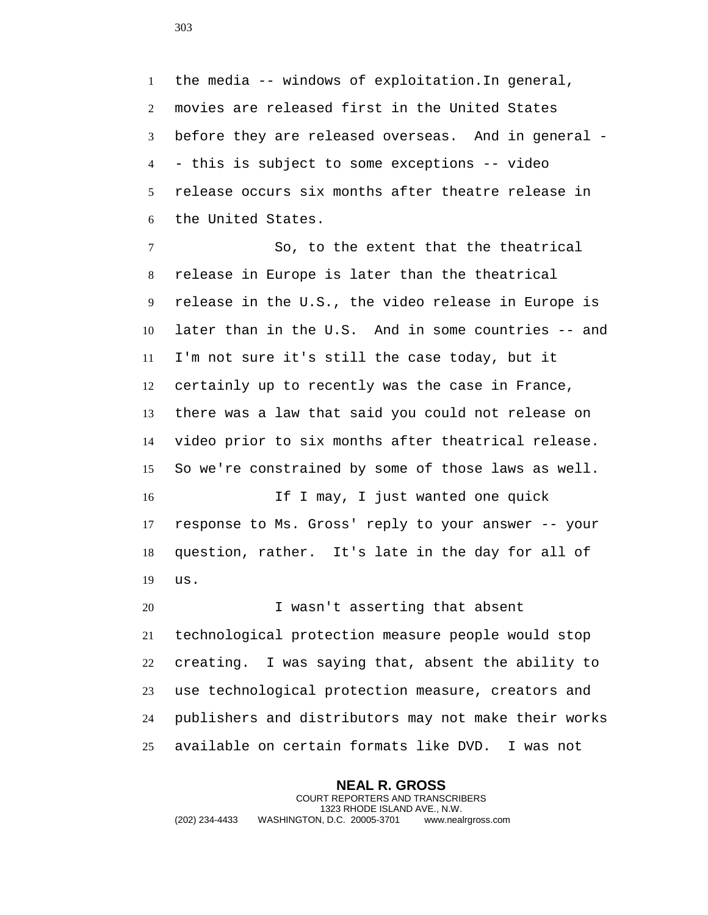the media -- windows of exploitation.In general, movies are released first in the United States before they are released overseas. And in general - - this is subject to some exceptions -- video release occurs six months after theatre release in the United States.

 So, to the extent that the theatrical release in Europe is later than the theatrical release in the U.S., the video release in Europe is later than in the U.S. And in some countries -- and I'm not sure it's still the case today, but it certainly up to recently was the case in France, there was a law that said you could not release on video prior to six months after theatrical release. So we're constrained by some of those laws as well.

 If I may, I just wanted one quick response to Ms. Gross' reply to your answer -- your question, rather. It's late in the day for all of us.

 I wasn't asserting that absent technological protection measure people would stop creating. I was saying that, absent the ability to use technological protection measure, creators and publishers and distributors may not make their works available on certain formats like DVD. I was not

**NEAL R. GROSS** COURT REPORTERS AND TRANSCRIBERS 1323 RHODE ISLAND AVE., N.W. (202) 234-4433 WASHINGTON, D.C. 20005-3701 www.nealrgross.com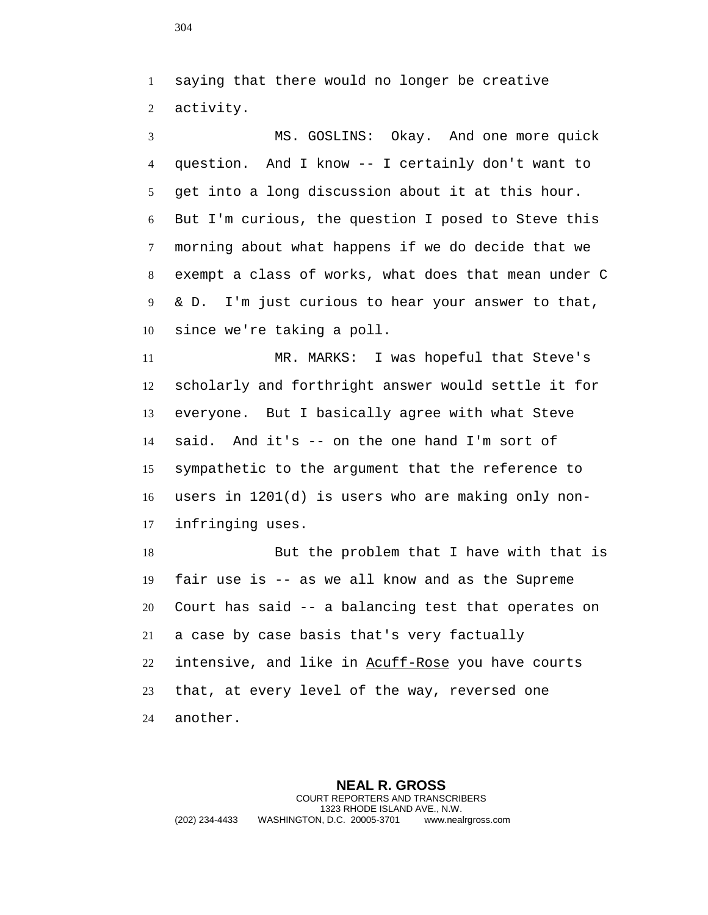saying that there would no longer be creative activity.

 MS. GOSLINS: Okay. And one more quick question. And I know -- I certainly don't want to get into a long discussion about it at this hour. But I'm curious, the question I posed to Steve this morning about what happens if we do decide that we exempt a class of works, what does that mean under C & D. I'm just curious to hear your answer to that, since we're taking a poll.

 MR. MARKS: I was hopeful that Steve's scholarly and forthright answer would settle it for everyone. But I basically agree with what Steve said. And it's -- on the one hand I'm sort of sympathetic to the argument that the reference to users in 1201(d) is users who are making only non-infringing uses.

18 But the problem that I have with that is fair use is -- as we all know and as the Supreme Court has said -- a balancing test that operates on a case by case basis that's very factually 22 intensive, and like in Acuff-Rose you have courts that, at every level of the way, reversed one another.

**NEAL R. GROSS** COURT REPORTERS AND TRANSCRIBERS 1323 RHODE ISLAND AVE., N.W. (202) 234-4433 WASHINGTON, D.C. 20005-3701 www.nealrgross.com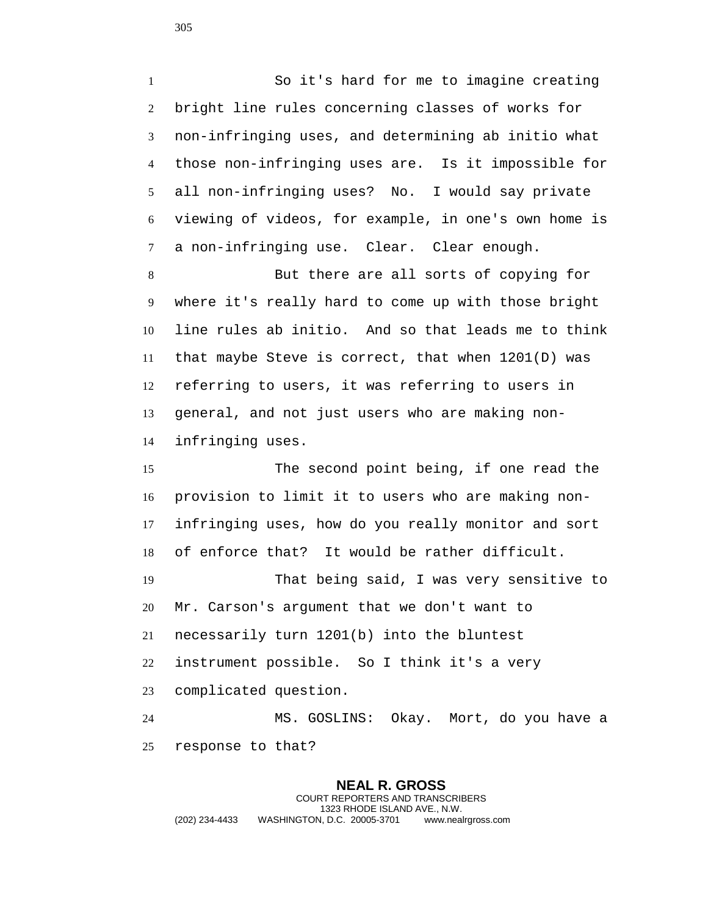So it's hard for me to imagine creating bright line rules concerning classes of works for non-infringing uses, and determining ab initio what those non-infringing uses are. Is it impossible for all non-infringing uses? No. I would say private viewing of videos, for example, in one's own home is a non-infringing use. Clear. Clear enough.

 But there are all sorts of copying for where it's really hard to come up with those bright line rules ab initio. And so that leads me to think that maybe Steve is correct, that when 1201(D) was referring to users, it was referring to users in general, and not just users who are making non-infringing uses.

 The second point being, if one read the provision to limit it to users who are making non- infringing uses, how do you really monitor and sort of enforce that? It would be rather difficult. That being said, I was very sensitive to Mr. Carson's argument that we don't want to

necessarily turn 1201(b) into the bluntest

instrument possible. So I think it's a very

complicated question.

 MS. GOSLINS: Okay. Mort, do you have a response to that?

## **NEAL R. GROSS**

COURT REPORTERS AND TRANSCRIBERS 1323 RHODE ISLAND AVE., N.W. (202) 234-4433 WASHINGTON, D.C. 20005-3701 www.nealrgross.com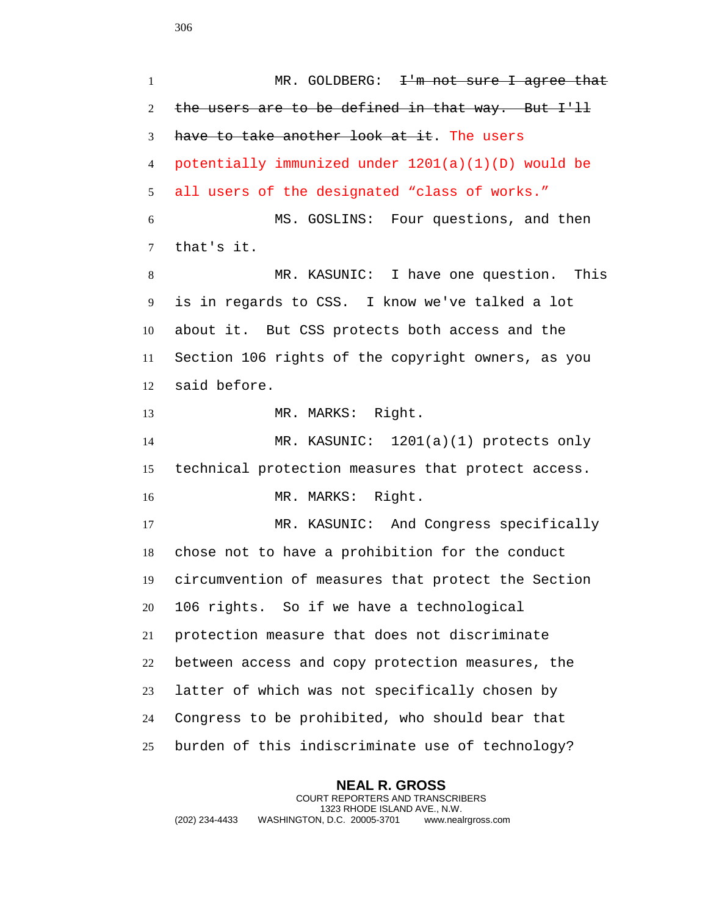**NEAL R. GROSS** 1 MR. GOLDBERG: <del>I'm not sure I agree that</del> 2 the users are to be defined in that way. But I'll have to take another look at it. The users potentially immunized under 1201(a)(1)(D) would be all users of the designated "class of works." MS. GOSLINS: Four questions, and then that's it. MR. KASUNIC: I have one question. This is in regards to CSS. I know we've talked a lot about it. But CSS protects both access and the Section 106 rights of the copyright owners, as you said before. MR. MARKS: Right. MR. KASUNIC: 1201(a)(1) protects only technical protection measures that protect access. 16 MR. MARKS: Right. MR. KASUNIC: And Congress specifically chose not to have a prohibition for the conduct circumvention of measures that protect the Section 106 rights. So if we have a technological protection measure that does not discriminate between access and copy protection measures, the latter of which was not specifically chosen by Congress to be prohibited, who should bear that burden of this indiscriminate use of technology?

COURT REPORTERS AND TRANSCRIBERS 1323 RHODE ISLAND AVE., N.W. (202) 234-4433 WASHINGTON, D.C. 20005-3701 www.nealrgross.com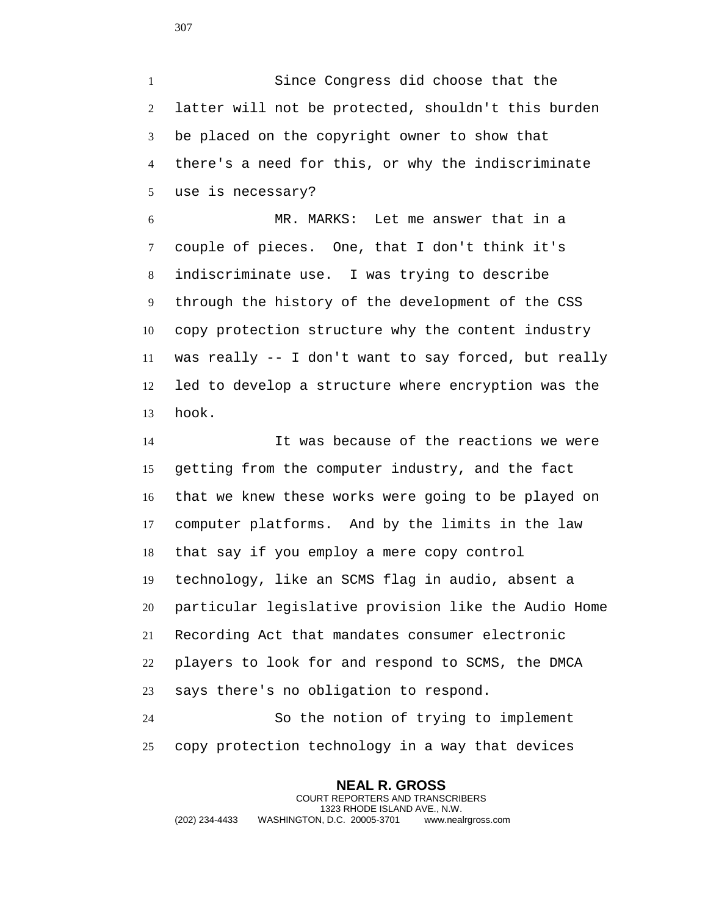Since Congress did choose that the latter will not be protected, shouldn't this burden be placed on the copyright owner to show that there's a need for this, or why the indiscriminate use is necessary?

 MR. MARKS: Let me answer that in a couple of pieces. One, that I don't think it's indiscriminate use. I was trying to describe through the history of the development of the CSS copy protection structure why the content industry was really -- I don't want to say forced, but really led to develop a structure where encryption was the hook.

 It was because of the reactions we were getting from the computer industry, and the fact that we knew these works were going to be played on computer platforms. And by the limits in the law that say if you employ a mere copy control technology, like an SCMS flag in audio, absent a particular legislative provision like the Audio Home Recording Act that mandates consumer electronic players to look for and respond to SCMS, the DMCA says there's no obligation to respond.

 So the notion of trying to implement copy protection technology in a way that devices

## **NEAL R. GROSS**

COURT REPORTERS AND TRANSCRIBERS 1323 RHODE ISLAND AVE., N.W. (202) 234-4433 WASHINGTON, D.C. 20005-3701 www.nealrgross.com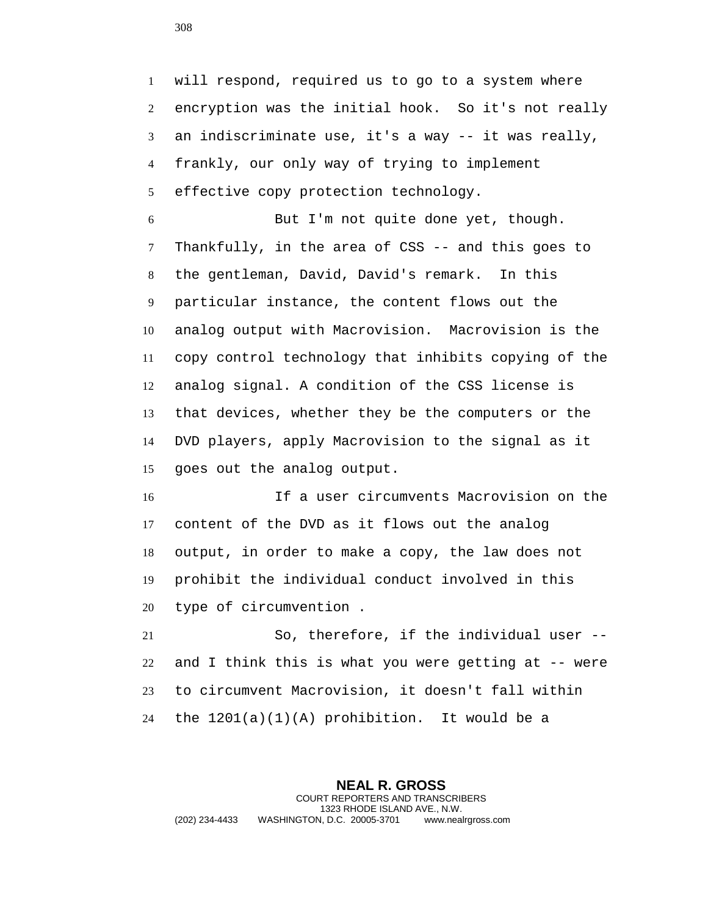will respond, required us to go to a system where encryption was the initial hook. So it's not really an indiscriminate use, it's a way -- it was really, frankly, our only way of trying to implement effective copy protection technology.

 But I'm not quite done yet, though. Thankfully, in the area of CSS -- and this goes to the gentleman, David, David's remark. In this particular instance, the content flows out the analog output with Macrovision. Macrovision is the copy control technology that inhibits copying of the analog signal. A condition of the CSS license is that devices, whether they be the computers or the DVD players, apply Macrovision to the signal as it goes out the analog output.

 If a user circumvents Macrovision on the content of the DVD as it flows out the analog output, in order to make a copy, the law does not prohibit the individual conduct involved in this type of circumvention .

 So, therefore, if the individual user -- and I think this is what you were getting at -- were to circumvent Macrovision, it doesn't fall within the 1201(a)(1)(A) prohibition. It would be a

**NEAL R. GROSS** COURT REPORTERS AND TRANSCRIBERS 1323 RHODE ISLAND AVE., N.W. (202) 234-4433 WASHINGTON, D.C. 20005-3701 www.nealrgross.com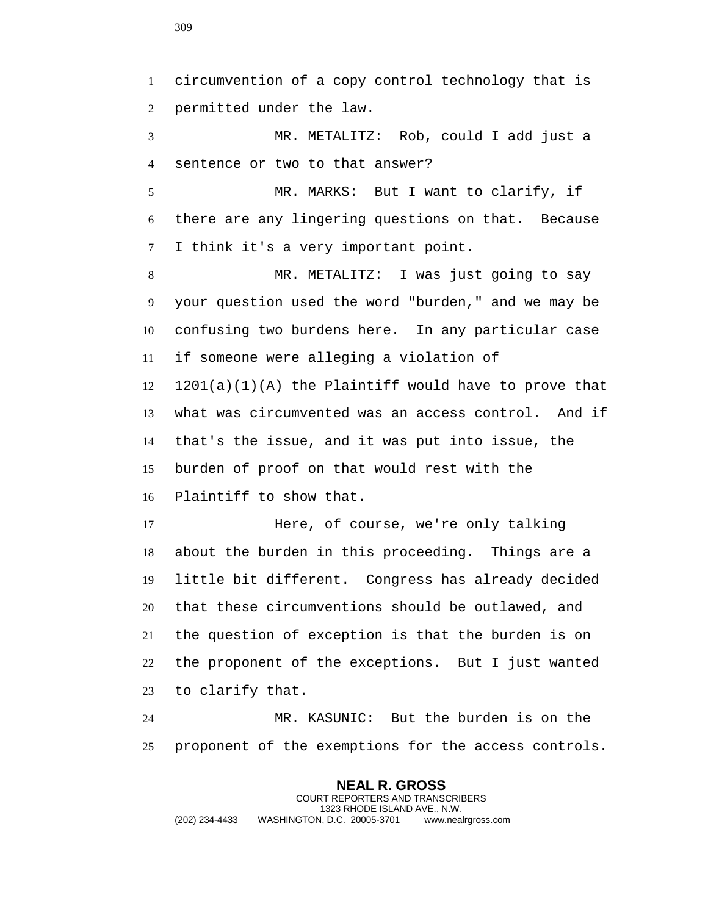circumvention of a copy control technology that is permitted under the law. MR. METALITZ: Rob, could I add just a sentence or two to that answer? MR. MARKS: But I want to clarify, if there are any lingering questions on that. Because I think it's a very important point. MR. METALITZ: I was just going to say your question used the word "burden," and we may be confusing two burdens here. In any particular case if someone were alleging a violation of 1201(a)(1)(A) the Plaintiff would have to prove that what was circumvented was an access control. And if that's the issue, and it was put into issue, the burden of proof on that would rest with the Plaintiff to show that. Here, of course, we're only talking about the burden in this proceeding. Things are a little bit different. Congress has already decided that these circumventions should be outlawed, and the question of exception is that the burden is on the proponent of the exceptions. But I just wanted to clarify that. MR. KASUNIC: But the burden is on the proponent of the exemptions for the access controls.

**NEAL R. GROSS** COURT REPORTERS AND TRANSCRIBERS 1323 RHODE ISLAND AVE., N.W. (202) 234-4433 WASHINGTON, D.C. 20005-3701 www.nealrgross.com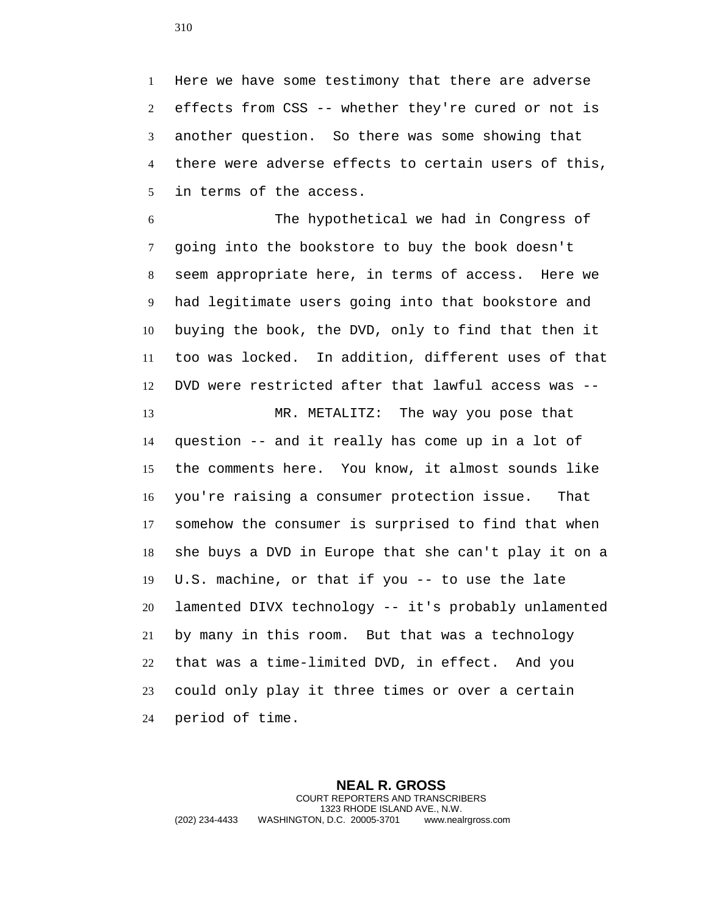Here we have some testimony that there are adverse effects from CSS -- whether they're cured or not is another question. So there was some showing that there were adverse effects to certain users of this, in terms of the access.

 The hypothetical we had in Congress of going into the bookstore to buy the book doesn't seem appropriate here, in terms of access. Here we had legitimate users going into that bookstore and buying the book, the DVD, only to find that then it too was locked. In addition, different uses of that DVD were restricted after that lawful access was --

13 MR. METALITZ: The way you pose that question -- and it really has come up in a lot of the comments here. You know, it almost sounds like you're raising a consumer protection issue. That somehow the consumer is surprised to find that when she buys a DVD in Europe that she can't play it on a U.S. machine, or that if you -- to use the late lamented DIVX technology -- it's probably unlamented by many in this room. But that was a technology that was a time-limited DVD, in effect. And you could only play it three times or over a certain period of time.

**NEAL R. GROSS** COURT REPORTERS AND TRANSCRIBERS 1323 RHODE ISLAND AVE., N.W. (202) 234-4433 WASHINGTON, D.C. 20005-3701 www.nealrgross.com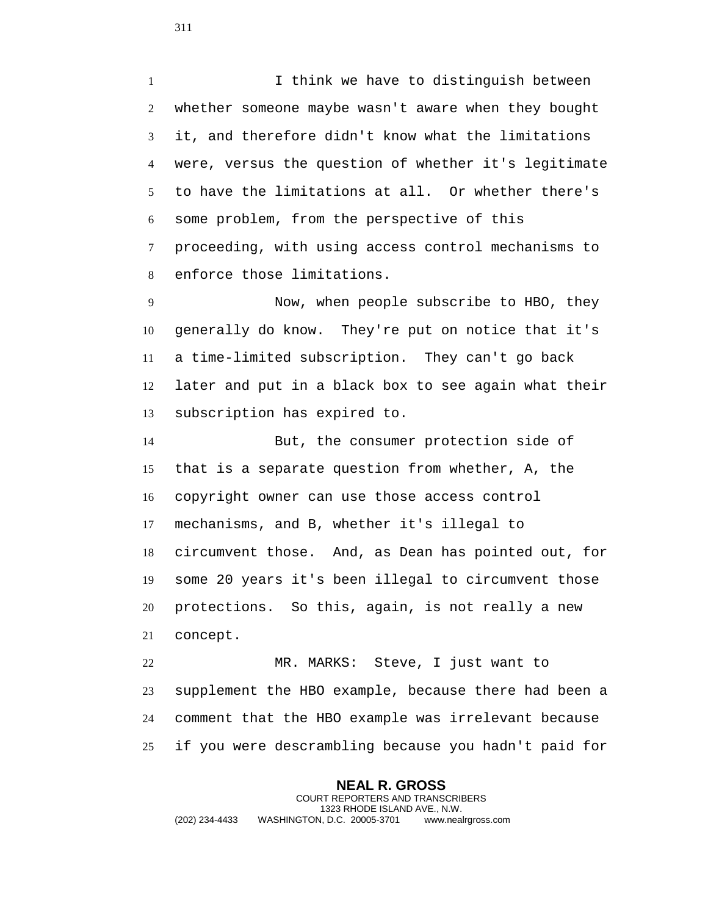I think we have to distinguish between whether someone maybe wasn't aware when they bought it, and therefore didn't know what the limitations were, versus the question of whether it's legitimate to have the limitations at all. Or whether there's some problem, from the perspective of this proceeding, with using access control mechanisms to enforce those limitations.

 Now, when people subscribe to HBO, they generally do know. They're put on notice that it's a time-limited subscription. They can't go back later and put in a black box to see again what their subscription has expired to.

 But, the consumer protection side of that is a separate question from whether, A, the copyright owner can use those access control mechanisms, and B, whether it's illegal to circumvent those. And, as Dean has pointed out, for some 20 years it's been illegal to circumvent those protections. So this, again, is not really a new concept.

 MR. MARKS: Steve, I just want to supplement the HBO example, because there had been a comment that the HBO example was irrelevant because if you were descrambling because you hadn't paid for

**NEAL R. GROSS** COURT REPORTERS AND TRANSCRIBERS 1323 RHODE ISLAND AVE., N.W. (202) 234-4433 WASHINGTON, D.C. 20005-3701 www.nealrgross.com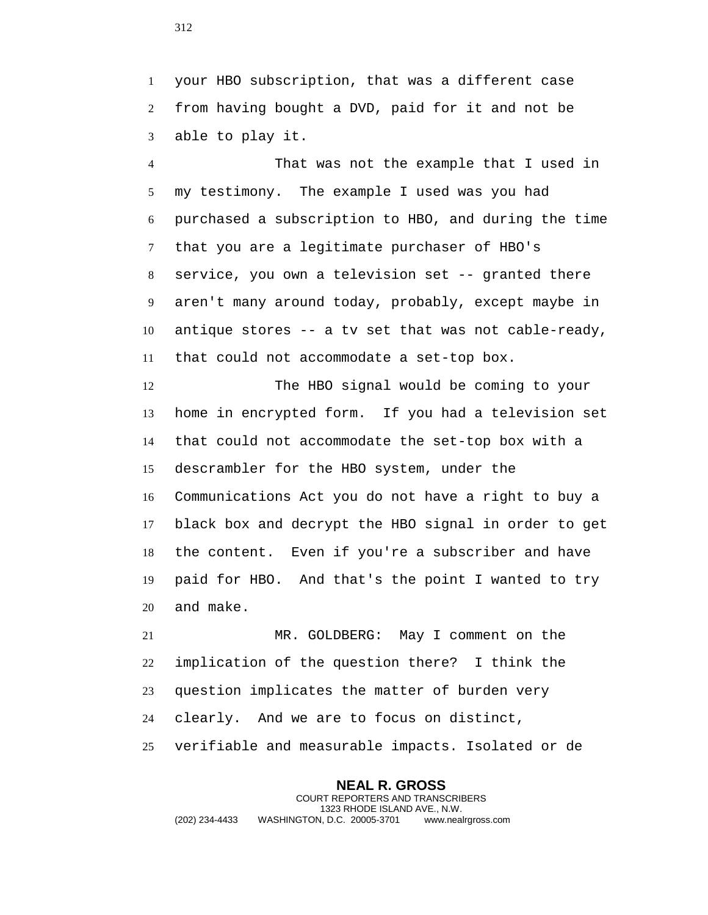your HBO subscription, that was a different case from having bought a DVD, paid for it and not be able to play it.

 That was not the example that I used in my testimony. The example I used was you had purchased a subscription to HBO, and during the time that you are a legitimate purchaser of HBO's service, you own a television set -- granted there aren't many around today, probably, except maybe in antique stores -- a tv set that was not cable-ready, that could not accommodate a set-top box.

 The HBO signal would be coming to your home in encrypted form. If you had a television set that could not accommodate the set-top box with a descrambler for the HBO system, under the Communications Act you do not have a right to buy a black box and decrypt the HBO signal in order to get the content. Even if you're a subscriber and have paid for HBO. And that's the point I wanted to try and make.

 MR. GOLDBERG: May I comment on the implication of the question there? I think the question implicates the matter of burden very clearly. And we are to focus on distinct, verifiable and measurable impacts. Isolated or de

**NEAL R. GROSS** COURT REPORTERS AND TRANSCRIBERS 1323 RHODE ISLAND AVE., N.W. (202) 234-4433 WASHINGTON, D.C. 20005-3701 www.nealrgross.com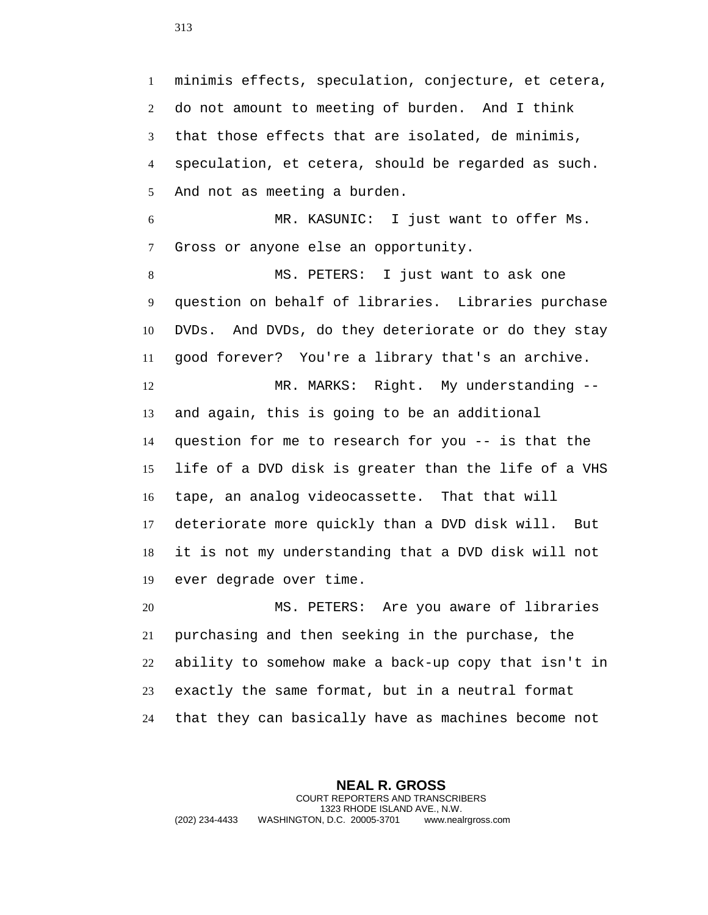minimis effects, speculation, conjecture, et cetera, do not amount to meeting of burden. And I think that those effects that are isolated, de minimis, speculation, et cetera, should be regarded as such. And not as meeting a burden. MR. KASUNIC: I just want to offer Ms. Gross or anyone else an opportunity. MS. PETERS: I just want to ask one question on behalf of libraries. Libraries purchase DVDs. And DVDs, do they deteriorate or do they stay good forever? You're a library that's an archive. MR. MARKS: Right. My understanding -- and again, this is going to be an additional question for me to research for you -- is that the life of a DVD disk is greater than the life of a VHS tape, an analog videocassette. That that will deteriorate more quickly than a DVD disk will. But it is not my understanding that a DVD disk will not ever degrade over time. MS. PETERS: Are you aware of libraries

 purchasing and then seeking in the purchase, the ability to somehow make a back-up copy that isn't in exactly the same format, but in a neutral format that they can basically have as machines become not

**NEAL R. GROSS** COURT REPORTERS AND TRANSCRIBERS 1323 RHODE ISLAND AVE., N.W. (202) 234-4433 WASHINGTON, D.C. 20005-3701 www.nealrgross.com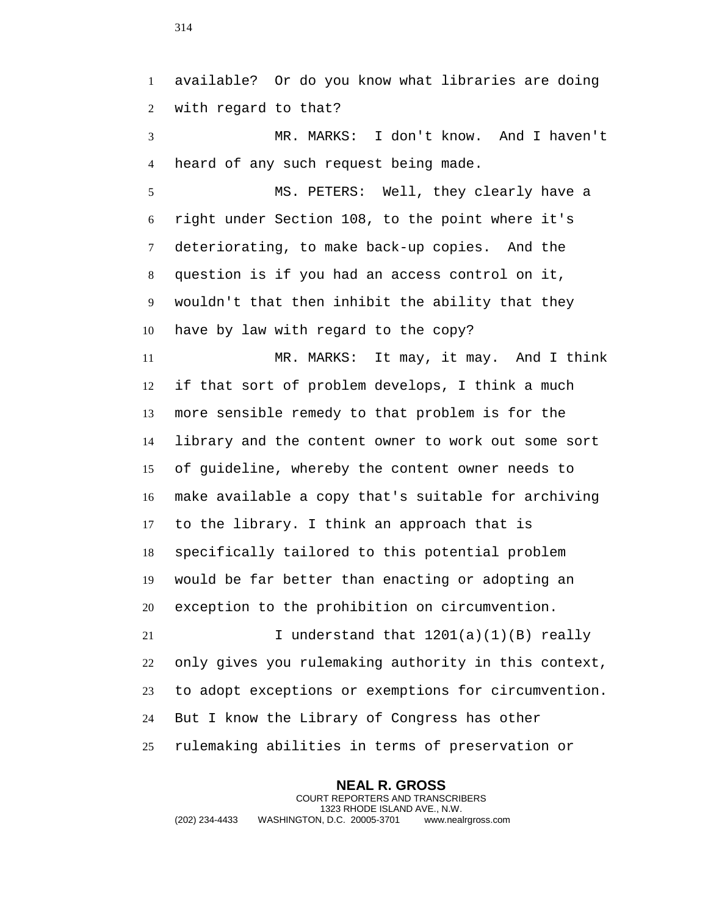available? Or do you know what libraries are doing with regard to that? MR. MARKS: I don't know. And I haven't heard of any such request being made. MS. PETERS: Well, they clearly have a right under Section 108, to the point where it's deteriorating, to make back-up copies. And the question is if you had an access control on it, wouldn't that then inhibit the ability that they have by law with regard to the copy? MR. MARKS: It may, it may. And I think if that sort of problem develops, I think a much more sensible remedy to that problem is for the library and the content owner to work out some sort of guideline, whereby the content owner needs to make available a copy that's suitable for archiving to the library. I think an approach that is specifically tailored to this potential problem would be far better than enacting or adopting an exception to the prohibition on circumvention. 21 I understand that  $1201(a)(1)(B)$  really only gives you rulemaking authority in this context, to adopt exceptions or exemptions for circumvention. But I know the Library of Congress has other rulemaking abilities in terms of preservation or

**NEAL R. GROSS** COURT REPORTERS AND TRANSCRIBERS 1323 RHODE ISLAND AVE., N.W. (202) 234-4433 WASHINGTON, D.C. 20005-3701 www.nealrgross.com